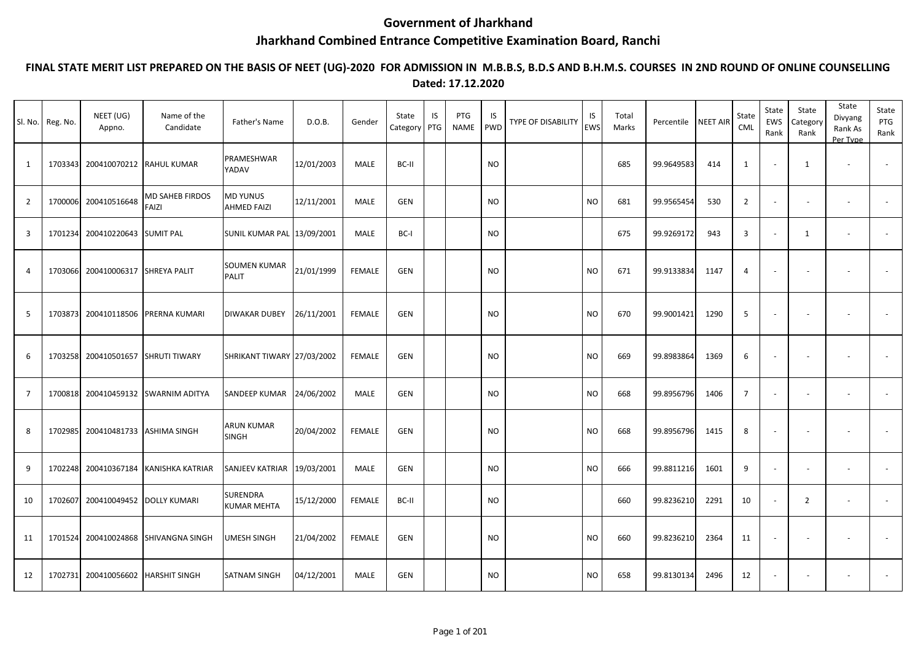## **Government of Jharkhand**

## **Jharkhand Combined Entrance Competitive Examination Board, Ranchi**

## **FINAL STATE MERIT LIST PREPARED ON THE BASIS OF NEET (UG)-2020 FOR ADMISSION IN M.B.B.S, B.D.S AND B.H.M.S. COURSES IN 2ND ROUND OF ONLINE COUNSELLING Dated: 17.12.2020**

|                | Sl. No. Reg. No. | NEET (UG)<br>Appno.      | Name of the<br>Candidate | Father's Name                         | D.O.B.     | Gender        | State<br>Category | IS<br>PTG | PTG<br><b>NAME</b> | IS<br><b>PWD</b> | TYPE OF DISABILITY | IS<br><b>EWS</b> | Total<br>Marks | Percentile | <b>NEET AIR</b> | State<br>CML   | State<br>EWS<br>Rank     | State<br>Category<br>Rank | State<br>Divyang<br>Rank As<br>Per Type | State<br>PTG<br>Rank     |
|----------------|------------------|--------------------------|--------------------------|---------------------------------------|------------|---------------|-------------------|-----------|--------------------|------------------|--------------------|------------------|----------------|------------|-----------------|----------------|--------------------------|---------------------------|-----------------------------------------|--------------------------|
| 1              | 1703343          | 200410070212 RAHUL KUMAR |                          | PRAMESHWAR<br>YADAV                   | 12/01/2003 | MALE          | BC-II             |           |                    | NO               |                    |                  | 685            | 99.9649583 | 414             | 1              |                          | 1                         | $\sim$                                  | $\sim$                   |
| $\overline{2}$ | 1700006          | 200410516648             | MD SAHEB FIRDOS<br>FAIZI | <b>MD YUNUS</b><br><b>AHMED FAIZI</b> | 12/11/2001 | MALE          | GEN               |           |                    | <b>NO</b>        |                    | <b>NO</b>        | 681            | 99.9565454 | 530             | $\overline{2}$ | $\overline{\phantom{a}}$ | $\sim$                    | $\sim$                                  | $\blacksquare$           |
| $\overline{3}$ | 1701234          | 200410220643             | <b>SUMIT PAL</b>         | <b>SUNIL KUMAR PAL 13/09/2001</b>     |            | MALE          | BC-I              |           |                    | NO               |                    |                  | 675            | 99.9269172 | 943             | 3              | $\overline{\phantom{a}}$ | 1                         | $\blacksquare$                          | $\overline{\phantom{a}}$ |
| $\overline{4}$ | 1703066          | 200410006317             | <b>SHREYA PALIT</b>      | SOUMEN KUMAR<br>PALIT                 | 21/01/1999 | <b>FEMALE</b> | GEN               |           |                    | <b>NO</b>        |                    | <b>NO</b>        | 671            | 99.9133834 | 1147            | 4              |                          |                           | $\overline{\phantom{a}}$                |                          |
| 5              | 1703873          | 200410118506             | PRERNA KUMARI            | DIWAKAR DUBEY                         | 26/11/2001 | <b>FEMALE</b> | GEN               |           |                    | <b>NO</b>        |                    | <b>NO</b>        | 670            | 99.9001421 | 1290            | 5              | ÷.                       | $\sim$                    | $\overline{\phantom{a}}$                | $\sim$                   |
| 6              | 1703258          | 200410501657             | <b>SHRUTI TIWARY</b>     | SHRIKANT TIWARY 27/03/2002            |            | <b>FEMALE</b> | <b>GEN</b>        |           |                    | <b>NO</b>        |                    | <b>NO</b>        | 669            | 99.8983864 | 1369            | 6              |                          |                           | $\overline{\phantom{a}}$                |                          |
| $\overline{7}$ | 1700818          | 200410459132             | SWARNIM ADITYA           | SANDEEP KUMAR                         | 24/06/2002 | <b>MALE</b>   | GEN               |           |                    | <b>NO</b>        |                    | <b>NO</b>        | 668            | 99.8956796 | 1406            | $\overline{7}$ |                          | $\overline{\phantom{a}}$  | $\overline{\phantom{a}}$                | $\blacksquare$           |
| 8              | 1702985          | 200410481733             | ASHIMA SINGH             | <b>ARUN KUMAR</b><br><b>SINGH</b>     | 20/04/2002 | <b>FEMALE</b> | GEN               |           |                    | <b>NO</b>        |                    | <b>NO</b>        | 668            | 99.8956796 | 1415            | 8              | $\overline{a}$           | $\sim$                    | $\ddot{\phantom{1}}$                    | $\sim$                   |
| 9              | 1702248          | 200410367184             | KANISHKA KATRIAR         | SANJEEV KATRIAR 19/03/2001            |            | MALE          | GEN               |           |                    | <b>NO</b>        |                    | <b>NO</b>        | 666            | 99.8811216 | 1601            | 9              |                          |                           | $\sim$                                  |                          |
| 10             | 1702607          | 200410049452             | <b>DOLLY KUMARI</b>      | SURENDRA<br>KUMAR MEHTA               | 15/12/2000 | <b>FEMALE</b> | BC-II             |           |                    | NO               |                    |                  | 660            | 99.8236210 | 2291            | 10             |                          | 2                         | $\overline{\phantom{a}}$                | $\sim$                   |
| 11             | 1701524          | 200410024868             | SHIVANGNA SINGH          | UMESH SINGH                           | 21/04/2002 | <b>FEMALE</b> | <b>GEN</b>        |           |                    | NO               |                    | <b>NO</b>        | 660            | 99.8236210 | 2364            | 11             |                          | $\overline{\phantom{a}}$  | $\blacksquare$                          |                          |
| 12             | 1702731          | 200410056602             | HARSHIT SINGH            | SATNAM SINGH                          | 04/12/2001 | <b>MALE</b>   | GEN               |           |                    | NO.              |                    | <b>NO</b>        | 658            | 99.8130134 | 2496            | 12             |                          |                           |                                         |                          |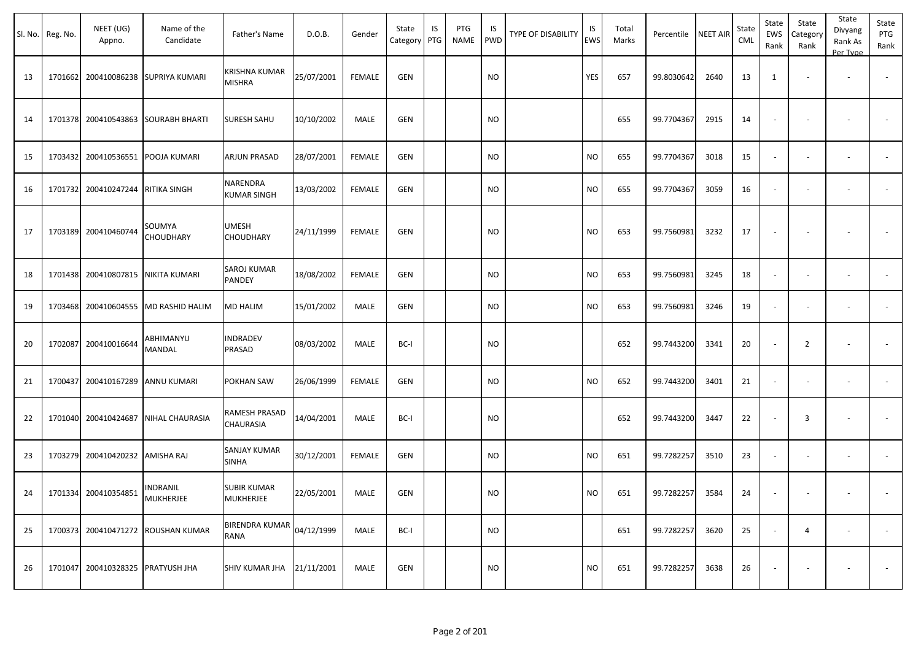|    | Sl. No. Reg. No. | NEET (UG)<br>Appno.               | Name of the<br>Candidate           | Father's Name                   | D.O.B.     | Gender        | State<br>Category | IS<br>PTG | PTG<br>NAME | IS.<br>PWD | TYPE OF DISABILITY | IS<br>EWS | Total<br>Marks | Percentile | <b>NEET AIR</b> | State<br><b>CML</b> | State<br>EWS<br>Rank     | State<br>Category<br>Rank | State<br>Divyang<br>Rank As<br>Per Type | State<br>PTG<br>Rank |
|----|------------------|-----------------------------------|------------------------------------|---------------------------------|------------|---------------|-------------------|-----------|-------------|------------|--------------------|-----------|----------------|------------|-----------------|---------------------|--------------------------|---------------------------|-----------------------------------------|----------------------|
| 13 |                  | 1701662 200410086238              | SUPRIYA KUMARI                     | KRISHNA KUMAR<br><b>MISHRA</b>  | 25/07/2001 | <b>FEMALE</b> | <b>GEN</b>        |           |             | <b>NO</b>  |                    | YES       | 657            | 99.8030642 | 2640            | 13                  | 1                        |                           |                                         |                      |
| 14 |                  | 1701378 200410543863              | <b>SOURABH BHARTI</b>              | SURESH SAHU                     | 10/10/2002 | MALE          | <b>GEN</b>        |           |             | <b>NO</b>  |                    |           | 655            | 99.7704367 | 2915            | 14                  | $\blacksquare$           |                           |                                         |                      |
| 15 |                  | 1703432 200410536551 POOJA KUMARI |                                    | ARJUN PRASAD                    | 28/07/2001 | <b>FEMALE</b> | <b>GEN</b>        |           |             | <b>NO</b>  |                    | <b>NO</b> | 655            | 99.7704367 | 3018            | 15                  | $\blacksquare$           |                           | $\overline{\phantom{a}}$                |                      |
| 16 |                  | 1701732 200410247244 RITIKA SINGH |                                    | NARENDRA<br><b>KUMAR SINGH</b>  | 13/03/2002 | FEMALE        | <b>GEN</b>        |           |             | NO         |                    | NO.       | 655            | 99.7704367 | 3059            | 16                  | $\overline{\phantom{a}}$ | $\overline{\phantom{a}}$  |                                         |                      |
| 17 |                  | 1703189 200410460744              | SOUMYA<br>CHOUDHARY                | <b>UMESH</b><br>CHOUDHARY       | 24/11/1999 | <b>FEMALE</b> | <b>GEN</b>        |           |             | NO         |                    | <b>NO</b> | 653            | 99.7560981 | 3232            | 17                  | $\overline{\phantom{a}}$ |                           |                                         |                      |
| 18 |                  | 1701438 200410807815              | NIKITA KUMARI                      | SAROJ KUMAR<br>PANDEY           | 18/08/2002 | FEMALE        | <b>GEN</b>        |           |             | NO         |                    | <b>NO</b> | 653            | 99.7560981 | 3245            | 18                  | $\overline{\phantom{a}}$ | $\overline{\phantom{a}}$  | $\overline{\phantom{a}}$                |                      |
| 19 |                  | 1703468 200410604555              | MD RASHID HALIM                    | MD HALIM                        | 15/01/2002 | MALE          | <b>GEN</b>        |           |             | <b>NO</b>  |                    | <b>NO</b> | 653            | 99.7560981 | 3246            | 19                  | $\sim$                   | $\sim$                    | $\overline{\phantom{a}}$                |                      |
| 20 |                  | 1702087 200410016644              | ABHIMANYU<br>MANDAL                | NDRADEV<br>PRASAD               | 08/03/2002 | MALE          | BC-I              |           |             | <b>NO</b>  |                    |           | 652            | 99.7443200 | 3341            | 20                  | $\overline{\phantom{a}}$ | $\overline{2}$            | $\overline{\phantom{a}}$                | $\sim$               |
| 21 |                  | 1700437 200410167289              | ANNU KUMARI                        | POKHAN SAW                      | 26/06/1999 | <b>FEMALE</b> | <b>GEN</b>        |           |             | <b>NO</b>  |                    | <b>NO</b> | 652            | 99.7443200 | 3401            | 21                  | $\blacksquare$           |                           |                                         |                      |
| 22 |                  | 1701040 200410424687              | <b>NIHAL CHAURASIA</b>             | RAMESH PRASAD<br>CHAURASIA      | 14/04/2001 | MALE          | BC-I              |           |             | NO         |                    |           | 652            | 99.7443200 | 3447            | 22                  | $\overline{\phantom{a}}$ | 3                         | $\overline{\phantom{a}}$                |                      |
| 23 |                  | 1703279 200410420232              | AMISHA RAJ                         | SANJAY KUMAR<br><b>SINHA</b>    | 30/12/2001 | <b>FEMALE</b> | <b>GEN</b>        |           |             | NO         |                    | NO.       | 651            | 99.7282257 | 3510            | 23                  | $\blacksquare$           | $\sim$                    | $\overline{\phantom{a}}$                | $\sim$               |
| 24 |                  | 1701334 200410354851              | INDRANIL<br><b>MUKHERJEE</b>       | <b>SUBIR KUMAR</b><br>MUKHERJEE | 22/05/2001 | MALE          | <b>GEN</b>        |           |             | <b>NO</b>  |                    | <b>NO</b> | 651            | 99.7282257 | 3584            | 24                  | $\sim$                   | $\overline{\phantom{a}}$  |                                         |                      |
| 25 |                  |                                   | 1700373 200410471272 ROUSHAN KUMAR | BIRENDRA KUMAR<br><b>RANA</b>   | 04/12/1999 | MALE          | BC-I              |           |             | <b>NO</b>  |                    |           | 651            | 99.7282257 | 3620            | 25                  | $\sim$                   | 4                         | $\overline{\phantom{a}}$                | $\sim$               |
| 26 |                  | 1701047 200410328325 PRATYUSH JHA |                                    | SHIV KUMAR JHA 21/11/2001       |            | MALE          | <b>GEN</b>        |           |             | <b>NO</b>  |                    | <b>NO</b> | 651            | 99.7282257 | 3638            | 26                  | $\overline{\phantom{a}}$ | $\overline{\phantom{a}}$  | $\overline{\phantom{a}}$                | $\sim$               |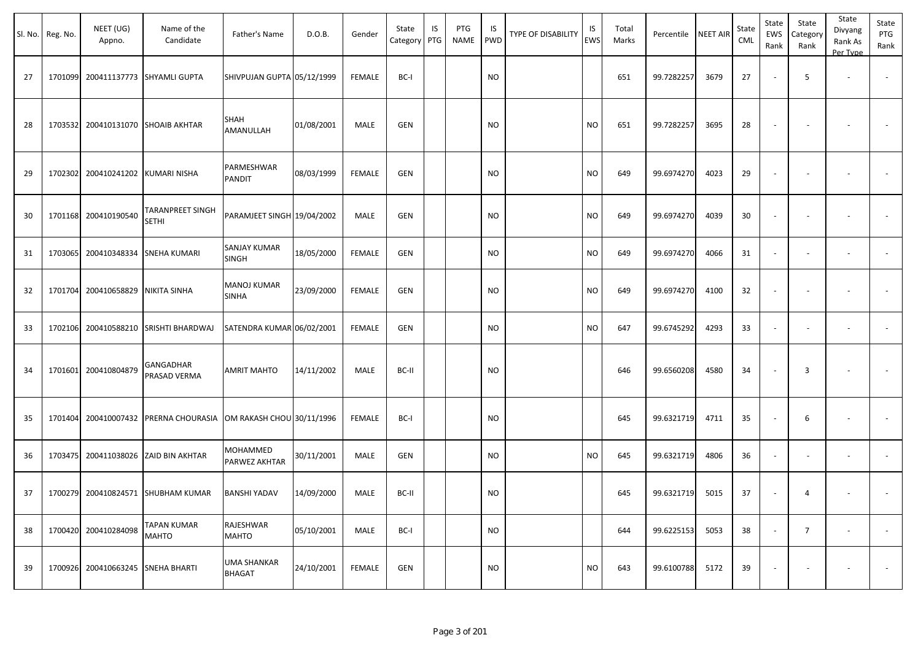|    | Sl. No. Reg. No. | NEET (UG)<br>Appno. | Name of the<br>Candidate                                | Father's Name                       | D.O.B.     | Gender        | State<br>Category PTG | IS | PTG<br><b>NAME</b> | IS<br>PWD | TYPE OF DISABILITY | IS<br>EWS | Total<br>Marks | Percentile | <b>NEET AIR</b> | State<br><b>CML</b> | State<br>EWS<br>Rank     | State<br>Category<br>Rank | State<br>Divyang<br>Rank As<br>Per Type | State<br>PTG<br>Rank     |
|----|------------------|---------------------|---------------------------------------------------------|-------------------------------------|------------|---------------|-----------------------|----|--------------------|-----------|--------------------|-----------|----------------|------------|-----------------|---------------------|--------------------------|---------------------------|-----------------------------------------|--------------------------|
| 27 | 1701099          | 200411137773        | <b>SHYAMLI GUPTA</b>                                    | SHIVPUJAN GUPTA 05/12/1999          |            | <b>FEMALE</b> | BC-I                  |    |                    | <b>NO</b> |                    |           | 651            | 99.7282257 | 3679            | 27                  |                          | 5                         | $\sim$                                  | $\overline{\phantom{a}}$ |
| 28 | 1703532          |                     | 200410131070 SHOAIB AKHTAR                              | SHAH<br>AMANULLAH                   | 01/08/2001 | MALE          | <b>GEN</b>            |    |                    | NO        |                    | <b>NO</b> | 651            | 99.7282257 | 3695            | 28                  |                          |                           |                                         |                          |
| 29 | 1702302          | 200410241202        | KUMARI NISHA                                            | PARMESHWAR<br>PANDIT                | 08/03/1999 | <b>FEMALE</b> | GEN                   |    |                    | <b>NO</b> |                    | <b>NO</b> | 649            | 99.6974270 | 4023            | 29                  |                          |                           |                                         |                          |
| 30 | 1701168          | 200410190540        | TARANPREET SINGH<br><b>SETHI</b>                        | PARAMJEET SINGH 19/04/2002          |            | MALE          | <b>GEN</b>            |    |                    | NO.       |                    | <b>NO</b> | 649            | 99.6974270 | 4039            | 30                  |                          |                           |                                         |                          |
| 31 | 1703065          | 200410348334        | SNEHA KUMARI                                            | SANJAY KUMAR<br><b>SINGH</b>        | 18/05/2000 | <b>FEMALE</b> | GEN                   |    |                    | NO        |                    | <b>NO</b> | 649            | 99.6974270 | 4066            | 31                  |                          |                           | $\overline{\phantom{a}}$                | $\overline{\phantom{a}}$ |
| 32 | 1701704          | 200410658829        | NIKITA SINHA                                            | <b>MANOJ KUMAR</b><br><b>SINHA</b>  | 23/09/2000 | <b>FEMALE</b> | GEN                   |    |                    | NO        |                    | <b>NO</b> | 649            | 99.6974270 | 4100            | 32                  |                          |                           |                                         |                          |
| 33 | 1702106          | 200410588210        | <b>SRISHTI BHARDWAJ</b>                                 | SATENDRA KUMAR 06/02/2001           |            | FEMALE        | <b>GEN</b>            |    |                    | <b>NO</b> |                    | <b>NO</b> | 647            | 99.6745292 | 4293            | 33                  |                          |                           | $\overline{\phantom{a}}$                |                          |
| 34 | 1701601          | 200410804879        | GANGADHAR<br>PRASAD VERMA                               | <b>AMRIT MAHTO</b>                  | 14/11/2002 | MALE          | BC-II                 |    |                    | <b>NO</b> |                    |           | 646            | 99.6560208 | 4580            | 34                  |                          | 3                         |                                         |                          |
| 35 | 1701404          |                     | 200410007432 PRERNA CHOURASIA OM RAKASH CHOU 30/11/1996 |                                     |            | FEMALE        | BC-I                  |    |                    | <b>NO</b> |                    |           | 645            | 99.6321719 | 4711            | 35                  |                          | 6                         | $\overline{\phantom{a}}$                |                          |
| 36 | 1703475          | 200411038026        | <b>ZAID BIN AKHTAR</b>                                  | MOHAMMED<br>PARWEZ AKHTAR           | 30/11/2001 | MALE          | GEN                   |    |                    | <b>NO</b> |                    | <b>NO</b> | 645            | 99.6321719 | 4806            | 36                  | $\overline{\phantom{a}}$ | $\overline{\phantom{a}}$  | $\overline{\phantom{a}}$                | $\sim$                   |
| 37 | 1700279          | 200410824571        | <b>SHUBHAM KUMAR</b>                                    | <b>BANSHI YADAV</b>                 | 14/09/2000 | MALE          | BC-II                 |    |                    | <b>NO</b> |                    |           | 645            | 99.6321719 | 5015            | 37                  |                          | 4                         |                                         |                          |
| 38 | 1700420          | 200410284098        | TAPAN KUMAR<br><b>MAHTO</b>                             | RAJESHWAR<br><b>MAHTO</b>           | 05/10/2001 | MALE          | BC-I                  |    |                    | <b>NO</b> |                    |           | 644            | 99.6225153 | 5053            | 38                  |                          | $\overline{7}$            | $\overline{\phantom{a}}$                | $\sim$                   |
| 39 | 1700926          | 200410663245        | <b>SNEHA BHARTI</b>                                     | <b>UMA SHANKAR</b><br><b>BHAGAT</b> | 24/10/2001 | <b>FEMALE</b> | <b>GEN</b>            |    |                    | <b>NO</b> |                    | <b>NO</b> | 643            | 99.6100788 | 5172            | 39                  |                          |                           | $\overline{\phantom{a}}$                | $\sim$                   |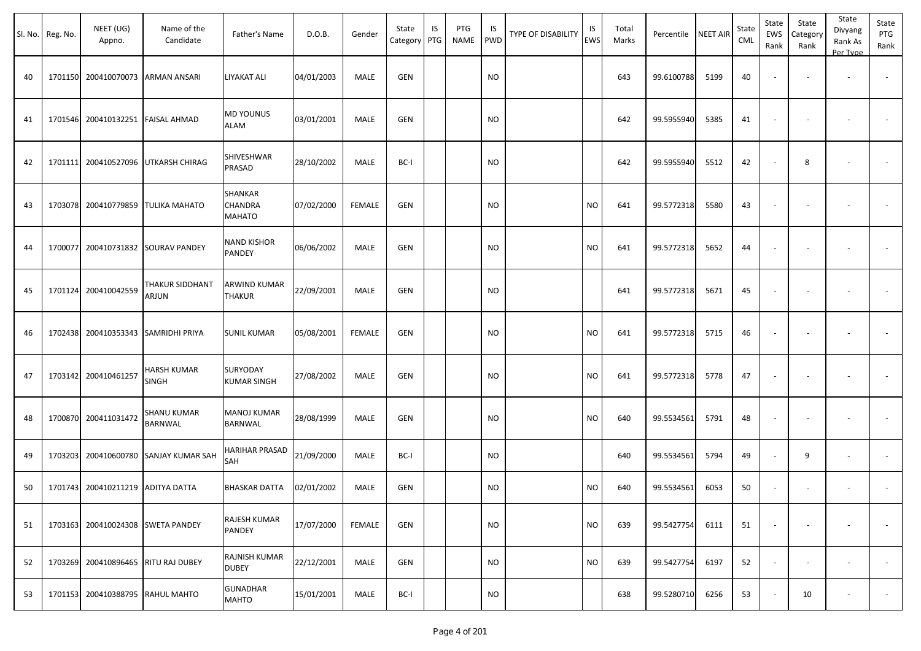|    | Sl. No. Reg. No. | NEET (UG)<br>Appno.               | Name of the<br>Candidate             | Father's Name                        | D.O.B.     | Gender | State<br>Category PTG | IS | PTG<br>NAME | IS.<br>PWD | TYPE OF DISABILITY | IS<br><b>EWS</b> | Total<br>Marks | Percentile | <b>NEET AIR</b> | State<br><b>CML</b> | State<br>EWS<br>Rank     | State<br>Category<br>Rank | State<br>Divyang<br>Rank As<br>Per Type | State<br>PTG<br>Rank     |
|----|------------------|-----------------------------------|--------------------------------------|--------------------------------------|------------|--------|-----------------------|----|-------------|------------|--------------------|------------------|----------------|------------|-----------------|---------------------|--------------------------|---------------------------|-----------------------------------------|--------------------------|
| 40 |                  | 1701150 200410070073              | <b>ARMAN ANSARI</b>                  | LIYAKAT ALI                          | 04/01/2003 | MALE   | <b>GEN</b>            |    |             | <b>NO</b>  |                    |                  | 643            | 99.6100788 | 5199            | 40                  |                          |                           |                                         |                          |
| 41 |                  | 1701546 200410132251              | <b>FAISAL AHMAD</b>                  | MD YOUNUS<br>ALAM                    | 03/01/2001 | MALE   | GEN                   |    |             | <b>NO</b>  |                    |                  | 642            | 99.5955940 | 5385            | 41                  | $\overline{\phantom{a}}$ |                           |                                         |                          |
| 42 |                  |                                   | 1701111 200410527096 UTKARSH CHIRAG  | SHIVESHWAR<br>PRASAD                 | 28/10/2002 | MALE   | BC-I                  |    |             | <b>NO</b>  |                    |                  | 642            | 99.5955940 | 5512            | 42                  | $\overline{\phantom{a}}$ | 8                         | $\overline{\phantom{a}}$                |                          |
| 43 |                  | 1703078 200410779859              | <b>TULIKA MAHATO</b>                 | SHANKAR<br>CHANDRA<br>MAHATO         | 07/02/2000 | FEMALE | GEN                   |    |             | <b>NO</b>  |                    | <b>NO</b>        | 641            | 99.5772318 | 5580            | 43                  |                          |                           |                                         |                          |
| 44 |                  |                                   | 1700077 200410731832 SOURAV PANDEY   | <b>NAND KISHOR</b><br>PANDEY         | 06/06/2002 | MALE   | GEN                   |    |             | <b>NO</b>  |                    | <b>NO</b>        | 641            | 99.5772318 | 5652            | 44                  |                          |                           |                                         |                          |
| 45 |                  | 1701124 200410042559              | THAKUR SIDDHANT<br>ARJUN             | ARWIND KUMAR<br><b>THAKUR</b>        | 22/09/2001 | MALE   | GEN                   |    |             | <b>NO</b>  |                    |                  | 641            | 99.5772318 | 5671            | 45                  | $\overline{\phantom{a}}$ |                           |                                         |                          |
| 46 |                  |                                   | 1702438 200410353343 SAMRIDHI PRIYA  | <b>SUNIL KUMAR</b>                   | 05/08/2001 | FEMALE | GEN                   |    |             | <b>NO</b>  |                    | <b>NO</b>        | 641            | 99.5772318 | 5715            | 46                  | $\overline{\phantom{a}}$ |                           | $\overline{\phantom{a}}$                | $\overline{\phantom{a}}$ |
| 47 |                  | 1703142 200410461257              | HARSH KUMAR<br>SINGH                 | SURYODAY<br><b>KUMAR SINGH</b>       | 27/08/2002 | MALE   | GEN                   |    |             | <b>NO</b>  |                    | <b>NO</b>        | 641            | 99.5772318 | 5778            | 47                  |                          |                           |                                         |                          |
| 48 |                  | 1700870 200411031472              | <b>SHANU KUMAR</b><br><b>BARNWAL</b> | <b>MANOJ KUMAR</b><br><b>BARNWAL</b> | 28/08/1999 | MALE   | GEN                   |    |             | <b>NO</b>  |                    | <b>NO</b>        | 640            | 99.5534561 | 5791            | 48                  | $\overline{\phantom{a}}$ |                           |                                         |                          |
| 49 |                  | 1703203 200410600780              | <b>SANJAY KUMAR SAH</b>              | HARIHAR PRASAD<br>SAH                | 21/09/2000 | MALE   | BC-I                  |    |             | <b>NO</b>  |                    |                  | 640            | 99.5534561 | 5794            | 49                  | $\sim$                   | 9                         | $\overline{\phantom{a}}$                |                          |
| 50 |                  | 1701743 200410211219 ADITYA DATTA |                                      | <b>BHASKAR DATTA</b>                 | 02/01/2002 | MALE   | <b>GEN</b>            |    |             | <b>NO</b>  |                    | <b>NO</b>        | 640            | 99.5534561 | 6053            | 50                  | $\overline{\phantom{a}}$ |                           |                                         |                          |
| 51 |                  | 1703163 200410024308              | <b>SWETA PANDEY</b>                  | RAJESH KUMAR<br><b>PANDEY</b>        | 17/07/2000 | FEMALE | GEN                   |    |             | <b>NO</b>  |                    | <b>NO</b>        | 639            | 99.5427754 | 6111            | 51                  | $\sim$                   |                           | $\overline{\phantom{a}}$                | $\sim$                   |
| 52 |                  | 1703269 200410896465              | <b>RITU RAJ DUBEY</b>                | RAJNISH KUMAR<br><b>DUBEY</b>        | 22/12/2001 | MALE   | GEN                   |    |             | <b>NO</b>  |                    | <b>NO</b>        | 639            | 99.5427754 | 6197            | 52                  | $\sim$                   | $\overline{\phantom{a}}$  | $\sim$                                  | $\sim$                   |
| 53 |                  | 1701153 200410388795              | <b>RAHUL MAHTO</b>                   | <b>GUNADHAR</b><br><b>MAHTO</b>      | 15/01/2001 | MALE   | BC-I                  |    |             | <b>NO</b>  |                    |                  | 638            | 99.5280710 | 6256            | 53                  |                          | 10                        | $\overline{\phantom{a}}$                | $\sim$                   |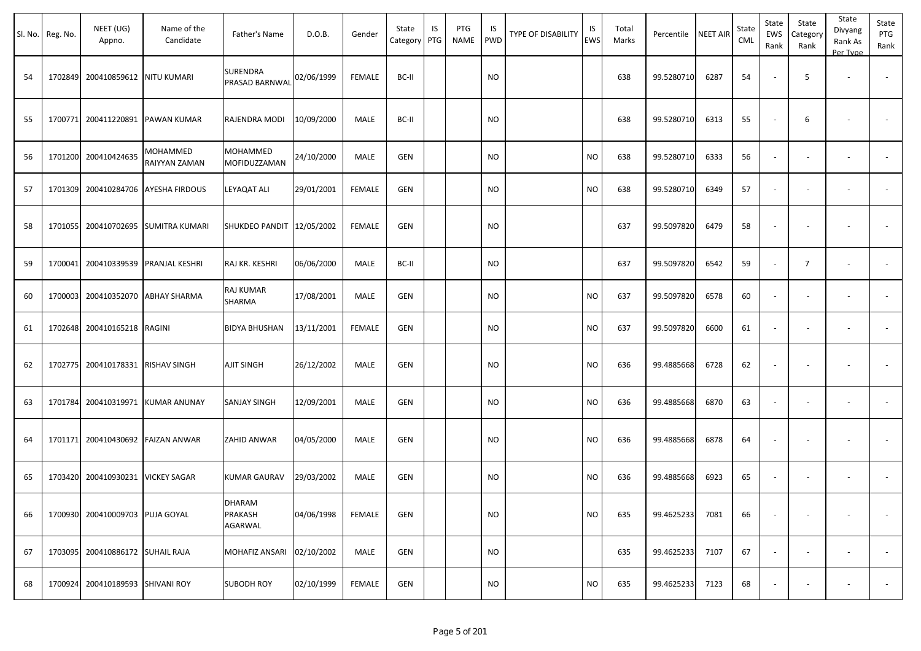|    | Sl. No. Reg. No. | NEET (UG)<br>Appno.               | Name of the<br>Candidate            | Father's Name                       | D.O.B.     | Gender        | State<br>Category PTG | IS | PTG<br>NAME | IS<br>PWD | <b>TYPE OF DISABILITY</b> | IS<br><b>EWS</b> | Total<br>Marks | Percentile | <b>NEET AIR</b> | State<br><b>CML</b> | State<br>EWS<br>Rank     | State<br>Category<br>Rank | State<br>Divyang<br>Rank As<br>Per Type | State<br>PTG<br>Rank     |
|----|------------------|-----------------------------------|-------------------------------------|-------------------------------------|------------|---------------|-----------------------|----|-------------|-----------|---------------------------|------------------|----------------|------------|-----------------|---------------------|--------------------------|---------------------------|-----------------------------------------|--------------------------|
| 54 |                  | 1702849 200410859612 NITU KUMARI  |                                     | <b>SURENDRA</b><br>PRASAD BARNWAL   | 02/06/1999 | <b>FEMALE</b> | BC-II                 |    |             | <b>NO</b> |                           |                  | 638            | 99.5280710 | 6287            | 54                  |                          | 5                         |                                         |                          |
| 55 |                  |                                   | 1700771 200411220891 PAWAN KUMAR    | RAJENDRA MODI                       | 10/09/2000 | MALE          | BC-II                 |    |             | <b>NO</b> |                           |                  | 638            | 99.5280710 | 6313            | 55                  |                          | 6                         |                                         |                          |
| 56 |                  | 1701200 200410424635              | MOHAMMED<br>RAIYYAN ZAMAN           | MOHAMMED<br>MOFIDUZZAMAN            | 24/10/2000 | <b>MALE</b>   | <b>GEN</b>            |    |             | <b>NO</b> |                           | <b>NO</b>        | 638            | 99.5280710 | 6333            | 56                  | $\overline{\phantom{a}}$ |                           | $\overline{\phantom{a}}$                |                          |
| 57 |                  |                                   | 1701309 200410284706 AYESHA FIRDOUS | LEYAQAT ALI                         | 29/01/2001 | FEMALE        | GEN                   |    |             | <b>NO</b> |                           | <b>NO</b>        | 638            | 99.5280710 | 6349            | 57                  | $\sim$                   |                           | $\overline{\phantom{a}}$                |                          |
| 58 |                  | 1701055 200410702695              | <b>SUMITRA KUMARI</b>               | SHUKDEO PANDIT 12/05/2002           |            | <b>FEMALE</b> | GEN                   |    |             | <b>NO</b> |                           |                  | 637            | 99.5097820 | 6479            | 58                  | $\sim$                   |                           |                                         |                          |
| 59 |                  |                                   | 1700041 200410339539 PRANJAL KESHRI | RAJ KR. KESHRI                      | 06/06/2000 | MALE          | BC-II                 |    |             | <b>NO</b> |                           |                  | 637            | 99.5097820 | 6542            | 59                  |                          | $\overline{7}$            |                                         |                          |
| 60 |                  | 1700003 200410352070              | <b>ABHAY SHARMA</b>                 | RAJ KUMAR<br>SHARMA                 | 17/08/2001 | MALE          | GEN                   |    |             | <b>NO</b> |                           | <b>NO</b>        | 637            | 99.5097820 | 6578            | 60                  | $\sim$                   |                           | $\overline{\phantom{a}}$                |                          |
| 61 |                  | 1702648 200410165218              | RAGINI                              | <b>BIDYA BHUSHAN</b>                | 13/11/2001 | FEMALE        | GEN                   |    |             | <b>NO</b> |                           | <b>NO</b>        | 637            | 99.5097820 | 6600            | 61                  | $\blacksquare$           |                           | $\overline{\phantom{a}}$                |                          |
| 62 |                  | 1702775 200410178331              | <b>RISHAV SINGH</b>                 | AJIT SINGH                          | 26/12/2002 | MALE          | <b>GEN</b>            |    |             | <b>NO</b> |                           | <b>NO</b>        | 636            | 99.4885668 | 6728            | 62                  | $\overline{\phantom{a}}$ |                           |                                         |                          |
| 63 |                  |                                   | 1701784 200410319971 KUMAR ANUNAY   | <b>SANJAY SINGH</b>                 | 12/09/2001 | MALE          | <b>GEN</b>            |    |             | <b>NO</b> |                           | <b>NO</b>        | 636            | 99.4885668 | 6870            | 63                  | $\overline{\phantom{a}}$ | $\overline{\phantom{a}}$  | $\overline{\phantom{a}}$                | $\sim$                   |
| 64 |                  | 1701171 200410430692              | <b>FAIZAN ANWAR</b>                 | ZAHID ANWAR                         | 04/05/2000 | MALE          | <b>GEN</b>            |    |             | <b>NO</b> |                           | <b>NO</b>        | 636            | 99.4885668 | 6878            | 64                  |                          |                           |                                         |                          |
| 65 |                  | 1703420 200410930231 VICKEY SAGAR |                                     | <b>KUMAR GAURAV</b>                 | 29/03/2002 | MALE          | GEN                   |    |             | <b>NO</b> |                           | <b>NO</b>        | 636            | 99.4885668 | 6923            | 65                  | $\overline{\phantom{a}}$ |                           | $\sim$                                  |                          |
| 66 |                  | 1700930 200410009703 PUJA GOYAL   |                                     | <b>DHARAM</b><br>PRAKASH<br>AGARWAL | 04/06/1998 | FEMALE        | GEN                   |    |             | <b>NO</b> |                           | <b>NO</b>        | 635            | 99.4625233 | 7081            | 66                  | $\sim$                   | $\overline{\phantom{a}}$  | $\overline{\phantom{a}}$                | $\sim$                   |
| 67 |                  | 1703095 200410886172 SUHAIL RAJA  |                                     | MOHAFIZ ANSARI 02/10/2002           |            | MALE          | GEN                   |    |             | <b>NO</b> |                           |                  | 635            | 99.4625233 | 7107            | 67                  | $\sim$                   |                           | $\sim$                                  | $\overline{\phantom{a}}$ |
| 68 |                  | 1700924 200410189593 SHIVANI ROY  |                                     | <b>SUBODH ROY</b>                   | 02/10/1999 | FEMALE        | GEN                   |    |             | <b>NO</b> |                           | <b>NO</b>        | 635            | 99.4625233 | 7123            | 68                  | $\overline{\phantom{a}}$ |                           | $\overline{\phantom{a}}$                |                          |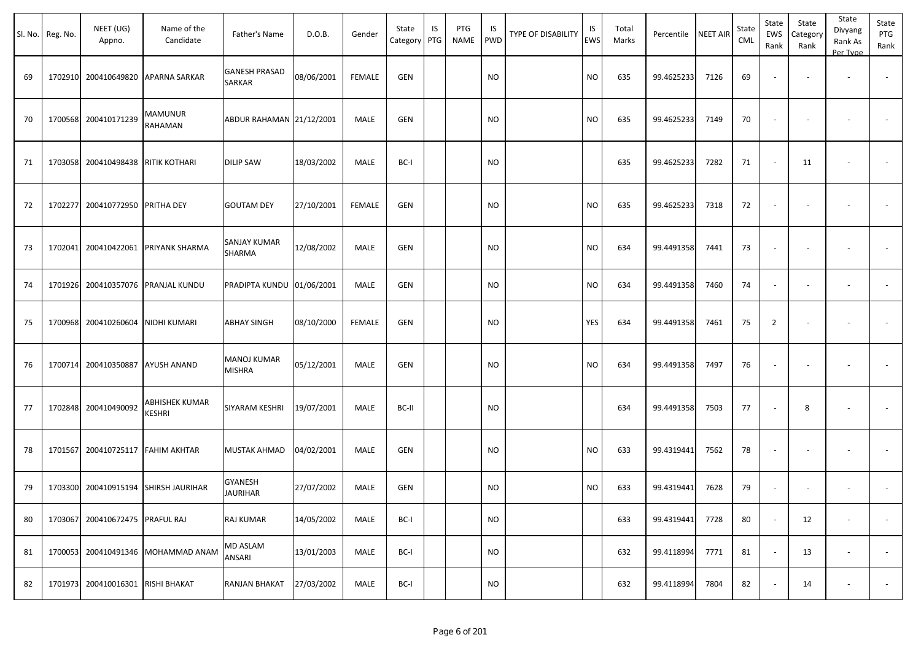|    | Sl. No. Reg. No. | NEET (UG)<br>Appno.               | Name of the<br>Candidate             | Father's Name                       | D.O.B.     | Gender        | State<br>Category | IS<br>PTG | PTG<br>NAME | IS<br>PWD | TYPE OF DISABILITY | IS<br>EWS | Total<br>Marks | Percentile | <b>NEET AIR</b> | State<br><b>CML</b> | State<br>EWS<br>Rank     | State<br>Category<br>Rank | State<br>Divyang<br>Rank As<br>Per Type | State<br>PTG<br>Rank     |
|----|------------------|-----------------------------------|--------------------------------------|-------------------------------------|------------|---------------|-------------------|-----------|-------------|-----------|--------------------|-----------|----------------|------------|-----------------|---------------------|--------------------------|---------------------------|-----------------------------------------|--------------------------|
| 69 |                  | 1702910 200410649820              | APARNA SARKAR                        | <b>GANESH PRASAD</b><br>SARKAR      | 08/06/2001 | <b>FEMALE</b> | <b>GEN</b>        |           |             | <b>NO</b> |                    | <b>NO</b> | 635            | 99.4625233 | 7126            | 69                  |                          | $\sim$                    | $\overline{\phantom{a}}$                |                          |
| 70 |                  | 1700568 200410171239              | MAMUNUR<br>RAHAMAN                   | ABDUR RAHAMAN 21/12/2001            |            | MALE          | <b>GEN</b>        |           |             | <b>NO</b> |                    | <b>NO</b> | 635            | 99.4625233 | 7149            | 70                  | $\overline{\phantom{a}}$ |                           |                                         |                          |
| 71 |                  | 1703058 200410498438              | <b>RITIK KOTHARI</b>                 | <b>DILIP SAW</b>                    | 18/03/2002 | MALE          | BC-I              |           |             | <b>NO</b> |                    |           | 635            | 99.4625233 | 7282            | 71                  | $\overline{\phantom{a}}$ | 11                        | $\overline{\phantom{a}}$                |                          |
| 72 |                  | 1702277 200410772950 PRITHA DEY   |                                      | <b>GOUTAM DEY</b>                   | 27/10/2001 | <b>FEMALE</b> | <b>GEN</b>        |           |             | <b>NO</b> |                    | <b>NO</b> | 635            | 99.4625233 | 7318            | 72                  | $\sim$                   | $\sim$                    |                                         |                          |
| 73 |                  | 1702041 200410422061              | <b>PRIYANK SHARMA</b>                | <b>SANJAY KUMAR</b><br>SHARMA       | 12/08/2002 | MALE          | <b>GEN</b>        |           |             | <b>NO</b> |                    | <b>NO</b> | 634            | 99.4491358 | 7441            | 73                  | $\overline{\phantom{a}}$ |                           |                                         |                          |
| 74 |                  | 1701926 200410357076              | PRANJAL KUNDU                        | PRADIPTA KUNDU 01/06/2001           |            | MALE          | <b>GEN</b>        |           |             | <b>NO</b> |                    | <b>NO</b> | 634            | 99.4491358 | 7460            | 74                  | $\blacksquare$           | $\blacksquare$            | $\sim$                                  | $\overline{\phantom{a}}$ |
| 75 |                  | 1700968 200410260604              | NIDHI KUMARI                         | <b>ABHAY SINGH</b>                  | 08/10/2000 | <b>FEMALE</b> | <b>GEN</b>        |           |             | <b>NO</b> |                    | YES       | 634            | 99.4491358 | 7461            | 75                  | $\overline{2}$           |                           |                                         |                          |
| 76 |                  | 1700714 200410350887              | <b>AYUSH ANAND</b>                   | <b>MANOJ KUMAR</b><br><b>MISHRA</b> | 05/12/2001 | MALE          | <b>GEN</b>        |           |             | <b>NO</b> |                    | <b>NO</b> | 634            | 99.4491358 | 7497            | 76                  | $\overline{\phantom{a}}$ |                           |                                         |                          |
| 77 |                  | 1702848 200410490092              | ABHISHEK KUMAR<br>KESHRI             | SIYARAM KESHRI                      | 19/07/2001 | MALE          | BC-II             |           |             | <b>NO</b> |                    |           | 634            | 99.4491358 | 7503            | 77                  |                          | 8                         |                                         |                          |
| 78 |                  | 1701567 200410725117 FAHIM AKHTAR |                                      | <b>MUSTAK AHMAD</b>                 | 04/02/2001 | MALE          | <b>GEN</b>        |           |             | <b>NO</b> |                    | <b>NO</b> | 633            | 99.4319441 | 7562            | 78                  |                          |                           |                                         |                          |
| 79 |                  |                                   | 1703300 200410915194 SHIRSH JAURIHAR | GYANESH<br><b>JAURIHAR</b>          | 27/07/2002 | MALE          | GEN               |           |             | NO.       |                    | <b>NO</b> | 633            | 99.4319441 | 7628            | 79                  |                          |                           |                                         |                          |
| 80 |                  | 1703067 200410672475 PRAFUL RAJ   |                                      | RAJ KUMAR                           | 14/05/2002 | MALE          | BC-I              |           |             | <b>NO</b> |                    |           | 633            | 99.4319441 | 7728            | 80                  |                          | 12                        |                                         | $\overline{\phantom{a}}$ |
| 81 |                  |                                   | 1700053 200410491346 MOHAMMAD ANAM   | MD ASLAM<br>ANSARI                  | 13/01/2003 | MALE          | BC-I              |           |             | <b>NO</b> |                    |           | 632            | 99.4118994 | 7771            | 81                  | $\sim$                   | 13                        | $\overline{\phantom{a}}$                | $\overline{\phantom{a}}$ |
| 82 |                  | 1701973 200410016301 RISHI BHAKAT |                                      | RANJAN BHAKAT                       | 27/03/2002 | MALE          | BC-I              |           |             | <b>NO</b> |                    |           | 632            | 99.4118994 | 7804            | 82                  | $\overline{\phantom{a}}$ | 14                        | $\overline{\phantom{a}}$                |                          |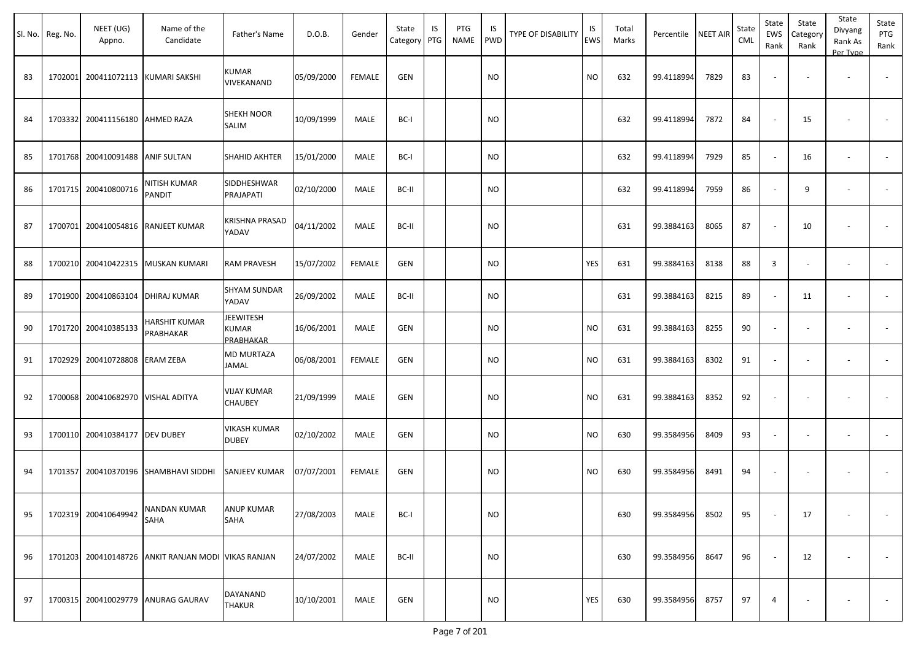| Sl. No. | Reg. No. | NEET (UG)<br>Appno.              | Name of the<br>Candidate                            | Father's Name                                 | D.O.B.     | Gender        | State<br>Category | IS<br>PTG | PTG<br><b>NAME</b> | IS<br><b>PWD</b> | <b>TYPE OF DISABILITY</b> | IS<br><b>EWS</b> | Total<br>Marks | Percentile | <b>NEET AIR</b> | State<br>CML | State<br>EWS<br>Rank | State<br>Category<br>Rank | State<br>Divyang<br>Rank As<br>Per Type | State<br>PTG<br>Rank     |
|---------|----------|----------------------------------|-----------------------------------------------------|-----------------------------------------------|------------|---------------|-------------------|-----------|--------------------|------------------|---------------------------|------------------|----------------|------------|-----------------|--------------|----------------------|---------------------------|-----------------------------------------|--------------------------|
| 83      | 1702001  | 200411072113 KUMARI SAKSHI       |                                                     | KUMAR<br>VIVEKANAND                           | 05/09/2000 | <b>FEMALE</b> | GEN               |           |                    | <b>NO</b>        |                           | <b>NO</b>        | 632            | 99.4118994 | 7829            | 83           |                      | $\overline{\phantom{a}}$  | $\overline{\phantom{a}}$                | $\sim$                   |
| 84      | 1703332  | 200411156180                     | <b>AHMED RAZA</b>                                   | <b>SHEKH NOOR</b><br>SALIM                    | 10/09/1999 | MALE          | BC-I              |           |                    | NO.              |                           |                  | 632            | 99.4118994 | 7872            | 84           |                      | 15                        |                                         |                          |
| 85      |          | 1701768 200410091488 ANIF SULTAN |                                                     | SHAHID AKHTER                                 | 15/01/2000 | <b>MALE</b>   | BC-I              |           |                    | <b>NO</b>        |                           |                  | 632            | 99.4118994 | 7929            | 85           |                      | 16                        | $\overline{\phantom{a}}$                | $\overline{\phantom{a}}$ |
| 86      |          | 1701715 200410800716             | NITISH KUMAR<br>PANDIT                              | SIDDHESHWAR<br>PRAJAPATI                      | 02/10/2000 | MALE          | BC-II             |           |                    | <b>NO</b>        |                           |                  | 632            | 99.4118994 | 7959            | 86           |                      | 9                         | $\overline{\phantom{a}}$                | $\sim$                   |
| 87      | 1700701  | 200410054816                     | RANJEET KUMAR                                       | KRISHNA PRASAD<br>YADAV                       | 04/11/2002 | MALE          | BC-II             |           |                    | <b>NO</b>        |                           |                  | 631            | 99.3884163 | 8065            | 87           |                      | 10                        | ٠                                       | $\sim$                   |
| 88      | 1700210  | 200410422315                     | MUSKAN KUMARI                                       | RAM PRAVESH                                   | 15/07/2002 | <b>FEMALE</b> | <b>GEN</b>        |           |                    | NO.              |                           | <b>YES</b>       | 631            | 99.3884163 | 8138            | 88           | $\overline{3}$       |                           |                                         |                          |
| 89      |          | 1701900 200410863104             | DHIRAJ KUMAR                                        | <b>SHYAM SUNDAR</b><br>YADAV                  | 26/09/2002 | MALE          | BC-II             |           |                    | <b>NO</b>        |                           |                  | 631            | 99.3884163 | 8215            | 89           |                      | 11                        | $\overline{\phantom{a}}$                |                          |
| 90      |          | 1701720 200410385133             | HARSHIT KUMAR<br>PRABHAKAR                          | <b>JEEWITESH</b><br>KUMAR<br><b>PRABHAKAR</b> | 16/06/2001 | MALE          | <b>GEN</b>        |           |                    | NO.              |                           | <b>NO</b>        | 631            | 99.3884163 | 8255            | 90           |                      | $\overline{\phantom{a}}$  | $\overline{\phantom{a}}$                |                          |
| 91      | 1702929  | 200410728808                     | <b>ERAM ZEBA</b>                                    | MD MURTAZA<br>JAMAL                           | 06/08/2001 | <b>FEMALE</b> | <b>GEN</b>        |           |                    | <b>NO</b>        |                           | <b>NO</b>        | 631            | 99.3884163 | 8302            | 91           |                      |                           | $\overline{\phantom{a}}$                | $\sim$                   |
| 92      |          | 1700068 200410682970             | <b>VISHAL ADITYA</b>                                | VIJAY KUMAR<br><b>CHAUBEY</b>                 | 21/09/1999 | MALE          | <b>GEN</b>        |           |                    | <b>NO</b>        |                           | <b>NO</b>        | 631            | 99.3884163 | 8352            | 92           |                      | $\overline{\phantom{a}}$  | $\overline{\phantom{a}}$                | $\blacksquare$           |
| 93      |          | 1700110 200410384177             | <b>DEV DUBEY</b>                                    | VIKASH KUMAR<br><b>DUBEY</b>                  | 02/10/2002 | MALE          | GEN               |           |                    | NO.              |                           | <b>NO</b>        | 630            | 99.3584956 | 8409            | 93           | $\sim$               |                           | ٠                                       | $\sim$                   |
| 94      | 1701357  | 200410370196                     | <b>SHAMBHAVI SIDDHI</b>                             | <b>SANJEEV KUMAR</b>                          | 07/07/2001 | FEMALE        | <b>GEN</b>        |           |                    | NO.              |                           | <b>NO</b>        | 630            | 99.3584956 | 8491            | 94           |                      | $\overline{\phantom{a}}$  | $\overline{\phantom{a}}$                | $\overline{\phantom{a}}$ |
| 95      |          | 1702319 200410649942             | <b>NANDAN KUMAR</b><br>SAHA                         | <b>ANUP KUMAR</b><br>SAHA                     | 27/08/2003 | MALE          | BC-I              |           |                    | <b>NO</b>        |                           |                  | 630            | 99.3584956 | 8502            | 95           |                      | 17                        | $\overline{\phantom{a}}$                | $\sim$                   |
| 96      |          |                                  | 1701203 200410148726 ANKIT RANJAN MODI VIKAS RANJAN |                                               | 24/07/2002 | MALE          | BC-II             |           |                    | <b>NO</b>        |                           |                  | 630            | 99.3584956 | 8647            | 96           |                      | 12                        | $\overline{\phantom{a}}$                | $\sim$                   |
| 97      |          |                                  | 1700315 200410029779 ANURAG GAURAV                  | DAYANAND<br><b>THAKUR</b>                     | 10/10/2001 | MALE          | GEN               |           |                    | <b>NO</b>        |                           | YES              | 630            | 99.3584956 | 8757            | 97           | $\overline{4}$       | $\sim$                    | $\overline{\phantom{a}}$                | $\sim$                   |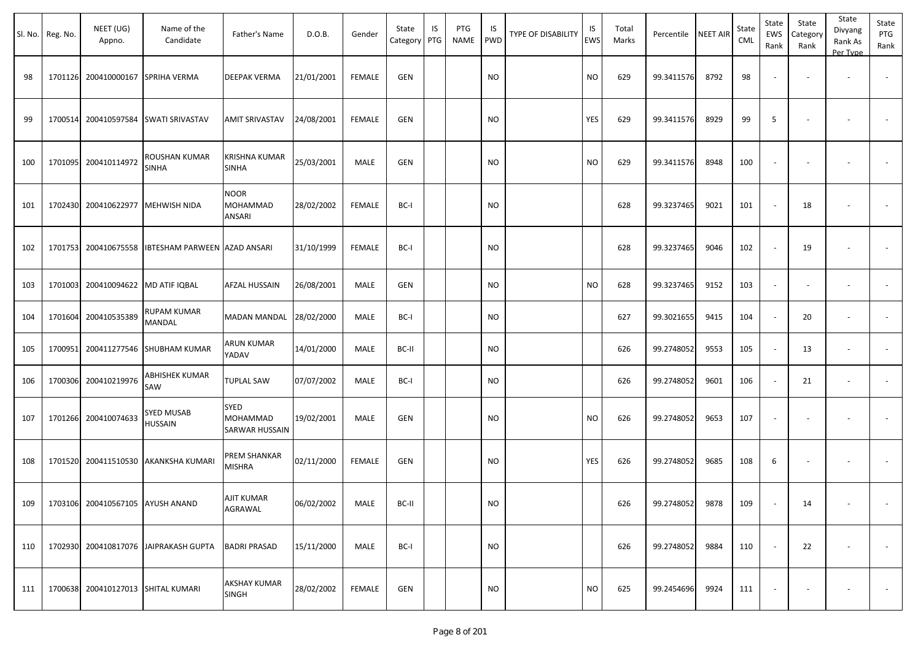| SI. No. | Reg. No. | NEET (UG)<br>Appno.                | Name of the<br>Candidate              | Father's Name                                    | D.O.B.     | Gender        | State<br>Category | IS<br>PTG | PTG<br><b>NAME</b> | IS<br><b>PWD</b> | TYPE OF DISABILITY | IS<br>EWS | Total<br>Marks | Percentile NEET AIR |      | State<br><b>CML</b> | State<br>EWS<br>Rank     | State<br>Category<br>Rank | State<br>Divyang<br>Rank As<br>Per Type | State<br>PTG<br>Rank |
|---------|----------|------------------------------------|---------------------------------------|--------------------------------------------------|------------|---------------|-------------------|-----------|--------------------|------------------|--------------------|-----------|----------------|---------------------|------|---------------------|--------------------------|---------------------------|-----------------------------------------|----------------------|
| 98      |          | 1701126 200410000167 SPRIHA VERMA  |                                       | <b>DEEPAK VERMA</b>                              | 21/01/2001 | <b>FEMALE</b> | GEN               |           |                    | <b>NO</b>        |                    | <b>NO</b> | 629            | 99.3411576          | 8792 | 98                  |                          | $\overline{\phantom{a}}$  | $\overline{\phantom{a}}$                |                      |
| 99      | 1700514  | 200410597584                       | <b>SWATI SRIVASTAV</b>                | <b>AMIT SRIVASTAV</b>                            | 24/08/2001 | <b>FEMALE</b> | GEN               |           |                    | <b>NO</b>        |                    | YES       | 629            | 99.3411576          | 8929 | 99                  | 5                        |                           | $\overline{\phantom{a}}$                |                      |
| 100     |          | 1701095 200410114972               | ROUSHAN KUMAR<br><b>SINHA</b>         | <b>KRISHNA KUMAR</b><br><b>SINHA</b>             | 25/03/2001 | MALE          | GEN               |           |                    | NO.              |                    | <b>NO</b> | 629            | 99.3411576          | 8948 | 100                 | $\sim$                   | $\overline{\phantom{a}}$  | $\overline{\phantom{a}}$                |                      |
| 101     | 1702430  | 200410622977                       | MEHWISH NIDA                          | <b>NOOR</b><br><b>MOHAMMAD</b><br><b>ANSARI</b>  | 28/02/2002 | FEMALE        | BC-I              |           |                    | <b>NO</b>        |                    |           | 628            | 99.3237465          | 9021 | 101                 |                          | 18                        | $\overline{\phantom{a}}$                |                      |
| 102     |          | 1701753 200410675558               | IBTESHAM PARWEEN AZAD ANSARI          |                                                  | 31/10/1999 | <b>FEMALE</b> | BC-I              |           |                    | NO.              |                    |           | 628            | 99.3237465          | 9046 | 102                 |                          | 19                        | $\overline{\phantom{a}}$                | $\sim$               |
| 103     |          | 1701003 200410094622 MD ATIF IQBAL |                                       | <b>AFZAL HUSSAIN</b>                             | 26/08/2001 | MALE          | GEN               |           |                    | NO.              |                    | <b>NO</b> | 628            | 99.3237465          | 9152 | 103                 |                          |                           | $\overline{\phantom{a}}$                |                      |
| 104     |          | 1701604 200410535389               | RUPAM KUMAR<br>MANDAL                 | MADAN MANDAL                                     | 28/02/2000 | MALE          | BC-I              |           |                    | NO.              |                    |           | 627            | 99.3021655          | 9415 | 104                 |                          | 20                        | $\overline{\phantom{a}}$                |                      |
| 105     |          |                                    | 1700951 200411277546 SHUBHAM KUMAR    | ARUN KUMAR<br>YADAV                              | 14/01/2000 | MALE          | BC-II             |           |                    | <b>NO</b>        |                    |           | 626            | 99.2748052          | 9553 | 105                 | $\sim$                   | 13                        | $\overline{\phantom{a}}$                |                      |
| 106     |          | 1700306 200410219976               | ABHISHEK KUMAR<br>SAW                 | <b>TUPLAL SAW</b>                                | 07/07/2002 | MALE          | BC-I              |           |                    | NO.              |                    |           | 626            | 99.2748052          | 9601 | 106                 | $\sim$                   | 21                        | $\overline{\phantom{a}}$                | $\sim$               |
| 107     |          | 1701266 200410074633               | <b>SYED MUSAB</b><br><b>HUSSAIN</b>   | <b>SYED</b><br><b>MOHAMMAD</b><br>SARWAR HUSSAIN | 19/02/2001 | MALE          | GEN               |           |                    | NO.              |                    | <b>NO</b> | 626            | 99.2748052          | 9653 | 107                 | $\overline{\phantom{a}}$ | $\overline{\phantom{a}}$  | $\overline{\phantom{a}}$                |                      |
| 108     |          |                                    | 1701520 200411510530 AKANKSHA KUMARI  | PREM SHANKAR<br><b>MISHRA</b>                    | 02/11/2000 | FEMALE        | GEN               |           |                    | NO.              |                    | YES       | 626            | 99.2748052          | 9685 | 108                 | 6                        |                           |                                         |                      |
| 109     |          | 1703106 200410567105 AYUSH ANAND   |                                       | AJIT KUMAR<br>AGRAWAL                            | 06/02/2002 | MALE          | BC-II             |           |                    | <b>NO</b>        |                    |           | 626            | 99.2748052          | 9878 | 109                 |                          | 14                        | $\sim$                                  | $\sim$               |
| 110     |          |                                    | 1702930 200410817076 JAIPRAKASH GUPTA | <b>BADRI PRASAD</b>                              | 15/11/2000 | MALE          | BC-I              |           |                    | <b>NO</b>        |                    |           | 626            | 99.2748052          | 9884 | 110                 |                          | 22                        | $\overline{\phantom{a}}$                | $\sim$               |
| 111     |          | 1700638 200410127013 SHITAL KUMARI |                                       | <b>AKSHAY KUMAR</b><br><b>SINGH</b>              | 28/02/2002 | FEMALE        | GEN               |           |                    | <b>NO</b>        |                    | <b>NO</b> | 625            | 99.2454696          | 9924 | 111                 | $\sim$                   |                           | $\overline{\phantom{a}}$                | $\sim$               |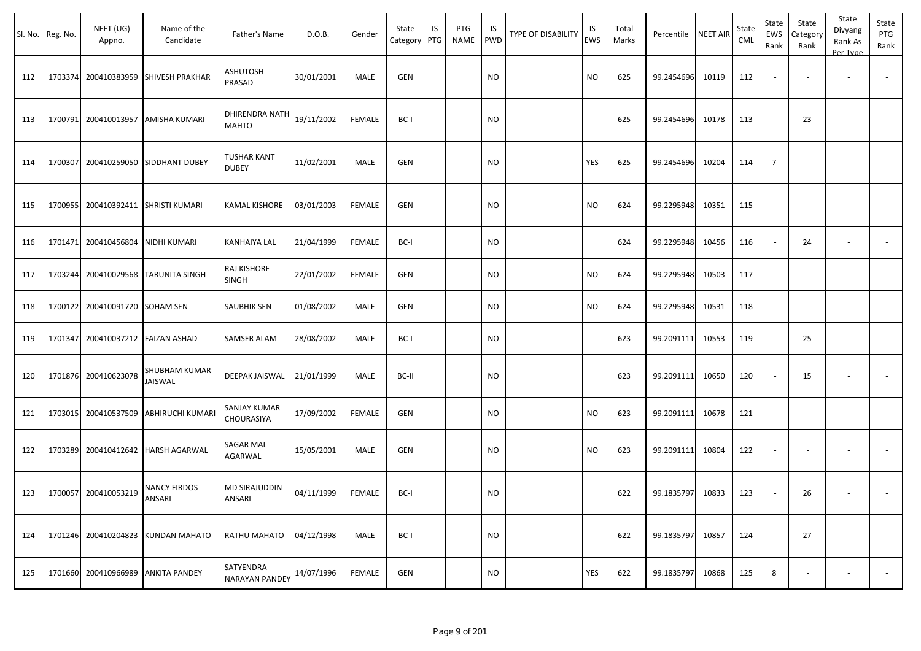|     | Sl. No. Reg. No. | NEET (UG)<br>Appno.            | Name of the<br>Candidate            | Father's Name                      | D.O.B.     | Gender        | State<br>Category | IS<br>PTG | PTG<br>NAME | IS.<br>PWD | TYPE OF DISABILITY | IS<br><b>EWS</b> | Total<br>Marks | Percentile | <b>NEET AIR</b> | State<br><b>CML</b> | State<br>EWS<br>Rank     | State<br>Category<br>Rank | State<br>Divyang<br>Rank As<br>Per Type | State<br>PTG<br>Rank |
|-----|------------------|--------------------------------|-------------------------------------|------------------------------------|------------|---------------|-------------------|-----------|-------------|------------|--------------------|------------------|----------------|------------|-----------------|---------------------|--------------------------|---------------------------|-----------------------------------------|----------------------|
| 112 | 1703374          | 200410383959                   | SHIVESH PRAKHAR                     | <b>ASHUTOSH</b><br>PRASAD          | 30/01/2001 | MALE          | <b>GEN</b>        |           |             | <b>NO</b>  |                    | <b>NO</b>        | 625            | 99.2454696 | 10119           | 112                 | $\overline{\phantom{a}}$ | $\overline{\phantom{a}}$  | $\overline{\phantom{a}}$                |                      |
| 113 |                  |                                | 1700791 200410013957 AMISHA KUMARI  | DHIRENDRA NATH<br><b>MAHTO</b>     | 19/11/2002 | <b>FEMALE</b> | BC-I              |           |             | <b>NO</b>  |                    |                  | 625            | 99.2454696 | 10178           | 113                 | $\sim$                   | 23                        |                                         |                      |
| 114 | 1700307          |                                | 200410259050 SIDDHANT DUBEY         | <b>TUSHAR KANT</b><br><b>DUBEY</b> | 11/02/2001 | MALE          | <b>GEN</b>        |           |             | NO         |                    | YES              | 625            | 99.2454696 | 10204           | 114                 | $\overline{7}$           | $\overline{\phantom{a}}$  | $\overline{\phantom{a}}$                |                      |
| 115 |                  | 1700955 200410392411           | <b>SHRISTI KUMARI</b>               | KAMAL KISHORE                      | 03/01/2003 | FEMALE        | GEN               |           |             | NO         |                    | <b>NO</b>        | 624            | 99.2295948 | 10351           | 115                 | $\blacksquare$           | $\blacksquare$            |                                         |                      |
| 116 |                  | 1701471 200410456804           | <b>NIDHI KUMARI</b>                 | KANHAIYA LAL                       | 21/04/1999 | FEMALE        | BC-I              |           |             | <b>NO</b>  |                    |                  | 624            | 99.2295948 | 10456           | 116                 | $\sim$                   | 24                        | $\overline{\phantom{a}}$                |                      |
| 117 |                  |                                | 1703244 200410029568 TARUNITA SINGH | RAJ KISHORE<br>SINGH               | 22/01/2002 | FEMALE        | <b>GEN</b>        |           |             | <b>NO</b>  |                    | <b>NO</b>        | 624            | 99.2295948 | 10503           | 117                 | $\overline{\phantom{a}}$ | $\overline{\phantom{a}}$  | $\overline{\phantom{a}}$                |                      |
| 118 |                  | 1700122 200410091720 SOHAM SEN |                                     | <b>SAUBHIK SEN</b>                 | 01/08/2002 | MALE          | <b>GEN</b>        |           |             | <b>NO</b>  |                    | <b>NO</b>        | 624            | 99.2295948 | 10531           | 118                 | $\sim$                   | $\sim$                    | $\overline{\phantom{a}}$                |                      |
| 119 | 1701347          | 200410037212                   | <b>FAIZAN ASHAD</b>                 | <b>SAMSER ALAM</b>                 | 28/08/2002 | MALE          | BC-I              |           |             | NO         |                    |                  | 623            | 99.2091111 | 10553           | 119                 | $\blacksquare$           | 25                        | $\overline{\phantom{a}}$                | $\blacksquare$       |
| 120 |                  | 1701876 200410623078           | SHUBHAM KUMAR<br>JAISWAL            | DEEPAK JAISWAL                     | 21/01/1999 | MALE          | BC-II             |           |             | NO         |                    |                  | 623            | 99.2091111 | 10650           | 120                 | $\sim$                   | 15                        |                                         |                      |
| 121 |                  | 1703015 200410537509           | ABHIRUCHI KUMARI                    | SANJAY KUMAR<br>CHOURASIYA         | 17/09/2002 | <b>FEMALE</b> | <b>GEN</b>        |           |             | <b>NO</b>  |                    | <b>NO</b>        | 623            | 99.2091111 | 10678           | 121                 | $\blacksquare$           | $\blacksquare$            | $\overline{\phantom{a}}$                |                      |
| 122 |                  |                                | 1703289 200410412642 HARSH AGARWAL  | SAGAR MAL<br>AGARWAL               | 15/05/2001 | MALE          | <b>GEN</b>        |           |             | NO         |                    | NO.              | 623            | 99.2091111 | 10804           | 122                 | $\overline{\phantom{a}}$ | $\overline{\phantom{a}}$  | $\overline{\phantom{a}}$                |                      |
| 123 |                  | 1700057 200410053219           | NANCY FIRDOS<br>ANSARI              | MD SIRAJUDDIN<br>ANSARI            | 04/11/1999 | FEMALE        | BC-I              |           |             | <b>NO</b>  |                    |                  | 622            | 99.1835797 | 10833           | 123                 | $\sim$                   | 26                        | $\overline{\phantom{a}}$                |                      |
| 124 |                  | 1701246 200410204823           | <b>KUNDAN MAHATO</b>                | RATHU MAHATO                       | 04/12/1998 | MALE          | BC-I              |           |             | <b>NO</b>  |                    |                  | 622            | 99.1835797 | 10857           | 124                 | $\sim$                   | 27                        | $\overline{\phantom{a}}$                | $\sim$               |
| 125 |                  | 1701660 200410966989           | <b>ANKITA PANDEY</b>                | SATYENDRA<br><b>NARAYAN PANDEY</b> | 14/07/1996 | FEMALE        | GEN               |           |             | <b>NO</b>  |                    | YES              | 622            | 99.1835797 | 10868           | 125                 | 8                        | $\overline{\phantom{a}}$  | $\overline{\phantom{a}}$                | $\sim$               |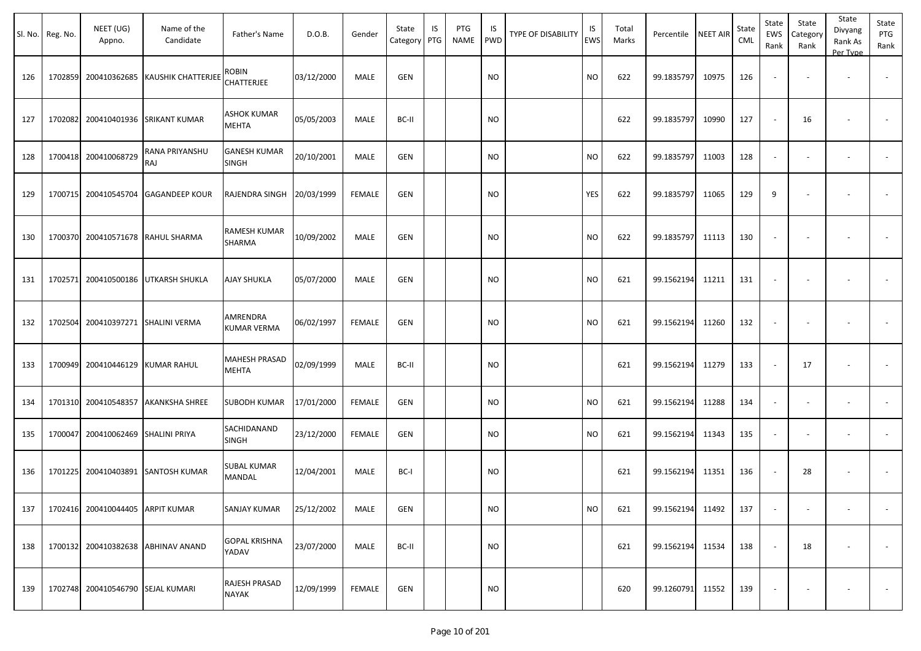|     | Sl. No. Reg. No. | NEET (UG)<br>Appno.               | Name of the<br>Candidate            | Father's Name                  | D.O.B.     | Gender        | State<br>Category | IS<br>PTG | PTG<br><b>NAME</b> | IS<br><b>PWD</b> | TYPE OF DISABILITY | IS<br>EWS | Total<br>Marks | Percentile       | <b>NEET AIR</b> | State<br>CML | State<br>EWS<br>Rank | State<br>Category<br>Rank | State<br>Divyang<br>Rank As<br>Per Type | State<br>PTG<br>Rank     |
|-----|------------------|-----------------------------------|-------------------------------------|--------------------------------|------------|---------------|-------------------|-----------|--------------------|------------------|--------------------|-----------|----------------|------------------|-----------------|--------------|----------------------|---------------------------|-----------------------------------------|--------------------------|
| 126 | 1702859          |                                   | 200410362685 KAUSHIK CHATTERJEE     | ROBIN<br><b>CHATTERJEE</b>     | 03/12/2000 | <b>MALE</b>   | <b>GEN</b>        |           |                    | <b>NO</b>        |                    | <b>NO</b> | 622            | 99.1835797       | 10975           | 126          |                      |                           | $\sim$                                  |                          |
| 127 | 1702082          |                                   | 200410401936 SRIKANT KUMAR          | <b>ASHOK KUMAR</b><br>MEHTA    | 05/05/2003 | MALE          | BC-II             |           |                    | <b>NO</b>        |                    |           | 622            | 99.1835797       | 10990           | 127          |                      | 16                        |                                         |                          |
| 128 |                  | 1700418 200410068729              | <b>RANA PRIYANSHU</b><br>RAJ        | <b>GANESH KUMAR</b><br>SINGH   | 20/10/2001 | MALE          | <b>GEN</b>        |           |                    | <b>NO</b>        |                    | <b>NO</b> | 622            | 99.1835797       | 11003           | 128          |                      |                           | $\overline{\phantom{a}}$                |                          |
| 129 |                  |                                   | 1700715 200410545704 GAGANDEEP KOUR | RAJENDRA SINGH                 | 20/03/1999 | <b>FEMALE</b> | <b>GEN</b>        |           |                    | <b>NO</b>        |                    | YES       | 622            | 99.1835797       | 11065           | 129          | 9                    |                           |                                         |                          |
| 130 | 1700370          |                                   | 200410571678 RAHUL SHARMA           | RAMESH KUMAR<br>SHARMA         | 10/09/2002 | MALE          | <b>GEN</b>        |           |                    | <b>NO</b>        |                    | <b>NO</b> | 622            | 99.1835797       | 11113           | 130          |                      |                           |                                         |                          |
| 131 | 1702571          |                                   | 200410500186 UTKARSH SHUKLA         | AJAY SHUKLA                    | 05/07/2000 | <b>MALE</b>   | <b>GEN</b>        |           |                    | <b>NO</b>        |                    | <b>NO</b> | 621            | 99.1562194       | 11211           | 131          |                      |                           |                                         |                          |
| 132 | 1702504          |                                   | 200410397271 SHALINI VERMA          | AMRENDRA<br><b>KUMAR VERMA</b> | 06/02/1997 | <b>FEMALE</b> | <b>GEN</b>        |           |                    | <b>NO</b>        |                    | <b>NO</b> | 621            | 99.1562194       | 11260           | 132          |                      |                           |                                         |                          |
| 133 |                  | 1700949 200410446129 KUMAR RAHUL  |                                     | MAHESH PRASAD<br><b>MEHTA</b>  | 02/09/1999 | MALE          | BC-II             |           |                    | <b>NO</b>        |                    |           | 621            | 99.1562194       | 11279           | 133          |                      | 17                        | $\overline{\phantom{a}}$                |                          |
| 134 |                  |                                   | 1701310 200410548357 AKANKSHA SHREE | <b>SUBODH KUMAR</b>            | 17/01/2000 | <b>FEMALE</b> | <b>GEN</b>        |           |                    | <b>NO</b>        |                    | <b>NO</b> | 621            | 99.1562194       | 11288           | 134          | $\sim$               |                           | $\overline{\phantom{a}}$                | $\overline{\phantom{a}}$ |
| 135 | 1700047          | 200410062469 SHALINI PRIYA        |                                     | SACHIDANAND<br>SINGH           | 23/12/2000 | <b>FEMALE</b> | <b>GEN</b>        |           |                    | <b>NO</b>        |                    | <b>NO</b> | 621            | 99.1562194       | 11343           | 135          |                      |                           |                                         |                          |
| 136 |                  |                                   | 1701225 200410403891 SANTOSH KUMAR  | <b>SUBAL KUMAR</b><br>MANDAL   | 12/04/2001 | MALE          | BC-I              |           |                    | <b>NO</b>        |                    |           | 621            | 99.1562194       | 11351           | 136          |                      | 28                        |                                         |                          |
| 137 |                  | 1702416 200410044405 ARPIT KUMAR  |                                     | <b>SANJAY KUMAR</b>            | 25/12/2002 | MALE          | GEN               |           |                    | <b>NO</b>        |                    | <b>NO</b> | 621            | 99.1562194 11492 |                 | 137          |                      | $\sim$                    | $\sim$                                  | $\sim$                   |
| 138 |                  |                                   | 1700132 200410382638 ABHINAV ANAND  | <b>GOPAL KRISHNA</b><br>YADAV  | 23/07/2000 | MALE          | BC-II             |           |                    | <b>NO</b>        |                    |           | 621            | 99.1562194 11534 |                 | 138          |                      | 18                        | $\overline{\phantom{a}}$                | $\sim$                   |
| 139 |                  | 1702748 200410546790 SEJAL KUMARI |                                     | RAJESH PRASAD<br><b>NAYAK</b>  | 12/09/1999 | FEMALE        | GEN               |           |                    | <b>NO</b>        |                    |           | 620            | 99.1260791 11552 |                 | 139          |                      |                           |                                         | $\sim$                   |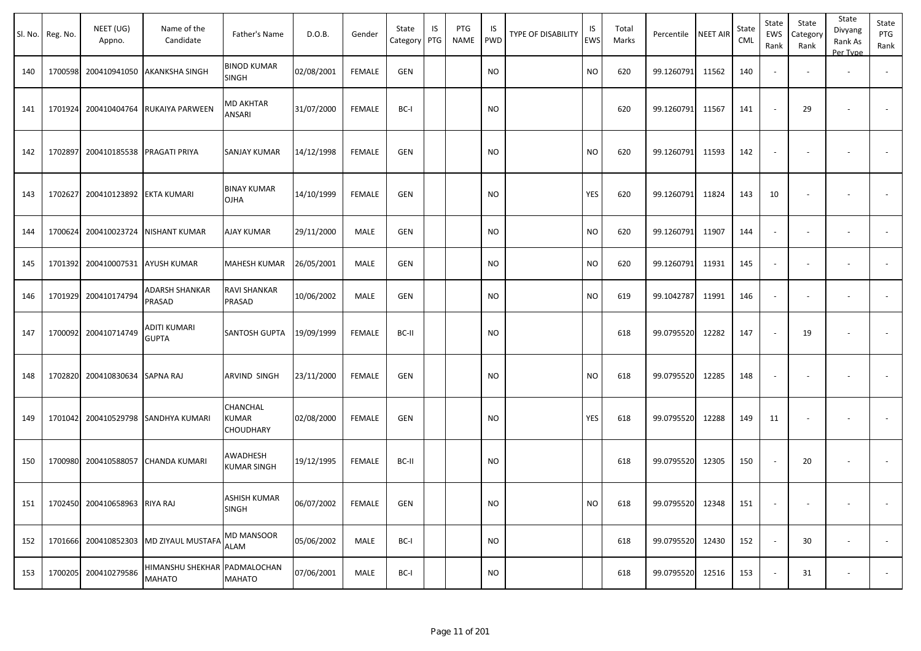|     | Sl. No. Reg. No. | NEET (UG)<br>Appno.                 | Name of the<br>Candidate               | Father's Name                       | D.O.B.     | Gender        | State<br>Category | IS<br>PTG | PTG<br>NAME | IS<br>PWD | <b>TYPE OF DISABILITY</b> | IS<br><b>EWS</b> | Total<br>Marks | Percentile NEET AIR |       | State<br>CML | State<br>EWS<br>Rank     | State<br>Category<br>Rank | State<br>Divyang<br>Rank As<br>Per Type | State<br>PTG<br>Rank     |
|-----|------------------|-------------------------------------|----------------------------------------|-------------------------------------|------------|---------------|-------------------|-----------|-------------|-----------|---------------------------|------------------|----------------|---------------------|-------|--------------|--------------------------|---------------------------|-----------------------------------------|--------------------------|
| 140 | 1700598          | 200410941050                        | <b>AKANKSHA SINGH</b>                  | <b>BINOD KUMAR</b><br>SINGH         | 02/08/2001 | <b>FEMALE</b> | GEN               |           |             | <b>NO</b> |                           | <b>NO</b>        | 620            | 99.1260791          | 11562 | 140          |                          |                           |                                         |                          |
| 141 | 1701924          | 200410404764                        | RUKAIYA PARWEEN                        | MD AKHTAR<br>ANSARI                 | 31/07/2000 | <b>FEMALE</b> | BC-I              |           |             | <b>NO</b> |                           |                  | 620            | 99.1260791          | 11567 | 141          |                          | 29                        |                                         |                          |
| 142 | 1702897          | 200410185538                        | PRAGATI PRIYA                          | SANJAY KUMAR                        | 14/12/1998 | <b>FEMALE</b> | <b>GEN</b>        |           |             | <b>NO</b> |                           | <b>NO</b>        | 620            | 99.1260791          | 11593 | 142          |                          |                           |                                         |                          |
| 143 | 1702627          | 200410123892                        | <b>EKTA KUMARI</b>                     | <b>BINAY KUMAR</b><br><b>OJHA</b>   | 14/10/1999 | <b>FEMALE</b> | GEN               |           |             | <b>NO</b> |                           | YES              | 620            | 99.1260791          | 11824 | 143          | 10                       |                           |                                         |                          |
| 144 | 1700624          | 200410023724                        | <b>NISHANT KUMAR</b>                   | <b>AJAY KUMAR</b>                   | 29/11/2000 | MALE          | GEN               |           |             | <b>NO</b> |                           | <b>NO</b>        | 620            | 99.1260791          | 11907 | 144          | $\sim$                   |                           |                                         | $\overline{\phantom{a}}$ |
| 145 | 1701392          | 200410007531                        | <b>AYUSH KUMAR</b>                     | MAHESH KUMAR                        | 26/05/2001 | MALE          | GEN               |           |             | <b>NO</b> |                           | <b>NO</b>        | 620            | 99.1260791          | 11931 | 145          | $\sim$                   |                           |                                         |                          |
| 146 | 1701929          | 200410174794                        | ADARSH SHANKAR<br>PRASAD               | RAVI SHANKAR<br>PRASAD              | 10/06/2002 | MALE          | GEN               |           |             | <b>NO</b> |                           | <b>NO</b>        | 619            | 99.1042787          | 11991 | 146          |                          |                           |                                         |                          |
| 147 | 1700092          | 200410714749                        | ADITI KUMARI<br><b>GUPTA</b>           | SANTOSH GUPTA                       | 19/09/1999 | <b>FEMALE</b> | BC-II             |           |             | <b>NO</b> |                           |                  | 618            | 99.0795520          | 12282 | 147          | $\overline{\phantom{a}}$ | 19                        |                                         |                          |
| 148 | 1702820          | 200410830634 SAPNA RAJ              |                                        | ARVIND SINGH                        | 23/11/2000 | <b>FEMALE</b> | GEN               |           |             | NO        |                           | <b>NO</b>        | 618            | 99.0795520          | 12285 | 148          |                          |                           |                                         |                          |
| 149 | 1701042          |                                     | 200410529798 SANDHYA KUMARI            | CHANCHAL<br>KUMAR<br>CHOUDHARY      | 02/08/2000 | <b>FEMALE</b> | GEN               |           |             | NO        |                           | YES              | 618            | 99.0795520          | 12288 | 149          | 11                       |                           |                                         |                          |
| 150 | 1700980          | 200410588057                        | CHANDA KUMARI                          | AWADHESH<br>KUMAR SINGH             | 19/12/1995 | <b>FEMALE</b> | BC-II             |           |             | <b>NO</b> |                           |                  | 618            | 99.0795520          | 12305 | 150          |                          | 20                        |                                         |                          |
|     |                  | 151   1702450 200410658963 RIYA RAJ |                                        | <b>ASHISH KUMAR</b><br><b>SINGH</b> | 06/07/2002 | <b>FEMALE</b> | GEN               |           |             | <b>NO</b> |                           | <b>NO</b>        | 618            | 99.0795520 12348    |       | 151          |                          |                           |                                         |                          |
| 152 | 1701666          | 200410852303                        | MD ZIYAUL MUSTAFA                      | MD MANSOOR<br><b>ALAM</b>           | 05/06/2002 | MALE          | BC-I              |           |             | <b>NO</b> |                           |                  | 618            | 99.0795520          | 12430 | 152          |                          | 30                        | $\sim$                                  | $\sim$                   |
| 153 | 1700205          | 200410279586                        | HIMANSHU SHEKHAR PADMALOCHAN<br>MAHATO | MAHATO                              | 07/06/2001 | MALE          | BC-I              |           |             | <b>NO</b> |                           |                  | 618            | 99.0795520          | 12516 | 153          |                          | 31                        | $\overline{\phantom{a}}$                | $\sim$                   |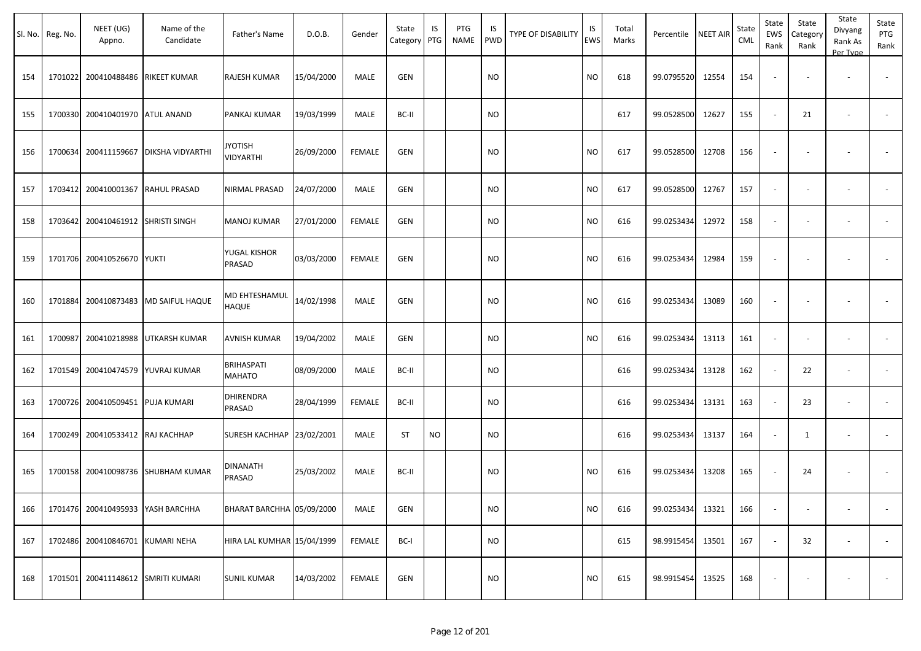|     | Sl. No. Reg. No. | NEET (UG)<br>Appno.               | Name of the<br>Candidate   | Father's Name               | D.O.B.     | Gender        | State<br>Category | IS<br>PTG | PTG<br><b>NAME</b> | IS<br><b>PWD</b> | <b>TYPE OF DISABILITY</b> | IS<br><b>EWS</b> | Total<br>Marks | Percentile       | <b>NEET AIR</b> | State<br>CML | State<br>EWS<br>Rank     | State<br>Category<br>Rank | State<br>Divyang<br>Rank As<br>Per Type | State<br>PTG<br>Rank     |
|-----|------------------|-----------------------------------|----------------------------|-----------------------------|------------|---------------|-------------------|-----------|--------------------|------------------|---------------------------|------------------|----------------|------------------|-----------------|--------------|--------------------------|---------------------------|-----------------------------------------|--------------------------|
| 154 | 1701022          | 200410488486                      | RIKEET KUMAR               | RAJESH KUMAR                | 15/04/2000 | MALE          | GEN               |           |                    | NO.              |                           | <b>NO</b>        | 618            | 99.0795520       | 12554           | 154          | $\sim$                   |                           | $\overline{\phantom{a}}$                | $\overline{\phantom{a}}$ |
| 155 | 1700330          | 200410401970 ATUL ANAND           |                            | PANKAJ KUMAR                | 19/03/1999 | MALE          | BC-II             |           |                    | <b>NO</b>        |                           |                  | 617            | 99.0528500       | 12627           | 155          | $\sim$                   | 21                        | $\overline{\phantom{a}}$                | $\sim$                   |
| 156 | 1700634          | 200411159667                      | DIKSHA VIDYARTHI           | <b>JYOTISH</b><br>VIDYARTHI | 26/09/2000 | <b>FEMALE</b> | <b>GEN</b>        |           |                    | <b>NO</b>        |                           | <b>NO</b>        | 617            | 99.0528500       | 12708           | 156          |                          |                           |                                         |                          |
| 157 | 1703412          | 200410001367                      | <b>RAHUL PRASAD</b>        | NIRMAL PRASAD               | 24/07/2000 | MALE          | GEN               |           |                    | <b>NO</b>        |                           | <b>NO</b>        | 617            | 99.0528500       | 12767           | 157          |                          |                           | $\overline{\phantom{a}}$                |                          |
| 158 | 1703642          | 200410461912 SHRISTI SINGH        |                            | MANOJ KUMAR                 | 27/01/2000 | <b>FEMALE</b> | GEN               |           |                    | <b>NO</b>        |                           | <b>NO</b>        | 616            | 99.0253434       | 12972           | 158          |                          |                           | $\overline{\phantom{a}}$                | $\overline{\phantom{a}}$ |
| 159 | 1701706          | 200410526670                      | <b>YUKTI</b>               | YUGAL KISHOR<br>PRASAD      | 03/03/2000 | <b>FEMALE</b> | <b>GEN</b>        |           |                    | <b>NO</b>        |                           | <b>NO</b>        | 616            | 99.0253434       | 12984           | 159          | $\blacksquare$           | $\overline{\phantom{a}}$  | $\overline{\phantom{a}}$                | $\blacksquare$           |
| 160 | 1701884          | 200410873483                      | MD SAIFUL HAQUE            | MD EHTESHAMUL<br>HAQUE      | 14/02/1998 | <b>MALE</b>   | <b>GEN</b>        |           |                    | <b>NO</b>        |                           | <b>NO</b>        | 616            | 99.0253434       | 13089           | 160          |                          |                           | $\blacksquare$                          |                          |
| 161 | 1700987          | 200410218988                      | UTKARSH KUMAR              | AVNISH KUMAR                | 19/04/2002 | MALE          | GEN               |           |                    | <b>NO</b>        |                           | <b>NO</b>        | 616            | 99.0253434       | 13113           | 161          | $\overline{\phantom{a}}$ | $\overline{\phantom{a}}$  | $\overline{\phantom{a}}$                | $\sim$                   |
| 162 | 1701549          | 200410474579                      | YUVRAJ KUMAR               | <b>BRIHASPATI</b><br>MAHATO | 08/09/2000 | MALE          | BC-II             |           |                    | NO.              |                           |                  | 616            | 99.0253434       | 13128           | 162          |                          | 22                        | $\overline{\phantom{a}}$                | $\sim$                   |
| 163 | 1700726          | 200410509451                      | <b>PUJA KUMARI</b>         | <b>DHIRENDRA</b><br>PRASAD  | 28/04/1999 | <b>FEMALE</b> | BC-II             |           |                    | <b>NO</b>        |                           |                  | 616            | 99.0253434       | 13131           | 163          |                          | 23                        | $\overline{\phantom{a}}$                | $\blacksquare$           |
| 164 | 1700249          | 200410533412                      | RAJ KACHHAP                | SURESH KACHHAP   23/02/2001 |            | MALE          | <b>ST</b>         | <b>NO</b> |                    | NO               |                           |                  | 616            | 99.0253434       | 13137           | 164          | $\overline{\phantom{a}}$ | 1                         | $\blacksquare$                          | $\overline{\phantom{a}}$ |
| 165 | 1700158          | 200410098736                      | SHUBHAM KUMAR              | DINANATH<br>PRASAD          | 25/03/2002 | MALE          | BC-II             |           |                    | NO.              |                           | <b>NO</b>        | 616            | 99.0253434       | 13208           | 165          |                          | 24                        | ٠                                       |                          |
| 166 |                  | 1701476 200410495933 YASH BARCHHA |                            | BHARAT BARCHHA 05/09/2000   |            | MALE          | <b>GEN</b>        |           |                    | <b>NO</b>        |                           | $\rm NO$         | 616            | 99.0253434 13321 |                 | 166          |                          | $\overline{\phantom{a}}$  | $\overline{\phantom{a}}$                |                          |
| 167 | 1702486          | 200410846701                      | <b>KUMARI NEHA</b>         | HIRA LAL KUMHAR 15/04/1999  |            | FEMALE        | BC-I              |           |                    | <b>NO</b>        |                           |                  | 615            | 98.9915454       | 13501           | 167          |                          | 32                        | $\overline{\phantom{a}}$                | $\sim$                   |
| 168 | 1701501          |                                   | 200411148612 SMRITI KUMARI | <b>SUNIL KUMAR</b>          | 14/03/2002 | <b>FEMALE</b> | GEN               |           |                    | <b>NO</b>        |                           | <b>NO</b>        | 615            | 98.9915454       | 13525           | 168          |                          |                           |                                         | $\sim$                   |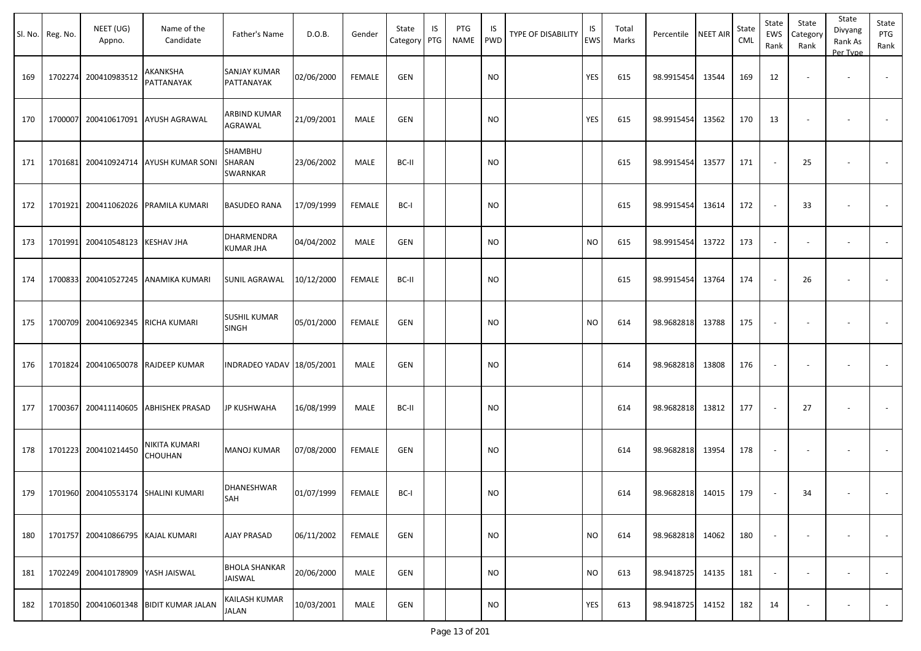|     | Sl. No. Reg. No. | NEET (UG)<br>Appno.               | Name of the<br>Candidate            | Father's Name                          | D.O.B.     | Gender        | State<br>Category PTG | IS | PTG<br>NAME | IS<br><b>PWD</b> | <b>TYPE OF DISABILITY</b> | IS<br>EWS | Total<br>Marks | Percentile NEET AIR |       | State<br>CML | State<br>EWS<br>Rank | State<br>Category<br>Rank | State<br>Divyang<br>Rank As<br>Per Type | State<br>PTG<br>Rank |
|-----|------------------|-----------------------------------|-------------------------------------|----------------------------------------|------------|---------------|-----------------------|----|-------------|------------------|---------------------------|-----------|----------------|---------------------|-------|--------------|----------------------|---------------------------|-----------------------------------------|----------------------|
| 169 |                  | 1702274 200410983512              | AKANKSHA<br>PATTANAYAK              | SANJAY KUMAR<br>PATTANAYAK             | 02/06/2000 | <b>FEMALE</b> | <b>GEN</b>            |    |             | <b>NO</b>        |                           | YES       | 615            | 98.9915454          | 13544 | 169          | 12                   |                           | $\overline{\phantom{a}}$                |                      |
| 170 | 1700007          |                                   | 200410617091 AYUSH AGRAWAL          | ARBIND KUMAR<br>AGRAWAL                | 21/09/2001 | MALE          | <b>GEN</b>            |    |             | <b>NO</b>        |                           | YES       | 615            | 98.9915454          | 13562 | 170          | 13                   |                           |                                         |                      |
| 171 | 1701681          |                                   | 200410924714   AYUSH KUMAR SONI     | SHAMBHU<br>SHARAN<br>SWARNKAR          | 23/06/2002 | MALE          | BC-II                 |    |             | <b>NO</b>        |                           |           | 615            | 98.9915454          | 13577 | 171          |                      | 25                        |                                         |                      |
| 172 | 1701921          |                                   | 200411062026 PRAMILA KUMARI         | <b>BASUDEO RANA</b>                    | 17/09/1999 | FEMALE        | BC-I                  |    |             | <b>NO</b>        |                           |           | 615            | 98.9915454          | 13614 | 172          |                      | -33                       |                                         |                      |
| 173 | 1701991          | 200410548123 KESHAV JHA           |                                     | DHARMENDRA<br>KUMAR JHA                | 04/04/2002 | MALE          | <b>GEN</b>            |    |             | <b>NO</b>        |                           | <b>NO</b> | 615            | 98.9915454          | 13722 | 173          |                      |                           | $\overline{\phantom{a}}$                |                      |
| 174 | 1700833          |                                   | 200410527245 ANAMIKA KUMARI         | <b>SUNIL AGRAWAL</b>                   | 10/12/2000 | <b>FEMALE</b> | BC-II                 |    |             | <b>NO</b>        |                           |           | 615            | 98.9915454          | 13764 | 174          |                      | 26                        |                                         |                      |
| 175 | 1700709          | 200410692345 RICHA KUMARI         |                                     | <b>SUSHIL KUMAR</b><br><b>SINGH</b>    | 05/01/2000 | <b>FEMALE</b> | <b>GEN</b>            |    |             | <b>NO</b>        |                           | <b>NO</b> | 614            | 98.9682818          | 13788 | 175          |                      |                           |                                         |                      |
| 176 | 1701824          |                                   | 200410650078 RAJDEEP KUMAR          | INDRADEO YADAV 18/05/2001              |            | MALE          | <b>GEN</b>            |    |             | <b>NO</b>        |                           |           | 614            | 98.9682818          | 13808 | 176          |                      |                           |                                         |                      |
| 177 | 1700367          |                                   | 200411140605 ABHISHEK PRASAD        | <b>JP KUSHWAHA</b>                     | 16/08/1999 | MALE          | BC-II                 |    |             | <b>NO</b>        |                           |           | 614            | 98.9682818          | 13812 | 177          |                      | 27                        |                                         |                      |
| 178 |                  | 1701223 200410214450              | NIKITA KUMARI<br><b>CHOUHAN</b>     | <b>MANOJ KUMAR</b>                     | 07/08/2000 | <b>FEMALE</b> | <b>GEN</b>            |    |             | <b>NO</b>        |                           |           | 614            | 98.9682818          | 13954 | 178          |                      |                           |                                         |                      |
| 179 |                  |                                   | 1701960 200410553174 SHALINI KUMARI | DHANESHWAR<br>SAH                      | 01/07/1999 | <b>FEMALE</b> | BC-I                  |    |             | <b>NO</b>        |                           |           | 614            | 98.9682818          | 14015 | 179          |                      | 34                        |                                         |                      |
| 180 | 1701757          | 200410866795 KAJAL KUMARI         |                                     | <b>AJAY PRASAD</b>                     | 06/11/2002 | <b>FEMALE</b> | <b>GEN</b>            |    |             | <b>NO</b>        |                           | <b>NO</b> | 614            | 98.9682818          | 14062 | 180          |                      |                           |                                         | $\sim$               |
| 181 |                  | 1702249 200410178909 YASH JAISWAL |                                     | <b>BHOLA SHANKAR</b><br><b>JAISWAL</b> | 20/06/2000 | MALE          | GEN                   |    |             | <b>NO</b>        |                           | <b>NO</b> | 613            | 98.9418725          | 14135 | 181          | $\sim$               | $\overline{\phantom{a}}$  | $\overline{\phantom{a}}$                | $\sim$               |
| 182 | 1701850          |                                   | 200410601348   BIDIT KUMAR JALAN    | KAILASH KUMAR<br>JALAN                 | 10/03/2001 | MALE          | <b>GEN</b>            |    |             | <b>NO</b>        |                           | YES       | 613            | 98.9418725          | 14152 | 182          | 14                   |                           |                                         | $\sim$               |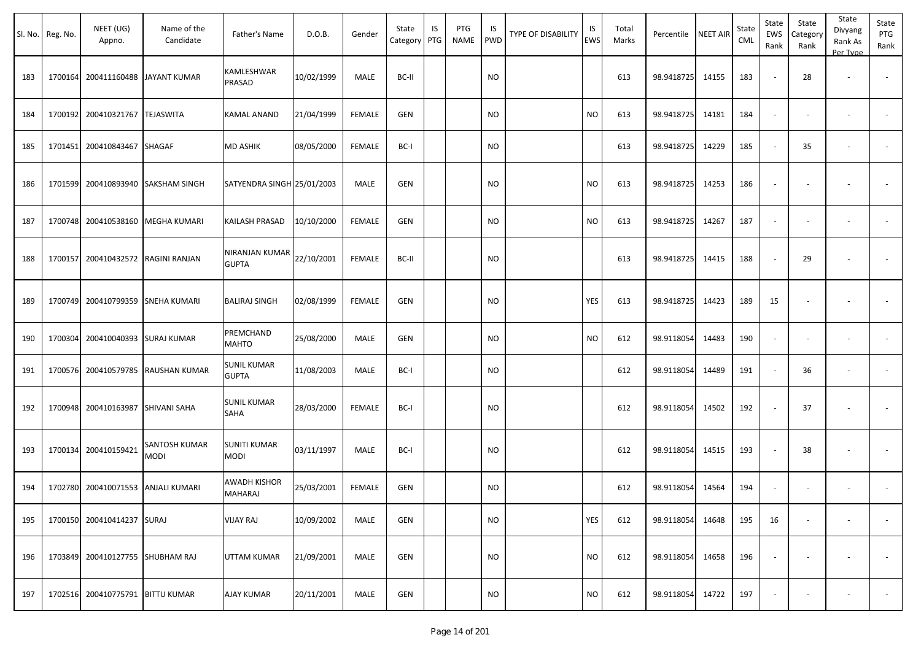|     | Sl. No. Reg. No. | NEET (UG)<br>Appno.                | Name of the<br>Candidate | Father's Name                      | D.O.B.     | Gender        | State<br>Category | IS<br>PTG | PTG<br>NAME | IS.<br>PWD | TYPE OF DISABILITY | IS<br>EWS | Total<br>Marks | Percentile | <b>NEET AIR</b> | State<br><b>CML</b> | State<br>EWS<br>Rank     | State<br>Category<br>Rank | State<br>Divyang<br>Rank As<br>Per Type | State<br>PTG<br>Rank     |
|-----|------------------|------------------------------------|--------------------------|------------------------------------|------------|---------------|-------------------|-----------|-------------|------------|--------------------|-----------|----------------|------------|-----------------|---------------------|--------------------------|---------------------------|-----------------------------------------|--------------------------|
| 183 | 1700164          | 200411160488                       | <b>JAYANT KUMAR</b>      | KAMLESHWAR<br>PRASAD               | 10/02/1999 | MALE          | BC-II             |           |             | <b>NO</b>  |                    |           | 613            | 98.9418725 | 14155           | 183                 | $\blacksquare$           | 28                        | $\overline{\phantom{a}}$                |                          |
| 184 |                  | 1700192 200410321767               | <b>TEJASWITA</b>         | <b>KAMAL ANAND</b>                 | 21/04/1999 | <b>FEMALE</b> | <b>GEN</b>        |           |             | <b>NO</b>  |                    | <b>NO</b> | 613            | 98.9418725 | 14181           | 184                 | $\omega$                 | $\overline{\phantom{a}}$  | $\overline{\phantom{a}}$                |                          |
| 185 |                  | 1701451 200410843467               | <b>SHAGAF</b>            | <b>MD ASHIK</b>                    | 08/05/2000 | <b>FEMALE</b> | BC-I              |           |             | NO         |                    |           | 613            | 98.9418725 | 14229           | 185                 | $\sim$                   | 35                        |                                         | $\overline{\phantom{a}}$ |
| 186 |                  | 1701599 200410893940               | <b>SAKSHAM SINGH</b>     | SATYENDRA SINGH 25/01/2003         |            | MALE          | <b>GEN</b>        |           |             | NO         |                    | NO.       | 613            | 98.9418725 | 14253           | 186                 | $\overline{\phantom{a}}$ |                           |                                         |                          |
| 187 |                  | 1700748 200410538160               | <b>MEGHA KUMARI</b>      | KAILASH PRASAD                     | 10/10/2000 | <b>FEMALE</b> | <b>GEN</b>        |           |             | <b>NO</b>  |                    | <b>NO</b> | 613            | 98.9418725 | 14267           | 187                 | $\blacksquare$           | $\overline{\phantom{a}}$  | $\overline{\phantom{a}}$                |                          |
| 188 | 1700157          | 200410432572 RAGINI RANJAN         |                          | NIRANJAN KUMAR<br><b>GUPTA</b>     | 22/10/2001 | <b>FEMALE</b> | BC-II             |           |             | <b>NO</b>  |                    |           | 613            | 98.9418725 | 14415           | 188                 | $\blacksquare$           | 29                        |                                         | $\sim$                   |
| 189 |                  | 1700749 200410799359 SNEHA KUMARI  |                          | <b>BALIRAJ SINGH</b>               | 02/08/1999 | <b>FEMALE</b> | <b>GEN</b>        |           |             | NO         |                    | YES       | 613            | 98.9418725 | 14423           | 189                 | 15                       |                           |                                         |                          |
| 190 | 1700304          | 200410040393                       | <b>SURAJ KUMAR</b>       | PREMCHAND<br><b>MAHTO</b>          | 25/08/2000 | MALE          | <b>GEN</b>        |           |             | NO.        |                    | NO.       | 612            | 98.9118054 | 14483           | 190                 | $\overline{\phantom{a}}$ | $\overline{\phantom{a}}$  | $\overline{\phantom{a}}$                | $\blacksquare$           |
| 191 |                  | 1700576 200410579785               | RAUSHAN KUMAR            | <b>SUNIL KUMAR</b><br><b>GUPTA</b> | 11/08/2003 | MALE          | BC-I              |           |             | <b>NO</b>  |                    |           | 612            | 98.9118054 | 14489           | 191                 | $\sim$                   | 36                        | $\overline{\phantom{a}}$                |                          |
| 192 |                  | 1700948 200410163987               | SHIVANI SAHA             | <b>SUNIL KUMAR</b><br>SAHA         | 28/03/2000 | <b>FEMALE</b> | BC-I              |           |             | NO         |                    |           | 612            | 98.9118054 | 14502           | 192                 | $\sim$                   | 37                        |                                         |                          |
| 193 |                  | 1700134 200410159421               | SANTOSH KUMAR<br>MODI    | <b>SUNITI KUMAR</b><br><b>MODI</b> | 03/11/1997 | MALE          | BC-I              |           |             | <b>NO</b>  |                    |           | 612            | 98.9118054 | 14515           | 193                 | $\sim$                   | 38                        | $\overline{\phantom{a}}$                | $\blacksquare$           |
| 194 |                  | 1702780 200410071553 ANJALI KUMARI |                          | AWADH KISHOR<br><b>MAHARAJ</b>     | 25/03/2001 | FEMALE        | <b>GEN</b>        |           |             | <b>NO</b>  |                    |           | 612            | 98.9118054 | 14564           | 194                 | $\blacksquare$           |                           |                                         |                          |
| 195 |                  | 1700150 200410414237 SURAJ         |                          | <b>VIJAY RAJ</b>                   | 10/09/2002 | MALE          | GEN               |           |             | <b>NO</b>  |                    | YES       | 612            | 98.9118054 | 14648           | 195                 | 16                       | $\blacksquare$            |                                         | $\sim$                   |
| 196 |                  | 1703849 200410127755 SHUBHAM RAJ   |                          | UTTAM KUMAR                        | 21/09/2001 | MALE          | <b>GEN</b>        |           |             | <b>NO</b>  |                    | <b>NO</b> | 612            | 98.9118054 | 14658           | 196                 | $\blacksquare$           |                           |                                         |                          |
| 197 |                  | 1702516 200410775791 BITTU KUMAR   |                          | <b>AJAY KUMAR</b>                  | 20/11/2001 | MALE          | <b>GEN</b>        |           |             | <b>NO</b>  |                    | <b>NO</b> | 612            | 98.9118054 | 14722           | 197                 | $\overline{\phantom{a}}$ |                           |                                         | $\sim$                   |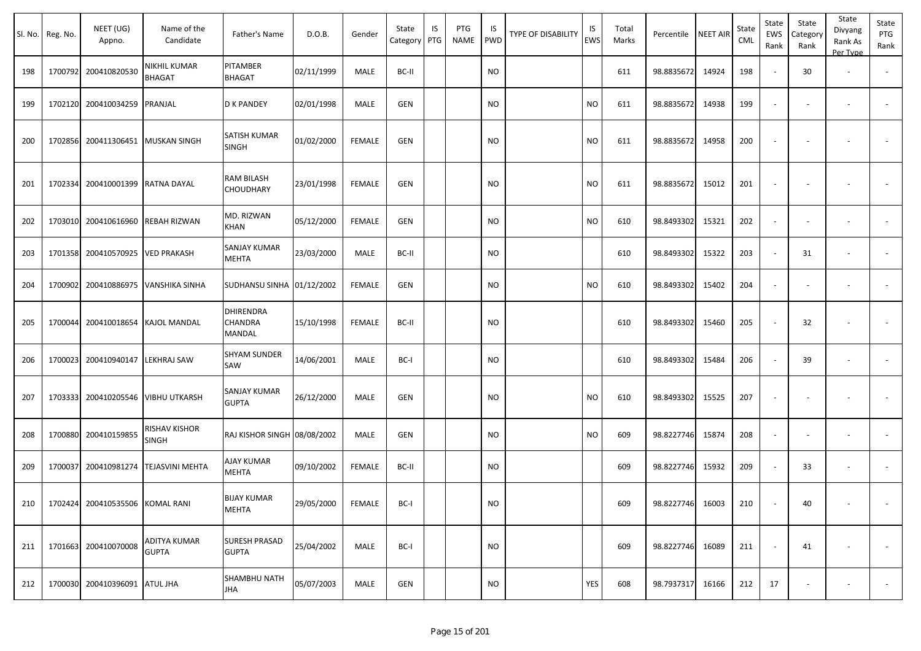|     | Sl. No. Reg. No. | NEET (UG)<br>Appno.             | Name of the<br>Candidate           | Father's Name                         | D.O.B.     | Gender        | State<br>Category   PTG | IS | PTG<br>NAME | IS.<br>PWD | TYPE OF DISABILITY | IS<br>EWS | Total<br>Marks | Percentile | <b>NEET AIR</b> | State<br><b>CML</b> | State<br>EWS<br>Rank     | State<br>Category<br>Rank | State<br>Divyang<br>Rank As<br>Per Type | State<br>PTG<br>Rank     |
|-----|------------------|---------------------------------|------------------------------------|---------------------------------------|------------|---------------|-------------------------|----|-------------|------------|--------------------|-----------|----------------|------------|-----------------|---------------------|--------------------------|---------------------------|-----------------------------------------|--------------------------|
| 198 |                  | 1700792 200410820530            | NIKHIL KUMAR<br><b>BHAGAT</b>      | PITAMBER<br>BHAGAT                    | 02/11/1999 | <b>MALE</b>   | BC-II                   |    |             | <b>NO</b>  |                    |           | 611            | 98.8835672 | 14924           | 198                 | $\sim$                   | 30                        | $\overline{\phantom{a}}$                |                          |
| 199 |                  | 1702120 200410034259            | PRANJAL                            | <b>D K PANDEY</b>                     | 02/01/1998 | MALE          | GEN                     |    |             | <b>NO</b>  |                    | <b>NO</b> | 611            | 98.8835672 | 14938           | 199                 | $\overline{\phantom{a}}$ |                           | $\overline{\phantom{a}}$                | $\sim$                   |
| 200 |                  | 1702856 200411306451            | <b>MUSKAN SINGH</b>                | SATISH KUMAR<br>SINGH                 | 01/02/2000 | <b>FEMALE</b> | <b>GEN</b>              |    |             | <b>NO</b>  |                    | <b>NO</b> | 611            | 98.8835672 | 14958           | 200                 | $\sim$                   | $\overline{\phantom{a}}$  | $\overline{\phantom{a}}$                |                          |
| 201 |                  | 1702334 200410001399            | <b>RATNA DAYAL</b>                 | RAM BILASH<br>CHOUDHARY               | 23/01/1998 | FEMALE        | GEN                     |    |             | <b>NO</b>  |                    | <b>NO</b> | 611            | 98.8835672 | 15012           | 201                 |                          |                           | $\overline{\phantom{a}}$                |                          |
| 202 |                  | 1703010 200410616960            | REBAH RIZWAN                       | MD. RIZWAN<br>KHAN                    | 05/12/2000 | <b>FEMALE</b> | <b>GEN</b>              |    |             | <b>NO</b>  |                    | <b>NO</b> | 610            | 98.8493302 | 15321           | 202                 | $\blacksquare$           | $\sim$                    | $\overline{\phantom{a}}$                | $\sim$                   |
| 203 |                  | 1701358 200410570925            | <b>VED PRAKASH</b>                 | <b>SANJAY KUMAR</b><br>MEHTA          | 23/03/2000 | MALE          | BC-II                   |    |             | <b>NO</b>  |                    |           | 610            | 98.8493302 | 15322           | 203                 | $\sim$                   | 31                        | $\overline{\phantom{a}}$                | $\sim$                   |
| 204 |                  | 1700902 200410886975            | <b>VANSHIKA SINHA</b>              | SUDHANSU SINHA 01/12/2002             |            | <b>FEMALE</b> | <b>GEN</b>              |    |             | <b>NO</b>  |                    | <b>NO</b> | 610            | 98.8493302 | 15402           | 204                 | $\blacksquare$           | $\overline{\phantom{a}}$  | $\overline{\phantom{a}}$                | $\overline{\phantom{a}}$ |
| 205 | 1700044          | 200410018654                    | <b>KAJOL MANDAL</b>                | <b>DHIRENDRA</b><br>CHANDRA<br>MANDAL | 15/10/1998 | <b>FEMALE</b> | BC-II                   |    |             | <b>NO</b>  |                    |           | 610            | 98.8493302 | 15460           | 205                 |                          | 32                        |                                         |                          |
| 206 |                  | 1700023 200410940147            | <b>LEKHRAJ SAW</b>                 | <b>SHYAM SUNDER</b><br>SAW            | 14/06/2001 | MALE          | BC-I                    |    |             | <b>NO</b>  |                    |           | 610            | 98.8493302 | 15484           | 206                 | $\overline{\phantom{a}}$ | 39                        | $\overline{\phantom{a}}$                | $\sim$                   |
| 207 |                  |                                 | 1703333 200410205546 VIBHU UTKARSH | SANJAY KUMAR<br><b>GUPTA</b>          | 26/12/2000 | MALE          | GEN                     |    |             | <b>NO</b>  |                    | <b>NO</b> | 610            | 98.8493302 | 15525           | 207                 | $\sim$                   | $\overline{\phantom{a}}$  | $\overline{\phantom{a}}$                |                          |
| 208 |                  | 1700880 200410159855            | RISHAV KISHOR<br>SINGH             | RAJ KISHOR SINGH 08/08/2002           |            | MALE          | GEN                     |    |             | <b>NO</b>  |                    | <b>NO</b> | 609            | 98.8227746 | 15874           | 208                 | $\sim$                   |                           |                                         |                          |
| 209 | 1700037          | 200410981274                    | <b>TEJASVINI MEHTA</b>             | AJAY KUMAR<br>MEHTA                   | 09/10/2002 | <b>FEMALE</b> | BC-II                   |    |             | <b>NO</b>  |                    |           | 609            | 98.8227746 | 15932           | 209                 |                          | 33                        |                                         |                          |
| 210 |                  | 1702424 200410535506 KOMAL RANI |                                    | <b>BIJAY KUMAR</b><br>MEHTA           | 29/05/2000 | FEMALE        | BC-I                    |    |             | <b>NO</b>  |                    |           | 609            | 98.8227746 | 16003           | 210                 |                          | 40                        | $\sim$                                  |                          |
| 211 |                  | 1701663 200410070008            | ADITYA KUMAR<br><b>GUPTA</b>       | <b>SURESH PRASAD</b><br><b>GUPTA</b>  | 25/04/2002 | MALE          | BC-I                    |    |             | <b>NO</b>  |                    |           | 609            | 98.8227746 | 16089           | 211                 | $\sim$                   | 41                        | $\overline{\phantom{a}}$                | $\sim$                   |
| 212 |                  | 1700030 200410396091 ATUL JHA   |                                    | SHAMBHU NATH<br><b>JHA</b>            | 05/07/2003 | MALE          | GEN                     |    |             | <b>NO</b>  |                    | YES       | 608            | 98.7937317 | 16166           | 212                 | 17                       | $\overline{\phantom{a}}$  | $\sim$                                  | $\sim$                   |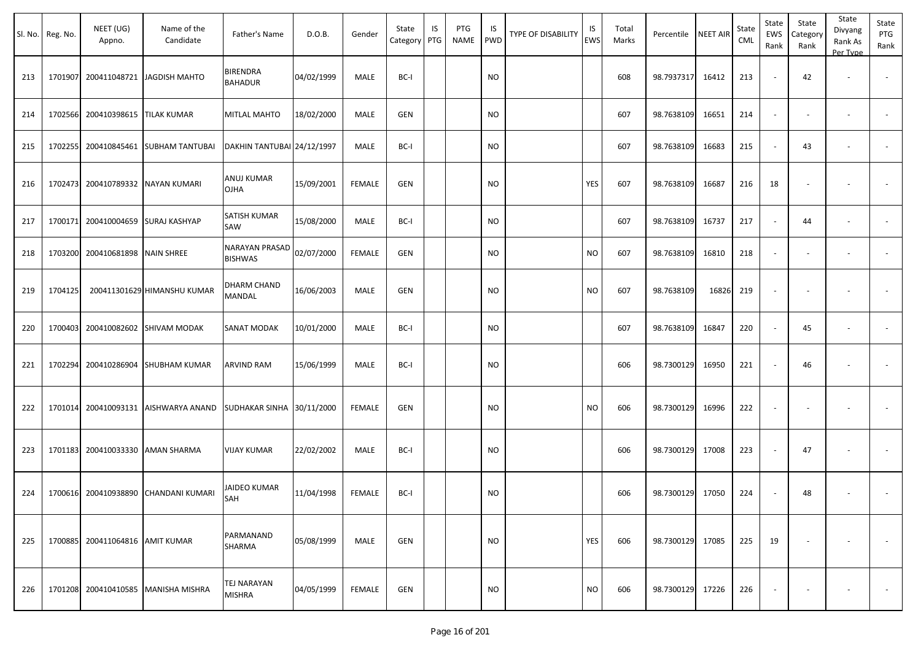|     | Sl. No. Reg. No. | NEET (UG)<br>Appno. | Name of the<br>Candidate    | Father's Name                       | D.O.B.     | Gender        | State<br>Category | IS<br>PTG | PTG<br>NAME | IS<br>PWD | TYPE OF DISABILITY | IS<br>EWS | Total<br>Marks | Percentile NEET AIR |       | State<br>CML | State<br>EWS<br>Rank | State<br>Category<br>Rank | State<br>Divyang<br>Rank As<br>Per Type | State<br>PTG<br>Rank     |
|-----|------------------|---------------------|-----------------------------|-------------------------------------|------------|---------------|-------------------|-----------|-------------|-----------|--------------------|-----------|----------------|---------------------|-------|--------------|----------------------|---------------------------|-----------------------------------------|--------------------------|
| 213 | 1701907          | 200411048721        | JAGDISH MAHTO               | <b>BIRENDRA</b><br><b>BAHADUR</b>   | 04/02/1999 | MALE          | BC-I              |           |             | <b>NO</b> |                    |           | 608            | 98.7937317          | 16412 | 213          | $\sim$               | 42                        | $\overline{\phantom{a}}$                |                          |
| 214 | 1702566          | 200410398615        | <b>TILAK KUMAR</b>          | MITLAL MAHTO                        | 18/02/2000 | MALE          | GEN               |           |             | <b>NO</b> |                    |           | 607            | 98.7638109          | 16651 | 214          | $\sim$               |                           | $\overline{\phantom{a}}$                | $\overline{\phantom{a}}$ |
| 215 | 1702255          | 200410845461        | <b>SUBHAM TANTUBAI</b>      | DAKHIN TANTUBAI 24/12/1997          |            | MALE          | BC-I              |           |             | <b>NO</b> |                    |           | 607            | 98.7638109          | 16683 | 215          | $\sim$               | 43                        | $\sim$                                  | $\overline{\phantom{a}}$ |
| 216 | 1702473          | 200410789332        | NAYAN KUMARI                | ANUJ KUMAR<br><b>OJHA</b>           | 15/09/2001 | <b>FEMALE</b> | <b>GEN</b>        |           |             | <b>NO</b> |                    | YES       | 607            | 98.7638109          | 16687 | 216          | 18                   |                           |                                         |                          |
| 217 | 1700171          | 200410004659        | <b>SURAJ KASHYAP</b>        | SATISH KUMAR<br>SAW                 | 15/08/2000 | MALE          | BC-I              |           |             | <b>NO</b> |                    |           | 607            | 98.7638109          | 16737 | 217          | $\sim$               | 44                        | $\overline{\phantom{a}}$                |                          |
| 218 | 1703200          | 200410681898        | <b>NAIN SHREE</b>           | NARAYAN PRASAD<br><b>BISHWAS</b>    | 02/07/2000 | <b>FEMALE</b> | GEN               |           |             | <b>NO</b> |                    | <b>NO</b> | 607            | 98.7638109          | 16810 | 218          | $\sim$               |                           | $\overline{\phantom{a}}$                | $\overline{\phantom{a}}$ |
| 219 | 1704125          |                     | 200411301629 HIMANSHU KUMAR | DHARM CHAND<br>MANDAL               | 16/06/2003 | MALE          | GEN               |           |             | <b>NO</b> |                    | <b>NO</b> | 607            | 98.7638109          | 16826 | 219          |                      |                           |                                         |                          |
| 220 | 1700403          |                     | 200410082602 SHIVAM MODAK   | SANAT MODAK                         | 10/01/2000 | MALE          | BC-I              |           |             | <b>NO</b> |                    |           | 607            | 98.7638109          | 16847 | 220          |                      | 45                        | $\overline{\phantom{a}}$                |                          |
| 221 | 1702294          | 200410286904        | <b>SHUBHAM KUMAR</b>        | ARVIND RAM                          | 15/06/1999 | MALE          | BC-I              |           |             | <b>NO</b> |                    |           | 606            | 98.7300129          | 16950 | 221          |                      | 46                        |                                         |                          |
| 222 | 1701014          | 200410093131        | AISHWARYA ANAND             | SUDHAKAR SINHA 30/11/2000           |            | <b>FEMALE</b> | <b>GEN</b>        |           |             | <b>NO</b> |                    | <b>NO</b> | 606            | 98.7300129          | 16996 | 222          |                      |                           |                                         |                          |
| 223 | 1701183          |                     | 200410033330 AMAN SHARMA    | VIJAY KUMAR                         | 22/02/2002 | MALE          | BC-I              |           |             | <b>NO</b> |                    |           | 606            | 98.7300129          | 17008 | 223          |                      | 47                        |                                         |                          |
| 224 | 1700616          | 200410938890        | CHANDANI KUMARI             | JAIDEO KUMAR<br>SAH                 | 11/04/1998 | FEMALE        | BC-I              |           |             | <b>NO</b> |                    |           | 606            | 98.7300129          | 17050 | 224          |                      | 48                        |                                         |                          |
| 225 | 1700885          | 200411064816        | <b>AMIT KUMAR</b>           | PARMANAND<br>SHARMA                 | 05/08/1999 | MALE          | GEN               |           |             | <b>NO</b> |                    | YES       | 606            | 98.7300129          | 17085 | 225          | 19                   |                           | $\overline{\phantom{a}}$                | $\sim$                   |
| 226 | 1701208          | 200410410585        | <b>MANISHA MISHRA</b>       | <b>TEJ NARAYAN</b><br><b>MISHRA</b> | 04/05/1999 | <b>FEMALE</b> | GEN               |           |             | <b>NO</b> |                    | <b>NO</b> | 606            | 98.7300129          | 17226 | 226          |                      |                           |                                         | $\sim$                   |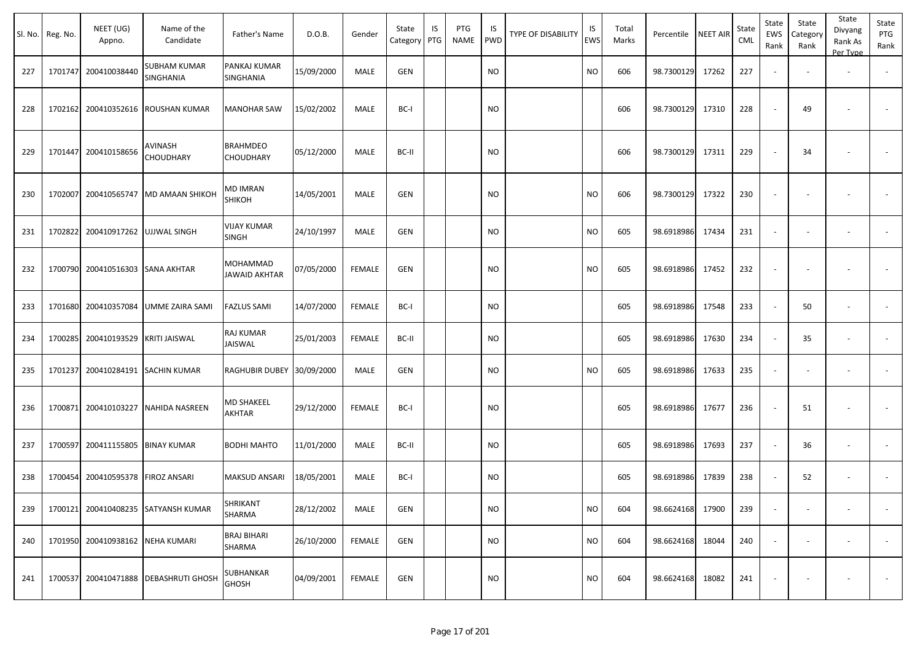|     | Sl. No. Reg. No. | NEET (UG)<br>Appno.      | Name of the<br>Candidate         | Father's Name                | D.O.B.     | Gender        | State<br>Category | IS<br>PTG | PTG<br>NAME | IS<br><b>PWD</b> | TYPE OF DISABILITY | IS<br>EWS | Total<br>Marks | Percentile       | NEET AIR | State<br>CML | State<br>EWS<br>Rank | State<br>Category<br>Rank | State<br>Divyang<br>Rank As<br>Per Type | State<br>PTG<br>Rank |
|-----|------------------|--------------------------|----------------------------------|------------------------------|------------|---------------|-------------------|-----------|-------------|------------------|--------------------|-----------|----------------|------------------|----------|--------------|----------------------|---------------------------|-----------------------------------------|----------------------|
| 227 | 1701747          | 200410038440             | <b>SUBHAM KUMAR</b><br>SINGHANIA | PANKAJ KUMAR<br>SINGHANIA    | 15/09/2000 | MALE          | GEN               |           |             | <b>NO</b>        |                    | <b>NO</b> | 606            | 98.7300129       | 17262    | 227          |                      |                           | $\overline{\phantom{a}}$                |                      |
| 228 | 1702162          | 200410352616             | ROUSHAN KUMAR                    | <b>MANOHAR SAW</b>           | 15/02/2002 | MALE          | BC-I              |           |             | <b>NO</b>        |                    |           | 606            | 98.7300129       | 17310    | 228          |                      | 49                        |                                         |                      |
| 229 | 1701447          | 200410158656             | AVINASH<br><b>CHOUDHARY</b>      | <b>BRAHMDEO</b><br>CHOUDHARY | 05/12/2000 | MALE          | BC-II             |           |             | <b>NO</b>        |                    |           | 606            | 98.7300129       | 17311    | 229          |                      | 34                        |                                         |                      |
| 230 | 1702007          |                          | 200410565747 MD AMAAN SHIKOH     | MD IMRAN<br><b>SHIKOH</b>    | 14/05/2001 | MALE          | <b>GEN</b>        |           |             | <b>NO</b>        |                    | <b>NO</b> | 606            | 98.7300129       | 17322    | 230          |                      |                           |                                         |                      |
| 231 | 1702822          | 200410917262             | <b>UJJWAL SINGH</b>              | VIJAY KUMAR<br>SINGH         | 24/10/1997 | MALE          | GEN               |           |             | <b>NO</b>        |                    | <b>NO</b> | 605            | 98.6918986       | 17434    | 231          | $\sim$               |                           | $\overline{\phantom{a}}$                |                      |
| 232 | 1700790          | 200410516303             | <b>SANA AKHTAR</b>               | MOHAMMAD<br>JAWAID AKHTAR    | 07/05/2000 | <b>FEMALE</b> | GEN               |           |             | <b>NO</b>        |                    | <b>NO</b> | 605            | 98.6918986       | 17452    | 232          |                      |                           |                                         |                      |
| 233 | 1701680          | 200410357084             | UMME ZAIRA SAMI                  | <b>FAZLUS SAMI</b>           | 14/07/2000 | <b>FEMALE</b> | BC-I              |           |             | <b>NO</b>        |                    |           | 605            | 98.6918986       | 17548    | 233          | $\sim$               | 50                        | $\sim$                                  |                      |
| 234 | 1700285          | 200410193529             | <b>KRITI JAISWAL</b>             | RAJ KUMAR<br>JAISWAL         | 25/01/2003 | <b>FEMALE</b> | BC-II             |           |             | <b>NO</b>        |                    |           | 605            | 98.6918986       | 17630    | 234          |                      | 35                        | $\sim$                                  | $\sim$               |
| 235 | 1701237          | 200410284191             | SACHIN KUMAR                     | RAGHUBIR DUBEY               | 30/09/2000 | MALE          | GEN               |           |             | <b>NO</b>        |                    | <b>NO</b> | 605            | 98.6918986       | 17633    | 235          | $\sim$               |                           | $\overline{\phantom{a}}$                |                      |
| 236 | 1700871          | 200410103227             | <b>NAHIDA NASREEN</b>            | <b>MD SHAKEEL</b><br>AKHTAR  | 29/12/2000 | <b>FEMALE</b> | BC-I              |           |             | <b>NO</b>        |                    |           | 605            | 98.6918986       | 17677    | 236          |                      | 51                        |                                         |                      |
| 237 | 1700597          | 200411155805             | <b>BINAY KUMAR</b>               | <b>BODHI MAHTO</b>           | 11/01/2000 | MALE          | BC-II             |           |             | <b>NO</b>        |                    |           | 605            | 98.6918986       | 17693    | 237          |                      | 36                        | $\overline{\phantom{a}}$                |                      |
| 238 | 1700454          | 200410595378             | <b>FIROZ ANSARI</b>              | MAKSUD ANSARI                | 18/05/2001 | MALE          | BC-I              |           |             | <b>NO</b>        |                    |           | 605            | 98.6918986       | 17839    | 238          | $\sim$               | 52                        | $\overline{\phantom{a}}$                |                      |
| 239 | 1700121          |                          | 200410408235 SATYANSH KUMAR      | SHRIKANT<br>SHARMA           | 28/12/2002 | MALE          | GEN               |           |             | <b>NO</b>        |                    | <b>NO</b> | 604            | 98.6624168 17900 |          | 239          |                      |                           | $\sim$                                  |                      |
| 240 | 1701950          | 200410938162 NEHA KUMARI |                                  | <b>BRAJ BIHARI</b><br>SHARMA | 26/10/2000 | <b>FEMALE</b> | GEN               |           |             | <b>NO</b>        |                    | <b>NO</b> | 604            | 98.6624168       | 18044    | 240          | $\sim$               |                           | $\overline{\phantom{a}}$                | $\sim$               |
| 241 | 1700537          |                          | 200410471888   DEBASHRUTI GHOSH  | SUBHANKAR<br><b>GHOSH</b>    | 04/09/2001 | FEMALE        | GEN               |           |             | <b>NO</b>        |                    | <b>NO</b> | 604            | 98.6624168       | 18082    | 241          | $\sim$               |                           |                                         | $\sim$               |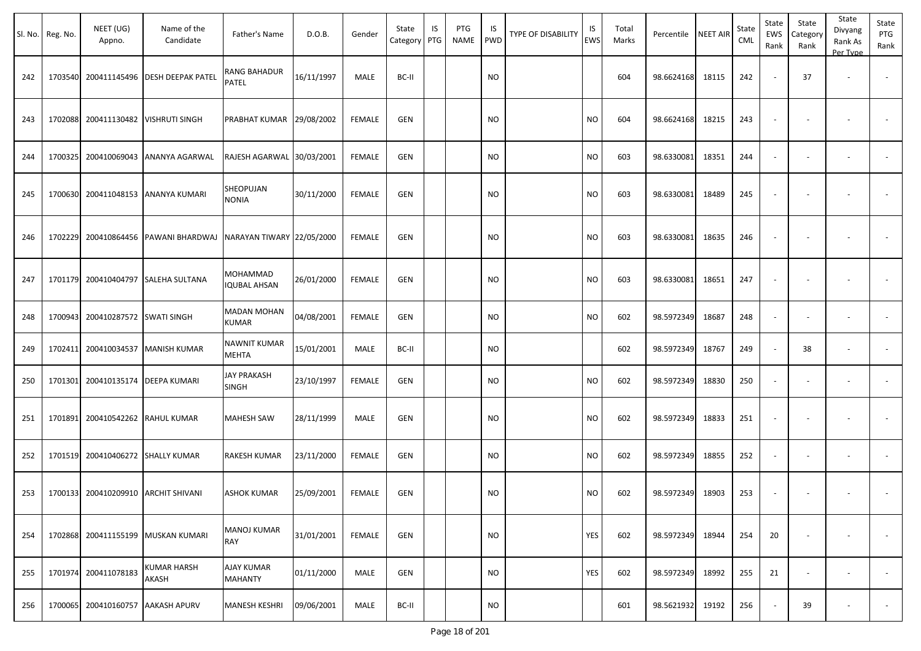|     | Sl. No. Reg. No. | NEET (UG)<br>Appno. | Name of the<br>Candidate    | Father's Name                       | D.O.B.     | Gender        | State<br>Category | IS<br>PTG | PTG<br><b>NAME</b> | IS<br>PWD | TYPE OF DISABILITY | IS<br><b>EWS</b> | Total<br>Marks | Percentile | <b>NEET AIR</b> | State<br><b>CML</b> | State<br><b>EWS</b><br>Rank | State<br>Category<br>Rank | State<br>Divyang<br>Rank As<br>Per Type | State<br>PTG<br>Rank     |
|-----|------------------|---------------------|-----------------------------|-------------------------------------|------------|---------------|-------------------|-----------|--------------------|-----------|--------------------|------------------|----------------|------------|-----------------|---------------------|-----------------------------|---------------------------|-----------------------------------------|--------------------------|
| 242 | 1703540          | 200411145496        | <b>DESH DEEPAK PATEL</b>    | RANG BAHADUR<br>PATEL               | 16/11/1997 | MALE          | BC-II             |           |                    | NO.       |                    |                  | 604            | 98.6624168 | 18115           | 242                 |                             | 37                        | $\overline{\phantom{a}}$                | $\overline{\phantom{a}}$ |
| 243 | 1702088          | 200411130482        | <b>VISHRUTI SINGH</b>       | PRABHAT KUMAR 29/08/2002            |            | <b>FEMALE</b> | <b>GEN</b>        |           |                    | <b>NO</b> |                    | <b>NO</b>        | 604            | 98.6624168 | 18215           | 243                 |                             |                           |                                         |                          |
| 244 | 1700325          | 200410069043        | ANANYA AGARWAL              | RAJESH AGARWAL 30/03/2001           |            | <b>FEMALE</b> | <b>GEN</b>        |           |                    | NO.       |                    | <b>NO</b>        | 603            | 98.6330081 | 18351           | 244                 |                             |                           | $\overline{\phantom{a}}$                |                          |
| 245 | 1700630          | 200411048153        | <b>ANANYA KUMARI</b>        | SHEOPUJAN<br>NONIA                  | 30/11/2000 | <b>FEMALE</b> | GEN               |           |                    | NO        |                    | <b>NO</b>        | 603            | 98.6330081 | 18489           | 245                 |                             |                           |                                         |                          |
| 246 | 1702229          | 200410864456        | PAWANI BHARDWAJ             | NARAYAN TIWARY 22/05/2000           |            | <b>FEMALE</b> | <b>GEN</b>        |           |                    | NO        |                    | <b>NO</b>        | 603            | 98.6330081 | 18635           | 246                 |                             |                           |                                         |                          |
| 247 | 1701179          | 200410404797        | <b>SALEHA SULTANA</b>       | MOHAMMAD<br><b>IQUBAL AHSAN</b>     | 26/01/2000 | <b>FEMALE</b> | <b>GEN</b>        |           |                    | NO        |                    | <b>NO</b>        | 603            | 98.6330081 | 18651           | 247                 |                             |                           |                                         |                          |
| 248 | 1700943          | 200410287572        | <b>SWATI SINGH</b>          | <b>MADAN MOHAN</b><br>KUMAR         | 04/08/2001 | <b>FEMALE</b> | <b>GEN</b>        |           |                    | NO.       |                    | <b>NO</b>        | 602            | 98.5972349 | 18687           | 248                 |                             |                           |                                         | $\overline{\phantom{a}}$ |
| 249 | 1702411          | 200410034537        | <b>MANISH KUMAR</b>         | NAWNIT KUMAR<br>MEHTA               | 15/01/2001 | MALE          | BC-II             |           |                    | NO.       |                    |                  | 602            | 98.5972349 | 18767           | 249                 |                             | 38                        |                                         |                          |
| 250 | 1701301          | 200410135174        | DEEPA KUMARI                | <b>JAY PRAKASH</b><br><b>SINGH</b>  | 23/10/1997 | <b>FEMALE</b> | <b>GEN</b>        |           |                    | NO.       |                    | <b>NO</b>        | 602            | 98.5972349 | 18830           | 250                 |                             |                           |                                         |                          |
| 251 | 1701891          | 200410542262        | <b>RAHUL KUMAR</b>          | <b>MAHESH SAW</b>                   | 28/11/1999 | <b>MALE</b>   | <b>GEN</b>        |           |                    | <b>NO</b> |                    | <b>NO</b>        | 602            | 98.5972349 | 18833           | 251                 |                             |                           |                                         | $\overline{\phantom{a}}$ |
| 252 | 1701519          | 200410406272        | <b>SHALLY KUMAR</b>         | RAKESH KUMAR                        | 23/11/2000 | <b>FEMALE</b> | GEN               |           |                    | NO        |                    | <b>NO</b>        | 602            | 98.5972349 | 18855           | 252                 |                             |                           | $\overline{\phantom{a}}$                | $\overline{\phantom{a}}$ |
| 253 | 1700133          |                     | 200410209910 ARCHIT SHIVANI | ASHOK KUMAR                         | 25/09/2001 | FEMALE        | GEN               |           |                    | NO.       |                    | <b>NO</b>        | 602            | 98.5972349 | 18903           | 253                 |                             |                           |                                         |                          |
| 254 | 1702868          | 200411155199        | MUSKAN KUMARI               | <b>MANOJ KUMAR</b><br>RAY           | 31/01/2001 | <b>FEMALE</b> | GEN               |           |                    | NO        |                    | YES              | 602            | 98.5972349 | 18944           | 254                 | 20                          |                           | $\overline{\phantom{a}}$                | $\sim$                   |
| 255 | 1701974          | 200411078183        | KUMAR HARSH<br>AKASH        | <b>AJAY KUMAR</b><br><b>MAHANTY</b> | 01/11/2000 | MALE          | GEN               |           |                    | <b>NO</b> |                    | YES              | 602            | 98.5972349 | 18992           | 255                 | 21                          | $\sim$                    | $\overline{\phantom{a}}$                | $\sim$                   |
| 256 | 1700065          | 200410160757        | <b>AAKASH APURV</b>         | MANESH KESHRI                       | 09/06/2001 | MALE          | BC-II             |           |                    | NO        |                    |                  | 601            | 98.5621932 | 19192           | 256                 |                             | 39                        | $\overline{\phantom{a}}$                | $\sim$                   |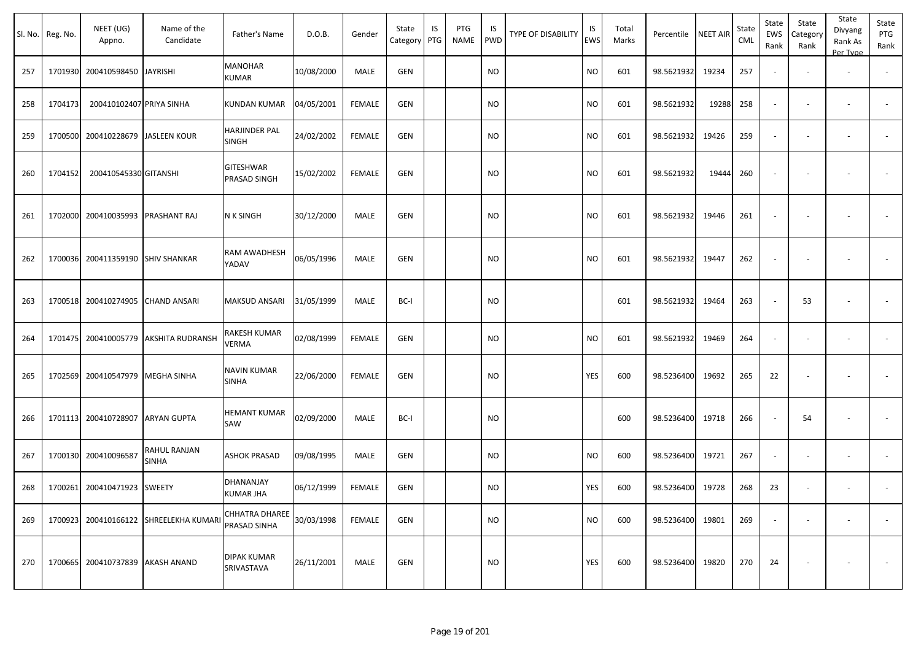|     | Sl. No. Reg. No. | NEET (UG)<br>Appno.               | Name of the<br>Candidate     | Father's Name                         | D.O.B.     | Gender        | State<br>Category | IS<br>PTG | PTG<br>NAME | IS.<br>PWD | TYPE OF DISABILITY | IS<br>EWS | Total<br>Marks | Percentile | <b>NEET AIR</b> | State<br><b>CML</b> | State<br>EWS<br>Rank     | State<br>Category<br>Rank | State<br>Divyang<br>Rank As<br>Per Type | State<br>PTG<br>Rank     |
|-----|------------------|-----------------------------------|------------------------------|---------------------------------------|------------|---------------|-------------------|-----------|-------------|------------|--------------------|-----------|----------------|------------|-----------------|---------------------|--------------------------|---------------------------|-----------------------------------------|--------------------------|
| 257 |                  | 1701930 200410598450              | <b>JAYRISHI</b>              | <b>MANOHAR</b><br>KUMAR               | 10/08/2000 | MALE          | <b>GEN</b>        |           |             | <b>NO</b>  |                    | NO.       | 601            | 98.5621932 | 19234           | 257                 | $\blacksquare$           |                           | $\overline{\phantom{a}}$                |                          |
| 258 | 1704173          | 200410102407 PRIYA SINHA          |                              | <b>KUNDAN KUMAR</b>                   | 04/05/2001 | FEMALE        | <b>GEN</b>        |           |             | NO.        |                    | NO.       | 601            | 98.5621932 | 19288           | 258                 | $\overline{\phantom{a}}$ | $\overline{\phantom{a}}$  | $\overline{\phantom{a}}$                | $\overline{\phantom{a}}$ |
| 259 |                  | 1700500 200410228679 JASLEEN KOUR |                              | <b>HARJINDER PAL</b><br>SINGH         | 24/02/2002 | <b>FEMALE</b> | <b>GEN</b>        |           |             | <b>NO</b>  |                    | <b>NO</b> | 601            | 98.5621932 | 19426           | 259                 | $\omega$                 | $\overline{\phantom{a}}$  | $\overline{\phantom{a}}$                |                          |
| 260 | 1704152          | 200410545330 GITANSHI             |                              | <b>GITESHWAR</b><br>PRASAD SINGH      | 15/02/2002 | <b>FEMALE</b> | <b>GEN</b>        |           |             | <b>NO</b>  |                    | <b>NO</b> | 601            | 98.5621932 | 19444           | 260                 | $\overline{\phantom{a}}$ | $\overline{\phantom{a}}$  |                                         | $\blacksquare$           |
| 261 |                  | 1702000 200410035993 PRASHANT RAJ |                              | <b>N K SINGH</b>                      | 30/12/2000 | MALE          | <b>GEN</b>        |           |             | <b>NO</b>  |                    | <b>NO</b> | 601            | 98.5621932 | 19446           | 261                 | $\overline{\phantom{a}}$ |                           | $\overline{\phantom{a}}$                |                          |
| 262 |                  | 1700036 200411359190 SHIV SHANKAR |                              | RAM AWADHESH<br>YADAV                 | 06/05/1996 | <b>MALE</b>   | <b>GEN</b>        |           |             | <b>NO</b>  |                    | <b>NO</b> | 601            | 98.5621932 | 19447           | 262                 | $\blacksquare$           | $\overline{\phantom{a}}$  |                                         | $\sim$                   |
| 263 |                  | 1700518 200410274905              | <b>CHAND ANSARI</b>          | <b>MAKSUD ANSARI</b>                  | 31/05/1999 | MALE          | BC-I              |           |             | <b>NO</b>  |                    |           | 601            | 98.5621932 | 19464           | 263                 | $\sim$                   | 53                        | $\overline{\phantom{a}}$                |                          |
| 264 |                  | 1701475 200410005779              | <b>AKSHITA RUDRANSH</b>      | RAKESH KUMAR<br>VERMA                 | 02/08/1999 | <b>FEMALE</b> | <b>GEN</b>        |           |             | NO.        |                    | NO.       | 601            | 98.5621932 | 19469           | 264                 | $\overline{\phantom{a}}$ | $\overline{\phantom{a}}$  | $\overline{\phantom{a}}$                | $\blacksquare$           |
| 265 |                  | 1702569 200410547979              | MEGHA SINHA                  | <b>NAVIN KUMAR</b><br><b>SINHA</b>    | 22/06/2000 | <b>FEMALE</b> | GEN               |           |             | NO         |                    | YES       | 600            | 98.5236400 | 19692           | 265                 | 22                       | $\blacksquare$            |                                         |                          |
| 266 |                  | 1701113 200410728907              | <b>ARYAN GUPTA</b>           | HEMANT KUMAR<br>SAW                   | 02/09/2000 | MALE          | BC-I              |           |             | NO         |                    |           | 600            | 98.5236400 | 19718           | 266                 | $\sim$                   | 54                        | $\overline{\phantom{a}}$                |                          |
| 267 |                  | 1700130 200410096587              | RAHUL RANJAN<br><b>SINHA</b> | <b>ASHOK PRASAD</b>                   | 09/08/1995 | MALE          | GEN               |           |             | NO         |                    | NO.       | 600            | 98.5236400 | 19721           | 267                 | $\blacksquare$           | $\overline{\phantom{a}}$  | $\overline{\phantom{a}}$                | $\sim$                   |
| 268 |                  | 1700261 200410471923              | <b>SWEETY</b>                | DHANANJAY<br><b>KUMAR JHA</b>         | 06/12/1999 | FEMALE        | <b>GEN</b>        |           |             | <b>NO</b>  |                    | YES       | 600            | 98.5236400 | 19728           | 268                 | 23                       |                           |                                         |                          |
| 269 |                  | 1700923 200410166122              | <b>SHREELEKHA KUMARI</b>     | <b>CHHATRA DHAREE</b><br>PRASAD SINHA | 30/03/1998 | FEMALE        | GEN               |           |             | <b>NO</b>  |                    | <b>NO</b> | 600            | 98.5236400 | 19801           | 269                 | $\blacksquare$           | $\blacksquare$            |                                         | $\sim$                   |
| 270 |                  | 1700665 200410737839 AKASH ANAND  |                              | <b>DIPAK KUMAR</b><br>SRIVASTAVA      | 26/11/2001 | MALE          | <b>GEN</b>        |           |             | NO         |                    | YES       | 600            | 98.5236400 | 19820           | 270                 | 24                       | $\overline{\phantom{a}}$  |                                         | $\sim$                   |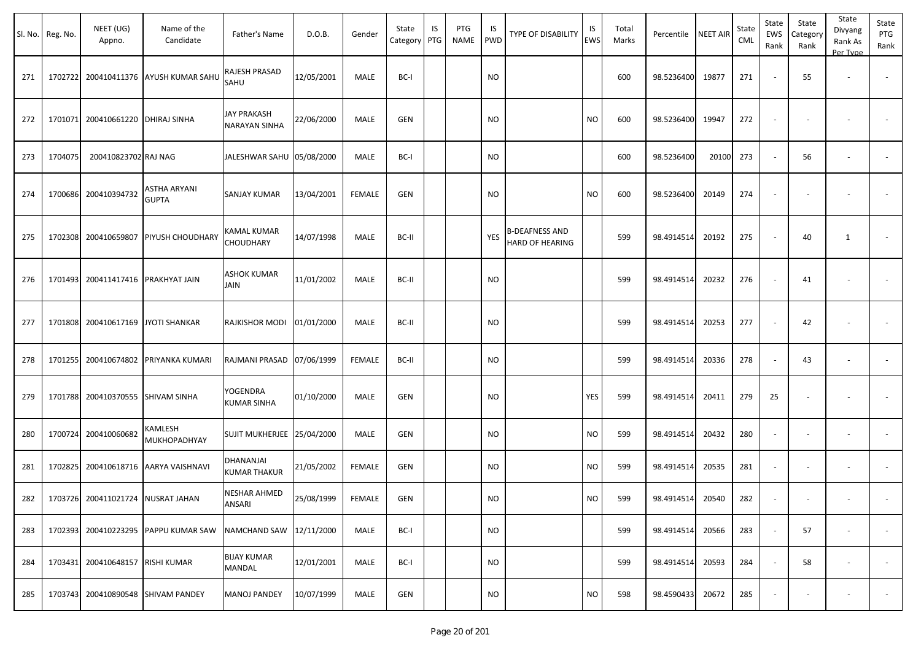|     | Sl. No. Reg. No. | NEET (UG)<br>Appno.                | Name of the<br>Candidate              | Father's Name                              | D.O.B.     | Gender        | State<br>Category | IS<br>PTG | PTG<br>NAME | IS<br>PWD     | <b>TYPE OF DISABILITY</b>                       | IS<br>EWS     | Total<br>Marks | Percentile | <b>NEET AIR</b> | State<br><b>CML</b> | State<br>EWS<br>Rank     | State<br>Category<br>Rank | State<br>Divyang<br>Rank As<br>Per Type | State<br>PTG<br>Rank |
|-----|------------------|------------------------------------|---------------------------------------|--------------------------------------------|------------|---------------|-------------------|-----------|-------------|---------------|-------------------------------------------------|---------------|----------------|------------|-----------------|---------------------|--------------------------|---------------------------|-----------------------------------------|----------------------|
| 271 |                  |                                    | 1702722 200410411376 AYUSH KUMAR SAHU | RAJESH PRASAD<br>SAHU                      | 12/05/2001 | MALE          | BC-I              |           |             | <b>NO</b>     |                                                 |               | 600            | 98.5236400 | 19877           | 271                 | $\blacksquare$           | 55                        | $\overline{\phantom{a}}$                |                      |
| 272 |                  | 1701071 200410661220 DHIRAJ SINHA  |                                       | <b>JAY PRAKASH</b><br><b>NARAYAN SINHA</b> | 22/06/2000 | <b>MALE</b>   | <b>GEN</b>        |           |             | <b>NO</b>     |                                                 | NO            | 600            | 98.5236400 | 19947           | 272                 | $\blacksquare$           |                           |                                         |                      |
| 273 | 1704075          | 200410823702 RAJ NAG               |                                       | JALESHWAR SAHU 05/08/2000                  |            | MALE          | BC-I              |           |             | <b>NO</b>     |                                                 |               | 600            | 98.5236400 | 20100           | 273                 | $\sim$                   | 56                        | $\overline{\phantom{a}}$                |                      |
| 274 |                  | 1700686 200410394732               | ASTHA ARYANI<br><b>GUPTA</b>          | <b>SANJAY KUMAR</b>                        | 13/04/2001 | <b>FEMALE</b> | <b>GEN</b>        |           |             | NO            |                                                 | NO            | 600            | 98.5236400 | 20149           | 274                 | $\blacksquare$           |                           |                                         |                      |
| 275 |                  | 1702308 200410659807               | PIYUSH CHOUDHARY                      | KAMAL KUMAR<br>CHOUDHARY                   | 14/07/1998 | MALE          | BC-II             |           |             | YES           | <b>B-DEAFNESS AND</b><br><b>HARD OF HEARING</b> |               | 599            | 98.4914514 | 20192           | 275                 | $\sim$                   | 40                        | 1                                       |                      |
| 276 |                  | 1701493 200411417416 PRAKHYAT JAIN |                                       | <b>ASHOK KUMAR</b><br>JAIN                 | 11/01/2002 | MALE          | BC-II             |           |             | NO            |                                                 |               | 599            | 98.4914514 | 20232           | 276                 | $\sim$                   | 41                        |                                         | $\blacksquare$       |
| 277 |                  | 1701808 200410617169               | <b>JYOTI SHANKAR</b>                  | RAJKISHOR MODI                             | 01/01/2000 | MALE          | BC-II             |           |             | <b>NO</b>     |                                                 |               | 599            | 98.4914514 | 20253           | 277                 | $\blacksquare$           | 42                        |                                         |                      |
| 278 |                  |                                    | 1701255 200410674802 PRIYANKA KUMARI  | RAJMANI PRASAD 07/06/1999                  |            | FEMALE        | BC-II             |           |             | <b>NO</b>     |                                                 |               | 599            | 98.4914514 | 20336           | 278                 | $\sim$                   | 43                        | $\overline{\phantom{a}}$                |                      |
| 279 |                  | 1701788 200410370555               | <b>SHIVAM SINHA</b>                   | YOGENDRA<br><b>KUMAR SINHA</b>             | 01/10/2000 | MALE          | <b>GEN</b>        |           |             | NO            |                                                 | YES           | 599            | 98.4914514 | 20411           | 279                 | 25                       | $\blacksquare$            | $\overline{\phantom{a}}$                |                      |
| 280 |                  | 1700724 200410060682               | KAMLESH<br>MUKHOPADHYAY               | SUJIT MUKHERJEE 25/04/2000                 |            | MALE          | <b>GEN</b>        |           |             | NO            |                                                 | NO            | 599            | 98.4914514 | 20432           | 280                 | $\sim$                   |                           |                                         |                      |
| 281 |                  | 1702825 200410618716               | AARYA VAISHNAVI                       | DHANANJAI<br><b>KUMAR THAKUR</b>           | 21/05/2002 | FEMALE        | <b>GEN</b>        |           |             | NO.           |                                                 | NO            | 599            | 98.4914514 | 20535           | 281                 | $\overline{\phantom{a}}$ | $\overline{\phantom{a}}$  |                                         |                      |
| 282 |                  |                                    | 1703726 200411021724 NUSRAT JAHAN     | <b>NESHAR AHMED</b><br>ANSARI              | 25/08/1999 | FEMALE        | <b>GEN</b>        |           |             | $\mathsf{NO}$ |                                                 | $\mathsf{NO}$ | 599            | 98.4914514 | 20540           | 282                 |                          |                           |                                         |                      |
| 283 |                  |                                    | 1702393 200410223295 PAPPU KUMAR SAW  | NAMCHAND SAW 12/11/2000                    |            | MALE          | BC-I              |           |             | <b>NO</b>     |                                                 |               | 599            | 98.4914514 | 20566           | 283                 | $\sim$                   | 57                        | $\overline{\phantom{a}}$                |                      |
| 284 |                  | 1703431 200410648157 RISHI KUMAR   |                                       | <b>BIJAY KUMAR</b><br>MANDAL               | 12/01/2001 | MALE          | BC-I              |           |             | <b>NO</b>     |                                                 |               | 599            | 98.4914514 | 20593           | 284                 | $\sim$                   | 58                        | $\sim$                                  | $\sim$               |
| 285 |                  |                                    | 1703743 200410890548 SHIVAM PANDEY    | <b>MANOJ PANDEY</b>                        | 10/07/1999 | MALE          | <b>GEN</b>        |           |             | <b>NO</b>     |                                                 | <b>NO</b>     | 598            | 98.4590433 | 20672           | 285                 | $\overline{\phantom{a}}$ | $\overline{\phantom{a}}$  | $\overline{\phantom{a}}$                | $\sim$               |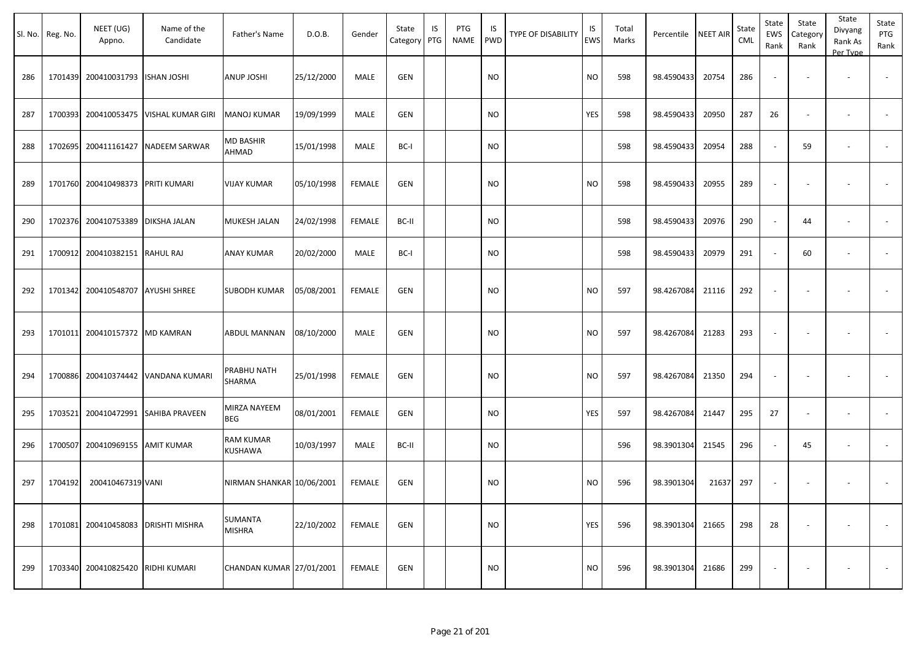|     | Sl. No. Reg. No. | NEET (UG)<br>Appno. | Name of the<br>Candidate | Father's Name               | D.O.B.     | Gender        | State<br>Category | IS<br>PTG | PTG<br>NAME | IS<br><b>PWD</b> | <b>TYPE OF DISABILITY</b> | IS<br>EWS | Total<br>Marks | Percentile | NEET AIR | State<br>CML | State<br>EWS<br>Rank     | State<br>Category<br>Rank | State<br>Divyang<br>Rank As<br>Per Type | State<br>PTG<br>Rank     |
|-----|------------------|---------------------|--------------------------|-----------------------------|------------|---------------|-------------------|-----------|-------------|------------------|---------------------------|-----------|----------------|------------|----------|--------------|--------------------------|---------------------------|-----------------------------------------|--------------------------|
| 286 | 1701439          | 200410031793        | <b>ISHAN JOSHI</b>       | <b>ANUP JOSHI</b>           | 25/12/2000 | MALE          | <b>GEN</b>        |           |             | <b>NO</b>        |                           | <b>NO</b> | 598            | 98.4590433 | 20754    | 286          | $\overline{\phantom{a}}$ |                           |                                         | $\overline{\phantom{a}}$ |
| 287 | 1700393          | 200410053475        | VISHAL KUMAR GIRI        | MANOJ KUMAR                 | 19/09/1999 | MALE          | GEN               |           |             | <b>NO</b>        |                           | YES       | 598            | 98.4590433 | 20950    | 287          | 26                       |                           | $\overline{\phantom{a}}$                | $\sim$                   |
| 288 | 1702695          | 200411161427        | NADEEM SARWAR            | MD BASHIR<br>AHMAD          | 15/01/1998 | MALE          | BC-I              |           |             | <b>NO</b>        |                           |           | 598            | 98.4590433 | 20954    | 288          | $\sim$                   | 59                        | $\overline{\phantom{a}}$                | $\overline{\phantom{a}}$ |
| 289 | 1701760          | 200410498373        | <b>PRITI KUMARI</b>      | VIJAY KUMAR                 | 05/10/1998 | <b>FEMALE</b> | <b>GEN</b>        |           |             | <b>NO</b>        |                           | <b>NO</b> | 598            | 98.4590433 | 20955    | 289          |                          |                           |                                         |                          |
| 290 | 1702376          | 200410753389        | <b>DIKSHA JALAN</b>      | MUKESH JALAN                | 24/02/1998 | <b>FEMALE</b> | BC-II             |           |             | <b>NO</b>        |                           |           | 598            | 98.4590433 | 20976    | 290          | $\sim$                   | 44                        | $\sim$                                  | $\sim$                   |
| 291 | 1700912          | 200410382151        | <b>RAHUL RAJ</b>         | ANAY KUMAR                  | 20/02/2000 | MALE          | BC-I              |           |             | <b>NO</b>        |                           |           | 598            | 98.4590433 | 20979    | 291          | $\sim$                   | 60                        | $\overline{\phantom{a}}$                | $\sim$                   |
| 292 | 1701342          | 200410548707        | <b>AYUSHI SHREE</b>      | SUBODH KUMAR                | 05/08/2001 | <b>FEMALE</b> | <b>GEN</b>        |           |             | <b>NO</b>        |                           | <b>NO</b> | 597            | 98.4267084 | 21116    | 292          |                          |                           |                                         |                          |
| 293 | 1701011          | 200410157372        | <b>MD KAMRAN</b>         | ABDUL MANNAN                | 08/10/2000 | MALE          | <b>GEN</b>        |           |             | <b>NO</b>        |                           | <b>NO</b> | 597            | 98.4267084 | 21283    | 293          | $\sim$                   |                           |                                         |                          |
| 294 | 1700886          | 200410374442        | VANDANA KUMARI           | PRABHU NATH<br>SHARMA       | 25/01/1998 | <b>FEMALE</b> | GEN               |           |             | <b>NO</b>        |                           | <b>NO</b> | 597            | 98.4267084 | 21350    | 294          | $\sim$                   |                           |                                         |                          |
| 295 | 1703521          | 200410472991        | <b>SAHIBA PRAVEEN</b>    | MIRZA NAYEEM<br>BEG         | 08/01/2001 | <b>FEMALE</b> | GEN               |           |             | <b>NO</b>        |                           | YES       | 597            | 98.4267084 | 21447    | 295          | 27                       |                           | $\overline{\phantom{a}}$                |                          |
| 296 | 1700507          | 200410969155        | AMIT KUMAR               | <b>RAM KUMAR</b><br>KUSHAWA | 10/03/1997 | MALE          | BC-II             |           |             | <b>NO</b>        |                           |           | 596            | 98.3901304 | 21545    | 296          | $\sim$                   | 45                        | $\overline{\phantom{a}}$                |                          |
| 297 | 1704192          | 200410467319 VANI   |                          | NIRMAN SHANKAR 10/06/2001   |            | <b>FEMALE</b> | <b>GEN</b>        |           |             | <b>NO</b>        |                           | <b>NO</b> | 596            | 98.3901304 | 21637    | 297          |                          |                           |                                         |                          |
| 298 | 1701081          | 200410458083        | <b>DRISHTI MISHRA</b>    | SUMANTA<br><b>MISHRA</b>    | 22/10/2002 | <b>FEMALE</b> | GEN               |           |             | <b>NO</b>        |                           | YES       | 596            | 98.3901304 | 21665    | 298          | 28                       |                           |                                         |                          |
| 299 | 1703340          | 200410825420        | <b>RIDHI KUMARI</b>      | CHANDAN KUMAR 27/01/2001    |            | <b>FEMALE</b> | GEN               |           |             | <b>NO</b>        |                           | <b>NO</b> | 596            | 98.3901304 | 21686    | 299          |                          |                           |                                         | $\sim$                   |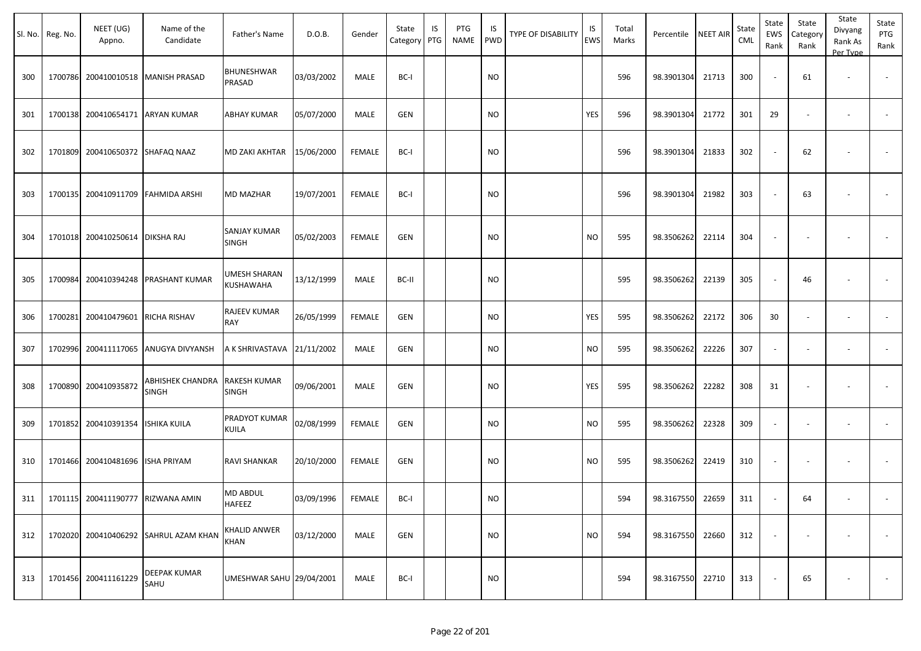|     | Sl. No. Reg. No. | NEET (UG)<br>Appno.                | Name of the<br>Candidate              | Father's Name                | D.O.B.     | Gender        | State<br>Category | IS<br>PTG | PTG<br><b>NAME</b> | IS<br><b>PWD</b> | <b>TYPE OF DISABILITY</b> | IS<br><b>EWS</b> | Total<br>Marks | Percentile NEET AIR |       | State<br>CML | State<br>EWS<br>Rank | State<br>Category<br>Rank | State<br>Divyang<br>Rank As<br>Per Type | State<br>PTG<br>Rank |
|-----|------------------|------------------------------------|---------------------------------------|------------------------------|------------|---------------|-------------------|-----------|--------------------|------------------|---------------------------|------------------|----------------|---------------------|-------|--------------|----------------------|---------------------------|-----------------------------------------|----------------------|
| 300 |                  |                                    | 1700786 200410010518 MANISH PRASAD    | BHUNESHWAR<br>PRASAD         | 03/03/2002 | MALE          | BC-I              |           |                    | <b>NO</b>        |                           |                  | 596            | 98.3901304          | 21713 | 300          | $\sim$               | 61                        | $\overline{\phantom{a}}$                |                      |
| 301 |                  | 1700138 200410654171 ARYAN KUMAR   |                                       | ABHAY KUMAR                  | 05/07/2000 | MALE          | <b>GEN</b>        |           |                    | <b>NO</b>        |                           | YES              | 596            | 98.3901304          | 21772 | 301          | 29                   |                           | $\overline{\phantom{a}}$                |                      |
| 302 | 1701809          | 200410650372 SHAFAQ NAAZ           |                                       | MD ZAKI AKHTAR               | 15/06/2000 | <b>FEMALE</b> | BC-I              |           |                    | <b>NO</b>        |                           |                  | 596            | 98.3901304          | 21833 | 302          |                      | 62                        |                                         |                      |
| 303 |                  | 1700135 200410911709 FAHMIDA ARSHI |                                       | MD MAZHAR                    | 19/07/2001 | <b>FEMALE</b> | BC-I              |           |                    | <b>NO</b>        |                           |                  | 596            | 98.3901304          | 21982 | 303          |                      | 63                        |                                         |                      |
| 304 |                  | 1701018 200410250614 DIKSHA RAJ    |                                       | SANJAY KUMAR<br>SINGH        | 05/02/2003 | <b>FEMALE</b> | <b>GEN</b>        |           |                    | <b>NO</b>        |                           | <b>NO</b>        | 595            | 98.3506262          | 22114 | 304          |                      |                           |                                         |                      |
| 305 | 1700984          |                                    | 200410394248 PRASHANT KUMAR           | UMESH SHARAN<br>KUSHAWAHA    | 13/12/1999 | MALE          | BC-II             |           |                    | <b>NO</b>        |                           |                  | 595            | 98.3506262          | 22139 | 305          |                      | 46                        |                                         |                      |
| 306 | 1700281          | 200410479601                       | <b>RICHA RISHAV</b>                   | RAJEEV KUMAR<br>RAY          | 26/05/1999 | <b>FEMALE</b> | <b>GEN</b>        |           |                    | <b>NO</b>        |                           | YES              | 595            | 98.3506262          | 22172 | 306          | 30                   |                           |                                         |                      |
| 307 |                  |                                    | 1702996 200411117065 ANUGYA DIVYANSH  | A K SHRIVASTAVA 21/11/2002   |            | MALE          | <b>GEN</b>        |           |                    | <b>NO</b>        |                           | <b>NO</b>        | 595            | 98.3506262          | 22226 | 307          |                      |                           |                                         |                      |
| 308 |                  | 1700890 200410935872               | ABHISHEK CHANDRA<br><b>SINGH</b>      | RAKESH KUMAR<br><b>SINGH</b> | 09/06/2001 | MALE          | <b>GEN</b>        |           |                    | <b>NO</b>        |                           | YES              | 595            | 98.3506262          | 22282 | 308          | 31                   |                           |                                         |                      |
| 309 | 1701852          | 200410391354                       | <b>ISHIKA KUILA</b>                   | PRADYOT KUMAR<br>KUILA       | 02/08/1999 | <b>FEMALE</b> | <b>GEN</b>        |           |                    | <b>NO</b>        |                           | <b>NO</b>        | 595            | 98.3506262          | 22328 | 309          |                      |                           | $\overline{\phantom{a}}$                |                      |
| 310 |                  | 1701466 200410481696 ISHA PRIYAM   |                                       | RAVI SHANKAR                 | 20/10/2000 | FEMALE        | <b>GEN</b>        |           |                    | <b>NO</b>        |                           | <b>NO</b>        | 595            | 98.3506262          | 22419 | 310          |                      |                           |                                         |                      |
| 311 |                  | 1701115 200411190777 RIZWANA AMIN  |                                       | <b>MD ABDUL</b><br>HAFEEZ    | 03/09/1996 | FEMALE        | BC-I              |           |                    | <b>NO</b>        |                           |                  | 594            | 98.3167550          | 22659 | 311          |                      | 64                        |                                         |                      |
| 312 |                  |                                    | 1702020 200410406292 SAHRUL AZAM KHAN | <b>KHALID ANWER</b><br>KHAN  | 03/12/2000 | MALE          | GEN               |           |                    | <b>NO</b>        |                           | <b>NO</b>        | 594            | 98.3167550          | 22660 | 312          |                      |                           | $\overline{\phantom{a}}$                | $\sim$               |
| 313 |                  | 1701456 200411161229               | <b>DEEPAK KUMAR</b><br>SAHU           | UMESHWAR SAHU 29/04/2001     |            | MALE          | BC-I              |           |                    | <b>NO</b>        |                           |                  | 594            | 98.3167550          | 22710 | 313          |                      | 65                        |                                         | $\sim$               |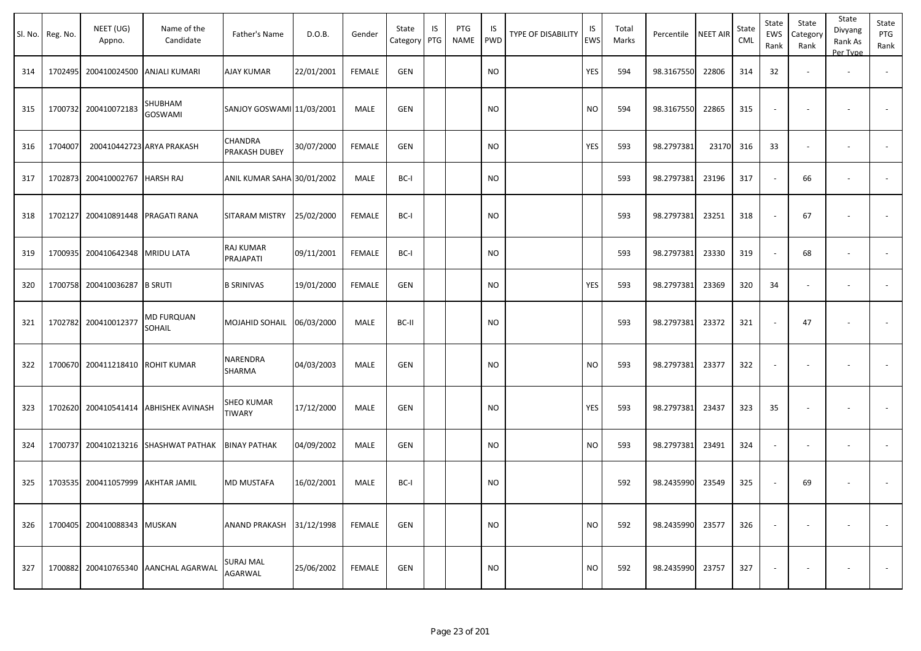|     | Sl. No. Reg. No. | NEET (UG)<br>Appno. | Name of the<br>Candidate    | Father's Name              | D.O.B.     | Gender        | State<br>Category | IS<br>PTG | PTG<br>NAME | IS<br><b>PWD</b> | TYPE OF DISABILITY | IS<br><b>EWS</b> | Total<br>Marks | Percentile | NEET AIR | State<br>CML | State<br>EWS<br>Rank | State<br>Category<br>Rank | State<br>Divyang<br>Rank As<br>Per Type | State<br>PTG<br>Rank     |
|-----|------------------|---------------------|-----------------------------|----------------------------|------------|---------------|-------------------|-----------|-------------|------------------|--------------------|------------------|----------------|------------|----------|--------------|----------------------|---------------------------|-----------------------------------------|--------------------------|
| 314 | 1702495          | 200410024500        | ANJALI KUMARI               | <b>AJAY KUMAR</b>          | 22/01/2001 | <b>FEMALE</b> | GEN               |           |             | <b>NO</b>        |                    | YES              | 594            | 98.3167550 | 22806    | 314          | 32                   |                           | $\overline{\phantom{a}}$                |                          |
| 315 | 1700732          | 200410072183        | SHUBHAM<br>GOSWAMI          | SANJOY GOSWAMI 11/03/2001  |            | <b>MALE</b>   | <b>GEN</b>        |           |             | <b>NO</b>        |                    | <b>NO</b>        | 594            | 98.3167550 | 22865    | 315          |                      |                           |                                         |                          |
| 316 | 1704007          |                     | 200410442723 ARYA PRAKASH   | CHANDRA<br>PRAKASH DUBEY   | 30/07/2000 | <b>FEMALE</b> | <b>GEN</b>        |           |             | <b>NO</b>        |                    | YES              | 593            | 98.2797381 | 23170    | 316          | 33                   |                           | $\overline{\phantom{a}}$                | $\overline{\phantom{a}}$ |
| 317 | 1702873          | 200410002767        | <b>HARSH RAJ</b>            | ANIL KUMAR SAHA 30/01/2002 |            | MALE          | BC-I              |           |             | <b>NO</b>        |                    |                  | 593            | 98.2797381 | 23196    | 317          | $\sim$               | 66                        |                                         |                          |
| 318 | 1702127          | 200410891448        | PRAGATI RANA                | SITARAM MISTRY             | 25/02/2000 | <b>FEMALE</b> | BC-I              |           |             | <b>NO</b>        |                    |                  | 593            | 98.2797381 | 23251    | 318          |                      | 67                        | $\overline{\phantom{a}}$                |                          |
| 319 | 1700935          | 200410642348        | <b>MRIDU LATA</b>           | RAJ KUMAR<br>PRAJAPATI     | 09/11/2001 | <b>FEMALE</b> | BC-I              |           |             | <b>NO</b>        |                    |                  | 593            | 98.2797381 | 23330    | 319          | $\sim$               | 68                        | $\overline{\phantom{a}}$                |                          |
| 320 | 1700758          | 200410036287        | <b>B SRUTI</b>              | <b>B SRINIVAS</b>          | 19/01/2000 | <b>FEMALE</b> | GEN               |           |             | <b>NO</b>        |                    | YES              | 593            | 98.2797381 | 23369    | 320          | 34                   |                           | $\overline{\phantom{a}}$                | $\sim$                   |
| 321 | 1702782          | 200410012377        | <b>MD FURQUAN</b><br>SOHAIL | MOJAHID SOHAIL             | 06/03/2000 | MALE          | BC-II             |           |             | <b>NO</b>        |                    |                  | 593            | 98.2797381 | 23372    | 321          |                      | 47                        |                                         |                          |
| 322 | 1700670          | 200411218410        | <b>ROHIT KUMAR</b>          | NARENDRA<br>SHARMA         | 04/03/2003 | <b>MALE</b>   | <b>GEN</b>        |           |             | <b>NO</b>        |                    | <b>NO</b>        | 593            | 98.2797381 | 23377    | 322          | $\sim$               |                           | $\overline{\phantom{a}}$                |                          |
| 323 | 1702620          | 200410541414        | ABHISHEK AVINASH            | SHEO KUMAR<br>TIWARY       | 17/12/2000 | MALE          | <b>GEN</b>        |           |             | <b>NO</b>        |                    | YES              | 593            | 98.2797381 | 23437    | 323          | 35                   |                           |                                         |                          |
| 324 | 1700737          | 200410213216        | <b>SHASHWAT PATHAK</b>      | <b>BINAY PATHAK</b>        | 04/09/2002 | MALE          | GEN               |           |             | <b>NO</b>        |                    | <b>NO</b>        | 593            | 98.2797381 | 23491    | 324          |                      |                           | $\overline{\phantom{a}}$                |                          |
| 325 | 1703535          | 200411057999        | <b>AKHTAR JAMIL</b>         | MD MUSTAFA                 | 16/02/2001 | MALE          | BC-I              |           |             | <b>NO</b>        |                    |                  | 592            | 98.2435990 | 23549    | 325          |                      | 69                        |                                         |                          |
| 326 | 1700405          | 200410088343 MUSKAN |                             | ANAND PRAKASH              | 31/12/1998 | <b>FEMALE</b> | GEN               |           |             | <b>NO</b>        |                    | <b>NO</b>        | 592            | 98.2435990 | 23577    | 326          |                      |                           |                                         |                          |
| 327 | 1700882          | 200410765340        | AANCHAL AGARWAL             | SURAJ MAL<br>AGARWAL       | 25/06/2002 | <b>FEMALE</b> | GEN               |           |             | <b>NO</b>        |                    | <b>NO</b>        | 592            | 98.2435990 | 23757    | 327          |                      |                           |                                         | $\sim$                   |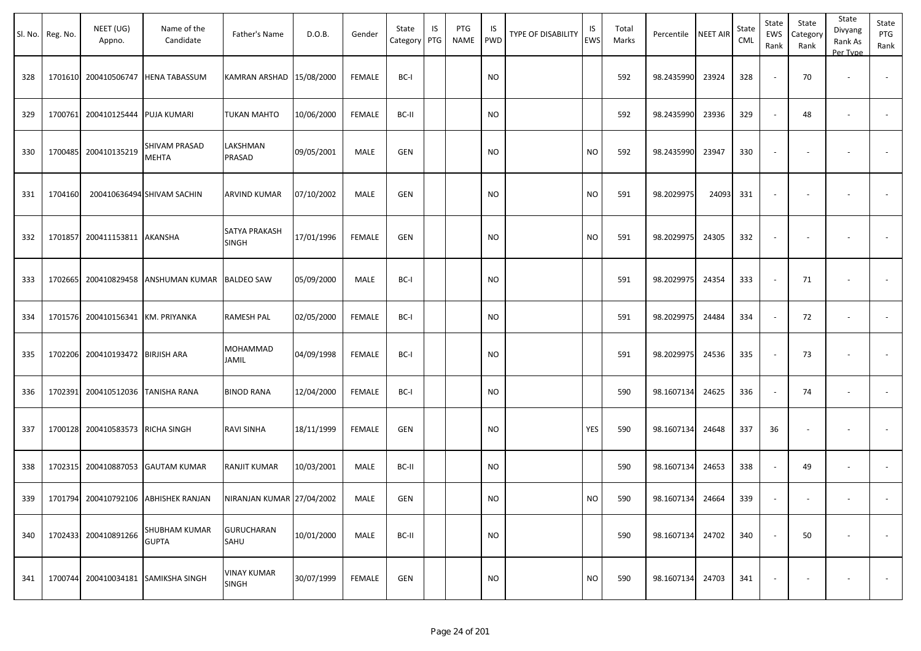|     | Sl. No. Reg. No. | NEET (UG)<br>Appno.               | Name of the<br>Candidate             | Father's Name                      | D.O.B.     | Gender        | State<br>Category PTG | IS | PTG<br><b>NAME</b> | IS<br><b>PWD</b> | <b>TYPE OF DISABILITY</b> | IS<br>EWS | Total<br>Marks | Percentile NEET AIR |       | State<br>CML | State<br>EWS<br>Rank | State<br>Category<br>Rank | State<br>Divyang<br>Rank As<br>Per Type | State<br>PTG<br>Rank     |
|-----|------------------|-----------------------------------|--------------------------------------|------------------------------------|------------|---------------|-----------------------|----|--------------------|------------------|---------------------------|-----------|----------------|---------------------|-------|--------------|----------------------|---------------------------|-----------------------------------------|--------------------------|
| 328 |                  |                                   | 1701610 200410506747 HENA TABASSUM   | KAMRAN ARSHAD   15/08/2000         |            | <b>FEMALE</b> | BC-I                  |    |                    | <b>NO</b>        |                           |           | 592            | 98.2435990          | 23924 | 328          |                      | 70                        |                                         |                          |
| 329 | 1700761          | 200410125444 PUJA KUMARI          |                                      | TUKAN MAHTO                        | 10/06/2000 | <b>FEMALE</b> | BC-II                 |    |                    | <b>NO</b>        |                           |           | 592            | 98.2435990          | 23936 | 329          |                      | 48                        | $\overline{\phantom{a}}$                | $\overline{\phantom{a}}$ |
| 330 |                  | 1700485 200410135219              | SHIVAM PRASAD<br><b>MEHTA</b>        | LAKSHMAN<br>PRASAD                 | 09/05/2001 | MALE          | <b>GEN</b>            |    |                    | <b>NO</b>        |                           | <b>NO</b> | 592            | 98.2435990          | 23947 | 330          |                      |                           |                                         |                          |
| 331 | 1704160          |                                   | 200410636494 SHIVAM SACHIN           | ARVIND KUMAR                       | 07/10/2002 | MALE          | GEN                   |    |                    | <b>NO</b>        |                           | <b>NO</b> | 591            | 98.2029975          | 24093 | 331          |                      |                           |                                         |                          |
| 332 | 1701857          | 200411153811 AKANSHA              |                                      | SATYA PRAKASH<br>SINGH             | 17/01/1996 | <b>FEMALE</b> | <b>GEN</b>            |    |                    | <b>NO</b>        |                           | <b>NO</b> | 591            | 98.2029975          | 24305 | 332          |                      |                           |                                         |                          |
| 333 | 1702665          |                                   | 200410829458 ANSHUMAN KUMAR          | <b>BALDEO SAW</b>                  | 05/09/2000 | MALE          | BC-I                  |    |                    | <b>NO</b>        |                           |           | 591            | 98.2029975          | 24354 | 333          |                      | 71                        |                                         |                          |
| 334 |                  | 1701576 200410156341 KM. PRIYANKA |                                      | <b>RAMESH PAL</b>                  | 02/05/2000 | <b>FEMALE</b> | BC-I                  |    |                    | <b>NO</b>        |                           |           | 591            | 98.2029975          | 24484 | 334          | $\sim$               | 72                        | $\overline{\phantom{a}}$                | $\overline{\phantom{a}}$ |
| 335 | 1702206          | 200410193472 BIRJISH ARA          |                                      | MOHAMMAD<br>JAMIL                  | 04/09/1998 | <b>FEMALE</b> | BC-I                  |    |                    | <b>NO</b>        |                           |           | 591            | 98.2029975          | 24536 | 335          |                      | 73                        |                                         |                          |
| 336 | 1702391          | 200410512036 TANISHA RANA         |                                      | <b>BINOD RANA</b>                  | 12/04/2000 | FEMALE        | BC-I                  |    |                    | <b>NO</b>        |                           |           | 590            | 98.1607134          | 24625 | 336          |                      | 74                        | $\overline{\phantom{a}}$                | $\sim$                   |
| 337 |                  | 1700128 200410583573 RICHA SINGH  |                                      | RAVI SINHA                         | 18/11/1999 | FEMALE        | <b>GEN</b>            |    |                    | <b>NO</b>        |                           | YES       | 590            | 98.1607134          | 24648 | 337          | 36                   |                           |                                         |                          |
| 338 |                  |                                   | 1702315 200410887053 GAUTAM KUMAR    | <b>RANJIT KUMAR</b>                | 10/03/2001 | MALE          | BC-II                 |    |                    | <b>NO</b>        |                           |           | 590            | 98.1607134          | 24653 | 338          |                      | 49                        |                                         |                          |
| 339 |                  |                                   | 1701794 200410792106 ABHISHEK RANJAN | NIRANJAN KUMAR 27/04/2002          |            | MALE          | GEN                   |    |                    | <b>NO</b>        |                           | <b>NO</b> | 590            | 98.1607134          | 24664 | 339          |                      |                           |                                         |                          |
| 340 |                  | 1702433 200410891266              | <b>SHUBHAM KUMAR</b><br><b>GUPTA</b> | <b>GURUCHARAN</b><br>SAHU          | 10/01/2000 | MALE          | BC-II                 |    |                    | <b>NO</b>        |                           |           | 590            | 98.1607134          | 24702 | 340          |                      | 50                        | $\overline{\phantom{a}}$                | $\sim$                   |
| 341 |                  |                                   | 1700744 200410034181 SAMIKSHA SINGH  | <b>VINAY KUMAR</b><br><b>SINGH</b> | 30/07/1999 | <b>FEMALE</b> | <b>GEN</b>            |    |                    | <b>NO</b>        |                           | <b>NO</b> | 590            | 98.1607134          | 24703 | 341          |                      |                           |                                         | $\sim$                   |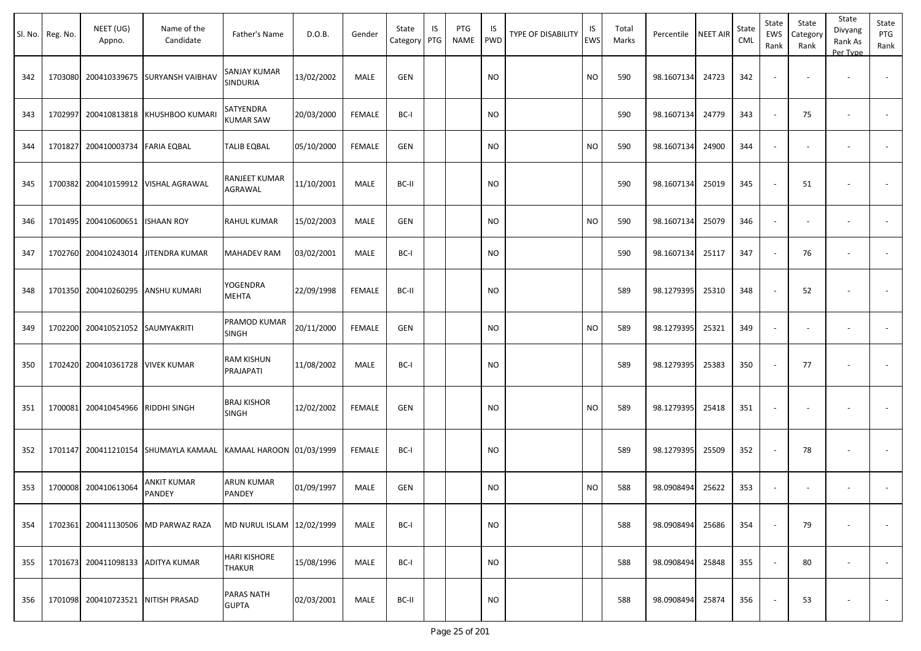|     | Sl. No. Reg. No. | NEET (UG)<br>Appno.               | Name of the<br>Candidate             | Father's Name                        | D.O.B.     | Gender        | State<br>Category | IS<br>PTG | PTG<br>NAME | IS.<br>PWD | TYPE OF DISABILITY | IS<br>EWS | Total<br>Marks | Percentile | <b>NEET AIR</b> | State<br><b>CML</b> | State<br>EWS<br>Rank     | State<br>Category<br>Rank | State<br>Divyang<br>Rank As<br>Per Type | State<br>PTG<br>Rank     |
|-----|------------------|-----------------------------------|--------------------------------------|--------------------------------------|------------|---------------|-------------------|-----------|-------------|------------|--------------------|-----------|----------------|------------|-----------------|---------------------|--------------------------|---------------------------|-----------------------------------------|--------------------------|
| 342 |                  | 1703080 200410339675              | <b>SURYANSH VAIBHAV</b>              | SANJAY KUMAR<br>SINDURIA             | 13/02/2002 | MALE          | <b>GEN</b>        |           |             | <b>NO</b>  |                    | <b>NO</b> | 590            | 98.1607134 | 24723           | 342                 | $\overline{\phantom{a}}$ | $\overline{\phantom{a}}$  | $\overline{\phantom{a}}$                |                          |
| 343 | 1702997          | 200410813818                      | KHUSHBOO KUMARI                      | SATYENDRA<br><b>KUMAR SAW</b>        | 20/03/2000 | <b>FEMALE</b> | BC-I              |           |             | <b>NO</b>  |                    |           | 590            | 98.1607134 | 24779           | 343                 | $\sim$                   | 75                        | $\overline{\phantom{a}}$                | $\overline{\phantom{a}}$ |
| 344 |                  | 1701827 200410003734 FARIA EQBAL  |                                      | <b>TALIB EQBAL</b>                   | 05/10/2000 | FEMALE        | <b>GEN</b>        |           |             | NO         |                    | <b>NO</b> | 590            | 98.1607134 | 24900           | 344                 | $\blacksquare$           | $\overline{\phantom{a}}$  |                                         |                          |
| 345 |                  |                                   | 1700382 200410159912 VISHAL AGRAWAL  | RANJEET KUMAR<br>AGRAWAL             | 11/10/2001 | MALE          | BC-II             |           |             | NO         |                    |           | 590            | 98.1607134 | 25019           | 345                 | $\sim$                   | 51                        | $\overline{\phantom{a}}$                |                          |
| 346 |                  | 1701495 200410600651              | <b>ISHAAN ROY</b>                    | <b>RAHUL KUMAR</b>                   | 15/02/2003 | MALE          | <b>GEN</b>        |           |             | <b>NO</b>  |                    | <b>NO</b> | 590            | 98.1607134 | 25079           | 346                 | $\sim$                   | $\sim$                    | $\overline{\phantom{a}}$                |                          |
| 347 |                  | 1702760 200410243014              | <b>JITENDRA KUMAR</b>                | <b>MAHADEV RAM</b>                   | 03/02/2001 | MALE          | BC-I              |           |             | NO         |                    |           | 590            | 98.1607134 | 25117           | 347                 | $\sim$                   | 76                        | $\overline{\phantom{a}}$                | $\overline{\phantom{a}}$ |
| 348 |                  | 1701350 200410260295              | <b>ANSHU KUMARI</b>                  | YOGENDRA<br><b>MEHTA</b>             | 22/09/1998 | FEMALE        | BC-II             |           |             | NO         |                    |           | 589            | 98.1279395 | 25310           | 348                 | $\sim$                   | 52                        |                                         |                          |
| 349 |                  | 1702200 200410521052 SAUMYAKRITI  |                                      | PRAMOD KUMAR<br>SINGH                | 20/11/2000 | <b>FEMALE</b> | <b>GEN</b>        |           |             | <b>NO</b>  |                    | <b>NO</b> | 589            | 98.1279395 | 25321           | 349                 | $\blacksquare$           | $\overline{\phantom{a}}$  | $\overline{\phantom{a}}$                |                          |
| 350 |                  | 1702420 200410361728              | <b>VIVEK KUMAR</b>                   | RAM KISHUN<br>PRAJAPATI              | 11/08/2002 | MALE          | BC-I              |           |             | <b>NO</b>  |                    |           | 589            | 98.1279395 | 25383           | 350                 | $\sim$                   | 77                        |                                         |                          |
| 351 |                  | 1700081 200410454966              | <b>RIDDHI SINGH</b>                  | <b>BRAJ KISHOR</b><br><b>SINGH</b>   | 12/02/2002 | <b>FEMALE</b> | <b>GEN</b>        |           |             | NO         |                    | NO        | 589            | 98.1279395 | 25418           | 351                 | $\overline{\phantom{a}}$ |                           |                                         |                          |
| 352 |                  |                                   | 1701147 200411210154 SHUMAYLA KAMAAL | KAMAAL HAROON 01/03/1999             |            | <b>FEMALE</b> | BC-I              |           |             | NO         |                    |           | 589            | 98.1279395 | 25509           | 352                 | $\overline{\phantom{a}}$ | 78                        | $\overline{\phantom{a}}$                | $\blacksquare$           |
| 353 |                  | 1700008 200410613064              | ANKIT KUMAR<br><b>PANDEY</b>         | <b>ARUN KUMAR</b><br>PANDEY          | 01/09/1997 | MALE          | <b>GEN</b>        |           |             | NO         |                    | NO.       | 588            | 98.0908494 | 25622           | 353                 | $\blacksquare$           |                           |                                         |                          |
| 354 |                  | 1702361 200411130506              | MD PARWAZ RAZA                       | MD NURUL ISLAM 12/02/1999            |            | MALE          | BC-I              |           |             | <b>NO</b>  |                    |           | 588            | 98.0908494 | 25686           | 354                 | $\sim$                   | 79                        |                                         | $\sim$                   |
| 355 |                  | 1701673 200411098133 ADITYA KUMAR |                                      | <b>HARI KISHORE</b><br><b>THAKUR</b> | 15/08/1996 | MALE          | BC-I              |           |             | <b>NO</b>  |                    |           | 588            | 98.0908494 | 25848           | 355                 | $\omega$                 | 80                        | $\sim$                                  | $\sim$                   |
| 356 |                  | 1701098 200410723521              | <b>NITISH PRASAD</b>                 | <b>PARAS NATH</b><br><b>GUPTA</b>    | 02/03/2001 | MALE          | BC-II             |           |             | $\rm NO$   |                    |           | 588            | 98.0908494 | 25874           | 356                 | $\sim$                   | 53                        | $\overline{\phantom{a}}$                | $\sim$                   |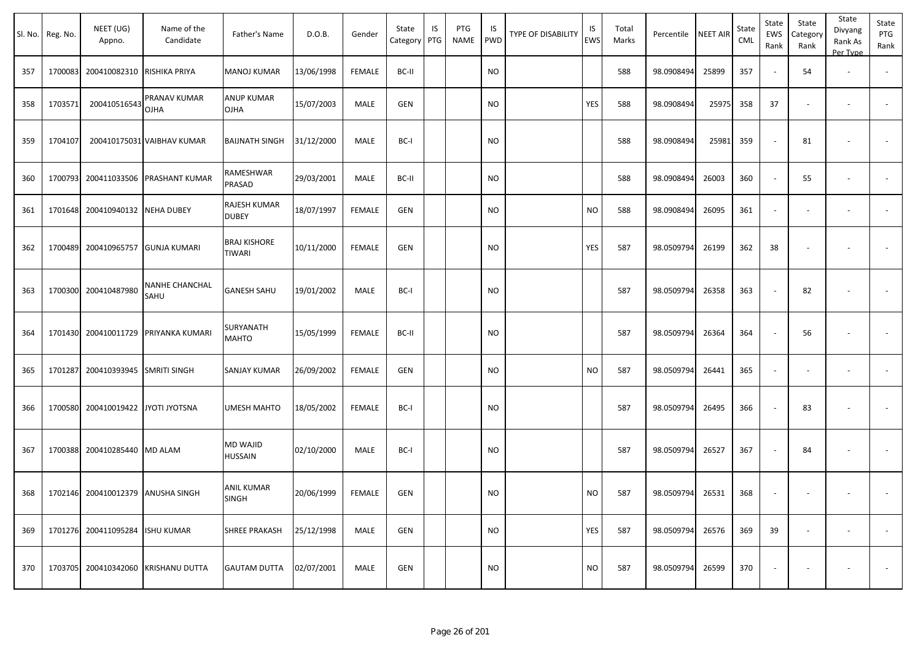|     | Sl. No. Reg. No. | NEET (UG)<br>Appno.                | Name of the<br>Candidate             | Father's Name                        | D.O.B.     | Gender        | State<br>Category | IS<br>PTG | PTG<br>NAME | IS.<br>PWD | TYPE OF DISABILITY | IS<br>EWS | Total<br>Marks | Percentile | <b>NEET AIR</b> | State<br><b>CML</b> | State<br>EWS<br>Rank     | State<br>Category<br>Rank | State<br>Divyang<br>Rank As<br>Per Type | State<br>PTG<br>Rank     |
|-----|------------------|------------------------------------|--------------------------------------|--------------------------------------|------------|---------------|-------------------|-----------|-------------|------------|--------------------|-----------|----------------|------------|-----------------|---------------------|--------------------------|---------------------------|-----------------------------------------|--------------------------|
| 357 |                  | 1700083 200410082310 RISHIKA PRIYA |                                      | <b>MANOJ KUMAR</b>                   | 13/06/1998 | <b>FEMALE</b> | BC-II             |           |             | <b>NO</b>  |                    |           | 588            | 98.0908494 | 25899           | 357                 | $\sim$                   | 54                        | $\overline{\phantom{a}}$                |                          |
| 358 | 1703571          | 200410516543                       | PRANAV KUMAR<br><b>OJHA</b>          | <b>ANUP KUMAR</b><br><b>OJHA</b>     | 15/07/2003 | MALE          | <b>GEN</b>        |           |             | NO         |                    | YES       | 588            | 98.0908494 | 25975           | 358                 | 37                       | $\overline{\phantom{a}}$  | $\overline{\phantom{a}}$                | $\sim$                   |
| 359 | 1704107          |                                    | 200410175031 VAIBHAV KUMAR           | <b>BAIJNATH SINGH</b>                | 31/12/2000 | MALE          | BC-I              |           |             | NO         |                    |           | 588            | 98.0908494 | 25981           | 359                 | $\sim$                   | 81                        | $\overline{\phantom{a}}$                | $\sim$                   |
| 360 |                  | 1700793 200411033506               | <b>PRASHANT KUMAR</b>                | RAMESHWAR<br>PRASAD                  | 29/03/2001 | <b>MALE</b>   | BC-II             |           |             | <b>NO</b>  |                    |           | 588            | 98.0908494 | 26003           | 360                 | $\sim$                   | 55                        |                                         |                          |
| 361 |                  | 1701648 200410940132 NEHA DUBEY    |                                      | RAJESH KUMAR<br><b>DUBEY</b>         | 18/07/1997 | <b>FEMALE</b> | <b>GEN</b>        |           |             | NO         |                    | NO.       | 588            | 98.0908494 | 26095           | 361                 | $\overline{\phantom{a}}$ |                           |                                         |                          |
| 362 |                  | 1700489 200410965757               | <b>GUNJA KUMARI</b>                  | <b>BRAJ KISHORE</b><br><b>TIWARI</b> | 10/11/2000 | FEMALE        | <b>GEN</b>        |           |             | NO         |                    | YES       | 587            | 98.0509794 | 26199           | 362                 | 38                       |                           |                                         |                          |
| 363 |                  | 1700300 200410487980               | <b>NANHE CHANCHAL</b><br>SAHU        | <b>GANESH SAHU</b>                   | 19/01/2002 | MALE          | BC-I              |           |             | NO         |                    |           | 587            | 98.0509794 | 26358           | 363                 | $\sim$                   | 82                        |                                         | $\overline{\phantom{a}}$ |
| 364 |                  |                                    | 1701430 200410011729 PRIYANKA KUMARI | SURYANATH<br><b>MAHTO</b>            | 15/05/1999 | FEMALE        | BC-II             |           |             | NO         |                    |           | 587            | 98.0509794 | 26364           | 364                 | $\sim$                   | 56                        | $\overline{\phantom{a}}$                | $\sim$                   |
| 365 | 1701287          | 200410393945                       | <b>SMRITI SINGH</b>                  | SANJAY KUMAR                         | 26/09/2002 | FEMALE        | <b>GEN</b>        |           |             | <b>NO</b>  |                    | <b>NO</b> | 587            | 98.0509794 | 26441           | 365                 | $\sim$                   | $\overline{\phantom{a}}$  | $\overline{\phantom{a}}$                | $\blacksquare$           |
| 366 |                  | 1700580 200410019422               | <b>JYOTI JYOTSNA</b>                 | <b>UMESH MAHTO</b>                   | 18/05/2002 | <b>FEMALE</b> | BC-I              |           |             | NO         |                    |           | 587            | 98.0509794 | 26495           | 366                 | $\sim$                   | 83                        |                                         |                          |
| 367 |                  | 1700388 200410285440 MD ALAM       |                                      | <b>MD WAJID</b><br><b>HUSSAIN</b>    | 02/10/2000 | MALE          | BC-I              |           |             | <b>NO</b>  |                    |           | 587            | 98.0509794 | 26527           | 367                 | $\sim$                   | 84                        | $\overline{\phantom{a}}$                | $\blacksquare$           |
| 368 |                  | 1702146 200410012379 ANUSHA SINGH  |                                      | <b>ANIL KUMAR</b><br><b>SINGH</b>    | 20/06/1999 | FEMALE        | <b>GEN</b>        |           |             | <b>NO</b>  |                    | NO        | 587            | 98.0509794 | 26531           | 368                 | $\sim$                   | $\overline{\phantom{a}}$  |                                         |                          |
| 369 |                  | 1701276 200411095284 ISHU KUMAR    |                                      | <b>SHREE PRAKASH</b>                 | 25/12/1998 | MALE          | <b>GEN</b>        |           |             | <b>NO</b>  |                    | YES       | 587            | 98.0509794 | 26576           | 369                 | 39                       | $\sim$                    | $\sim$                                  | $\sim$                   |
| 370 |                  | 1703705 200410342060               | <b>KRISHANU DUTTA</b>                | <b>GAUTAM DUTTA</b>                  | 02/07/2001 | MALE          | <b>GEN</b>        |           |             | <b>NO</b>  |                    | <b>NO</b> | 587            | 98.0509794 | 26599           | 370                 | $\overline{\phantom{a}}$ | $\overline{\phantom{a}}$  |                                         | $\sim$                   |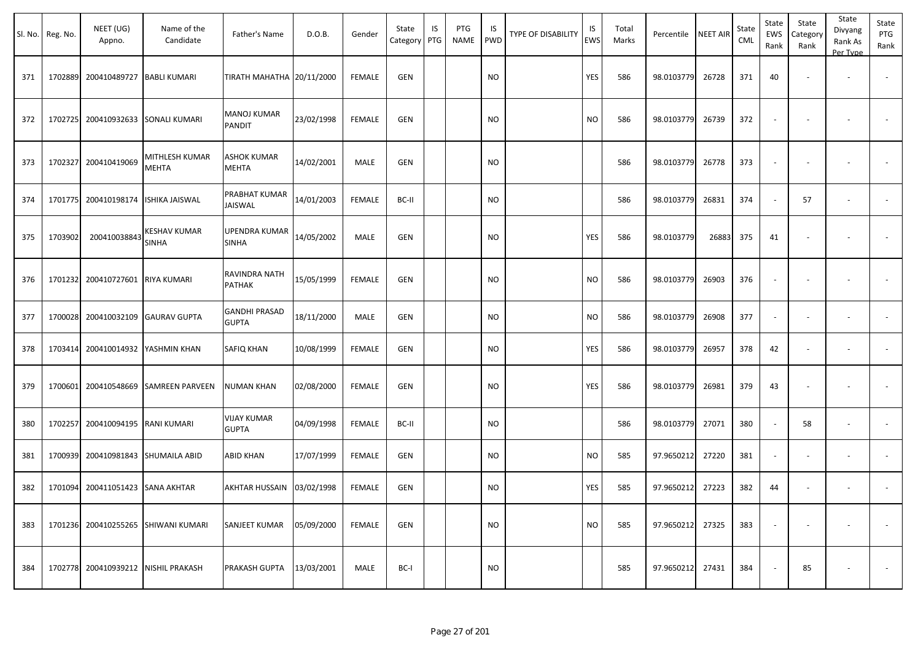|     | Sl. No. Reg. No. | NEET (UG)<br>Appno. | Name of the<br>Candidate       | Father's Name                        | D.O.B.     | Gender        | State<br>Category PTG | IS | PTG<br><b>NAME</b> | IS<br><b>PWD</b> | <b>TYPE OF DISABILITY</b> | IS<br><b>EWS</b> | Total<br>Marks | Percentile | <b>NEET AIR</b> | State<br><b>CML</b> | State<br>EWS<br>Rank     | State<br>Category<br>Rank | State<br>Divyang<br>Rank As<br>Per Type | State<br>PTG<br>Rank     |
|-----|------------------|---------------------|--------------------------------|--------------------------------------|------------|---------------|-----------------------|----|--------------------|------------------|---------------------------|------------------|----------------|------------|-----------------|---------------------|--------------------------|---------------------------|-----------------------------------------|--------------------------|
| 371 | 1702889          | 200410489727        | <b>BABLI KUMARI</b>            | TIRATH MAHATHA 20/11/2000            |            | <b>FEMALE</b> | GEN                   |    |                    | NO               |                           | YES              | 586            | 98.0103779 | 26728           | 371                 | 40                       |                           |                                         |                          |
| 372 | 1702725          | 200410932633        | SONALI KUMARI                  | MANOJ KUMAR<br>PANDIT                | 23/02/1998 | FEMALE        | <b>GEN</b>            |    |                    | NO               |                           | <b>NO</b>        | 586            | 98.0103779 | 26739           | 372                 |                          |                           |                                         |                          |
| 373 | 1702327          | 200410419069        | MITHLESH KUMAR<br><b>MEHTA</b> | <b>ASHOK KUMAR</b><br>MEHTA          | 14/02/2001 | MALE          | GEN                   |    |                    | <b>NO</b>        |                           |                  | 586            | 98.0103779 | 26778           | 373                 |                          |                           |                                         |                          |
| 374 | 1701775          | 200410198174        | ISHIKA JAISWAL                 | PRABHAT KUMAR<br>JAISWAL             | 14/01/2003 | <b>FEMALE</b> | BC-II                 |    |                    | <b>NO</b>        |                           |                  | 586            | 98.0103779 | 26831           | 374                 |                          | 57                        | $\sim$                                  |                          |
| 375 | 1703902          | 200410038843        | KESHAV KUMAR<br>SINHA          | UPENDRA KUMAR<br><b>SINHA</b>        | 14/05/2002 | MALE          | <b>GEN</b>            |    |                    | NO.              |                           | YES              | 586            | 98.0103779 | 26883           | 375                 | 41                       |                           |                                         |                          |
| 376 | 1701232          | 200410727601        | RIYA KUMARI                    | RAVINDRA NATH<br>PATHAK              | 15/05/1999 | <b>FEMALE</b> | GEN                   |    |                    | NO.              |                           | <b>NO</b>        | 586            | 98.0103779 | 26903           | 376                 |                          |                           |                                         |                          |
| 377 | 1700028          | 200410032109        | <b>GAURAV GUPTA</b>            | <b>GANDHI PRASAD</b><br><b>GUPTA</b> | 18/11/2000 | MALE          | GEN                   |    |                    | <b>NO</b>        |                           | <b>NO</b>        | 586            | 98.0103779 | 26908           | 377                 | $\overline{\phantom{a}}$ |                           |                                         | $\overline{\phantom{a}}$ |
| 378 | 1703414          | 200410014932        | YASHMIN KHAN                   | SAFIQ KHAN                           | 10/08/1999 | <b>FEMALE</b> | <b>GEN</b>            |    |                    | NO.              |                           | YES              | 586            | 98.0103779 | 26957           | 378                 | 42                       |                           |                                         |                          |
| 379 | 1700601          | 200410548669        | <b>SAMREEN PARVEEN</b>         | NUMAN KHAN                           | 02/08/2000 | <b>FEMALE</b> | <b>GEN</b>            |    |                    | NO.              |                           | YES              | 586            | 98.0103779 | 26981           | 379                 | 43                       |                           |                                         |                          |
| 380 | 1702257          | 200410094195        | RANI KUMARI                    | <b>VIJAY KUMAR</b><br><b>GUPTA</b>   | 04/09/1998 | <b>FEMALE</b> | BC-II                 |    |                    | <b>NO</b>        |                           |                  | 586            | 98.0103779 | 27071           | 380                 |                          | 58                        | $\overline{\phantom{a}}$                |                          |
| 381 | 1700939          | 200410981843        | SHUMAILA ABID                  | ABID KHAN                            | 17/07/1999 | <b>FEMALE</b> | <b>GEN</b>            |    |                    | <b>NO</b>        |                           | <b>NO</b>        | 585            | 97.9650212 | 27220           | 381                 | $\overline{\phantom{a}}$ | $\overline{\phantom{a}}$  | $\overline{\phantom{a}}$                | $\sim$                   |
| 382 | 1701094          | 200411051423        | SANA AKHTAR                    | AKHTAR HUSSAIN                       | 03/02/1998 | <b>FEMALE</b> | <b>GEN</b>            |    |                    | NO.              |                           | YES              | 585            | 97.9650212 | 27223           | 382                 | 44                       |                           |                                         |                          |
| 383 | 1701236          |                     | 200410255265 SHIWANI KUMARI    | SANJEET KUMAR                        | 05/09/2000 | <b>FEMALE</b> | <b>GEN</b>            |    |                    | <b>NO</b>        |                           | <b>NO</b>        | 585            | 97.9650212 | 27325           | 383                 |                          |                           |                                         |                          |
| 384 | 1702778          | 200410939212        | NISHIL PRAKASH                 | PRAKASH GUPTA                        | 13/03/2001 | MALE          | BC-I                  |    |                    | <b>NO</b>        |                           |                  | 585            | 97.9650212 | 27431           | 384                 |                          | 85                        |                                         | $\sim$                   |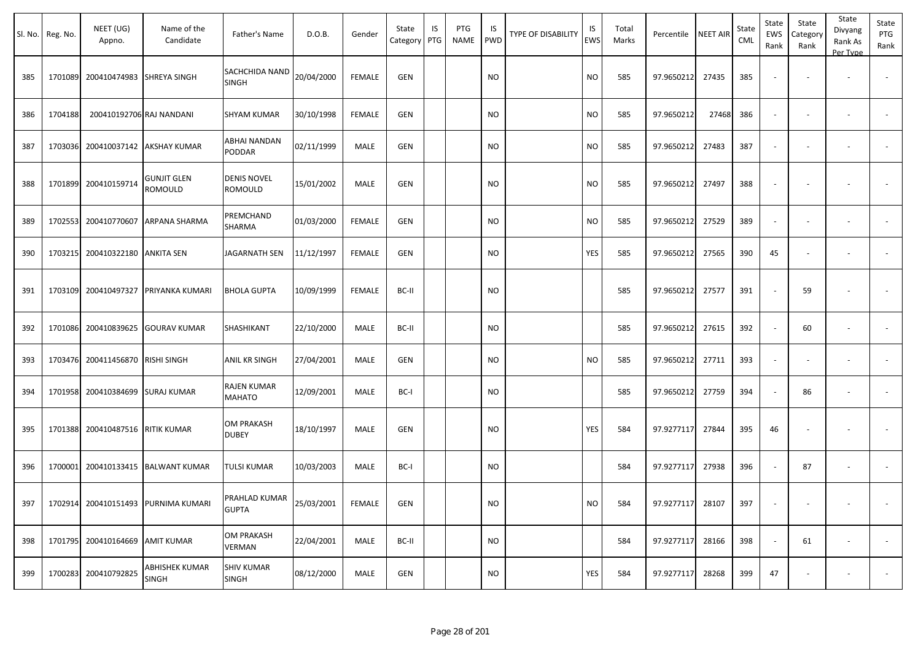| Sl. No. | Reg. No. | NEET (UG)<br>Appno.              | Name of the<br>Candidate                  | Father's Name                     | D.O.B.     | Gender        | State<br>Category | IS<br>PTG | PTG<br><b>NAME</b> | IS<br><b>PWD</b> | <b>TYPE OF DISABILITY</b> | IS<br><b>EWS</b> | Total<br>Marks | Percentile NEET AIR |       | State<br>CML | State<br>EWS<br>Rank | State<br>Category<br>Rank | State<br>Divyang<br>Rank As<br>Per Type | State<br>PTG<br>Rank |
|---------|----------|----------------------------------|-------------------------------------------|-----------------------------------|------------|---------------|-------------------|-----------|--------------------|------------------|---------------------------|------------------|----------------|---------------------|-------|--------------|----------------------|---------------------------|-----------------------------------------|----------------------|
| 385     | 1701089  | 200410474983 SHREYA SINGH        |                                           | SACHCHIDA NAND<br><b>SINGH</b>    | 20/04/2000 | <b>FEMALE</b> | <b>GEN</b>        |           |                    | <b>NO</b>        |                           | <b>NO</b>        | 585            | 97.9650212          | 27435 | 385          |                      |                           |                                         |                      |
| 386     | 1704188  | 200410192706 RAJ NANDANI         |                                           | <b>SHYAM KUMAR</b>                | 30/10/1998 | <b>FEMALE</b> | <b>GEN</b>        |           |                    | <b>NO</b>        |                           | <b>NO</b>        | 585            | 97.9650212          | 27468 | 386          | $\sim$               |                           | $\overline{\phantom{a}}$                |                      |
| 387     | 1703036  |                                  | 200410037142 AKSHAY KUMAR                 | ABHAI NANDAN<br>PODDAR            | 02/11/1999 | MALE          | <b>GEN</b>        |           |                    | <b>NO</b>        |                           | <b>NO</b>        | 585            | 97.9650212          | 27483 | 387          | $\sim$               |                           |                                         |                      |
| 388     |          | 1701899 200410159714             | <b>GUNJIT GLEN</b><br>ROMOULD             | <b>DENIS NOVEL</b><br>ROMOULD     | 15/01/2002 | MALE          | GEN               |           |                    | <b>NO</b>        |                           | <b>NO</b>        | 585            | 97.9650212          | 27497 | 388          |                      |                           |                                         |                      |
| 389     | 1702553  | 200410770607                     | <b>ARPANA SHARMA</b>                      | PREMCHAND<br>SHARMA               | 01/03/2000 | <b>FEMALE</b> | <b>GEN</b>        |           |                    | <b>NO</b>        |                           | <b>NO</b>        | 585            | 97.9650212          | 27529 | 389          |                      |                           | $\sim$                                  |                      |
| 390     | 1703215  | 200410322180                     | <b>ANKITA SEN</b>                         | JAGARNATH SEN                     | 11/12/1997 | <b>FEMALE</b> | <b>GEN</b>        |           |                    | <b>NO</b>        |                           | YES              | 585            | 97.9650212          | 27565 | 390          | 45                   |                           | $\overline{\phantom{a}}$                |                      |
| 391     | 1703109  | 200410497327                     | PRIYANKA KUMARI                           | <b>BHOLA GUPTA</b>                | 10/09/1999 | <b>FEMALE</b> | BC-II             |           |                    | <b>NO</b>        |                           |                  | 585            | 97.9650212          | 27577 | 391          |                      | 59                        |                                         |                      |
| 392     |          | 1701086 200410839625             | <b>GOURAV KUMAR</b>                       | SHASHIKANT                        | 22/10/2000 | MALE          | BC-II             |           |                    | <b>NO</b>        |                           |                  | 585            | 97.9650212          | 27615 | 392          |                      | 60                        | $\overline{\phantom{a}}$                |                      |
| 393     |          | 1703476 200411456870 RISHI SINGH |                                           | ANIL KR SINGH                     | 27/04/2001 | MALE          | <b>GEN</b>        |           |                    | <b>NO</b>        |                           | <b>NO</b>        | 585            | 97.9650212          | 27711 | 393          |                      |                           |                                         |                      |
| 394     |          | 1701958 200410384699 SURAJ KUMAR |                                           | RAJEN KUMAR<br><b>MAHATO</b>      | 12/09/2001 | MALE          | BC-I              |           |                    | <b>NO</b>        |                           |                  | 585            | 97.9650212          | 27759 | 394          | $\sim$               | 86                        | $\overline{\phantom{a}}$                |                      |
| 395     |          | 1701388 200410487516 RITIK KUMAR |                                           | OM PRAKASH<br><b>DUBEY</b>        | 18/10/1997 | MALE          | <b>GEN</b>        |           |                    | <b>NO</b>        |                           | YES              | 584            | 97.9277117          | 27844 | 395          | 46                   |                           |                                         |                      |
| 396     | 1700001  | 200410133415                     | <b>BALWANT KUMAR</b>                      | TULSI KUMAR                       | 10/03/2003 | MALE          | BC-I              |           |                    | <b>NO</b>        |                           |                  | 584            | 97.9277117          | 27938 | 396          |                      | 87                        |                                         |                      |
|         |          |                                  | 397   1702914 200410151493 PURNIMA KUMARI | PRAHLAD KUMAR<br><b>GUPTA</b>     | 25/03/2001 | FEMALE        | GEN               |           |                    | $\rm NO$         |                           | <b>NO</b>        | 584            | 97.9277117 28107    |       | 397          |                      |                           |                                         |                      |
| 398     |          | 1701795 200410164669 AMIT KUMAR  |                                           | OM PRAKASH<br>VERMAN              | 22/04/2001 | MALE          | BC-II             |           |                    | <b>NO</b>        |                           |                  | 584            | 97.9277117          | 28166 | 398          |                      | 61                        | $\sim$                                  | $\sim$               |
| 399     |          | 1700283 200410792825             | ABHISHEK KUMAR<br><b>SINGH</b>            | <b>SHIV KUMAR</b><br><b>SINGH</b> | 08/12/2000 | MALE          | GEN               |           |                    | <b>NO</b>        |                           | YES              | 584            | 97.9277117          | 28268 | 399          | 47                   |                           | $\overline{\phantom{a}}$                | $\sim$               |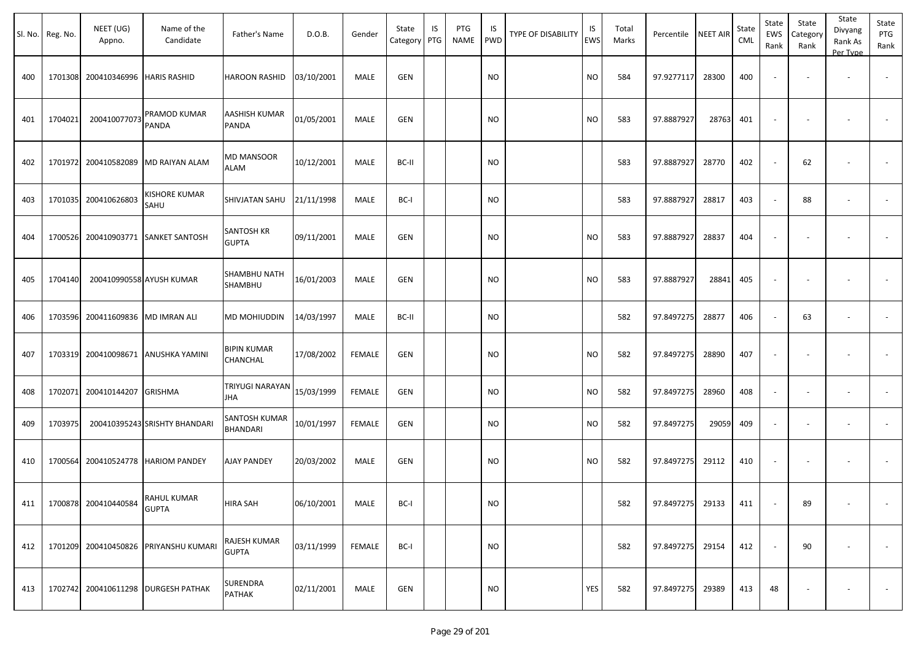|     | Sl. No. Reg. No. | NEET (UG)<br>Appno.                  | Name of the<br>Candidate              | Father's Name                    | D.O.B.     | Gender        | State<br>Category | IS<br>PTG | PTG<br><b>NAME</b> | <b>IS</b><br><b>PWD</b> | <b>TYPE OF DISABILITY</b> | IS<br><b>EWS</b> | Total<br>Marks | Percentile       | <b>NEET AIR</b> | State<br>CML | State<br>EWS<br>Rank | State<br>Category<br>Rank | State<br>Divyang<br>Rank As<br>Per Type | State<br>PTG<br>Rank |
|-----|------------------|--------------------------------------|---------------------------------------|----------------------------------|------------|---------------|-------------------|-----------|--------------------|-------------------------|---------------------------|------------------|----------------|------------------|-----------------|--------------|----------------------|---------------------------|-----------------------------------------|----------------------|
| 400 |                  | 1701308 200410346996 HARIS RASHID    |                                       | <b>HAROON RASHID</b>             | 03/10/2001 | MALE          | <b>GEN</b>        |           |                    | <b>NO</b>               |                           | <b>NO</b>        | 584            | 97.9277117       | 28300           | 400          |                      |                           |                                         |                      |
| 401 | 1704021          | 200410077073                         | PRAMOD KUMAR<br><b>PANDA</b>          | AASHISH KUMAR<br>PANDA           | 01/05/2001 | MALE          | <b>GEN</b>        |           |                    | <b>NO</b>               |                           | <b>NO</b>        | 583            | 97.8887927       | 28763           | 401          |                      |                           |                                         |                      |
| 402 | 1701972          |                                      | 200410582089 MD RAIYAN ALAM           | <b>MD MANSOOR</b><br><b>ALAM</b> | 10/12/2001 | MALE          | BC-II             |           |                    | <b>NO</b>               |                           |                  | 583            | 97.8887927       | 28770           | 402          |                      | 62                        |                                         |                      |
| 403 | 1701035          | 200410626803                         | <b>KISHORE KUMAR</b><br>SAHU          | SHIVJATAN SAHU                   | 21/11/1998 | MALE          | BC-I              |           |                    | <b>NO</b>               |                           |                  | 583            | 97.8887927       | 28817           | 403          |                      | 88                        | $\overline{\phantom{a}}$                |                      |
| 404 | 1700526          |                                      | 200410903771 SANKET SANTOSH           | SANTOSH KR<br><b>GUPTA</b>       | 09/11/2001 | MALE          | <b>GEN</b>        |           |                    | <b>NO</b>               |                           | <b>NO</b>        | 583            | 97.8887927       | 28837           | 404          |                      |                           |                                         |                      |
| 405 | 1704140          |                                      | 200410990558 AYUSH KUMAR              | SHAMBHU NATH<br>SHAMBHU          | 16/01/2003 | MALE          | <b>GEN</b>        |           |                    | <b>NO</b>               |                           | <b>NO</b>        | 583            | 97.8887927       | 28841           | 405          |                      |                           |                                         |                      |
| 406 | 1703596          | 200411609836 MD IMRAN ALI            |                                       | MD MOHIUDDIN                     | 14/03/1997 | MALE          | BC-II             |           |                    | <b>NO</b>               |                           |                  | 582            | 97.8497275       | 28877           | 406          |                      | 63                        | $\overline{\phantom{a}}$                |                      |
| 407 | 1703319          |                                      | 200410098671 ANUSHKA YAMINI           | <b>BIPIN KUMAR</b><br>CHANCHAL   | 17/08/2002 | <b>FEMALE</b> | <b>GEN</b>        |           |                    | <b>NO</b>               |                           | <b>NO</b>        | 582            | 97.8497275       | 28890           | 407          |                      |                           |                                         |                      |
| 408 | 1702071          | 200410144207 GRISHMA                 |                                       | TRIYUGI NARAYAN<br>JHA           | 15/03/1999 | <b>FEMALE</b> | <b>GEN</b>        |           |                    | <b>NO</b>               |                           | <b>NO</b>        | 582            | 97.8497275       | 28960           | 408          |                      |                           | $\overline{\phantom{a}}$                |                      |
| 409 | 1703975          |                                      | 200410395243 SRISHTY BHANDARI         | SANTOSH KUMAR<br>BHANDARI        | 10/01/1997 | <b>FEMALE</b> | <b>GEN</b>        |           |                    | <b>NO</b>               |                           | <b>NO</b>        | 582            | 97.8497275       | 29059           | 409          |                      |                           | $\overline{\phantom{a}}$                |                      |
| 410 | 1700564          |                                      | 200410524778   HARIOM PANDEY          | <b>AJAY PANDEY</b>               | 20/03/2002 | MALE          | <b>GEN</b>        |           |                    | <b>NO</b>               |                           | <b>NO</b>        | 582            | 97.8497275       | 29112           | 410          |                      |                           |                                         |                      |
|     |                  | 411 1700878 200410440584 RAHUL KUMAR |                                       | HIRA SAH                         | 06/10/2001 | MALE          | BC-I              |           |                    | <b>NO</b>               |                           |                  | 582            | 97.8497275 29133 |                 | 411          |                      | 89                        |                                         |                      |
| 412 |                  |                                      | 1701209 200410450826 PRIYANSHU KUMARI | RAJESH KUMAR<br><b>GUPTA</b>     | 03/11/1999 | FEMALE        | BC-I              |           |                    | <b>NO</b>               |                           |                  | 582            | 97.8497275 29154 |                 | 412          |                      | 90                        | $\overline{\phantom{a}}$                | $\sim$               |
| 413 |                  |                                      | 1702742 200410611298 DURGESH PATHAK   | <b>SURENDRA</b><br>PATHAK        | 02/11/2001 | MALE          | GEN               |           |                    | <b>NO</b>               |                           | YES              | 582            | 97.8497275 29389 |                 | 413          | 48                   |                           | $\overline{\phantom{a}}$                | $\sim$               |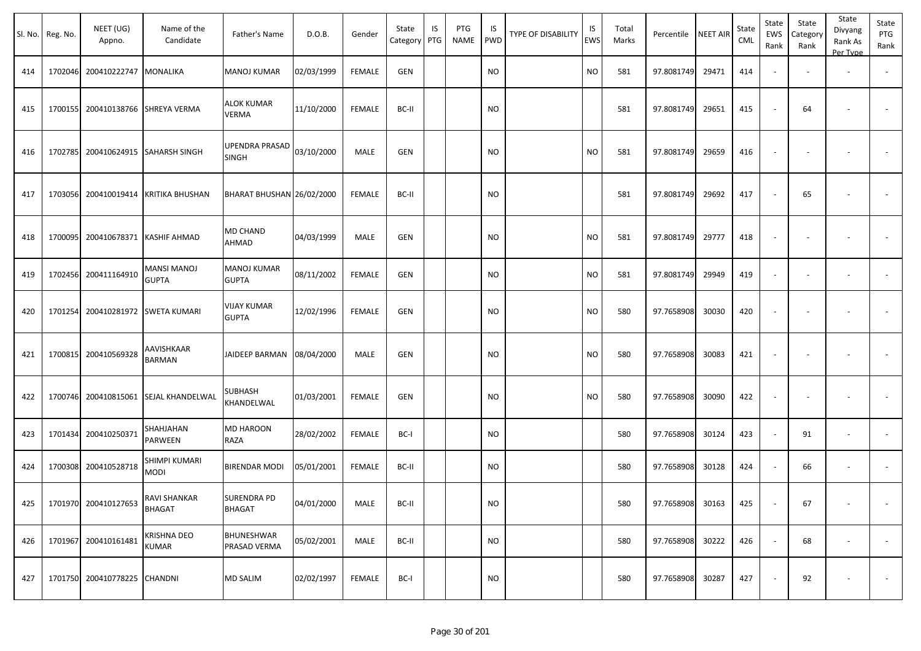|     | Sl. No. Reg. No. | NEET (UG)<br>Appno.          | Name of the<br>Candidate              | Father's Name                      | D.O.B.     | Gender        | State<br>Category | IS<br>PTG | PTG<br>NAME | IS<br>PWD | TYPE OF DISABILITY | IS<br>EWS | Total<br>Marks | Percentile       | <b>NEET AIR</b> | State<br><b>CML</b> | State<br>EWS<br>Rank     | State<br>Category<br>Rank | State<br>Divyang<br>Rank As<br>Per Type | State<br>PTG<br>Rank |
|-----|------------------|------------------------------|---------------------------------------|------------------------------------|------------|---------------|-------------------|-----------|-------------|-----------|--------------------|-----------|----------------|------------------|-----------------|---------------------|--------------------------|---------------------------|-----------------------------------------|----------------------|
| 414 |                  | 1702046 200410222747         | <b>MONALIKA</b>                       | <b>MANOJ KUMAR</b>                 | 02/03/1999 | FEMALE        | <b>GEN</b>        |           |             | <b>NO</b> |                    | NO.       | 581            | 97.8081749       | 29471           | 414                 | $\blacksquare$           |                           | $\overline{\phantom{a}}$                |                      |
| 415 |                  | 1700155 200410138766         | <b>SHREYA VERMA</b>                   | <b>ALOK KUMAR</b><br><b>VERMA</b>  | 11/10/2000 | <b>FEMALE</b> | BC-II             |           |             | NO        |                    |           | 581            | 97.8081749       | 29651           | 415                 | $\overline{\phantom{a}}$ | 64                        |                                         | $\sim$               |
| 416 |                  | 1702785 200410624915         | <b>SAHARSH SINGH</b>                  | UPENDRA PRASAD<br>SINGH            | 03/10/2000 | MALE          | <b>GEN</b>        |           |             | <b>NO</b> |                    | NO        | 581            | 97.8081749       | 29659           | 416                 | $\blacksquare$           |                           |                                         |                      |
| 417 |                  | 1703056 200410019414         | <b>KRITIKA BHUSHAN</b>                | BHARAT BHUSHAN 26/02/2000          |            | FEMALE        | BC-II             |           |             | NO        |                    |           | 581            | 97.8081749       | 29692           | 417                 | $\sim$                   | 65                        |                                         | $\sim$               |
| 418 |                  | 1700095 200410678371         | <b>KASHIF AHMAD</b>                   | MD CHAND<br>AHMAD                  | 04/03/1999 | MALE          | <b>GEN</b>        |           |             | <b>NO</b> |                    | NO.       | 581            | 97.8081749       | 29777           | 418                 | $\blacksquare$           |                           |                                         |                      |
| 419 |                  | 1702456 200411164910         | <b>MANSI MANOJ</b><br><b>GUPTA</b>    | <b>MANOJ KUMAR</b><br><b>GUPTA</b> | 08/11/2002 | FEMALE        | <b>GEN</b>        |           |             | NO        |                    | <b>NO</b> | 581            | 97.8081749       | 29949           | 419                 | $\overline{\phantom{a}}$ | $\overline{\phantom{a}}$  | $\overline{\phantom{a}}$                |                      |
| 420 | 1701254          | 200410281972                 | <b>SWETA KUMARI</b>                   | <b>VIJAY KUMAR</b><br><b>GUPTA</b> | 12/02/1996 | FEMALE        | <b>GEN</b>        |           |             | NO        |                    | <b>NO</b> | 580            | 97.7658908       | 30030           | 420                 | $\blacksquare$           | $\blacksquare$            | $\overline{\phantom{a}}$                |                      |
| 421 |                  | 1700815 200410569328         | AAVISHKAAR<br>BARMAN                  | JAIDEEP BARMAN                     | 08/04/2000 | MALE          | GEN               |           |             | NO        |                    | NO        | 580            | 97.7658908       | 30083           | 421                 | $\blacksquare$           |                           |                                         |                      |
| 422 |                  |                              | 1700746 200410815061 SEJAL KHANDELWAL | SUBHASH<br>KHANDELWAL              | 01/03/2001 | <b>FEMALE</b> | <b>GEN</b>        |           |             | <b>NO</b> |                    | NO.       | 580            | 97.7658908       | 30090           | 422                 | $\overline{\phantom{a}}$ | $\blacksquare$            | $\overline{\phantom{a}}$                | $\sim$               |
| 423 |                  | 1701434 200410250371         | SHAHJAHAN<br>PARWEEN                  | <b>MD HAROON</b><br>RAZA           | 28/02/2002 | <b>FEMALE</b> | BC-I              |           |             | <b>NO</b> |                    |           | 580            | 97.7658908       | 30124           | 423                 | $\sim$                   | 91                        |                                         |                      |
| 424 |                  | 1700308 200410528718         | SHIMPI KUMARI<br>MODI                 | <b>BIRENDAR MODI</b>               | 05/01/2001 | FEMALE        | BC-II             |           |             | <b>NO</b> |                    |           | 580            | 97.7658908       | 30128           | 424                 | $\sim$                   | 66                        |                                         |                      |
| 425 |                  | 1701970 200410127653         | RAVI SHANKAR<br>BHAGAT                | SURENDRA PD<br><b>BHAGAT</b>       | 04/01/2000 | MALE          | BC-II             |           |             | <b>NO</b> |                    |           | 580            | 97.7658908 30163 |                 | 425                 | $\blacksquare$           | 67                        | $\sim$                                  | $\sim$               |
| 426 |                  | 1701967 200410161481         | <b>KRISHNA DEO</b><br><b>KUMAR</b>    | BHUNESHWAR<br>PRASAD VERMA         | 05/02/2001 | MALE          | BC-II             |           |             | <b>NO</b> |                    |           | 580            | 97.7658908       | 30222           | 426                 | $\sim$                   | 68                        | $\sim$                                  | $\sim$               |
| 427 |                  | 1701750 200410778225 CHANDNI |                                       | <b>MD SALIM</b>                    | 02/02/1997 | FEMALE        | BC-I              |           |             | <b>NO</b> |                    |           | 580            | 97.7658908       | 30287           | 427                 | $\blacksquare$           | 92                        |                                         | $\sim$               |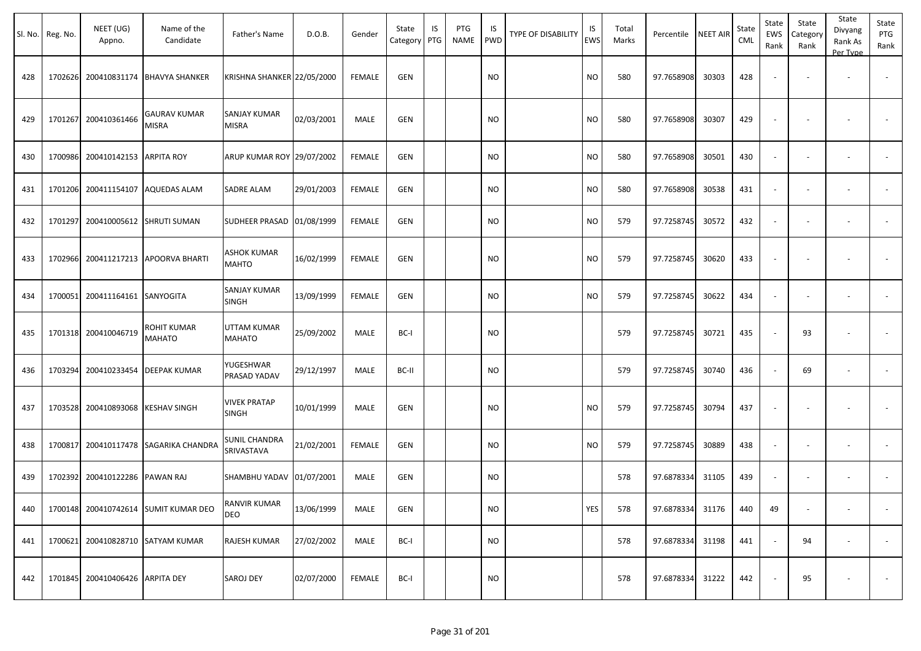|     | Sl. No. Reg. No. | NEET (UG)<br>Appno.       | Name of the<br>Candidate             | Father's Name                       | D.O.B.     | Gender        | State<br>Category | IS<br>PTG | PTG<br><b>NAME</b> | IS<br><b>PWD</b> | <b>TYPE OF DISABILITY</b> | IS<br><b>EWS</b> | Total<br>Marks | Percentile | <b>NEET AIR</b> | State<br><b>CML</b> | State<br>EWS<br>Rank     | State<br>Category<br>Rank | State<br>Divyang<br>Rank As<br>Per Type | State<br>PTG<br>Rank |
|-----|------------------|---------------------------|--------------------------------------|-------------------------------------|------------|---------------|-------------------|-----------|--------------------|------------------|---------------------------|------------------|----------------|------------|-----------------|---------------------|--------------------------|---------------------------|-----------------------------------------|----------------------|
| 428 | 1702626          | 200410831174              | <b>BHAVYA SHANKER</b>                | KRISHNA SHANKER 22/05/2000          |            | <b>FEMALE</b> | <b>GEN</b>        |           |                    | <b>NO</b>        |                           | <b>NO</b>        | 580            | 97.7658908 | 30303           | 428                 |                          |                           | $\sim$                                  |                      |
| 429 | 1701267          | 200410361466              | GAURAV KUMAR<br><b>MISRA</b>         | <b>SANJAY KUMAR</b><br><b>MISRA</b> | 02/03/2001 | MALE          | GEN               |           |                    | NO               |                           | <b>NO</b>        | 580            | 97.7658908 | 30307           | 429                 |                          |                           |                                         |                      |
| 430 | 1700986          | 200410142153              | <b>ARPITA ROY</b>                    | ARUP KUMAR ROY 29/07/2002           |            | <b>FEMALE</b> | <b>GEN</b>        |           |                    | <b>NO</b>        |                           | <b>NO</b>        | 580            | 97.7658908 | 30501           | 430                 |                          |                           |                                         |                      |
| 431 | 1701206          | 200411154107              | <b>AQUEDAS ALAM</b>                  | SADRE ALAM                          | 29/01/2003 | <b>FEMALE</b> | <b>GEN</b>        |           |                    | NO.              |                           | <b>NO</b>        | 580            | 97.7658908 | 30538           | 431                 |                          |                           | $\overline{\phantom{a}}$                |                      |
| 432 | 1701297          | 200410005612 SHRUTI SUMAN |                                      | SUDHEER PRASAD 01/08/1999           |            | <b>FEMALE</b> | <b>GEN</b>        |           |                    | NO.              |                           | <b>NO</b>        | 579            | 97.7258745 | 30572           | 432                 | $\overline{\phantom{a}}$ |                           |                                         |                      |
| 433 | 1702966          |                           | 200411217213 APOORVA BHARTI          | ASHOK KUMAR<br>MAHTO                | 16/02/1999 | <b>FEMALE</b> | GEN               |           |                    | NO.              |                           | <b>NO</b>        | 579            | 97.7258745 | 30620           | 433                 | $\overline{\phantom{a}}$ |                           |                                         |                      |
| 434 | 1700051          | 200411164161              | <b>SANYOGITA</b>                     | SANJAY KUMAR<br>SINGH               | 13/09/1999 | <b>FEMALE</b> | <b>GEN</b>        |           |                    | <b>NO</b>        |                           | <b>NO</b>        | 579            | 97.7258745 | 30622           | 434                 |                          |                           |                                         |                      |
| 435 | 1701318          | 200410046719              | ROHIT KUMAR<br>MAHATO                | <b>UTTAM KUMAR</b><br>MAHATO        | 25/09/2002 | MALE          | BC-I              |           |                    | <b>NO</b>        |                           |                  | 579            | 97.7258745 | 30721           | 435                 |                          | 93                        |                                         |                      |
| 436 | 1703294          | 200410233454              | DEEPAK KUMAR                         | YUGESHWAR<br>PRASAD YADAV           | 29/12/1997 | MALE          | BC-II             |           |                    | <b>NO</b>        |                           |                  | 579            | 97.7258745 | 30740           | 436                 |                          | 69                        | $\overline{\phantom{a}}$                |                      |
| 437 | 1703528          | 200410893068              | KESHAV SINGH                         | <b>VIVEK PRATAP</b><br><b>SINGH</b> | 10/01/1999 | <b>MALE</b>   | <b>GEN</b>        |           |                    | NO.              |                           | <b>NO</b>        | 579            | 97.7258745 | 30794           | 437                 |                          |                           |                                         |                      |
| 438 | 1700817          |                           | 200410117478 SAGARIKA CHANDRA        | SUNIL CHANDRA<br>SRIVASTAVA         | 21/02/2001 | <b>FEMALE</b> | <b>GEN</b>        |           |                    | NO.              |                           | <b>NO</b>        | 579            | 97.7258745 | 30889           | 438                 |                          |                           | $\overline{\phantom{a}}$                |                      |
| 439 | 1702392          | 200410122286              | PAWAN RAJ                            | SHAMBHU YADAV 01/07/2001            |            | MALE          | <b>GEN</b>        |           |                    | <b>NO</b>        |                           |                  | 578            | 97.6878334 | 31105           | 439                 | $\overline{\phantom{a}}$ |                           | $\overline{\phantom{a}}$                |                      |
| 440 |                  |                           | 1700148 200410742614 SUMIT KUMAR DEO | RANVIR KUMAR<br><b>DEO</b>          | 13/06/1999 | MALE          | GEN               |           |                    | NO               |                           | YES              | 578            | 97.6878334 | 31176           | 440                 | 49                       |                           | $\sim$                                  | $\sim$               |
| 441 | 1700621          |                           | 200410828710 SATYAM KUMAR            | RAJESH KUMAR                        | 27/02/2002 | MALE          | BC-I              |           |                    | <b>NO</b>        |                           |                  | 578            | 97.6878334 | 31198           | 441                 |                          | 94                        | $\sim$                                  | $\sim$               |
| 442 | 1701845          | 200410406426 ARPITA DEY   |                                      | SAROJ DEY                           | 02/07/2000 | FEMALE        | BC-I              |           |                    | <b>NO</b>        |                           |                  | 578            | 97.6878334 | 31222           | 442                 |                          | 95                        |                                         | $\sim$               |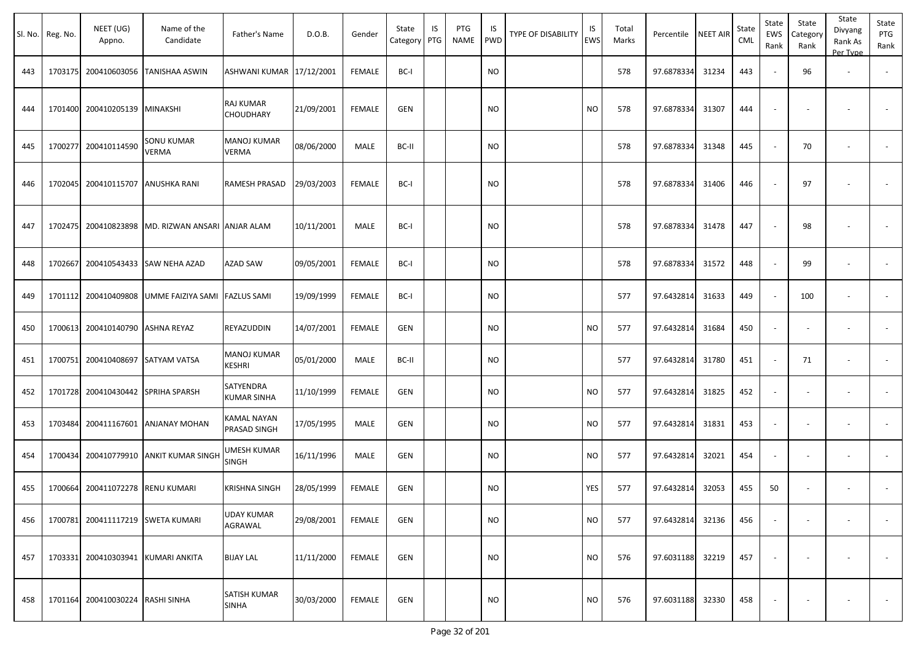| SI. No. | Reg. No. | NEET (UG)<br>Appno.               | Name of the<br>Candidate           | Father's Name                       | D.O.B.     | Gender        | State<br>Category | IS<br>PTG | PTG<br><b>NAME</b> | IS<br><b>PWD</b> | <b>TYPE OF DISABILITY</b> | IS<br><b>EWS</b> | Total<br>Marks | Percentile | <b>NEET AIR</b> | State<br><b>CML</b> | State<br>EWS<br>Rank     | State<br>Category<br>Rank | State<br>Divyang<br>Rank As<br>Per Type | State<br>PTG<br>Rank     |
|---------|----------|-----------------------------------|------------------------------------|-------------------------------------|------------|---------------|-------------------|-----------|--------------------|------------------|---------------------------|------------------|----------------|------------|-----------------|---------------------|--------------------------|---------------------------|-----------------------------------------|--------------------------|
| 443     | 1703175  | 200410603056                      | TANISHAA ASWIN                     | ASHWANI KUMAR 17/12/2001            |            | FEMALE        | BC-I              |           |                    | <b>NO</b>        |                           |                  | 578            | 97.6878334 | 31234           | 443                 |                          | 96                        | $\overline{\phantom{a}}$                |                          |
| 444     | 1701400  | 200410205139                      | <b>MINAKSHI</b>                    | <b>RAJ KUMAR</b><br>CHOUDHARY       | 21/09/2001 | <b>FEMALE</b> | <b>GEN</b>        |           |                    | <b>NO</b>        |                           | <b>NO</b>        | 578            | 97.6878334 | 31307           | 444                 |                          |                           |                                         |                          |
| 445     | 1700277  | 200410114590                      | SONU KUMAR<br>VERMA                | <b>MANOJ KUMAR</b><br>VERMA         | 08/06/2000 | MALE          | BC-II             |           |                    | NO.              |                           |                  | 578            | 97.6878334 | 31348           | 445                 |                          | 70                        |                                         |                          |
| 446     | 1702045  | 200410115707                      | ANUSHKA RANI                       | RAMESH PRASAD                       | 29/03/2003 | FEMALE        | BC-I              |           |                    | <b>NO</b>        |                           |                  | 578            | 97.6878334 | 31406           | 446                 |                          | 97                        |                                         |                          |
| 447     | 1702475  | 200410823898                      | MD. RIZWAN ANSARI ANJAR ALAM       |                                     | 10/11/2001 | MALE          | BC-I              |           |                    | <b>NO</b>        |                           |                  | 578            | 97.6878334 | 31478           | 447                 |                          | 98                        |                                         |                          |
| 448     | 1702667  | 200410543433                      | SAW NEHA AZAD                      | <b>AZAD SAW</b>                     | 09/05/2001 | FEMALE        | BC-I              |           |                    | NO               |                           |                  | 578            | 97.6878334 | 31572           | 448                 |                          | 99                        |                                         |                          |
| 449     | 1701112  | 200410409808                      | UMME FAIZIYA SAMI FAZLUS SAMI      |                                     | 19/09/1999 | <b>FEMALE</b> | BC-I              |           |                    | <b>NO</b>        |                           |                  | 577            | 97.6432814 | 31633           | 449                 |                          | 100                       |                                         |                          |
| 450     | 1700613  | 200410140790                      | <b>ASHNA REYAZ</b>                 | REYAZUDDIN                          | 14/07/2001 | FEMALE        | GEN               |           |                    | <b>NO</b>        |                           | <b>NO</b>        | 577            | 97.6432814 | 31684           | 450                 |                          |                           |                                         |                          |
| 451     | 1700751  | 200410408697                      | <b>SATYAM VATSA</b>                | <b>MANOJ KUMAR</b><br><b>KESHRI</b> | 05/01/2000 | MALE          | BC-II             |           |                    | <b>NO</b>        |                           |                  | 577            | 97.6432814 | 31780           | 451                 |                          | 71                        |                                         |                          |
| 452     | 1701728  | 200410430442                      | <b>SPRIHA SPARSH</b>               | SATYENDRA<br><b>KUMAR SINHA</b>     | 11/10/1999 | <b>FEMALE</b> | GEN               |           |                    | <b>NO</b>        |                           | <b>NO</b>        | 577            | 97.6432814 | 31825           | 452                 |                          |                           | $\overline{\phantom{a}}$                |                          |
| 453     | 1703484  | 200411167601                      | <b>ANJANAY MOHAN</b>               | KAMAL NAYAN<br>PRASAD SINGH         | 17/05/1995 | MALE          | GEN               |           |                    | <b>NO</b>        |                           | <b>NO</b>        | 577            | 97.6432814 | 31831           | 453                 |                          |                           |                                         |                          |
| 454     | 1700434  | 200410779910                      | <b>ANKIT KUMAR SINGH</b>           | UMESH KUMAR<br><b>SINGH</b>         | 16/11/1996 | MALE          | GEN               |           |                    | <b>NO</b>        |                           | <b>NO</b>        | 577            | 97.6432814 | 32021           | 454                 |                          |                           | $\overline{\phantom{a}}$                |                          |
| 455     | 1700664  | 200411072278                      | <b>RENU KUMARI</b>                 | KRISHNA SINGH                       | 28/05/1999 | <b>FEMALE</b> | <b>GEN</b>        |           |                    | <b>NO</b>        |                           | YES              | 577            | 97.6432814 | 32053           | 455                 | 50                       |                           |                                         |                          |
| 456     |          | 1700781 200411117219 SWETA KUMARI |                                    | <b>UDAY KUMAR</b><br>AGRAWAL        | 29/08/2001 | FEMALE        | GEN               |           |                    | <b>NO</b>        |                           | <b>NO</b>        | 577            | 97.6432814 | 32136           | 456                 | $\overline{\phantom{a}}$ |                           |                                         | $\sim$                   |
| 457     |          |                                   | 1703331 200410303941 KUMARI ANKITA | <b>BIJAY LAL</b>                    | 11/11/2000 | FEMALE        | GEN               |           |                    | <b>NO</b>        |                           | <b>NO</b>        | 576            | 97.6031188 | 32219           | 457                 |                          |                           |                                         | $\overline{\phantom{a}}$ |
| 458     | 1701164  | 200410030224                      | <b>RASHI SINHA</b>                 | SATISH KUMAR<br><b>SINHA</b>        | 30/03/2000 | FEMALE        | GEN               |           |                    | <b>NO</b>        |                           | <b>NO</b>        | 576            | 97.6031188 | 32330           | 458                 |                          |                           |                                         | $\sim$                   |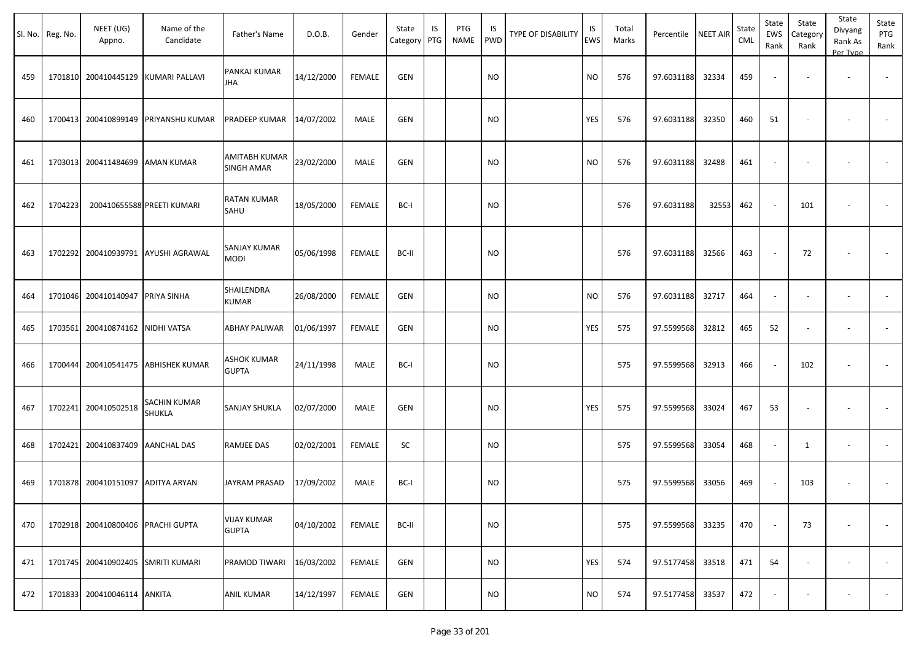|     | Sl. No. Reg. No. | NEET (UG)<br>Appno.                | Name of the<br>Candidate            | Father's Name                      | D.O.B.     | Gender        | State<br>Category | IS<br>PTG | PTG<br>NAME | IS.<br>PWD | TYPE OF DISABILITY | IS<br>EWS | Total<br>Marks | Percentile | <b>NEET AIR</b> | State<br><b>CML</b> | State<br>EWS<br>Rank     | State<br>Category<br>Rank | State<br>Divyang<br>Rank As<br>Per Type | State<br>PTG<br>Rank |
|-----|------------------|------------------------------------|-------------------------------------|------------------------------------|------------|---------------|-------------------|-----------|-------------|------------|--------------------|-----------|----------------|------------|-----------------|---------------------|--------------------------|---------------------------|-----------------------------------------|----------------------|
| 459 |                  | 1701810 200410445129               | <b>KUMARI PALLAVI</b>               | PANKAJ KUMAR<br><b>JHA</b>         | 14/12/2000 | <b>FEMALE</b> | <b>GEN</b>        |           |             | <b>NO</b>  |                    | <b>NO</b> | 576            | 97.6031188 | 32334           | 459                 | $\overline{\phantom{a}}$ | $\overline{\phantom{a}}$  | $\overline{\phantom{a}}$                |                      |
| 460 |                  | 1700413 200410899149               | <b>PRIYANSHU KUMAR</b>              | PRADEEP KUMAR                      | 14/07/2002 | MALE          | <b>GEN</b>        |           |             | <b>NO</b>  |                    | YES       | 576            | 97.6031188 | 32350           | 460                 | 51                       |                           |                                         |                      |
| 461 |                  | 1703013 200411484699 AMAN KUMAR    |                                     | AMITABH KUMAR<br><b>SINGH AMAR</b> | 23/02/2000 | MALE          | <b>GEN</b>        |           |             | NO         |                    | <b>NO</b> | 576            | 97.6031188 | 32488           | 461                 | $\overline{\phantom{a}}$ | $\overline{\phantom{a}}$  | $\overline{\phantom{a}}$                |                      |
| 462 | 1704223          |                                    | 200410655588 PREETI KUMARI          | <b>RATAN KUMAR</b><br>SAHU         | 18/05/2000 | FEMALE        | BC-I              |           |             | NO         |                    |           | 576            | 97.6031188 | 32553           | 462                 | $\sim$                   | 101                       |                                         | $\sim$               |
| 463 |                  |                                    | 1702292 200410939791 AYUSHI AGRAWAL | SANJAY KUMAR<br><b>MODI</b>        | 05/06/1998 | FEMALE        | BC-II             |           |             | NO         |                    |           | 576            | 97.6031188 | 32566           | 463                 | $\sim$                   | 72                        |                                         |                      |
| 464 |                  | 1701046 200410140947               | <b>PRIYA SINHA</b>                  | SHAILENDRA<br>KUMAR                | 26/08/2000 | FEMALE        | GEN               |           |             | NO         |                    | NO        | 576            | 97.6031188 | 32717           | 464                 | $\overline{\phantom{a}}$ |                           |                                         |                      |
| 465 |                  | 1703561 200410874162               | NIDHI VATSA                         | ABHAY PALIWAR                      | 01/06/1997 | FEMALE        | <b>GEN</b>        |           |             | <b>NO</b>  |                    | YES       | 575            | 97.5599568 | 32812           | 465                 | 52                       | $\overline{\phantom{a}}$  | $\overline{\phantom{a}}$                |                      |
| 466 |                  | 1700444 200410541475               | <b>ABHISHEK KUMAR</b>               | <b>ASHOK KUMAR</b><br><b>GUPTA</b> | 24/11/1998 | MALE          | BC-I              |           |             | <b>NO</b>  |                    |           | 575            | 97.5599568 | 32913           | 466                 | $\overline{\phantom{a}}$ | 102                       |                                         |                      |
| 467 |                  | 1702241 200410502518               | SACHIN KUMAR<br>SHUKLA              | <b>SANJAY SHUKLA</b>               | 02/07/2000 | MALE          | <b>GEN</b>        |           |             | NO         |                    | YES       | 575            | 97.5599568 | 33024           | 467                 | 53                       |                           |                                         |                      |
| 468 |                  | 1702421 200410837409 AANCHAL DAS   |                                     | <b>RAMJEE DAS</b>                  | 02/02/2001 | FEMALE        | SC                |           |             | <b>NO</b>  |                    |           | 575            | 97.5599568 | 33054           | 468                 | $\overline{\phantom{a}}$ | 1                         | $\overline{\phantom{a}}$                |                      |
| 469 |                  | 1701878 200410151097               | <b>ADITYA ARYAN</b>                 | JAYRAM PRASAD                      | 17/09/2002 | MALE          | BC-I              |           |             | NO         |                    |           | 575            | 97.5599568 | 33056           | 469                 | $\overline{\phantom{a}}$ | 103                       |                                         |                      |
| 470 |                  | 1702918 200410800406               | <b>PRACHI GUPTA</b>                 | <b>VIJAY KUMAR</b><br><b>GUPTA</b> | 04/10/2002 | FEMALE        | BC-II             |           |             | <b>NO</b>  |                    |           | 575            | 97.5599568 | 33235           | 470                 | $\sim$                   | 73                        |                                         | $\sim$               |
| 471 |                  | 1701745 200410902405 SMRITI KUMARI |                                     | PRAMOD TIWARI                      | 16/03/2002 | FEMALE        | GEN               |           |             | <b>NO</b>  |                    | YES       | 574            | 97.5177458 | 33518           | 471                 | 54                       | $\sim$                    | $\sim$                                  | $\sim$               |
| 472 |                  | 1701833 200410046114 ANKITA        |                                     | <b>ANIL KUMAR</b>                  | 14/12/1997 | FEMALE        | <b>GEN</b>        |           |             | <b>NO</b>  |                    | <b>NO</b> | 574            | 97.5177458 | 33537           | 472                 | $\overline{\phantom{a}}$ | $\overline{\phantom{a}}$  |                                         | $\sim$               |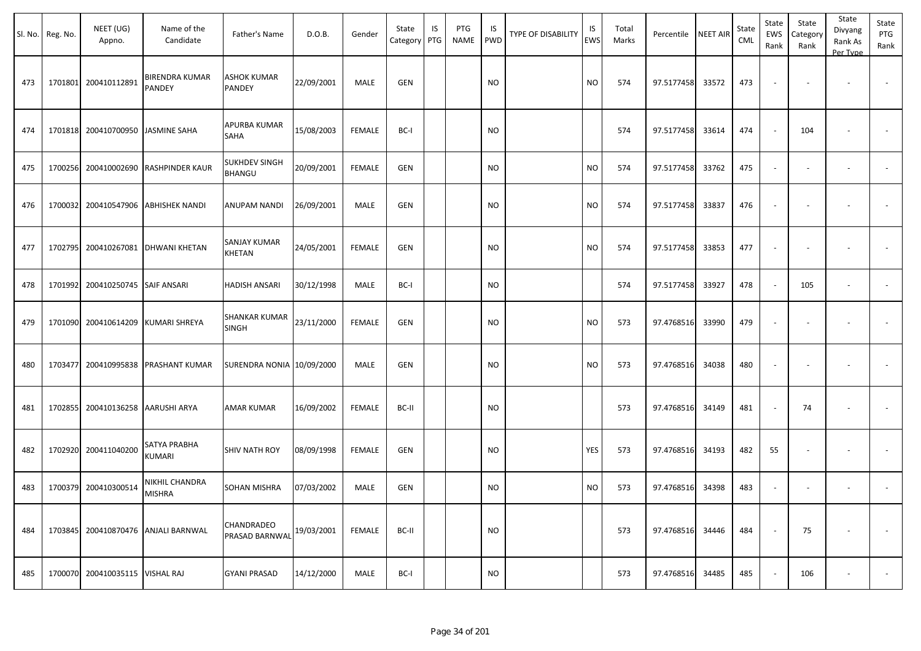|     | Sl. No. Reg. No. | NEET (UG)<br>Appno.               | Name of the<br>Candidate               | Father's Name                         | D.O.B.     | Gender        | State<br>Category | IS<br>PTG | PTG<br><b>NAME</b> | IS<br><b>PWD</b> | <b>TYPE OF DISABILITY</b> | IS<br>EWS | Total<br>Marks | Percentile | <b>NEET AIR</b> | State<br>CML | State<br>EWS<br>Rank | State<br>Category<br>Rank | State<br>Divyang<br>Rank As<br>Per Type | State<br>PTG<br>Rank |
|-----|------------------|-----------------------------------|----------------------------------------|---------------------------------------|------------|---------------|-------------------|-----------|--------------------|------------------|---------------------------|-----------|----------------|------------|-----------------|--------------|----------------------|---------------------------|-----------------------------------------|----------------------|
| 473 | 1701801          | 200410112891                      | <b>BIRENDRA KUMAR</b><br><b>PANDEY</b> | ASHOK KUMAR<br>PANDEY                 | 22/09/2001 | MALE          | <b>GEN</b>        |           |                    | <b>NO</b>        |                           | <b>NO</b> | 574            | 97.5177458 | 33572           | 473          |                      |                           |                                         |                      |
| 474 |                  | 1701818 200410700950 JASMINE SAHA |                                        | APURBA KUMAR<br>SAHA                  | 15/08/2003 | <b>FEMALE</b> | BC-I              |           |                    | <b>NO</b>        |                           |           | 574            | 97.5177458 | 33614           | 474          |                      | 104                       |                                         |                      |
| 475 | 1700256          |                                   | 200410002690 RASHPINDER KAUR           | <b>SUKHDEV SINGH</b><br><b>BHANGU</b> | 20/09/2001 | <b>FEMALE</b> | <b>GEN</b>        |           |                    | <b>NO</b>        |                           | <b>NO</b> | 574            | 97.5177458 | 33762           | 475          |                      |                           | $\sim$                                  |                      |
| 476 | 1700032          |                                   | 200410547906 ABHISHEK NANDI            | ANUPAM NANDI                          | 26/09/2001 | MALE          | GEN               |           |                    | <b>NO</b>        |                           | <b>NO</b> | 574            | 97.5177458 | 33837           | 476          |                      |                           |                                         |                      |
| 477 |                  |                                   | 1702795 200410267081 DHWANI KHETAN     | SANJAY KUMAR<br>KHETAN                | 24/05/2001 | FEMALE        | <b>GEN</b>        |           |                    | <b>NO</b>        |                           | <b>NO</b> | 574            | 97.5177458 | 33853           | 477          |                      |                           |                                         |                      |
| 478 |                  | 1701992 200410250745 SAIF ANSARI  |                                        | HADISH ANSARI                         | 30/12/1998 | MALE          | BC-I              |           |                    | <b>NO</b>        |                           |           | 574            | 97.5177458 | 33927           | 478          |                      | 105                       | $\overline{\phantom{a}}$                |                      |
| 479 | 1701090          |                                   | 200410614209 KUMARI SHREYA             | SHANKAR KUMAR<br><b>SINGH</b>         | 23/11/2000 | <b>FEMALE</b> | <b>GEN</b>        |           |                    | <b>NO</b>        |                           | <b>NO</b> | 573            | 97.4768516 | 33990           | 479          |                      |                           |                                         |                      |
| 480 | 1703477          |                                   | 200410995838 PRASHANT KUMAR            | SURENDRA NONIA 10/09/2000             |            | MALE          | <b>GEN</b>        |           |                    | <b>NO</b>        |                           | <b>NO</b> | 573            | 97.4768516 | 34038           | 480          |                      |                           |                                         |                      |
| 481 | 1702855          | 200410136258 AARUSHI ARYA         |                                        | AMAR KUMAR                            | 16/09/2002 | <b>FEMALE</b> | BC-II             |           |                    | <b>NO</b>        |                           |           | 573            | 97.4768516 | 34149           | 481          |                      | 74                        |                                         |                      |
| 482 |                  | 1702920 200411040200              | <b>SATYA PRABHA</b><br><b>KUMARI</b>   | <b>SHIV NATH ROY</b>                  | 08/09/1998 | <b>FEMALE</b> | <b>GEN</b>        |           |                    | <b>NO</b>        |                           | YES       | 573            | 97.4768516 | 34193           | 482          | 55                   |                           |                                         |                      |
| 483 |                  | 1700379 200410300514              | NIKHIL CHANDRA<br><b>MISHRA</b>        | SOHAN MISHRA                          | 07/03/2002 | MALE          | <b>GEN</b>        |           |                    | <b>NO</b>        |                           | <b>NO</b> | 573            | 97.4768516 | 34398           | 483          |                      |                           |                                         |                      |
| 484 |                  |                                   | 1703845 200410870476 ANJALI BARNWAL    | CHANDRADEO<br>PRASAD BARNWAL          | 19/03/2001 | <b>FEMALE</b> | BC-II             |           |                    | <b>NO</b>        |                           |           | 573            | 97.4768516 | 34446           | 484          |                      | 75                        |                                         | $\sim$               |
| 485 |                  | 1700070 200410035115 VISHAL RAJ   |                                        | <b>GYANI PRASAD</b>                   | 14/12/2000 | MALE          | BC-I              |           |                    | <b>NO</b>        |                           |           | 573            | 97.4768516 | 34485           | 485          |                      | 106                       | $\overline{\phantom{a}}$                | $\sim$               |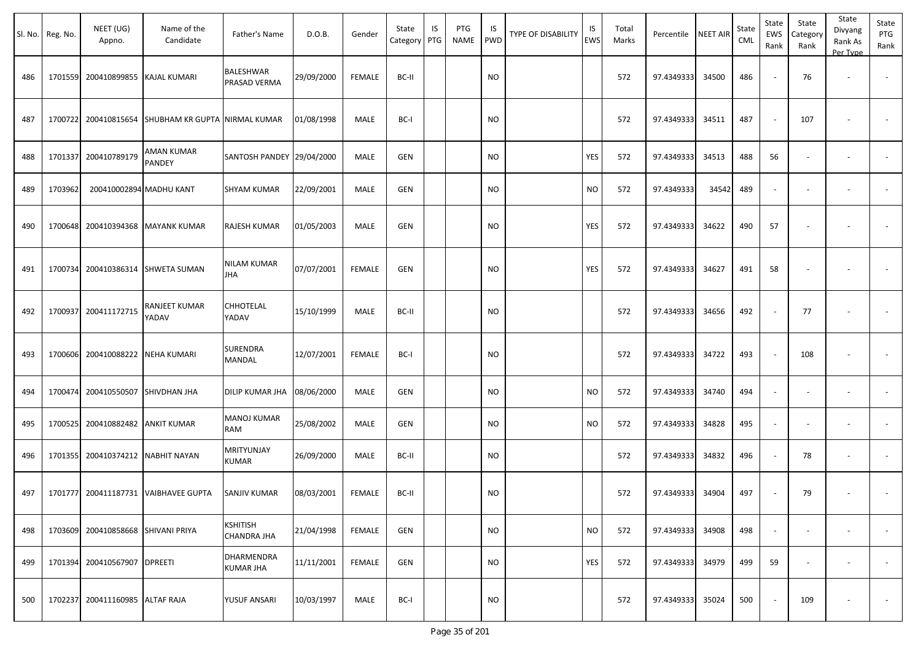|     |                  |                                    |                                                    |                                       |            |               |                   |           |                    |           |                    |                  |                |            |                 |                     |                          |                           | State                          |                          |
|-----|------------------|------------------------------------|----------------------------------------------------|---------------------------------------|------------|---------------|-------------------|-----------|--------------------|-----------|--------------------|------------------|----------------|------------|-----------------|---------------------|--------------------------|---------------------------|--------------------------------|--------------------------|
|     | Sl. No. Reg. No. | NEET (UG)<br>Appno.                | Name of the<br>Candidate                           | Father's Name                         | D.O.B.     | Gender        | State<br>Category | IS<br>PTG | <b>PTG</b><br>NAME | IS<br>PWD | TYPE OF DISABILITY | IS<br><b>EWS</b> | Total<br>Marks | Percentile | <b>NEET AIR</b> | State<br><b>CML</b> | State<br>EWS<br>Rank     | State<br>Category<br>Rank | Divyang<br>Rank As<br>Per Type | State<br>PTG<br>Rank     |
| 486 |                  | 1701559 200410899855               | KAJAL KUMARI                                       | BALESHWAR<br>PRASAD VERMA             | 29/09/2000 | <b>FEMALE</b> | BC-II             |           |                    | <b>NO</b> |                    |                  | 572            | 97.4349333 | 34500           | 486                 | $\overline{\phantom{a}}$ | 76                        | $\overline{\phantom{a}}$       |                          |
| 487 |                  |                                    | 1700722 200410815654 SHUBHAM KR GUPTA NIRMAL KUMAR |                                       | 01/08/1998 | MALE          | BC-I              |           |                    | NO.       |                    |                  | 572            | 97.4349333 | 34511           | 487                 |                          | 107                       |                                |                          |
| 488 |                  | 1701337 200410789179               | AMAN KUMAR<br>PANDEY                               | SANTOSH PANDEY 29/04/2000             |            | MALE          | <b>GEN</b>        |           |                    | <b>NO</b> |                    | YES              | 572            | 97.4349333 | 34513           | 488                 | 56                       |                           |                                |                          |
| 489 | 1703962          | 200410002894 MADHU KANT            |                                                    | <b>SHYAM KUMAR</b>                    | 22/09/2001 | MALE          | GEN               |           |                    | <b>NO</b> |                    | <b>NO</b>        | 572            | 97.4349333 | 34542           | 489                 | $\overline{\phantom{a}}$ | $\overline{\phantom{a}}$  |                                |                          |
| 490 |                  | 1700648 200410394368               | <b>MAYANK KUMAR</b>                                | RAJESH KUMAR                          | 01/05/2003 | MALE          | <b>GEN</b>        |           |                    | <b>NO</b> |                    | YES              | 572            | 97.4349333 | 34622           | 490                 | 57                       |                           |                                |                          |
| 491 |                  |                                    | 1700734 200410386314 SHWETA SUMAN                  | NILAM KUMAR<br>JHA                    | 07/07/2001 | <b>FEMALE</b> | <b>GEN</b>        |           |                    | <b>NO</b> |                    | YES              | 572            | 97.4349333 | 34627           | 491                 | 58                       |                           |                                |                          |
| 492 | 1700937          | 200411172715                       | RANJEET KUMAR<br>YADAV                             | CHHOTELAL<br>YADAV                    | 15/10/1999 | MALE          | BC-II             |           |                    | <b>NO</b> |                    |                  | 572            | 97.4349333 | 34656           | 492                 | $\sim$                   | 77                        |                                |                          |
| 493 |                  | 1700606 200410088222               | <b>NEHA KUMARI</b>                                 | SURENDRA<br>MANDAL                    | 12/07/2001 | FEMALE        | BC-I              |           |                    | NO.       |                    |                  | 572            | 97.4349333 | 34722           | 493                 | $\overline{\phantom{a}}$ | 108                       |                                |                          |
| 494 |                  | 1700474 200410550507               | SHIVDHAN JHA                                       | DILIP KUMAR JHA                       | 08/06/2000 | MALE          | <b>GEN</b>        |           |                    | <b>NO</b> |                    | <b>NO</b>        | 572            | 97.4349333 | 34740           | 494                 | $\blacksquare$           | $\overline{\phantom{a}}$  | $\overline{\phantom{a}}$       |                          |
| 495 |                  | 1700525 200410882482               | <b>ANKIT KUMAR</b>                                 | MANOJ KUMAR<br>RAM                    | 25/08/2002 | MALE          | <b>GEN</b>        |           |                    | <b>NO</b> |                    | <b>NO</b>        | 572            | 97.4349333 | 34828           | 495                 | $\sim$                   | $\overline{\phantom{a}}$  | $\overline{\phantom{a}}$       | $\overline{\phantom{a}}$ |
| 496 |                  | 1701355 200410374212               | <b>NABHIT NAYAN</b>                                | MRITYUNJAY<br><b>KUMAR</b>            | 26/09/2000 | MALE          | BC-II             |           |                    | <b>NO</b> |                    |                  | 572            | 97.4349333 | 34832           | 496                 | $\blacksquare$           | 78                        | $\overline{\phantom{a}}$       |                          |
| 497 |                  |                                    | 1701777 200411187731 VAIBHAVEE GUPTA               | SANJIV KUMAR                          | 08/03/2001 | <b>FEMALE</b> | BC-II             |           |                    | <b>NO</b> |                    |                  | 572            | 97.4349333 | 34904           | 497                 | $\overline{\phantom{a}}$ | 79                        | $\overline{\phantom{a}}$       |                          |
| 498 |                  | 1703609 200410858668 SHIVANI PRIYA |                                                    | <b>KSHITISH</b><br><b>CHANDRA JHA</b> | 21/04/1998 | <b>FEMALE</b> | GEN               |           |                    | <b>NO</b> |                    | <b>NO</b>        | 572            | 97.4349333 | 34908           | 498                 | $\overline{\phantom{a}}$ | $\overline{\phantom{a}}$  | $\overline{\phantom{a}}$       | $\sim$                   |
| 499 |                  | 1701394 200410567907               | <b>DPREETI</b>                                     | DHARMENDRA<br><b>KUMAR JHA</b>        | 11/11/2001 | <b>FEMALE</b> | GEN               |           |                    | <b>NO</b> |                    | YES              | 572            | 97.4349333 | 34979           | 499                 | 59                       | $\sim$                    | $\overline{\phantom{a}}$       | $\sim$                   |
| 500 |                  | 1702237 200411160985               | <b>ALTAF RAJA</b>                                  | YUSUF ANSARI                          | 10/03/1997 | MALE          | BC-I              |           |                    | <b>NO</b> |                    |                  | 572            | 97.4349333 | 35024           | 500                 | $\blacksquare$           | 109                       |                                | $\sim$                   |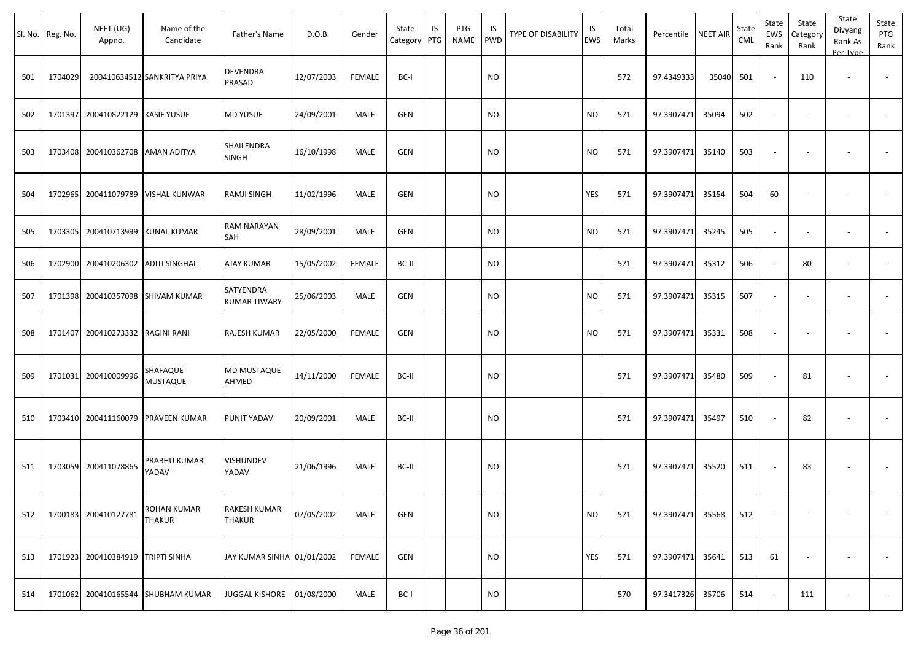| Sl. No. | Reg. No. | NEET (UG)<br>Appno.                | Name of the<br>Candidate            | Father's Name                        | D.O.B.     | Gender        | State<br>Category | IS<br>PTG | PTG<br><b>NAME</b> | IS<br><b>PWD</b> | <b>TYPE OF DISABILITY</b> | IS<br><b>EWS</b> | Total<br>Marks | Percentile NEET AIR |       | State<br>CML | State<br>EWS<br>Rank     | State<br>Category<br>Rank | State<br>Divyang<br>Rank As<br>Per Type | State<br>PTG<br>Rank     |
|---------|----------|------------------------------------|-------------------------------------|--------------------------------------|------------|---------------|-------------------|-----------|--------------------|------------------|---------------------------|------------------|----------------|---------------------|-------|--------------|--------------------------|---------------------------|-----------------------------------------|--------------------------|
| 501     | 1704029  |                                    | 200410634512 SANKRITYA PRIYA        | <b>DEVENDRA</b><br>PRASAD            | 12/07/2003 | <b>FEMALE</b> | BC-I              |           |                    | <b>NO</b>        |                           |                  | 572            | 97.4349333          | 35040 | 501          | $\sim$                   | 110                       | $\overline{\phantom{a}}$                |                          |
| 502     | 1701397  | 200410822129 KASIF YUSUF           |                                     | <b>MD YUSUF</b>                      | 24/09/2001 | MALE          | <b>GEN</b>        |           |                    | <b>NO</b>        |                           | <b>NO</b>        | 571            | 97.3907471          | 35094 | 502          | $\sim$                   |                           | $\overline{\phantom{a}}$                |                          |
| 503     |          | 1703408 200410362708 AMAN ADITYA   |                                     | SHAILENDRA<br><b>SINGH</b>           | 16/10/1998 | MALE          | <b>GEN</b>        |           |                    | <b>NO</b>        |                           | <b>NO</b>        | 571            | 97.3907471          | 35140 | 503          |                          |                           |                                         |                          |
| 504     |          |                                    | 1702965 200411079789 VISHAL KUNWAR  | RAMJI SINGH                          | 11/02/1996 | MALE          | <b>GEN</b>        |           |                    | <b>NO</b>        |                           | YES              | 571            | 97.3907471          | 35154 | 504          | 60                       |                           |                                         |                          |
| 505     | 1703305  | 200410713999 KUNAL KUMAR           |                                     | RAM NARAYAN<br>SAH                   | 28/09/2001 | MALE          | <b>GEN</b>        |           |                    | <b>NO</b>        |                           | <b>NO</b>        | 571            | 97.3907471          | 35245 | 505          | $\sim$                   |                           | $\overline{\phantom{a}}$                | $\overline{\phantom{a}}$ |
| 506     |          | 1702900 200410206302 ADITI SINGHAL |                                     | AJAY KUMAR                           | 15/05/2002 | <b>FEMALE</b> | BC-II             |           |                    | <b>NO</b>        |                           |                  | 571            | 97.3907471          | 35312 | 506          |                          | 80                        | $\overline{\phantom{a}}$                |                          |
| 507     |          | 1701398 200410357098 SHIVAM KUMAR  |                                     | SATYENDRA<br><b>KUMAR TIWARY</b>     | 25/06/2003 | MALE          | <b>GEN</b>        |           |                    | <b>NO</b>        |                           | <b>NO</b>        | 571            | 97.3907471          | 35315 | 507          |                          |                           | $\overline{\phantom{a}}$                |                          |
| 508     | 1701407  | 200410273332                       | <b>RAGINI RANI</b>                  | RAJESH KUMAR                         | 22/05/2000 | <b>FEMALE</b> | GEN               |           |                    | <b>NO</b>        |                           | <b>NO</b>        | 571            | 97.3907471          | 35331 | 508          | $\overline{\phantom{a}}$ |                           |                                         |                          |
| 509     |          | 1701031 200410009996               | SHAFAQUE<br><b>MUSTAQUE</b>         | <b>MD MUSTAQUE</b><br>AHMED          | 14/11/2000 | <b>FEMALE</b> | BC-II             |           |                    | <b>NO</b>        |                           |                  | 571            | 97.3907471          | 35480 | 509          |                          | 81                        |                                         |                          |
| 510     |          | 1703410 200411160079               | <b>PRAVEEN KUMAR</b>                | PUNIT YADAV                          | 20/09/2001 | MALE          | BC-II             |           |                    | <b>NO</b>        |                           |                  | 571            | 97.3907471          | 35497 | 510          |                          | 82                        |                                         |                          |
| 511     |          | 1703059 200411078865               | PRABHU KUMAR<br>YADAV               | VISHUNDEV<br>YADAV                   | 21/06/1996 | MALE          | BC-II             |           |                    | <b>NO</b>        |                           |                  | 571            | 97.3907471          | 35520 | 511          |                          | 83                        |                                         |                          |
| 512     |          | 1700183 200410127781               | <b>ROHAN KUMAR</b><br><b>THAKUR</b> | <b>RAKESH KUMAR</b><br><b>THAKUR</b> | 07/05/2002 | MALE          | GEN               |           |                    | <b>NO</b>        |                           | <b>NO</b>        | 571            | 97.3907471          | 35568 | 512          | $\sim$                   |                           |                                         |                          |
| 513     |          | 1701923 200410384919 TRIPTI SINHA  |                                     | JAY KUMAR SINHA 01/01/2002           |            | FEMALE        | GEN               |           |                    | <b>NO</b>        |                           | YES              | 571            | 97.3907471          | 35641 | 513          | 61                       |                           | $\overline{\phantom{a}}$                | $\sim$                   |
| 514     |          |                                    | 1701062 200410165544 SHUBHAM KUMAR  | <b>JUGGAL KISHORE</b>                | 01/08/2000 | MALE          | BC-I              |           |                    | <b>NO</b>        |                           |                  | 570            | 97.3417326          | 35706 | 514          |                          | 111                       | $\overline{\phantom{a}}$                | $\sim 100$               |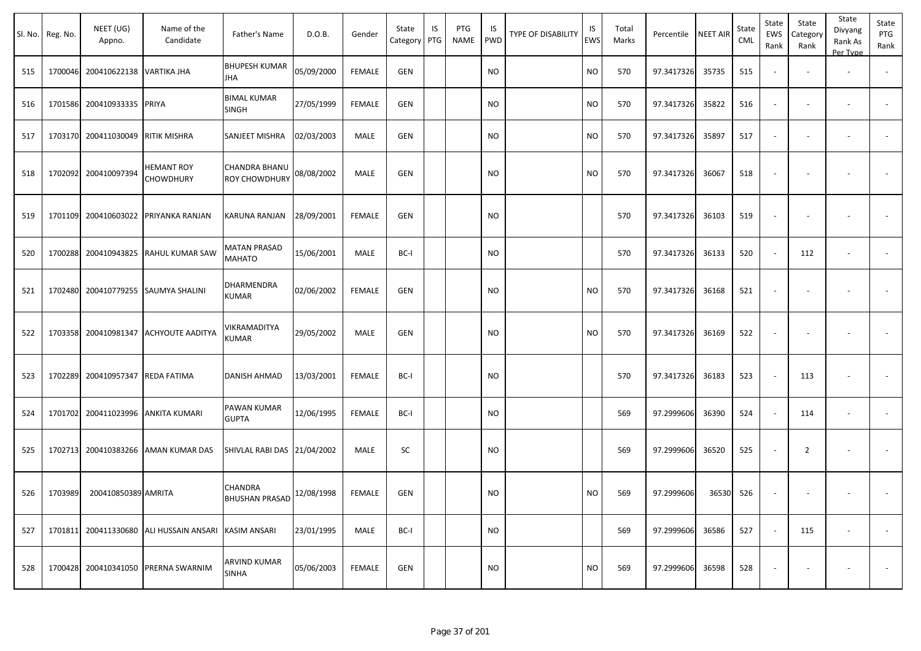|     | Sl. No. Reg. No. | NEET (UG)<br>Appno.               | Name of the<br>Candidate                             | Father's Name                           | D.O.B.     | Gender        | State<br>Category | IS<br>PTG | PTG<br>NAME | IS.<br>PWD | TYPE OF DISABILITY | IS<br>EWS | Total<br>Marks | Percentile | <b>NEET AIR</b> | State<br><b>CML</b> | State<br>EWS<br>Rank     | State<br>Category<br>Rank | State<br>Divyang<br>Rank As<br>Per Type | State<br>PTG<br>Rank |
|-----|------------------|-----------------------------------|------------------------------------------------------|-----------------------------------------|------------|---------------|-------------------|-----------|-------------|------------|--------------------|-----------|----------------|------------|-----------------|---------------------|--------------------------|---------------------------|-----------------------------------------|----------------------|
| 515 |                  | 1700046 200410622138 VARTIKA JHA  |                                                      | <b>BHUPESH KUMAR</b><br>JHA             | 05/09/2000 | <b>FEMALE</b> | <b>GEN</b>        |           |             | <b>NO</b>  |                    | NO.       | 570            | 97.3417326 | 35735           | 515                 | $\blacksquare$           |                           | $\overline{\phantom{a}}$                |                      |
| 516 |                  | 1701586 200410933335              | PRIYA                                                | <b>BIMAL KUMAR</b><br><b>SINGH</b>      | 27/05/1999 | <b>FEMALE</b> | <b>GEN</b>        |           |             | NO.        |                    | NO.       | 570            | 97.3417326 | 35822           | 516                 | $\overline{\phantom{a}}$ | $\overline{\phantom{a}}$  | $\overline{\phantom{a}}$                |                      |
| 517 |                  | 1703170 200411030049 RITIK MISHRA |                                                      | SANJEET MISHRA                          | 02/03/2003 | MALE          | <b>GEN</b>        |           |             | <b>NO</b>  |                    | NO.       | 570            | 97.3417326 | 35897           | 517                 | $\omega$                 | $\overline{\phantom{a}}$  | $\overline{\phantom{a}}$                |                      |
| 518 |                  | 1702092 200410097394              | HEMANT ROY<br>CHOWDHURY                              | CHANDRA BHANU<br>ROY CHOWDHURY          | 08/08/2002 | <b>MALE</b>   | <b>GEN</b>        |           |             | <b>NO</b>  |                    | <b>NO</b> | 570            | 97.3417326 | 36067           | 518                 | $\overline{\phantom{a}}$ | $\overline{\phantom{a}}$  |                                         | $\blacksquare$       |
| 519 |                  |                                   | 1701109 200410603022 PRIYANKA RANJAN                 | <b>KARUNA RANJAN</b>                    | 28/09/2001 | <b>FEMALE</b> | <b>GEN</b>        |           |             | <b>NO</b>  |                    |           | 570            | 97.3417326 | 36103           | 519                 | $\blacksquare$           |                           | $\overline{\phantom{a}}$                |                      |
| 520 |                  | 1700288 200410943825              | RAHUL KUMAR SAW                                      | MATAN PRASAD<br>MAHATO                  | 15/06/2001 | MALE          | BC-I              |           |             | NO         |                    |           | 570            | 97.3417326 | 36133           | 520                 | $\sim$                   | 112                       | $\overline{\phantom{a}}$                | $\sim$               |
| 521 |                  |                                   | 1702480 200410779255 SAUMYA SHALINI                  | DHARMENDRA<br><b>KUMAR</b>              | 02/06/2002 | FEMALE        | <b>GEN</b>        |           |             | NO         |                    | NO        | 570            | 97.3417326 | 36168           | 521                 | $\overline{\phantom{a}}$ | $\overline{\phantom{a}}$  |                                         |                      |
| 522 |                  |                                   | 1703358 200410981347 ACHYOUTE AADITYA                | VIKRAMADITYA<br><b>KUMAR</b>            | 29/05/2002 | MALE          | <b>GEN</b>        |           |             | NO         |                    | <b>NO</b> | 570            | 97.3417326 | 36169           | 522                 | $\overline{\phantom{a}}$ | $\overline{\phantom{a}}$  | $\overline{\phantom{a}}$                |                      |
| 523 |                  | 1702289 200410957347              | REDA FATIMA                                          | DANISH AHMAD                            | 13/03/2001 | <b>FEMALE</b> | BC-I              |           |             | NO         |                    |           | 570            | 97.3417326 | 36183           | 523                 | $\overline{\phantom{a}}$ | 113                       |                                         |                      |
| 524 |                  |                                   | 1701702 200411023996 ANKITA KUMARI                   | PAWAN KUMAR<br><b>GUPTA</b>             | 12/06/1995 | <b>FEMALE</b> | BC-I              |           |             | <b>NO</b>  |                    |           | 569            | 97.2999606 | 36390           | 524                 | $\sim$                   | 114                       | $\overline{\phantom{a}}$                |                      |
| 525 |                  | 1702713 200410383266              | AMAN KUMAR DAS                                       | SHIVLAL RABI DAS 21/04/2002             |            | MALE          | SC                |           |             | <b>NO</b>  |                    |           | 569            | 97.2999606 | 36520           | 525                 | $\overline{\phantom{a}}$ | $\overline{2}$            | $\overline{\phantom{a}}$                | $\blacksquare$       |
| 526 | 1703989          | 200410850389 AMRITA               |                                                      | <b>CHANDRA</b><br><b>BHUSHAN PRASAD</b> | 12/08/1998 | FEMALE        | <b>GEN</b>        |           |             | <b>NO</b>  |                    | NO        | 569            | 97.2999606 | 36530           | 526                 | $\sim$                   |                           |                                         |                      |
| 527 |                  |                                   | 1701811 200411330680 ALI HUSSAIN ANSARI KASIM ANSARI |                                         | 23/01/1995 | MALE          | BC-I              |           |             | <b>NO</b>  |                    |           | 569            | 97.2999606 | 36586           | 527                 | $\sim$                   | 115                       | $\sim$                                  | $\sim$               |
| 528 |                  | 1700428 200410341050              | PRERNA SWARNIM                                       | <b>ARVIND KUMAR</b><br><b>SINHA</b>     | 05/06/2003 | FEMALE        | <b>GEN</b>        |           |             | <b>NO</b>  |                    | <b>NO</b> | 569            | 97.2999606 | 36598           | 528                 | $\overline{\phantom{a}}$ | $\overline{\phantom{a}}$  |                                         | $\sim$               |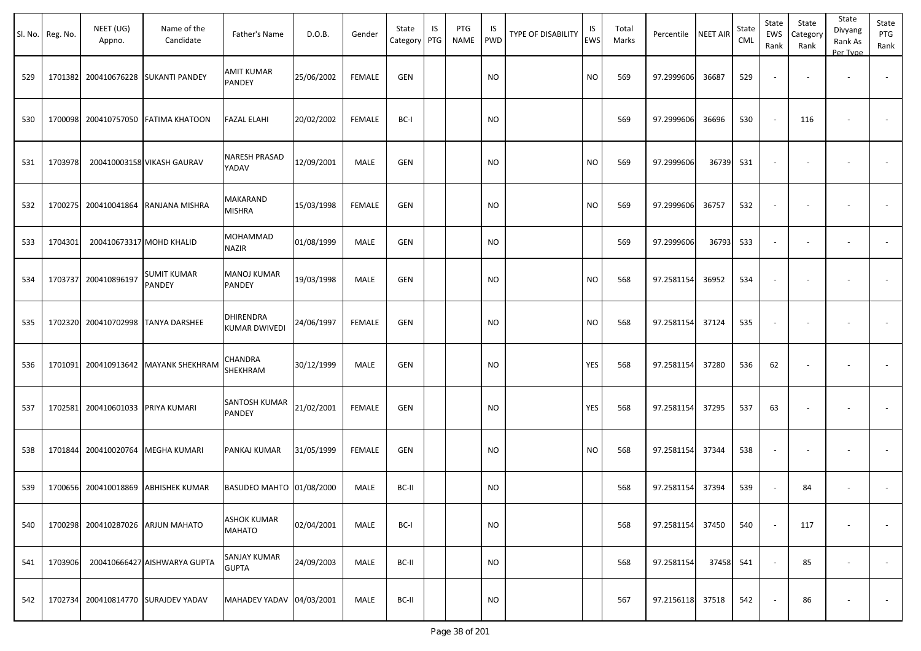|     | Sl. No. Reg. No. | NEET (UG)<br>Appno.               | Name of the<br>Candidate            | Father's Name                       | D.O.B.     | Gender        | State<br>Category | IS<br>PTG | PTG<br>NAME | IS<br><b>PWD</b> | <b>TYPE OF DISABILITY</b> | IS<br><b>EWS</b> | Total<br>Marks | Percentile | <b>NEET AIR</b> | State<br><b>CML</b> | State<br>EWS<br>Rank     | State<br>Category<br>Rank | State<br>Divyang<br>Rank As<br>Per Type | State<br>PTG<br>Rank |
|-----|------------------|-----------------------------------|-------------------------------------|-------------------------------------|------------|---------------|-------------------|-----------|-------------|------------------|---------------------------|------------------|----------------|------------|-----------------|---------------------|--------------------------|---------------------------|-----------------------------------------|----------------------|
| 529 | 1701382          | 200410676228                      | <b>SUKANTI PANDEY</b>               | AMIT KUMAR<br>PANDEY                | 25/06/2002 | <b>FEMALE</b> | <b>GEN</b>        |           |             | <b>NO</b>        |                           | <b>NO</b>        | 569            | 97.2999606 | 36687           | 529                 |                          | $\sim$                    |                                         |                      |
| 530 |                  | 1700098 200410757050              | <b>FATIMA KHATOON</b>               | <b>FAZAL ELAHI</b>                  | 20/02/2002 | <b>FEMALE</b> | BC-I              |           |             | NO.              |                           |                  | 569            | 97.2999606 | 36696           | 530                 | $\sim$                   | 116                       |                                         |                      |
| 531 | 1703978          |                                   | 200410003158 VIKASH GAURAV          | <b>NARESH PRASAD</b><br>YADAV       | 12/09/2001 | MALE          | <b>GEN</b>        |           |             | <b>NO</b>        |                           | <b>NO</b>        | 569            | 97.2999606 | 36739           | 531                 | $\overline{\phantom{a}}$ | $\overline{\phantom{a}}$  |                                         |                      |
| 532 |                  | 1700275 200410041864              | RANJANA MISHRA                      | MAKARAND<br>MISHRA                  | 15/03/1998 | FEMALE        | GEN               |           |             | <b>NO</b>        |                           | <b>NO</b>        | 569            | 97.2999606 | 36757           | 532                 | $\sim$                   | $\sim$                    |                                         |                      |
| 533 | 1704301          |                                   | 200410673317 MOHD KHALID            | MOHAMMAD<br>NAZIR                   | 01/08/1999 | MALE          | GEN               |           |             | <b>NO</b>        |                           |                  | 569            | 97.2999606 | 36793           | 533                 | $\overline{\phantom{a}}$ | $\overline{\phantom{a}}$  | $\overline{\phantom{a}}$                |                      |
| 534 |                  | 1703737 200410896197              | SUMIT KUMAR<br>PANDEY               | <b>MANOJ KUMAR</b><br>PANDEY        | 19/03/1998 | MALE          | <b>GEN</b>        |           |             | <b>NO</b>        |                           | <b>NO</b>        | 568            | 97.2581154 | 36952           | 534                 | $\overline{\phantom{a}}$ |                           |                                         |                      |
| 535 |                  | 1702320 200410702998              | <b>TANYA DARSHEE</b>                | DHIRENDRA<br>KUMAR DWIVEDI          | 24/06/1997 | <b>FEMALE</b> | <b>GEN</b>        |           |             | <b>NO</b>        |                           | <b>NO</b>        | 568            | 97.2581154 | 37124           | 535                 |                          |                           |                                         |                      |
| 536 |                  | 1701091 200410913642              | <b>MAYANK SHEKHRAM</b>              | CHANDRA<br>SHEKHRAM                 | 30/12/1999 | MALE          | <b>GEN</b>        |           |             | <b>NO</b>        |                           | YES              | 568            | 97.2581154 | 37280           | 536                 | 62                       |                           |                                         |                      |
| 537 |                  | 1702581 200410601033 PRIYA KUMARI |                                     | SANTOSH KUMAR<br><b>PANDEY</b>      | 21/02/2001 | <b>FEMALE</b> | <b>GEN</b>        |           |             | <b>NO</b>        |                           | YES              | 568            | 97.2581154 | 37295           | 537                 | 63                       |                           |                                         |                      |
| 538 |                  | 1701844 200410020764              | <b>MEGHA KUMARI</b>                 | PANKAJ KUMAR                        | 31/05/1999 | <b>FEMALE</b> | <b>GEN</b>        |           |             | <b>NO</b>        |                           | <b>NO</b>        | 568            | 97.2581154 | 37344           | 538                 | $\overline{\phantom{a}}$ |                           |                                         |                      |
| 539 |                  | 1700656 200410018869              | <b>ABHISHEK KUMAR</b>               | BASUDEO MAHTO 01/08/2000            |            | MALE          | BC-II             |           |             | <b>NO</b>        |                           |                  | 568            | 97.2581154 | 37394           | 539                 | $\overline{\phantom{a}}$ | 84                        |                                         |                      |
| 540 |                  |                                   | 1700298 200410287026 ARJUN MAHATO   | <b>ASHOK KUMAR</b><br><b>MAHATO</b> | 02/04/2001 | MALE          | BC-I              |           |             | <b>NO</b>        |                           |                  | 568            | 97.2581154 | 37450           | 540                 | $\overline{\phantom{a}}$ | 117                       |                                         | $\sim$               |
| 541 | 1703906          |                                   | 200410666427 AISHWARYA GUPTA        | <b>SANJAY KUMAR</b><br><b>GUPTA</b> | 24/09/2003 | MALE          | BC-II             |           |             | <b>NO</b>        |                           |                  | 568            | 97.2581154 | 37458           | 541                 | $\sim$                   | 85                        | $\sim$                                  | $\sim$               |
| 542 |                  |                                   | 1702734 200410814770 SURAJDEV YADAV | MAHADEV YADAV 04/03/2001            |            | MALE          | BC-II             |           |             | <b>NO</b>        |                           |                  | 567            | 97.2156118 | 37518           | 542                 | $\blacksquare$           | 86                        |                                         | $\sim$               |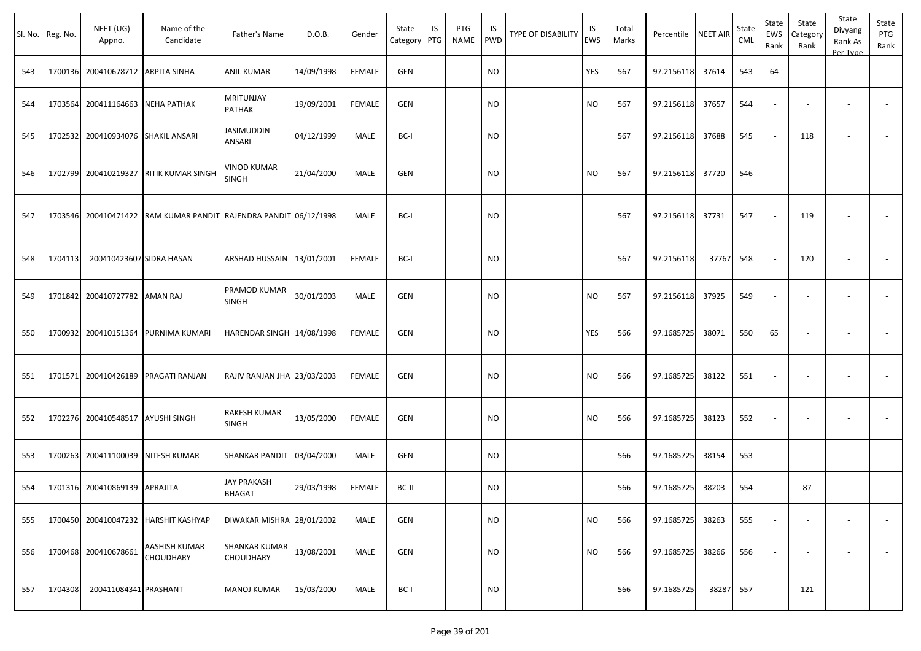|     | Sl. No. Reg. No. | NEET (UG)<br>Appno.       | Name of the<br>Candidate                                     | Father's Name                            | D.O.B.     | Gender        | State<br>Category | IS<br>PTG | PTG<br><b>NAME</b> | IS<br><b>PWD</b> | TYPE OF DISABILITY | IS<br>EWS | Total<br>Marks | Percentile | <b>NEET AIR</b> | State<br><b>CML</b> | State<br>EWS<br>Rank     | State<br>Category<br>Rank | State<br>Divyang<br>Rank As<br>Per Type | State<br>PTG<br>Rank     |
|-----|------------------|---------------------------|--------------------------------------------------------------|------------------------------------------|------------|---------------|-------------------|-----------|--------------------|------------------|--------------------|-----------|----------------|------------|-----------------|---------------------|--------------------------|---------------------------|-----------------------------------------|--------------------------|
| 543 | 1700136          | 200410678712 ARPITA SINHA |                                                              | ANIL KUMAR                               | 14/09/1998 | <b>FEMALE</b> | <b>GEN</b>        |           |                    | <b>NO</b>        |                    | YES       | 567            | 97.2156118 | 37614           | 543                 | 64                       |                           |                                         | $\overline{\phantom{a}}$ |
| 544 | 1703564          | 200411164663 NEHA PATHAK  |                                                              | MRITUNJAY<br>PATHAK                      | 19/09/2001 | <b>FEMALE</b> | <b>GEN</b>        |           |                    | <b>NO</b>        |                    | <b>NO</b> | 567            | 97.2156118 | 37657           | 544                 |                          | $\overline{\phantom{a}}$  | $\overline{\phantom{a}}$                |                          |
| 545 | 1702532          |                           | 200410934076 SHAKIL ANSARI                                   | <b>JASIMUDDIN</b><br>ANSARI              | 04/12/1999 | MALE          | BC-I              |           |                    | <b>NO</b>        |                    |           | 567            | 97.2156118 | 37688           | 545                 |                          | 118                       | $\overline{\phantom{a}}$                | $\sim$                   |
| 546 | 1702799          | 200410219327              | <b>RITIK KUMAR SINGH</b>                                     | VINOD KUMAR<br><b>SINGH</b>              | 21/04/2000 | <b>MALE</b>   | <b>GEN</b>        |           |                    | <b>NO</b>        |                    | <b>NO</b> | 567            | 97.2156118 | 37720           | 546                 |                          | $\overline{\phantom{a}}$  | $\overline{\phantom{a}}$                |                          |
| 547 | 1703546          |                           | 200410471422   RAM KUMAR PANDIT   RAJENDRA PANDIT 06/12/1998 |                                          |            | <b>MALE</b>   | BC-I              |           |                    | <b>NO</b>        |                    |           | 567            | 97.2156118 | 37731           | 547                 |                          | 119                       |                                         |                          |
| 548 | 1704113          | 200410423607 SIDRA HASAN  |                                                              | ARSHAD HUSSAIN 13/01/2001                |            | <b>FEMALE</b> | BC-I              |           |                    | <b>NO</b>        |                    |           | 567            | 97.2156118 | 37767           | 548                 |                          | 120                       | $\overline{\phantom{a}}$                |                          |
| 549 | 1701842          | 200410727782 AMAN RAJ     |                                                              | PRAMOD KUMAR<br>SINGH                    | 30/01/2003 | MALE          | GEN               |           |                    | <b>NO</b>        |                    | <b>NO</b> | 567            | 97.2156118 | 37925           | 549                 |                          |                           |                                         |                          |
| 550 | 1700932          |                           | 200410151364 PURNIMA KUMARI                                  | HARENDAR SINGH 14/08/1998                |            | <b>FEMALE</b> | <b>GEN</b>        |           |                    | <b>NO</b>        |                    | YES       | 566            | 97.1685725 | 38071           | 550                 | 65                       | $\overline{\phantom{a}}$  |                                         |                          |
| 551 | 1701571          |                           | 200410426189 PRAGATI RANJAN                                  | RAJIV RANJAN JHA 23/03/2003              |            | <b>FEMALE</b> | GEN               |           |                    | <b>NO</b>        |                    | <b>NO</b> | 566            | 97.1685725 | 38122           | 551                 | $\overline{\phantom{a}}$ | $\overline{\phantom{a}}$  |                                         |                          |
| 552 | 1702276          | 200410548517 AYUSHI SINGH |                                                              | RAKESH KUMAR<br>SINGH                    | 13/05/2000 | <b>FEMALE</b> | <b>GEN</b>        |           |                    | <b>NO</b>        |                    | <b>NO</b> | 566            | 97.1685725 | 38123           | 552                 | $\overline{\phantom{a}}$ | $\overline{\phantom{a}}$  | $\overline{\phantom{a}}$                |                          |
| 553 | 1700263          |                           | 200411100039 NITESH KUMAR                                    | SHANKAR PANDIT                           | 03/04/2000 | MALE          | GEN               |           |                    | <b>NO</b>        |                    |           | 566            | 97.1685725 | 38154           | 553                 | $\overline{\phantom{a}}$ | $\overline{\phantom{a}}$  | $\overline{\phantom{a}}$                | $\overline{\phantom{a}}$ |
| 554 | 1701316          | 200410869139 APRAJITA     |                                                              | JAY PRAKASH<br>BHAGAT                    | 29/03/1998 | <b>FEMALE</b> | BC-II             |           |                    | <b>NO</b>        |                    |           | 566            | 97.1685725 | 38203           | 554                 |                          | 87                        | $\overline{\phantom{a}}$                | $\sim$                   |
| 555 | 1700450          |                           | 200410047232 HARSHIT KASHYAP                                 | DIWAKAR MISHRA 28/01/2002                |            | MALE          | <b>GEN</b>        |           |                    | NO.              |                    | <b>NO</b> | 566            | 97.1685725 | 38263           | 555                 | $\overline{\phantom{a}}$ | $\overline{\phantom{a}}$  | $\overline{\phantom{a}}$                | $\overline{\phantom{a}}$ |
| 556 | 1700468          | 200410678661              | AASHISH KUMAR<br><b>CHOUDHARY</b>                            | <b>SHANKAR KUMAR</b><br><b>CHOUDHARY</b> | 13/08/2001 | MALE          | <b>GEN</b>        |           |                    | <b>NO</b>        |                    | <b>NO</b> | 566            | 97.1685725 | 38266           | 556                 |                          |                           |                                         |                          |
| 557 | 1704308          | 200411084341 PRASHANT     |                                                              | <b>MANOJ KUMAR</b>                       | 15/03/2000 | MALE          | BC-I              |           |                    | <b>NO</b>        |                    |           | 566            | 97.1685725 | 38287           | 557                 |                          | 121                       | $\overline{\phantom{a}}$                | $\sim$                   |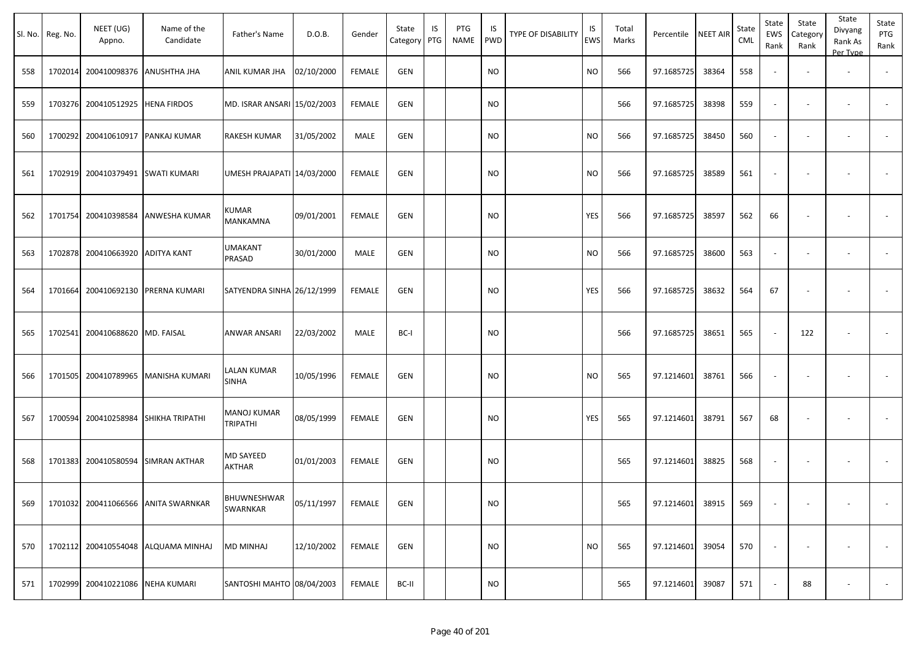|     | Sl. No. Reg. No. | NEET (UG)<br>Appno.               | Name of the<br>Candidate             | Father's Name                  | D.O.B.     | Gender        | State<br>Category | IS<br>PTG | PTG<br>NAME | IS<br>PWD | TYPE OF DISABILITY | IS<br>EWS | Total<br>Marks | Percentile       | <b>NEET AIR</b> | State<br><b>CML</b> | State<br>EWS<br>Rank     | State<br>Category<br>Rank | State<br>Divyang<br>Rank As<br>Per Type | State<br>PTG<br>Rank     |
|-----|------------------|-----------------------------------|--------------------------------------|--------------------------------|------------|---------------|-------------------|-----------|-------------|-----------|--------------------|-----------|----------------|------------------|-----------------|---------------------|--------------------------|---------------------------|-----------------------------------------|--------------------------|
| 558 |                  | 1702014 200410098376 ANUSHTHA JHA |                                      | ANIL KUMAR JHA                 | 02/10/2000 | FEMALE        | GEN               |           |             | <b>NO</b> |                    | <b>NO</b> | 566            | 97.1685725       | 38364           | 558                 | $\sim$                   |                           | $\overline{\phantom{a}}$                |                          |
| 559 |                  | 1703276 200410512925 HENA FIRDOS  |                                      | MD. ISRAR ANSARI 15/02/2003    |            | FEMALE        | GEN               |           |             | NO        |                    |           | 566            | 97.1685725       | 38398           | 559                 | $\overline{\phantom{a}}$ | $\overline{\phantom{a}}$  | $\overline{\phantom{a}}$                | $\overline{\phantom{a}}$ |
| 560 |                  | 1700292 200410610917 PANKAJ KUMAR |                                      | RAKESH KUMAR                   | 31/05/2002 | MALE          | <b>GEN</b>        |           |             | <b>NO</b> |                    | <b>NO</b> | 566            | 97.1685725       | 38450           | 560                 | $\sim$                   | $\overline{\phantom{a}}$  | $\overline{\phantom{a}}$                |                          |
| 561 |                  | 1702919 200410379491 SWATI KUMARI |                                      | UMESH PRAJAPATI 14/03/2000     |            | <b>FEMALE</b> | GEN               |           |             | <b>NO</b> |                    | <b>NO</b> | 566            | 97.1685725       | 38589           | 561                 | $\overline{\phantom{a}}$ | $\overline{\phantom{a}}$  | $\overline{\phantom{a}}$                | $\sim$                   |
| 562 |                  |                                   | 1701754 200410398584 ANWESHA KUMAR   | KUMAR<br><b>MANKAMNA</b>       | 09/01/2001 | FEMALE        | <b>GEN</b>        |           |             | <b>NO</b> |                    | YES       | 566            | 97.1685725       | 38597           | 562                 | 66                       | $\overline{\phantom{a}}$  | $\overline{\phantom{a}}$                |                          |
| 563 |                  | 1702878 200410663920              | <b>ADITYA KANT</b>                   | <b>UMAKANT</b><br>PRASAD       | 30/01/2000 | MALE          | <b>GEN</b>        |           |             | NO        |                    | NO        | 566            | 97.1685725       | 38600           | 563                 | $\sim$                   | $\sim$                    | $\overline{\phantom{a}}$                | $\sim$                   |
| 564 |                  |                                   | 1701664 200410692130 PRERNA KUMARI   | SATYENDRA SINHA 26/12/1999     |            | <b>FEMALE</b> | <b>GEN</b>        |           |             | NO        |                    | YES       | 566            | 97.1685725       | 38632           | 564                 | 67                       | $\overline{\phantom{a}}$  |                                         | $\sim$                   |
| 565 |                  | 1702541 200410688620 MD. FAISAL   |                                      | ANWAR ANSARI                   | 22/03/2002 | MALE          | BC-I              |           |             | <b>NO</b> |                    |           | 566            | 97.1685725       | 38651           | 565                 | $\sim$                   | 122                       | $\overline{\phantom{a}}$                | $\sim$                   |
| 566 |                  | 1701505 200410789965              | MANISHA KUMARI                       | LALAN KUMAR<br>SINHA           | 10/05/1996 | <b>FEMALE</b> | <b>GEN</b>        |           |             | NO        |                    | <b>NO</b> | 565            | 97.1214601       | 38761           | 566                 | $\overline{\phantom{a}}$ | $\overline{\phantom{a}}$  |                                         |                          |
| 567 |                  |                                   | 1700594 200410258984 SHIKHA TRIPATHI | MANOJ KUMAR<br><b>TRIPATHI</b> | 08/05/1999 | FEMALE        | <b>GEN</b>        |           |             | NO        |                    | YES       | 565            | 97.1214601       | 38791           | 567                 | 68                       | $\overline{\phantom{a}}$  | $\overline{\phantom{a}}$                |                          |
| 568 |                  |                                   | 1701383 200410580594 SIMRAN AKTHAR   | MD SAYEED<br><b>AKTHAR</b>     | 01/01/2003 | FEMALE        | <b>GEN</b>        |           |             | <b>NO</b> |                    |           | 565            | 97.1214601       | 38825           | 568                 | $\overline{\phantom{a}}$ | $\overline{\phantom{a}}$  |                                         |                          |
| 569 |                  |                                   | 1701032 200411066566 ANITA SWARNKAR  | BHUWNESHWAR<br><b>SWARNKAR</b> | 05/11/1997 | FEMALE        | <b>GEN</b>        |           |             | NO        |                    |           | 565            | 97.1214601       | 38915           | 569                 | $\sim$                   | $\sim$                    | $\sim$                                  |                          |
| 570 |                  |                                   | 1702112 200410554048 ALQUAMA MINHAJ  | MD MINHAJ                      | 12/10/2002 | FEMALE        | <b>GEN</b>        |           |             | <b>NO</b> |                    | <b>NO</b> | 565            | 97.1214601       | 39054           | 570                 | $\sim$                   | $\overline{\phantom{a}}$  |                                         | $\sim$                   |
| 571 |                  | 1702999 200410221086 NEHA KUMARI  |                                      | SANTOSHI MAHTO 08/04/2003      |            | FEMALE        | BC-II             |           |             | <b>NO</b> |                    |           | 565            | 97.1214601 39087 |                 | 571                 | $\blacksquare$           | 88                        | $\overline{\phantom{a}}$                | $\sim$                   |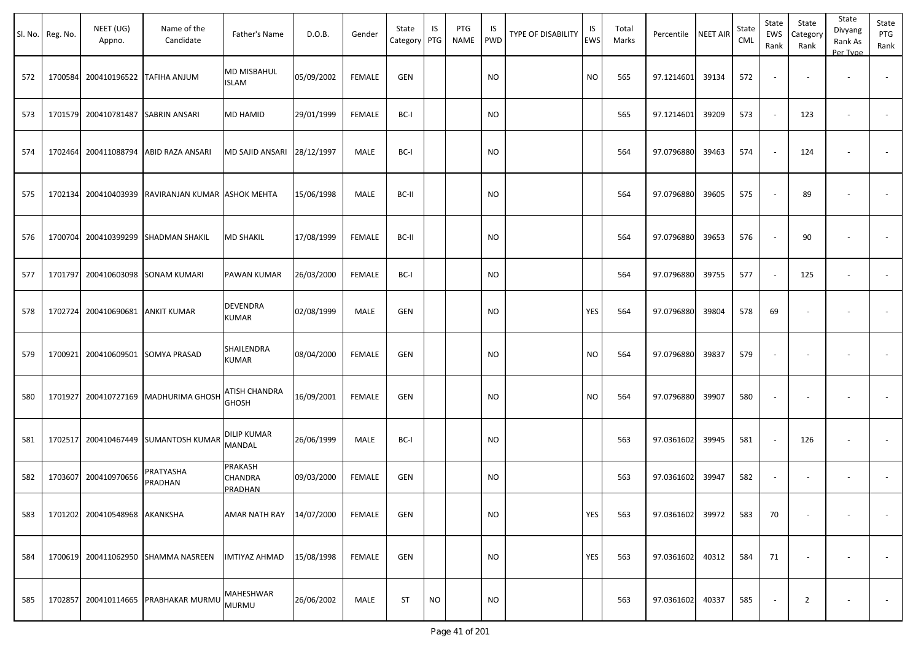| SI. No. | Reg. No. | NEET (UG)<br>Appno.              | Name of the<br>Candidate                  | Father's Name                       | D.O.B.     | Gender        | State<br>Category PTG | IS        | PTG<br><b>NAME</b> | IS<br><b>PWD</b> | <b>TYPE OF DISABILITY</b> | IS<br>EWS | Total<br>Marks | Percentile       | <b>NEET AIR</b> | State<br>CML | State<br><b>EWS</b><br>Rank | State<br>Category<br>Rank | State<br>Divyang<br>Rank As<br>Per Type | State<br>PTG<br>Rank     |
|---------|----------|----------------------------------|-------------------------------------------|-------------------------------------|------------|---------------|-----------------------|-----------|--------------------|------------------|---------------------------|-----------|----------------|------------------|-----------------|--------------|-----------------------------|---------------------------|-----------------------------------------|--------------------------|
| 572     | 1700584  |                                  | 200410196522 TAFIHA ANJUM                 | <b>MD MISBAHUL</b><br><b>ISLAM</b>  | 05/09/2002 | FEMALE        | <b>GEN</b>            |           |                    | <b>NO</b>        |                           | <b>NO</b> | 565            | 97.1214601       | 39134           | 572          |                             |                           |                                         |                          |
| 573     | 1701579  | 200410781487                     | SABRIN ANSARI                             | <b>MD HAMID</b>                     | 29/01/1999 | <b>FEMALE</b> | BC-I                  |           |                    | <b>NO</b>        |                           |           | 565            | 97.1214601       | 39209           | 573          |                             | 123                       | $\overline{\phantom{a}}$                |                          |
| 574     | 1702464  |                                  | 200411088794 ABID RAZA ANSARI             | MD SAJID ANSARI 28/12/1997          |            | MALE          | BC-I                  |           |                    | <b>NO</b>        |                           |           | 564            | 97.0796880       | 39463           | 574          |                             | 124                       |                                         |                          |
| 575     | 1702134  |                                  | 200410403939 RAVIRANJAN KUMAR ASHOK MEHTA |                                     | 15/06/1998 | MALE          | BC-II                 |           |                    | <b>NO</b>        |                           |           | 564            | 97.0796880       | 39605           | 575          |                             | 89                        |                                         |                          |
| 576     | 1700704  |                                  | 200410399299 SHADMAN SHAKIL               | <b>MD SHAKIL</b>                    | 17/08/1999 | <b>FEMALE</b> | BC-II                 |           |                    | <b>NO</b>        |                           |           | 564            | 97.0796880       | 39653           | 576          |                             | 90                        |                                         |                          |
| 577     | 1701797  |                                  | 200410603098 SONAM KUMARI                 | PAWAN KUMAR                         | 26/03/2000 | <b>FEMALE</b> | BC-I                  |           |                    | <b>NO</b>        |                           |           | 564            | 97.0796880       | 39755           | 577          |                             | 125                       | $\overline{\phantom{a}}$                | $\overline{\phantom{a}}$ |
| 578     |          | 1702724 200410690681 ANKIT KUMAR |                                           | <b>DEVENDRA</b><br><b>KUMAR</b>     | 02/08/1999 | MALE          | <b>GEN</b>            |           |                    | <b>NO</b>        |                           | YES       | 564            | 97.0796880       | 39804           | 578          | 69                          |                           |                                         |                          |
| 579     | 1700921  |                                  | 200410609501 SOMYA PRASAD                 | SHAILENDRA<br><b>KUMAR</b>          | 08/04/2000 | <b>FEMALE</b> | GEN                   |           |                    | <b>NO</b>        |                           | <b>NO</b> | 564            | 97.0796880       | 39837           | 579          |                             |                           |                                         |                          |
| 580     | 1701927  |                                  | 200410727169 MADHURIMA GHOSH              | ATISH CHANDRA<br><b>GHOSH</b>       | 16/09/2001 | <b>FEMALE</b> | GEN                   |           |                    | <b>NO</b>        |                           | <b>NO</b> | 564            | 97.0796880       | 39907           | 580          |                             |                           |                                         |                          |
| 581     |          |                                  | 1702517 200410467449 SUMANTOSH KUMAR      | <b>DILIP KUMAR</b><br><b>MANDAL</b> | 26/06/1999 | MALE          | BC-I                  |           |                    | <b>NO</b>        |                           |           | 563            | 97.0361602       | 39945           | 581          |                             | 126                       |                                         |                          |
| 582     | 1703607  | 200410970656                     | PRATYASHA<br>PRADHAN                      | PRAKASH<br>CHANDRA<br>PRADHAN       | 09/03/2000 | <b>FEMALE</b> | GEN                   |           |                    | <b>NO</b>        |                           |           | 563            | 97.0361602       | 39947           | 582          |                             |                           | $\overline{\phantom{a}}$                |                          |
| 583     |          | 1701202 200410548968 AKANKSHA    |                                           | AMAR NATH RAY 14/07/2000            |            | FEMALE        | GEN                   |           |                    | <b>NO</b>        |                           | YES       | 563            | 97.0361602       | 39972           | 583          | 70                          |                           |                                         | $\sim$                   |
| 584     |          |                                  | 1700619 200411062950 SHAMMA NASREEN       | <b>IMTIYAZ AHMAD</b>                | 15/08/1998 | FEMALE        | GEN                   |           |                    | <b>NO</b>        |                           | YES       | 563            | 97.0361602 40312 |                 | 584          | 71                          |                           | $\overline{\phantom{a}}$                | $\sim$                   |
| 585     |          |                                  | 1702857 200410114665 PRABHAKAR MURMU      | MAHESHWAR<br><b>MURMU</b>           | 26/06/2002 | MALE          | ST                    | <b>NO</b> |                    | <b>NO</b>        |                           |           | 563            | 97.0361602       | 40337           | 585          |                             | $\overline{2}$            | $\overline{\phantom{a}}$                | $\sim$                   |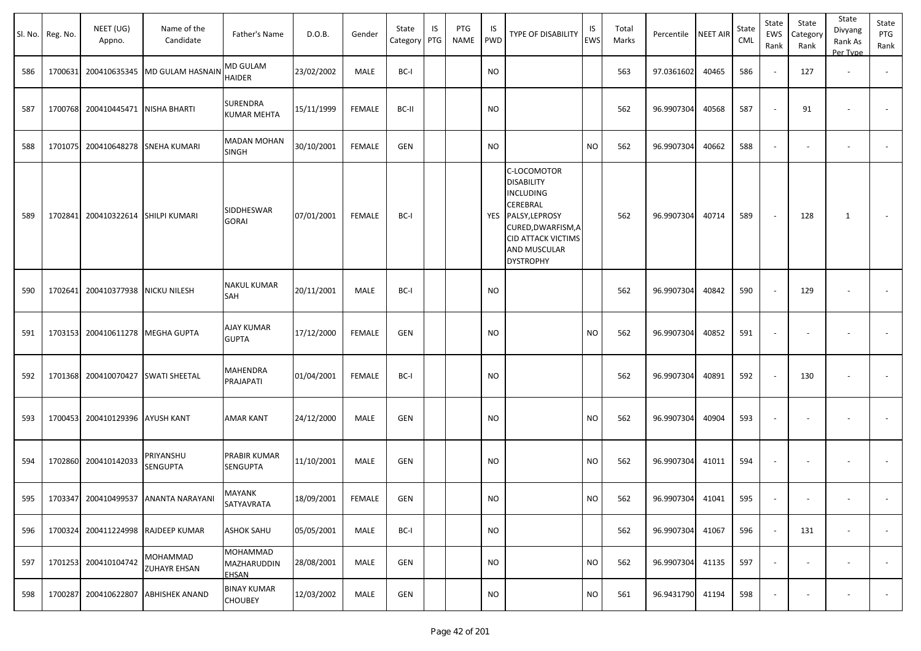|     | Sl. No. Reg. No. | NEET (UG)<br>Appno.                | Name of the<br>Candidate              | Father's Name                         | D.O.B.     | Gender        | State<br>Category | IS<br>PTG | PTG<br><b>NAME</b> | IS<br>PWD     | TYPE OF DISABILITY                                                                                                                                                                   | IS<br>EWS | Total<br>Marks | Percentile | <b>NEET AIR</b> | State<br><b>CML</b> | State<br>EWS<br>Rank     | State<br>Category<br>Rank | State<br>Divyang<br>Rank As<br>Per Type | State<br>PTG<br>Rank |
|-----|------------------|------------------------------------|---------------------------------------|---------------------------------------|------------|---------------|-------------------|-----------|--------------------|---------------|--------------------------------------------------------------------------------------------------------------------------------------------------------------------------------------|-----------|----------------|------------|-----------------|---------------------|--------------------------|---------------------------|-----------------------------------------|----------------------|
| 586 |                  |                                    | 1700631 200410635345 MD GULAM HASNAIN | MD GULAM<br><b>HAIDER</b>             | 23/02/2002 | MALE          | BC-I              |           |                    | <b>NO</b>     |                                                                                                                                                                                      |           | 563            | 97.0361602 | 40465           | 586                 | $\sim$                   | 127                       | $\overline{\phantom{a}}$                |                      |
| 587 |                  | 1700768 200410445471 NISHA BHARTI  |                                       | <b>SURENDRA</b><br><b>KUMAR MEHTA</b> | 15/11/1999 | <b>FEMALE</b> | BC-II             |           |                    | <b>NO</b>     |                                                                                                                                                                                      |           | 562            | 96.9907304 | 40568           | 587                 | $\sim$                   | 91                        |                                         | $\sim$               |
| 588 |                  | 1701075 200410648278               | <b>SNEHA KUMARI</b>                   | <b>MADAN MOHAN</b><br><b>SINGH</b>    | 30/10/2001 | <b>FEMALE</b> | <b>GEN</b>        |           |                    | NO.           |                                                                                                                                                                                      | NO.       | 562            | 96.9907304 | 40662           | 588                 | $\overline{\phantom{a}}$ | $\overline{\phantom{a}}$  |                                         | $\sim$               |
| 589 |                  | 1702841 200410322614 SHILPI KUMARI |                                       | SIDDHESWAR<br><b>GORAI</b>            | 07/01/2001 | FEMALE        | BC-I              |           |                    |               | C-LOCOMOTOR<br><b>DISABILITY</b><br><b>INCLUDING</b><br><b>CEREBRAL</b><br>YES PALSY, LEPROSY<br>CURED, DWARFISM, A<br><b>CID ATTACK VICTIMS</b><br>AND MUSCULAR<br><b>DYSTROPHY</b> |           | 562            | 96.9907304 | 40714           | 589                 | $\sim$                   | 128                       | 1                                       | $\sim$               |
| 590 |                  | 1702641 200410377938               | <b>NICKU NILESH</b>                   | <b>NAKUL KUMAR</b><br>SAH             | 20/11/2001 | MALE          | BC-I              |           |                    | NO            |                                                                                                                                                                                      |           | 562            | 96.9907304 | 40842           | 590                 | $\sim$                   | 129                       |                                         |                      |
| 591 |                  | 1703153 200410611278 MEGHA GUPTA   |                                       | AJAY KUMAR<br><b>GUPTA</b>            | 17/12/2000 | FEMALE        | <b>GEN</b>        |           |                    | <b>NO</b>     |                                                                                                                                                                                      | <b>NO</b> | 562            | 96.9907304 | 40852           | 591                 | $\overline{\phantom{a}}$ | $\overline{\phantom{a}}$  | $\overline{\phantom{a}}$                |                      |
| 592 |                  | 1701368 200410070427               | <b>SWATI SHEETAL</b>                  | MAHENDRA<br>PRAJAPATI                 | 01/04/2001 | <b>FEMALE</b> | BC-I              |           |                    | <b>NO</b>     |                                                                                                                                                                                      |           | 562            | 96.9907304 | 40891           | 592                 | $\sim$                   | 130                       |                                         |                      |
| 593 |                  | 1700453 200410129396 AYUSH KANT    |                                       | <b>AMAR KANT</b>                      | 24/12/2000 | MALE          | <b>GEN</b>        |           |                    | NO.           |                                                                                                                                                                                      | <b>NO</b> | 562            | 96.9907304 | 40904           | 593                 | $\overline{\phantom{a}}$ | $\overline{\phantom{a}}$  | $\overline{\phantom{a}}$                |                      |
| 594 |                  | 1702860 200410142033               | PRIYANSHU<br>SENGUPTA                 | PRABIR KUMAR<br><b>SENGUPTA</b>       | 11/10/2001 | MALE          | <b>GEN</b>        |           |                    | <b>NO</b>     |                                                                                                                                                                                      | <b>NO</b> | 562            | 96.9907304 | 41011           | 594                 | $\overline{\phantom{a}}$ | $\overline{\phantom{a}}$  |                                         |                      |
| 595 |                  |                                    | 1703347 200410499537 ANANTA NARAYANI  | <b>MAYANK</b><br>SATYAVRATA           | 18/09/2001 | FEMALE        | <b>GEN</b>        |           |                    | $\mathsf{NO}$ |                                                                                                                                                                                      | NO        | 562            | 96.9907304 | 41041           | 595                 |                          |                           |                                         |                      |
| 596 |                  |                                    | 1700324 200411224998 RAJDEEP KUMAR    | <b>ASHOK SAHU</b>                     | 05/05/2001 | MALE          | BC-I              |           |                    | <b>NO</b>     |                                                                                                                                                                                      |           | 562            | 96.9907304 | 41067           | 596                 | $\sim$                   | 131                       | $\overline{\phantom{a}}$                |                      |
| 597 |                  | 1701253 200410104742               | MOHAMMAD<br><b>ZUHAYR EHSAN</b>       | MOHAMMAD<br>MAZHARUDDIN<br>EHSAN      | 28/08/2001 | MALE          | <b>GEN</b>        |           |                    | <b>NO</b>     |                                                                                                                                                                                      | NO.       | 562            | 96.9907304 | 41135           | 597                 | $\omega$                 | $\overline{\phantom{a}}$  | $\overline{\phantom{a}}$                | $\sim$               |
| 598 | 1700287          | 200410622807                       | <b>ABHISHEK ANAND</b>                 | <b>BINAY KUMAR</b><br><b>CHOUBEY</b>  | 12/03/2002 | MALE          | <b>GEN</b>        |           |                    | <b>NO</b>     |                                                                                                                                                                                      | <b>NO</b> | 561            | 96.9431790 | 41194           | 598                 | $\overline{\phantom{a}}$ | $\overline{\phantom{a}}$  | $\overline{\phantom{a}}$                | $\sim$               |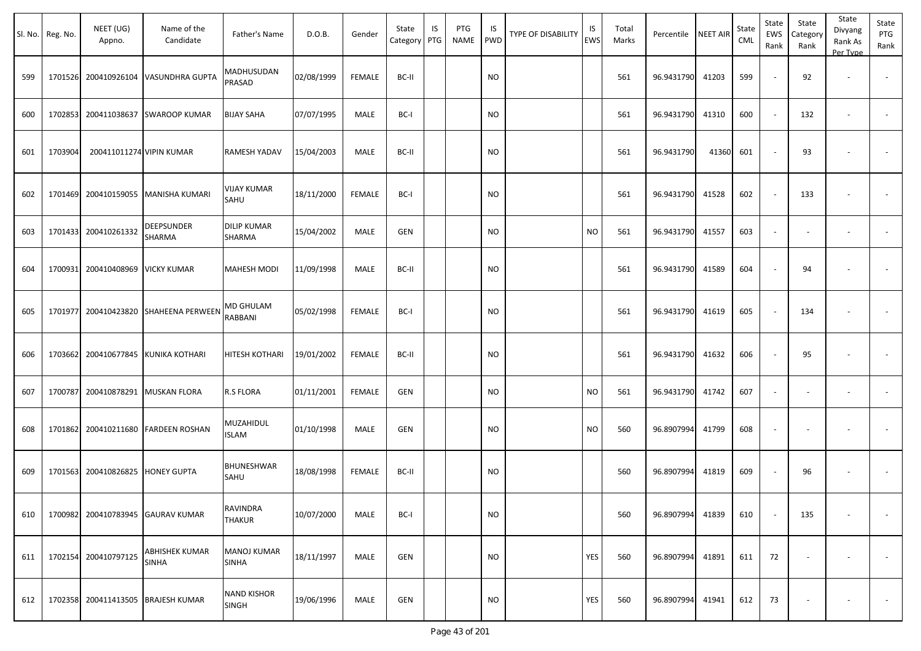|     | Sl. No. Reg. No. | NEET (UG)<br>Appno.      | Name of the<br>Candidate           | Father's Name                      | D.O.B.     | Gender        | State<br>Category | IS<br>PTG | PTG<br><b>NAME</b> | IS<br><b>PWD</b> | <b>TYPE OF DISABILITY</b> | IS<br><b>EWS</b> | Total<br>Marks | Percentile | <b>NEET AIR</b> | State<br><b>CML</b> | State<br><b>EWS</b><br>Rank | State<br>Category<br>Rank | State<br>Divyang<br>Rank As<br>Per Type | State<br>PTG<br>Rank     |
|-----|------------------|--------------------------|------------------------------------|------------------------------------|------------|---------------|-------------------|-----------|--------------------|------------------|---------------------------|------------------|----------------|------------|-----------------|---------------------|-----------------------------|---------------------------|-----------------------------------------|--------------------------|
| 599 | 1701526          |                          | 200410926104 VASUNDHRA GUPTA       | MADHUSUDAN<br>PRASAD               | 02/08/1999 | <b>FEMALE</b> | BC-II             |           |                    | <b>NO</b>        |                           |                  | 561            | 96.9431790 | 41203           | 599                 |                             | 92                        | $\overline{\phantom{a}}$                | $\overline{\phantom{a}}$ |
| 600 | 1702853          | 200411038637             | <b>SWAROOP KUMAR</b>               | <b>BIJAY SAHA</b>                  | 07/07/1995 | MALE          | BC-I              |           |                    | <b>NO</b>        |                           |                  | 561            | 96.9431790 | 41310           | 600                 |                             | 132                       | $\overline{\phantom{a}}$                | $\sim$                   |
| 601 | 1703904          | 200411011274 VIPIN KUMAR |                                    | <b>RAMESH YADAV</b>                | 15/04/2003 | MALE          | BC-II             |           |                    | <b>NO</b>        |                           |                  | 561            | 96.9431790 | 41360           | 601                 |                             | 93                        |                                         |                          |
| 602 | 1701469          |                          | 200410159055 MANISHA KUMARI        | <b>VIJAY KUMAR</b><br>SAHU         | 18/11/2000 | <b>FEMALE</b> | BC-I              |           |                    | <b>NO</b>        |                           |                  | 561            | 96.9431790 | 41528           | 602                 |                             | 133                       |                                         | $\blacksquare$           |
| 603 | 1701433          | 200410261332             | <b>DEEPSUNDER</b><br>SHARMA        | <b>DILIP KUMAR</b><br>SHARMA       | 15/04/2002 | MALE          | <b>GEN</b>        |           |                    | <b>NO</b>        |                           | <b>NO</b>        | 561            | 96.9431790 | 41557           | 603                 | $\sim$                      |                           | $\blacksquare$                          | $\blacksquare$           |
| 604 | 1700931          | 200410408969 VICKY KUMAR |                                    | <b>MAHESH MODI</b>                 | 11/09/1998 | MALE          | BC-II             |           |                    | <b>NO</b>        |                           |                  | 561            | 96.9431790 | 41589           | 604                 |                             | 94                        |                                         |                          |
| 605 | 1701977          |                          | 200410423820 SHAHEENA PERWEEN      | MD GHULAM<br>RABBANI               | 05/02/1998 | <b>FEMALE</b> | BC-I              |           |                    | <b>NO</b>        |                           |                  | 561            | 96.9431790 | 41619           | 605                 |                             | 134                       | $\blacksquare$                          | $\overline{\phantom{a}}$ |
| 606 | 1703662          |                          | 200410677845 KUNIKA KOTHARI        | HITESH KOTHARI                     | 19/01/2002 | <b>FEMALE</b> | BC-II             |           |                    | <b>NO</b>        |                           |                  | 561            | 96.9431790 | 41632           | 606                 |                             | 95                        |                                         |                          |
| 607 | 1700787          |                          | 200410878291 MUSKAN FLORA          | R.S FLORA                          | 01/11/2001 | <b>FEMALE</b> | <b>GEN</b>        |           |                    | <b>NO</b>        |                           | <b>NO</b>        | 561            | 96.9431790 | 41742           | 607                 | $\sim$                      | $\overline{\phantom{a}}$  | $\overline{\phantom{a}}$                | $\sim$                   |
| 608 | 1701862          |                          | 200410211680 FARDEEN ROSHAN        | MUZAHIDUL<br><b>ISLAM</b>          | 01/10/1998 | MALE          | <b>GEN</b>        |           |                    | <b>NO</b>        |                           | <b>NO</b>        | 560            | 96.8907994 | 41799           | 608                 | $\overline{\phantom{a}}$    | $\overline{\phantom{a}}$  |                                         |                          |
| 609 | 1701563          | 200410826825             | <b>HONEY GUPTA</b>                 | <b>BHUNESHWAR</b><br>SAHU          | 18/08/1998 | FEMALE        | BC-II             |           |                    | <b>NO</b>        |                           |                  | 560            | 96.8907994 | 41819           | 609                 |                             | 96                        | $\overline{\phantom{a}}$                | $\overline{\phantom{a}}$ |
| 610 | 1700982          |                          | 200410783945 GAURAV KUMAR          | RAVINDRA<br><b>THAKUR</b>          | 10/07/2000 | MALE          | BC-I              |           |                    | <b>NO</b>        |                           |                  | 560            | 96.8907994 | 41839           | 610                 |                             | 135                       | $\blacksquare$                          | $\blacksquare$           |
| 611 | 1702154          | 200410797125             | ABHISHEK KUMAR<br><b>SINHA</b>     | <b>MANOJ KUMAR</b><br><b>SINHA</b> | 18/11/1997 | MALE          | <b>GEN</b>        |           |                    | <b>NO</b>        |                           | YES              | 560            | 96.8907994 | 41891           | 611                 | 72                          | $\overline{\phantom{a}}$  | $\overline{\phantom{a}}$                | $\sim$                   |
| 612 |                  |                          | 1702358 200411413505 BRAJESH KUMAR | <b>NAND KISHOR</b><br><b>SINGH</b> | 19/06/1996 | MALE          | <b>GEN</b>        |           |                    | <b>NO</b>        |                           | YES              | 560            | 96.8907994 | 41941           | 612                 | 73                          | $\overline{\phantom{a}}$  | $\overline{\phantom{a}}$                | $\sim$                   |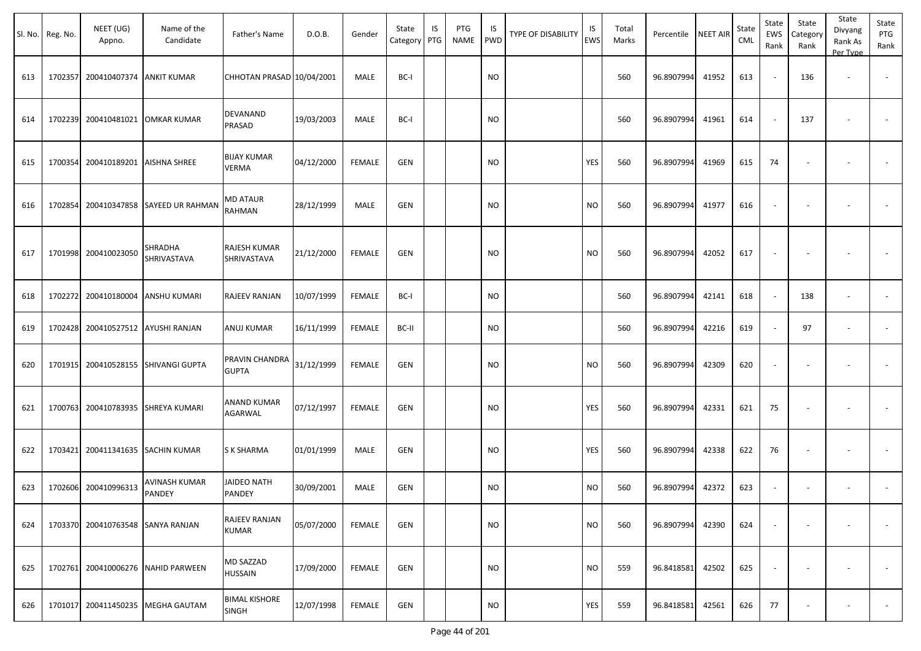| SI. No. | Reg. No. | NEET (UG)<br>Appno.                | Name of the<br>Candidate           | Father's Name                        | D.O.B.     | Gender        | State<br>Category | IS<br>PTG | PTG<br><b>NAME</b> | IS<br><b>PWD</b> | TYPE OF DISABILITY | IS<br><b>EWS</b> | Total<br>Marks | Percentile | <b>NEET AIR</b> | State<br><b>CML</b> | State<br>EWS<br>Rank | State<br>Category<br>Rank | State<br>Divyang<br>Rank As<br>Per Type | State<br>PTG<br>Rank     |
|---------|----------|------------------------------------|------------------------------------|--------------------------------------|------------|---------------|-------------------|-----------|--------------------|------------------|--------------------|------------------|----------------|------------|-----------------|---------------------|----------------------|---------------------------|-----------------------------------------|--------------------------|
| 613     | 1702357  | 200410407374 ANKIT KUMAR           |                                    | CHHOTAN PRASAD 10/04/2001            |            | MALE          | BC-I              |           |                    | <b>NO</b>        |                    |                  | 560            | 96.8907994 | 41952           | 613                 |                      | 136                       | $\overline{\phantom{a}}$                | $\overline{\phantom{a}}$ |
| 614     | 1702239  |                                    | 200410481021 OMKAR KUMAR           | DEVANAND<br>PRASAD                   | 19/03/2003 | MALE          | BC-I              |           |                    | <b>NO</b>        |                    |                  | 560            | 96.8907994 | 41961           | 614                 |                      | 137                       |                                         |                          |
| 615     | 1700354  | 200410189201 AISHNA SHREE          |                                    | <b>BIJAY KUMAR</b><br><b>VERMA</b>   | 04/12/2000 | <b>FEMALE</b> | <b>GEN</b>        |           |                    | <b>NO</b>        |                    | YES              | 560            | 96.8907994 | 41969           | 615                 | 74                   |                           |                                         |                          |
| 616     | 1702854  |                                    | 200410347858 SAYEED UR RAHMAN      | MD ATAUR<br>RAHMAN                   | 28/12/1999 | <b>MALE</b>   | <b>GEN</b>        |           |                    | <b>NO</b>        |                    | <b>NO</b>        | 560            | 96.8907994 | 41977           | 616                 |                      |                           |                                         |                          |
| 617     |          | 1701998 200410023050               | <b>SHRADHA</b><br>SHRIVASTAVA      | RAJESH KUMAR<br>SHRIVASTAVA          | 21/12/2000 | <b>FEMALE</b> | GEN               |           |                    | <b>NO</b>        |                    | <b>NO</b>        | 560            | 96.8907994 | 42052           | 617                 |                      |                           |                                         |                          |
| 618     | 1702272  |                                    | 200410180004 ANSHU KUMARI          | RAJEEV RANJAN                        | 10/07/1999 | <b>FEMALE</b> | BC-I              |           |                    | <b>NO</b>        |                    |                  | 560            | 96.8907994 | 42141           | 618                 |                      | 138                       | $\overline{\phantom{a}}$                |                          |
| 619     |          | 1702428 200410527512 AYUSHI RANJAN |                                    | ANUJ KUMAR                           | 16/11/1999 | <b>FEMALE</b> | BC-II             |           |                    | <b>NO</b>        |                    |                  | 560            | 96.8907994 | 42216           | 619                 |                      | 97                        | $\overline{\phantom{a}}$                |                          |
| 620     | 1701915  |                                    | 200410528155 SHIVANGI GUPTA        | PRAVIN CHANDRA<br><b>GUPTA</b>       | 31/12/1999 | <b>FEMALE</b> | <b>GEN</b>        |           |                    | <b>NO</b>        |                    | <b>NO</b>        | 560            | 96.8907994 | 42309           | 620                 |                      |                           |                                         |                          |
| 621     | 1700763  |                                    | 200410783935 SHREYA KUMARI         | ANAND KUMAR<br>AGARWAL               | 07/12/1997 | <b>FEMALE</b> | GEN               |           |                    | <b>NO</b>        |                    | YES              | 560            | 96.8907994 | 42331           | 621                 | 75                   |                           |                                         |                          |
| 622     | 1703421  |                                    | 200411341635 SACHIN KUMAR          | S K SHARMA                           | 01/01/1999 | MALE          | <b>GEN</b>        |           |                    | <b>NO</b>        |                    | <b>YES</b>       | 560            | 96.8907994 | 42338           | 622                 | 76                   |                           | $\overline{\phantom{a}}$                |                          |
| 623     | 1702606  | 200410996313                       | AVINASH KUMAR<br>PANDEY            | JAIDEO NATH<br>PANDEY                | 30/09/2001 | MALE          | GEN               |           |                    | <b>NO</b>        |                    | <b>NO</b>        | 560            | 96.8907994 | 42372           | 623                 |                      | $\overline{\phantom{a}}$  | $\overline{\phantom{a}}$                |                          |
| 624     |          | 1703370 200410763548 SANYA RANJAN  |                                    | RAJEEV RANJAN<br><b>KUMAR</b>        | 05/07/2000 | <b>FEMALE</b> | GEN               |           |                    | <b>NO</b>        |                    | <b>NO</b>        | 560            | 96.8907994 | 42390           | 624                 |                      |                           |                                         |                          |
| 625     |          |                                    | 1702761 200410006276 NAHID PARWEEN | MD SAZZAD<br>HUSSAIN                 | 17/09/2000 | <b>FEMALE</b> | <b>GEN</b>        |           |                    | <b>NO</b>        |                    | <b>NO</b>        | 559            | 96.8418581 | 42502           | 625                 |                      |                           |                                         | $\overline{\phantom{a}}$ |
| 626     | 1701017  |                                    | 200411450235 MEGHA GAUTAM          | <b>BIMAL KISHORE</b><br><b>SINGH</b> | 12/07/1998 | <b>FEMALE</b> | <b>GEN</b>        |           |                    | <b>NO</b>        |                    | YES              | 559            | 96.8418581 | 42561           | 626                 | 77                   |                           |                                         | $\overline{\phantom{a}}$ |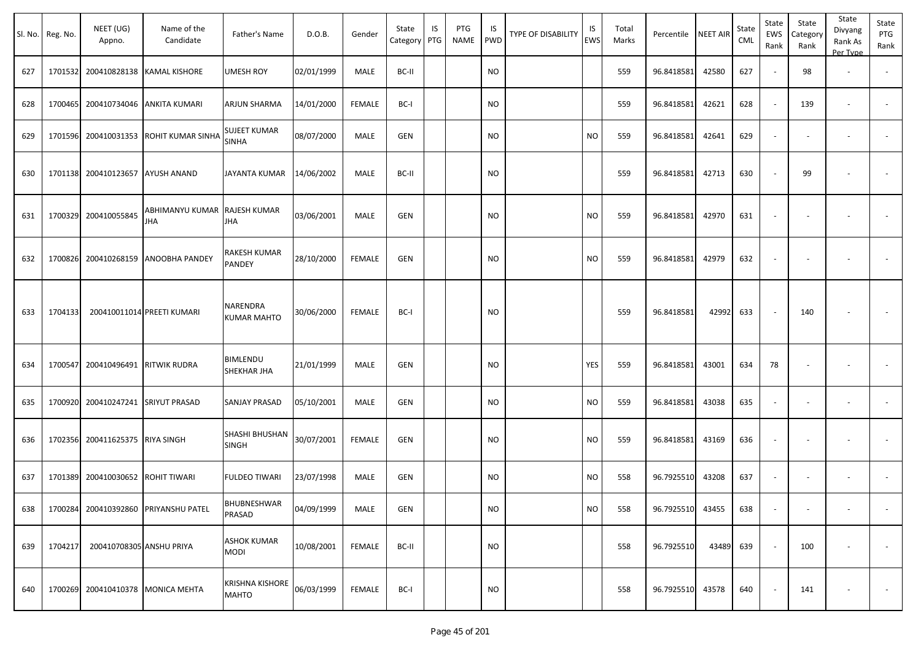|         |          |                          |                                             |                                        |            |               |                   |           |                    |                  |                    |           |                |                     |       |              |                          |                           | State                          |                          |
|---------|----------|--------------------------|---------------------------------------------|----------------------------------------|------------|---------------|-------------------|-----------|--------------------|------------------|--------------------|-----------|----------------|---------------------|-------|--------------|--------------------------|---------------------------|--------------------------------|--------------------------|
| Sl. No. | Reg. No. | NEET (UG)<br>Appno.      | Name of the<br>Candidate                    | Father's Name                          | D.O.B.     | Gender        | State<br>Category | IS<br>PTG | PTG<br><b>NAME</b> | IS<br><b>PWD</b> | TYPE OF DISABILITY | IS<br>EWS | Total<br>Marks | Percentile NEET AIR |       | State<br>CML | State<br>EWS<br>Rank     | State<br>Category<br>Rank | Divyang<br>Rank As<br>Per Type | State<br>PTG<br>Rank     |
| 627     | 1701532  |                          | 200410828138 KAMAL KISHORE                  | <b>UMESH ROY</b>                       | 02/01/1999 | MALE          | BC-II             |           |                    | <b>NO</b>        |                    |           | 559            | 96.8418581          | 42580 | 627          |                          | 98                        | $\overline{\phantom{a}}$       | $\sim$                   |
| 628     | 1700465  | 200410734046             | <b>ANKITA KUMARI</b>                        | ARJUN SHARMA                           | 14/01/2000 | <b>FEMALE</b> | BC-I              |           |                    | <b>NO</b>        |                    |           | 559            | 96.8418581          | 42621 | 628          |                          | 139                       | $\overline{\phantom{a}}$       | $\sim$                   |
| 629     | 1701596  | 200410031353             | ROHIT KUMAR SINHA                           | <b>SUJEET KUMAR</b><br><b>SINHA</b>    | 08/07/2000 | MALE          | GEN               |           |                    | <b>NO</b>        |                    | <b>NO</b> | 559            | 96.8418581          | 42641 | 629          | $\sim$                   | $\overline{\phantom{a}}$  | $\overline{\phantom{a}}$       | $\overline{\phantom{a}}$ |
| 630     | 1701138  | 200410123657 AYUSH ANAND |                                             | JAYANTA KUMAR                          | 14/06/2002 | MALE          | BC-II             |           |                    | <b>NO</b>        |                    |           | 559            | 96.8418581          | 42713 | 630          |                          | 99                        |                                |                          |
| 631     | 1700329  | 200410055845             | ABHIMANYU KUMAR  RAJESH KUMAR<br><b>JHA</b> | JHA                                    | 03/06/2001 | MALE          | GEN               |           |                    | <b>NO</b>        |                    | <b>NO</b> | 559            | 96.8418581          | 42970 | 631          |                          |                           |                                |                          |
| 632     | 1700826  | 200410268159             | ANOOBHA PANDEY                              | RAKESH KUMAR<br>PANDEY                 | 28/10/2000 | FEMALE        | GEN               |           |                    | <b>NO</b>        |                    | NO        | 559            | 96.8418581          | 42979 | 632          |                          |                           |                                |                          |
| 633     | 1704133  |                          | 200410011014 PREETI KUMARI                  | NARENDRA<br>KUMAR MAHTO                | 30/06/2000 | <b>FEMALE</b> | BC-I              |           |                    | NO               |                    |           | 559            | 96.8418581          | 42992 | 633          | $\sim$                   | 140                       |                                |                          |
| 634     | 1700547  | 200410496491             | RITWIK RUDRA                                | BIMLENDU<br>SHEKHAR JHA                | 21/01/1999 | <b>MALE</b>   | GEN               |           |                    | <b>NO</b>        |                    | YES       | 559            | 96.8418581          | 43001 | 634          | 78                       |                           |                                | $\sim$                   |
| 635     | 1700920  | 200410247241             | <b>SRIYUT PRASAD</b>                        | SANJAY PRASAD                          | 05/10/2001 | MALE          | GEN               |           |                    | <b>NO</b>        |                    | <b>NO</b> | 559            | 96.8418581          | 43038 | 635          |                          |                           |                                |                          |
| 636     | 1702356  | 200411625375 RIYA SINGH  |                                             | SHASHI BHUSHAN<br>SINGH                | 30/07/2001 | <b>FEMALE</b> | GEN               |           |                    | NO               |                    | NO        | 559            | 96.8418581          | 43169 | 636          | $\overline{\phantom{a}}$ | $\overline{\phantom{a}}$  | $\overline{\phantom{a}}$       | $\sim$                   |
| 637     | 1701389  | 200410030652             | ROHIT TIWARI                                | <b>FULDEO TIWARI</b>                   | 23/07/1998 | MALE          | GEN               |           |                    | <b>NO</b>        |                    | NO        | 558            | 96.7925510          | 43208 | 637          | $\overline{\phantom{a}}$ |                           | $\overline{\phantom{a}}$       |                          |
| 638     | 1700284  |                          | 200410392860 PRIYANSHU PATEL                | <b>BHUBNESHWAR</b><br>PRASAD           | 04/09/1999 | MALE          | GEN               |           |                    | <b>NO</b>        |                    | <b>NO</b> | 558            | 96.7925510          | 43455 | 638          |                          |                           |                                | $\sim$                   |
| 639     | 1704217  | 200410708305 ANSHU PRIYA |                                             | <b>ASHOK KUMAR</b><br><b>MODI</b>      | 10/08/2001 | <b>FEMALE</b> | BC-II             |           |                    | <b>NO</b>        |                    |           | 558            | 96.7925510          | 43489 | 639          |                          | 100                       |                                | $\overline{\phantom{a}}$ |
| 640     | 1700269  |                          | 200410410378 MONICA MEHTA                   | <b>KRISHNA KISHORE</b><br><b>MAHTO</b> | 06/03/1999 | <b>FEMALE</b> | BC-I              |           |                    | <b>NO</b>        |                    |           | 558            | 96.7925510          | 43578 | 640          |                          | 141                       | $\overline{\phantom{a}}$       | $\sim$                   |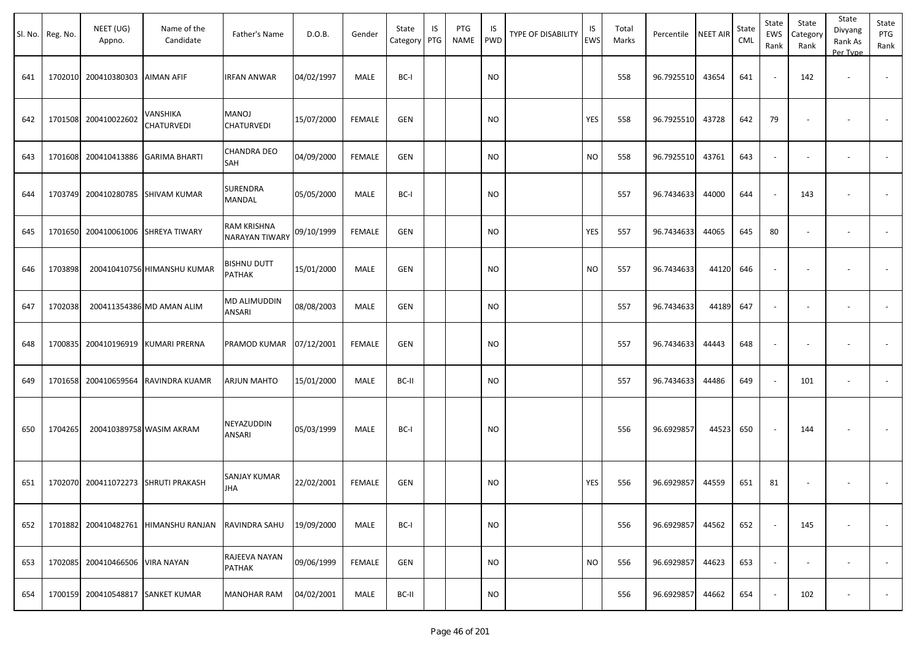|     | Sl. No. Reg. No. | NEET (UG)<br>Appno.               | Name of the<br>Candidate             | Father's Name                       | D.O.B.     | Gender        | State<br>Category PTG | IS | PTG<br><b>NAME</b> | IS<br><b>PWD</b> | <b>TYPE OF DISABILITY</b> | IS<br>EWS | Total<br>Marks | Percentile NEET AIR |       | State<br>CML | State<br>EWS<br>Rank | State<br>Category<br>Rank | State<br>Divyang<br>Rank As<br>Per Type | State<br>PTG<br>Rank     |
|-----|------------------|-----------------------------------|--------------------------------------|-------------------------------------|------------|---------------|-----------------------|----|--------------------|------------------|---------------------------|-----------|----------------|---------------------|-------|--------------|----------------------|---------------------------|-----------------------------------------|--------------------------|
| 641 | 1702010          | 200410380303 AIMAN AFIF           |                                      | IRFAN ANWAR                         | 04/02/1997 | MALE          | BC-I                  |    |                    | <b>NO</b>        |                           |           | 558            | 96.7925510          | 43654 | 641          |                      | 142                       | $\overline{\phantom{a}}$                |                          |
| 642 | 1701508          | 200410022602                      | VANSHIKA<br><b>CHATURVEDI</b>        | <b>MANOJ</b><br><b>CHATURVEDI</b>   | 15/07/2000 | <b>FEMALE</b> | <b>GEN</b>            |    |                    | <b>NO</b>        |                           | YES       | 558            | 96.7925510          | 43728 | 642          | 79                   |                           |                                         |                          |
| 643 |                  |                                   | 1701608 200410413886 GARIMA BHARTI   | CHANDRA DEO<br>SAH                  | 04/09/2000 | <b>FEMALE</b> | <b>GEN</b>            |    |                    | <b>NO</b>        |                           | <b>NO</b> | 558            | 96.7925510          | 43761 | 643          |                      |                           | $\overline{\phantom{a}}$                |                          |
| 644 |                  |                                   | 1703749 200410280785 SHIVAM KUMAR    | SURENDRA<br>MANDAL                  | 05/05/2000 | MALE          | BC-I                  |    |                    | <b>NO</b>        |                           |           | 557            | 96.7434633          | 44000 | 644          |                      | 143                       |                                         |                          |
| 645 | 1701650          |                                   | 200410061006 SHREYA TIWARY           | RAM KRISHNA<br>NARAYAN TIWARY       | 09/10/1999 | <b>FEMALE</b> | <b>GEN</b>            |    |                    | <b>NO</b>        |                           | YES       | 557            | 96.7434633          | 44065 | 645          | 80                   |                           |                                         |                          |
| 646 | 1703898          |                                   | 200410410756 HIMANSHU KUMAR          | <b>BISHNU DUTT</b><br><b>PATHAK</b> | 15/01/2000 | MALE          | GEN                   |    |                    | <b>NO</b>        |                           | <b>NO</b> | 557            | 96.7434633          | 44120 | 646          |                      |                           |                                         |                          |
| 647 | 1702038          |                                   | 200411354386 MD AMAN ALIM            | MD ALIMUDDIN<br>ANSARI              | 08/08/2003 | MALE          | GEN                   |    |                    | <b>NO</b>        |                           |           | 557            | 96.7434633          | 44189 | 647          |                      |                           | $\overline{\phantom{a}}$                |                          |
| 648 | 1700835          |                                   | 200410196919 KUMARI PRERNA           | PRAMOD KUMAR                        | 07/12/2001 | <b>FEMALE</b> | GEN                   |    |                    | <b>NO</b>        |                           |           | 557            | 96.7434633          | 44443 | 648          |                      |                           |                                         | $\overline{\phantom{a}}$ |
| 649 | 1701658          |                                   | 200410659564 RAVINDRA KUAMR          | ARJUN MAHTO                         | 15/01/2000 | MALE          | BC-II                 |    |                    | <b>NO</b>        |                           |           | 557            | 96.7434633          | 44486 | 649          |                      | 101                       |                                         |                          |
| 650 | 1704265          |                                   | 200410389758 WASIM AKRAM             | NEYAZUDDIN<br>ANSARI                | 05/03/1999 | MALE          | BC-I                  |    |                    | <b>NO</b>        |                           |           | 556            | 96.6929857          | 44523 | 650          |                      | 144                       |                                         |                          |
| 651 |                  |                                   | 1702070 200411072273 SHRUTI PRAKASH  | SANJAY KUMAR<br><b>JHA</b>          | 22/02/2001 | <b>FEMALE</b> | GEN                   |    |                    | <b>NO</b>        |                           | YES       | 556            | 96.6929857          | 44559 | 651          | 81                   |                           |                                         |                          |
| 652 |                  |                                   | 1701882 200410482761 HIMANSHU RANJAN | RAVINDRA SAHU                       | 19/09/2000 | MALE          | BC-I                  |    |                    | <b>NO</b>        |                           |           | 556            | 96.6929857          | 44562 | 652          |                      | 145                       |                                         | $\overline{\phantom{a}}$ |
| 653 | 1702085          | 200410466506 VIRA NAYAN           |                                      | RAJEEVA NAYAN<br>PATHAK             | 09/06/1999 | <b>FEMALE</b> | GEN                   |    |                    | <b>NO</b>        |                           | <b>NO</b> | 556            | 96.6929857          | 44623 | 653          |                      | $\overline{\phantom{a}}$  | $\overline{\phantom{a}}$                | $\sim$                   |
| 654 |                  | 1700159 200410548817 SANKET KUMAR |                                      | <b>MANOHAR RAM</b>                  | 04/02/2001 | MALE          | BC-II                 |    |                    | <b>NO</b>        |                           |           | 556            | 96.6929857          | 44662 | 654          |                      | 102                       |                                         | $\sim$                   |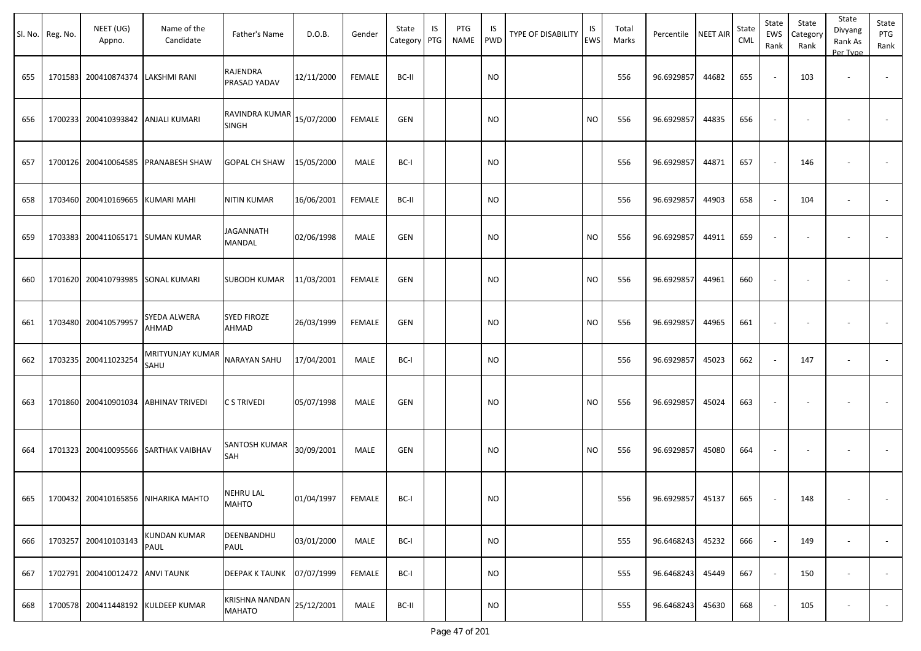|     | Sl. No. Reg. No. | NEET (UG)<br>Appno.         | Name of the<br>Candidate            | Father's Name                                                     | D.O.B.     | Gender        | State<br>Category PTG | IS | PTG<br><b>NAME</b> | IS<br><b>PWD</b> | <b>TYPE OF DISABILITY</b> | IS<br><b>EWS</b> | Total<br>Marks | Percentile NEET AIR |       | State<br>CML | State<br>EWS<br>Rank | State<br>Category<br>Rank | State<br>Divyang<br>Rank As<br>Per Type | State<br>PTG<br>Rank     |
|-----|------------------|-----------------------------|-------------------------------------|-------------------------------------------------------------------|------------|---------------|-----------------------|----|--------------------|------------------|---------------------------|------------------|----------------|---------------------|-------|--------------|----------------------|---------------------------|-----------------------------------------|--------------------------|
| 655 | 1701583          | 200410874374   LAKSHMI RANI |                                     | RAJENDRA<br>PRASAD YADAV                                          | 12/11/2000 | FEMALE        | BC-II                 |    |                    | <b>NO</b>        |                           |                  | 556            | 96.6929857          | 44682 | 655          |                      | 103                       | $\sim$                                  | $\overline{\phantom{a}}$ |
| 656 | 1700233          |                             | 200410393842 ANJALI KUMARI          | $\overline{\textsf{RAVINDRA KUMAR}}_{15/07/2000}$<br><b>SINGH</b> |            | FEMALE        | GEN                   |    |                    | <b>NO</b>        |                           | <b>NO</b>        | 556            | 96.6929857          | 44835 | 656          |                      |                           |                                         |                          |
| 657 | 1700126          |                             | 200410064585 PRANABESH SHAW         | <b>GOPAL CH SHAW</b>                                              | 15/05/2000 | MALE          | BC-I                  |    |                    | <b>NO</b>        |                           |                  | 556            | 96.6929857          | 44871 | 657          |                      | 146                       |                                         |                          |
| 658 | 1703460          | 200410169665                | KUMARI MAHI                         | <b>NITIN KUMAR</b>                                                | 16/06/2001 | <b>FEMALE</b> | BC-II                 |    |                    | <b>NO</b>        |                           |                  | 556            | 96.6929857          | 44903 | 658          |                      | 104                       | $\overline{\phantom{a}}$                |                          |
| 659 | 1703383          |                             | 200411065171 SUMAN KUMAR            | JAGANNATH<br>MANDAL                                               | 02/06/1998 | MALE          | <b>GEN</b>            |    |                    | <b>NO</b>        |                           | <b>NO</b>        | 556            | 96.6929857          | 44911 | 659          |                      |                           |                                         |                          |
| 660 | 1701620          |                             | 200410793985 SONAL KUMARI           | <b>SUBODH KUMAR</b>                                               | 11/03/2001 | <b>FEMALE</b> | <b>GEN</b>            |    |                    | <b>NO</b>        |                           | <b>NO</b>        | 556            | 96.6929857          | 44961 | 660          |                      |                           |                                         |                          |
| 661 | 1703480          | 200410579957                | SYEDA ALWERA<br>AHMAD               | <b>SYED FIROZE</b><br>AHMAD                                       | 26/03/1999 | FEMALE        | <b>GEN</b>            |    |                    | <b>NO</b>        |                           | <b>NO</b>        | 556            | 96.6929857          | 44965 | 661          |                      |                           |                                         |                          |
| 662 |                  | 1703235 200411023254        | MRITYUNJAY KUMAR<br>SAHU            | <b>NARAYAN SAHU</b>                                               | 17/04/2001 | MALE          | BC-I                  |    |                    | <b>NO</b>        |                           |                  | 556            | 96.6929857          | 45023 | 662          |                      | 147                       | $\overline{\phantom{a}}$                |                          |
| 663 | 1701860          |                             | 200410901034 ABHINAV TRIVEDI        | C S TRIVEDI                                                       | 05/07/1998 | MALE          | <b>GEN</b>            |    |                    | <b>NO</b>        |                           | <b>NO</b>        | 556            | 96.6929857          | 45024 | 663          |                      |                           |                                         |                          |
| 664 | 1701323          |                             | 200410095566 SARTHAK VAIBHAV        | SANTOSH KUMAR<br>SAH                                              | 30/09/2001 | MALE          | <b>GEN</b>            |    |                    | <b>NO</b>        |                           | <b>NO</b>        | 556            | 96.6929857          | 45080 | 664          |                      |                           |                                         |                          |
| 665 |                  |                             | 1700432 200410165856 NIHARIKA MAHTO | <b>NEHRU LAL</b><br>MAHTO                                         | 01/04/1997 | FEMALE        | BC-I                  |    |                    | <b>NO</b>        |                           |                  | 556            | 96.6929857          | 45137 | 665          | $\sim$               | 148                       | $\overline{\phantom{a}}$                |                          |
| 666 | 1703257          | 200410103143                | <b>KUNDAN KUMAR</b><br>PAUL         | DEENBANDHU<br>PAUL                                                | 03/01/2000 | MALE          | BC-I                  |    |                    | <b>NO</b>        |                           |                  | 555            | 96.6468243          | 45232 | 666          |                      | 149                       | $\overline{\phantom{a}}$                | $\sim$                   |
| 667 | 1702791          | 200410012472 ANVI TAUNK     |                                     | <b>DEEPAK K TAUNK</b>                                             | 07/07/1999 | <b>FEMALE</b> | BC-I                  |    |                    | <b>NO</b>        |                           |                  | 555            | 96.6468243          | 45449 | 667          |                      | 150                       | $\blacksquare$                          | $\sim$                   |
| 668 |                  |                             | 1700578 200411448192 KULDEEP KUMAR  | KRISHNA NANDAN $ 25/12/2001$<br><b>MAHATO</b>                     |            | MALE          | BC-II                 |    |                    | <b>NO</b>        |                           |                  | 555            | 96.6468243          | 45630 | 668          |                      | 105                       |                                         | $\sim$                   |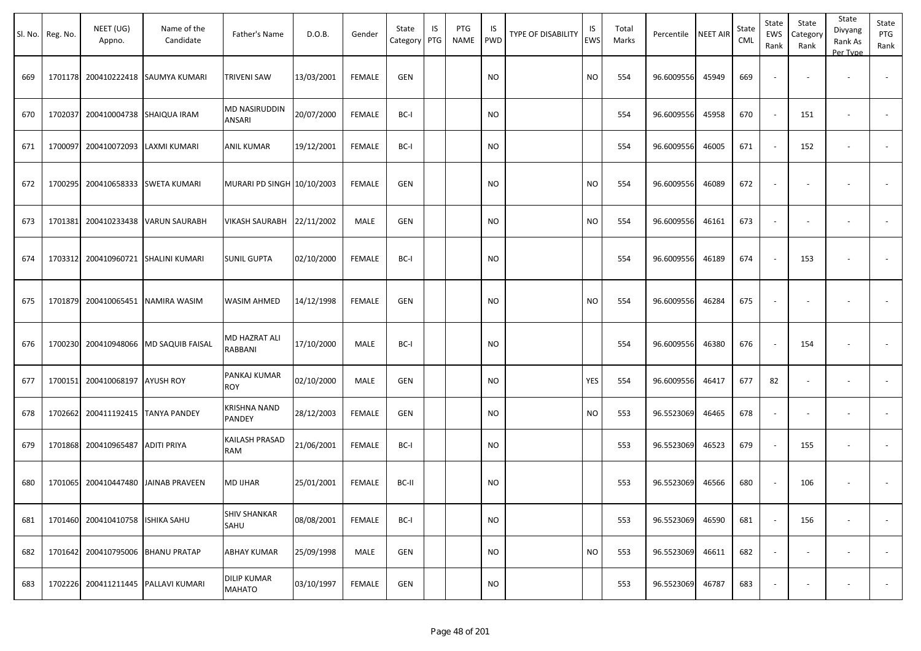|     | Sl. No. Reg. No. | NEET (UG)<br>Appno.               | Name of the<br>Candidate            | Father's Name                       | D.O.B.     | Gender        | State<br>Category | IS<br>PTG | PTG<br>NAME | IS.<br>PWD | TYPE OF DISABILITY | IS<br>EWS | Total<br>Marks | Percentile | <b>NEET AIR</b> | State<br><b>CML</b> | State<br>EWS<br>Rank        | State<br>Category<br>Rank | State<br>Divyang<br>Rank As<br>Per Type | State<br>PTG<br>Rank     |
|-----|------------------|-----------------------------------|-------------------------------------|-------------------------------------|------------|---------------|-------------------|-----------|-------------|------------|--------------------|-----------|----------------|------------|-----------------|---------------------|-----------------------------|---------------------------|-----------------------------------------|--------------------------|
| 669 |                  | 1701178 200410222418              | <b>SAUMYA KUMARI</b>                | <b>TRIVENI SAW</b>                  | 13/03/2001 | <b>FEMALE</b> | <b>GEN</b>        |           |             | <b>NO</b>  |                    | <b>NO</b> | 554            | 96.6009556 | 45949           | 669                 | $\overline{\phantom{a}}$    |                           | $\overline{\phantom{a}}$                |                          |
| 670 | 1702037          | 200410004738 SHAIQUA IRAM         |                                     | MD NASIRUDDIN<br>ANSARI             | 20/07/2000 | <b>FEMALE</b> | BC-I              |           |             | <b>NO</b>  |                    |           | 554            | 96.6009556 | 45958           | 670                 | $\sim$                      | 151                       | $\overline{\phantom{a}}$                | $\blacksquare$           |
| 671 | 1700097          | 200410072093                      | LAXMI KUMARI                        | ANIL KUMAR                          | 19/12/2001 | <b>FEMALE</b> | BC-I              |           |             | NO         |                    |           | 554            | 96.6009556 | 46005           | 671                 | $\mathcal{L}_{\mathcal{A}}$ | 152                       |                                         | $\overline{\phantom{a}}$ |
| 672 |                  | 1700295 200410658333 SWETA KUMARI |                                     | MURARI PD SINGH 10/10/2003          |            | FEMALE        | <b>GEN</b>        |           |             | <b>NO</b>  |                    | NO.       | 554            | 96.6009556 | 46089           | 672                 | $\blacksquare$              |                           |                                         |                          |
| 673 |                  | 1701381 200410233438              | <b>VARUN SAURABH</b>                | VIKASH SAURABH 22/11/2002           |            | MALE          | <b>GEN</b>        |           |             | <b>NO</b>  |                    | <b>NO</b> | 554            | 96.6009556 | 46161           | 673                 | $\omega$                    | $\overline{\phantom{a}}$  | $\overline{\phantom{a}}$                |                          |
| 674 |                  | 1703312 200410960721              | <b>SHALINI KUMARI</b>               | <b>SUNIL GUPTA</b>                  | 02/10/2000 | <b>FEMALE</b> | BC-I              |           |             | <b>NO</b>  |                    |           | 554            | 96.6009556 | 46189           | 674                 | $\sim$                      | 153                       |                                         | $\sim$                   |
| 675 |                  |                                   | 1701879 200410065451 NAMIRA WASIM   | <b>WASIM AHMED</b>                  | 14/12/1998 | <b>FEMALE</b> | <b>GEN</b>        |           |             | NO         |                    | NO.       | 554            | 96.6009556 | 46284           | 675                 | $\blacksquare$              |                           |                                         |                          |
| 676 |                  | 1700230 200410948066              | <b>MD SAQUIB FAISAL</b>             | MD HAZRAT ALI<br>RABBANI            | 17/10/2000 | MALE          | BC-I              |           |             | <b>NO</b>  |                    |           | 554            | 96.6009556 | 46380           | 676                 | $\sim$                      | 154                       |                                         | $\blacksquare$           |
| 677 |                  | 1700151 200410068197 AYUSH ROY    |                                     | PANKAJ KUMAR<br><b>ROY</b>          | 02/10/2000 | MALE          | GEN               |           |             | NO         |                    | YES       | 554            | 96.6009556 | 46417           | 677                 | 82                          |                           |                                         |                          |
| 678 |                  | 1702662 200411192415 TANYA PANDEY |                                     | KRISHNA NAND<br>PANDEY              | 28/12/2003 | FEMALE        | <b>GEN</b>        |           |             | <b>NO</b>  |                    | <b>NO</b> | 553            | 96.5523069 | 46465           | 678                 | $\blacksquare$              | $\blacksquare$            | $\overline{\phantom{a}}$                |                          |
| 679 |                  | 1701868 200410965487              | <b>ADITI PRIYA</b>                  | KAILASH PRASAD<br>RAM               | 21/06/2001 | FEMALE        | BC-I              |           |             | <b>NO</b>  |                    |           | 553            | 96.5523069 | 46523           | 679                 | $\sim$                      | 155                       | $\overline{\phantom{a}}$                |                          |
| 680 |                  | 1701065 200410447480              | <b>JAINAB PRAVEEN</b>               | <b>MD IJHAR</b>                     | 25/01/2001 | FEMALE        | BC-II             |           |             | NO         |                    |           | 553            | 96.5523069 | 46566           | 680                 | $\overline{\phantom{a}}$    | 106                       |                                         |                          |
| 681 |                  | 1701460 200410410758 ISHIKA SAHU  |                                     | <b>SHIV SHANKAR</b><br>SAHU         | 08/08/2001 | <b>FEMALE</b> | BC-I              |           |             | <b>NO</b>  |                    |           | 553            | 96.5523069 | 46590           | 681                 | $\sim$                      | 156                       |                                         | $\sim$                   |
| 682 |                  | 1701642 200410795006 BHANU PRATAP |                                     | <b>ABHAY KUMAR</b>                  | 25/09/1998 | MALE          | GEN               |           |             | <b>NO</b>  |                    | NO        | 553            | 96.5523069 | 46611           | 682                 | $\blacksquare$              | $\blacksquare$            |                                         | $\overline{\phantom{a}}$ |
| 683 |                  |                                   | 1702226 200411211445 PALLAVI KUMARI | <b>DILIP KUMAR</b><br><b>MAHATO</b> | 03/10/1997 | FEMALE        | GEN               |           |             | <b>NO</b>  |                    |           | 553            | 96.5523069 | 46787           | 683                 | $\overline{\phantom{a}}$    | ٠                         | $\sim$                                  |                          |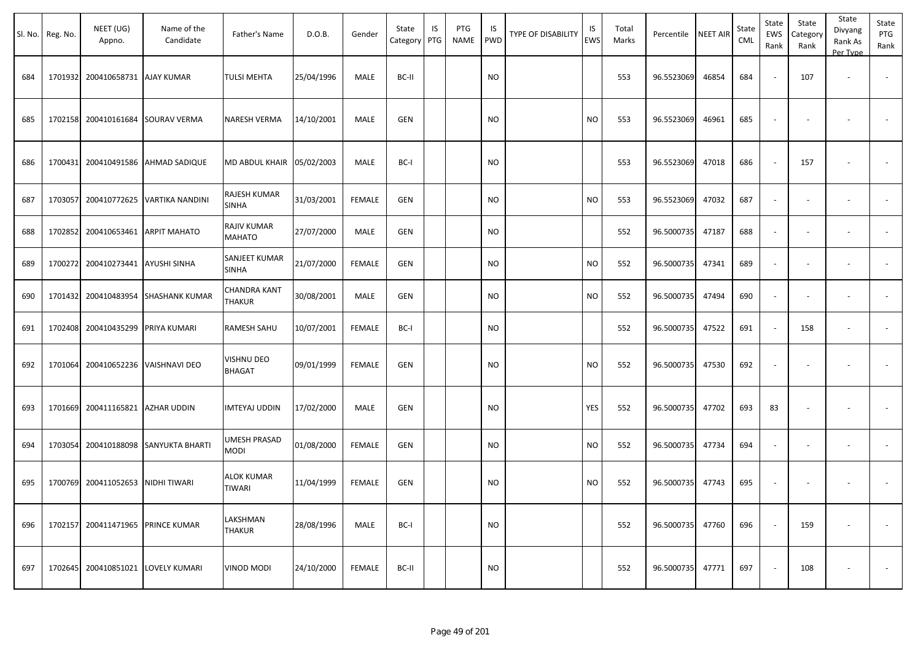|     | Sl. No. Reg. No. | NEET (UG)<br>Appno.               | Name of the<br>Candidate             | Father's Name                      | D.O.B.     | Gender        | State<br>Category | IS<br>PTG | <b>PTG</b><br>NAME | IS<br><b>PWD</b> | <b>TYPE OF DISABILITY</b> | IS<br>EWS | Total<br>Marks | Percentile | <b>NEET AIR</b> | State<br><b>CML</b> | State<br>EWS<br>Rank     | State<br>Category<br>Rank | State<br>Divyang<br>Rank As<br>Per Type | State<br>PTG<br>Rank     |
|-----|------------------|-----------------------------------|--------------------------------------|------------------------------------|------------|---------------|-------------------|-----------|--------------------|------------------|---------------------------|-----------|----------------|------------|-----------------|---------------------|--------------------------|---------------------------|-----------------------------------------|--------------------------|
| 684 |                  | 1701932 200410658731 AJAY KUMAR   |                                      | <b>TULSI MEHTA</b>                 | 25/04/1996 | MALE          | BC-II             |           |                    | <b>NO</b>        |                           |           | 553            | 96.5523069 | 46854           | 684                 | $\overline{\phantom{a}}$ | 107                       | $\overline{\phantom{a}}$                |                          |
| 685 |                  |                                   | 1702158 200410161684 SOURAV VERMA    | NARESH VERMA                       | 14/10/2001 | MALE          | <b>GEN</b>        |           |                    | <b>NO</b>        |                           | <b>NO</b> | 553            | 96.5523069 | 46961           | 685                 | $\overline{\phantom{a}}$ |                           |                                         |                          |
| 686 |                  |                                   | 1700431 200410491586 AHMAD SADIQUE   | MD ABDUL KHAIR 05/02/2003          |            | MALE          | BC-I              |           |                    | <b>NO</b>        |                           |           | 553            | 96.5523069 | 47018           | 686                 | $\overline{\phantom{a}}$ | 157                       |                                         |                          |
| 687 |                  | 1703057 200410772625              | <b>VARTIKA NANDINI</b>               | RAJESH KUMAR<br>SINHA              | 31/03/2001 | <b>FEMALE</b> | GEN               |           |                    | <b>NO</b>        |                           | <b>NO</b> | 553            | 96.5523069 | 47032           | 687                 | $\omega$                 | $\blacksquare$            | $\overline{\phantom{a}}$                | $\sim$                   |
| 688 |                  | 1702852 200410653461              | <b>ARPIT MAHATO</b>                  | RAJIV KUMAR<br><b>MAHATO</b>       | 27/07/2000 | MALE          | GEN               |           |                    | <b>NO</b>        |                           |           | 552            | 96.5000735 | 47187           | 688                 | $\overline{\phantom{a}}$ | $\overline{\phantom{a}}$  |                                         | $\overline{\phantom{a}}$ |
| 689 |                  | 1700272 200410273441 AYUSHI SINHA |                                      | SANJEET KUMAR<br>SINHA             | 21/07/2000 | <b>FEMALE</b> | GEN               |           |                    | <b>NO</b>        |                           | <b>NO</b> | 552            | 96.5000735 | 47341           | 689                 | $\overline{\phantom{a}}$ |                           |                                         |                          |
| 690 |                  | 1701432 200410483954              | <b>SHASHANK KUMAR</b>                | CHANDRA KANT<br>THAKUR             | 30/08/2001 | MALE          | GEN               |           |                    | NO.              |                           | <b>NO</b> | 552            | 96.5000735 | 47494           | 690                 |                          |                           |                                         |                          |
| 691 |                  | 1702408 200410435299 PRIYA KUMARI |                                      | RAMESH SAHU                        | 10/07/2001 | <b>FEMALE</b> | BC-I              |           |                    | <b>NO</b>        |                           |           | 552            | 96.5000735 | 47522           | 691                 | $\sim$                   | 158                       | $\overline{\phantom{a}}$                |                          |
| 692 |                  | 1701064 200410652236              | <b>VAISHNAVI DEO</b>                 | VISHNU DEO<br><b>BHAGAT</b>        | 09/01/1999 | <b>FEMALE</b> | <b>GEN</b>        |           |                    | <b>NO</b>        |                           | <b>NO</b> | 552            | 96.5000735 | 47530           | 692                 | $\overline{\phantom{a}}$ |                           |                                         |                          |
| 693 |                  | 1701669 200411165821 AZHAR UDDIN  |                                      | <b>IMTEYAJ UDDIN</b>               | 17/02/2000 | MALE          | <b>GEN</b>        |           |                    | <b>NO</b>        |                           | YES       | 552            | 96.5000735 | 47702           | 693                 | 83                       |                           |                                         |                          |
| 694 |                  |                                   | 1703054 200410188098 SANYUKTA BHARTI | UMESH PRASAD<br>NODI               | 01/08/2000 | <b>FEMALE</b> | GEN               |           |                    | <b>NO</b>        |                           | <b>NO</b> | 552            | 96.5000735 | 47734           | 694                 | $\sim$                   |                           |                                         |                          |
| 695 |                  | 1700769 200411052653              | <b>NIDHI TIWARI</b>                  | <b>ALOK KUMAR</b><br><b>TIWARI</b> | 11/04/1999 | <b>FEMALE</b> | GEN               |           |                    | <b>NO</b>        |                           | <b>NO</b> | 552            | 96.5000735 | 47743           | 695                 | $\overline{\phantom{a}}$ |                           |                                         |                          |
| 696 |                  | 1702157 200411471965              | <b>PRINCE KUMAR</b>                  | LAKSHMAN<br><b>THAKUR</b>          | 28/08/1996 | MALE          | BC-I              |           |                    | <b>NO</b>        |                           |           | 552            | 96.5000735 | 47760           | 696                 |                          | 159                       |                                         | $\overline{\phantom{a}}$ |
| 697 |                  | 1702645 200410851021              | <b>LOVELY KUMARI</b>                 | <b>VINOD MODI</b>                  | 24/10/2000 | <b>FEMALE</b> | BC-II             |           |                    | <b>NO</b>        |                           |           | 552            | 96.5000735 | 47771           | 697                 |                          | 108                       |                                         | $\sim$                   |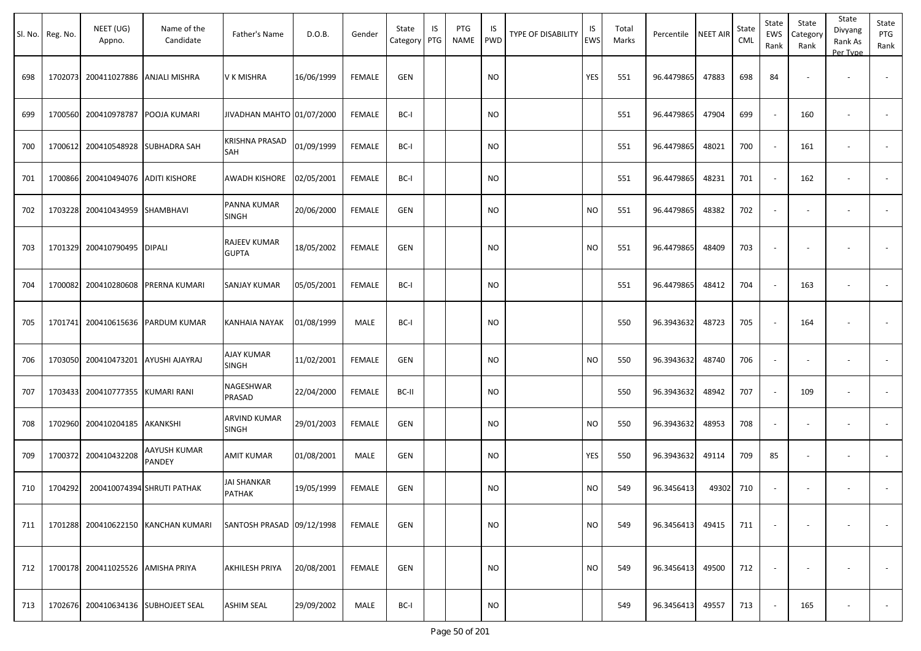| Sl. No. | Reg. No. | NEET (UG)<br>Appno.                 | Name of the<br>Candidate            | Father's Name                | D.O.B.     | Gender        | State<br>Category | IS<br>PTG | PTG<br><b>NAME</b> | <b>IS</b><br><b>PWD</b> | TYPE OF DISABILITY | IS<br><b>EWS</b> | Total<br>Marks | Percentile | <b>NEET AIR</b> | State<br>CML | State<br>EWS<br>Rank | State<br>Category<br>Rank | State<br>Divyang<br>Rank As<br>Per Type | State<br>PTG<br>Rank     |
|---------|----------|-------------------------------------|-------------------------------------|------------------------------|------------|---------------|-------------------|-----------|--------------------|-------------------------|--------------------|------------------|----------------|------------|-----------------|--------------|----------------------|---------------------------|-----------------------------------------|--------------------------|
| 698     | 1702073  |                                     | 200411027886 ANJALI MISHRA          | V K MISHRA                   | 16/06/1999 | <b>FEMALE</b> | <b>GEN</b>        |           |                    | <b>NO</b>               |                    | YES              | 551            | 96.4479865 | 47883           | 698          | 84                   |                           |                                         |                          |
| 699     |          | 1700560 200410978787                | POOJA KUMARI                        | JIVADHAN MAHTO 01/07/2000    |            | <b>FEMALE</b> | BC-I              |           |                    | <b>NO</b>               |                    |                  | 551            | 96.4479865 | 47904           | 699          | $\sim$               | 160                       | $\overline{\phantom{a}}$                | $\sim$                   |
| 700     | 1700612  | 200410548928 SUBHADRA SAH           |                                     | KRISHNA PRASAD<br>SAH        | 01/09/1999 | <b>FEMALE</b> | BC-I              |           |                    | <b>NO</b>               |                    |                  | 551            | 96.4479865 | 48021           | 700          |                      | 161                       |                                         |                          |
| 701     |          | 1700866 200410494076 ADITI KISHORE  |                                     | AWADH KISHORE                | 02/05/2001 | FEMALE        | BC-I              |           |                    | <b>NO</b>               |                    |                  | 551            | 96.4479865 | 48231           | 701          |                      | 162                       |                                         |                          |
| 702     |          | 1703228 200410434959 SHAMBHAVI      |                                     | PANNA KUMAR<br><b>SINGH</b>  | 20/06/2000 | <b>FEMALE</b> | <b>GEN</b>        |           |                    | <b>NO</b>               |                    | <b>NO</b>        | 551            | 96.4479865 | 48382           | 702          |                      |                           |                                         |                          |
| 703     |          | 1701329 200410790495                | <b>DIPALI</b>                       | RAJEEV KUMAR<br><b>GUPTA</b> | 18/05/2002 | <b>FEMALE</b> | <b>GEN</b>        |           |                    | <b>NO</b>               |                    | <b>NO</b>        | 551            | 96.4479865 | 48409           | 703          |                      |                           |                                         |                          |
| 704     | 1700082  | 200410280608                        | PRERNA KUMARI                       | SANJAY KUMAR                 | 05/05/2001 | <b>FEMALE</b> | BC-I              |           |                    | <b>NO</b>               |                    |                  | 551            | 96.4479865 | 48412           | 704          |                      | 163                       | $\overline{\phantom{a}}$                | $\overline{\phantom{a}}$ |
| 705     | 1701741  |                                     | 200410615636 PARDUM KUMAR           | KANHAIA NAYAK                | 01/08/1999 | MALE          | BC-I              |           |                    | <b>NO</b>               |                    |                  | 550            | 96.3943632 | 48723           | 705          |                      | 164                       |                                         |                          |
| 706     |          | 1703050 200410473201 AYUSHI AJAYRAJ |                                     | AJAY KUMAR<br><b>SINGH</b>   | 11/02/2001 | <b>FEMALE</b> | <b>GEN</b>        |           |                    | <b>NO</b>               |                    | <b>NO</b>        | 550            | 96.3943632 | 48740           | 706          |                      |                           | $\overline{\phantom{a}}$                |                          |
| 707     | 1703433  | 200410777355                        | <b>KUMARI RANI</b>                  | NAGESHWAR<br>PRASAD          | 22/04/2000 | <b>FEMALE</b> | BC-II             |           |                    | <b>NO</b>               |                    |                  | 550            | 96.3943632 | 48942           | 707          |                      | 109                       | $\overline{\phantom{a}}$                |                          |
| 708     |          | 1702960 200410204185 AKANKSHI       |                                     | ARVIND KUMAR<br><b>SINGH</b> | 29/01/2003 | <b>FEMALE</b> | <b>GEN</b>        |           |                    | <b>NO</b>               |                    | <b>NO</b>        | 550            | 96.3943632 | 48953           | 708          |                      |                           | $\overline{\phantom{a}}$                |                          |
| 709     | 1700372  | 200410432208                        | AAYUSH KUMAR<br>PANDEY              | AMIT KUMAR                   | 01/08/2001 | MALE          | <b>GEN</b>        |           |                    | <b>NO</b>               |                    | YES              | 550            | 96.3943632 | 49114           | 709          | 85                   |                           | $\overline{\phantom{a}}$                | $\overline{\phantom{a}}$ |
| 710     | 1704292  |                                     | 200410074394 SHRUTI PATHAK          | JAI SHANKAR<br>PATHAK        | 19/05/1999 | <b>FEMALE</b> | <b>GEN</b>        |           |                    | <b>NO</b>               |                    | <b>NO</b>        | 549            | 96.3456413 | 49302           | 710          | $\sim$               |                           | $\overline{\phantom{a}}$                |                          |
| 711     |          |                                     | 1701288 200410622150 KANCHAN KUMARI | SANTOSH PRASAD 09/12/1998    |            | <b>FEMALE</b> | <b>GEN</b>        |           |                    | <b>NO</b>               |                    | <b>NO</b>        | 549            | 96.3456413 | 49415           | 711          |                      |                           |                                         |                          |
| 712     |          | 1700178 200411025526 AMISHA PRIYA   |                                     | AKHILESH PRIYA               | 20/08/2001 | <b>FEMALE</b> | GEN               |           |                    | <b>NO</b>               |                    | <b>NO</b>        | 549            | 96.3456413 | 49500           | 712          |                      |                           |                                         | $\sim$                   |
| 713     |          |                                     | 1702676 200410634136 SUBHOJEET SEAL | ASHIM SEAL                   | 29/09/2002 | MALE          | BC-I              |           |                    | <b>NO</b>               |                    |                  | 549            | 96.3456413 | 49557           | 713          |                      | 165                       |                                         | $\sim$                   |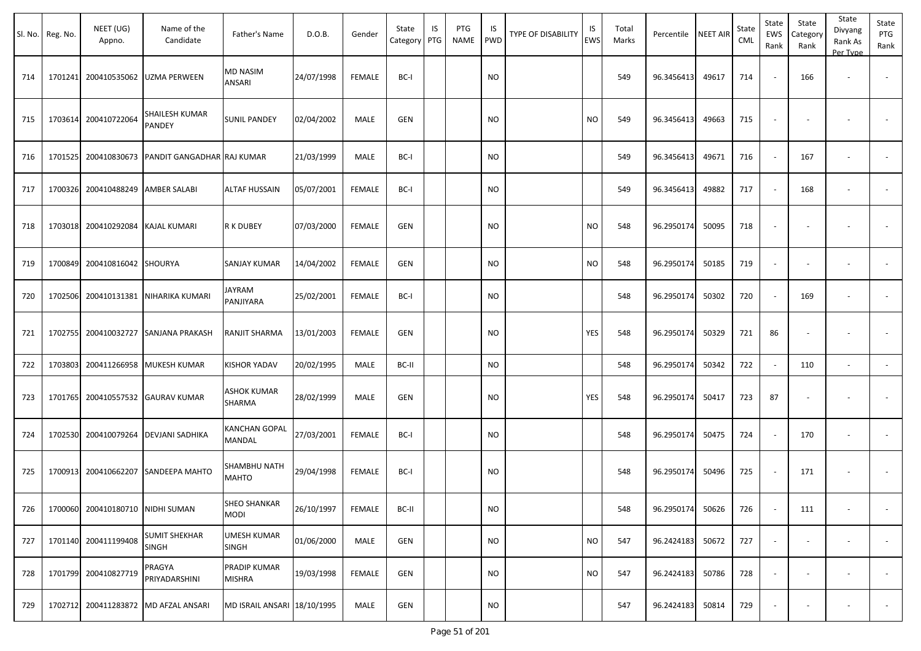|     | Sl. No. Reg. No. | NEET (UG)<br>Appno.              | Name of the<br>Candidate             | Father's Name                | D.O.B.     | Gender        | State<br>Category | IS<br>PTG | PTG<br><b>NAME</b> | IS<br><b>PWD</b> | <b>TYPE OF DISABILITY</b> | IS<br><b>EWS</b> | Total<br>Marks | Percentile | <b>NEET AIR</b> | State<br><b>CML</b> | State<br>EWS<br>Rank     | State<br>Category<br>Rank | State<br>Divyang<br>Rank As<br>Per Type | State<br>PTG<br>Rank |
|-----|------------------|----------------------------------|--------------------------------------|------------------------------|------------|---------------|-------------------|-----------|--------------------|------------------|---------------------------|------------------|----------------|------------|-----------------|---------------------|--------------------------|---------------------------|-----------------------------------------|----------------------|
| 714 | 1701241          | 200410535062                     | UZMA PERWEEN                         | <b>MD NASIM</b><br>ANSARI    | 24/07/1998 | <b>FEMALE</b> | BC-I              |           |                    | <b>NO</b>        |                           |                  | 549            | 96.3456413 | 49617           | 714                 |                          | 166                       | $\sim$                                  | $\sim$               |
| 715 | 1703614          | 200410722064                     | SHAILESH KUMAR<br>PANDEY             | SUNIL PANDEY                 | 02/04/2002 | MALE          | GEN               |           |                    | NO               |                           | <b>NO</b>        | 549            | 96.3456413 | 49663           | 715                 |                          |                           |                                         |                      |
| 716 | 1701525          | 200410830673                     | PANDIT GANGADHAR RAJ KUMAR           |                              | 21/03/1999 | <b>MALE</b>   | BC-I              |           |                    | <b>NO</b>        |                           |                  | 549            | 96.3456413 | 49671           | 716                 |                          | 167                       | $\overline{\phantom{a}}$                |                      |
| 717 | 1700326          | 200410488249                     | <b>AMBER SALABI</b>                  | <b>ALTAF HUSSAIN</b>         | 05/07/2001 | <b>FEMALE</b> | BC-I              |           |                    | <b>NO</b>        |                           |                  | 549            | 96.3456413 | 49882           | 717                 |                          | 168                       | $\sim$                                  |                      |
| 718 | 1703018          | 200410292084                     | KAJAL KUMARI                         | R K DUBEY                    | 07/03/2000 | <b>FEMALE</b> | GEN               |           |                    | <b>NO</b>        |                           | <b>NO</b>        | 548            | 96.2950174 | 50095           | 718                 |                          |                           |                                         |                      |
| 719 | 1700849          | 200410816042                     | <b>SHOURYA</b>                       | SANJAY KUMAR                 | 14/04/2002 | <b>FEMALE</b> | <b>GEN</b>        |           |                    | NO.              |                           | <b>NO</b>        | 548            | 96.2950174 | 50185           | 719                 |                          |                           |                                         |                      |
| 720 | 1702506          | 200410131381                     | NIHARIKA KUMARI                      | JAYRAM<br>PANJIYARA          | 25/02/2001 | <b>FEMALE</b> | BC-I              |           |                    | <b>NO</b>        |                           |                  | 548            | 96.2950174 | 50302           | 720                 |                          | 169                       | $\overline{\phantom{a}}$                |                      |
| 721 | 1702755          | 200410032727                     | <b>SANJANA PRAKASH</b>               | RANJIT SHARMA                | 13/01/2003 | <b>FEMALE</b> | GEN               |           |                    | NO.              |                           | YES              | 548            | 96.2950174 | 50329           | 721                 | 86                       |                           |                                         |                      |
| 722 | 1703803          | 200411266958                     | <b>MUKESH KUMAR</b>                  | KISHOR YADAV                 | 20/02/1995 | MALE          | BC-II             |           |                    | NO.              |                           |                  | 548            | 96.2950174 | 50342           | 722                 |                          | 110                       | $\blacksquare$                          | $\sim$               |
| 723 | 1701765          | 200410557532                     | <b>GAURAV KUMAR</b>                  | <b>ASHOK KUMAR</b><br>SHARMA | 28/02/1999 | MALE          | GEN               |           |                    | NO.              |                           | <b>YES</b>       | 548            | 96.2950174 | 50417           | 723                 | 87                       |                           |                                         |                      |
| 724 | 1702530          | 200410079264                     | DEVJANI SADHIKA                      | KANCHAN GOPAL<br>MANDAL      | 27/03/2001 | <b>FEMALE</b> | BC-I              |           |                    | NO               |                           |                  | 548            | 96.2950174 | 50475           | 724                 |                          | 170                       |                                         |                      |
| 725 | 1700913          | 200410662207                     | SANDEEPA MAHTO                       | SHAMBHU NATH<br>MAHTO        | 29/04/1998 | FEMALE        | BC-I              |           |                    | NO.              |                           |                  | 548            | 96.2950174 | 50496           | 725                 |                          | 171                       | $\overline{\phantom{a}}$                |                      |
| 726 |                  | 1700060 200410180710 NIDHI SUMAN |                                      | SHEO SHANKAR<br>MODI         | 26/10/1997 | <b>FEMALE</b> | BC-II             |           |                    | <b>NO</b>        |                           |                  | 548            | 96.2950174 | 50626           | 726                 |                          | 111                       | $\sim$                                  | $\sim$               |
| 727 | 1701140          | 200411199408                     | <b>SUMIT SHEKHAR</b><br><b>SINGH</b> | <b>UMESH KUMAR</b><br>SINGH  | 01/06/2000 | MALE          | GEN               |           |                    | <b>NO</b>        |                           | <b>NO</b>        | 547            | 96.2424183 | 50672           | 727                 | $\sim$                   | $\overline{\phantom{a}}$  | $\overline{\phantom{a}}$                | $\sim$               |
| 728 | 1701799          | 200410827719                     | PRAGYA<br>PRIYADARSHINI              | PRADIP KUMAR<br>MISHRA       | 19/03/1998 | <b>FEMALE</b> | GEN               |           |                    | <b>NO</b>        |                           | <b>NO</b>        | 547            | 96.2424183 | 50786           | 728                 | $\overline{\phantom{a}}$ | $\overline{\phantom{a}}$  | $\overline{\phantom{a}}$                | $\sim$               |
| 729 | 1702712          | 200411283872                     | <b>MD AFZAL ANSARI</b>               | MD ISRAIL ANSARI 18/10/1995  |            | MALE          | GEN               |           |                    | <b>NO</b>        |                           |                  | 547            | 96.2424183 | 50814           | 729                 | $\overline{\phantom{a}}$ |                           |                                         | $\sim$               |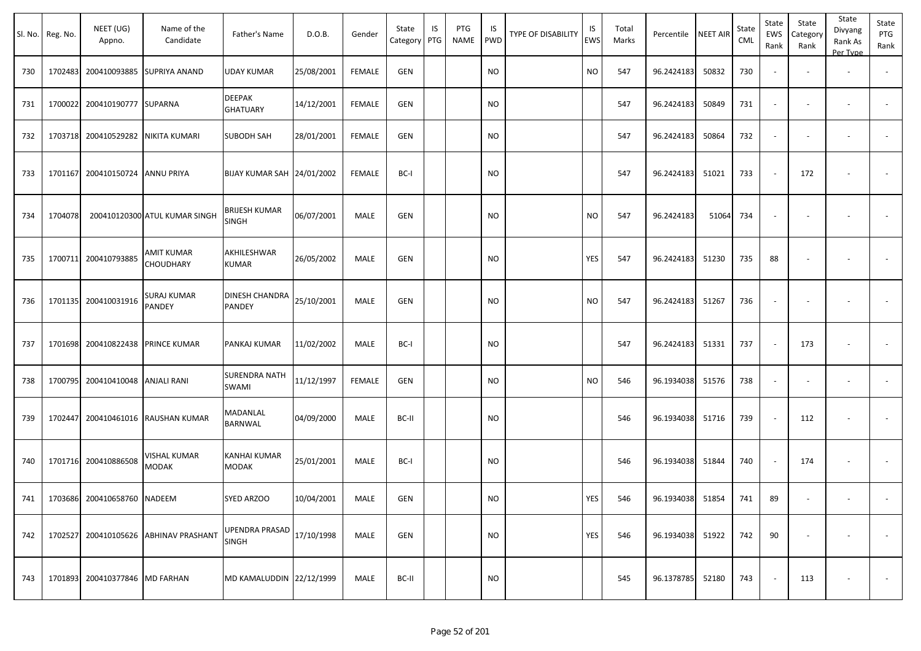|     | Sl. No. Reg. No. | NEET (UG)<br>Appno.               | Name of the<br>Candidate              | Father's Name                   | D.O.B.     | Gender        | State<br>Category | IS<br>PTG | PTG<br>NAME | IS<br>PWD     | TYPE OF DISABILITY | IS<br>EWS | Total<br>Marks | Percentile       | <b>NEET AIR</b> | State<br><b>CML</b> | State<br>EWS<br>Rank     | State<br>Category<br>Rank | State<br>Divyang<br>Rank As<br>Per Type | State<br>PTG<br>Rank |
|-----|------------------|-----------------------------------|---------------------------------------|---------------------------------|------------|---------------|-------------------|-----------|-------------|---------------|--------------------|-----------|----------------|------------------|-----------------|---------------------|--------------------------|---------------------------|-----------------------------------------|----------------------|
| 730 |                  |                                   | 1702483 200410093885 SUPRIYA ANAND    | <b>UDAY KUMAR</b>               | 25/08/2001 | FEMALE        | <b>GEN</b>        |           |             | <b>NO</b>     |                    | <b>NO</b> | 547            | 96.2424183       | 50832           | 730                 | $\blacksquare$           |                           | $\overline{\phantom{a}}$                |                      |
| 731 |                  | 1700022 200410190777 SUPARNA      |                                       | DEEPAK<br><b>GHATUARY</b>       | 14/12/2001 | FEMALE        | <b>GEN</b>        |           |             | NO            |                    |           | 547            | 96.2424183       | 50849           | 731                 | $\overline{\phantom{a}}$ | $\overline{\phantom{a}}$  | $\overline{\phantom{a}}$                |                      |
| 732 |                  | 1703718 200410529282              | NIKITA KUMARI                         | <b>SUBODH SAH</b>               | 28/01/2001 | FEMALE        | <b>GEN</b>        |           |             | <b>NO</b>     |                    |           | 547            | 96.2424183       | 50864           | 732                 | $\omega$                 | $\overline{\phantom{a}}$  | $\overline{\phantom{a}}$                |                      |
| 733 |                  | 1701167 200410150724 ANNU PRIYA   |                                       | BIJAY KUMAR SAH 24/01/2002      |            | <b>FEMALE</b> | BC-I              |           |             | <b>NO</b>     |                    |           | 547            | 96.2424183       | 51021           | 733                 | $\sim$                   | 172                       |                                         | $\blacksquare$       |
| 734 | 1704078          |                                   | 200410120300 ATUL KUMAR SINGH         | BRIJESH KUMAR<br><b>SINGH</b>   | 06/07/2001 | MALE          | <b>GEN</b>        |           |             | <b>NO</b>     |                    | <b>NO</b> | 547            | 96.2424183       | 51064           | 734                 | $\blacksquare$           |                           | $\overline{\phantom{a}}$                |                      |
| 735 |                  | 1700711 200410793885              | AMIT KUMAR<br>CHOUDHARY               | AKHILESHWAR<br><b>KUMAR</b>     | 26/05/2002 | <b>MALE</b>   | <b>GEN</b>        |           |             | <b>NO</b>     |                    | YES       | 547            | 96.2424183       | 51230           | 735                 | 88                       | $\overline{\phantom{a}}$  |                                         | $\sim$               |
| 736 |                  | 1701135 200410031916              | SURAJ KUMAR<br>PANDEY                 | <b>DINESH CHANDRA</b><br>PANDEY | 25/10/2001 | MALE          | <b>GEN</b>        |           |             | NO            |                    | NO.       | 547            | 96.2424183       | 51267           | 736                 | $\sim$                   |                           |                                         |                      |
| 737 |                  | 1701698 200410822438 PRINCE KUMAR |                                       | PANKAJ KUMAR                    | 11/02/2002 | MALE          | BC-I              |           |             | <b>NO</b>     |                    |           | 547            | 96.2424183       | 51331           | 737                 | $\sim$                   | 173                       | $\overline{\phantom{a}}$                | $\sim$               |
| 738 |                  | 1700795 200410410048              | <b>ANJALI RANI</b>                    | <b>SURENDRA NATH</b><br>SWAMI   | 11/12/1997 | <b>FEMALE</b> | <b>GEN</b>        |           |             | NO            |                    | <b>NO</b> | 546            | 96.1934038       | 51576           | 738                 | $\blacksquare$           |                           |                                         |                      |
| 739 |                  | 1702447 200410461016              | <b>RAUSHAN KUMAR</b>                  | MADANLAL<br>BARNWAL             | 04/09/2000 | MALE          | BC-II             |           |             | NO            |                    |           | 546            | 96.1934038       | 51716           | 739                 | $\sim$                   | 112                       |                                         |                      |
| 740 |                  | 1701716 200410886508              | VISHAL KUMAR<br><b>MODAK</b>          | KANHAI KUMAR<br><b>MODAK</b>    | 25/01/2001 | MALE          | BC-I              |           |             | NO            |                    |           | 546            | 96.1934038       | 51844           | 740                 | $\sim$                   | 174                       |                                         |                      |
|     |                  | 741 1703686 200410658760 NADEEM   |                                       | SYED ARZOO                      | 10/04/2001 | MALE          | GEN               |           |             | $\mathsf{NO}$ |                    | YES       | 546            | 96.1934038 51854 |                 | 741                 | 89                       |                           |                                         |                      |
| 742 |                  |                                   | 1702527 200410105626 ABHINAV PRASHANT | UPENDRA PRASAD<br><b>SINGH</b>  | 17/10/1998 | MALE          | <b>GEN</b>        |           |             | <b>NO</b>     |                    | YES       | 546            | 96.1934038 51922 |                 | 742                 | 90                       | $\sim$                    | $\sim$                                  | $\sim$               |
| 743 |                  | 1701893 200410377846 MD FARHAN    |                                       | MD KAMALUDDIN 22/12/1999        |            | MALE          | BC-II             |           |             | <b>NO</b>     |                    |           | 545            | 96.1378785 52180 |                 | 743                 | $\sim$                   | 113                       | $\overline{\phantom{a}}$                | $\sim$               |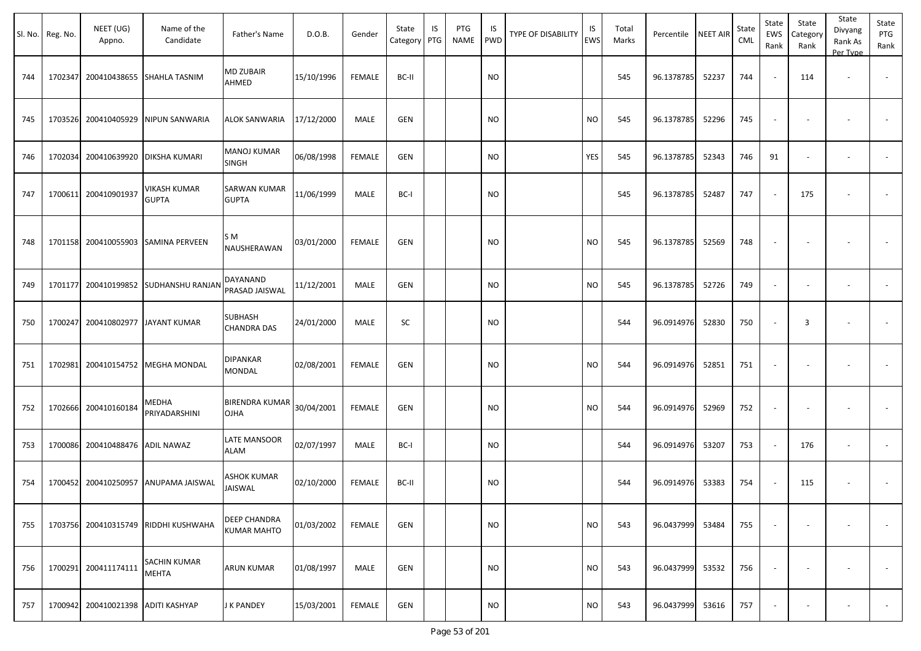| Sl. No. | Reg. No. | NEET (UG)<br>Appno.                | Name of the<br>Candidate             | Father's Name                        | D.O.B.     | Gender        | State<br>Category | IS<br>PTG | PTG<br><b>NAME</b> | IS<br><b>PWD</b> | TYPE OF DISABILITY | IS<br><b>EWS</b> | Total<br>Marks | Percentile | NEET AIR | State<br>CML | State<br>EWS<br>Rank     | State<br>Category<br>Rank | State<br>Divyang<br>Rank As<br>Per Type | State<br>PTG<br>Rank     |
|---------|----------|------------------------------------|--------------------------------------|--------------------------------------|------------|---------------|-------------------|-----------|--------------------|------------------|--------------------|------------------|----------------|------------|----------|--------------|--------------------------|---------------------------|-----------------------------------------|--------------------------|
| 744     | 1702347  |                                    | 200410438655 SHAHLA TASNIM           | MD ZUBAIR<br>AHMED                   | 15/10/1996 | <b>FEMALE</b> | BC-II             |           |                    | <b>NO</b>        |                    |                  | 545            | 96.1378785 | 52237    | 744          |                          | 114                       |                                         |                          |
| 745     | 1703526  | 200410405929                       | NIPUN SANWARIA                       | ALOK SANWARIA                        | 17/12/2000 | MALE          | <b>GEN</b>        |           |                    | <b>NO</b>        |                    | <b>NO</b>        | 545            | 96.1378785 | 52296    | 745          |                          |                           |                                         |                          |
| 746     | 1702034  | 200410639920                       | <b>DIKSHA KUMARI</b>                 | MANOJ KUMAR<br><b>SINGH</b>          | 06/08/1998 | <b>FEMALE</b> | <b>GEN</b>        |           |                    | <b>NO</b>        |                    | YES              | 545            | 96.1378785 | 52343    | 746          | 91                       |                           | $\overline{\phantom{a}}$                |                          |
| 747     | 1700611  | 200410901937                       | <b>VIKASH KUMAR</b><br><b>GUPTA</b>  | SARWAN KUMAR<br><b>GUPTA</b>         | 11/06/1999 | MALE          | BC-I              |           |                    | <b>NO</b>        |                    |                  | 545            | 96.1378785 | 52487    | 747          |                          | 175                       |                                         |                          |
| 748     |          |                                    | 1701158 200410055903 SAMINA PERVEEN  | S M<br>NAUSHERAWAN                   | 03/01/2000 | FEMALE        | <b>GEN</b>        |           |                    | <b>NO</b>        |                    | <b>NO</b>        | 545            | 96.1378785 | 52569    | 748          |                          |                           |                                         |                          |
| 749     | 1701177  |                                    | 200410199852 SUDHANSHU RANJAN        | DAYANAND<br>PRASAD JAISWAL           | 11/12/2001 | MALE          | <b>GEN</b>        |           |                    | <b>NO</b>        |                    | <b>NO</b>        | 545            | 96.1378785 | 52726    | 749          | $\sim$                   |                           | $\overline{\phantom{a}}$                | $\overline{\phantom{a}}$ |
| 750     | 1700247  |                                    | 200410802977 JAYANT KUMAR            | <b>SUBHASH</b><br><b>CHANDRA DAS</b> | 24/01/2000 | MALE          | SC                |           |                    | <b>NO</b>        |                    |                  | 544            | 96.0914976 | 52830    | 750          |                          | 3                         |                                         |                          |
| 751     | 1702981  | 200410154752                       | <b>MEGHA MONDAL</b>                  | <b>DIPANKAR</b><br>MONDAL            | 02/08/2001 | <b>FEMALE</b> | <b>GEN</b>        |           |                    | <b>NO</b>        |                    | <b>NO</b>        | 544            | 96.0914976 | 52851    | 751          | $\overline{\phantom{a}}$ |                           | $\overline{\phantom{a}}$                |                          |
| 752     | 1702666  | 200410160184                       | MEDHA<br>PRIYADARSHINI               | <b>BIRENDRA KUMAR</b><br>OJHA        | 30/04/2001 | <b>FEMALE</b> | <b>GEN</b>        |           |                    | <b>NO</b>        |                    | <b>NO</b>        | 544            | 96.0914976 | 52969    | 752          |                          |                           |                                         |                          |
| 753     |          | 1700086 200410488476               | <b>ADIL NAWAZ</b>                    | LATE MANSOOR<br>ALAM                 | 02/07/1997 | MALE          | BC-I              |           |                    | <b>NO</b>        |                    |                  | 544            | 96.0914976 | 53207    | 753          |                          | 176                       | $\overline{\phantom{a}}$                |                          |
| 754     |          | 1700452 200410250957               | ANUPAMA JAISWAL                      | ASHOK KUMAR<br><b>JAISWAL</b>        | 02/10/2000 | <b>FEMALE</b> | BC-II             |           |                    | <b>NO</b>        |                    |                  | 544            | 96.0914976 | 53383    | 754          |                          | 115                       |                                         |                          |
| 755     |          |                                    | 1703756 200410315749 RIDDHI KUSHWAHA | DEEP CHANDRA<br><b>KUMAR MAHTO</b>   | 01/03/2002 | <b>FEMALE</b> | <b>GEN</b>        |           |                    | <b>NO</b>        |                    | <b>NO</b>        | 543            | 96.0437999 | 53484    | 755          |                          |                           |                                         |                          |
| 756     |          | 1700291 200411174111               | <b>SACHIN KUMAR</b><br><b>MEHTA</b>  | ARUN KUMAR                           | 01/08/1997 | MALE          | <b>GEN</b>        |           |                    | <b>NO</b>        |                    | <b>NO</b>        | 543            | 96.0437999 | 53532    | 756          |                          |                           |                                         | $\sim$                   |
| 757     |          | 1700942 200410021398 ADITI KASHYAP |                                      | J K PANDEY                           | 15/03/2001 | <b>FEMALE</b> | <b>GEN</b>        |           |                    | <b>NO</b>        |                    | <b>NO</b>        | 543            | 96.0437999 | 53616    | 757          |                          |                           |                                         | $\sim$                   |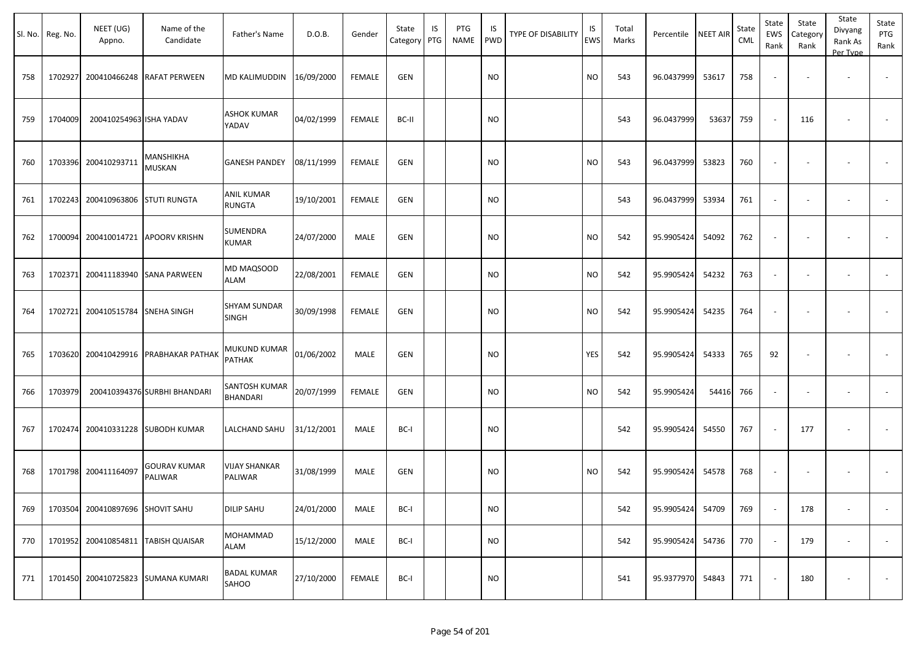| SI. No. | Reg. No. | NEET (UG)<br>Appno.              | Name of the<br>Candidate              | Father's Name                   | D.O.B.     | Gender        | State<br>Category | IS<br>PTG | PTG<br><b>NAME</b> | IS<br><b>PWD</b> | <b>TYPE OF DISABILITY</b> | IS<br>EWS | Total<br>Marks | Percentile | <b>NEET AIR</b> | State<br>CML | State<br>EWS<br>Rank | State<br>Category<br>Rank | State<br>Divyang<br>Rank As<br>Per Type | State<br>PTG<br>Rank     |
|---------|----------|----------------------------------|---------------------------------------|---------------------------------|------------|---------------|-------------------|-----------|--------------------|------------------|---------------------------|-----------|----------------|------------|-----------------|--------------|----------------------|---------------------------|-----------------------------------------|--------------------------|
| 758     | 1702927  |                                  | 200410466248 RAFAT PERWEEN            | MD KALIMUDDIN                   | 16/09/2000 | <b>FEMALE</b> | <b>GEN</b>        |           |                    | <b>NO</b>        |                           | <b>NO</b> | 543            | 96.0437999 | 53617           | 758          |                      |                           | $\sim$                                  |                          |
| 759     | 1704009  | 200410254963 ISHA YADAV          |                                       | <b>ASHOK KUMAR</b><br>YADAV     | 04/02/1999 | <b>FEMALE</b> | BC-II             |           |                    | <b>NO</b>        |                           |           | 543            | 96.0437999 | 53637           | 759          |                      | 116                       |                                         |                          |
| 760     | 1703396  | 200410293711                     | MANSHIKHA<br><b>MUSKAN</b>            | <b>GANESH PANDEY</b>            | 08/11/1999 | <b>FEMALE</b> | <b>GEN</b>        |           |                    | <b>NO</b>        |                           | <b>NO</b> | 543            | 96.0437999 | 53823           | 760          |                      |                           |                                         |                          |
| 761     | 1702243  | 200410963806 STUTI RUNGTA        |                                       | ANIL KUMAR<br><b>RUNGTA</b>     | 19/10/2001 | <b>FEMALE</b> | <b>GEN</b>        |           |                    | <b>NO</b>        |                           |           | 543            | 96.0437999 | 53934           | 761          |                      |                           | $\sim$                                  |                          |
| 762     | 1700094  |                                  | 200410014721 APOORV KRISHN            | SUMENDRA<br><b>KUMAR</b>        | 24/07/2000 | MALE          | GEN               |           |                    | <b>NO</b>        |                           | <b>NO</b> | 542            | 95.9905424 | 54092           | 762          |                      |                           |                                         |                          |
| 763     | 1702371  |                                  | 200411183940 SANA PARWEEN             | MD MAQSOOD<br><b>ALAM</b>       | 22/08/2001 | <b>FEMALE</b> | <b>GEN</b>        |           |                    | <b>NO</b>        |                           | <b>NO</b> | 542            | 95.9905424 | 54232           | 763          |                      |                           | $\overline{\phantom{a}}$                | $\overline{\phantom{a}}$ |
| 764     | 1702721  | 200410515784 SNEHA SINGH         |                                       | <b>SHYAM SUNDAR</b><br>SINGH    | 30/09/1998 | <b>FEMALE</b> | <b>GEN</b>        |           |                    | <b>NO</b>        |                           | <b>NO</b> | 542            | 95.9905424 | 54235           | 764          |                      |                           | $\overline{\phantom{a}}$                |                          |
| 765     | 1703620  |                                  | 200410429916 PRABHAKAR PATHAK         | MUKUND KUMAR<br>PATHAK          | 01/06/2002 | MALE          | GEN               |           |                    | <b>NO</b>        |                           | YES       | 542            | 95.9905424 | 54333           | 765          | 92                   |                           |                                         |                          |
| 766     | 1703979  |                                  | 200410394376 SURBHI BHANDARI          | SANTOSH KUMAR<br>BHANDARI       | 20/07/1999 | <b>FEMALE</b> | <b>GEN</b>        |           |                    | <b>NO</b>        |                           | <b>NO</b> | 542            | 95.9905424 | 54416           | 766          |                      |                           | $\sim$                                  |                          |
| 767     | 1702474  |                                  | 200410331228 SUBODH KUMAR             | LALCHAND SAHU                   | 31/12/2001 | <b>MALE</b>   | BC-I              |           |                    | <b>NO</b>        |                           |           | 542            | 95.9905424 | 54550           | 767          |                      | 177                       | $\overline{\phantom{a}}$                | $\overline{\phantom{a}}$ |
| 768     |          | 1701798 200411164097             | <b>GOURAV KUMAR</b><br><b>PALIWAR</b> | <b>VIJAY SHANKAR</b><br>PALIWAR | 31/08/1999 | MALE          | <b>GEN</b>        |           |                    | <b>NO</b>        |                           | <b>NO</b> | 542            | 95.9905424 | 54578           | 768          |                      |                           |                                         |                          |
| 769     |          | 1703504 200410897696 SHOVIT SAHU |                                       | <b>DILIP SAHU</b>               | 24/01/2000 | MALE          | BC-I              |           |                    | <b>NO</b>        |                           |           | 542            | 95.9905424 | 54709           | 769          |                      | 178                       | $\overline{\phantom{a}}$                | $\sim$                   |
| 770     |          |                                  | 1701952 200410854811 TABISH QUAISAR   | MOHAMMAD<br><b>ALAM</b>         | 15/12/2000 | MALE          | BC-I              |           |                    | <b>NO</b>        |                           |           | 542            | 95.9905424 | 54736           | 770          |                      | 179                       | $\blacksquare$                          | $\sim$                   |
| 771     |          |                                  | 1701450 200410725823 SUMANA KUMARI    | <b>BADAL KUMAR</b><br>SAHOO     | 27/10/2000 | FEMALE        | BC-I              |           |                    | <b>NO</b>        |                           |           | 541            | 95.9377970 | 54843           | 771          |                      | 180                       |                                         | $\sim$                   |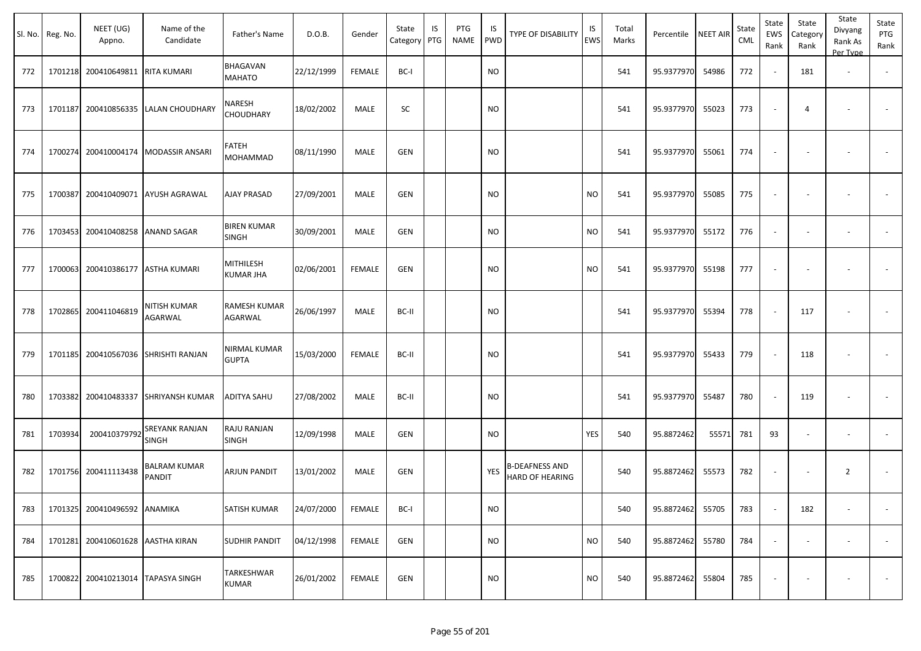|     | Sl. No. Reg. No. | NEET (UG)<br>Appno.                | Name of the<br>Candidate             | Father's Name                  | D.O.B.     | Gender        | State<br>Category   PTG | IS | PTG<br>NAME | IS.<br>PWD | TYPE OF DISABILITY                              | IS<br>EWS | Total<br>Marks | Percentile | <b>NEET AIR</b> | State<br><b>CML</b> | State<br>EWS<br>Rank     | State<br>Category<br>Rank | State<br>Divyang<br>Rank As<br>Per Type | State<br>PTG<br>Rank     |
|-----|------------------|------------------------------------|--------------------------------------|--------------------------------|------------|---------------|-------------------------|----|-------------|------------|-------------------------------------------------|-----------|----------------|------------|-----------------|---------------------|--------------------------|---------------------------|-----------------------------------------|--------------------------|
| 772 |                  | 1701218 200410649811 RITA KUMARI   |                                      | <b>BHAGAVAN</b><br>MAHATO      | 22/12/1999 | FEMALE        | BC-I                    |    |             | <b>NO</b>  |                                                 |           | 541            | 95.9377970 | 54986           | 772                 | $\sim$                   | 181                       | $\overline{\phantom{a}}$                |                          |
| 773 | 1701187          | 200410856335                       | <b>LALAN CHOUDHARY</b>               | NARESH<br>CHOUDHARY            | 18/02/2002 | MALE          | SC                      |    |             | <b>NO</b>  |                                                 |           | 541            | 95.9377970 | 55023           | 773                 |                          | 4                         |                                         |                          |
| 774 |                  | 1700274 200410004174               | <b>MODASSIR ANSARI</b>               | FATEH<br>MOHAMMAD              | 08/11/1990 | MALE          | <b>GEN</b>              |    |             | <b>NO</b>  |                                                 |           | 541            | 95.9377970 | 55061           | 774                 |                          |                           |                                         |                          |
| 775 | 1700387          |                                    | 200410409071 AYUSH AGRAWAL           | <b>AJAY PRASAD</b>             | 27/09/2001 | MALE          | <b>GEN</b>              |    |             | <b>NO</b>  |                                                 | <b>NO</b> | 541            | 95.9377970 | 55085           | 775                 |                          |                           |                                         |                          |
| 776 |                  | 1703453 200410408258               | <b>ANAND SAGAR</b>                   | <b>BIREN KUMAR</b><br>SINGH    | 30/09/2001 | <b>MALE</b>   | GEN                     |    |             | <b>NO</b>  |                                                 | <b>NO</b> | 541            | 95.9377970 | 55172           | 776                 | $\overline{\phantom{a}}$ | $\overline{\phantom{a}}$  | $\overline{\phantom{a}}$                | $\overline{\phantom{a}}$ |
| 777 |                  | 1700063 200410386177               | <b>ASTHA KUMARI</b>                  | MITHILESH<br>KUMAR JHA         | 02/06/2001 | <b>FEMALE</b> | GEN                     |    |             | <b>NO</b>  |                                                 | <b>NO</b> | 541            | 95.9377970 | 55198           | 777                 |                          |                           |                                         |                          |
| 778 |                  | 1702865 200411046819               | NITISH KUMAR<br>AGARWAL              | RAMESH KUMAR<br><b>AGARWAL</b> | 26/06/1997 | MALE          | BC-II                   |    |             | <b>NO</b>  |                                                 |           | 541            | 95.9377970 | 55394           | 778                 |                          | 117                       |                                         |                          |
| 779 |                  |                                    | 1701185 200410567036 SHRISHTI RANJAN | NIRMAL KUMAR<br><b>GUPTA</b>   | 15/03/2000 | FEMALE        | BC-II                   |    |             | <b>NO</b>  |                                                 |           | 541            | 95.9377970 | 55433           | 779                 | $\overline{a}$           | 118                       |                                         |                          |
| 780 |                  | 1703382 200410483337               | <b>SHRIYANSH KUMAR</b>               | <b>ADITYA SAHU</b>             | 27/08/2002 | MALE          | BC-II                   |    |             | <b>NO</b>  |                                                 |           | 541            | 95.9377970 | 55487           | 780                 | $\overline{\phantom{a}}$ | 119                       | $\overline{\phantom{a}}$                | $\blacksquare$           |
| 781 | 1703934          | 200410379792                       | <b>SREYANK RANJAN</b><br>SINGH       | RAJU RANJAN<br><b>SINGH</b>    | 12/09/1998 | MALE          | GEN                     |    |             | <b>NO</b>  |                                                 | YES       | 540            | 95.8872462 | 55571           | 781                 | 93                       |                           |                                         |                          |
| 782 |                  | 1701756 200411113438               | BALRAM KUMAR<br>PANDIT               | <b>ARJUN PANDIT</b>            | 13/01/2002 | MALE          | <b>GEN</b>              |    |             | YES        | <b>B-DEAFNESS AND</b><br><b>HARD OF HEARING</b> |           | 540            | 95.8872462 | 55573           | 782                 | $\sim$                   |                           | $\overline{2}$                          |                          |
| 783 |                  | 1701325 200410496592 ANAMIKA       |                                      | SATISH KUMAR                   | 24/07/2000 | FEMALE        | BC-I                    |    |             | <b>NO</b>  |                                                 |           | 540            | 95.8872462 | 55705           | 783                 | $\sim$                   | 182                       | $\sim$                                  | $\overline{\phantom{a}}$ |
| 784 |                  | 1701281 200410601628 AASTHA KIRAN  |                                      | <b>SUDHIR PANDIT</b>           | 04/12/1998 | FEMALE        | GEN                     |    |             | <b>NO</b>  |                                                 | <b>NO</b> | 540            | 95.8872462 | 55780           | 784                 | $\sim$                   | $\sim$                    | $\overline{\phantom{a}}$                | $\sim$                   |
| 785 |                  | 1700822 200410213014 TAPASYA SINGH |                                      | TARKESHWAR<br><b>KUMAR</b>     | 26/01/2002 | FEMALE        | GEN                     |    |             | <b>NO</b>  |                                                 | <b>NO</b> | 540            | 95.8872462 | 55804           | 785                 |                          |                           |                                         | $\overline{\phantom{a}}$ |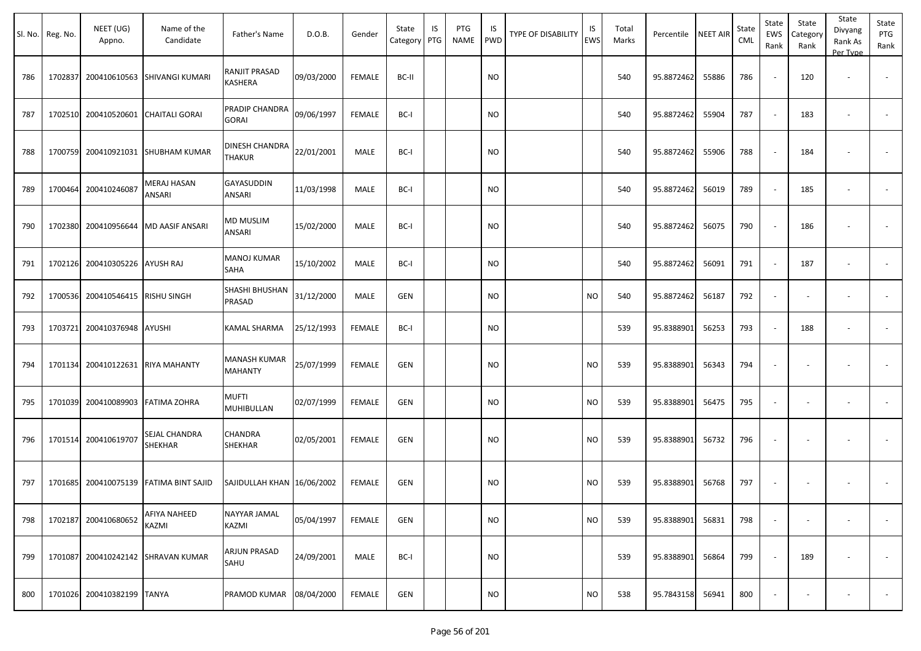|     | Sl. No. Reg. No. | NEET (UG)<br>Appno.               | Name of the<br>Candidate               | Father's Name                   | D.O.B.     | Gender        | State<br>Category | IS<br>PTG | PTG<br><b>NAME</b> | IS<br><b>PWD</b> | TYPE OF DISABILITY | IS<br>EWS | Total<br>Marks | Percentile | <b>NEET AIR</b> | State<br>CML | State<br>EWS<br>Rank     | State<br>Category<br>Rank | State<br>Divyang<br>Rank As<br>Per Type | State<br>PTG<br>Rank |
|-----|------------------|-----------------------------------|----------------------------------------|---------------------------------|------------|---------------|-------------------|-----------|--------------------|------------------|--------------------|-----------|----------------|------------|-----------------|--------------|--------------------------|---------------------------|-----------------------------------------|----------------------|
| 786 | 1702837          |                                   | 200410610563 SHIVANGI KUMARI           | RANJIT PRASAD<br>KASHERA        | 09/03/2000 | <b>FEMALE</b> | BC-II             |           |                    | <b>NO</b>        |                    |           | 540            | 95.8872462 | 55886           | 786          |                          | 120                       | $\overline{\phantom{a}}$                |                      |
| 787 |                  | 1702510 200410520601              | <b>CHAITALI GORAI</b>                  | PRADIP CHANDRA<br><b>GORAI</b>  | 09/06/1997 | <b>FEMALE</b> | BC-I              |           |                    | <b>NO</b>        |                    |           | 540            | 95.8872462 | 55904           | 787          |                          | 183                       | $\blacksquare$                          |                      |
| 788 | 1700759          |                                   | 200410921031 SHUBHAM KUMAR             | DINESH CHANDRA<br><b>THAKUR</b> | 22/01/2001 | MALE          | BC-I              |           |                    | <b>NO</b>        |                    |           | 540            | 95.8872462 | 55906           | 788          |                          | 184                       |                                         |                      |
| 789 |                  | 1700464 200410246087              | <b>MERAJ HASAN</b><br>ANSARI           | GAYASUDDIN<br>ANSARI            | 11/03/1998 | MALE          | BC-I              |           |                    | <b>NO</b>        |                    |           | 540            | 95.8872462 | 56019           | 789          |                          | 185                       | $\overline{\phantom{a}}$                |                      |
| 790 | 1702380          |                                   | 200410956644   MD AASIF ANSARI         | <b>MD MUSLIM</b><br>ANSARI      | 15/02/2000 | MALE          | BC-I              |           |                    | <b>NO</b>        |                    |           | 540            | 95.8872462 | 56075           | 790          |                          | 186                       |                                         |                      |
| 791 | 1702126          | 200410305226 AYUSH RAJ            |                                        | <b>MANOJ KUMAR</b><br>SAHA      | 15/10/2002 | MALE          | BC-I              |           |                    | <b>NO</b>        |                    |           | 540            | 95.8872462 | 56091           | 791          |                          | 187                       |                                         |                      |
| 792 |                  | 1700536 200410546415 RISHU SINGH  |                                        | SHASHI BHUSHAN<br>PRASAD        | 31/12/2000 | MALE          | <b>GEN</b>        |           |                    | <b>NO</b>        |                    | <b>NO</b> | 540            | 95.8872462 | 56187           | 792          |                          |                           |                                         |                      |
| 793 | 1703721          | 200410376948 AYUSHI               |                                        | KAMAL SHARMA                    | 25/12/1993 | <b>FEMALE</b> | BC-I              |           |                    | <b>NO</b>        |                    |           | 539            | 95.8388901 | 56253           | 793          |                          | 188                       | $\overline{\phantom{a}}$                |                      |
| 794 |                  | 1701134 200410122631 RIYA MAHANTY |                                        | MANASH KUMAR<br><b>MAHANTY</b>  | 25/07/1999 | <b>FEMALE</b> | <b>GEN</b>        |           |                    | <b>NO</b>        |                    | <b>NO</b> | 539            | 95.8388901 | 56343           | 794          |                          |                           |                                         |                      |
| 795 | 1701039          | 200410089903 FATIMA ZOHRA         |                                        | <b>MUFTI</b><br>MUHIBULLAN      | 02/07/1999 | <b>FEMALE</b> | <b>GEN</b>        |           |                    | <b>NO</b>        |                    | <b>NO</b> | 539            | 95.8388901 | 56475           | 795          | $\overline{\phantom{a}}$ |                           | $\overline{\phantom{a}}$                |                      |
| 796 |                  | 1701514 200410619707              | <b>SEJAL CHANDRA</b><br><b>SHEKHAR</b> | CHANDRA<br><b>SHEKHAR</b>       | 02/05/2001 | <b>FEMALE</b> | <b>GEN</b>        |           |                    | <b>NO</b>        |                    | <b>NO</b> | 539            | 95.8388901 | 56732           | 796          |                          |                           |                                         |                      |
| 797 | 1701685          |                                   | 200410075139 FATIMA BINT SAJID         | SAJIDULLAH KHAN   16/06/2002    |            | <b>FEMALE</b> | <b>GEN</b>        |           |                    | <b>NO</b>        |                    | <b>NO</b> | 539            | 95.8388901 | 56768           | 797          |                          |                           |                                         |                      |
| 798 |                  | 1702187 200410680652              | <b>AFIYA NAHEED</b><br>KAZMI           | NAYYAR JAMAL<br>KAZMI           | 05/04/1997 | FEMALE        | <b>GEN</b>        |           |                    | <b>NO</b>        |                    | <b>NO</b> | 539            | 95.8388901 | 56831           | 798          | $\sim$                   | $\overline{\phantom{a}}$  | $\sim$                                  | $\sim$               |
| 799 |                  |                                   | 1701087 200410242142 SHRAVAN KUMAR     | ARJUN PRASAD<br>SAHU            | 24/09/2001 | MALE          | BC-I              |           |                    | <b>NO</b>        |                    |           | 539            | 95.8388901 | 56864           | 799          |                          | 189                       | $\blacksquare$                          | $\sim$               |
| 800 |                  | 1701026 200410382199 TANYA        |                                        | PRAMOD KUMAR                    | 08/04/2000 | <b>FEMALE</b> | GEN               |           |                    | <b>NO</b>        |                    | <b>NO</b> | 538            | 95.7843158 | 56941           | 800          |                          |                           |                                         | $\sim 100$           |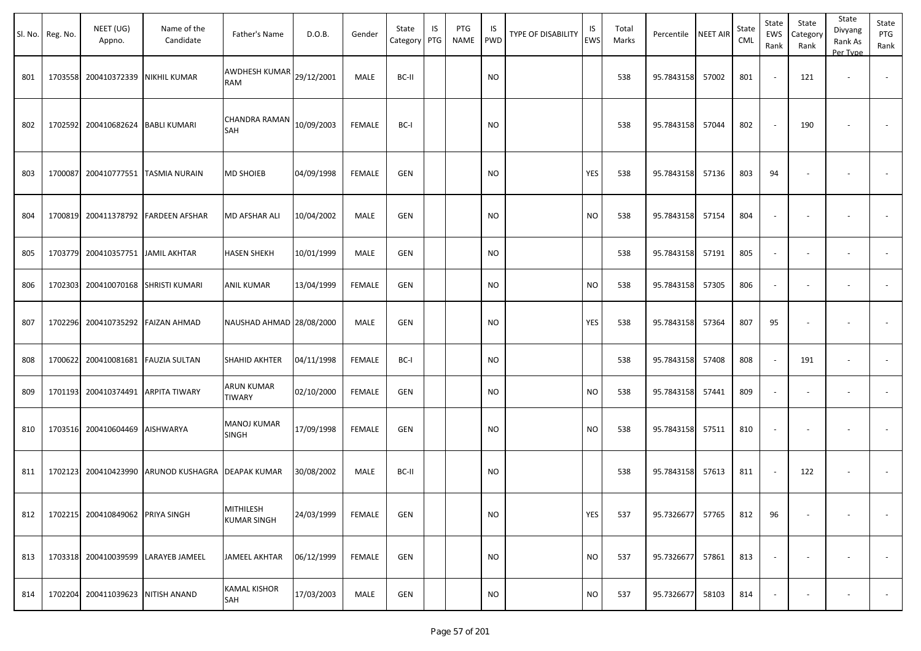| Sl. No. | Reg. No. | NEET (UG)<br>Appno.                | Name of the<br>Candidate            | Father's Name                      | D.O.B.     | Gender        | State<br>Category | IS<br>PTG | PTG<br><b>NAME</b> | IS<br><b>PWD</b> | <b>TYPE OF DISABILITY</b> | IS<br><b>EWS</b> | Total<br>Marks | Percentile | NEET AIR | State<br>CML | State<br>EWS<br>Rank | State<br>Category<br>Rank | State<br>Divyang<br>Rank As<br>Per Type | State<br>PTG<br>Rank |
|---------|----------|------------------------------------|-------------------------------------|------------------------------------|------------|---------------|-------------------|-----------|--------------------|------------------|---------------------------|------------------|----------------|------------|----------|--------------|----------------------|---------------------------|-----------------------------------------|----------------------|
| 801     |          | 1703558 200410372339 NIKHIL KUMAR  |                                     | AWDHESH KUMAR<br><b>RAM</b>        | 29/12/2001 | MALE          | BC-II             |           |                    | <b>NO</b>        |                           |                  | 538            | 95.7843158 | 57002    | 801          |                      | 121                       |                                         | $\sim$               |
| 802     |          | 1702592 200410682624 BABLI KUMARI  |                                     | CHANDRA RAMAN<br>SAH               | 10/09/2003 | <b>FEMALE</b> | BC-I              |           |                    | <b>NO</b>        |                           |                  | 538            | 95.7843158 | 57044    | 802          |                      | 190                       |                                         |                      |
| 803     | 1700087  |                                    | 200410777551 TASMIA NURAIN          | MD SHOIEB                          | 04/09/1998 | <b>FEMALE</b> | <b>GEN</b>        |           |                    | <b>NO</b>        |                           | <b>YES</b>       | 538            | 95.7843158 | 57136    | 803          | 94                   |                           | $\sim$                                  |                      |
| 804     | 1700819  |                                    | 200411378792 FARDEEN AFSHAR         | <b>MD AFSHAR ALI</b>               | 10/04/2002 | MALE          | <b>GEN</b>        |           |                    | <b>NO</b>        |                           | <b>NO</b>        | 538            | 95.7843158 | 57154    | 804          |                      |                           | $\overline{\phantom{a}}$                |                      |
| 805     | 1703779  | 200410357751 JJAMIL AKHTAR         |                                     | <b>HASEN SHEKH</b>                 | 10/01/1999 | <b>MALE</b>   | <b>GEN</b>        |           |                    | <b>NO</b>        |                           |                  | 538            | 95.7843158 | 57191    | 805          |                      |                           | $\overline{\phantom{a}}$                | $\sim$               |
| 806     | 1702303  |                                    | 200410070168 SHRISTI KUMARI         | ANIL KUMAR                         | 13/04/1999 | <b>FEMALE</b> | <b>GEN</b>        |           |                    | <b>NO</b>        |                           | <b>NO</b>        | 538            | 95.7843158 | 57305    | 806          | $\sim$               |                           | $\overline{\phantom{a}}$                | $\sim$               |
| 807     |          | 1702296 200410735292 FAIZAN AHMAD  |                                     | NAUSHAD AHMAD 28/08/2000           |            | MALE          | <b>GEN</b>        |           |                    | <b>NO</b>        |                           | YES              | 538            | 95.7843158 | 57364    | 807          | 95                   |                           |                                         |                      |
| 808     |          | 1700622 200410081681 FAUZIA SULTAN |                                     | <b>SHAHID AKHTER</b>               | 04/11/1998 | <b>FEMALE</b> | BC-I              |           |                    | <b>NO</b>        |                           |                  | 538            | 95.7843158 | 57408    | 808          |                      | 191                       | $\overline{\phantom{a}}$                |                      |
| 809     |          | 1701193 200410374491 ARPITA TIWARY |                                     | <b>ARUN KUMAR</b><br><b>TIWARY</b> | 02/10/2000 | <b>FEMALE</b> | <b>GEN</b>        |           |                    | <b>NO</b>        |                           | <b>NO</b>        | 538            | 95.7843158 | 57441    | 809          |                      |                           | $\overline{\phantom{a}}$                |                      |
| 810     |          | 1703516 200410604469 AISHWARYA     |                                     | <b>MANOJ KUMAR</b><br><b>SINGH</b> | 17/09/1998 | <b>FEMALE</b> | <b>GEN</b>        |           |                    | <b>NO</b>        |                           | <b>NO</b>        | 538            | 95.7843158 | 57511    | 810          |                      |                           | $\overline{\phantom{a}}$                |                      |
| 811     | 1702123  | 200410423990                       | ARUNOD KUSHAGRA                     | DEAPAK KUMAR                       | 30/08/2002 | MALE          | BC-II             |           |                    | <b>NO</b>        |                           |                  | 538            | 95.7843158 | 57613    | 811          |                      | 122                       | <b>.</b>                                |                      |
| 812     |          | 1702215 200410849062 PRIYA SINGH   |                                     | MITHILESH<br><b>KUMAR SINGH</b>    | 24/03/1999 | <b>FEMALE</b> | GEN               |           |                    | <b>NO</b>        |                           | YES              | 537            | 95.7326677 | 57765    | 812          | 96                   |                           |                                         |                      |
| 813     |          |                                    | 1703318 200410039599 LARAYEB JAMEEL | JAMEEL AKHTAR                      | 06/12/1999 | <b>FEMALE</b> | GEN               |           |                    | <b>NO</b>        |                           | <b>NO</b>        | 537            | 95.7326677 | 57861    | 813          |                      |                           | $\overline{\phantom{a}}$                | $\sim$               |
| 814     |          | 1702204 200411039623 NITISH ANAND  |                                     | <b>KAMAL KISHOR</b><br>SAH         | 17/03/2003 | MALE          | GEN               |           |                    | <b>NO</b>        |                           | $\rm NO$         | 537            | 95.7326677 | 58103    | 814          |                      |                           |                                         | $\sim$               |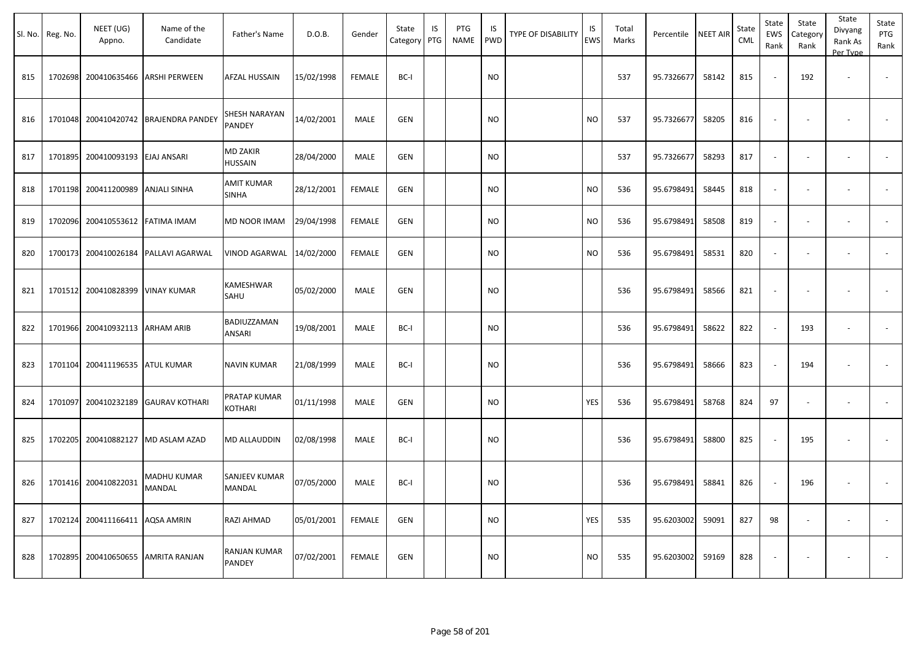|     | Sl. No. Reg. No. | NEET (UG)<br>Appno. | Name of the<br>Candidate     | Father's Name                  | D.O.B.     | Gender        | State<br>Category | IS<br>PTG | PTG<br><b>NAME</b> | IS<br><b>PWD</b> | TYPE OF DISABILITY | IS<br><b>EWS</b> | Total<br>Marks | Percentile | <b>NEET AIR</b> | State<br>CML | State<br>EWS<br>Rank | State<br>Category<br>Rank | State<br>Divyang<br>Rank As<br>Per Type | State<br>PTG<br>Rank     |
|-----|------------------|---------------------|------------------------------|--------------------------------|------------|---------------|-------------------|-----------|--------------------|------------------|--------------------|------------------|----------------|------------|-----------------|--------------|----------------------|---------------------------|-----------------------------------------|--------------------------|
| 815 | 1702698          | 200410635466        | ARSHI PERWEEN                | AFZAL HUSSAIN                  | 15/02/1998 | <b>FEMALE</b> | BC-I              |           |                    | <b>NO</b>        |                    |                  | 537            | 95.7326677 | 58142           | 815          |                      | 192                       |                                         | $\overline{\phantom{a}}$ |
| 816 | 1701048          | 200410420742        | <b>BRAJENDRA PANDEY</b>      | SHESH NARAYAN<br>PANDEY        | 14/02/2001 | MALE          | <b>GEN</b>        |           |                    | NO.              |                    | <b>NO</b>        | 537            | 95.7326677 | 58205           | 816          |                      |                           |                                         |                          |
| 817 | 1701895          | 200410093193        | <b>EJAJ ANSARI</b>           | MD ZAKIR<br>HUSSAIN            | 28/04/2000 | MALE          | <b>GEN</b>        |           |                    | NO.              |                    |                  | 537            | 95.7326677 | 58293           | 817          |                      |                           |                                         |                          |
| 818 | 1701198          | 200411200989        | <b>ANJALI SINHA</b>          | <b>AMIT KUMAR</b><br>SINHA     | 28/12/2001 | <b>FEMALE</b> | <b>GEN</b>        |           |                    | <b>NO</b>        |                    | <b>NO</b>        | 536            | 95.6798491 | 58445           | 818          | $\sim$               |                           | $\sim$                                  | $\sim$                   |
| 819 | 1702096          | 200410553612        | <b>FATIMA IMAM</b>           | MD NOOR IMAM                   | 29/04/1998 | <b>FEMALE</b> | GEN               |           |                    | <b>NO</b>        |                    | <b>NO</b>        | 536            | 95.6798491 | 58508           | 819          | $\sim$               |                           | $\overline{\phantom{a}}$                |                          |
| 820 | 1700173          |                     | 200410026184 PALLAVI AGARWAL | VINOD AGARWAL                  | 14/02/2000 | FEMALE        | <b>GEN</b>        |           |                    | <b>NO</b>        |                    | <b>NO</b>        | 536            | 95.6798491 | 58531           | 820          |                      |                           | $\overline{\phantom{a}}$                |                          |
| 821 | 1701512          | 200410828399        | <b>VINAY KUMAR</b>           | KAMESHWAR<br>SAHU              | 05/02/2000 | MALE          | <b>GEN</b>        |           |                    | <b>NO</b>        |                    |                  | 536            | 95.6798491 | 58566           | 821          |                      |                           |                                         |                          |
| 822 | 1701966          | 200410932113        | <b>ARHAM ARIB</b>            | BADIUZZAMAN<br>ANSARI          | 19/08/2001 | MALE          | BC-I              |           |                    | <b>NO</b>        |                    |                  | 536            | 95.6798491 | 58622           | 822          |                      | 193                       |                                         |                          |
| 823 | 1701104          | 200411196535        | <b>ATUL KUMAR</b>            | NAVIN KUMAR                    | 21/08/1999 | MALE          | BC-I              |           |                    | NO.              |                    |                  | 536            | 95.6798491 | 58666           | 823          |                      | 194                       |                                         |                          |
| 824 | 1701097          | 200410232189        | <b>GAURAV KOTHARI</b>        | PRATAP KUMAR<br><b>KOTHARI</b> | 01/11/1998 | MALE          | <b>GEN</b>        |           |                    | NO.              |                    | <b>YES</b>       | 536            | 95.6798491 | 58768           | 824          | 97                   |                           |                                         |                          |
| 825 | 1702205          | 200410882127        | MD ASLAM AZAD                | MD ALLAUDDIN                   | 02/08/1998 | <b>MALE</b>   | BC-I              |           |                    | <b>NO</b>        |                    |                  | 536            | 95.6798491 | 58800           | 825          |                      | 195                       |                                         |                          |
| 826 | 1701416          | 200410822031        | MADHU KUMAR<br>MANDAL        | SANJEEV KUMAR<br>MANDAL        | 07/05/2000 | MALE          | BC-I              |           |                    | <b>NO</b>        |                    |                  | 536            | 95.6798491 | 58841           | 826          |                      | 196                       |                                         |                          |
| 827 | 1702124          | 200411166411        | AQSA AMRIN                   | RAZI AHMAD                     | 05/01/2001 | <b>FEMALE</b> | <b>GEN</b>        |           |                    | NO.              |                    | YES              | 535            | 95.6203002 | 59091           | 827          | 98                   |                           |                                         |                          |
| 828 | 1702895          | 200410650655        | AMRITA RANJAN                | RANJAN KUMAR<br>PANDEY         | 07/02/2001 | <b>FEMALE</b> | <b>GEN</b>        |           |                    | <b>NO</b>        |                    | <b>NO</b>        | 535            | 95.6203002 | 59169           | 828          |                      |                           |                                         |                          |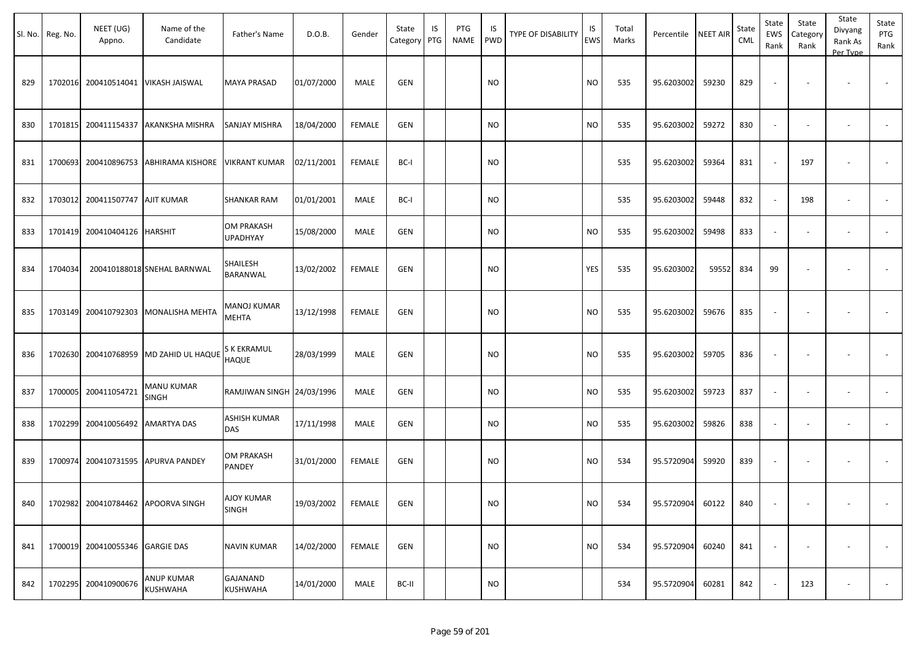|     | Sl. No. Reg. No. | NEET (UG)<br>Appno.                 | Name of the<br>Candidate              | Father's Name                 | D.O.B.     | Gender        | State<br>Category PTG | IS | PTG<br>NAME | IS.<br>PWD | <b>TYPE OF DISABILITY</b> | IS<br>EWS | Total<br>Marks | Percentile | <b>NEET AIR</b> | State<br><b>CML</b> | State<br>EWS<br>Rank     | State<br>Category<br>Rank | State<br>Divyang<br>Rank As<br>Per Type | State<br>PTG<br>Rank     |
|-----|------------------|-------------------------------------|---------------------------------------|-------------------------------|------------|---------------|-----------------------|----|-------------|------------|---------------------------|-----------|----------------|------------|-----------------|---------------------|--------------------------|---------------------------|-----------------------------------------|--------------------------|
| 829 |                  | 1702016 200410514041 VIKASH JAISWAL |                                       | <b>MAYA PRASAD</b>            | 01/07/2000 | MALE          | GEN                   |    |             | <b>NO</b>  |                           | <b>NO</b> | 535            | 95.6203002 | 59230           | 829                 | $\sim$                   | $\overline{\phantom{a}}$  | $\overline{\phantom{a}}$                |                          |
| 830 |                  | 1701815 200411154337                | AKANKSHA MISHRA                       | SANJAY MISHRA                 | 18/04/2000 | FEMALE        | GEN                   |    |             | <b>NO</b>  |                           | <b>NO</b> | 535            | 95.6203002 | 59272           | 830                 | $\overline{\phantom{a}}$ |                           |                                         |                          |
| 831 |                  |                                     | 1700693 200410896753 ABHIRAMA KISHORE | <b>VIKRANT KUMAR</b>          | 02/11/2001 | FEMALE        | BC-I                  |    |             | <b>NO</b>  |                           |           | 535            | 95.6203002 | 59364           | 831                 | $\sim$                   | 197                       | $\overline{\phantom{a}}$                | $\overline{\phantom{a}}$ |
| 832 |                  | 1703012 200411507747 AJIT KUMAR     |                                       | <b>SHANKAR RAM</b>            | 01/01/2001 | MALE          | BC-I                  |    |             | <b>NO</b>  |                           |           | 535            | 95.6203002 | 59448           | 832                 | $\omega$                 | 198                       | $\sim$                                  | $\blacksquare$           |
| 833 |                  | 1701419 200410404126                | <b>HARSHIT</b>                        | OM PRAKASH<br><b>UPADHYAY</b> | 15/08/2000 | MALE          | GEN                   |    |             | <b>NO</b>  |                           | <b>NO</b> | 535            | 95.6203002 | 59498           | 833                 | $\overline{\phantom{a}}$ | $\sim$                    | $\sim$                                  | $\overline{\phantom{a}}$ |
| 834 | 1704034          |                                     | 200410188018 SNEHAL BARNWAL           | SHAILESH<br>BARANWAL          | 13/02/2002 | FEMALE        | GEN                   |    |             | <b>NO</b>  |                           | YES       | 535            | 95.6203002 | 59552           | 834                 | 99                       |                           |                                         |                          |
| 835 |                  | 1703149 200410792303                | MONALISHA MEHTA                       | MANOJ KUMAR<br>MEHTA          | 13/12/1998 | <b>FEMALE</b> | GEN                   |    |             | <b>NO</b>  |                           | <b>NO</b> | 535            | 95.6203002 | 59676           | 835                 | $\sim$                   |                           | $\overline{\phantom{a}}$                |                          |
| 836 |                  | 1702630 200410768959                | MD ZAHID UL HAQUE                     | S K EKRAMUL<br>HAQUE          | 28/03/1999 | MALE          | GEN                   |    |             | <b>NO</b>  |                           | <b>NO</b> | 535            | 95.6203002 | 59705           | 836                 | $\overline{\phantom{a}}$ |                           |                                         |                          |
| 837 |                  | 1700005 200411054721                | MANU KUMAR<br><b>SINGH</b>            | RAMJIWAN SINGH 24/03/1996     |            | MALE          | GEN                   |    |             | <b>NO</b>  |                           | <b>NO</b> | 535            | 95.6203002 | 59723           | 837                 | $\sim$                   | $\sim$                    | $\overline{\phantom{a}}$                |                          |
| 838 |                  | 1702299 200410056492 AMARTYA DAS    |                                       | <b>ASHISH KUMAR</b><br>DAS    | 17/11/1998 | MALE          | GEN                   |    |             | <b>NO</b>  |                           | <b>NO</b> | 535            | 95.6203002 | 59826           | 838                 | $\blacksquare$           |                           | $\overline{\phantom{a}}$                | $\sim$                   |
| 839 |                  | 1700974 200410731595                | <b>APURVA PANDEY</b>                  | OM PRAKASH<br>PANDEY          | 31/01/2000 | <b>FEMALE</b> | GEN                   |    |             | <b>NO</b>  |                           | <b>NO</b> | 534            | 95.5720904 | 59920           | 839                 | $\overline{\phantom{a}}$ | $\overline{\phantom{a}}$  |                                         | $\overline{\phantom{a}}$ |
| 840 |                  |                                     | 1702982 200410784462 APOORVA SINGH    | AJOY KUMAR<br>SINGH           | 19/03/2002 | FEMALE        | GEN                   |    |             | <b>NO</b>  |                           | <b>NO</b> | 534            | 95.5720904 | 60122           | 840                 |                          | $\overline{\phantom{a}}$  | $\overline{\phantom{a}}$                |                          |
| 841 |                  | 1700019 200410055346 GARGIE DAS     |                                       | <b>NAVIN KUMAR</b>            | 14/02/2000 | FEMALE        | GEN                   |    |             | <b>NO</b>  |                           | <b>NO</b> | 534            | 95.5720904 | 60240           | 841                 | $\overline{\phantom{a}}$ | $\overline{\phantom{a}}$  | $\overline{\phantom{a}}$                | $\sim$                   |
| 842 |                  | 1702295 200410900676                | ANUP KUMAR<br>KUSHWAHA                | GAJANAND<br><b>KUSHWAHA</b>   | 14/01/2000 | MALE          | BC-II                 |    |             | <b>NO</b>  |                           |           | 534            | 95.5720904 | 60281           | 842                 | $\sim$                   | 123                       | $\sim$                                  | $\sim$                   |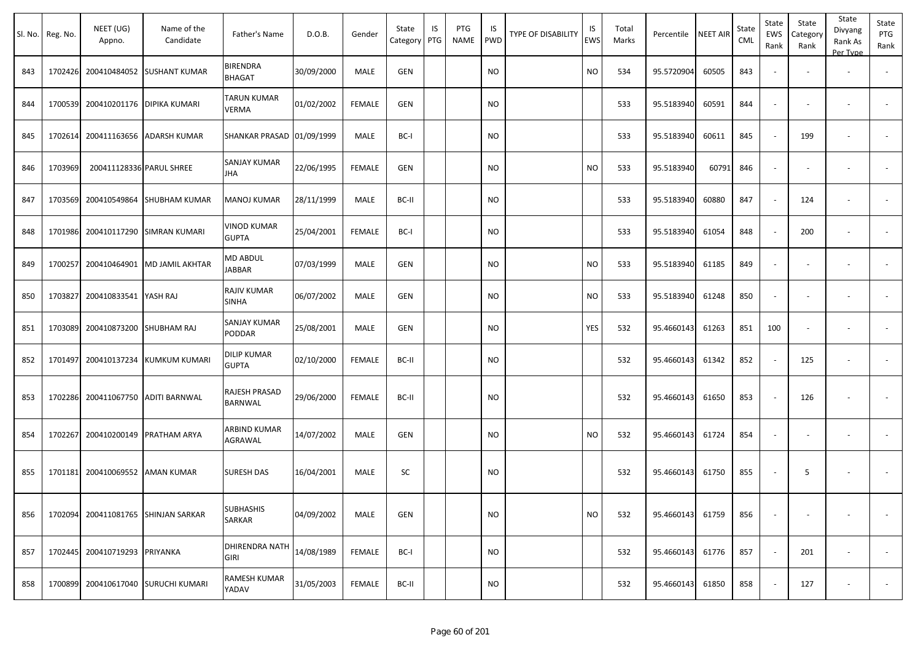|     | Sl. No. Reg. No. | NEET (UG)<br>Appno.                | Name of the<br>Candidate            | Father's Name                      | D.O.B.     | Gender        | State<br>Category | IS<br>PTG | PTG<br>NAME | IS.<br>PWD | TYPE OF DISABILITY | IS<br>EWS | Total<br>Marks | Percentile | <b>NEET AIR</b> | State<br><b>CML</b> | State<br>EWS<br>Rank     | State<br>Category<br>Rank | State<br>Divyang<br>Rank As<br>Per Type | State<br>PTG<br>Rank     |
|-----|------------------|------------------------------------|-------------------------------------|------------------------------------|------------|---------------|-------------------|-----------|-------------|------------|--------------------|-----------|----------------|------------|-----------------|---------------------|--------------------------|---------------------------|-----------------------------------------|--------------------------|
| 843 |                  |                                    | 1702426 200410484052 SUSHANT KUMAR  | <b>BIRENDRA</b><br>BHAGAT          | 30/09/2000 | MALE          | <b>GEN</b>        |           |             | NO         |                    | NO.       | 534            | 95.5720904 | 60505           | 843                 | $\blacksquare$           |                           | $\overline{\phantom{a}}$                |                          |
| 844 |                  | 1700539 200410201176 DIPIKA KUMARI |                                     | <b>TARUN KUMAR</b><br><b>VERMA</b> | 01/02/2002 | <b>FEMALE</b> | <b>GEN</b>        |           |             | NO.        |                    |           | 533            | 95.5183940 | 60591           | 844                 | $\overline{\phantom{a}}$ | $\overline{\phantom{a}}$  | $\overline{\phantom{a}}$                | $\overline{\phantom{a}}$ |
| 845 |                  | 1702614 200411163656               | <b>ADARSH KUMAR</b>                 | SHANKAR PRASAD 01/09/1999          |            | MALE          | BC-I              |           |             | <b>NO</b>  |                    |           | 533            | 95.5183940 | 60611           | 845                 | $\sim$                   | 199                       | $\overline{\phantom{a}}$                |                          |
| 846 | 1703969          | 200411128336 PARUL SHREE           |                                     | <b>SANJAY KUMAR</b><br><b>JHA</b>  | 22/06/1995 | <b>FEMALE</b> | <b>GEN</b>        |           |             | NO.        |                    | <b>NO</b> | 533            | 95.5183940 | 60791           | 846                 | $\blacksquare$           | $\overline{\phantom{a}}$  | $\overline{\phantom{a}}$                | $\sim$                   |
| 847 |                  | 1703569 200410549864               | SHUBHAM KUMAR                       | MANOJ KUMAR                        | 28/11/1999 | <b>MALE</b>   | BC-II             |           |             | <b>NO</b>  |                    |           | 533            | 95.5183940 | 60880           | 847                 | $\sim$                   | 124                       | $\overline{\phantom{a}}$                | $\overline{\phantom{a}}$ |
| 848 |                  | 1701986 200410117290               | <b>SIMRAN KUMARI</b>                | VINOD KUMAR<br><b>GUPTA</b>        | 25/04/2001 | <b>FEMALE</b> | BC-I              |           |             | NO.        |                    |           | 533            | 95.5183940 | 61054           | 848                 | $\sim$                   | 200                       |                                         | $\blacksquare$           |
| 849 | 1700257          | 200410464901                       | MD JAMIL AKHTAR                     | MD ABDUL<br>JABBAR                 | 07/03/1999 | MALE          | <b>GEN</b>        |           |             | NO         |                    | NO        | 533            | 95.5183940 | 61185           | 849                 | $\blacksquare$           |                           |                                         |                          |
| 850 | 1703827          | 200410833541                       | YASH RAJ                            | RAJIV KUMAR<br><b>SINHA</b>        | 06/07/2002 | MALE          | <b>GEN</b>        |           |             | NO         |                    | NO        | 533            | 95.5183940 | 61248           | 850                 | $\blacksquare$           |                           |                                         |                          |
| 851 |                  | 1703089 200410873200 SHUBHAM RAJ   |                                     | SANJAY KUMAR<br><b>PODDAR</b>      | 25/08/2001 | MALE          | GEN               |           |             | <b>NO</b>  |                    | YES       | 532            | 95.4660143 | 61263           | 851                 | 100                      |                           | $\overline{\phantom{a}}$                |                          |
| 852 |                  |                                    | 1701497 200410137234 KUMKUM KUMARI  | DILIP KUMAR<br><b>GUPTA</b>        | 02/10/2000 | FEMALE        | BC-II             |           |             | NO         |                    |           | 532            | 95.4660143 | 61342           | 852                 | $\sim$                   | 125                       | $\overline{\phantom{a}}$                |                          |
| 853 |                  | 1702286 200411067750               | <b>ADITI BARNWAL</b>                | RAJESH PRASAD<br><b>BARNWAL</b>    | 29/06/2000 | <b>FEMALE</b> | BC-II             |           |             | NO         |                    |           | 532            | 95.4660143 | 61650           | 853                 | $\sim$                   | 126                       |                                         |                          |
| 854 | 1702267          | 200410200149                       | <b>PRATHAM ARYA</b>                 | <b>ARBIND KUMAR</b><br>AGRAWAL     | 14/07/2002 | MALE          | GEN               |           |             | NO.        |                    | <b>NO</b> | 532            | 95.4660143 | 61724           | 854                 | $\sim$                   | $\blacksquare$            |                                         |                          |
| 855 |                  | 1701181 200410069552 AMAN KUMAR    |                                     | <b>SURESH DAS</b>                  | 16/04/2001 | MALE          | SC                |           |             | <b>NO</b>  |                    |           | 532            | 95.4660143 | 61750           | 855                 | $\blacksquare$           | 5                         | $\overline{\phantom{a}}$                |                          |
| 856 |                  |                                    | 1702094 200411081765 SHINJAN SARKAR | <b>SUBHASHIS</b><br>SARKAR         | 04/09/2002 | MALE          | GEN               |           |             | <b>NO</b>  |                    | <b>NO</b> | 532            | 95.4660143 | 61759           | 856                 | $\overline{\phantom{a}}$ | $\overline{\phantom{a}}$  | $\overline{\phantom{a}}$                | $\sim$                   |
| 857 |                  | 1702445 200410719293 PRIYANKA      |                                     | <b>DHIRENDRA NATH</b><br>GIRI      | 14/08/1989 | <b>FEMALE</b> | BC-I              |           |             | <b>NO</b>  |                    |           | 532            | 95.4660143 | 61776           | 857                 | $\sim$                   | 201                       |                                         | $\sim$                   |
| 858 |                  |                                    | 1700899 200410617040 SURUCHI KUMARI | RAMESH KUMAR<br>YADAV              | 31/05/2003 | FEMALE        | BC-II             |           |             | <b>NO</b>  |                    |           | 532            | 95.4660143 | 61850           | 858                 | $\sim$                   | 127                       | $\overline{\phantom{a}}$                | $\sim$                   |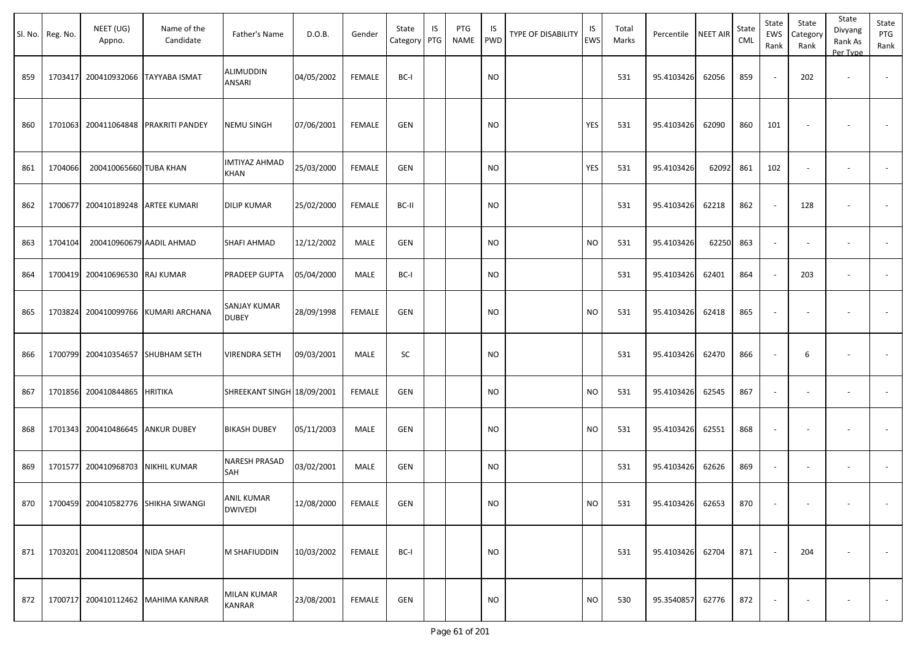|     | Sl. No. Reg. No. | NEET (UG)<br>Appno.              | Name of the<br>Candidate             | Father's Name                       | D.O.B.            | Gender        | State<br>Category PTG | IS | PTG<br><b>NAME</b> | IS<br><b>PWD</b> | <b>TYPE OF DISABILITY</b> | IS<br><b>EWS</b> | Total<br>Marks | Percentile NEET AIR |       | State<br>CML | State<br>EWS<br>Rank | State<br>Category<br>Rank | State<br>Divyang<br>Rank As<br>Per Type | State<br>PTG<br>Rank |
|-----|------------------|----------------------------------|--------------------------------------|-------------------------------------|-------------------|---------------|-----------------------|----|--------------------|------------------|---------------------------|------------------|----------------|---------------------|-------|--------------|----------------------|---------------------------|-----------------------------------------|----------------------|
| 859 | 1703417          | 200410932066 TAYYABA ISMAT       |                                      | ALIMUDDIN<br>ANSARI                 | 04/05/2002        | <b>FEMALE</b> | BC-I                  |    |                    | <b>NO</b>        |                           |                  | 531            | 95.4103426          | 62056 | 859          |                      | 202                       |                                         |                      |
| 860 |                  |                                  | 1701063 200411064848 PRAKRITI PANDEY | <b>NEMU SINGH</b>                   | 07/06/2001        | <b>FEMALE</b> | <b>GEN</b>            |    |                    | <b>NO</b>        |                           | YES              | 531            | 95.4103426          | 62090 | 860          | 101                  |                           |                                         |                      |
| 861 | 1704066          | 200410065660 TUBA KHAN           |                                      | IMTIYAZ AHMAD<br><b>KHAN</b>        | 25/03/2000        | <b>FEMALE</b> | GEN                   |    |                    | <b>NO</b>        |                           | YES              | 531            | 95.4103426          | 62092 | 861          | 102                  |                           | $\sim$                                  |                      |
| 862 | 1700677          | 200410189248 ARTEE KUMARI        |                                      | <b>DILIP KUMAR</b>                  | 25/02/2000        | <b>FEMALE</b> | BC-II                 |    |                    | <b>NO</b>        |                           |                  | 531            | 95.4103426          | 62218 | 862          |                      | 128                       |                                         |                      |
| 863 | 1704104          |                                  | 200410960679 AADIL AHMAD             | SHAFI AHMAD                         | 12/12/2002        | MALE          | GEN                   |    |                    | <b>NO</b>        |                           | <b>NO</b>        | 531            | 95.4103426          | 62250 | 863          |                      |                           |                                         |                      |
| 864 |                  | 1700419 200410696530 RAJ KUMAR   |                                      | PRADEEP GUPTA                       | 05/04/2000        | MALE          | BC-I                  |    |                    | <b>NO</b>        |                           |                  | 531            | 95.4103426          | 62401 | 864          |                      | 203                       | $\overline{\phantom{a}}$                |                      |
| 865 | 1703824          |                                  | 200410099766 KUMARI ARCHANA          | SANJAY KUMAR<br><b>DUBEY</b>        | 28/09/1998        | <b>FEMALE</b> | <b>GEN</b>            |    |                    | <b>NO</b>        |                           | <b>NO</b>        | 531            | 95.4103426          | 62418 | 865          |                      |                           |                                         |                      |
| 866 | 1700799          |                                  | 200410354657 SHUBHAM SETH            | VIRENDRA SETH                       | 09/03/2001        | MALE          | SC                    |    |                    | <b>NO</b>        |                           |                  | 531            | 95.4103426          | 62470 | 866          |                      | 6                         |                                         |                      |
| 867 |                  | 1701856 200410844865 HRITIKA     |                                      | SHREEKANT SINGH 18/09/2001          |                   | <b>FEMALE</b> | GEN                   |    |                    | <b>NO</b>        |                           | <b>NO</b>        | 531            | 95.4103426          | 62545 | 867          |                      |                           | $\overline{\phantom{a}}$                |                      |
| 868 |                  | 1701343 200410486645 ANKUR DUBEY |                                      | <b>BIKASH DUBEY</b>                 | 05/11/2003        | MALE          | <b>GEN</b>            |    |                    | <b>NO</b>        |                           | <b>NO</b>        | 531            | 95.4103426          | 62551 | 868          |                      |                           |                                         |                      |
| 869 | 1701577          | 200410968703 NIKHIL KUMAR        |                                      | NARESH PRASAD<br>SAH                | 03/02/2001        | MALE          | GEN                   |    |                    | <b>NO</b>        |                           |                  | 531            | 95.4103426          | 62626 | 869          |                      |                           |                                         |                      |
| 870 |                  |                                  | 1700459 200410582776 SHIKHA SIWANGI  | <b>ANIL KUMAR</b><br><b>DWIVEDI</b> | 12/08/2000 FEMALE |               | GEN                   |    |                    | $\mathsf{NO}$    |                           | $NO$             | 531            | 95.4103426 62653    |       | 870          |                      |                           |                                         |                      |
| 871 |                  | 1703201 200411208504 NIDA SHAFI  |                                      | M SHAFIUDDIN                        | 10/03/2002        | FEMALE        | BC-I                  |    |                    | <b>NO</b>        |                           |                  | 531            | 95.4103426 62704    |       | 871          |                      | 204                       |                                         | $\sim$               |
| 872 |                  |                                  | 1700717 200410112462 MAHIMA KANRAR   | MILAN KUMAR<br>KANRAR               | 23/08/2001        | FEMALE        | GEN                   |    |                    | <b>NO</b>        |                           | <b>NO</b>        | 530            | 95.3540857 62776    |       | 872          |                      | $\overline{\phantom{a}}$  | $\overline{\phantom{a}}$                | $\sim$               |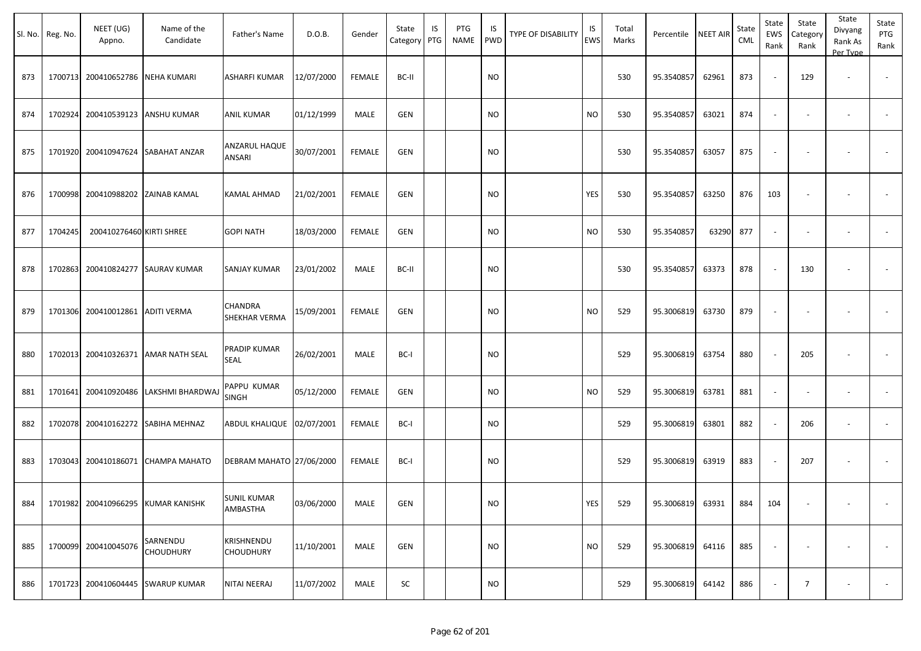| SI. No. | Reg. No. | NEET (UG)<br>Appno.               | Name of the<br>Candidate            | Father's Name                         | D.O.B.     | Gender        | State<br>Category | IS<br>PTG | PTG<br><b>NAME</b> | IS<br><b>PWD</b> | TYPE OF DISABILITY | IS<br>EWS  | Total<br>Marks | Percentile NEET AIR |       | State<br>CML | State<br>EWS<br>Rank     | State<br>Category<br>Rank | State<br>Divyang<br>Rank As<br>Per Type | State<br>PTG<br>Rank |
|---------|----------|-----------------------------------|-------------------------------------|---------------------------------------|------------|---------------|-------------------|-----------|--------------------|------------------|--------------------|------------|----------------|---------------------|-------|--------------|--------------------------|---------------------------|-----------------------------------------|----------------------|
| 873     |          | 1700713 200410652786              | <b>NEHA KUMARI</b>                  | ASHARFI KUMAR                         | 12/07/2000 | <b>FEMALE</b> | BC-II             |           |                    | <b>NO</b>        |                    |            | 530            | 95.3540857          | 62961 | 873          |                          | 129                       | $\overline{\phantom{a}}$                | $\sim$               |
| 874     |          | 1702924 200410539123 ANSHU KUMAR  |                                     | <b>ANIL KUMAR</b>                     | 01/12/1999 | MALE          | GEN               |           |                    | NO.              |                    | <b>NO</b>  | 530            | 95.3540857          | 63021 | 874          | $\sim$                   | $\overline{\phantom{a}}$  | $\overline{\phantom{a}}$                |                      |
| 875     | 1701920  |                                   | 200410947624 SABAHAT ANZAR          | ANZARUL HAQUE<br>ANSARI               | 30/07/2001 | <b>FEMALE</b> | GEN               |           |                    | <b>NO</b>        |                    |            | 530            | 95.3540857          | 63057 | 875          |                          |                           | $\overline{\phantom{a}}$                | $\sim$               |
| 876     |          | 1700998 200410988202 ZAINAB KAMAL |                                     | <b>KAMAL AHMAD</b>                    | 21/02/2001 | <b>FEMALE</b> | GEN               |           |                    | <b>NO</b>        |                    | <b>YES</b> | 530            | 95.3540857          | 63250 | 876          | 103                      | $\overline{\phantom{a}}$  |                                         | $\sim$               |
| 877     | 1704245  | 200410276460 KIRTI SHREE          |                                     | <b>GOPI NATH</b>                      | 18/03/2000 | FEMALE        | GEN               |           |                    | NO.              |                    | <b>NO</b>  | 530            | 95.3540857          | 63290 | 877          |                          |                           | $\overline{\phantom{a}}$                |                      |
| 878     |          |                                   | 1702863 200410824277 SAURAV KUMAR   | <b>SANJAY KUMAR</b>                   | 23/01/2002 | MALE          | BC-II             |           |                    | <b>NO</b>        |                    |            | 530            | 95.3540857          | 63373 | 878          | $\overline{\phantom{a}}$ | 130                       | $\overline{\phantom{a}}$                | $\sim$               |
| 879     |          | 1701306 200410012861 ADITI VERMA  |                                     | <b>CHANDRA</b><br>SHEKHAR VERMA       | 15/09/2001 | <b>FEMALE</b> | GEN               |           |                    | NO               |                    | <b>NO</b>  | 529            | 95.3006819          | 63730 | 879          | $\overline{\phantom{a}}$ | $\overline{\phantom{a}}$  |                                         | $\sim$               |
| 880     |          |                                   | 1702013 200410326371 AMAR NATH SEAL | <b>PRADIP KUMAR</b><br><b>SEAL</b>    | 26/02/2001 | MALE          | BC-I              |           |                    | NO               |                    |            | 529            | 95.3006819          | 63754 | 880          | $\overline{\phantom{a}}$ | 205                       | $\overline{\phantom{a}}$                |                      |
| 881     |          | 1701641 200410920486              | LAKSHMI BHARDWAJ                    | PAPPU KUMAR<br><b>SINGH</b>           | 05/12/2000 | <b>FEMALE</b> | GEN               |           |                    | <b>NO</b>        |                    | <b>NO</b>  | 529            | 95.3006819          | 63781 | 881          | $\sim$                   | $\overline{\phantom{a}}$  | $\overline{\phantom{a}}$                | $\sim$               |
| 882     |          |                                   | 1702078 200410162272 SABIHA MEHNAZ  | ABDUL KHALIQUE 02/07/2001             |            | <b>FEMALE</b> | BC-I              |           |                    | <b>NO</b>        |                    |            | 529            | 95.3006819          | 63801 | 882          | $\sim$                   | 206                       | $\overline{\phantom{a}}$                | $\sim$               |
| 883     |          |                                   | 1703043 200410186071 CHAMPA MAHATO  | DEBRAM MAHATO 27/06/2000              |            | FEMALE        | BC-I              |           |                    | NO               |                    |            | 529            | 95.3006819          | 63919 | 883          |                          | 207                       | $\overline{\phantom{a}}$                |                      |
| 884     |          |                                   | 1701982 200410966295 KUMAR KANISHK  | <b>SUNIL KUMAR</b><br><b>AMBASTHA</b> | 03/06/2000 | MALE          | GEN               |           |                    | <b>NO</b>        |                    | YES        | 529            | 95.3006819 63931    |       | 884          | 104                      | $\sim$                    | $\sim$                                  | $\sim$               |
| 885     |          | 1700099 200410045076              | SARNENDU<br><b>CHOUDHURY</b>        | <b>KRISHNENDU</b><br><b>CHOUDHURY</b> | 11/10/2001 | MALE          | GEN               |           |                    | <b>NO</b>        |                    | <b>NO</b>  | 529            | 95.3006819 64116    |       | 885          |                          |                           |                                         | $\sim$               |
| 886     |          |                                   | 1701723 200410604445 SWARUP KUMAR   | NITAI NEERAJ                          | 11/07/2002 | MALE          | SC                |           |                    | <b>NO</b>        |                    |            | 529            | 95.3006819 64142    |       | 886          |                          | $\overline{7}$            |                                         | $\sim$               |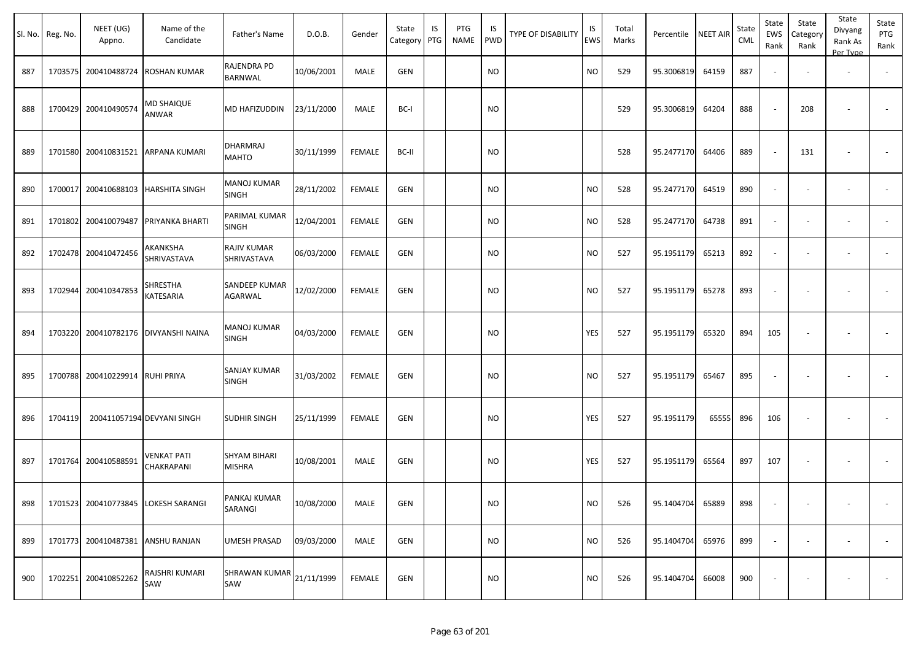|     | Sl. No. Reg. No. | NEET (UG)<br>Appno.               | Name of the<br>Candidate             | Father's Name                                | D.O.B.     | Gender        | State<br>Category | IS<br>PTG | PTG<br>NAME | IS<br><b>PWD</b> | <b>TYPE OF DISABILITY</b> | IS<br><b>EWS</b> | Total<br>Marks | Percentile | <b>NEET AIR</b> | State<br><b>CML</b> | State<br>EWS<br>Rank     | State<br>Category<br>Rank | State<br>Divyang<br>Rank As<br>Per Type | State<br>PTG<br>Rank     |
|-----|------------------|-----------------------------------|--------------------------------------|----------------------------------------------|------------|---------------|-------------------|-----------|-------------|------------------|---------------------------|------------------|----------------|------------|-----------------|---------------------|--------------------------|---------------------------|-----------------------------------------|--------------------------|
| 887 |                  | 1703575 200410488724              | <b>ROSHAN KUMAR</b>                  | RAJENDRA PD<br>BARNWAL                       | 10/06/2001 | MALE          | GEN               |           |             | <b>NO</b>        |                           | <b>NO</b>        | 529            | 95.3006819 | 64159           | 887                 |                          |                           | $\overline{\phantom{a}}$                |                          |
| 888 |                  | 1700429 200410490574              | MD SHAIQUE<br>ANWAR                  | MD HAFIZUDDIN                                | 23/11/2000 | MALE          | BC-I              |           |             | <b>NO</b>        |                           |                  | 529            | 95.3006819 | 64204           | 888                 | $\overline{\phantom{a}}$ | 208                       |                                         |                          |
| 889 |                  | 1701580 200410831521              | <b>ARPANA KUMARI</b>                 | DHARMRAJ<br>MAHTO                            | 30/11/1999 | <b>FEMALE</b> | BC-II             |           |             | <b>NO</b>        |                           |                  | 528            | 95.2477170 | 64406           | 889                 | $\sim$                   | 131                       |                                         |                          |
| 890 |                  | 1700017 200410688103              | <b>HARSHITA SINGH</b>                | MANOJ KUMAR<br>SINGH                         | 28/11/2002 | <b>FEMALE</b> | GEN               |           |             | NO.              |                           | <b>NO</b>        | 528            | 95.2477170 | 64519           | 890                 | $\overline{\phantom{a}}$ | $\overline{\phantom{a}}$  | $\overline{\phantom{a}}$                |                          |
| 891 | 1701802          | 200410079487                      | PRIYANKA BHARTI                      | PARIMAL KUMAR<br>SINGH                       | 12/04/2001 | <b>FEMALE</b> | GEN               |           |             | <b>NO</b>        |                           | <b>NO</b>        | 528            | 95.2477170 | 64738           | 891                 | $\overline{\phantom{a}}$ | $\overline{\phantom{a}}$  | $\overline{\phantom{a}}$                |                          |
| 892 |                  | 1702478 200410472456              | AKANKSHA<br>SHRIVASTAVA              | RAJIV KUMAR<br>SHRIVASTAVA                   | 06/03/2000 | <b>FEMALE</b> | GEN               |           |             | <b>NO</b>        |                           | <b>NO</b>        | 527            | 95.1951179 | 65213           | 892                 | $\blacksquare$           | $\overline{\phantom{a}}$  | $\overline{\phantom{a}}$                | $\sim$                   |
| 893 |                  | 1702944 200410347853              | SHRESTHA<br>KATESARIA                | SANDEEP KUMAR<br><b>AGARWAL</b>              | 12/02/2000 | <b>FEMALE</b> | GEN               |           |             | <b>NO</b>        |                           | <b>NO</b>        | 527            | 95.1951179 | 65278           | 893                 | $\overline{\phantom{a}}$ | $\sim$                    |                                         |                          |
| 894 |                  |                                   | 1703220 200410782176 DIVYANSHI NAINA | MANOJ KUMAR<br>SINGH                         | 04/03/2000 | FEMALE        | <b>GEN</b>        |           |             | <b>NO</b>        |                           | YES              | 527            | 95.1951179 | 65320           | 894                 | 105                      | $\overline{\phantom{a}}$  | $\overline{\phantom{a}}$                |                          |
| 895 |                  | 1700788 200410229914 RUHI PRIYA   |                                      | SANJAY KUMAR<br><b>SINGH</b>                 | 31/03/2002 | FEMALE        | <b>GEN</b>        |           |             | <b>NO</b>        |                           | <b>NO</b>        | 527            | 95.1951179 | 65467           | 895                 | $\overline{\phantom{a}}$ | $\overline{\phantom{a}}$  |                                         |                          |
| 896 | 1704119          |                                   | 200411057194 DEVYANI SINGH           | SUDHIR SINGH                                 | 25/11/1999 | FEMALE        | <b>GEN</b>        |           |             | <b>NO</b>        |                           | YES              | 527            | 95.1951179 | 65555           | 896                 | 106                      | $\overline{\phantom{a}}$  |                                         |                          |
| 897 |                  | 1701764 200410588591              | VENKAT PATI<br>CHAKRAPANI            | <b>SHYAM BIHARI</b><br><b>MISHRA</b>         | 10/08/2001 | MALE          | GEN               |           |             | NO.              |                           | YES              | 527            | 95.1951179 | 65564           | 897                 | 107                      | $\overline{\phantom{a}}$  |                                         |                          |
| 898 |                  |                                   | 1701523 200410773845 LOKESH SARANGI  | PANKAJ KUMAR<br>SARANGI                      | 10/08/2000 | MALE          | GEN               |           |             | <b>NO</b>        |                           | <b>NO</b>        | 526            | 95.1404704 | 65889           | 898                 | $\overline{\phantom{a}}$ | $\overline{\phantom{a}}$  | $\sim$                                  | $\sim$                   |
| 899 |                  | 1701773 200410487381 ANSHU RANJAN |                                      | UMESH PRASAD                                 | 09/03/2000 | MALE          | GEN               |           |             | <b>NO</b>        |                           | <b>NO</b>        | 526            | 95.1404704 | 65976           | 899                 | $\sim$                   | $\sim$                    | $\sim$                                  | $\sim$                   |
| 900 |                  | 1702251 200410852262              | RAJSHRI KUMARI<br>SAW                | $ {\sf SHRAWAN~KUMAR}\Big 21/11/1999$<br>SAW |            | FEMALE        | GEN               |           |             | <b>NO</b>        |                           | <b>NO</b>        | 526            | 95.1404704 | 66008           | 900                 |                          |                           |                                         | $\overline{\phantom{a}}$ |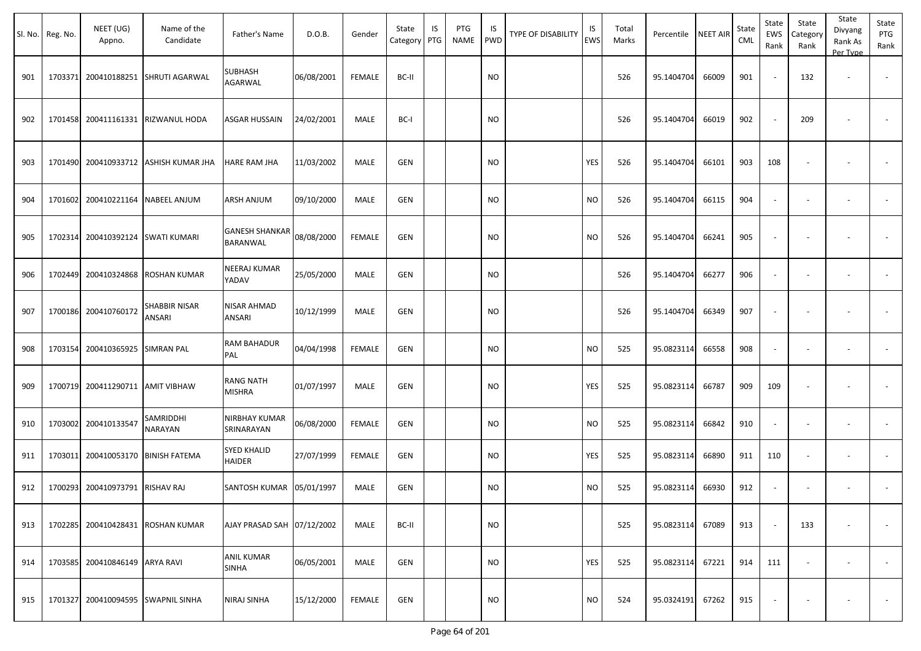|     | Sl. No. Reg. No. | NEET (UG)<br>Appno.               | Name of the<br>Candidate              | Father's Name                            | D.O.B.     | Gender        | State<br>Category PTG | IS | PTG<br>NAME | IS<br>PWD | <b>TYPE OF DISABILITY</b> | IS<br>EWS | Total<br>Marks | Percentile | <b>NEET AIR</b> | State<br><b>CML</b> | State<br>EWS<br>Rank     | State<br>Category<br>Rank | State<br>Divyang<br>Rank As<br>Per Type | State<br>PTG<br>Rank     |
|-----|------------------|-----------------------------------|---------------------------------------|------------------------------------------|------------|---------------|-----------------------|----|-------------|-----------|---------------------------|-----------|----------------|------------|-----------------|---------------------|--------------------------|---------------------------|-----------------------------------------|--------------------------|
| 901 | 1703371          | 200410188251                      | SHRUTI AGARWAL                        | SUBHASH<br><b>AGARWAL</b>                | 06/08/2001 | <b>FEMALE</b> | BC-II                 |    |             | <b>NO</b> |                           |           | 526            | 95.1404704 | 66009           | 901                 |                          | 132                       |                                         |                          |
| 902 |                  | 1701458 200411161331              | RIZWANUL HODA                         | ASGAR HUSSAIN                            | 24/02/2001 | MALE          | BC-I                  |    |             | <b>NO</b> |                           |           | 526            | 95.1404704 | 66019           | 902                 |                          | 209                       |                                         |                          |
| 903 |                  |                                   | 1701490 200410933712 ASHISH KUMAR JHA | HARE RAM JHA                             | 11/03/2002 | MALE          | GEN                   |    |             | <b>NO</b> |                           | YES       | 526            | 95.1404704 | 66101           | 903                 | 108                      |                           |                                         |                          |
| 904 |                  | 1701602 200410221164              | <b>NABEEL ANJUM</b>                   | ARSH ANJUM                               | 09/10/2000 | MALE          | <b>GEN</b>            |    |             | <b>NO</b> |                           | <b>NO</b> | 526            | 95.1404704 | 66115           | 904                 | $\sim$                   |                           | $\overline{\phantom{a}}$                |                          |
| 905 |                  | 1702314 200410392124 SWATI KUMARI |                                       | <b>GANESH SHANKAR</b><br><b>BARANWAL</b> | 08/08/2000 | <b>FEMALE</b> | GEN                   |    |             | <b>NO</b> |                           | <b>NO</b> | 526            | 95.1404704 | 66241           | 905                 |                          |                           |                                         |                          |
| 906 |                  | 1702449 200410324868              | <b>ROSHAN KUMAR</b>                   | NEERAJ KUMAR<br>YADAV                    | 25/05/2000 | MALE          | GEN                   |    |             | <b>NO</b> |                           |           | 526            | 95.1404704 | 66277           | 906                 | $\overline{\phantom{a}}$ |                           | $\overline{\phantom{a}}$                |                          |
| 907 |                  | 1700186 200410760172              | SHABBIR NISAR<br>ANSARI               | NISAR AHMAD<br>ANSARI                    | 10/12/1999 | MALE          | GEN                   |    |             | <b>NO</b> |                           |           | 526            | 95.1404704 | 66349           | 907                 | $\overline{\phantom{a}}$ |                           |                                         |                          |
| 908 |                  | 1703154 200410365925              | <b>SIMRAN PAL</b>                     | <b>RAM BAHADUR</b><br>PAL                | 04/04/1998 | <b>FEMALE</b> | GEN                   |    |             | <b>NO</b> |                           | <b>NO</b> | 525            | 95.0823114 | 66558           | 908                 | $\overline{\phantom{a}}$ |                           |                                         |                          |
| 909 |                  | 1700719 200411290711 AMIT VIBHAW  |                                       | <b>RANG NATH</b><br>MISHRA               | 01/07/1997 | MALE          | <b>GEN</b>            |    |             | <b>NO</b> |                           | YES       | 525            | 95.0823114 | 66787           | 909                 | 109                      |                           | $\overline{\phantom{a}}$                | $\overline{\phantom{a}}$ |
| 910 |                  | 1703002 200410133547              | SAMRIDDHI<br>NARAYAN                  | NIRBHAY KUMAR<br>SRINARAYAN              | 06/08/2000 | <b>FEMALE</b> | GEN                   |    |             | <b>NO</b> |                           | <b>NO</b> | 525            | 95.0823114 | 66842           | 910                 | $\sim$                   |                           | $\overline{\phantom{a}}$                | $\overline{\phantom{a}}$ |
| 911 | 1703011          | 200410053170                      | <b>BINISH FATEMA</b>                  | <b>SYED KHALID</b><br>HAIDER             | 27/07/1999 | FEMALE        | GEN                   |    |             | <b>NO</b> |                           | YES       | 525            | 95.0823114 | 66890           | 911                 | 110                      | $\overline{\phantom{a}}$  | $\overline{\phantom{a}}$                |                          |
| 912 |                  | 1700293 200410973791 RISHAV RAJ   |                                       | SANTOSH KUMAR 05/01/1997                 |            | MALE          | <b>GEN</b>            |    |             | <b>NO</b> |                           | <b>NO</b> | 525            | 95.0823114 | 66930           | 912                 | $\overline{\phantom{a}}$ |                           |                                         |                          |
| 913 |                  |                                   | 1702285 200410428431 ROSHAN KUMAR     | AJAY PRASAD SAH 07/12/2002               |            | MALE          | BC-II                 |    |             | <b>NO</b> |                           |           | 525            | 95.0823114 | 67089           | 913                 | $\sim$                   | 133                       | $\sim$                                  | $\overline{\phantom{a}}$ |
| 914 |                  | 1703585 200410846149 ARYA RAVI    |                                       | <b>ANIL KUMAR</b><br><b>SINHA</b>        | 06/05/2001 | MALE          | GEN                   |    |             | <b>NO</b> |                           | YES       | 525            | 95.0823114 | 67221           | 914                 | 111                      | $\sim$                    | $\sim$                                  | $\sim$                   |
| 915 |                  |                                   | 1701327 200410094595 SWAPNIL SINHA    | <b>NIRAJ SINHA</b>                       | 15/12/2000 | FEMALE        | GEN                   |    |             | <b>NO</b> |                           | <b>NO</b> | 524            | 95.0324191 | 67262           | 915                 | $\overline{\phantom{a}}$ | $\overline{\phantom{a}}$  | $\overline{\phantom{a}}$                | $\sim$                   |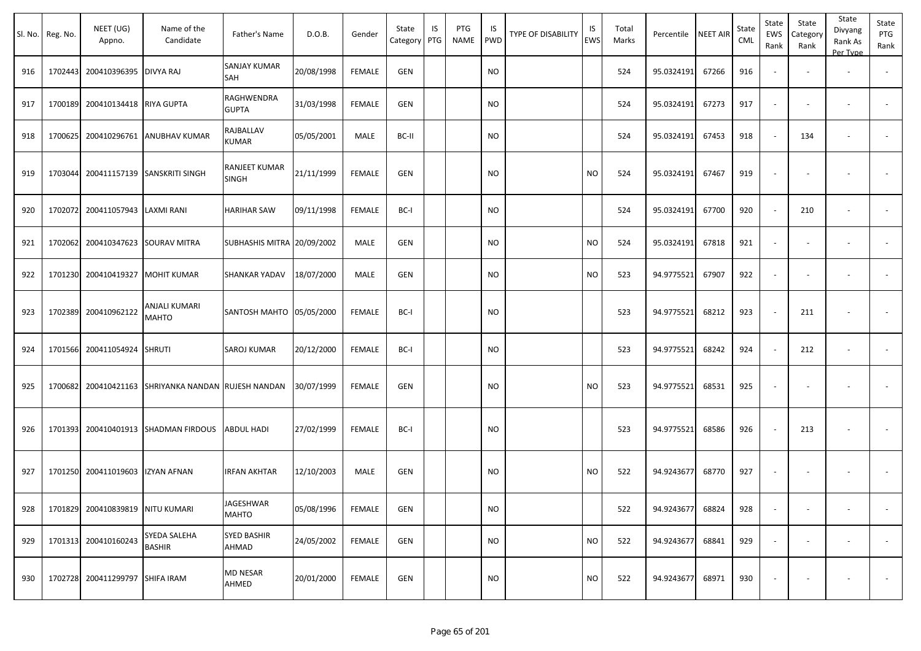|     | Sl. No. Reg. No. | NEET (UG)<br>Appno.              | Name of the<br>Candidate             | Father's Name                 | D.O.B.     | Gender        | State<br>Category | IS<br>PTG | PTG<br>NAME | IS<br><b>PWD</b> | TYPE OF DISABILITY | IS<br>EWS      | Total<br>Marks | Percentile | NEET AIR | State<br>CML | State<br>EWS<br>Rank | State<br>Category<br>Rank | State<br>Divyang<br>Rank As<br>Per Type | State<br>PTG<br>Rank |
|-----|------------------|----------------------------------|--------------------------------------|-------------------------------|------------|---------------|-------------------|-----------|-------------|------------------|--------------------|----------------|----------------|------------|----------|--------------|----------------------|---------------------------|-----------------------------------------|----------------------|
| 916 | 1702443          | 200410396395                     | <b>DIVYA RAJ</b>                     | SANJAY KUMAR<br>SAH           | 20/08/1998 | <b>FEMALE</b> | GEN               |           |             | <b>NO</b>        |                    |                | 524            | 95.0324191 | 67266    | 916          |                      |                           |                                         |                      |
| 917 | 1700189          | 200410134418 RIYA GUPTA          |                                      | RAGHWENDRA<br><b>GUPTA</b>    | 31/03/1998 | <b>FEMALE</b> | GEN               |           |             | <b>NO</b>        |                    |                | 524            | 95.0324191 | 67273    | 917          | $\sim$               |                           | $\overline{\phantom{a}}$                |                      |
| 918 | 1700625          | 200410296761                     | ANUBHAV KUMAR                        | RAJBALLAV<br>KUMAR            | 05/05/2001 | MALE          | BC-II             |           |             | <b>NO</b>        |                    |                | 524            | 95.0324191 | 67453    | 918          |                      | 134                       | $\overline{\phantom{a}}$                |                      |
| 919 | 1703044          | 200411157139                     | <b>SANSKRITI SINGH</b>               | RANJEET KUMAR<br><b>SINGH</b> | 21/11/1999 | <b>FEMALE</b> | GEN               |           |             | <b>NO</b>        |                    | N <sub>O</sub> | 524            | 95.0324191 | 67467    | 919          |                      |                           |                                         | $\blacksquare$       |
| 920 | 1702072          | 200411057943                     | LAXMI RANI                           | <b>HARIHAR SAW</b>            | 09/11/1998 | <b>FEMALE</b> | BC-I              |           |             | <b>NO</b>        |                    |                | 524            | 95.0324191 | 67700    | 920          |                      | 210                       |                                         |                      |
| 921 | 1702062          | 200410347623                     | <b>SOURAV MITRA</b>                  | SUBHASHIS MITRA 20/09/2002    |            | MALE          | GEN               |           |             | <b>NO</b>        |                    | <b>NO</b>      | 524            | 95.0324191 | 67818    | 921          |                      |                           | $\overline{\phantom{a}}$                |                      |
| 922 | 1701230          | 200410419327                     | <b>MOHIT KUMAR</b>                   | <b>SHANKAR YADAV</b>          | 18/07/2000 | MALE          | GEN               |           |             | <b>NO</b>        |                    | <b>NO</b>      | 523            | 94.9775521 | 67907    | 922          | $\sim$               |                           | $\overline{\phantom{a}}$                |                      |
| 923 | 1702389          | 200410962122                     | <b>ANJALI KUMARI</b><br><b>MAHTO</b> | SANTOSH MAHTO   05/05/2000    |            | <b>FEMALE</b> | BC-I              |           |             | <b>NO</b>        |                    |                | 523            | 94.9775521 | 68212    | 923          |                      | 211                       |                                         |                      |
| 924 | 1701566          | 200411054924                     | <b>SHRUTI</b>                        | SAROJ KUMAR                   | 20/12/2000 | <b>FEMALE</b> | BC-I              |           |             | <b>NO</b>        |                    |                | 523            | 94.9775521 | 68242    | 924          |                      | 212                       | $\overline{\phantom{a}}$                |                      |
| 925 | 1700682          | 200410421163                     | SHRIYANKA NANDAN RUJESH NANDAN       |                               | 30/07/1999 | <b>FEMALE</b> | <b>GEN</b>        |           |             | <b>NO</b>        |                    | <b>NO</b>      | 523            | 94.9775521 | 68531    | 925          |                      |                           |                                         |                      |
| 926 | 1701393          | 200410401913                     | <b>SHADMAN FIRDOUS</b>               | <b>ABDUL HADI</b>             | 27/02/1999 | <b>FEMALE</b> | BC-I              |           |             | <b>NO</b>        |                    |                | 523            | 94.9775521 | 68586    | 926          |                      | 213                       | $\overline{\phantom{a}}$                |                      |
| 927 | 1701250          | 200411019603                     | <b>IZYAN AFNAN</b>                   | <b>IRFAN AKHTAR</b>           | 12/10/2003 | MALE          | GEN               |           |             | <b>NO</b>        |                    | <b>NO</b>      | 522            | 94.9243677 | 68770    | 927          |                      |                           | $\overline{\phantom{a}}$                |                      |
| 928 |                  | 1701829 200410839819 NITU KUMARI |                                      | JAGESHWAR<br><b>MAHTO</b>     | 05/08/1996 | <b>FEMALE</b> | GEN               |           |             | <b>NO</b>        |                    |                | 522            | 94.9243677 | 68824    | 928          |                      |                           | $\overline{\phantom{a}}$                | $\sim$               |
| 929 | 1701313          | 200410160243                     | SYEDA SALEHA<br><b>BASHIR</b>        | <b>SYED BASHIR</b><br>AHMAD   | 24/05/2002 | <b>FEMALE</b> | GEN               |           |             | <b>NO</b>        |                    | <b>NO</b>      | 522            | 94.9243677 | 68841    | 929          | $\sim$               |                           | $\overline{\phantom{a}}$                | $\sim$               |
| 930 | 1702728          | 200411299797                     | SHIFA IRAM                           | <b>MD NESAR</b><br>AHMED      | 20/01/2000 | FEMALE        | GEN               |           |             | <b>NO</b>        |                    | <b>NO</b>      | 522            | 94.9243677 | 68971    | 930          |                      |                           |                                         | $\sim$               |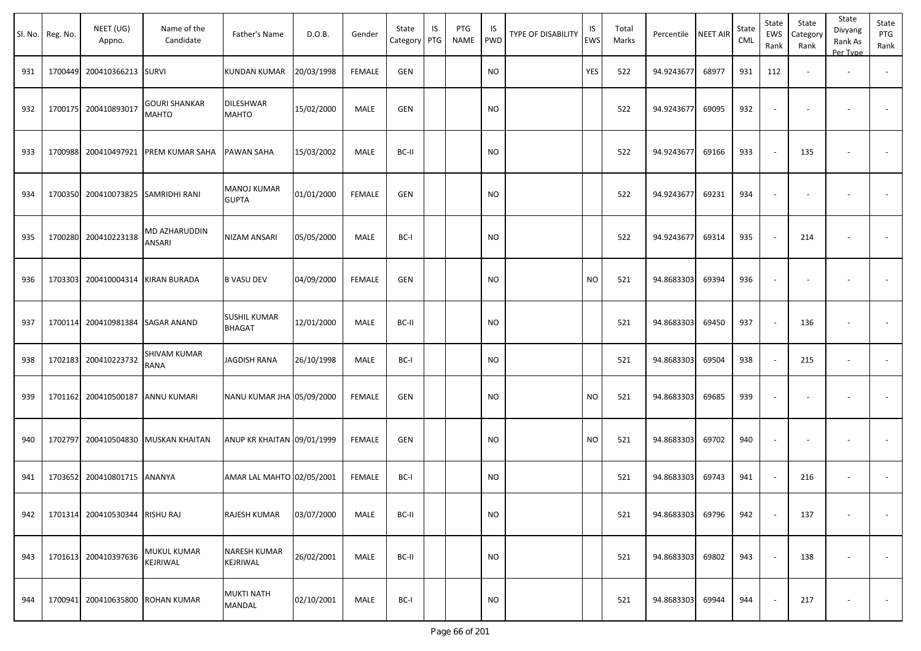|     | Sl. No. Reg. No. | NEET (UG)<br>Appno.            | Name of the<br>Candidate             | Father's Name                        | D.O.B.     | Gender        | State<br>Category PTG | IS | PTG<br><b>NAME</b> | IS<br>PWD | TYPE OF DISABILITY | IS<br>EWS | Total<br>Marks | Percentile NEET AIR |       | State<br>CML | State<br><b>EWS</b><br>Rank | State<br>Category<br>Rank | State<br>Divyang<br>Rank As<br>Per Type | State<br>PTG<br>Rank |
|-----|------------------|--------------------------------|--------------------------------------|--------------------------------------|------------|---------------|-----------------------|----|--------------------|-----------|--------------------|-----------|----------------|---------------------|-------|--------------|-----------------------------|---------------------------|-----------------------------------------|----------------------|
| 931 | 1700449          | 200410366213 SURVI             |                                      | KUNDAN KUMAR                         | 20/03/1998 | <b>FEMALE</b> | GEN                   |    |                    | <b>NO</b> |                    | YES       | 522            | 94.9243677          | 68977 | 931          | 112                         |                           | $\overline{\phantom{a}}$                |                      |
| 932 | 1700175          | 200410893017                   | <b>GOURI SHANKAR</b><br><b>MAHTO</b> | <b>DILESHWAR</b><br><b>MAHTO</b>     | 15/02/2000 | MALE          | <b>GEN</b>            |    |                    | <b>NO</b> |                    |           | 522            | 94.9243677          | 69095 | 932          |                             |                           |                                         |                      |
| 933 | 1700988          |                                | 200410497921 PREM KUMAR SAHA         | <b>PAWAN SAHA</b>                    | 15/03/2002 | MALE          | BC-II                 |    |                    | <b>NO</b> |                    |           | 522            | 94.9243677          | 69166 | 933          |                             | 135                       |                                         |                      |
| 934 | 1700350          |                                | 200410073825 SAMRIDHI RANI           | <b>MANOJ KUMAR</b><br><b>GUPTA</b>   | 01/01/2000 | <b>FEMALE</b> | GEN                   |    |                    | <b>NO</b> |                    |           | 522            | 94.9243677          | 69231 | 934          |                             |                           |                                         |                      |
| 935 | 1700280          | 200410223138                   | MD AZHARUDDIN<br>ANSARI              | NIZAM ANSARI                         | 05/05/2000 | MALE          | BC-I                  |    |                    | <b>NO</b> |                    |           | 522            | 94.9243677          | 69314 | 935          |                             | 214                       |                                         |                      |
| 936 | 1703303          | 200410004314 KIRAN BURADA      |                                      | <b>B VASU DEV</b>                    | 04/09/2000 | <b>FEMALE</b> | GEN                   |    |                    | <b>NO</b> |                    | <b>NO</b> | 521            | 94.8683303          | 69394 | 936          |                             |                           |                                         |                      |
| 937 | 1700114          | 200410981384 SAGAR ANAND       |                                      | <b>SUSHIL KUMAR</b><br><b>BHAGAT</b> | 12/01/2000 | MALE          | BC-II                 |    |                    | <b>NO</b> |                    |           | 521            | 94.8683303          | 69450 | 937          |                             | 136                       |                                         |                      |
| 938 | 1702183          | 200410223732                   | SHIVAM KUMAR<br>RANA                 | <b>JAGDISH RANA</b>                  | 26/10/1998 | MALE          | BC-I                  |    |                    | <b>NO</b> |                    |           | 521            | 94.8683303          | 69504 | 938          |                             | 215                       | $\overline{\phantom{a}}$                |                      |
| 939 | 1701162          | 200410500187                   | <b>ANNU KUMARI</b>                   | NANU KUMAR JHA 05/09/2000            |            | <b>FEMALE</b> | GEN                   |    |                    | <b>NO</b> |                    | <b>NO</b> | 521            | 94.8683303          | 69685 | 939          |                             |                           |                                         |                      |
| 940 | 1702797          |                                | 200410504830 MUSKAN KHAITAN          | ANUP KR KHAITAN 09/01/1999           |            | <b>FEMALE</b> | GEN                   |    |                    | <b>NO</b> |                    | <b>NO</b> | 521            | 94.8683303          | 69702 | 940          |                             |                           |                                         |                      |
| 941 | 1703652          | 200410801715 ANANYA            |                                      | AMAR LAL MAHTO 02/05/2001            |            | <b>FEMALE</b> | BC-I                  |    |                    | <b>NO</b> |                    |           | 521            | 94.8683303          | 69743 | 941          |                             | 216                       | $\sim$                                  |                      |
| 942 |                  | 1701314 200410530344 RISHU RAJ |                                      | <b>RAJESH KUMAR</b>                  | 03/07/2000 | MALE          | BC-II                 |    |                    | <b>NO</b> |                    |           | 521            | 94.8683303          | 69796 | 942          |                             | 137                       |                                         |                      |
| 943 | 1701613          | 200410397636                   | MUKUL KUMAR<br>KEJRIWAL              | <b>NARESH KUMAR</b><br>KEJRIWAL      | 26/02/2001 | MALE          | BC-II                 |    |                    | <b>NO</b> |                    |           | 521            | 94.8683303          | 69802 | 943          |                             | 138                       | $\overline{\phantom{a}}$                | $\sim$               |
| 944 | 1700941          |                                | 200410635800 ROHAN KUMAR             | <b>MUKTI NATH</b><br><b>MANDAL</b>   | 02/10/2001 | MALE          | BC-I                  |    |                    | <b>NO</b> |                    |           | 521            | 94.8683303          | 69944 | 944          |                             | 217                       | $\overline{\phantom{a}}$                | $\sim$               |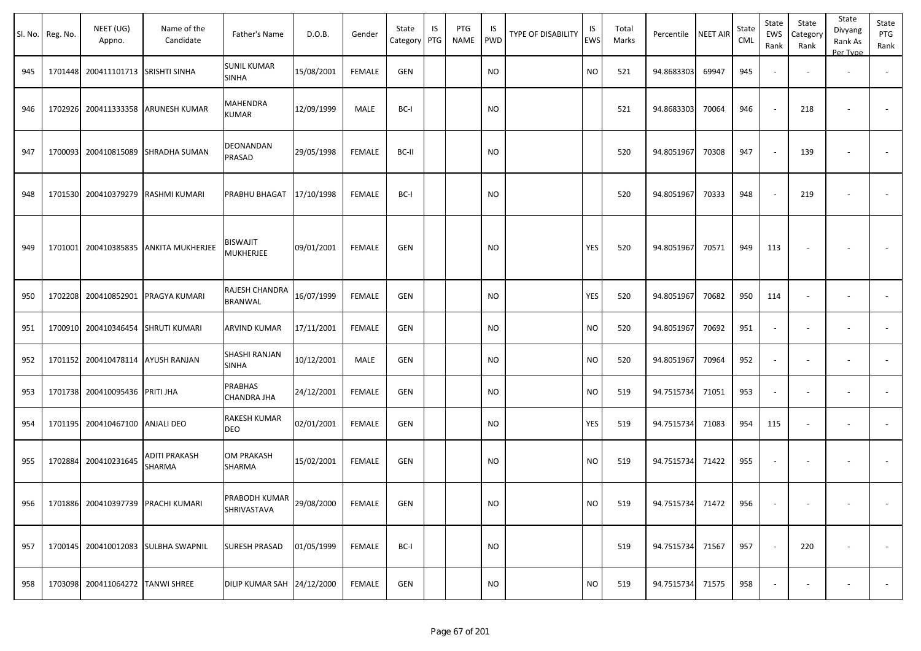| Sl. No. | Reg. No. | NEET (UG)<br>Appno.                | Name of the<br>Candidate            | Father's Name                        | D.O.B.     | Gender        | State<br>Category | IS<br>PTG | PTG<br><b>NAME</b> | IS<br><b>PWD</b> | TYPE OF DISABILITY | IS<br><b>EWS</b> | Total<br>Marks | Percentile       | NEET AIR | State<br>CML | State<br>EWS<br>Rank     | State<br>Category<br>Rank | State<br>Divyang<br>Rank As<br>Per Type | State<br>PTG<br>Rank     |
|---------|----------|------------------------------------|-------------------------------------|--------------------------------------|------------|---------------|-------------------|-----------|--------------------|------------------|--------------------|------------------|----------------|------------------|----------|--------------|--------------------------|---------------------------|-----------------------------------------|--------------------------|
| 945     |          | 1701448 200411101713 SRISHTI SINHA |                                     | <b>SUNIL KUMAR</b><br><b>SINHA</b>   | 15/08/2001 | <b>FEMALE</b> | GEN               |           |                    | <b>NO</b>        |                    | <b>NO</b>        | 521            | 94.8683303       | 69947    | 945          | $\sim$                   |                           | $\overline{\phantom{a}}$                | $\sim$                   |
| 946     |          |                                    | 1702926 200411333358 ARUNESH KUMAR  | <b>MAHENDRA</b><br>KUMAR             | 12/09/1999 | MALE          | BC-I              |           |                    | <b>NO</b>        |                    |                  | 521            | 94.8683303       | 70064    | 946          | $\sim$                   | 218                       |                                         |                          |
| 947     | 1700093  |                                    | 200410815089 SHRADHA SUMAN          | DEONANDAN<br>PRASAD                  | 29/05/1998 | <b>FEMALE</b> | BC-II             |           |                    | <b>NO</b>        |                    |                  | 520            | 94.8051967       | 70308    | 947          |                          | 139                       | $\overline{\phantom{a}}$                |                          |
| 948     | 1701530  | 200410379279                       | RASHMI KUMARI                       | PRABHU BHAGAT                        | 17/10/1998 | <b>FEMALE</b> | BC-I              |           |                    | <b>NO</b>        |                    |                  | 520            | 94.8051967       | 70333    | 948          | $\sim$                   | 219                       | $\overline{\phantom{a}}$                | $\overline{\phantom{a}}$ |
| 949     |          | 1701001 200410385835               | <b>ANKITA MUKHERJEE</b>             | <b>BISWAJIT</b><br><b>MUKHERJEE</b>  | 09/01/2001 | <b>FEMALE</b> | GEN               |           |                    | <b>NO</b>        |                    | <b>YES</b>       | 520            | 94.8051967       | 70571    | 949          | 113                      |                           |                                         |                          |
| 950     | 1702208  |                                    | 200410852901 PRAGYA KUMARI          | RAJESH CHANDRA<br><b>BRANWAL</b>     | 16/07/1999 | <b>FEMALE</b> | GEN               |           |                    | <b>NO</b>        |                    | YES              | 520            | 94.8051967       | 70682    | 950          | 114                      | $\sim$                    | $\overline{\phantom{a}}$                |                          |
| 951     | 1700910  | 200410346454                       | <b>SHRUTI KUMARI</b>                | <b>ARVIND KUMAR</b>                  | 17/11/2001 | <b>FEMALE</b> | GEN               |           |                    | NO.              |                    | <b>NO</b>        | 520            | 94.8051967       | 70692    | 951          | $\overline{\phantom{a}}$ |                           | $\sim$                                  |                          |
| 952     |          | 1701152 200410478114 AYUSH RANJAN  |                                     | SHASHI RANJAN<br><b>SINHA</b>        | 10/12/2001 | MALE          | GEN               |           |                    | <b>NO</b>        |                    | <b>NO</b>        | 520            | 94.8051967       | 70964    | 952          | $\sim$                   |                           | $\overline{\phantom{a}}$                | $\sim$                   |
| 953     |          | 1701738 200410095436 PRITI JHA     |                                     | <b>PRABHAS</b><br><b>CHANDRA JHA</b> | 24/12/2001 | <b>FEMALE</b> | GEN               |           |                    | <b>NO</b>        |                    | <b>NO</b>        | 519            | 94.7515734       | 71051    | 953          | $\sim$                   | $\overline{\phantom{a}}$  | $\sim$                                  | $\sim$                   |
| 954     |          | 1701195 200410467100 ANJALI DEO    |                                     | RAKESH KUMAR<br>DEO                  | 02/01/2001 | <b>FEMALE</b> | GEN               |           |                    | <b>NO</b>        |                    | YES              | 519            | 94.7515734       | 71083    | 954          | 115                      | $\overline{\phantom{a}}$  | $\overline{\phantom{a}}$                | $\sim$                   |
| 955     | 1702884  | 200410231645                       | ADITI PRAKASH<br>SHARMA             | <b>OM PRAKASH</b><br>SHARMA          | 15/02/2001 | FEMALE        | GEN               |           |                    | NO.              |                    | NO.              | 519            | 94.7515734       | 71422    | 955          |                          |                           |                                         |                          |
| 956     |          | 1701886 200410397739 PRACHI KUMARI |                                     | PRABODH KUMAR<br>SHRIVASTAVA         | 29/08/2000 | FEMALE        | GEN               |           |                    | NO               |                    | <b>NO</b>        | 519            | 94.7515734 71472 |          | 956          | $\sim$                   | $\overline{\phantom{a}}$  | $\sim$                                  | $\sim$                   |
| 957     |          |                                    | 1700145 200410012083 SULBHA SWAPNIL | <b>SURESH PRASAD</b>                 | 01/05/1999 | FEMALE        | BC-I              |           |                    | NO.              |                    |                  | 519            | 94.7515734 71567 |          | 957          |                          | 220                       | $\overline{\phantom{a}}$                |                          |
| 958     |          | 1703098 200411064272 TANWI SHREE   |                                     | DILIP KUMAR SAH 24/12/2000           |            | FEMALE        | GEN               |           |                    | <b>NO</b>        |                    | <b>NO</b>        | 519            | 94.7515734 71575 |          | 958          |                          | $\overline{\phantom{a}}$  |                                         | $\sim$                   |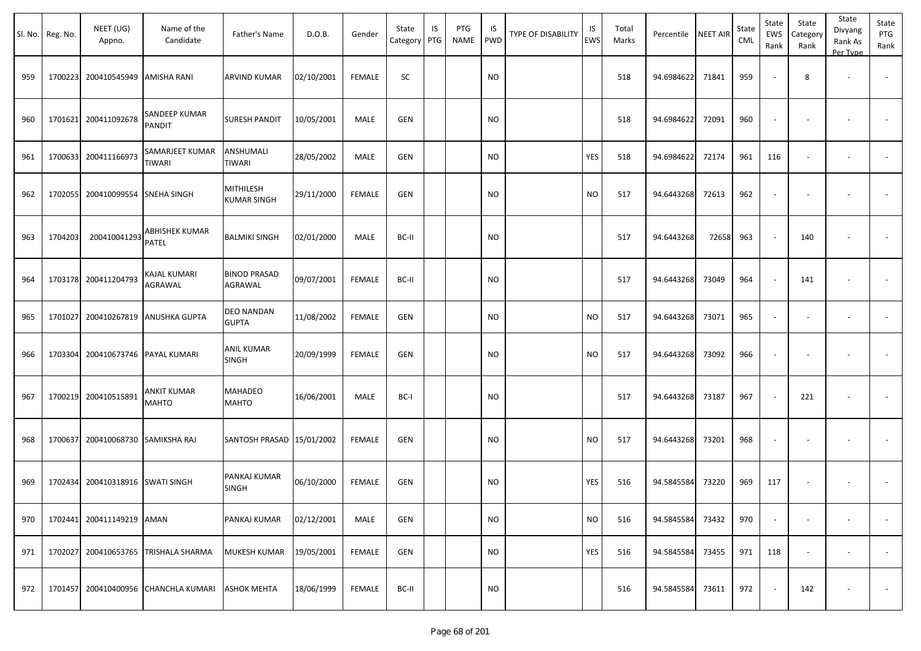| Sl. No. | Reg. No. | NEET (UG)<br>Appno.              | Name of the<br>Candidate             | Father's Name                          | D.O.B.     | Gender        | State<br>Category | IS<br>PTG | PTG<br><b>NAME</b> | IS<br><b>PWD</b> | <b>TYPE OF DISABILITY</b> | IS<br><b>EWS</b> | Total<br>Marks | Percentile NEET AIR |       | State<br>CML | State<br>EWS<br>Rank | State<br>Category<br>Rank | State<br>Divyang<br>Rank As<br>Per Type | State<br>PTG<br>Rank     |
|---------|----------|----------------------------------|--------------------------------------|----------------------------------------|------------|---------------|-------------------|-----------|--------------------|------------------|---------------------------|------------------|----------------|---------------------|-------|--------------|----------------------|---------------------------|-----------------------------------------|--------------------------|
| 959     | 1700223  | 200410545949 AMISHA RANI         |                                      | <b>ARVIND KUMAR</b>                    | 02/10/2001 | <b>FEMALE</b> | SC                |           |                    | <b>NO</b>        |                           |                  | 518            | 94.6984622          | 71841 | 959          |                      | 8                         | $\overline{\phantom{a}}$                |                          |
| 960     | 1701621  | 200411092678                     | SANDEEP KUMAR<br><b>PANDIT</b>       | SURESH PANDIT                          | 10/05/2001 | MALE          | <b>GEN</b>        |           |                    | <b>NO</b>        |                           |                  | 518            | 94.6984622          | 72091 | 960          |                      |                           |                                         |                          |
| 961     |          | 1700633 200411166973             | SAMARJEET KUMAR<br>TIWARI            | ANSHUMALI<br>TIWARI                    | 28/05/2002 | MALE          | <b>GEN</b>        |           |                    | <b>NO</b>        |                           | YES              | 518            | 94.6984622          | 72174 | 961          | 116                  |                           | $\overline{\phantom{a}}$                |                          |
| 962     | 1702055  | 200410099554 SNEHA SINGH         |                                      | <b>MITHILESH</b><br><b>KUMAR SINGH</b> | 29/11/2000 | <b>FEMALE</b> | <b>GEN</b>        |           |                    | <b>NO</b>        |                           | <b>NO</b>        | 517            | 94.6443268          | 72613 | 962          |                      |                           |                                         |                          |
| 963     | 1704203  | 200410041293                     | ABHISHEK KUMAR<br>PATEL              | <b>BALMIKI SINGH</b>                   | 02/01/2000 | MALE          | BC-II             |           |                    | <b>NO</b>        |                           |                  | 517            | 94.6443268          | 72658 | 963          |                      | 140                       |                                         |                          |
| 964     |          | 1703178 200411204793             | KAJAL KUMARI<br>AGRAWAL              | <b>BINOD PRASAD</b><br>AGRAWAL         | 09/07/2001 | <b>FEMALE</b> | BC-II             |           |                    | <b>NO</b>        |                           |                  | 517            | 94.6443268          | 73049 | 964          |                      | 141                       |                                         |                          |
| 965     | 1701027  | 200410267819                     | <b>ANUSHKA GUPTA</b>                 | DEO NANDAN<br><b>GUPTA</b>             | 11/08/2002 | <b>FEMALE</b> | <b>GEN</b>        |           |                    | <b>NO</b>        |                           | <b>NO</b>        | 517            | 94.6443268          | 73071 | 965          |                      |                           |                                         | $\overline{\phantom{a}}$ |
| 966     | 1703304  | 200410673746                     | <b>PAYAL KUMARI</b>                  | <b>ANIL KUMAR</b><br><b>SINGH</b>      | 20/09/1999 | <b>FEMALE</b> | <b>GEN</b>        |           |                    | <b>NO</b>        |                           | <b>NO</b>        | 517            | 94.6443268          | 73092 | 966          |                      |                           |                                         |                          |
| 967     |          | 1700219 200410515891             | <b>ANKIT KUMAR</b><br><b>MAHTO</b>   | <b>MAHADEO</b><br><b>MAHTO</b>         | 16/06/2001 | MALE          | BC-I              |           |                    | <b>NO</b>        |                           |                  | 517            | 94.6443268          | 73187 | 967          |                      | 221                       |                                         |                          |
| 968     | 1700637  | 200410068730 SAMIKSHA RAJ        |                                      | SANTOSH PRASAD 15/01/2002              |            | <b>FEMALE</b> | <b>GEN</b>        |           |                    | <b>NO</b>        |                           | <b>NO</b>        | 517            | 94.6443268          | 73201 | 968          |                      |                           |                                         |                          |
| 969     |          | 1702434 200410318916 SWATI SINGH |                                      | PANKAJ KUMAR<br><b>SINGH</b>           | 06/10/2000 | <b>FEMALE</b> | GEN               |           |                    | <b>NO</b>        |                           | YES              | 516            | 94.5845584          | 73220 | 969          | 117                  |                           |                                         |                          |
| 970     |          | 1702441 200411149219 AMAN        |                                      | PANKAJ KUMAR                           | 02/12/2001 | MALE          | GEN               |           |                    | <b>NO</b>        |                           | <b>NO</b>        | 516            | 94.5845584          | 73432 | 970          | $\sim$               |                           |                                         | $\sim$                   |
| 971     |          |                                  | 1702027 200410653765 TRISHALA SHARMA | MUKESH KUMAR                           | 19/05/2001 | <b>FEMALE</b> | <b>GEN</b>        |           |                    | <b>NO</b>        |                           | YES              | 516            | 94.5845584          | 73455 | 971          | 118                  |                           |                                         |                          |
| 972     |          |                                  | 1701457 200410400956 CHANCHLA KUMARI | <b>ASHOK MEHTA</b>                     | 18/06/1999 | FEMALE        | BC-II             |           |                    | <b>NO</b>        |                           |                  | 516            | 94.5845584          | 73611 | 972          |                      | 142                       |                                         | $\sim$                   |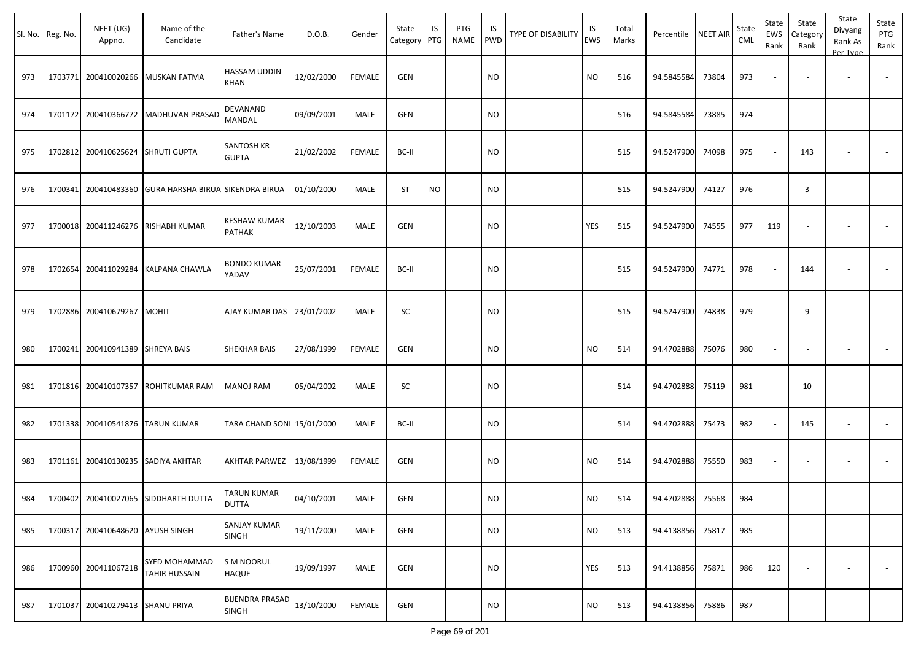|     | Sl. No. Reg. No. | NEET (UG)<br>Appno.                | Name of the<br>Candidate                              | Father's Name                          | D.O.B.     | Gender        | State<br>Category | IS<br>PTG | PTG<br><b>NAME</b> | IS<br><b>PWD</b> | <b>TYPE OF DISABILITY</b> | IS<br><b>EWS</b> | Total<br>Marks | Percentile       | <b>NEET AIR</b> | State<br><b>CML</b> | State<br>EWS<br>Rank | State<br>Category<br>Rank | State<br>Divyang<br>Rank As<br>Per Type | State<br>PTG<br>Rank     |
|-----|------------------|------------------------------------|-------------------------------------------------------|----------------------------------------|------------|---------------|-------------------|-----------|--------------------|------------------|---------------------------|------------------|----------------|------------------|-----------------|---------------------|----------------------|---------------------------|-----------------------------------------|--------------------------|
| 973 |                  |                                    | 1703771 200410020266 MUSKAN FATMA                     | HASSAM UDDIN<br>KHAN                   | 12/02/2000 | <b>FEMALE</b> | <b>GEN</b>        |           |                    | <b>NO</b>        |                           | <b>NO</b>        | 516            | 94.5845584       | 73804           | 973                 |                      |                           |                                         |                          |
| 974 |                  |                                    | 1701172 200410366772 MADHUVAN PRASAD                  | DEVANAND<br>MANDAL                     | 09/09/2001 | MALE          | <b>GEN</b>        |           |                    | <b>NO</b>        |                           |                  | 516            | 94.5845584       | 73885           | 974                 |                      |                           | $\overline{\phantom{a}}$                |                          |
| 975 |                  | 1702812 200410625624 SHRUTI GUPTA  |                                                       | <b>SANTOSH KR</b><br><b>GUPTA</b>      | 21/02/2002 | FEMALE        | BC-II             |           |                    | NO               |                           |                  | 515            | 94.5247900       | 74098           | 975                 |                      | 143                       |                                         |                          |
| 976 |                  |                                    | 1700341 200410483360 GURA HARSHA BIRUA SIKENDRA BIRUA |                                        | 01/10/2000 | MALE          | <b>ST</b>         | <b>NO</b> |                    | <b>NO</b>        |                           |                  | 515            | 94.5247900       | 74127           | 976                 |                      | 3                         | $\overline{\phantom{a}}$                |                          |
| 977 | 1700018          |                                    | 200411246276 RISHABH KUMAR                            | KESHAW KUMAR<br>PATHAK                 | 12/10/2003 | MALE          | <b>GEN</b>        |           |                    | <b>NO</b>        |                           | YES              | 515            | 94.5247900       | 74555           | 977                 | 119                  |                           |                                         |                          |
| 978 | 1702654          |                                    | 200411029284 KALPANA CHAWLA                           | <b>BONDO KUMAR</b><br>YADAV            | 25/07/2001 | <b>FEMALE</b> | BC-II             |           |                    | <b>NO</b>        |                           |                  | 515            | 94.5247900       | 74771           | 978                 |                      | 144                       |                                         |                          |
| 979 |                  | 1702886 200410679267 MOHIT         |                                                       | AJAY KUMAR DAS 23/01/2002              |            | MALE          | SC                |           |                    | <b>NO</b>        |                           |                  | 515            | 94.5247900       | 74838           | 979                 |                      | 9                         |                                         |                          |
| 980 | 1700241          | 200410941389 SHREYA BAIS           |                                                       | SHEKHAR BAIS                           | 27/08/1999 | FEMALE        | <b>GEN</b>        |           |                    | <b>NO</b>        |                           | <b>NO</b>        | 514            | 94.4702888       | 75076           | 980                 |                      |                           |                                         |                          |
| 981 |                  |                                    | 1701816 200410107357 ROHITKUMAR RAM                   | MANOJ RAM                              | 05/04/2002 | MALE          | SC                |           |                    | <b>NO</b>        |                           |                  | 514            | 94.4702888       | 75119           | 981                 |                      | 10                        |                                         |                          |
| 982 |                  | 1701338 200410541876 TARUN KUMAR   |                                                       | TARA CHAND SONI 15/01/2000             |            | MALE          | BC-II             |           |                    | <b>NO</b>        |                           |                  | 514            | 94.4702888       | 75473           | 982                 |                      | 145                       | $\sim$                                  |                          |
| 983 |                  | 1701161 200410130235 SADIYA AKHTAR |                                                       | AKHTAR PARWEZ                          | 13/08/1999 | <b>FEMALE</b> | <b>GEN</b>        |           |                    | <b>NO</b>        |                           | <b>NO</b>        | 514            | 94.4702888       | 75550           | 983                 |                      |                           |                                         |                          |
| 984 |                  |                                    | 1700402 200410027065 SIDDHARTH DUTTA                  | TARUN KUMAR<br><b>DUTTA</b>            | 04/10/2001 | MALE          | <b>GEN</b>        |           |                    | <b>NO</b>        |                           | <b>NO</b>        | 514            | 94.4702888       | 75568           | 984                 |                      |                           |                                         |                          |
| 985 |                  | 1700317 200410648620 AYUSH SINGH   |                                                       | <b>SANJAY KUMAR</b><br><b>SINGH</b>    | 19/11/2000 | MALE          | GEN               |           |                    | <b>NO</b>        |                           | <b>NO</b>        | 513            | 94.4138856       | 75817           | 985                 |                      |                           | $\overline{\phantom{a}}$                | $\overline{\phantom{a}}$ |
| 986 |                  | 1700960 200411067218               | <b>SYED MOHAMMAD</b><br><b>TAHIR HUSSAIN</b>          | <b>S M NOORUL</b><br><b>HAQUE</b>      | 19/09/1997 | MALE          | <b>GEN</b>        |           |                    | <b>NO</b>        |                           | YES              | 513            | 94.4138856 75871 |                 | 986                 | 120                  | $\sim$                    | $\overline{\phantom{a}}$                | $\sim$                   |
| 987 | 1701037          | 200410279413 SHANU PRIYA           |                                                       | <b>BIJENDRA PRASAD</b><br><b>SINGH</b> | 13/10/2000 | FEMALE        | GEN               |           |                    | <b>NO</b>        |                           | <b>NO</b>        | 513            | 94.4138856       | 75886           | 987                 |                      |                           | $\overline{\phantom{a}}$                | $\sim$                   |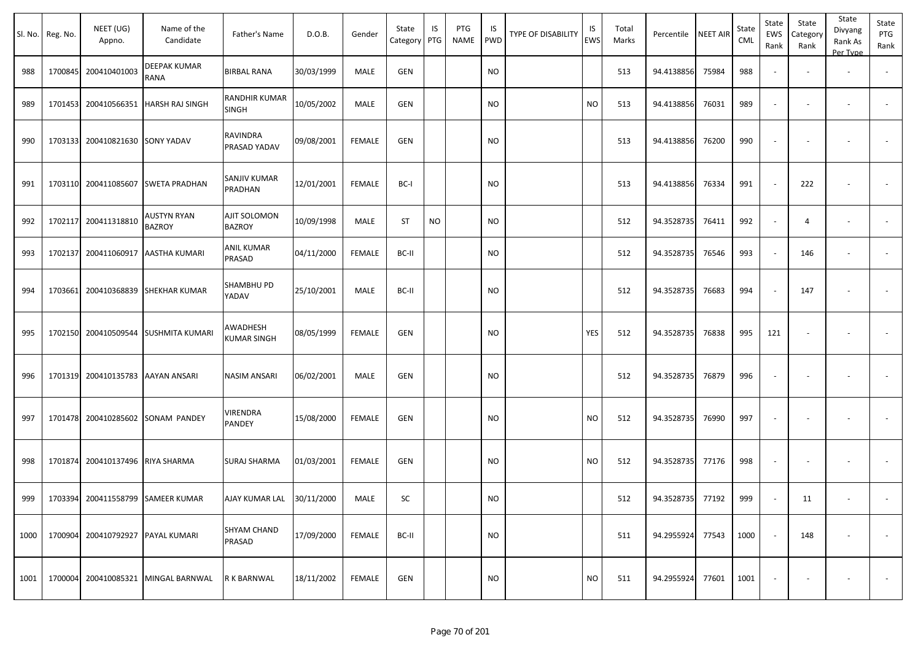|      | Sl. No. Reg. No. | NEET (UG)<br>Appno.               | Name of the<br>Candidate            | Father's Name                  | D.O.B.     | Gender        | State<br>Category | IS<br>PTG | PTG<br>NAME | IS<br>PWD | <b>TYPE OF DISABILITY</b> | IS<br>EWS | Total<br>Marks | Percentile | <b>NEET AIR</b> | State<br>CML | State<br>EWS<br>Rank     | State<br>Category<br>Rank | State<br>Divyang<br>Rank As<br>Per Type | State<br>PTG<br>Rank |
|------|------------------|-----------------------------------|-------------------------------------|--------------------------------|------------|---------------|-------------------|-----------|-------------|-----------|---------------------------|-----------|----------------|------------|-----------------|--------------|--------------------------|---------------------------|-----------------------------------------|----------------------|
| 988  | 1700845          | 200410401003                      | DEEPAK KUMAR<br>RANA                | <b>BIRBAL RANA</b>             | 30/03/1999 | MALE          | <b>GEN</b>        |           |             | <b>NO</b> |                           |           | 513            | 94.4138856 | 75984           | 988          |                          |                           |                                         |                      |
| 989  | 1701453          | 200410566351                      | <b>HARSH RAJ SINGH</b>              | RANDHIR KUMAR<br>SINGH         | 10/05/2002 | MALE          | GEN               |           |             | <b>NO</b> |                           | <b>NO</b> | 513            | 94.4138856 | 76031           | 989          | $\sim$                   |                           | $\overline{\phantom{a}}$                |                      |
| 990  | 1703133          | 200410821630                      | <b>SONY YADAV</b>                   | RAVINDRA<br>PRASAD YADAV       | 09/08/2001 | <b>FEMALE</b> | <b>GEN</b>        |           |             | <b>NO</b> |                           |           | 513            | 94.4138856 | 76200           | 990          |                          |                           |                                         |                      |
| 991  | 1703110          | 200411085607                      | SWETA PRADHAN                       | SANJIV KUMAR<br>PRADHAN        | 12/01/2001 | <b>FEMALE</b> | BC-I              |           |             | <b>NO</b> |                           |           | 513            | 94.4138856 | 76334           | 991          |                          | 222                       |                                         |                      |
| 992  | 1702117          | 200411318810                      | <b>AUSTYN RYAN</b><br><b>BAZROY</b> | AJIT SOLOMON<br><b>BAZROY</b>  | 10/09/1998 | MALE          | ST                | <b>NO</b> |             | <b>NO</b> |                           |           | 512            | 94.3528735 | 76411           | 992          | $\sim$                   | 4                         | $\overline{\phantom{a}}$                |                      |
| 993  | 1702137          | 200411060917                      | AASTHA KUMARI                       | ANIL KUMAR<br>PRASAD           | 04/11/2000 | <b>FEMALE</b> | BC-II             |           |             | <b>NO</b> |                           |           | 512            | 94.3528735 | 76546           | 993          |                          | 146                       | $\overline{\phantom{a}}$                |                      |
| 994  | 1703661          | 200410368839                      | SHEKHAR KUMAR                       | SHAMBHU PD<br>YADAV            | 25/10/2001 | MALE          | BC-II             |           |             | <b>NO</b> |                           |           | 512            | 94.3528735 | 76683           | 994          |                          | 147                       |                                         |                      |
| 995  | 1702150          | 200410509544                      | <b>SUSHMITA KUMARI</b>              | AWADHESH<br><b>KUMAR SINGH</b> | 08/05/1999 | <b>FEMALE</b> | GEN               |           |             | <b>NO</b> |                           | YES       | 512            | 94.3528735 | 76838           | 995          | 121                      |                           |                                         |                      |
| 996  | 1701319          | 200410135783                      | AAYAN ANSARI                        | NASIM ANSARI                   | 06/02/2001 | MALE          | GEN               |           |             | NO        |                           |           | 512            | 94.3528735 | 76879           | 996          | $\overline{\phantom{a}}$ |                           |                                         |                      |
| 997  | 1701478          | 200410285602                      | SONAM PANDEY                        | VIRENDRA<br>PANDEY             | 15/08/2000 | <b>FEMALE</b> | GEN               |           |             | NO        |                           | <b>NO</b> | 512            | 94.3528735 | 76990           | 997          |                          |                           |                                         |                      |
| 998  | 1701874          | 200410137496                      | <b>RIYA SHARMA</b>                  | SURAJ SHARMA                   | 01/03/2001 | <b>FEMALE</b> | <b>GEN</b>        |           |             | NO        |                           | <b>NO</b> | 512            | 94.3528735 | 77176           | 998          |                          |                           |                                         |                      |
| 999  |                  | 1703394 200411558799 SAMEER KUMAR |                                     | AJAY KUMAR LAL                 | 30/11/2000 | MALE          | SC                |           |             | <b>NO</b> |                           |           | 512            | 94.3528735 | 77192           | 999          |                          | 11                        | $\overline{\phantom{a}}$                |                      |
| 1000 | 1700904          | 200410792927                      | PAYAL KUMARI                        | SHYAM CHAND<br>PRASAD          | 17/09/2000 | <b>FEMALE</b> | BC-II             |           |             | <b>NO</b> |                           |           | 511            | 94.2955924 | 77543           | 1000         |                          | 148                       |                                         | $\sim$               |
| 1001 | 1700004          | 200410085321                      | MINGAL BARNWAL                      | R K BARNWAL                    | 18/11/2002 | <b>FEMALE</b> | GEN               |           |             | <b>NO</b> |                           | <b>NO</b> | 511            | 94.2955924 | 77601           | 1001         |                          |                           |                                         | $\sim$               |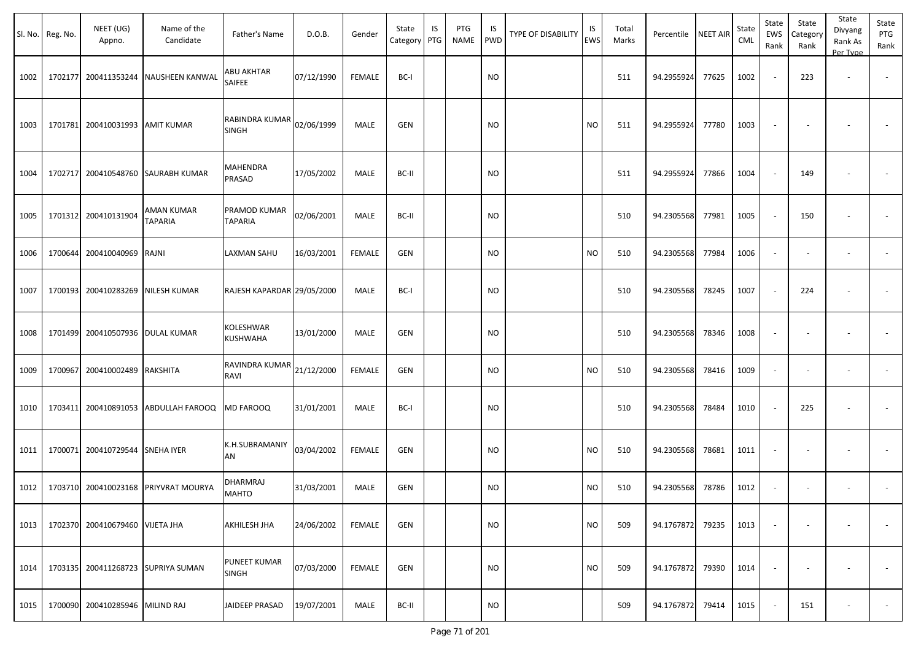| Sl. No. | Reg. No. | NEET (UG)<br>Appno.             | Name of the<br>Candidate           | Father's Name                  | D.O.B.     | Gender        | State<br>Category PTG | IS | PTG<br><b>NAME</b> | IS<br><b>PWD</b> | <b>TYPE OF DISABILITY</b> | IS<br><b>EWS</b> | Total<br>Marks | Percentile | <b>NEET AIR</b> | State<br>CML | State<br>EWS<br>Rank     | State<br>Category<br>Rank | State<br>Divyang<br>Rank As<br>Per Type | State<br>PTG<br>Rank     |
|---------|----------|---------------------------------|------------------------------------|--------------------------------|------------|---------------|-----------------------|----|--------------------|------------------|---------------------------|------------------|----------------|------------|-----------------|--------------|--------------------------|---------------------------|-----------------------------------------|--------------------------|
| 1002    | 1702177  | 200411353244                    | <b>NAUSHEEN KANWAL</b>             | ABU AKHTAR<br>SAIFEE           | 07/12/1990 | <b>FEMALE</b> | BC-I                  |    |                    | NO               |                           |                  | 511            | 94.2955924 | 77625           | 1002         |                          | 223                       | $\blacksquare$                          | $\sim$                   |
| 1003    | 1701781  | 200410031993 AMIT KUMAR         |                                    | RABINDRA KUMAR<br><b>SINGH</b> | 02/06/1999 | <b>MALE</b>   | <b>GEN</b>            |    |                    | NO               |                           | <b>NO</b>        | 511            | 94.2955924 | 77780           | 1003         |                          |                           |                                         |                          |
| 1004    | 1702717  |                                 | 200410548760 SAURABH KUMAR         | MAHENDRA<br>PRASAD             | 17/05/2002 | MALE          | BC-II                 |    |                    | <b>NO</b>        |                           |                  | 511            | 94.2955924 | 77866           | 1004         |                          | 149                       | ٠                                       |                          |
| 1005    | 1701312  | 200410131904                    | AMAN KUMAR<br><b>TAPARIA</b>       | PRAMOD KUMAR<br>TAPARIA        | 02/06/2001 | <b>MALE</b>   | BC-II                 |    |                    | <b>NO</b>        |                           |                  | 510            | 94.2305568 | 77981           | 1005         |                          | 150                       |                                         |                          |
| 1006    | 1700644  | 200410040969                    | RAJNI                              | LAXMAN SAHU                    | 16/03/2001 | <b>FEMALE</b> | GEN                   |    |                    | NO               |                           | <b>NO</b>        | 510            | 94.2305568 | 77984           | 1006         |                          |                           | $\overline{\phantom{a}}$                | $\blacksquare$           |
| 1007    | 1700193  | 200410283269                    | <b>NILESH KUMAR</b>                | RAJESH KAPARDAR 29/05/2000     |            | MALE          | BC-I                  |    |                    | NO               |                           |                  | 510            | 94.2305568 | 78245           | 1007         |                          | 224                       |                                         | $\overline{\phantom{a}}$ |
| 1008    | 1701499  | 200410507936                    | <b>DULAL KUMAR</b>                 | KOLESHWAR<br>KUSHWAHA          | 13/01/2000 | MALE          | <b>GEN</b>            |    |                    | NO               |                           |                  | 510            | 94.2305568 | 78346           | 1008         | $\overline{\phantom{a}}$ |                           |                                         |                          |
| 1009    | 1700967  | 200410002489                    | RAKSHITA                           | RAVINDRA KUMAR<br>RAVI         | 21/12/2000 | <b>FEMALE</b> | <b>GEN</b>            |    |                    | NO               |                           | <b>NO</b>        | 510            | 94.2305568 | 78416           | 1009         | $\sim$                   | $\overline{\phantom{a}}$  | $\blacksquare$                          | $\sim$                   |
| 1010    | 1703411  | 200410891053                    | ABDULLAH FAROOQ                    | MD FAROOQ                      | 31/01/2001 | <b>MALE</b>   | BC-I                  |    |                    | <b>NO</b>        |                           |                  | 510            | 94.2305568 | 78484           | 1010         |                          | 225                       |                                         |                          |
| 1011    | 1700071  | 200410729544 SNEHA IYER         |                                    | K.H.SUBRAMANIY<br>AN           | 03/04/2002 | <b>FEMALE</b> | GEN                   |    |                    | NO               |                           | <b>NO</b>        | 510            | 94.2305568 | 78681           | 1011         | $\overline{\phantom{a}}$ | $\overline{\phantom{a}}$  | $\blacksquare$                          |                          |
| 1012    |          | 1703710 200410023168            | PRIYVRAT MOURYA                    | DHARMRAJ<br><b>MAHTO</b>       | 31/03/2001 | MALE          | <b>GEN</b>            |    |                    | NO.              |                           | <b>NO</b>        | 510            | 94.2305568 | 78786           | 1012         |                          | $\overline{\phantom{a}}$  | $\overline{\phantom{a}}$                |                          |
| 1013    |          | 1702370 200410679460 VIJETA JHA |                                    | AKHILESH JHA                   | 24/06/2002 | <b>FEMALE</b> | <b>GEN</b>            |    |                    | <b>NO</b>        |                           | <b>NO</b>        | 509            | 94.1767872 | 79235           | 1013         |                          |                           |                                         |                          |
| 1014    |          |                                 | 1703135 200411268723 SUPRIYA SUMAN | PUNEET KUMAR<br>SINGH          | 07/03/2000 | <b>FEMALE</b> | <b>GEN</b>            |    |                    | NO               |                           | <b>NO</b>        | 509            | 94.1767872 | 79390           | 1014         |                          |                           |                                         | $\overline{\phantom{a}}$ |
| 1015    |          | 1700090 200410285946 MILIND RAJ |                                    | JAIDEEP PRASAD                 | 19/07/2001 | MALE          | BC-II                 |    |                    | <b>NO</b>        |                           |                  | 509            | 94.1767872 | 79414           | 1015         |                          | 151                       | $\overline{\phantom{a}}$                | $\sim$                   |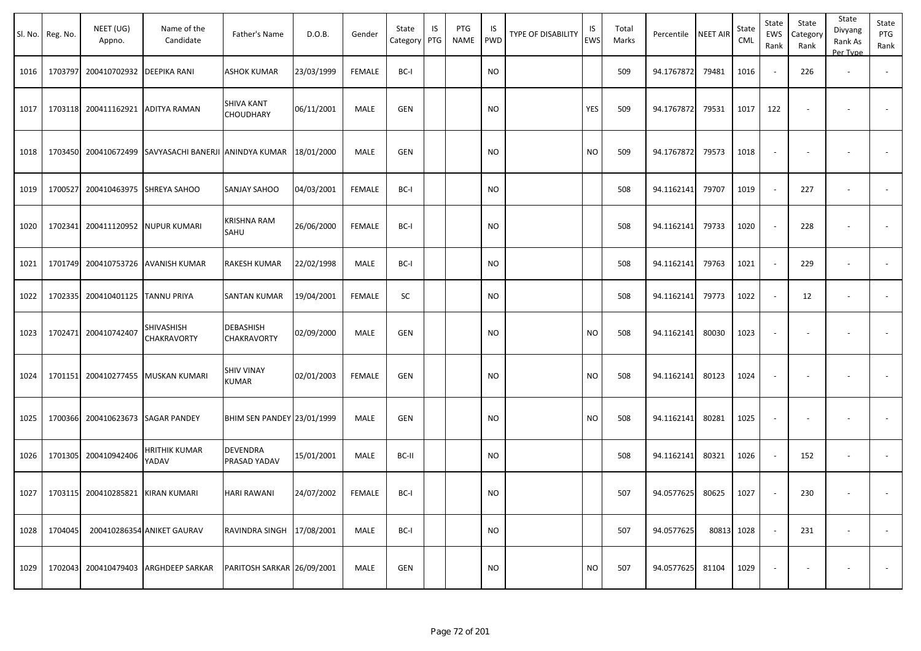|      | Sl. No. Reg. No. | NEET (UG)<br>Appno.               | Name of the<br>Candidate         | Father's Name                     | D.O.B.     | Gender        | State<br>Category | IS<br>PTG | PTG<br>NAME | IS.<br>PWD | TYPE OF DISABILITY | IS<br>EWS | Total<br>Marks | Percentile | <b>NEET AIR</b> | State<br><b>CML</b> | State<br>EWS<br>Rank     | State<br>Category<br>Rank | State<br>Divyang<br>Rank As<br>Per Type | State<br>PTG<br>Rank     |
|------|------------------|-----------------------------------|----------------------------------|-----------------------------------|------------|---------------|-------------------|-----------|-------------|------------|--------------------|-----------|----------------|------------|-----------------|---------------------|--------------------------|---------------------------|-----------------------------------------|--------------------------|
| 1016 |                  | 1703797 200410702932 DEEPIKA RANI |                                  | <b>ASHOK KUMAR</b>                | 23/03/1999 | <b>FEMALE</b> | BC-I              |           |             | <b>NO</b>  |                    |           | 509            | 94.1767872 | 79481           | 1016                | $\sim$                   | 226                       | $\overline{\phantom{a}}$                |                          |
| 1017 |                  | 1703118 200411162921              | <b>ADITYA RAMAN</b>              | <b>SHIVA KANT</b><br>CHOUDHARY    | 06/11/2001 | MALE          | <b>GEN</b>        |           |             | NO         |                    | YES       | 509            | 94.1767872 | 79531           | 1017                | 122                      | $\overline{\phantom{a}}$  |                                         | $\sim$                   |
| 1018 |                  | 1703450 200410672499              | SAVYASACHI BANERJI ANINDYA KUMAR |                                   | 18/01/2000 | MALE          | <b>GEN</b>        |           |             | <b>NO</b>  |                    | NO.       | 509            | 94.1767872 | 79573           | 1018                | $\blacksquare$           |                           |                                         |                          |
| 1019 |                  | 1700527 200410463975 SHREYA SAHOO |                                  | <b>SANJAY SAHOO</b>               | 04/03/2001 | FEMALE        | BC-I              |           |             | NO         |                    |           | 508            | 94.1162141 | 79707           | 1019                | $\sim$                   | 227                       | $\overline{\phantom{a}}$                | $\overline{\phantom{a}}$ |
| 1020 |                  | 1702341 200411120952              | <b>NUPUR KUMARI</b>              | <b>KRISHNA RAM</b><br>SAHU        | 26/06/2000 | <b>FEMALE</b> | BC-I              |           |             | NO         |                    |           | 508            | 94.1162141 | 79733           | 1020                | $\sim$                   | 228                       | $\overline{\phantom{a}}$                | $\sim$                   |
| 1021 |                  | 1701749 200410753726              | <b>AVANISH KUMAR</b>             | RAKESH KUMAR                      | 22/02/1998 | MALE          | BC-I              |           |             | <b>NO</b>  |                    |           | 508            | 94.1162141 | 79763           | 1021                | $\sim$                   | 229                       |                                         |                          |
| 1022 |                  | 1702335 200410401125              | <b>TANNU PRIYA</b>               | SANTAN KUMAR                      | 19/04/2001 | <b>FEMALE</b> | SC                |           |             | NO         |                    |           | 508            | 94.1162141 | 79773           | 1022                | $\sim$                   | 12                        |                                         |                          |
| 1023 |                  | 1702471 200410742407              | SHIVASHISH<br>CHAKRAVORTY        | DEBASHISH<br>CHAKRAVORTY          | 02/09/2000 | MALE          | <b>GEN</b>        |           |             | NO         |                    | <b>NO</b> | 508            | 94.1162141 | 80030           | 1023                | $\overline{\phantom{a}}$ | $\overline{\phantom{a}}$  | $\overline{\phantom{a}}$                | $\overline{\phantom{a}}$ |
| 1024 |                  | 1701151 200410277455              | MUSKAN KUMARI                    | <b>SHIV VINAY</b><br><b>KUMAR</b> | 02/01/2003 | FEMALE        | GEN               |           |             | NO         |                    | <b>NO</b> | 508            | 94.1162141 | 80123           | 1024                | $\overline{\phantom{a}}$ | $\overline{\phantom{a}}$  |                                         |                          |
| 1025 |                  | 1700366 200410623673 SAGAR PANDEY |                                  | BHIM SEN PANDEY 23/01/1999        |            | MALE          | GEN               |           |             | NO         |                    | NO.       | 508            | 94.1162141 | 80281           | 1025                | $\overline{\phantom{a}}$ |                           |                                         |                          |
| 1026 |                  | 1701305 200410942406              | HRITHIK KUMAR<br>YADAV           | <b>DEVENDRA</b><br>PRASAD YADAV   | 15/01/2001 | MALE          | BC-II             |           |             | NO         |                    |           | 508            | 94.1162141 | 80321           | 1026                | $\sim$                   | 152                       | $\overline{\phantom{a}}$                | $\sim$                   |
| 1027 |                  | 1703115 200410285821 KIRAN KUMARI |                                  | <b>HARI RAWANI</b>                | 24/07/2002 | FEMALE        | BC-I              |           |             | <b>NO</b>  |                    |           | 507            | 94.0577625 | 80625           | 1027                | $\sim$                   | 230                       |                                         |                          |
| 1028 | 1704045          |                                   | 200410286354 ANIKET GAURAV       | RAVINDRA SINGH 17/08/2001         |            | MALE          | BC-I              |           |             | <b>NO</b>  |                    |           | 507            | 94.0577625 |                 | 80813 1028          | $\sim$                   | 231                       | $\overline{\phantom{a}}$                | $\sim$                   |
| 1029 |                  | 1702043 200410479403              | ARGHDEEP SARKAR                  | PARITOSH SARKAR 26/09/2001        |            | MALE          | <b>GEN</b>        |           |             | <b>NO</b>  |                    | <b>NO</b> | 507            | 94.0577625 | 81104           | 1029                | $\overline{\phantom{a}}$ |                           |                                         | $\sim$                   |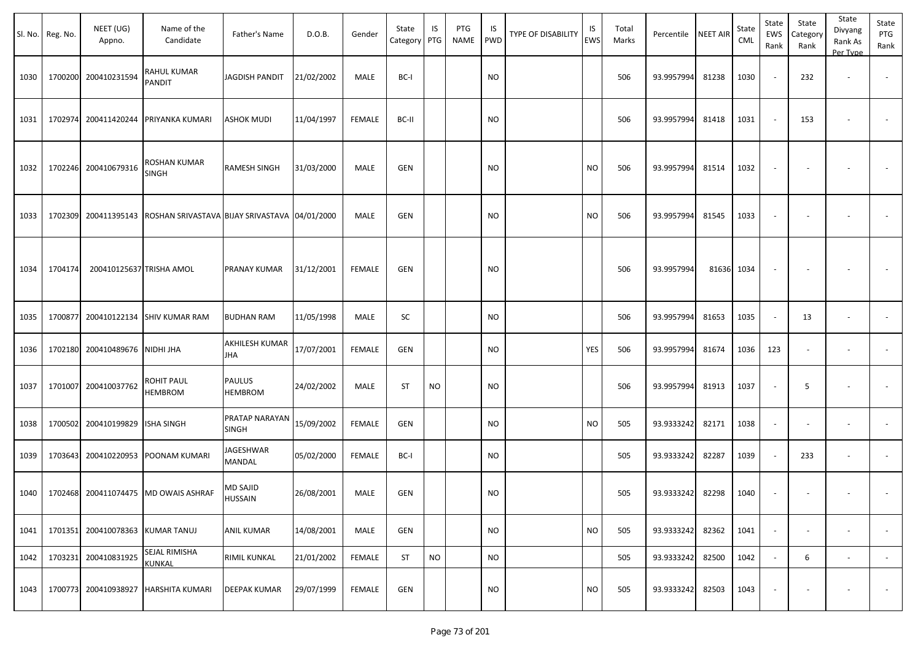|      | Sl. No. Reg. No. | NEET (UG)<br>Appno.              | Name of the<br>Candidate                                           | Father's Name              | D.O.B.     | Gender        | State<br>Category PTG | IS        | PTG<br>NAME | IS.<br>PWD | TYPE OF DISABILITY | IS<br>EWS | Total<br>Marks | Percentile | <b>NEET AIR</b> | State<br><b>CML</b> | State<br>EWS<br>Rank     | State<br>Category<br>Rank | State<br>Divyang<br>Rank As<br>Per Type | State<br>PTG<br>Rank     |
|------|------------------|----------------------------------|--------------------------------------------------------------------|----------------------------|------------|---------------|-----------------------|-----------|-------------|------------|--------------------|-----------|----------------|------------|-----------------|---------------------|--------------------------|---------------------------|-----------------------------------------|--------------------------|
| 1030 |                  | 1700200 200410231594             | RAHUL KUMAR<br>PANDIT                                              | <b>JAGDISH PANDIT</b>      | 21/02/2002 | MALE          | BC-I                  |           |             | <b>NO</b>  |                    |           | 506            | 93.9957994 | 81238           | 1030                | $\overline{\phantom{a}}$ | 232                       | $\overline{\phantom{a}}$                |                          |
| 1031 |                  |                                  | 1702974 200411420244 PRIYANKA KUMARI                               | ASHOK MUDI                 | 11/04/1997 | FEMALE        | BC-II                 |           |             | <b>NO</b>  |                    |           | 506            | 93.9957994 | 81418           | 1031                | $\sim$                   | 153                       |                                         |                          |
| 1032 |                  | 1702246 200410679316             | ROSHAN KUMAR<br>SINGH                                              | <b>RAMESH SINGH</b>        | 31/03/2000 | MALE          | GEN                   |           |             | <b>NO</b>  |                    | <b>NO</b> | 506            | 93.9957994 | 81514           | 1032                | $\overline{\phantom{a}}$ |                           |                                         |                          |
| 1033 |                  |                                  | 1702309 200411395143 ROSHAN SRIVASTAVA BIJAY SRIVASTAVA 04/01/2000 |                            |            | MALE          | <b>GEN</b>            |           |             | <b>NO</b>  |                    | <b>NO</b> | 506            | 93.9957994 | 81545           | 1033                | $\overline{\phantom{a}}$ |                           | $\overline{\phantom{a}}$                |                          |
| 1034 | 1704174          | 200410125637 TRISHA AMOL         |                                                                    | PRANAY KUMAR               | 31/12/2001 | FEMALE        | GEN                   |           |             | <b>NO</b>  |                    |           | 506            | 93.9957994 | 81636 1034      |                     | $\overline{\phantom{a}}$ |                           |                                         |                          |
| 1035 | 1700877          |                                  | 200410122134 SHIV KUMAR RAM                                        | <b>BUDHAN RAM</b>          | 11/05/1998 | MALE          | SC                    |           |             | <b>NO</b>  |                    |           | 506            | 93.9957994 | 81653           | 1035                | $\sim$                   | 13                        | $\overline{\phantom{a}}$                | $\overline{\phantom{a}}$ |
| 1036 |                  | 1702180 200410489676 NIDHI JHA   |                                                                    | AKHILESH KUMAR<br>JHA      | 17/07/2001 | <b>FEMALE</b> | GEN                   |           |             | <b>NO</b>  |                    | YES       | 506            | 93.9957994 | 81674           | 1036                | 123                      |                           |                                         |                          |
| 1037 | 1701007          | 200410037762                     | ROHIT PAUL<br>HEMBROM                                              | <b>PAULUS</b><br>HEMBROM   | 24/02/2002 | MALE          | ST                    | <b>NO</b> |             | <b>NO</b>  |                    |           | 506            | 93.9957994 | 81913           | 1037                |                          | 5                         | $\overline{\phantom{a}}$                | $\sim$                   |
| 1038 |                  | 1700502 200410199829             | <b>ISHA SINGH</b>                                                  | PRATAP NARAYAN<br>SINGH    | 15/09/2002 | <b>FEMALE</b> | GEN                   |           |             | <b>NO</b>  |                    | <b>NO</b> | 505            | 93.9333242 | 82171           | 1038                | $\sim$                   |                           | $\overline{\phantom{a}}$                | $\blacksquare$           |
| 1039 | 1703643          | 200410220953                     | POONAM KUMARI                                                      | JAGESHWAR<br>MANDAL        | 05/02/2000 | <b>FEMALE</b> | BC-I                  |           |             | <b>NO</b>  |                    |           | 505            | 93.9333242 | 82287           | 1039                | $\sim$                   | 233                       | $\overline{\phantom{a}}$                | $\overline{\phantom{a}}$ |
|      |                  |                                  | 1040   1702468 200411074475   MD OWAIS ASHRAF                      | MD SAJID<br><b>HUSSAIN</b> | 26/08/2001 | MALE          | GEN                   |           |             | <b>NO</b>  |                    |           | 505            | 93.9333242 | 82298           | 1040                | $\sim$                   | $\sim$                    |                                         |                          |
| 1041 |                  | 1701351 200410078363 KUMAR TANUJ |                                                                    | <b>ANIL KUMAR</b>          | 14/08/2001 | MALE          | GEN                   |           |             | <b>NO</b>  |                    | <b>NO</b> | 505            | 93.9333242 | 82362           | 1041                | $\sim$                   | $\overline{\phantom{a}}$  | $\overline{\phantom{a}}$                | $\overline{\phantom{a}}$ |
| 1042 |                  | 1703231 200410831925             | SEJAL RIMISHA<br>KUNKAL                                            | <b>RIMIL KUNKAL</b>        | 21/01/2002 | FEMALE        | <b>ST</b>             | <b>NO</b> |             | <b>NO</b>  |                    |           | 505            | 93.9333242 | 82500           | 1042                | $\sim$                   | 6                         | $\sim$                                  | $\overline{\phantom{a}}$ |
| 1043 |                  | 1700773 200410938927             | <b>HARSHITA KUMARI</b>                                             | <b>DEEPAK KUMAR</b>        | 29/07/1999 | FEMALE        | GEN                   |           |             | <b>NO</b>  |                    | <b>NO</b> | 505            | 93.9333242 | 82503           | 1043                | $\overline{\phantom{a}}$ | $\overline{\phantom{a}}$  | $\overline{\phantom{a}}$                | $\sim$                   |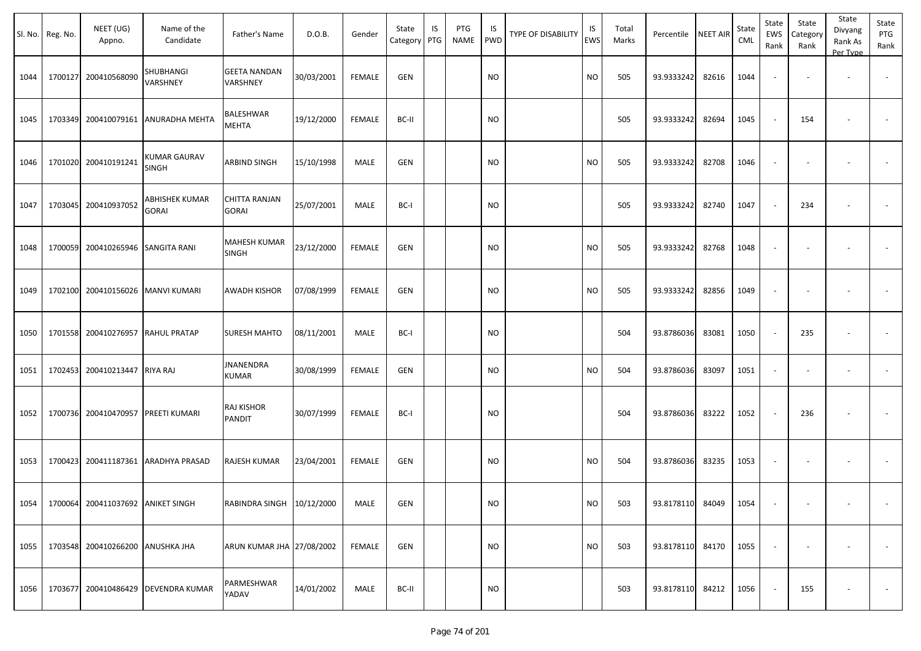| Sl. No. | Reg. No. | NEET (UG)<br>Appno.               | Name of the<br>Candidate       | Father's Name                        | D.O.B.     | Gender        | State<br>Category PTG | IS | PTG<br>NAME | IS<br>PWD | <b>TYPE OF DISABILITY</b> | IS<br>EWS | Total<br>Marks | Percentile       | <b>NEET AIR</b> | State<br>CML | State<br>EWS<br>Rank     | State<br>Category<br>Rank | State<br>Divyang<br>Rank As<br>Per Type | State<br>PTG<br>Rank |
|---------|----------|-----------------------------------|--------------------------------|--------------------------------------|------------|---------------|-----------------------|----|-------------|-----------|---------------------------|-----------|----------------|------------------|-----------------|--------------|--------------------------|---------------------------|-----------------------------------------|----------------------|
| 1044    | 1700127  | 200410568090                      | SHUBHANGI<br>VARSHNEY          | <b>GEETA NANDAN</b><br>VARSHNEY      | 30/03/2001 | <b>FEMALE</b> | GEN                   |    |             | <b>NO</b> |                           | <b>NO</b> | 505            | 93.9333242       | 82616           | 1044         | $\overline{\phantom{a}}$ | $\overline{\phantom{a}}$  | $\overline{\phantom{a}}$                |                      |
| 1045    |          | 1703349 200410079161              | ANURADHA MEHTA                 | BALESHWAR<br>MEHTA                   | 19/12/2000 | <b>FEMALE</b> | BC-II                 |    |             | <b>NO</b> |                           |           | 505            | 93.9333242       | 82694           | 1045         | $\sim$                   | 154                       | $\overline{\phantom{a}}$                |                      |
| 1046    |          | 1701020 200410191241              | <b>KUMAR GAURAV</b><br>SINGH   | ARBIND SINGH                         | 15/10/1998 | MALE          | GEN                   |    |             | <b>NO</b> |                           | <b>NO</b> | 505            | 93.9333242       | 82708           | 1046         | $\sim$                   | $\overline{\phantom{a}}$  | $\overline{\phantom{a}}$                |                      |
| 1047    |          | 1703045 200410937052              | ABHISHEK KUMAR<br><b>GORAI</b> | <b>CHITTA RANJAN</b><br><b>GORAI</b> | 25/07/2001 | MALE          | BC-I                  |    |             | NO.       |                           |           | 505            | 93.9333242       | 82740           | 1047         | $\sim$                   | 234                       | $\overline{\phantom{a}}$                |                      |
| 1048    |          | 1700059 200410265946              | SANGITA RANI                   | <b>MAHESH KUMAR</b><br><b>SINGH</b>  | 23/12/2000 | <b>FEMALE</b> | GEN                   |    |             | NO.       |                           | <b>NO</b> | 505            | 93.9333242       | 82768           | 1048         | $\sim$                   | $\overline{\phantom{a}}$  | $\overline{\phantom{a}}$                |                      |
| 1049    |          | 1702100 200410156026              | <b>MANVI KUMARI</b>            | <b>AWADH KISHOR</b>                  | 07/08/1999 | <b>FEMALE</b> | GEN                   |    |             | NO.       |                           | <b>NO</b> | 505            | 93.9333242       | 82856           | 1049         |                          |                           |                                         |                      |
| 1050    |          | 1701558 200410276957              | <b>RAHUL PRATAP</b>            | <b>SURESH MAHTO</b>                  | 08/11/2001 | MALE          | BC-I                  |    |             | NO.       |                           |           | 504            | 93.8786036       | 83081           | 1050         | $\sim$                   | 235                       | $\overline{\phantom{a}}$                | $\sim$               |
| 1051    |          | 1702453 200410213447              | <b>RIYA RAJ</b>                | JNANENDRA<br><b>KUMAR</b>            | 30/08/1999 | <b>FEMALE</b> | GEN                   |    |             | <b>NO</b> |                           | <b>NO</b> | 504            | 93.8786036       | 83097           | 1051         | $\sim$                   | $\overline{\phantom{a}}$  |                                         |                      |
| 1052    |          | 1700736 200410470957              | PREETI KUMARI                  | RAJ KISHOR<br>PANDIT                 | 30/07/1999 | <b>FEMALE</b> | BC-I                  |    |             | <b>NO</b> |                           |           | 504            | 93.8786036       | 83222           | 1052         | $\sim$                   | 236                       |                                         |                      |
| 1053    |          | 1700423 200411187361              | ARADHYA PRASAD                 | RAJESH KUMAR                         | 23/04/2001 | FEMALE        | GEN                   |    |             | NO.       |                           | <b>NO</b> | 504            | 93.8786036       | 83235           | 1053         | $\sim$                   |                           |                                         |                      |
| 1054    |          | 1700064 200411037692 ANIKET SINGH |                                | RABINDRA SINGH 10/12/2000            |            | MALE          | GEN                   |    |             | <b>NO</b> |                           | <b>NO</b> | 503            | 93.8178110 84049 |                 | 1054         | $\sim$                   | $\sim$                    | $\sim$                                  | $\sim$               |
| 1055    |          | 1703548 200410266200              | <b>ANUSHKA JHA</b>             | ARUN KUMAR JHA 27/08/2002            |            | FEMALE        | GEN                   |    |             | <b>NO</b> |                           | <b>NO</b> | 503            | 93.8178110 84170 |                 | 1055         |                          |                           |                                         | $\sim$               |
| 1056    |          | 1703677 200410486429              | <b>DEVENDRA KUMAR</b>          | PARMESHWAR<br>YADAV                  | 14/01/2002 | MALE          | BC-II                 |    |             | <b>NO</b> |                           |           | 503            | 93.8178110 84212 |                 | 1056         | $\sim$                   | 155                       | $\overline{\phantom{a}}$                | $\sim$               |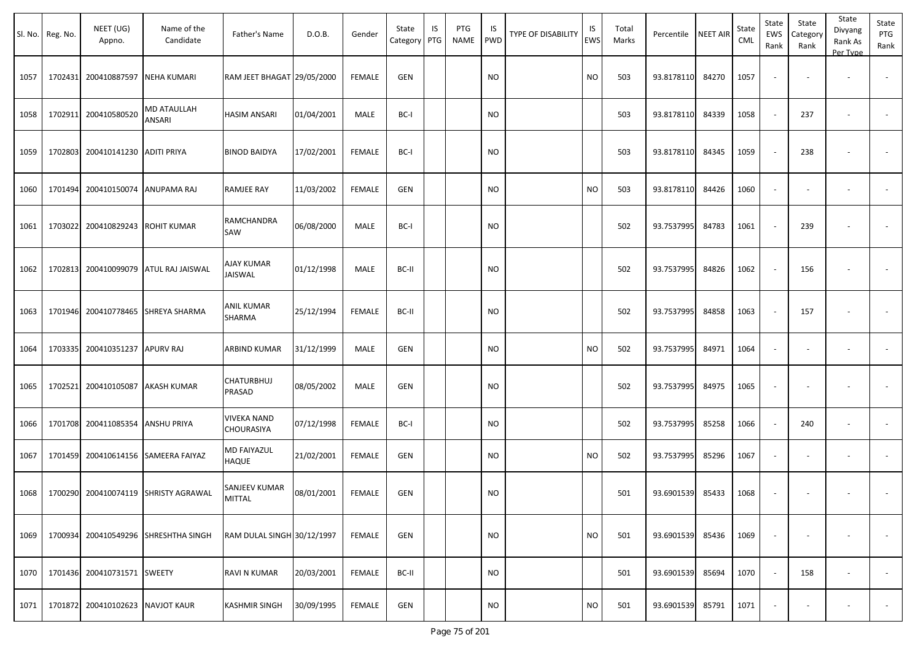|      | Sl. No. Reg. No. | NEET (UG)<br>Appno.              | Name of the<br>Candidate             | Father's Name                    | D.O.B.     | Gender        | State<br>Category | IS<br>PTG | PTG<br>NAME | IS<br>PWD | TYPE OF DISABILITY | IS<br><b>EWS</b> | Total<br>Marks | Percentile | <b>NEET AIR</b> | State<br><b>CML</b> | State<br>EWS<br>Rank     | State<br>Category<br>Rank | State<br>Divyang<br>Rank As<br>Per Type | State<br>PTG<br>Rank     |
|------|------------------|----------------------------------|--------------------------------------|----------------------------------|------------|---------------|-------------------|-----------|-------------|-----------|--------------------|------------------|----------------|------------|-----------------|---------------------|--------------------------|---------------------------|-----------------------------------------|--------------------------|
| 1057 | 1702431          | 200410887597 NEHA KUMARI         |                                      | RAM JEET BHAGAT 29/05/2000       |            | <b>FEMALE</b> | <b>GEN</b>        |           |             | <b>NO</b> |                    | <b>NO</b>        | 503            | 93.8178110 | 84270           | 1057                | $\overline{\phantom{a}}$ |                           | $\overline{\phantom{a}}$                | $\overline{\phantom{a}}$ |
| 1058 | 1702911          | 200410580520                     | <b>MD ATAULLAH</b><br>ANSARI         | <b>HASIM ANSARI</b>              | 01/04/2001 | MALE          | BC-I              |           |             | <b>NO</b> |                    |                  | 503            | 93.8178110 | 84339           | 1058                |                          | 237                       | $\overline{\phantom{a}}$                | $\overline{\phantom{a}}$ |
| 1059 | 1702803          | 200410141230 ADITI PRIYA         |                                      | <b>BINOD BAIDYA</b>              | 17/02/2001 | <b>FEMALE</b> | BC-I              |           |             | NO        |                    |                  | 503            | 93.8178110 | 84345           | 1059                |                          | 238                       |                                         |                          |
| 1060 | 1701494          | 200410150074 ANUPAMA RAJ         |                                      | RAMJEE RAY                       | 11/03/2002 | <b>FEMALE</b> | GEN               |           |             | <b>NO</b> |                    | <b>NO</b>        | 503            | 93.8178110 | 84426           | 1060                |                          |                           | $\overline{\phantom{a}}$                |                          |
| 1061 | 1703022          | 200410829243 ROHIT KUMAR         |                                      | RAMCHANDRA<br>SAW                | 06/08/2000 | MALE          | BC-I              |           |             | <b>NO</b> |                    |                  | 502            | 93.7537995 | 84783           | 1061                |                          | 239                       |                                         |                          |
| 1062 | 1702813          |                                  | 200410099079 ATUL RAJ JAISWAL        | AJAY KUMAR<br>JAISWAL            | 01/12/1998 | MALE          | BC-II             |           |             | <b>NO</b> |                    |                  | 502            | 93.7537995 | 84826           | 1062                |                          | 156                       |                                         |                          |
| 1063 |                  |                                  | 1701946 200410778465 SHREYA SHARMA   | ANIL KUMAR<br>SHARMA             | 25/12/1994 | <b>FEMALE</b> | BC-II             |           |             | <b>NO</b> |                    |                  | 502            | 93.7537995 | 84858           | 1063                |                          | 157                       |                                         |                          |
| 1064 | 1703335          | 200410351237 APURV RAJ           |                                      | ARBIND KUMAR                     | 31/12/1999 | MALE          | GEN               |           |             | <b>NO</b> |                    | <b>NO</b>        | 502            | 93.7537995 | 84971           | 1064                | $\overline{\phantom{a}}$ |                           | $\overline{a}$                          |                          |
| 1065 | 1702521          | 200410105087                     | AKASH KUMAR                          | CHATURBHUJ<br>PRASAD             | 08/05/2002 | MALE          | GEN               |           |             | NO.       |                    |                  | 502            | 93.7537995 | 84975           | 1065                |                          |                           |                                         |                          |
| 1066 | 1701708          | 200411085354 ANSHU PRIYA         |                                      | <b>VIVEKA NAND</b><br>CHOURASIYA | 07/12/1998 | <b>FEMALE</b> | BC-I              |           |             | NO.       |                    |                  | 502            | 93.7537995 | 85258           | 1066                |                          | 240                       | $\blacksquare$                          |                          |
| 1067 | 1701459          |                                  | 200410614156 SAMEERA FAIYAZ          | MD FAIYAZUL<br>HAQUE             | 21/02/2001 | <b>FEMALE</b> | <b>GEN</b>        |           |             | <b>NO</b> |                    | <b>NO</b>        | 502            | 93.7537995 | 85296           | 1067                |                          |                           | $\overline{\phantom{a}}$                | $\blacksquare$           |
| 1068 |                  |                                  | 1700290 200410074119 SHRISTY AGRAWAL | SANJEEV KUMAR<br><b>MITTAL</b>   | 08/01/2001 | FEMALE        | GEN               |           |             | <b>NO</b> |                    |                  | 501            | 93.6901539 | 85433           | 1068                |                          |                           |                                         |                          |
| 1069 |                  |                                  | 1700934 200410549296 SHRESHTHA SINGH | RAM DULAL SINGH 30/12/1997       |            | <b>FEMALE</b> | GEN               |           |             | <b>NO</b> |                    | <b>NO</b>        | 501            | 93.6901539 | 85436           | 1069                |                          |                           | $\overline{\phantom{a}}$                | $\sim$                   |
| 1070 |                  | 1701436 200410731571 SWEETY      |                                      | RAVI N KUMAR                     | 20/03/2001 | <b>FEMALE</b> | BC-II             |           |             | <b>NO</b> |                    |                  | 501            | 93.6901539 | 85694           | 1070                |                          | 158                       | $\sim$                                  | $\sim$                   |
| 1071 |                  | 1701872 200410102623 NAVJOT KAUR |                                      | <b>KASHMIR SINGH</b>             | 30/09/1995 | <b>FEMALE</b> | GEN               |           |             | <b>NO</b> |                    | <b>NO</b>        | 501            | 93.6901539 | 85791           | 1071                |                          |                           | $\overline{\phantom{a}}$                | $\sim$                   |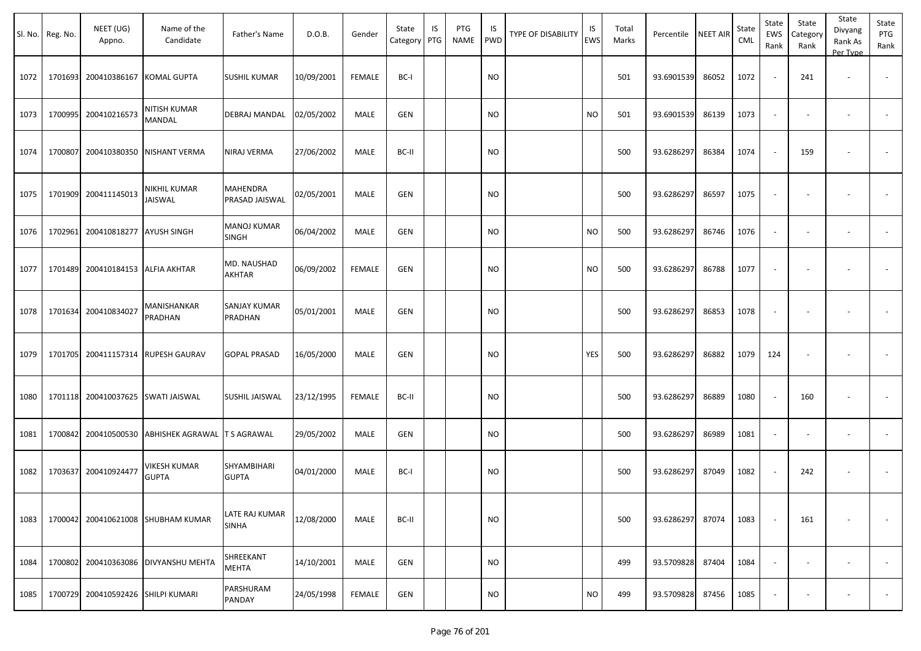|      | Sl. No. Reg. No. | NEET (UG)<br>Appno.       | Name of the<br>Candidate                  | Father's Name                     | D.O.B.     | Gender        | State<br>Category | IS<br>PTG | PTG<br><b>NAME</b> | IS<br>PWD | <b>TYPE OF DISABILITY</b> | IS<br>EWS | Total<br>Marks | Percentile | <b>NEET AIR</b> | State<br>CML | State<br>EWS<br>Rank     | State<br>Category<br>Rank | State<br>Divyang<br>Rank As<br>Per Type | State<br>PTG<br>Rank |
|------|------------------|---------------------------|-------------------------------------------|-----------------------------------|------------|---------------|-------------------|-----------|--------------------|-----------|---------------------------|-----------|----------------|------------|-----------------|--------------|--------------------------|---------------------------|-----------------------------------------|----------------------|
| 1072 | 1701693          | 200410386167 KOMAL GUPTA  |                                           | <b>SUSHIL KUMAR</b>               | 10/09/2001 | <b>FEMALE</b> | BC-I              |           |                    | <b>NO</b> |                           |           | 501            | 93.6901539 | 86052           | 1072         |                          | 241                       | $\sim$                                  | $\sim$               |
| 1073 | 1700995          | 200410216573              | <b>NITISH KUMAR</b><br>MANDAL             | DEBRAJ MANDAL                     | 02/05/2002 | MALE          | <b>GEN</b>        |           |                    | <b>NO</b> |                           | <b>NO</b> | 501            | 93.6901539 | 86139           | 1073         | $\sim$                   | $\overline{\phantom{a}}$  | $\blacksquare$                          |                      |
| 1074 | 1700807          |                           | 200410380350 NISHANT VERMA                | NIRAJ VERMA                       | 27/06/2002 | MALE          | BC-II             |           |                    | NO.       |                           |           | 500            | 93.6286297 | 86384           | 1074         |                          | 159                       |                                         |                      |
| 1075 | 1701909          | 200411145013              | NIKHIL KUMAR<br>JAISWAL                   | <b>MAHENDRA</b><br>PRASAD JAISWAL | 02/05/2001 | MALE          | <b>GEN</b>        |           |                    | NO.       |                           |           | 500            | 93.6286297 | 86597           | 1075         | $\overline{\phantom{a}}$ | $\sim$                    |                                         |                      |
| 1076 | 1702961          | 200410818277 AYUSH SINGH  |                                           | <b>MANOJ KUMAR</b><br>SINGH       | 06/04/2002 | MALE          | <b>GEN</b>        |           |                    | <b>NO</b> |                           | <b>NO</b> | 500            | 93.6286297 | 86746           | 1076         | $\sim$                   | $\overline{\phantom{a}}$  | $\blacksquare$                          |                      |
| 1077 | 1701489          | 200410184153 ALFIA AKHTAR |                                           | MD. NAUSHAD<br>AKHTAR             | 06/09/2002 | <b>FEMALE</b> | <b>GEN</b>        |           |                    | <b>NO</b> |                           | <b>NO</b> | 500            | 93.6286297 | 86788           | 1077         |                          |                           |                                         |                      |
| 1078 | 1701634          | 200410834027              | <b>MANISHANKAR</b><br>PRADHAN             | SANJAY KUMAR<br>PRADHAN           | 05/01/2001 | MALE          | <b>GEN</b>        |           |                    | <b>NO</b> |                           |           | 500            | 93.6286297 | 86853           | 1078         | $\overline{\phantom{a}}$ | $\overline{\phantom{a}}$  | $\sim$                                  |                      |
| 1079 | 1701705          |                           | 200411157314 RUPESH GAURAV                | <b>GOPAL PRASAD</b>               | 16/05/2000 | MALE          | <b>GEN</b>        |           |                    | <b>NO</b> |                           | YES       | 500            | 93.6286297 | 86882           | 1079         | 124                      |                           |                                         |                      |
| 1080 | 1701118          |                           | 200410037625 SWATI JAISWAL                | SUSHIL JAISWAL                    | 23/12/1995 | <b>FEMALE</b> | BC-II             |           |                    | <b>NO</b> |                           |           | 500            | 93.6286297 | 86889           | 1080         |                          | 160                       | ۰                                       |                      |
| 1081 | 1700842          |                           | 200410500530 ABHISHEK AGRAWAL T S AGRAWAL |                                   | 29/05/2002 | MALE          | <b>GEN</b>        |           |                    | <b>NO</b> |                           |           | 500            | 93.6286297 | 86989           | 1081         | $\overline{\phantom{a}}$ |                           | $\blacksquare$                          |                      |
| 1082 | 1703637          | 200410924477              | <b>VIKESH KUMAR</b><br><b>GUPTA</b>       | SHYAMBIHARI<br><b>GUPTA</b>       | 04/01/2000 | MALE          | BC-I              |           |                    | NO.       |                           |           | 500            | 93.6286297 | 87049           | 1082         |                          | 242                       | $\overline{\phantom{a}}$                |                      |
| 1083 | 1700042          |                           | 200410621008 SHUBHAM KUMAR                | LATE RAJ KUMAR<br><b>SINHA</b>    | 12/08/2000 | MALE          | BC-II             |           |                    | <b>NO</b> |                           |           | 500            | 93.6286297 | 87074           | 1083         |                          | 161                       | $\overline{\phantom{a}}$                | $\sim$               |
| 1084 | 1700802          |                           | 200410363086 DIVYANSHU MEHTA              | SHREEKANT<br><b>MEHTA</b>         | 14/10/2001 | MALE          | GEN               |           |                    | <b>NO</b> |                           |           | 499            | 93.5709828 | 87404           | 1084         | $\overline{\phantom{a}}$ | $\sim$                    | $\overline{\phantom{a}}$                | $\sim$               |
| 1085 | 1700729          |                           | 200410592426 SHILPI KUMARI                | PARSHURAM<br>PANDAY               | 24/05/1998 | <b>FEMALE</b> | GEN               |           |                    | <b>NO</b> |                           | <b>NO</b> | 499            | 93.5709828 | 87456           | 1085         | $\overline{\phantom{a}}$ | $\overline{\phantom{a}}$  | $\overline{\phantom{a}}$                | $\sim$               |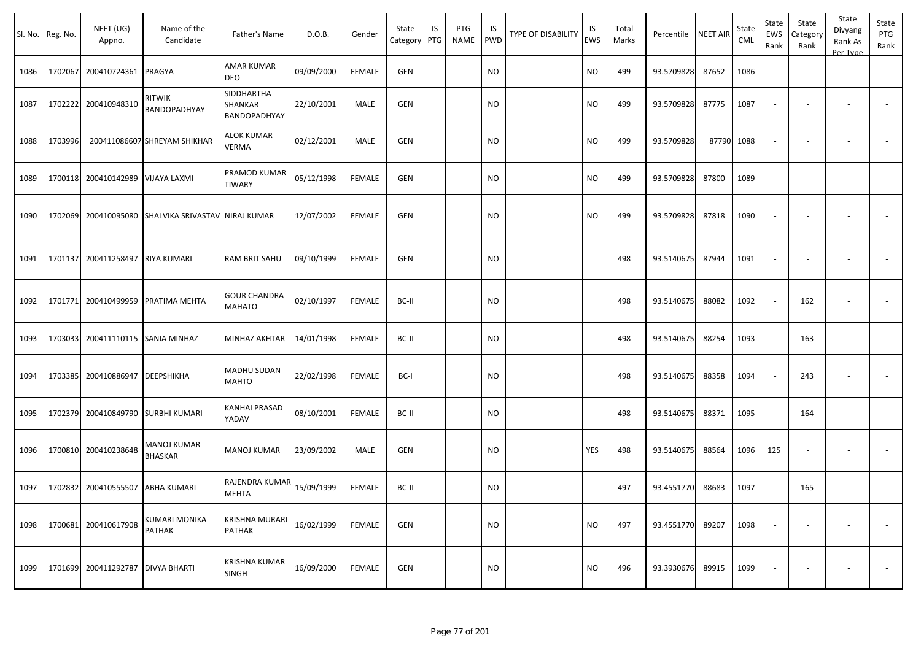|      | Sl. No. Reg. No. | NEET (UG)<br>Appno.  | Name of the<br>Candidate                            | Father's Name                         | D.O.B.     | Gender        | State<br>Category | IS<br>PTG | PTG<br>NAME | IS.<br><b>PWD</b> | TYPE OF DISABILITY | IS<br>EWS | Total<br>Marks | Percentile | <b>NEET AIR</b> | State<br><b>CML</b> | State<br>EWS<br>Rank     | State<br>Category<br>Rank | State<br>Divyang<br>Rank As<br>Per Type | State<br>PTG<br>Rank     |
|------|------------------|----------------------|-----------------------------------------------------|---------------------------------------|------------|---------------|-------------------|-----------|-------------|-------------------|--------------------|-----------|----------------|------------|-----------------|---------------------|--------------------------|---------------------------|-----------------------------------------|--------------------------|
| 1086 | 1702067          | 200410724361 PRAGYA  |                                                     | <b>AMAR KUMAR</b><br>DEO              | 09/09/2000 | <b>FEMALE</b> | <b>GEN</b>        |           |             | <b>NO</b>         |                    | NO.       | 499            | 93.5709828 | 87652           | 1086                | $\blacksquare$           |                           | $\sim$                                  |                          |
| 1087 | 1702222          | 200410948310         | RITWIK<br>BANDOPADHYAY                              | SIDDHARTHA<br>SHANKAR<br>BANDOPADHYAY | 22/10/2001 | MALE          | <b>GEN</b>        |           |             | NO.               |                    | <b>NO</b> | 499            | 93.5709828 | 87775           | 1087                | $\overline{\phantom{a}}$ | $\overline{\phantom{a}}$  | $\overline{\phantom{a}}$                | $\overline{\phantom{a}}$ |
| 1088 | 1703996          |                      | 200411086607 SHREYAM SHIKHAR                        | ALOK KUMAR<br>VERMA                   | 02/12/2001 | MALE          | GEN               |           |             | NO                |                    | <b>NO</b> | 499            | 93.5709828 |                 | 87790 1088          | $\sim$                   | $\blacksquare$            | $\overline{\phantom{a}}$                |                          |
| 1089 |                  | 1700118 200410142989 | VIJAYA LAXMI                                        | PRAMOD KUMAR<br><b>TIWARY</b>         | 05/12/1998 | <b>FEMALE</b> | <b>GEN</b>        |           |             | <b>NO</b>         |                    | NO        | 499            | 93.5709828 | 87800           | 1089                | $\blacksquare$           | $\blacksquare$            |                                         |                          |
| 1090 |                  |                      | 1702069 200410095080 SHALVIKA SRIVASTAV NIRAJ KUMAR |                                       | 12/07/2002 | <b>FEMALE</b> | <b>GEN</b>        |           |             | <b>NO</b>         |                    | <b>NO</b> | 499            | 93.5709828 | 87818           | 1090                | $\blacksquare$           | $\overline{\phantom{a}}$  | $\overline{\phantom{a}}$                |                          |
| 1091 |                  | 1701137 200411258497 | <b>RIYA KUMARI</b>                                  | <b>RAM BRIT SAHU</b>                  | 09/10/1999 | <b>FEMALE</b> | <b>GEN</b>        |           |             | <b>NO</b>         |                    |           | 498            | 93.5140675 | 87944           | 1091                | $\overline{\phantom{a}}$ | $\overline{\phantom{a}}$  |                                         | $\blacksquare$           |
| 1092 |                  | 1701771 200410499959 | <b>PRATIMA MEHTA</b>                                | <b>GOUR CHANDRA</b><br><b>MAHATO</b>  | 02/10/1997 | <b>FEMALE</b> | BC-II             |           |             | <b>NO</b>         |                    |           | 498            | 93.5140675 | 88082           | 1092                | $\overline{\phantom{a}}$ | 162                       |                                         |                          |
| 1093 | 1703033          | 200411110115         | <b>SANIA MINHAZ</b>                                 | MINHAZ AKHTAR                         | 14/01/1998 | <b>FEMALE</b> | BC-II             |           |             | NO.               |                    |           | 498            | 93.5140675 | 88254           | 1093                | $\overline{\phantom{a}}$ | 163                       | $\overline{\phantom{a}}$                | $\blacksquare$           |
| 1094 | 1703385          | 200410886947         | DEEPSHIKHA                                          | <b>MADHU SUDAN</b><br><b>MAHTO</b>    | 22/02/1998 | <b>FEMALE</b> | BC-I              |           |             | NO                |                    |           | 498            | 93.5140675 | 88358           | 1094                | $\sim$                   | 243                       |                                         | $\overline{\phantom{a}}$ |
| 1095 |                  | 1702379 200410849790 | <b>SURBHI KUMARI</b>                                | KANHAI PRASAD<br>YADAV                | 08/10/2001 | <b>FEMALE</b> | BC-II             |           |             | <b>NO</b>         |                    |           | 498            | 93.5140675 | 88371           | 1095                | $\sim$                   | 164                       | $\overline{\phantom{a}}$                |                          |
| 1096 |                  | 1700810 200410238648 | MANOJ KUMAR<br><b>BHASKAR</b>                       | <b>MANOJ KUMAR</b>                    | 23/09/2002 | MALE          | <b>GEN</b>        |           |             | NO.               |                    | YES       | 498            | 93.5140675 | 88564           | 1096                | 125                      | $\overline{\phantom{a}}$  | $\overline{\phantom{a}}$                | $\blacksquare$           |
| 1097 |                  | 1702832 200410555507 | <b>ABHA KUMARI</b>                                  | RAJENDRA KUMAR<br><b>MEHTA</b>        | 15/09/1999 | FEMALE        | BC-II             |           |             | <b>NO</b>         |                    |           | 497            | 93.4551770 | 88683           | 1097                | $\sim$                   | 165                       |                                         |                          |
| 1098 |                  | 1700681 200410617908 | KUMARI MONIKA<br>PATHAK                             | <b>KRISHNA MURARI</b><br>PATHAK       | 16/02/1999 | FEMALE        | GEN               |           |             | <b>NO</b>         |                    | NO        | 497            | 93.4551770 | 89207           | 1098                | $\blacksquare$           |                           |                                         | $\sim$                   |
| 1099 |                  | 1701699 200411292787 | <b>DIVYA BHARTI</b>                                 | <b>KRISHNA KUMAR</b><br><b>SINGH</b>  | 16/09/2000 | FEMALE        | <b>GEN</b>        |           |             | <b>NO</b>         |                    | <b>NO</b> | 496            | 93.3930676 | 89915           | 1099                | $\overline{\phantom{a}}$ |                           |                                         | $\sim$                   |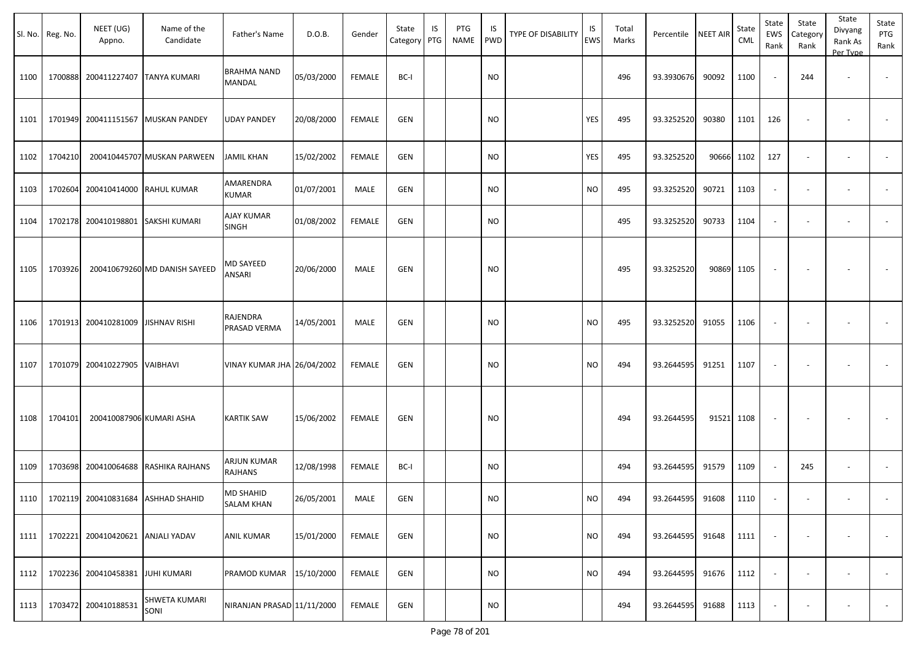|      | Sl. No. Reg. No. | NEET (UG)<br>Appno.        | Name of the<br>Candidate           | Father's Name                  | D.O.B.     | Gender        | State<br>Category PTG | IS | PTG<br><b>NAME</b> | IS<br><b>PWD</b> | <b>TYPE OF DISABILITY</b> | IS<br>EWS | Total<br>Marks | Percentile | <b>NEET AIR</b> | State<br>CML | State<br>EWS<br>Rank | State<br>Category<br>Rank | State<br>Divyang<br>Rank As<br>Per Type | State<br>PTG<br>Rank     |
|------|------------------|----------------------------|------------------------------------|--------------------------------|------------|---------------|-----------------------|----|--------------------|------------------|---------------------------|-----------|----------------|------------|-----------------|--------------|----------------------|---------------------------|-----------------------------------------|--------------------------|
| 1100 | 1700888          | 200411227407               | <b>TANYA KUMARI</b>                | <b>BRAHMA NAND</b><br>MANDAL   | 05/03/2000 | <b>FEMALE</b> | BC-I                  |    |                    | <b>NO</b>        |                           |           | 496            | 93.3930676 | 90092           | 1100         |                      | 244                       | $\overline{\phantom{a}}$                | $\overline{\phantom{a}}$ |
| 1101 | 1701949          |                            | 200411151567 MUSKAN PANDEY         | <b>UDAY PANDEY</b>             | 20/08/2000 | FEMALE        | <b>GEN</b>            |    |                    | <b>NO</b>        |                           | YES       | 495            | 93.3252520 | 90380           | 1101         | 126                  |                           |                                         |                          |
| 1102 | 1704210          |                            | 200410445707 MUSKAN PARWEEN        | <b>JAMIL KHAN</b>              | 15/02/2002 | FEMALE        | <b>GEN</b>            |    |                    | <b>NO</b>        |                           | YES       | 495            | 93.3252520 |                 | 90666 1102   | 127                  |                           | $\overline{\phantom{a}}$                |                          |
| 1103 | 1702604          | 200410414000 RAHUL KUMAR   |                                    | AMARENDRA<br><b>KUMAR</b>      | 01/07/2001 | MALE          | <b>GEN</b>            |    |                    | <b>NO</b>        |                           | <b>NO</b> | 495            | 93.3252520 | 90721           | 1103         |                      |                           | $\overline{\phantom{a}}$                |                          |
| 1104 | 1702178          |                            | 200410198801 SAKSHI KUMARI         | <b>AJAY KUMAR</b><br>SINGH     | 01/08/2002 | <b>FEMALE</b> | GEN                   |    |                    | <b>NO</b>        |                           |           | 495            | 93.3252520 | 90733           | 1104         |                      |                           | $\overline{\phantom{a}}$                |                          |
| 1105 | 1703926          |                            | 200410679260 MD DANISH SAYEED      | <b>MD SAYEED</b><br>ANSARI     | 20/06/2000 | MALE          | <b>GEN</b>            |    |                    | <b>NO</b>        |                           |           | 495            | 93.3252520 |                 | 90869 1105   |                      |                           |                                         |                          |
| 1106 | 1701913          | 200410281009 JISHNAV RISHI |                                    | RAJENDRA<br>PRASAD VERMA       | 14/05/2001 | MALE          | GEN                   |    |                    | <b>NO</b>        |                           | <b>NO</b> | 495            | 93.3252520 | 91055           | 1106         |                      |                           |                                         |                          |
| 1107 | 1701079          | 200410227905 VAIBHAVI      |                                    | VINAY KUMAR JHA 26/04/2002     |            | FEMALE        | <b>GEN</b>            |    |                    | <b>NO</b>        |                           | <b>NO</b> | 494            | 93.2644595 | 91251           | 1107         |                      |                           |                                         |                          |
| 1108 | 1704101          | 200410087906 KUMARI ASHA   |                                    | <b>KARTIK SAW</b>              | 15/06/2002 | <b>FEMALE</b> | <b>GEN</b>            |    |                    | <b>NO</b>        |                           |           | 494            | 93.2644595 | 91521 1108      |              |                      |                           |                                         |                          |
| 1109 | 1703698          |                            | 200410064688 RASHIKA RAJHANS       | ARJUN KUMAR<br>RAJHANS         | 12/08/1998 | FEMALE        | BC-I                  |    |                    | <b>NO</b>        |                           |           | 494            | 93.2644595 | 91579           | 1109         |                      | 245                       | $\overline{\phantom{a}}$                |                          |
| 1110 |                  |                            | 1702119 200410831684 ASHHAD SHAHID | MD SHAHID<br><b>SALAM KHAN</b> | 26/05/2001 | MALE          | <b>GEN</b>            |    |                    | <b>NO</b>        |                           | <b>NO</b> | 494            | 93.2644595 | 91608           | 1110         |                      |                           |                                         |                          |
| 1111 | 1702221          | 200410420621 ANJALI YADAV  |                                    | <b>ANIL KUMAR</b>              | 15/01/2000 | FEMALE        | GEN                   |    |                    | <b>NO</b>        |                           | <b>NO</b> | 494            | 93.2644595 | 91648           | 1111         |                      | $\sim$                    | $\overline{\phantom{a}}$                | $\sim$                   |
| 1112 | 1702236          | 200410458381 JUHI KUMARI   |                                    | PRAMOD KUMAR                   | 15/10/2000 | <b>FEMALE</b> | GEN                   |    |                    | <b>NO</b>        |                           | <b>NO</b> | 494            | 93.2644595 | 91676           | 1112         | $\sim$               | $\sim$                    | $\blacksquare$                          | $\sim$                   |
| 1113 | 1703472          | 200410188531               | SHWETA KUMARI<br>SONI              | NIRANJAN PRASAD 11/11/2000     |            | FEMALE        | <b>GEN</b>            |    |                    | <b>NO</b>        |                           |           | 494            | 93.2644595 | 91688           | 1113         |                      |                           | $\overline{\phantom{a}}$                | $\overline{\phantom{a}}$ |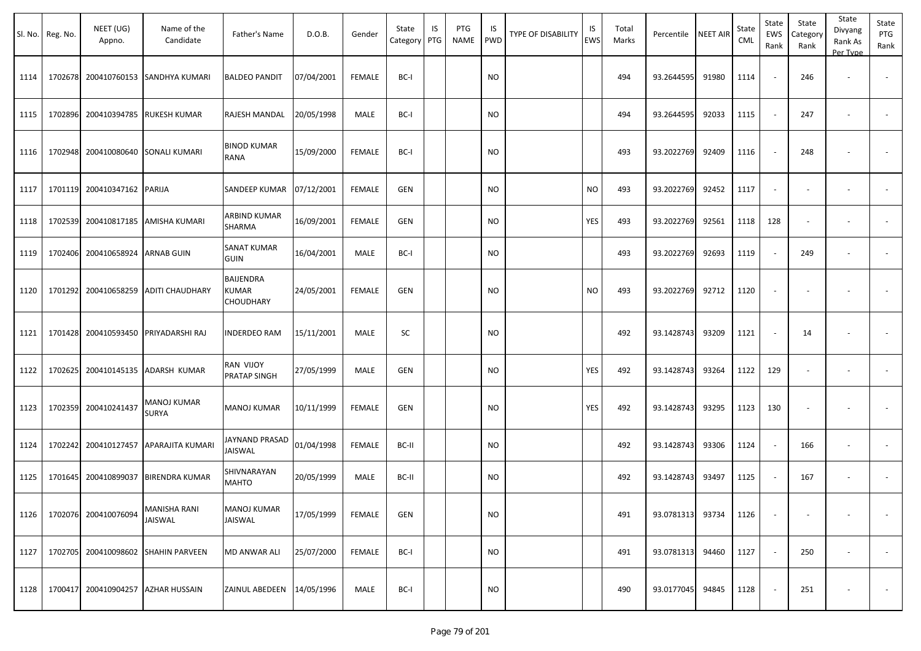|      | Sl. No. Reg. No. | NEET (UG)<br>Appno.  | Name of the<br>Candidate           | Father's Name                                        | D.O.B.     | Gender        | State<br>Category | IS<br>PTG | PTG<br><b>NAME</b> | IS<br><b>PWD</b> | TYPE OF DISABILITY | IS<br><b>EWS</b> | Total<br>Marks | Percentile | <b>NEET AIR</b> | State<br><b>CML</b> | State<br>EWS<br>Rank | State<br>Category<br>Rank | State<br>Divyang<br>Rank As<br>Per Type | State<br>PTG<br>Rank     |
|------|------------------|----------------------|------------------------------------|------------------------------------------------------|------------|---------------|-------------------|-----------|--------------------|------------------|--------------------|------------------|----------------|------------|-----------------|---------------------|----------------------|---------------------------|-----------------------------------------|--------------------------|
| 1114 | 1702678          | 200410760153         | SANDHYA KUMARI                     | <b>BALDEO PANDIT</b>                                 | 07/04/2001 | FEMALE        | BC-I              |           |                    | NO               |                    |                  | 494            | 93.2644595 | 91980           | 1114                |                      | 246                       |                                         |                          |
| 1115 | 1702896          | 200410394785         | <b>RUKESH KUMAR</b>                | RAJESH MANDAL                                        | 20/05/1998 | MALE          | BC-I              |           |                    | NO.              |                    |                  | 494            | 93.2644595 | 92033           | 1115                |                      | 247                       | $\sim$                                  |                          |
| 1116 | 1702948          |                      | 200410080640 SONALI KUMARI         | <b>BINOD KUMAR</b><br>RANA                           | 15/09/2000 | FEMALE        | BC-I              |           |                    | <b>NO</b>        |                    |                  | 493            | 93.2022769 | 92409           | 1116                |                      | 248                       |                                         |                          |
| 1117 | 1701119          | 200410347162 PARIJA  |                                    | SANDEEP KUMAR 07/12/2001                             |            | <b>FEMALE</b> | GEN               |           |                    | NO.              |                    | <b>NO</b>        | 493            | 93.2022769 | 92452           | 1117                |                      |                           |                                         |                          |
| 1118 | 1702539          |                      | 200410817185 AMISHA KUMARI         | ARBIND KUMAR<br><b>SHARMA</b>                        | 16/09/2001 | FEMALE        | GEN               |           |                    | <b>NO</b>        |                    | YES              | 493            | 93.2022769 | 92561           | 1118                | 128                  |                           | $\overline{\phantom{a}}$                |                          |
| 1119 | 1702406          | 200410658924         | <b>ARNAB GUIN</b>                  | <b>SANAT KUMAR</b><br><b>GUIN</b>                    | 16/04/2001 | MALE          | BC-I              |           |                    | <b>NO</b>        |                    |                  | 493            | 93.2022769 | 92693           | 1119                |                      | 249                       | $\overline{\phantom{a}}$                |                          |
| 1120 | 1701292          | 200410658259         | ADITI CHAUDHARY                    | <b>BAIJENDRA</b><br><b>KUMAR</b><br><b>CHOUDHARY</b> | 24/05/2001 | <b>FEMALE</b> | GEN               |           |                    | <b>NO</b>        |                    | <b>NO</b>        | 493            | 93.2022769 | 92712           | 1120                |                      |                           |                                         |                          |
| 1121 | 1701428          | 200410593450         | PRIYADARSHI RAJ                    | <b>INDERDEO RAM</b>                                  | 15/11/2001 | MALE          | SC                |           |                    | <b>NO</b>        |                    |                  | 492            | 93.1428743 | 93209           | 1121                |                      | 14                        |                                         |                          |
| 1122 | 1702625          | 200410145135         | ADARSH KUMAR                       | RAN VIJOY<br>PRATAP SINGH                            | 27/05/1999 | MALE          | GEN               |           |                    | NO.              |                    | YES              | 492            | 93.1428743 | 93264           | 1122                | 129                  | $\overline{\phantom{a}}$  | $\overline{\phantom{a}}$                |                          |
| 1123 | 1702359          | 200410241437         | MANOJ KUMAR<br><b>SURYA</b>        | <b>MANOJ KUMAR</b>                                   | 10/11/1999 | FEMALE        | GEN               |           |                    | <b>NO</b>        |                    | YES              | 492            | 93.1428743 | 93295           | 1123                | 130                  |                           |                                         |                          |
| 1124 | 1702242          | 200410127457         | APARAJITA KUMARI                   | JAYNAND PRASAD<br>JAISWAL                            | 01/04/1998 | FEMALE        | BC-II             |           |                    | <b>NO</b>        |                    |                  | 492            | 93.1428743 | 93306           | 1124                |                      | 166                       | $\overline{\phantom{a}}$                |                          |
| 1125 | 1701645          | 200410899037         | <b>BIRENDRA KUMAR</b>              | SHIVNARAYAN<br><b>MAHTO</b>                          | 20/05/1999 | MALE          | BC-II             |           |                    | <b>NO</b>        |                    |                  | 492            | 93.1428743 | 93497           | 1125                |                      | 167                       | $\overline{\phantom{a}}$                |                          |
| 1126 |                  | 1702076 200410076094 | MANISHA RANI<br>JAISWAL            | <b>MANOJ KUMAR</b><br>JAISWAL                        | 17/05/1999 | <b>FEMALE</b> | <b>GEN</b>        |           |                    | <b>NO</b>        |                    |                  | 491            | 93.0781313 | 93734           | 1126                |                      |                           |                                         | $\sim$                   |
| 1127 | 1702705          |                      | 200410098602 SHAHIN PARVEEN        | MD ANWAR ALI                                         | 25/07/2000 | <b>FEMALE</b> | BC-I              |           |                    | <b>NO</b>        |                    |                  | 491            | 93.0781313 | 94460           | 1127                |                      | 250                       |                                         | $\overline{\phantom{a}}$ |
| 1128 |                  |                      | 1700417 200410904257 AZHAR HUSSAIN | ZAINUL ABEDEEN 14/05/1996                            |            | MALE          | BC-I              |           |                    | <b>NO</b>        |                    |                  | 490            | 93.0177045 | 94845           | 1128                |                      | 251                       |                                         | $\sim$                   |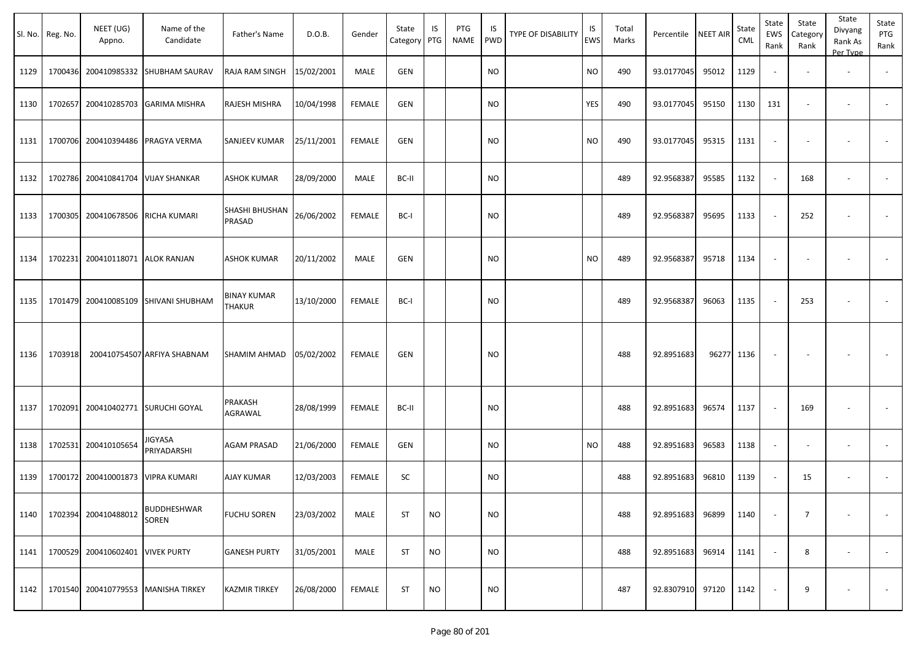|      | Sl. No. Reg. No. | NEET (UG)<br>Appno. | Name of the<br>Candidate      | Father's Name            | D.O.B.     | Gender        | State<br>Category | IS<br>PTG | PTG<br><b>NAME</b> | IS<br><b>PWD</b> | TYPE OF DISABILITY | IS<br>EWS | Total<br>Marks | Percentile       | <b>NEET AIR</b> | State<br>CML | State<br>EWS<br>Rank | State<br>Category<br>Rank | State<br>Divyang<br>Rank As<br>Per Type | State<br>PTG<br>Rank     |
|------|------------------|---------------------|-------------------------------|--------------------------|------------|---------------|-------------------|-----------|--------------------|------------------|--------------------|-----------|----------------|------------------|-----------------|--------------|----------------------|---------------------------|-----------------------------------------|--------------------------|
| 1129 | 1700436          | 200410985332        | SHUBHAM SAURAV                | RAJA RAM SINGH           | 15/02/2001 | MALE          | <b>GEN</b>        |           |                    | <b>NO</b>        |                    | <b>NO</b> | 490            | 93.0177045       | 95012           | 1129         |                      |                           |                                         |                          |
| 1130 | 1702657          | 200410285703        | <b>GARIMA MISHRA</b>          | RAJESH MISHRA            | 10/04/1998 | <b>FEMALE</b> | GEN               |           |                    | <b>NO</b>        |                    | YES       | 490            | 93.0177045       | 95150           | 1130         | 131                  |                           | $\overline{\phantom{a}}$                |                          |
| 1131 | 1700706          | 200410394486        | PRAGYA VERMA                  | SANJEEV KUMAR            | 25/11/2001 | <b>FEMALE</b> | <b>GEN</b>        |           |                    | <b>NO</b>        |                    | <b>NO</b> | 490            | 93.0177045       | 95315           | 1131         | $\sim$               |                           | $\overline{\phantom{a}}$                |                          |
| 1132 | 1702786          | 200410841704        | <b>VIJAY SHANKAR</b>          | <b>ASHOK KUMAR</b>       | 28/09/2000 | MALE          | BC-II             |           |                    | <b>NO</b>        |                    |           | 489            | 92.9568387       | 95585           | 1132         | $\sim$               | 168                       | $\overline{\phantom{a}}$                |                          |
| 1133 | 1700305          | 200410678506        | RICHA KUMARI                  | SHASHI BHUSHAN<br>PRASAD | 26/06/2002 | <b>FEMALE</b> | BC-I              |           |                    | <b>NO</b>        |                    |           | 489            | 92.9568387       | 95695           | 1133         | $\sim$               | 252                       |                                         |                          |
| 1134 | 1702231          | 200410118071        | <b>ALOK RANJAN</b>            | <b>ASHOK KUMAR</b>       | 20/11/2002 | MALE          | <b>GEN</b>        |           |                    | <b>NO</b>        |                    | <b>NO</b> | 489            | 92.9568387       | 95718           | 1134         | $\sim$               |                           |                                         | $\overline{\phantom{a}}$ |
| 1135 | 1701479          | 200410085109        | <b>SHIVANI SHUBHAM</b>        | BINAY KUMAR<br>THAKUR    | 13/10/2000 | <b>FEMALE</b> | BC-I              |           |                    | <b>NO</b>        |                    |           | 489            | 92.9568387       | 96063           | 1135         |                      | 253                       |                                         |                          |
| 1136 | 1703918          |                     | 200410754507 ARFIYA SHABNAM   | SHAMIM AHMAD             | 05/02/2002 | <b>FEMALE</b> | GEN               |           |                    | <b>NO</b>        |                    |           | 488            | 92.8951683       |                 | 96277 1136   |                      |                           |                                         |                          |
| 1137 | 1702091          | 200410402771        | <b>SURUCHI GOYAL</b>          | PRAKASH<br>AGRAWAL       | 28/08/1999 | <b>FEMALE</b> | BC-II             |           |                    | <b>NO</b>        |                    |           | 488            | 92.8951683       | 96574           | 1137         |                      | 169                       |                                         |                          |
| 1138 | 1702531          | 200410105654        | <b>JIGYASA</b><br>PRIYADARSHI | <b>AGAM PRASAD</b>       | 21/06/2000 | <b>FEMALE</b> | GEN               |           |                    | <b>NO</b>        |                    | <b>NO</b> | 488            | 92.8951683       | 96583           | 1138         |                      |                           | $\overline{\phantom{a}}$                |                          |
| 1139 | 1700172          | 200410001873        | <b>VIPRA KUMARI</b>           | <b>AJAY KUMAR</b>        | 12/03/2003 | <b>FEMALE</b> | SC                |           |                    | <b>NO</b>        |                    |           | 488            | 92.8951683       | 96810           | 1139         | $\sim$               | 15                        | $\sim$                                  |                          |
| 1140 | 1702394          | 200410488012        | <b>BUDDHESHWAR</b><br>SOREN   | <b>FUCHU SOREN</b>       | 23/03/2002 | MALE          | <b>ST</b>         | <b>NO</b> |                    | <b>NO</b>        |                    |           | 488            | 92.8951683       | 96899           | 1140         |                      | $\overline{7}$            |                                         |                          |
| 1141 | 1700529          | 200410602401        | <b>VIVEK PURTY</b>            | <b>GANESH PURTY</b>      | 31/05/2001 | MALE          | ST                | <b>NO</b> |                    | <b>NO</b>        |                    |           | 488            | 92.8951683       | 96914           | 1141         |                      | 8                         | $\overline{\phantom{a}}$                | $\sim$                   |
| 1142 | 1701540          |                     | 200410779553 MANISHA TIRKEY   | KAZMIR TIRKEY            | 26/08/2000 | <b>FEMALE</b> | ST                | <b>NO</b> |                    | <b>NO</b>        |                    |           | 487            | 92.8307910 97120 |                 | 1142         |                      | 9                         |                                         | $\sim$                   |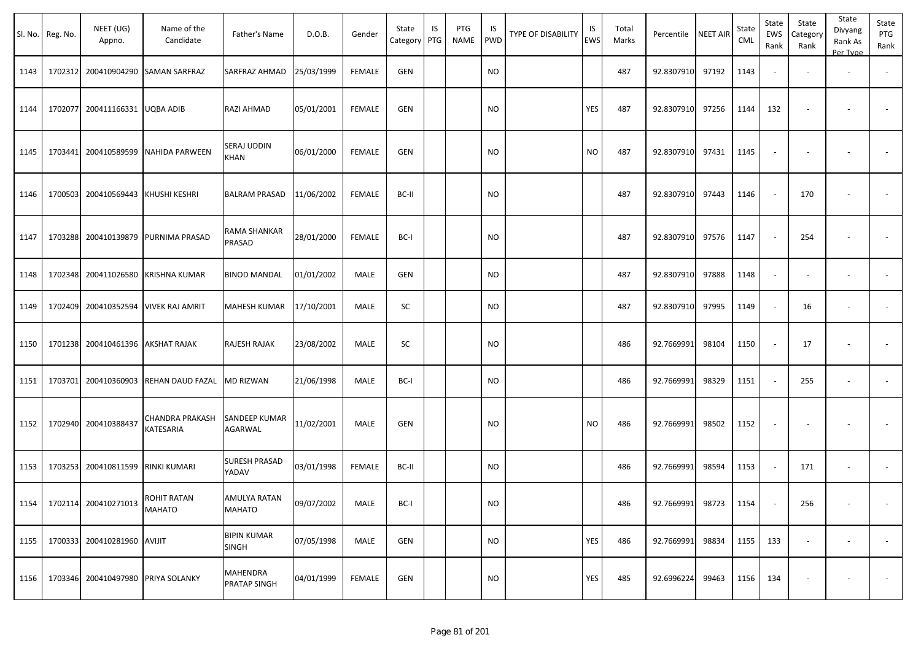|      | Sl. No. Reg. No. | NEET (UG)<br>Appno.                | Name of the<br>Candidate              | Father's Name                      | D.O.B.     | Gender        | State<br>Category | IS<br>PTG | PTG<br>NAME | IS<br>PWD | TYPE OF DISABILITY | IS<br><b>EWS</b> | Total<br>Marks | Percentile       | <b>NEET AIR</b> | State<br><b>CML</b> | State<br>EWS<br>Rank     | State<br>Category<br>Rank | State<br>Divyang<br>Rank As<br>Per Type | State<br>PTG<br>Rank |
|------|------------------|------------------------------------|---------------------------------------|------------------------------------|------------|---------------|-------------------|-----------|-------------|-----------|--------------------|------------------|----------------|------------------|-----------------|---------------------|--------------------------|---------------------------|-----------------------------------------|----------------------|
| 1143 |                  |                                    | 1702312 200410904290 SAMAN SARFRAZ    | SARFRAZ AHMAD                      | 25/03/1999 | <b>FEMALE</b> | <b>GEN</b>        |           |             | <b>NO</b> |                    |                  | 487            | 92.8307910       | 97192           | 1143                | $\blacksquare$           |                           | $\overline{\phantom{a}}$                |                      |
| 1144 |                  | 1702077 200411166331 UQBA ADIB     |                                       | RAZI AHMAD                         | 05/01/2001 | <b>FEMALE</b> | GEN               |           |             | NO.       |                    | YES              | 487            | 92.8307910       | 97256           | 1144                | 132                      | $\overline{\phantom{a}}$  | $\overline{\phantom{a}}$                |                      |
| 1145 |                  |                                    | 1703441 200410589599 NAHIDA PARWEEN   | SERAJ UDDIN<br>KHAN                | 06/01/2000 | <b>FEMALE</b> | <b>GEN</b>        |           |             | NO        |                    | <b>NO</b>        | 487            | 92.8307910       | 97431           | 1145                | $\blacksquare$           | $\overline{\phantom{a}}$  | $\overline{\phantom{a}}$                |                      |
| 1146 |                  | 1700503 200410569443 KHUSHI KESHRI |                                       | <b>BALRAM PRASAD</b>               | 11/06/2002 | <b>FEMALE</b> | BC-II             |           |             | NO        |                    |                  | 487            | 92.8307910       | 97443           | 1146                | $\overline{\phantom{a}}$ | 170                       | $\sim$                                  |                      |
| 1147 |                  |                                    | 1703288 200410139879 PURNIMA PRASAD   | RAMA SHANKAR<br>PRASAD             | 28/01/2000 | <b>FEMALE</b> | BC-I              |           |             | NO        |                    |                  | 487            | 92.8307910       | 97576           | 1147                | $\sim$                   | 254                       | $\sim$                                  |                      |
| 1148 |                  |                                    | 1702348 200411026580 KRISHNA KUMAR    | <b>BINOD MANDAL</b>                | 01/01/2002 | MALE          | GEN               |           |             | NO        |                    |                  | 487            | 92.8307910       | 97888           | 1148                | $\sim$                   | $\sim$                    | $\overline{\phantom{a}}$                |                      |
| 1149 |                  |                                    | 1702409 200410352594 VIVEK RAJ AMRIT  | MAHESH KUMAR                       | 17/10/2001 | MALE          | SC                |           |             | <b>NO</b> |                    |                  | 487            | 92.8307910       | 97995           | 1149                | $\omega$                 | 16                        | $\sim$                                  |                      |
| 1150 |                  | 1701238 200410461396 AKSHAT RAJAK  |                                       | RAJESH RAJAK                       | 23/08/2002 | MALE          | SC                |           |             | <b>NO</b> |                    |                  | 486            | 92.7669991       | 98104           | 1150                | $\sim$                   | 17                        | $\sim$                                  |                      |
| 1151 |                  |                                    | 1703701 200410360903 REHAN DAUD FAZAL | <b>MD RIZWAN</b>                   | 21/06/1998 | MALE          | BC-I              |           |             | NO        |                    |                  | 486            | 92.7669991       | 98329           | 1151                | $\sim$                   | 255                       | $\sim$                                  |                      |
| 1152 |                  | 1702940 200410388437               | <b>CHANDRA PRAKASH</b><br>KATESARIA   | SANDEEP KUMAR<br>AGARWAL           | 11/02/2001 | MALE          | GEN               |           |             | NO        |                    | NO.              | 486            | 92.7669991       | 98502           | 1152                | $\overline{\phantom{a}}$ | $\overline{\phantom{a}}$  | $\overline{\phantom{a}}$                |                      |
| 1153 |                  | 1703253 200410811599 RINKI KUMARI  |                                       | SURESH PRASAD<br>YADAV             | 03/01/1998 | <b>FEMALE</b> | BC-II             |           |             | NO        |                    |                  | 486            | 92.7669991       | 98594           | 1153                | $\blacksquare$           | 171                       | $\overline{\phantom{a}}$                |                      |
| 1154 |                  | 1702114 200410271013               | <b>ROHIT RATAN</b><br><b>MAHATO</b>   | AMULYA RATAN<br><b>MAHATO</b>      | 09/07/2002 | MALE          | BC-I              |           |             | $\rm NO$  |                    |                  | 486            | 92.7669991 98723 |                 | 1154                | $\sim$                   | 256                       | $\sim$                                  |                      |
| 1155 |                  | 1700333 200410281960 AVIJIT        |                                       | <b>BIPIN KUMAR</b><br><b>SINGH</b> | 07/05/1998 | MALE          | GEN               |           |             | <b>NO</b> |                    | YES              | 486            | 92.7669991       | 98834           | 1155                | 133                      | $\sim$                    | $\sim$                                  | $\sim$               |
| 1156 |                  | 1703346 200410497980 PRIYA SOLANKY |                                       | MAHENDRA<br>PRATAP SINGH           | 04/01/1999 | <b>FEMALE</b> | GEN               |           |             | <b>NO</b> |                    | YES              | 485            | 92.6996224       | 99463           | 1156                | 134                      | $\overline{\phantom{a}}$  | $\overline{\phantom{a}}$                |                      |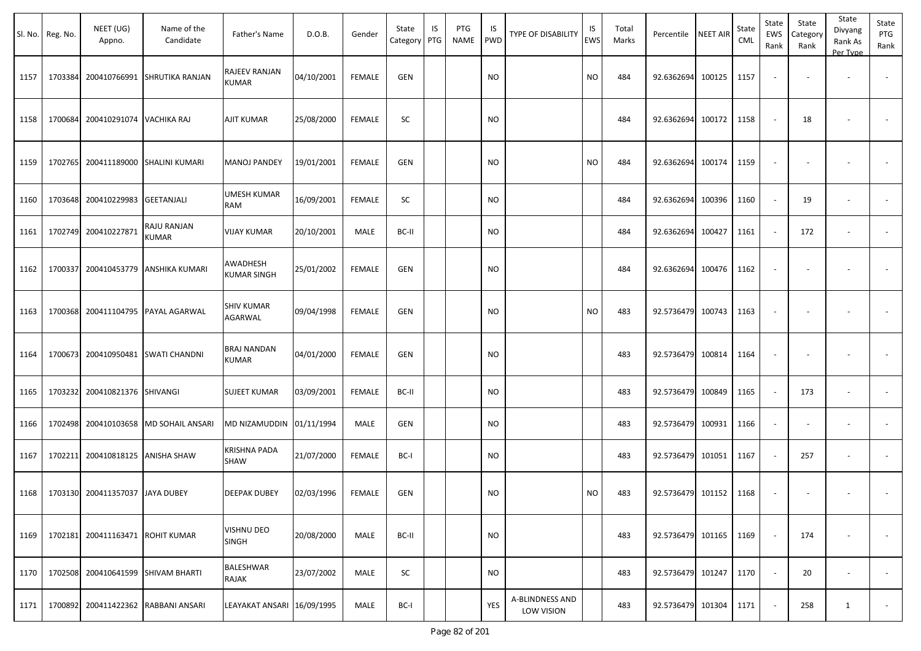|      | Sl. No. Reg. No. | NEET (UG)<br>Appno.     | Name of the<br>Candidate        | Father's Name                     | D.O.B.     | Gender        | State<br>Category | IS<br>PTG | PTG<br><b>NAME</b> | IS<br>PWD | TYPE OF DISABILITY                   | IS<br><b>EWS</b> | Total<br>Marks | Percentile        | <b>NEET AIR</b> | State<br><b>CML</b> | State<br>EWS<br>Rank     | State<br>Category<br>Rank | State<br>Divyang<br>Rank As<br>Per Type | State<br>PTG<br>Rank     |
|------|------------------|-------------------------|---------------------------------|-----------------------------------|------------|---------------|-------------------|-----------|--------------------|-----------|--------------------------------------|------------------|----------------|-------------------|-----------------|---------------------|--------------------------|---------------------------|-----------------------------------------|--------------------------|
| 1157 | 1703384          | 200410766991            | <b>SHRUTIKA RANJAN</b>          | RAJEEV RANJAN<br><b>KUMAR</b>     | 04/10/2001 | <b>FEMALE</b> | GEN               |           |                    | <b>NO</b> |                                      | <b>NO</b>        | 484            | 92.6362694        | 100125          | 1157                |                          |                           |                                         | $\overline{\phantom{a}}$ |
| 1158 | 1700684          | 200410291074            | <b>VACHIKA RAJ</b>              | AJIT KUMAR                        | 25/08/2000 | <b>FEMALE</b> | SC                |           |                    | NO.       |                                      |                  | 484            | 92.6362694        | 100172          | 1158                | $\overline{\phantom{a}}$ | 18                        |                                         |                          |
| 1159 | 1702765          | 200411189000            | <b>SHALINI KUMARI</b>           | <b>MANOJ PANDEY</b>               | 19/01/2001 | <b>FEMALE</b> | GEN               |           |                    | NO.       |                                      | <b>NO</b>        | 484            | 92.6362694        | 100174          | 1159                |                          |                           |                                         |                          |
| 1160 | 1703648          | 200410229983            | <b>GEETANJALI</b>               | <b>UMESH KUMAR</b><br>RAM         | 16/09/2001 | <b>FEMALE</b> | SC                |           |                    | <b>NO</b> |                                      |                  | 484            | 92.6362694        | 100396          | 1160                |                          | 19                        | $\overline{\phantom{a}}$                | $\sim$                   |
| 1161 | 1702749          | 200410227871            | RAJU RANJAN<br>KUMAR            | <b>VIJAY KUMAR</b>                | 20/10/2001 | MALE          | BC-II             |           |                    | NO.       |                                      |                  | 484            | 92.6362694        | 100427          | 1161                |                          | 172                       | $\sim$                                  | $\sim$                   |
| 1162 | 1700337          | 200410453779            | ANSHIKA KUMARI                  | AWADHESH<br>KUMAR SINGH           | 25/01/2002 | <b>FEMALE</b> | <b>GEN</b>        |           |                    | NO.       |                                      |                  | 484            | 92.6362694        | 100476          | 1162                | $\overline{\phantom{a}}$ |                           |                                         |                          |
| 1163 | 1700368          | 200411104795            | PAYAL AGARWAL                   | <b>SHIV KUMAR</b><br>AGARWAL      | 09/04/1998 | <b>FEMALE</b> | <b>GEN</b>        |           |                    | NO.       |                                      | <b>NO</b>        | 483            | 92.5736479        | 100743          | 1163                | $\overline{\phantom{a}}$ |                           |                                         |                          |
| 1164 | 1700673          | 200410950481            | <b>SWATI CHANDNI</b>            | <b>BRAJ NANDAN</b><br>KUMAR       | 04/01/2000 | <b>FEMALE</b> | <b>GEN</b>        |           |                    | NO.       |                                      |                  | 483            | 92.5736479        | 100814          | 1164                | $\overline{\phantom{a}}$ |                           |                                         |                          |
| 1165 | 1703232          | 200410821376 SHIVANGI   |                                 | <b>SUJEET KUMAR</b>               | 03/09/2001 | <b>FEMALE</b> | BC-II             |           |                    | <b>NO</b> |                                      |                  | 483            | 92.5736479        | 100849          | 1165                |                          | 173                       | $\overline{\phantom{a}}$                |                          |
| 1166 | 1702498          |                         | 200410103658   MD SOHAIL ANSARI | MD NIZAMUDDIN 01/11/1994          |            | MALE          | <b>GEN</b>        |           |                    | NO.       |                                      |                  | 483            | 92.5736479        | 100931          | 1166                |                          | $\sim$                    | $\overline{\phantom{a}}$                |                          |
| 1167 | 1702211          | 200410818125            | <b>ANISHA SHAW</b>              | KRISHNA PADA<br>SHAW              | 21/07/2000 | <b>FEMALE</b> | BC-I              |           |                    | NO.       |                                      |                  | 483            | 92.5736479        | 101051          | 1167                |                          | 257                       | $\sim$                                  | $\sim$                   |
| 1168 | 1703130          | 200411357037 JAYA DUBEY |                                 | <b>DEEPAK DUBEY</b>               | 02/03/1996 | <b>FEMALE</b> | <b>GEN</b>        |           |                    | <b>NO</b> |                                      | <b>NO</b>        | 483            | 92.5736479 101152 |                 | 1168                | $\overline{\phantom{a}}$ |                           |                                         |                          |
| 1169 |                  | 1702181 200411163471    | <b>ROHIT KUMAR</b>              | <b>VISHNU DEO</b><br><b>SINGH</b> | 20/08/2000 | MALE          | BC-II             |           |                    | <b>NO</b> |                                      |                  | 483            | 92.5736479        | 101165          | 1169                | $\sim$                   | 174                       |                                         | $\overline{\phantom{a}}$ |
| 1170 | 1702508          | 200410641599            | SHIVAM BHARTI                   | BALESHWAR<br><b>RAJAK</b>         | 23/07/2002 | MALE          | SC                |           |                    | <b>NO</b> |                                      |                  | 483            | 92.5736479        | 101247          | 1170                | $\sim$                   | 20                        | $\overline{\phantom{a}}$                | $\sim$                   |
| 1171 | 1700892          | 200411422362            | RABBANI ANSARI                  | LEAYAKAT ANSARI 16/09/1995        |            | MALE          | BC-I              |           |                    | YES       | <b>A-BLINDNESS AND</b><br>LOW VISION |                  | 483            | 92.5736479        | 101304          | 1171                |                          | 258                       | $\mathbf{1}$                            | $\sim$                   |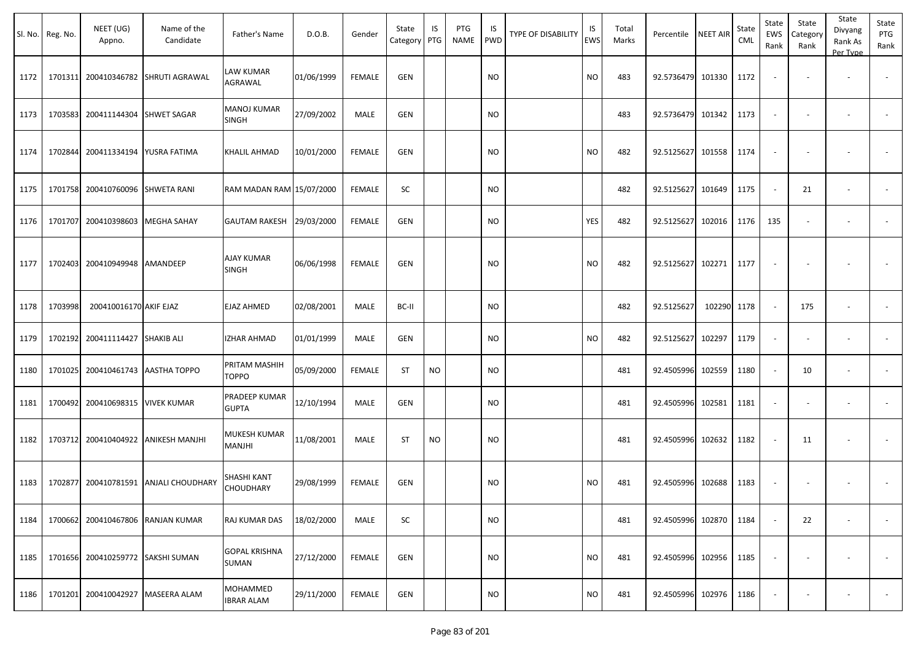|      | Sl. No. Reg. No. | NEET (UG)<br>Appno.       | Name of the<br>Candidate  | Father's Name                   | D.O.B.     | Gender        | State<br>Category | IS<br>PTG | PTG<br>NAME | IS<br><b>PWD</b> | <b>TYPE OF DISABILITY</b> | IS<br><b>EWS</b> | Total<br>Marks | Percentile        | <b>NEET AIR</b> | State<br>CML | State<br>EWS<br>Rank | State<br>Category<br>Rank | State<br>Divyang<br>Rank As<br>Per Type | State<br>PTG<br>Rank |
|------|------------------|---------------------------|---------------------------|---------------------------------|------------|---------------|-------------------|-----------|-------------|------------------|---------------------------|------------------|----------------|-------------------|-----------------|--------------|----------------------|---------------------------|-----------------------------------------|----------------------|
| 1172 | 1701311          | 200410346782              | <b>SHRUTI AGRAWAL</b>     | LAW KUMAR<br>AGRAWAL            | 01/06/1999 | <b>FEMALE</b> | <b>GEN</b>        |           |             | <b>NO</b>        |                           | <b>NO</b>        | 483            | 92.5736479 101330 |                 | 1172         |                      |                           |                                         |                      |
| 1173 | 1703583          | 200411144304              | <b>SHWET SAGAR</b>        | MANOJ KUMAR<br><b>SINGH</b>     | 27/09/2002 | MALE          | <b>GEN</b>        |           |             | <b>NO</b>        |                           |                  | 483            | 92.5736479 101342 |                 | 1173         | $\sim$               |                           | $\overline{\phantom{a}}$                |                      |
| 1174 | 1702844          | 200411334194              | YUSRA FATIMA              | KHALIL AHMAD                    | 10/01/2000 | <b>FEMALE</b> | <b>GEN</b>        |           |             | <b>NO</b>        |                           | <b>NO</b>        | 482            | 92.5125627        | 101558          | 1174         |                      |                           |                                         |                      |
| 1175 | 1701758          | 200410760096              | <b>SHWETA RANI</b>        | RAM MADAN RAM 15/07/2000        |            | <b>FEMALE</b> | SC                |           |             | <b>NO</b>        |                           |                  | 482            | 92.5125627 101649 |                 | 1175         | $\sim$               | 21                        | $\overline{\phantom{a}}$                |                      |
| 1176 | 1701707          | 200410398603              | MEGHA SAHAY               | <b>GAUTAM RAKESH</b>            | 29/03/2000 | <b>FEMALE</b> | GEN               |           |             | <b>NO</b>        |                           | YES              | 482            | 92.5125627        | 102016          | 1176         | 135                  |                           | $\overline{\phantom{a}}$                |                      |
| 1177 | 1702403          | 200410949948              | AMANDEEP                  | <b>AJAY KUMAR</b><br>SINGH      | 06/06/1998 | <b>FEMALE</b> | GEN               |           |             | <b>NO</b>        |                           | <b>NO</b>        | 482            | 92.5125627        | 102271          | 1177         |                      |                           |                                         |                      |
| 1178 | 1703998          | 200410016170 AKIF EJAZ    |                           | EJAZ AHMED                      | 02/08/2001 | MALE          | BC-II             |           |             | <b>NO</b>        |                           |                  | 482            | 92.5125627        | 102290          | 1178         | $\sim$               | 175                       | $\sim$                                  |                      |
| 1179 | 1702192          | 200411114427              | <b>SHAKIB ALI</b>         | IZHAR AHMAD                     | 01/01/1999 | MALE          | GEN               |           |             | <b>NO</b>        |                           | <b>NO</b>        | 482            | 92.5125627        | 102297          | 1179         | $\sim$               |                           | $\overline{\phantom{a}}$                |                      |
| 1180 | 1701025          | 200410461743              | AASTHA TOPPO              | PRITAM MASHIH<br><b>TOPPO</b>   | 05/09/2000 | <b>FEMALE</b> | <b>ST</b>         | <b>NO</b> |             | <b>NO</b>        |                           |                  | 481            | 92.4505996        | 102559          | 1180         | $\sim$               | 10                        | $\overline{\phantom{a}}$                |                      |
| 1181 | 1700492          | 200410698315              | <b>VIVEK KUMAR</b>        | PRADEEP KUMAR<br>GUPTA          | 12/10/1994 | MALE          | GEN               |           |             | <b>NO</b>        |                           |                  | 481            | 92.4505996 102581 |                 | 1181         | $\sim$               |                           | $\overline{\phantom{a}}$                |                      |
| 1182 | 1703712          | 200410404922              | <b>ANIKESH MANJHI</b>     | MUKESH KUMAR<br>MANJHI          | 11/08/2001 | MALE          | <b>ST</b>         | <b>NO</b> |             | <b>NO</b>        |                           |                  | 481            | 92.4505996 102632 |                 | 1182         |                      | 11                        |                                         |                      |
| 1183 | 1702877          | 200410781591              | <b>ANJALI CHOUDHARY</b>   | SHASHI KANT<br><b>CHOUDHARY</b> | 29/08/1999 | <b>FEMALE</b> | <b>GEN</b>        |           |             | <b>NO</b>        |                           | <b>NO</b>        | 481            | 92.4505996        | 102688          | 1183         |                      |                           |                                         |                      |
| 1184 | 1700662          |                           | 200410467806 RANJAN KUMAR | RAJ KUMAR DAS                   | 18/02/2000 | MALE          | SC                |           |             | <b>NO</b>        |                           |                  | 481            | 92.4505996 102870 |                 | 1184         |                      | 22                        | $\overline{\phantom{a}}$                | $\sim$               |
| 1185 | 1701656          | 200410259772 SAKSHI SUMAN |                           | GOPAL KRISHNA<br>SUMAN          | 27/12/2000 | <b>FEMALE</b> | GEN               |           |             | <b>NO</b>        |                           | <b>NO</b>        | 481            | 92.4505996 102956 |                 | 1185         |                      |                           | <b>.</b>                                | $\sim$               |
| 1186 | 1701201          | 200410042927              | MASEERA ALAM              | MOHAMMED<br><b>IBRAR ALAM</b>   | 29/11/2000 | FEMALE        | GEN               |           |             | <b>NO</b>        |                           | <b>NO</b>        | 481            | 92.4505996 102976 |                 | 1186         |                      |                           |                                         | $\sim$               |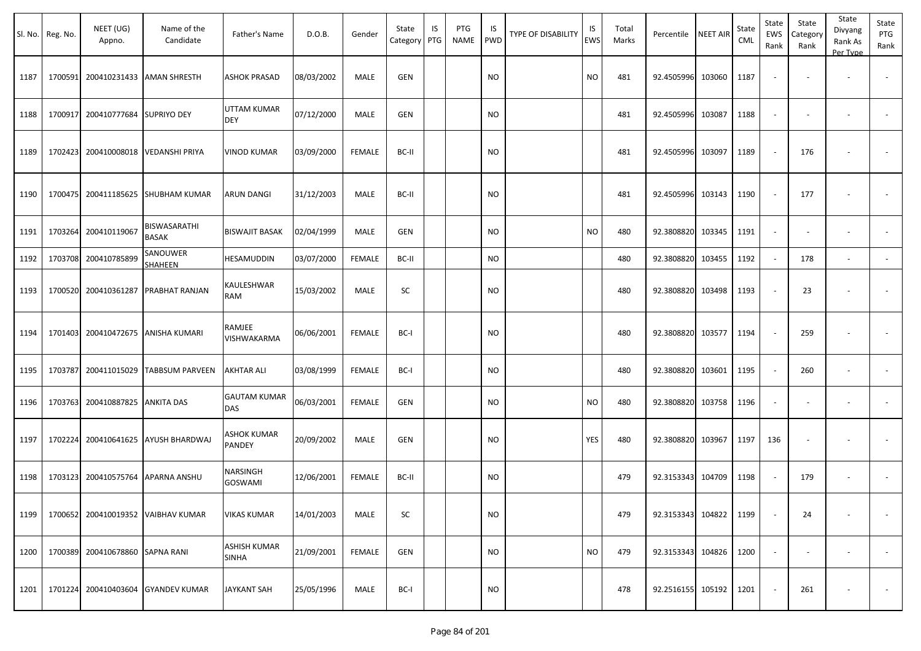| Sl. No. | Reg. No. | NEET (UG)<br>Appno.               | Name of the<br>Candidate           | Father's Name                | D.O.B.     | Gender        | State<br>Category | IS<br>PTG | PTG<br><b>NAME</b> | IS<br><b>PWD</b> | <b>TYPE OF DISABILITY</b> | IS<br><b>EWS</b> | Total<br>Marks | Percentile NEET AIR |        | State<br>CML | State<br>EWS<br>Rank     | State<br>Category<br>Rank | State<br>Divyang<br>Rank As<br>Per Type | State<br>PTG<br>Rank |
|---------|----------|-----------------------------------|------------------------------------|------------------------------|------------|---------------|-------------------|-----------|--------------------|------------------|---------------------------|------------------|----------------|---------------------|--------|--------------|--------------------------|---------------------------|-----------------------------------------|----------------------|
| 1187    | 1700591  |                                   | 200410231433 AMAN SHRESTH          | <b>ASHOK PRASAD</b>          | 08/03/2002 | MALE          | <b>GEN</b>        |           |                    | <b>NO</b>        |                           | <b>NO</b>        | 481            | 92.4505996          | 103060 | 1187         |                          |                           |                                         |                      |
| 1188    | 1700917  | 200410777684 SUPRIYO DEY          |                                    | UTTAM KUMAR<br><b>DEY</b>    | 07/12/2000 | MALE          | <b>GEN</b>        |           |                    | <b>NO</b>        |                           |                  | 481            | 92.4505996          | 103087 | 1188         | $\sim$                   |                           | $\overline{\phantom{a}}$                |                      |
| 1189    | 1702423  | 200410008018                      | VEDANSHI PRIYA                     | <b>VINOD KUMAR</b>           | 03/09/2000 | FEMALE        | BC-II             |           |                    | <b>NO</b>        |                           |                  | 481            | 92.4505996          | 103097 | 1189         |                          | 176                       |                                         |                      |
| 1190    |          |                                   | 1700475 200411185625 SHUBHAM KUMAR | <b>ARUN DANGI</b>            | 31/12/2003 | MALE          | BC-II             |           |                    | <b>NO</b>        |                           |                  | 481            | 92.4505996          | 103143 | 1190         |                          | 177                       |                                         |                      |
| 1191    | 1703264  | 200410119067                      | BISWASARATHI<br>BASAK              | <b>BISWAJIT BASAK</b>        | 02/04/1999 | MALE          | <b>GEN</b>        |           |                    | <b>NO</b>        |                           | <b>NO</b>        | 480            | 92.3808820          | 103345 | 1191         | $\sim$                   |                           |                                         |                      |
| 1192    |          | 1703708 200410785899              | SANOUWER<br>SHAHEEN                | HESAMUDDIN                   | 03/07/2000 | <b>FEMALE</b> | BC-II             |           |                    | <b>NO</b>        |                           |                  | 480            | 92.3808820          | 103455 | 1192         | $\sim$                   | 178                       | $\overline{\phantom{a}}$                | $\blacksquare$       |
| 1193    | 1700520  | 200410361287                      | PRABHAT RANJAN                     | KAULESHWAR<br>RAM            | 15/03/2002 | MALE          | SC                |           |                    | <b>NO</b>        |                           |                  | 480            | 92.3808820          | 103498 | 1193         |                          | 23                        |                                         |                      |
| 1194    | 1701403  |                                   | 200410472675 ANISHA KUMARI         | RAMJEE<br>VISHWAKARMA        | 06/06/2001 | <b>FEMALE</b> | BC-I              |           |                    | <b>NO</b>        |                           |                  | 480            | 92.3808820          | 103577 | 1194         | $\overline{\phantom{a}}$ | 259                       |                                         |                      |
| 1195    | 1703787  | 200411015029                      | <b>TABBSUM PARVEEN</b>             | <b>AKHTAR ALI</b>            | 03/08/1999 | <b>FEMALE</b> | BC-I              |           |                    | <b>NO</b>        |                           |                  | 480            | 92.3808820          | 103601 | 1195         |                          | 260                       | $\overline{\phantom{a}}$                |                      |
| 1196    | 1703763  | 200410887825                      | <b>ANKITA DAS</b>                  | <b>GAUTAM KUMAR</b><br>DAS   | 06/03/2001 | <b>FEMALE</b> | <b>GEN</b>        |           |                    | <b>NO</b>        |                           | <b>NO</b>        | 480            | 92.3808820          | 103758 | 1196         | $\sim$                   |                           | $\overline{\phantom{a}}$                |                      |
| 1197    | 1702224  |                                   | 200410641625 AYUSH BHARDWAJ        | <b>ASHOK KUMAR</b><br>PANDEY | 20/09/2002 | MALE          | GEN               |           |                    | <b>NO</b>        |                           | YES              | 480            | 92.3808820          | 103967 | 1197         | 136                      |                           |                                         |                      |
| 1198    |          | 1703123 200410575764 APARNA ANSHU |                                    | NARSINGH<br><b>GOSWAMI</b>   | 12/06/2001 | <b>FEMALE</b> | BC-II             |           |                    | <b>NO</b>        |                           |                  | 479            | 92.3153343 104709   |        | 1198         |                          | 179                       | $\sim$                                  |                      |
| 1199    |          |                                   | 1700652 200410019352 VAIBHAV KUMAR | <b>VIKAS KUMAR</b>           | 14/01/2003 | MALE          | SC                |           |                    | <b>NO</b>        |                           |                  | 479            | 92.3153343 104822   |        | 1199         |                          | 24                        |                                         |                      |
| 1200    |          | 1700389 200410678860 SAPNA RANI   |                                    | ASHISH KUMAR<br><b>SINHA</b> | 21/09/2001 | <b>FEMALE</b> | GEN               |           |                    | <b>NO</b>        |                           | <b>NO</b>        | 479            | 92.3153343 104826   |        | 1200         |                          |                           | $\overline{\phantom{a}}$                | $\sim$               |
| 1201    |          |                                   | 1701224 200410403604 GYANDEV KUMAR | <b>JAYKANT SAH</b>           | 25/05/1996 | MALE          | BC-I              |           |                    | <b>NO</b>        |                           |                  | 478            | 92.2516155 105192   |        | 1201         |                          | 261                       |                                         | $\sim$               |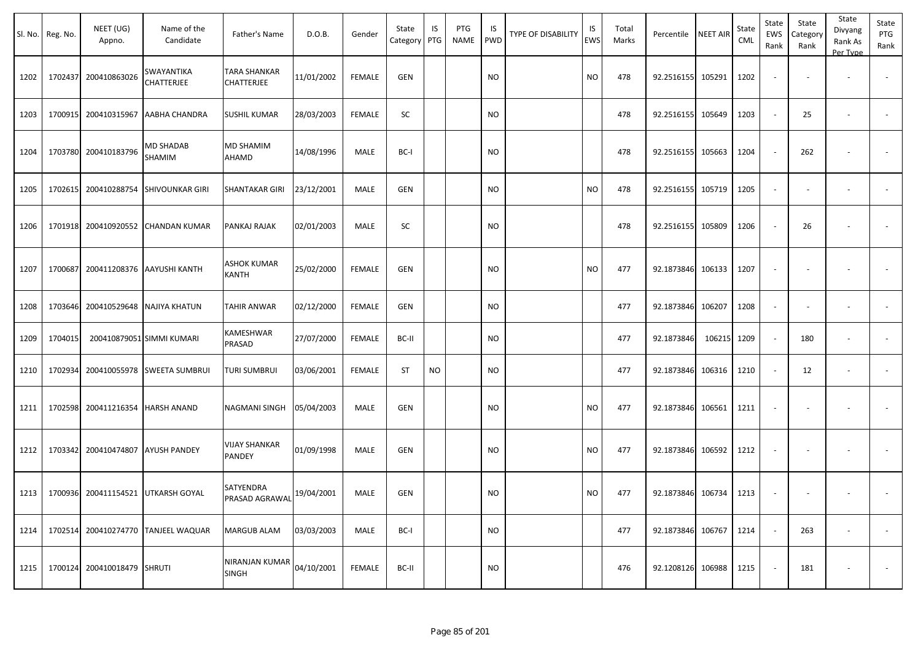|      | Sl. No. Reg. No. | NEET (UG)<br>Appno.         | Name of the<br>Candidate                  | Father's Name                     | D.O.B.     | Gender        | State<br>Category | IS<br>PTG | PTG<br>NAME | IS.<br>PWD | TYPE OF DISABILITY | IS<br><b>EWS</b> | Total<br>Marks | Percentile        | <b>NEET AIR</b> | State<br><b>CML</b> | State<br>EWS<br>Rank     | State<br>Category<br>Rank | State<br>Divyang<br>Rank As<br>Per Type | State<br>PTG<br>Rank |
|------|------------------|-----------------------------|-------------------------------------------|-----------------------------------|------------|---------------|-------------------|-----------|-------------|------------|--------------------|------------------|----------------|-------------------|-----------------|---------------------|--------------------------|---------------------------|-----------------------------------------|----------------------|
| 1202 | 1702437          | 200410863026                | SWAYANTIKA<br>CHATTERJEE                  | <b>TARA SHANKAR</b><br>CHATTERJEE | 11/01/2002 | <b>FEMALE</b> | <b>GEN</b>        |           |             | <b>NO</b>  |                    | <b>NO</b>        | 478            | 92.2516155        | 105291          | 1202                | $\overline{\phantom{a}}$ |                           |                                         |                      |
| 1203 |                  | 1700915 200410315967        | AABHA CHANDRA                             | <b>SUSHIL KUMAR</b>               | 28/03/2003 | <b>FEMALE</b> | SC                |           |             | <b>NO</b>  |                    |                  | 478            | 92.2516155        | 105649          | 1203                | $\sim$                   | 25                        | $\overline{\phantom{a}}$                | $\blacksquare$       |
| 1204 |                  | 1703780 200410183796        | MD SHADAB<br>SHAMIM                       | MD SHAMIM<br>AHAMD                | 14/08/1996 | MALE          | BC-I              |           |             | <b>NO</b>  |                    |                  | 478            | 92.2516155        | 105663          | 1204                | $\overline{\phantom{a}}$ | 262                       |                                         |                      |
| 1205 |                  |                             | 1702615 200410288754 SHIVOUNKAR GIRI      | <b>SHANTAKAR GIRI</b>             | 23/12/2001 | MALE          | <b>GEN</b>        |           |             | NO         |                    | <b>NO</b>        | 478            | 92.2516155        | 105719          | 1205                | $\overline{\phantom{a}}$ | $\overline{\phantom{a}}$  | $\overline{\phantom{a}}$                |                      |
| 1206 |                  | 1701918 200410920552        | <b>CHANDAN KUMAR</b>                      | PANKAJ RAJAK                      | 02/01/2003 | MALE          | SC                |           |             | NO         |                    |                  | 478            | 92.2516155        | 105809          | 1206                | $\sim$                   | 26                        | $\overline{\phantom{a}}$                |                      |
| 1207 |                  |                             | 1700687 200411208376 AAYUSHI KANTH        | ASHOK KUMAR<br>KANTH              | 25/02/2000 | FEMALE        | <b>GEN</b>        |           |             | NO         |                    | NO.              | 477            | 92.1873846        | 106133          | 1207                | $\blacksquare$           |                           |                                         |                      |
| 1208 |                  |                             | 1703646 200410529648 NAJIYA KHATUN        | <b>TAHIR ANWAR</b>                | 02/12/2000 | <b>FEMALE</b> | <b>GEN</b>        |           |             | <b>NO</b>  |                    |                  | 477            | 92.1873846        | 106207          | 1208                | $\sim$                   | $\overline{\phantom{a}}$  | $\overline{\phantom{a}}$                |                      |
| 1209 | 1704015          |                             | 200410879051 SIMMI KUMARI                 | KAMESHWAR<br>PRASAD               | 27/07/2000 | <b>FEMALE</b> | BC-II             |           |             | NO         |                    |                  | 477            | 92.1873846        | 106215 1209     |                     | $\sim$                   | 180                       | $\overline{\phantom{a}}$                | $\blacksquare$       |
| 1210 |                  |                             | 1702934 200410055978 SWEETA SUMBRUI       | <b>TURI SUMBRUI</b>               | 03/06/2001 | <b>FEMALE</b> | <b>ST</b>         | <b>NO</b> |             | <b>NO</b>  |                    |                  | 477            | 92.1873846        | 106316          | 1210                | $\sim$                   | 12                        | $\overline{\phantom{a}}$                |                      |
| 1211 |                  | 1702598 200411216354        | <b>HARSH ANAND</b>                        | NAGMANI SINGH                     | 05/04/2003 | MALE          | <b>GEN</b>        |           |             | NO.        |                    | NO               | 477            | 92.1873846        | 106561          | 1211                | $\overline{\phantom{a}}$ |                           |                                         |                      |
| 1212 |                  | 1703342 200410474807        | <b>AYUSH PANDEY</b>                       | <b>VIJAY SHANKAR</b><br>PANDEY    | 01/09/1998 | MALE          | <b>GEN</b>        |           |             | NO         |                    | NO               | 477            | 92.1873846        | 106592          | 1212                | $\overline{\phantom{a}}$ |                           | $\overline{\phantom{a}}$                |                      |
|      |                  |                             | 1213   1700936 200411154521 UTKARSH GOYAL | SATYENDRA<br>PRASAD AGRAWAL       | 19/04/2001 | MALE          | <b>GEN</b>        |           |             | <b>NO</b>  |                    | NO               | 477            | 92.1873846 106734 |                 | 1213                | $\sim$                   |                           |                                         |                      |
| 1214 |                  |                             | 1702514 200410274770 TANJEEL WAQUAR       | <b>MARGUB ALAM</b>                | 03/03/2003 | MALE          | BC-I              |           |             | <b>NO</b>  |                    |                  | 477            | 92.1873846 106767 |                 | 1214                | $\sim$                   | 263                       | $\sim$                                  | $\sim$               |
| 1215 |                  | 1700124 200410018479 SHRUTI |                                           | NIRANJAN KUMAR<br><b>SINGH</b>    | 04/10/2001 | FEMALE        | BC-II             |           |             | <b>NO</b>  |                    |                  | 476            | 92.1208126        | 106988          | 1215                | $\sim$                   | 181                       | $\overline{\phantom{a}}$                | $\sim$               |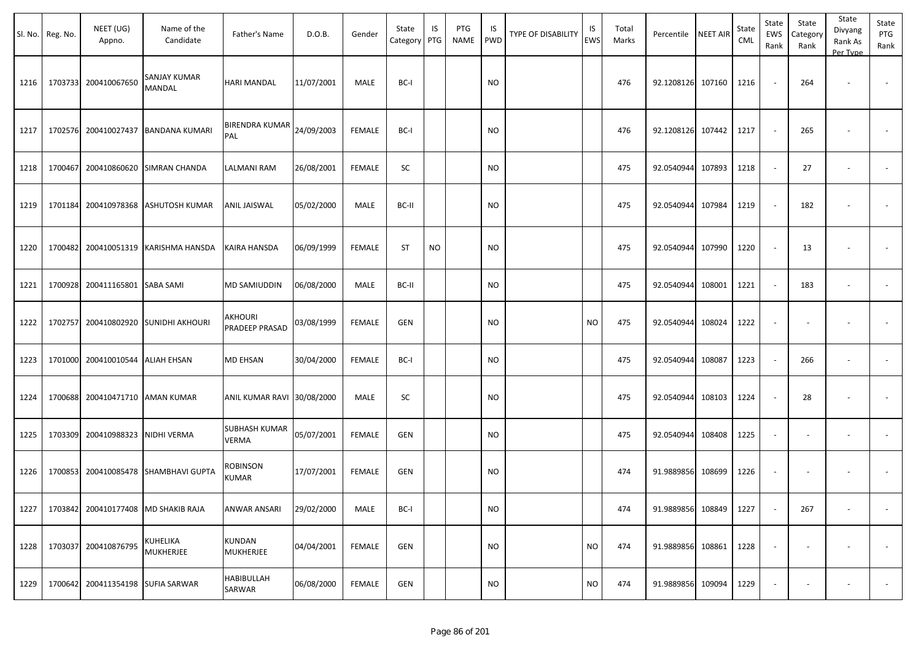|      | Sl. No. Reg. No. | NEET (UG)<br>Appno.               | Name of the<br>Candidate             | Father's Name                 | D.O.B.     | Gender        | State<br>Category PTG | IS        | PTG<br>NAME | IS<br>PWD | <b>TYPE OF DISABILITY</b> | IS<br>EWS | Total<br>Marks | Percentile        | <b>NEET AIR</b> | State<br><b>CML</b> | State<br>EWS<br>Rank     | State<br>Category<br>Rank | State<br>Divyang<br>Rank As<br>Per Type | State<br>PTG<br>Rank     |
|------|------------------|-----------------------------------|--------------------------------------|-------------------------------|------------|---------------|-----------------------|-----------|-------------|-----------|---------------------------|-----------|----------------|-------------------|-----------------|---------------------|--------------------------|---------------------------|-----------------------------------------|--------------------------|
| 1216 |                  | 1703733 200410067650              | <b>SANJAY KUMAR</b><br>MANDAL        | <b>HARI MANDAL</b>            | 11/07/2001 | MALE          | BC-I                  |           |             | <b>NO</b> |                           |           | 476            | 92.1208126 107160 |                 | 1216                | $\sim$                   | 264                       |                                         |                          |
| 1217 |                  |                                   | 1702576 200410027437 BANDANA KUMARI  | BIRENDRA KUMAR<br>PAL         | 24/09/2003 | <b>FEMALE</b> | BC-I                  |           |             | <b>NO</b> |                           |           | 476            | 92.1208126        | 107442          | 1217                | $\sim$                   | 265                       |                                         |                          |
| 1218 | 1700467          |                                   | 200410860620 SIMRAN CHANDA           | <b>LALMANI RAM</b>            | 26/08/2001 | <b>FEMALE</b> | SC                    |           |             | <b>NO</b> |                           |           | 475            | 92.0540944        | 107893          | 1218                | $\sim$                   | 27                        | $\sim$                                  | $\sim$                   |
| 1219 | 1701184          | 200410978368                      | <b>ASHUTOSH KUMAR</b>                | ANIL JAISWAL                  | 05/02/2000 | MALE          | BC-II                 |           |             | <b>NO</b> |                           |           | 475            | 92.0540944        | 107984          | 1219                | $\sim$                   | 182                       |                                         |                          |
| 1220 |                  |                                   | 1700482 200410051319 KARISHMA HANSDA | KAIRA HANSDA                  | 06/09/1999 | <b>FEMALE</b> | <b>ST</b>             | <b>NO</b> |             | <b>NO</b> |                           |           | 475            | 92.0540944        | 107990          | 1220                | $\sim$                   | 13                        | $\overline{\phantom{a}}$                |                          |
| 1221 | 1700928          | 200411165801 SABA SAMI            |                                      | <b>MD SAMIUDDIN</b>           | 06/08/2000 | MALE          | BC-II                 |           |             | <b>NO</b> |                           |           | 475            | 92.0540944        | 108001          | 1221                | $\sim$                   | 183                       | $\overline{\phantom{a}}$                | $\overline{\phantom{a}}$ |
| 1222 | 1702757          |                                   | 200410802920 SUNIDHI AKHOURI         | AKHOURI<br>PRADEEP PRASAD     | 03/08/1999 | <b>FEMALE</b> | GEN                   |           |             | <b>NO</b> |                           | <b>NO</b> | 475            | 92.0540944        | 108024          | 1222                | $\blacksquare$           |                           |                                         |                          |
| 1223 |                  | 1701000 200410010544 ALIAH EHSAN  |                                      | <b>MD EHSAN</b>               | 30/04/2000 | <b>FEMALE</b> | BC-I                  |           |             | <b>NO</b> |                           |           | 475            | 92.0540944        | 108087          | 1223                | $\sim$                   | 266                       | $\overline{\phantom{a}}$                | $\overline{\phantom{a}}$ |
| 1224 |                  | 1700688 200410471710 AMAN KUMAR   |                                      | ANIL KUMAR RAVI 30/08/2000    |            | MALE          | SC                    |           |             | <b>NO</b> |                           |           | 475            | 92.0540944        | 108103          | 1224                | $\sim$                   | 28                        | $\overline{\phantom{a}}$                |                          |
| 1225 |                  | 1703309 200410988323 NIDHI VERMA  |                                      | SUBHASH KUMAR<br><b>VERMA</b> | 05/07/2001 | FEMALE        | GEN                   |           |             | <b>NO</b> |                           |           | 475            | 92.0540944        | 108408          | 1225                | $\sim$                   | $\overline{\phantom{a}}$  |                                         |                          |
| 1226 |                  |                                   | 1700853 200410085478 SHAMBHAVI GUPTA | ROBINSON<br><b>KUMAR</b>      | 17/07/2001 | <b>FEMALE</b> | <b>GEN</b>            |           |             | <b>NO</b> |                           |           | 474            | 91.9889856        | 108699          | 1226                | $\sim$                   |                           |                                         |                          |
| 1227 |                  |                                   | 1703842 200410177408 MD SHAKIB RAJA  | ANWAR ANSARI                  | 29/02/2000 | MALE          | BC-I                  |           |             | <b>NO</b> |                           |           | 474            | 91.9889856 108849 |                 | 1227                | $\sim$                   | 267                       |                                         |                          |
| 1228 |                  | 1703037 200410876795              | KUHELIKA<br><b>MUKHERJEE</b>         | KUNDAN<br><b>MUKHERJEE</b>    | 04/04/2001 | <b>FEMALE</b> | GEN                   |           |             | <b>NO</b> |                           | <b>NO</b> | 474            | 91.9889856 108861 |                 | 1228                | $\overline{\phantom{a}}$ | $\overline{\phantom{a}}$  |                                         | $\sim$                   |
| 1229 |                  | 1700642 200411354198 SUFIA SARWAR |                                      | <b>HABIBULLAH</b><br>SARWAR   | 06/08/2000 | FEMALE        | GEN                   |           |             | <b>NO</b> |                           | <b>NO</b> | 474            | 91.9889856 109094 |                 | 1229                | $\overline{\phantom{a}}$ | ٠                         | $\sim$                                  | $\sim$                   |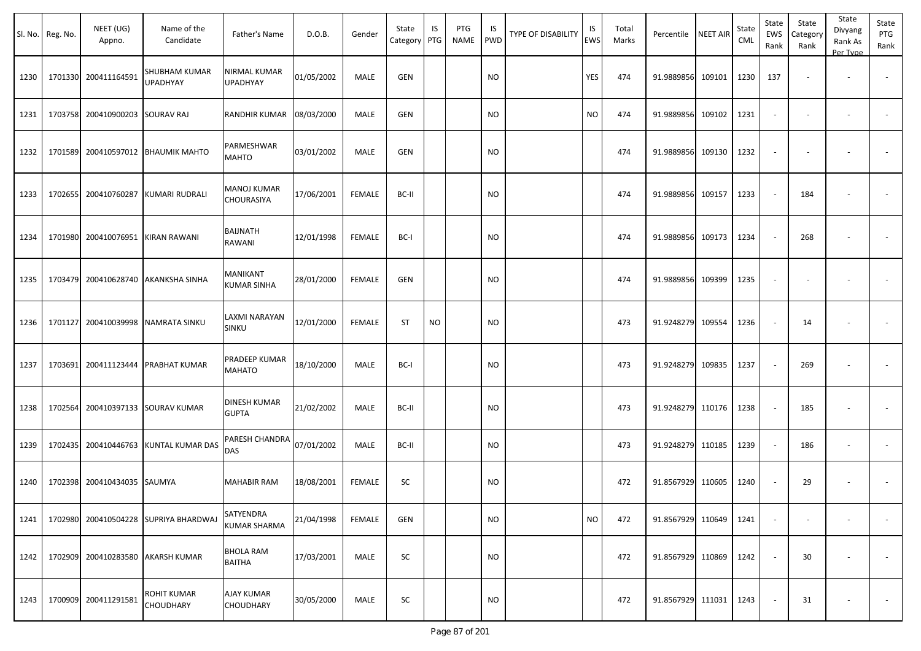|      | Sl. No. Reg. No. | NEET (UG)<br>Appno.             | Name of the<br>Candidate                | Father's Name                                      | D.O.B.     | Gender        | State<br>Category PTG | IS        | PTG<br><b>NAME</b> | IS<br><b>PWD</b> | <b>TYPE OF DISABILITY</b> | IS<br>EWS | Total<br>Marks | Percentile NEET AIR |        | State<br>CML | State<br><b>EWS</b><br>Rank | State<br>Category<br>Rank | State<br>Divyang<br>Rank As<br>Per Type | State<br>PTG<br>Rank |
|------|------------------|---------------------------------|-----------------------------------------|----------------------------------------------------|------------|---------------|-----------------------|-----------|--------------------|------------------|---------------------------|-----------|----------------|---------------------|--------|--------------|-----------------------------|---------------------------|-----------------------------------------|----------------------|
| 1230 |                  | 1701330 200411164591            | <b>SHUBHAM KUMAR</b><br><b>UPADHYAY</b> | NIRMAL KUMAR<br><b>UPADHYAY</b>                    | 01/05/2002 | MALE          | GEN                   |           |                    | <b>NO</b>        |                           | YES       | 474            | 91.9889856 109101   |        | 1230         | 137                         |                           |                                         |                      |
| 1231 |                  | 1703758 200410900203 SOURAV RAJ |                                         | RANDHIR KUMAR                                      | 08/03/2000 | MALE          | GEN                   |           |                    | <b>NO</b>        |                           | <b>NO</b> | 474            | 91.9889856          | 109102 | 1231         | $\sim$                      |                           | $\overline{\phantom{a}}$                |                      |
| 1232 | 1701589          |                                 | 200410597012 BHAUMIK MAHTO              | PARMESHWAR<br><b>MAHTO</b>                         | 03/01/2002 | MALE          | GEN                   |           |                    | <b>NO</b>        |                           |           | 474            | 91.9889856          | 109130 | 1232         |                             |                           |                                         |                      |
| 1233 | 1702655          |                                 | 200410760287 KUMARI RUDRALI             | <b>MANOJ KUMAR</b><br>CHOURASIYA                   | 17/06/2001 | <b>FEMALE</b> | BC-II                 |           |                    | <b>NO</b>        |                           |           | 474            | 91.9889856 109157   |        | 1233         |                             | 184                       |                                         |                      |
| 1234 | 1701980          |                                 | 200410076951 KIRAN RAWANI               | BAIJNATH<br>RAWANI                                 | 12/01/1998 | <b>FEMALE</b> | BC-I                  |           |                    | <b>NO</b>        |                           |           | 474            | 91.9889856          | 109173 | 1234         |                             | 268                       |                                         |                      |
| 1235 | 1703479          |                                 | 200410628740 AKANKSHA SINHA             | MANIKANT<br><b>KUMAR SINHA</b>                     | 28/01/2000 | FEMALE        | <b>GEN</b>            |           |                    | <b>NO</b>        |                           |           | 474            | 91.9889856          | 109399 | 1235         |                             |                           |                                         |                      |
| 1236 | 1701127          |                                 | 200410039998 NAMRATA SINKU              | LAXMI NARAYAN<br>SINKU                             | 12/01/2000 | <b>FEMALE</b> | <b>ST</b>             | <b>NO</b> |                    | <b>NO</b>        |                           |           | 473            | 91.9248279          | 109554 | 1236         |                             | 14                        |                                         |                      |
| 1237 | 1703691          |                                 | 200411123444 PRABHAT KUMAR              | PRADEEP KUMAR<br><b>MAHATO</b>                     | 18/10/2000 | MALE          | BC-I                  |           |                    | <b>NO</b>        |                           |           | 473            | 91.9248279 109835   |        | 1237         |                             | 269                       |                                         |                      |
| 1238 | 1702564          |                                 | 200410397133 SOURAV KUMAR               | DINESH KUMAR<br><b>GUPTA</b>                       | 21/02/2002 | MALE          | BC-II                 |           |                    | <b>NO</b>        |                           |           | 473            | 91.9248279 110176   |        | 1238         |                             | 185                       |                                         |                      |
| 1239 | 1702435          |                                 | 200410446763 KUNTAL KUMAR DAS           | $\vert$ PARESH CHANDRA $\vert_{07/01/2002}$<br>DAS |            | MALE          | BC-II                 |           |                    | <b>NO</b>        |                           |           | 473            | 91.9248279 110185   |        | 1239         |                             | 186                       | $\overline{\phantom{a}}$                |                      |
| 1240 |                  | 1702398 200410434035 SAUMYA     |                                         | <b>MAHABIR RAM</b>                                 | 18/08/2001 | <b>FEMALE</b> | SC                    |           |                    | <b>NO</b>        |                           |           | 472            | 91.8567929 110605   |        | 1240         |                             | 29                        |                                         |                      |
| 1241 |                  |                                 | 1702980 200410504228 SUPRIYA BHARDWAJ   | SATYENDRA<br><b>KUMAR SHARMA</b>                   | 21/04/1998 | <b>FEMALE</b> | GEN                   |           |                    | <b>NO</b>        |                           | <b>NO</b> | 472            | 91.8567929 110649   |        | 1241         | $\sim$                      | $\overline{\phantom{a}}$  |                                         | $\sim$               |
| 1242 |                  |                                 | 1702909 200410283580 AKARSH KUMAR       | <b>BHOLA RAM</b><br><b>BAITHA</b>                  | 17/03/2001 | MALE          | SC                    |           |                    | <b>NO</b>        |                           |           | 472            | 91.8567929 110869   |        | 1242         |                             | 30                        | $\overline{\phantom{a}}$                | $\sim$               |
| 1243 |                  | 1700909 200411291581            | ROHIT KUMAR<br><b>CHOUDHARY</b>         | <b>AJAY KUMAR</b><br>CHOUDHARY                     | 30/05/2000 | MALE          | SC                    |           |                    | <b>NO</b>        |                           |           | 472            | 91.8567929 111031   |        | 1243         |                             | 31                        | $\overline{\phantom{a}}$                | $\sim$               |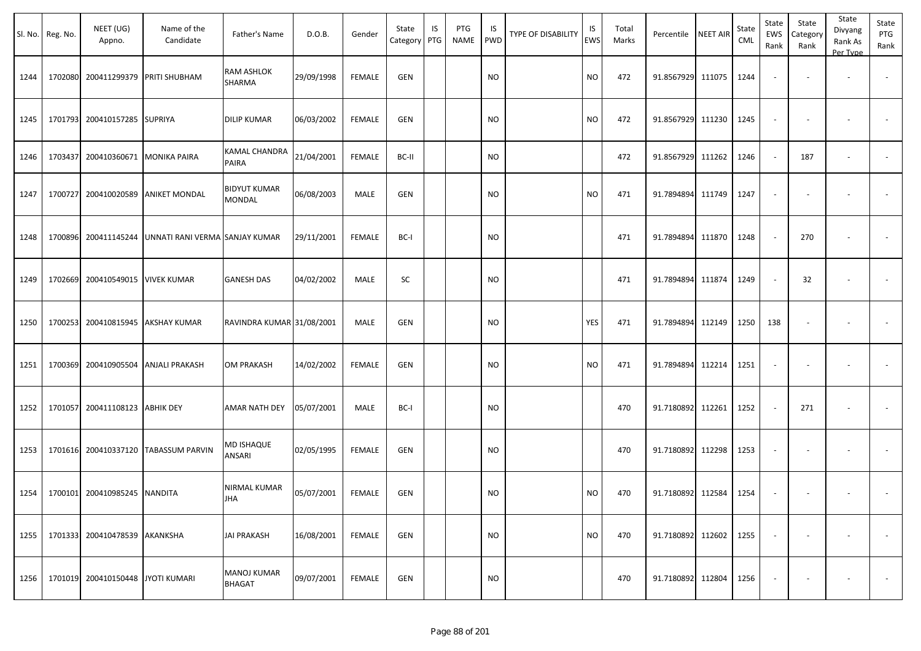|      | Sl. No. Reg. No. | NEET (UG)<br>Appno.                 | Name of the<br>Candidate             | Father's Name                       | D.O.B.     | Gender        | State<br>Category | IS<br>PTG | PTG<br>NAME | IS.<br>PWD | TYPE OF DISABILITY | IS<br>EWS | Total<br>Marks | Percentile        | <b>NEET AIR</b> | State<br><b>CML</b> | State<br>EWS<br>Rank     | State<br>Category<br>Rank | State<br>Divyang<br>Rank As<br>Per Type | State<br>PTG<br>Rank |
|------|------------------|-------------------------------------|--------------------------------------|-------------------------------------|------------|---------------|-------------------|-----------|-------------|------------|--------------------|-----------|----------------|-------------------|-----------------|---------------------|--------------------------|---------------------------|-----------------------------------------|----------------------|
| 1244 |                  | 1702080 200411299379                | <b>PRITI SHUBHAM</b>                 | RAM ASHLOK<br>SHARMA                | 29/09/1998 | <b>FEMALE</b> | <b>GEN</b>        |           |             | <b>NO</b>  |                    | <b>NO</b> | 472            | 91.8567929        | 111075          | 1244                | $\blacksquare$           |                           | $\overline{\phantom{a}}$                |                      |
| 1245 |                  | 1701793 200410157285 SUPRIYA        |                                      | <b>DILIP KUMAR</b>                  | 06/03/2002 | FEMALE        | <b>GEN</b>        |           |             | <b>NO</b>  |                    | NO.       | 472            | 91.8567929        | 111230          | 1245                | $\overline{\phantom{a}}$ |                           |                                         |                      |
| 1246 |                  | 1703437 200410360671 MONIKA PAIRA   |                                      | KAMAL CHANDRA<br>PAIRA              | 21/04/2001 | FEMALE        | BC-II             |           |             | <b>NO</b>  |                    |           | 472            | 91.8567929 111262 |                 | 1246                | $\sim$                   | 187                       | $\overline{\phantom{a}}$                |                      |
| 1247 | 1700727          | 200410020589                        | <b>ANIKET MONDAL</b>                 | <b>BIDYUT KUMAR</b><br>MONDAL       | 06/08/2003 | MALE          | <b>GEN</b>        |           |             | <b>NO</b>  |                    | <b>NO</b> | 471            | 91.7894894        | 111749          | 1247                | $\overline{\phantom{a}}$ |                           |                                         |                      |
| 1248 |                  | 1700896 200411145244                | UNNATI RANI VERMA SANJAY KUMAR       |                                     | 29/11/2001 | <b>FEMALE</b> | BC-I              |           |             | <b>NO</b>  |                    |           | 471            | 91.7894894        | 111870          | 1248                | $\sim$                   | 270                       |                                         |                      |
| 1249 |                  | 1702669 200410549015 VIVEK KUMAR    |                                      | <b>GANESH DAS</b>                   | 04/02/2002 | MALE          | SC                |           |             | <b>NO</b>  |                    |           | 471            | 91.7894894        | 111874          | 1249                | $\overline{\phantom{a}}$ | 32                        | $\overline{\phantom{a}}$                | $\blacksquare$       |
| 1250 |                  | 1700253 200410815945                | <b>AKSHAY KUMAR</b>                  | RAVINDRA KUMAR 31/08/2001           |            | MALE          | <b>GEN</b>        |           |             | <b>NO</b>  |                    | YES       | 471            | 91.7894894        | 112149          | 1250                | 138                      |                           |                                         |                      |
| 1251 |                  | 1700369 200410905504                | <b>ANJALI PRAKASH</b>                | <b>OM PRAKASH</b>                   | 14/02/2002 | <b>FEMALE</b> | <b>GEN</b>        |           |             | <b>NO</b>  |                    | <b>NO</b> | 471            | 91.7894894        | 112214          | 1251                | $\overline{\phantom{a}}$ |                           |                                         |                      |
| 1252 |                  | 1701057 200411108123                | <b>ABHIK DEY</b>                     | AMAR NATH DEY                       | 05/07/2001 | MALE          | BC-I              |           |             | <b>NO</b>  |                    |           | 470            | 91.7180892        | 112261          | 1252                | $\sim$                   | 271                       |                                         |                      |
| 1253 |                  |                                     | 1701616 200410337120 TABASSUM PARVIN | MD ISHAQUE<br>ANSARI                | 02/05/1995 | <b>FEMALE</b> | <b>GEN</b>        |           |             | <b>NO</b>  |                    |           | 470            | 91.7180892 112298 |                 | 1253                | $\overline{\phantom{a}}$ |                           | $\overline{\phantom{a}}$                |                      |
|      |                  | 1254   1700101 200410985245 NANDITA |                                      | NIRMAL KUMAR<br><b>JHA</b>          | 05/07/2001 | FEMALE        | <b>GEN</b>        |           |             | <b>NO</b>  |                    | <b>NO</b> | 470            | 91.7180892 112584 |                 | 1254                | $\sim$                   | $\overline{\phantom{a}}$  |                                         |                      |
| 1255 |                  | 1701333 200410478539 AKANKSHA       |                                      | <b>JAI PRAKASH</b>                  | 16/08/2001 | FEMALE        | GEN               |           |             | <b>NO</b>  |                    | <b>NO</b> | 470            | 91.7180892 112602 |                 | 1255                | $\overline{\phantom{a}}$ | $\overline{\phantom{a}}$  |                                         | $\sim$               |
| 1256 |                  | 1701019 200410150448                | <b>JYOTI KUMARI</b>                  | <b>MANOJ KUMAR</b><br><b>BHAGAT</b> | 09/07/2001 | FEMALE        | GEN               |           |             | <b>NO</b>  |                    |           | 470            | 91.7180892 112804 |                 | 1256                | $\sim$                   |                           |                                         | $\sim$               |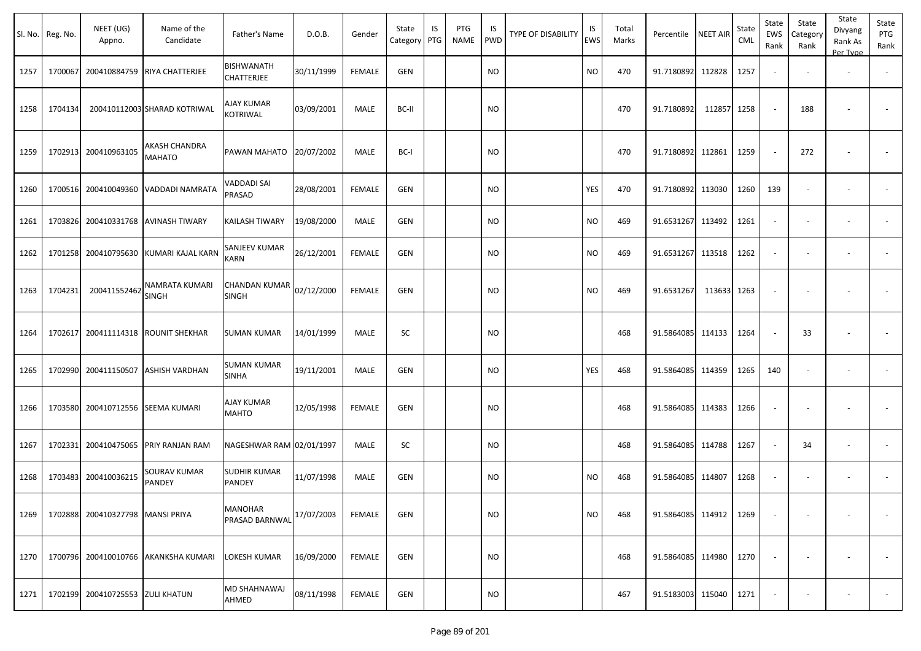|      | Sl. No. Reg. No. | NEET (UG)<br>Appno.      | Name of the<br>Candidate       | Father's Name                    | D.O.B.     | Gender        | State<br>Category | IS<br>PTG | PTG<br><b>NAME</b> | IS<br><b>PWD</b> | <b>TYPE OF DISABILITY</b> | IS<br>EWS | Total<br>Marks | Percentile             | <b>NEET AIR</b> | State<br>CML | State<br>EWS<br>Rank     | State<br>Category<br>Rank | State<br>Divyang<br>Rank As<br>Per Type | State<br>PTG<br>Rank |
|------|------------------|--------------------------|--------------------------------|----------------------------------|------------|---------------|-------------------|-----------|--------------------|------------------|---------------------------|-----------|----------------|------------------------|-----------------|--------------|--------------------------|---------------------------|-----------------------------------------|----------------------|
| 1257 | 1700067          | 200410884759             | <b>RIYA CHATTERJEE</b>         | BISHWANATH<br>CHATTERJEE         | 30/11/1999 | <b>FEMALE</b> | <b>GEN</b>        |           |                    | <b>NO</b>        |                           | <b>NO</b> | 470            | 91.7180892 112828      |                 | 1257         |                          |                           |                                         |                      |
| 1258 | 1704134          |                          | 200410112003 SHARAD KOTRIWAL   | AJAY KUMAR<br>KOTRIWAL           | 03/09/2001 | MALE          | BC-II             |           |                    | <b>NO</b>        |                           |           | 470            | 91.7180892             | 112857          | 1258         |                          | 188                       |                                         |                      |
| 1259 | 1702913          | 200410963105             | AKASH CHANDRA<br><b>MAHATO</b> | PAWAN MAHATO                     | 20/07/2002 | <b>MALE</b>   | BC-I              |           |                    | <b>NO</b>        |                           |           | 470            | 91.7180892 112861      |                 | 1259         |                          | 272                       |                                         |                      |
| 1260 | 1700516          | 200410049360             | VADDADI NAMRATA                | VADDADI SAI<br>PRASAD            | 28/08/2001 | <b>FEMALE</b> | GEN               |           |                    | <b>NO</b>        |                           | YES       | 470            | 91.7180892 113030      |                 | 1260         | 139                      |                           |                                         |                      |
| 1261 | 1703826          |                          | 200410331768 AVINASH TIWARY    | KAILASH TIWARY                   | 19/08/2000 | MALE          | GEN               |           |                    | <b>NO</b>        |                           | <b>NO</b> | 469            | 91.6531267             | 113492          | 1261         | $\sim$                   |                           |                                         |                      |
| 1262 | 1701258          | 200410795630             | KUMARI KAJAL KARN              | SANJEEV KUMAR<br>KARN            | 26/12/2001 | <b>FEMALE</b> | <b>GEN</b>        |           |                    | <b>NO</b>        |                           | <b>NO</b> | 469            | 91.6531267             | 113518          | 1262         |                          |                           | $\overline{\phantom{a}}$                |                      |
| 1263 | 1704231          | 200411552462             | NAMRATA KUMARI<br><b>SINGH</b> | CHANDAN KUMAR<br>SINGH           | 02/12/2000 | <b>FEMALE</b> | <b>GEN</b>        |           |                    | <b>NO</b>        |                           | <b>NO</b> | 469            | 91.6531267             | 113633          | 1263         |                          |                           |                                         |                      |
| 1264 | 1702617          | 200411114318             | <b>ROUNIT SHEKHAR</b>          | <b>SUMAN KUMAR</b>               | 14/01/1999 | MALE          | <b>SC</b>         |           |                    | <b>NO</b>        |                           |           | 468            | 91.5864085 114133      |                 | 1264         | $\overline{\phantom{a}}$ | 33                        |                                         |                      |
| 1265 | 1702990          | 200411150507             | <b>ASHISH VARDHAN</b>          | SUMAN KUMAR<br>SINHA             | 19/11/2001 | MALE          | GEN               |           |                    | <b>NO</b>        |                           | YES       | 468            | 91.5864085 114359      |                 | 1265         | 140                      |                           | $\overline{\phantom{a}}$                |                      |
| 1266 | 1703580          | 200410712556             | <b>SEEMA KUMARI</b>            | <b>AJAY KUMAR</b><br>MAHTO       | 12/05/1998 | <b>FEMALE</b> | <b>GEN</b>        |           |                    | <b>NO</b>        |                           |           | 468            | 91.5864085 114383      |                 | 1266         |                          |                           |                                         |                      |
| 1267 | 1702331          | 200410475065             | <b>PRIY RANJAN RAM</b>         | NAGESHWAR RAM 02/01/1997         |            | <b>MALE</b>   | SC                |           |                    | <b>NO</b>        |                           |           | 468            | 91.5864085 114788      |                 | 1267         |                          | 34                        | $\overline{\phantom{a}}$                |                      |
| 1268 | 1703483          | 200410036215             | SOURAV KUMAR<br><b>PANDEY</b>  | SUDHIR KUMAR<br>PANDEY           | 11/07/1998 | MALE          | GEN               |           |                    | <b>NO</b>        |                           | <b>NO</b> | 468            | 91.5864085 114807      |                 | 1268         | $\sim$                   |                           | $\overline{\phantom{a}}$                |                      |
| 1269 | 1702888          | 200410327798 MANSI PRIYA |                                | <b>MANOHAR</b><br>PRASAD BARNWAL | 17/07/2003 | FEMALE        | GEN               |           |                    | <b>NO</b>        |                           | <b>NO</b> | 468            | 91.5864085 114912 1269 |                 |              | $\sim$                   |                           |                                         |                      |
| 1270 | 1700796          |                          | 200410010766 AKANKSHA KUMARI   | LOKESH KUMAR                     | 16/09/2000 | <b>FEMALE</b> | GEN               |           |                    | <b>NO</b>        |                           |           | 468            | 91.5864085 114980 1270 |                 |              |                          |                           | $\overline{\phantom{a}}$                | $\sim$               |
| 1271 | 1702199          | 200410725553 ZULI KHATUN |                                | MD SHAHNAWAJ<br>AHMED            | 08/11/1998 | FEMALE        | GEN               |           |                    | <b>NO</b>        |                           |           | 467            | 91.5183003 115040      |                 | 1271         |                          |                           |                                         | $\sim 100$           |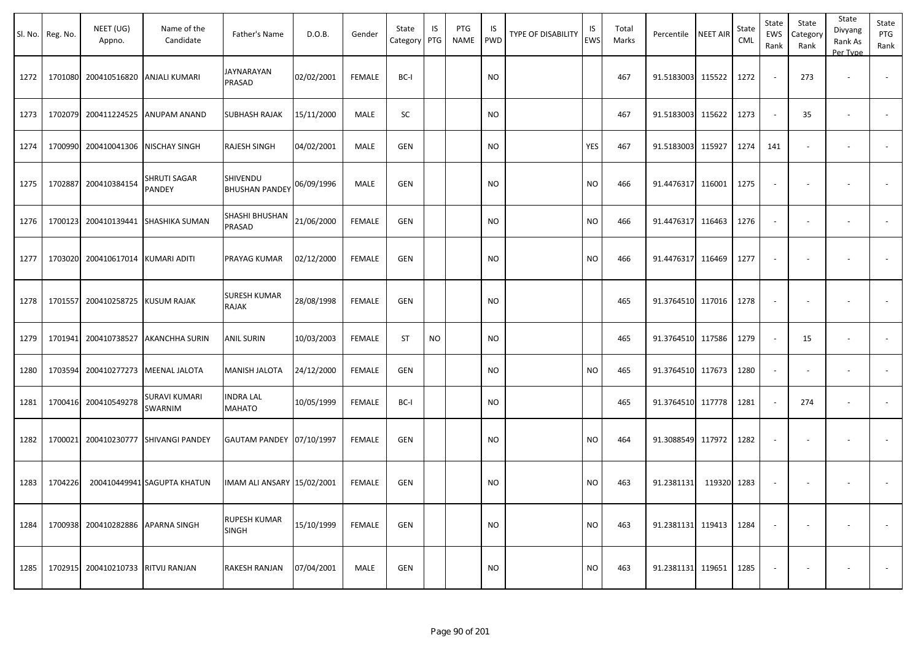|      | Sl. No. Reg. No. | NEET (UG)<br>Appno. | Name of the<br>Candidate    | Father's Name                     | D.O.B.     | Gender        | State<br>Category | IS<br>PTG | PTG<br><b>NAME</b> | IS<br>PWD | <b>TYPE OF DISABILITY</b> | IS<br><b>EWS</b> | Total<br>Marks | Percentile        | <b>NEET AIR</b> | State<br><b>CML</b> | State<br>EWS<br>Rank     | State<br>Category<br>Rank | State<br>Divyang<br>Rank As<br>Per Type | State<br>PTG<br>Rank     |
|------|------------------|---------------------|-----------------------------|-----------------------------------|------------|---------------|-------------------|-----------|--------------------|-----------|---------------------------|------------------|----------------|-------------------|-----------------|---------------------|--------------------------|---------------------------|-----------------------------------------|--------------------------|
| 1272 | 1701080          | 200410516820        | <b>ANJALI KUMARI</b>        | JAYNARAYAN<br>PRASAD              | 02/02/2001 | <b>FEMALE</b> | BC-I              |           |                    | NO.       |                           |                  | 467            | 91.5183003 115522 |                 | 1272                |                          | 273                       | $\overline{\phantom{a}}$                |                          |
| 1273 | 1702079          | 200411224525        | ANUPAM ANAND                | SUBHASH RAJAK                     | 15/11/2000 | MALE          | SC                |           |                    | NO.       |                           |                  | 467            | 91.5183003        | 115622          | 1273                | $\sim$                   | 35                        | $\overline{\phantom{a}}$                |                          |
| 1274 | 1700990          | 200410041306        | NISCHAY SINGH               | RAJESH SINGH                      | 04/02/2001 | MALE          | GEN               |           |                    | NO.       |                           | <b>YES</b>       | 467            | 91.5183003        | 115927          | 1274                | 141                      |                           |                                         |                          |
| 1275 | 1702887          | 200410384154        | SHRUTI SAGAR<br>PANDEY      | SHIVENDU<br><b>BHUSHAN PANDEY</b> | 06/09/1996 | <b>MALE</b>   | GEN               |           |                    | NO.       |                           | <b>NO</b>        | 466            | 91.4476317        | 116001          | 1275                |                          |                           |                                         |                          |
| 1276 | 1700123          | 200410139441        | <b>SHASHIKA SUMAN</b>       | SHASHI BHUSHAN<br>PRASAD          | 21/06/2000 | <b>FEMALE</b> | GEN               |           |                    | <b>NO</b> |                           | <b>NO</b>        | 466            | 91.4476317        | 116463          | 1276                | $\overline{\phantom{a}}$ | $\overline{\phantom{a}}$  | $\overline{\phantom{a}}$                |                          |
| 1277 | 1703020          | 200410617014        | KUMARI ADITI                | PRAYAG KUMAR                      | 02/12/2000 | <b>FEMALE</b> | GEN               |           |                    | NO.       |                           | <b>NO</b>        | 466            | 91.4476317 116469 |                 | 1277                |                          |                           |                                         |                          |
| 1278 | 1701557          | 200410258725        | KUSUM RAJAK                 | <b>SURESH KUMAR</b><br>RAJAK      | 28/08/1998 | <b>FEMALE</b> | GEN               |           |                    | NO.       |                           |                  | 465            | 91.3764510 117016 |                 | 1278                |                          |                           |                                         |                          |
| 1279 | 1701941          | 200410738527        | <b>AKANCHHA SURIN</b>       | <b>ANIL SURIN</b>                 | 10/03/2003 | <b>FEMALE</b> | ST                | <b>NO</b> |                    | <b>NO</b> |                           |                  | 465            | 91.3764510 117586 |                 | 1279                |                          | 15                        | $\blacksquare$                          | $\overline{\phantom{a}}$ |
| 1280 | 1703594          | 200410277273        | <b>MEENAL JALOTA</b>        | MANISH JALOTA                     | 24/12/2000 | <b>FEMALE</b> | GEN               |           |                    | NO.       |                           | <b>NO</b>        | 465            | 91.3764510 117673 |                 | 1280                | $\overline{\phantom{a}}$ | $\overline{\phantom{a}}$  | $\overline{\phantom{a}}$                |                          |
| 1281 | 1700416          | 200410549278        | SURAVI KUMARI<br>SWARNIM    | INDRA LAL<br>MAHATO               | 10/05/1999 | <b>FEMALE</b> | BC-I              |           |                    | NO.       |                           |                  | 465            | 91.3764510 117778 |                 | 1281                |                          | 274                       | $\sim$                                  |                          |
| 1282 | 1700021          | 200410230777        | <b>SHIVANGI PANDEY</b>      | GAUTAM PANDEY 07/10/1997          |            | <b>FEMALE</b> | GEN               |           |                    | NO.       |                           | <b>NO</b>        | 464            | 91.3088549 117972 |                 | 1282                |                          |                           |                                         |                          |
| 1283 | 1704226          |                     | 200410449941 SAGUPTA KHATUN | IMAM ALI ANSARY 15/02/2001        |            | <b>FEMALE</b> | <b>GEN</b>        |           |                    | NO.       |                           | <b>NO</b>        | 463            | 91.2381131        | 119320          | 1283                |                          |                           |                                         |                          |
| 1284 | 1700938          | 200410282886        | <b>APARNA SINGH</b>         | RUPESH KUMAR<br>SINGH             | 15/10/1999 | <b>FEMALE</b> | GEN               |           |                    | <b>NO</b> |                           | <b>NO</b>        | 463            | 91.2381131 119413 |                 | 1284                |                          |                           |                                         |                          |
| 1285 | 1702915          | 200410210733        | RITVIJ RANJAN               | RAKESH RANJAN                     | 07/04/2001 | MALE          | GEN               |           |                    | <b>NO</b> |                           | <b>NO</b>        | 463            | 91.2381131 119651 |                 | 1285                |                          |                           |                                         | $\sim$                   |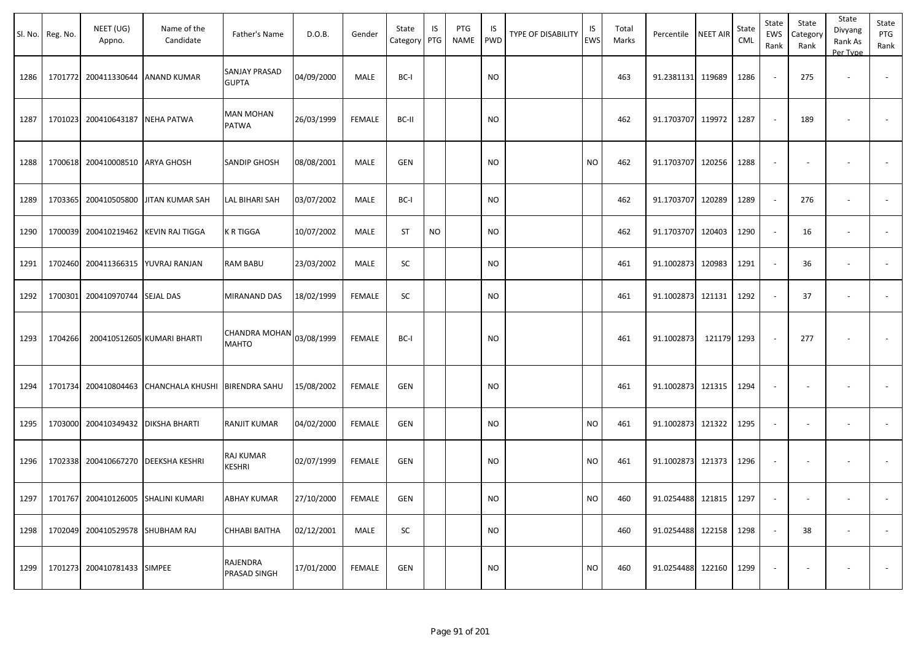|      | Sl. No. Reg. No. | NEET (UG)<br>Appno.             | Name of the<br>Candidate              | Father's Name                        | D.O.B.     | Gender        | State<br>Category | IS<br>PTG | PTG<br>NAME | IS<br><b>PWD</b> | <b>TYPE OF DISABILITY</b> | IS<br><b>EWS</b> | Total<br>Marks | Percentile        | <b>NEET AIR</b> | <b>State</b><br><b>CML</b> | State<br>EWS<br>Rank     | State<br>Category<br>Rank | State<br>Divyang<br>Rank As<br>Per Type | State<br>PTG<br>Rank     |
|------|------------------|---------------------------------|---------------------------------------|--------------------------------------|------------|---------------|-------------------|-----------|-------------|------------------|---------------------------|------------------|----------------|-------------------|-----------------|----------------------------|--------------------------|---------------------------|-----------------------------------------|--------------------------|
| 1286 | 1701772          |                                 | 200411330644 ANAND KUMAR              | <b>SANJAY PRASAD</b><br><b>GUPTA</b> | 04/09/2000 | MALE          | BC-I              |           |             | <b>NO</b>        |                           |                  | 463            | 91.2381131 119689 |                 | 1286                       |                          | 275                       | $\blacksquare$                          | $\overline{\phantom{a}}$ |
| 1287 | 1701023          | 200410643187 NEHA PATWA         |                                       | <b>MAN MOHAN</b><br>PATWA            | 26/03/1999 | <b>FEMALE</b> | BC-II             |           |             | NO.              |                           |                  | 462            | 91.1703707        | 119972          | 1287                       |                          | 189                       |                                         |                          |
| 1288 |                  | 1700618 200410008510 ARYA GHOSH |                                       | <b>SANDIP GHOSH</b>                  | 08/08/2001 | MALE          | <b>GEN</b>        |           |             | <b>NO</b>        |                           | NO               | 462            | 91.1703707        | 120256          | 1288                       | ۰.                       |                           |                                         |                          |
| 1289 | 1703365          |                                 | 200410505800 JJITAN KUMAR SAH         | LAL BIHARI SAH                       | 03/07/2002 | MALE          | BC-I              |           |             | NO.              |                           |                  | 462            | 91.1703707        | 120289          | 1289                       |                          | 276                       |                                         |                          |
| 1290 | 1700039          |                                 | 200410219462 KEVIN RAJ TIGGA          | K R TIGGA                            | 10/07/2002 | MALE          | <b>ST</b>         | <b>NO</b> |             | <b>NO</b>        |                           |                  | 462            | 91.1703707        | 120403          | 1290                       | $\overline{\phantom{a}}$ | 16                        | $\overline{a}$                          | $\overline{\phantom{a}}$ |
| 1291 | 1702460          |                                 | 200411366315   YUVRAJ RANJAN          | RAM BABU                             | 23/03/2002 | MALE          | SC                |           |             | NO.              |                           |                  | 461            | 91.1002873        | 120983          | 1291                       |                          | 36                        |                                         |                          |
| 1292 | 1700301          | 200410970744 SEJAL DAS          |                                       | MIRANAND DAS                         | 18/02/1999 | <b>FEMALE</b> | SC                |           |             | <b>NO</b>        |                           |                  | 461            | 91.1002873        | 121131          | 1292                       |                          | 37                        | $\overline{\phantom{a}}$                |                          |
| 1293 | 1704266          |                                 | 200410512605 KUMARI BHARTI            | CHANDRA MOHAN<br><b>MAHTO</b>        | 03/08/1999 | <b>FEMALE</b> | BC-I              |           |             | <b>NO</b>        |                           |                  | 461            | 91.1002873        | 121179 1293     |                            |                          | 277                       |                                         |                          |
| 1294 |                  |                                 | 1701734 200410804463 CHANCHALA KHUSHI | <b>BIRENDRA SAHU</b>                 | 15/08/2002 | <b>FEMALE</b> | <b>GEN</b>        |           |             | NO.              |                           |                  | 461            | 91.1002873 121315 |                 | 1294                       | $\overline{\phantom{a}}$ |                           |                                         |                          |
| 1295 | 1703000          | 200410349432   DIKSHA BHARTI    |                                       | RANJIT KUMAR                         | 04/02/2000 | <b>FEMALE</b> | <b>GEN</b>        |           |             | <b>NO</b>        |                           | <b>NO</b>        | 461            | 91.1002873        | 121322          | 1295                       |                          |                           | $\overline{\phantom{a}}$                |                          |
| 1296 |                  |                                 | 1702338 200410667270 DEEKSHA KESHRI   | RAJ KUMAR<br><b>KESHRI</b>           | 02/07/1999 | <b>FEMALE</b> | <b>GEN</b>        |           |             | <b>NO</b>        |                           | <b>NO</b>        | 461            | 91.1002873        | 121373          | 1296                       | $\overline{\phantom{a}}$ |                           |                                         |                          |
| 1297 |                  |                                 | 1701767 200410126005 SHALINI KUMARI   | ABHAY KUMAR                          | 27/10/2000 | FEMALE        | GEN               |           |             | <b>NO</b>        |                           | <b>NO</b>        | 460            | 91.0254488 121815 |                 | 1297                       |                          |                           | $\overline{\phantom{a}}$                |                          |
| 1298 | 1702049          | 200410529578 SHUBHAM RAJ        |                                       | CHHABI BAITHA                        | 02/12/2001 | MALE          | SC                |           |             | <b>NO</b>        |                           |                  | 460            | 91.0254488 122158 |                 | 1298                       |                          | 38                        | $\overline{\phantom{a}}$                | $\sim$                   |
| 1299 |                  | 1701273 200410781433 SIMPEE     |                                       | RAJENDRA<br>PRASAD SINGH             | 17/01/2000 | <b>FEMALE</b> | GEN               |           |             | <b>NO</b>        |                           | <b>NO</b>        | 460            | 91.0254488 122160 |                 | 1299                       |                          |                           | ٠                                       | $\sim$                   |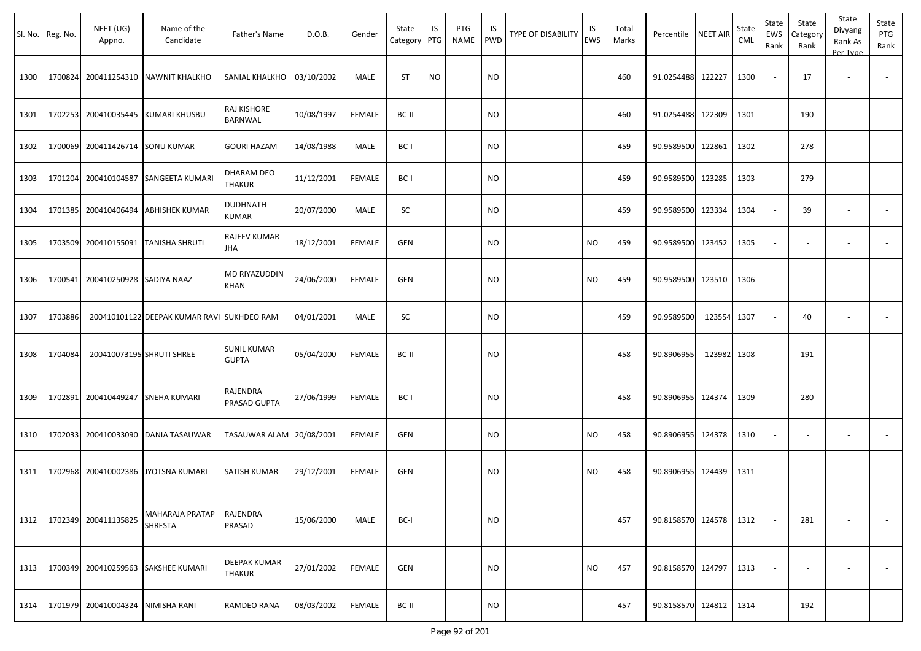|      | Sl. No.   Reg. No. | NEET (UG)<br>Appno.       | Name of the<br>Candidate                   | Father's Name                      | D.O.B.     | Gender        | State<br>Category | IS<br>PTG | PTG<br><b>NAME</b> | IS<br><b>PWD</b> | <b>TYPE OF DISABILITY</b> | IS<br><b>EWS</b> | Total<br>Marks | Percentile        | <b>NEET AIR</b> | State<br><b>CML</b> | State<br><b>EWS</b><br>Rank | State<br>Category<br>Rank | State<br>Divyang<br>Rank As<br>Per Type | State<br>PTG<br>Rank     |
|------|--------------------|---------------------------|--------------------------------------------|------------------------------------|------------|---------------|-------------------|-----------|--------------------|------------------|---------------------------|------------------|----------------|-------------------|-----------------|---------------------|-----------------------------|---------------------------|-----------------------------------------|--------------------------|
| 1300 | 1700824            | 200411254310              | <b>NAWNIT KHALKHO</b>                      | SANIAL KHALKHO                     | 03/10/2002 | MALE          | <b>ST</b>         | <b>NO</b> |                    | <b>NO</b>        |                           |                  | 460            | 91.0254488 122227 |                 | 1300                |                             | 17                        | $\overline{\phantom{a}}$                | $\sim$                   |
| 1301 | 1702253            | 200410035445              | KUMARI KHUSBU                              | RAJ KISHORE<br>BARNWAL             | 10/08/1997 | <b>FEMALE</b> | BC-II             |           |                    | <b>NO</b>        |                           |                  | 460            | 91.0254488        | 122309          | 1301                |                             | 190                       | $\overline{\phantom{a}}$                | $\overline{\phantom{a}}$ |
| 1302 | 1700069            | 200411426714              | <b>SONU KUMAR</b>                          | <b>GOURI HAZAM</b>                 | 14/08/1988 | <b>MALE</b>   | BC-I              |           |                    | NO.              |                           |                  | 459            | 90.9589500        | 122861          | 1302                |                             | 278                       | $\sim$                                  |                          |
| 1303 | 1701204            | 200410104587              | SANGEETA KUMARI                            | DHARAM DEO<br><b>THAKUR</b>        | 11/12/2001 | <b>FEMALE</b> | BC-I              |           |                    | NO.              |                           |                  | 459            | 90.9589500        | 123285          | 1303                | $\overline{\phantom{a}}$    | 279                       | $\sim$                                  | $\overline{\phantom{a}}$ |
| 1304 | 1701385            | 200410406494              | <b>ABHISHEK KUMAR</b>                      | DUDHNATH<br>KUMAR                  | 20/07/2000 | <b>MALE</b>   | SC                |           |                    | <b>NO</b>        |                           |                  | 459            | 90.9589500        | 123334          | 1304                |                             | 39                        |                                         |                          |
| 1305 | 1703509            | 200410155091              | TANISHA SHRUTI                             | RAJEEV KUMAR<br>JHA                | 18/12/2001 | <b>FEMALE</b> | GEN               |           |                    | NO.              |                           | <b>NO</b>        | 459            | 90.9589500        | 123452          | 1305                |                             |                           |                                         |                          |
| 1306 | 1700541            | 200410250928 SADIYA NAAZ  |                                            | MD RIYAZUDDIN<br>KHAN              | 24/06/2000 | <b>FEMALE</b> | <b>GEN</b>        |           |                    | NO.              |                           | NO               | 459            | 90.9589500        | 123510          | 1306                |                             |                           |                                         |                          |
| 1307 | 1703886            |                           | 200410101122 DEEPAK KUMAR RAVI SUKHDEO RAM |                                    | 04/01/2001 | <b>MALE</b>   | SC                |           |                    | NO.              |                           |                  | 459            | 90.9589500        | 123554          | 1307                |                             | 40                        | $\overline{\phantom{a}}$                | $\overline{\phantom{a}}$ |
| 1308 | 1704084            | 200410073195 SHRUTI SHREE |                                            | <b>SUNIL KUMAR</b><br><b>GUPTA</b> | 05/04/2000 | <b>FEMALE</b> | BC-II             |           |                    | NO.              |                           |                  | 458            | 90.8906955        | 123982          | 1308                |                             | 191                       |                                         |                          |
| 1309 | 1702891            | 200410449247              | <b>SNEHA KUMARI</b>                        | RAJENDRA<br>PRASAD GUPTA           | 27/06/1999 | <b>FEMALE</b> | BC-I              |           |                    | NO.              |                           |                  | 458            | 90.8906955        | 124374          | 1309                |                             | 280                       |                                         |                          |
| 1310 | 1702033            | 200410033090              | <b>DANIA TASAUWAR</b>                      | TASAUWAR ALAM                      | 20/08/2001 | <b>FEMALE</b> | <b>GEN</b>        |           |                    | NO.              |                           | <b>NO</b>        | 458            | 90.8906955        | 124378          | 1310                | $\overline{\phantom{a}}$    |                           | $\sim$                                  | $\overline{\phantom{a}}$ |
| 1311 | 1702968            | 200410002386              | <b>YOTSNA KUMARI</b>                       | SATISH KUMAR                       | 29/12/2001 | <b>FEMALE</b> | GEN               |           |                    | <b>NO</b>        |                           | <b>NO</b>        | 458            | 90.8906955        | 124439          | 1311                |                             |                           |                                         |                          |
| 1312 | 1702349            | 200411135825              | MAHARAJA PRATAP<br>SHRESTA                 | RAJENDRA<br>PRASAD                 | 15/06/2000 | MALE          | BC-I              |           |                    | <b>NO</b>        |                           |                  | 457            | 90.8158570 124578 |                 | 1312                |                             | 281                       |                                         | $\sim$                   |
| 1313 | 1700349            |                           | 200410259563 SAKSHEE KUMARI                | DEEPAK KUMAR<br>THAKUR             | 27/01/2002 | FEMALE        | GEN               |           |                    | <b>NO</b>        |                           | <b>NO</b>        | 457            | 90.8158570 124797 |                 | 1313                |                             | $\sim$                    | $\overline{\phantom{a}}$                | $\sim$                   |
| 1314 | 1701979            | 200410004324              | NIMISHA RANI                               | RAMDEO RANA                        | 08/03/2002 | FEMALE        | BC-II             |           |                    | <b>NO</b>        |                           |                  | 457            | 90.8158570 124812 |                 | 1314                |                             | 192                       | $\overline{\phantom{a}}$                | $\sim$                   |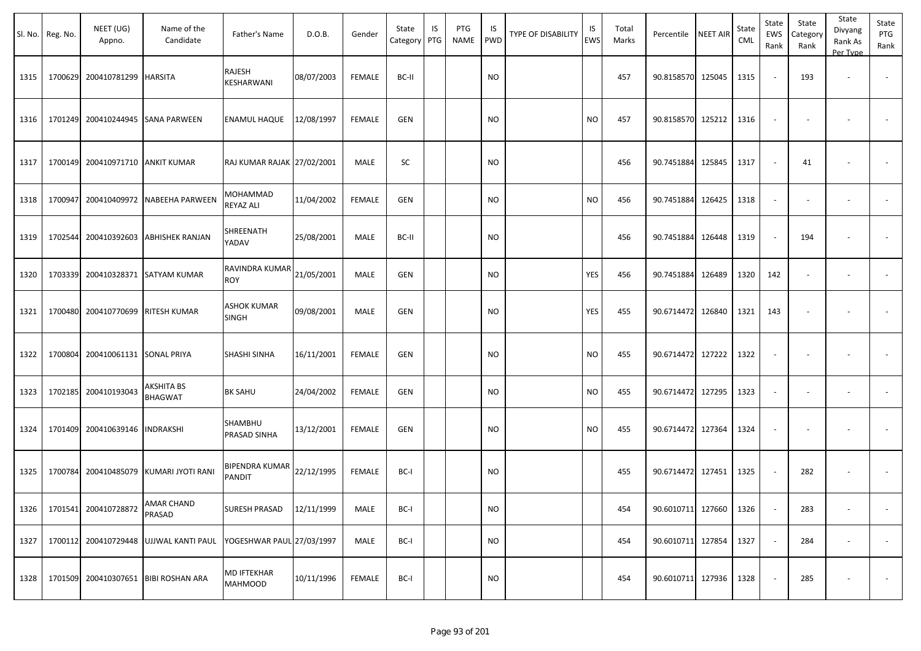|      | Sl. No. Reg. No. | NEET (UG)<br>Appno.               | Name of the<br>Candidate               | Father's Name                        | D.O.B.     | Gender        | State<br>Category | IS<br>PTG | PTG<br><b>NAME</b> | IS<br><b>PWD</b> | <b>TYPE OF DISABILITY</b> | IS<br><b>EWS</b> | Total<br>Marks | Percentile             | <b>NEET AIR</b> | State<br><b>CML</b> | State<br><b>EWS</b><br>Rank | State<br>Category<br>Rank | State<br>Divyang<br>Rank As<br>Per Type | State<br>PTG<br>Rank     |
|------|------------------|-----------------------------------|----------------------------------------|--------------------------------------|------------|---------------|-------------------|-----------|--------------------|------------------|---------------------------|------------------|----------------|------------------------|-----------------|---------------------|-----------------------------|---------------------------|-----------------------------------------|--------------------------|
| 1315 | 1700629          | 200410781299 HARSITA              |                                        | RAJESH<br>KESHARWANI                 | 08/07/2003 | <b>FEMALE</b> | BC-II             |           |                    | NO.              |                           |                  | 457            | 90.8158570             | 125045          | 1315                |                             | 193                       | $\blacksquare$                          | $\overline{\phantom{a}}$ |
| 1316 | 1701249          |                                   | 200410244945 SANA PARWEEN              | ENAMUL HAQUE                         | 12/08/1997 | <b>FEMALE</b> | <b>GEN</b>        |           |                    | <b>NO</b>        |                           | <b>NO</b>        | 457            | 90.8158570             | 125212          | 1316                |                             |                           |                                         |                          |
| 1317 | 1700149          | 200410971710 ANKIT KUMAR          |                                        | RAJ KUMAR RAJAK 27/02/2001           |            | MALE          | <b>SC</b>         |           |                    | <b>NO</b>        |                           |                  | 456            | 90.7451884             | 125845          | 1317                | $\overline{\phantom{a}}$    | 41                        | ٠                                       |                          |
| 1318 | 1700947          |                                   | 200410409972 NABEEHA PARWEEN           | MOHAMMAD<br>REYAZ ALI                | 11/04/2002 | <b>FEMALE</b> | <b>GEN</b>        |           |                    | <b>NO</b>        |                           | <b>NO</b>        | 456            | 90.7451884             | 126425          | 1318                |                             | $\overline{\phantom{a}}$  | $\blacksquare$                          |                          |
| 1319 | 1702544          |                                   | 200410392603 ABHISHEK RANJAN           | SHREENATH<br>YADAV                   | 25/08/2001 | MALE          | BC-II             |           |                    | NO.              |                           |                  | 456            | 90.7451884             | 126448          | 1319                |                             | 194                       |                                         |                          |
| 1320 | 1703339          |                                   | 200410328371 SATYAM KUMAR              | RAVINDRA KUMAR<br><b>ROY</b>         | 21/05/2001 | MALE          | GEN               |           |                    | <b>NO</b>        |                           | YES              | 456            | 90.7451884             | 126489          | 1320                | 142                         |                           | $\overline{\phantom{a}}$                | $\overline{\phantom{a}}$ |
| 1321 |                  | 1700480 200410770699 RITESH KUMAR |                                        | <b>ASHOK KUMAR</b><br><b>SINGH</b>   | 09/08/2001 | MALE          | <b>GEN</b>        |           |                    | <b>NO</b>        |                           | YES              | 455            | 90.6714472 126840      |                 | 1321                | 143                         | $\overline{\phantom{a}}$  | $\overline{\phantom{a}}$                |                          |
| 1322 | 1700804          | 200410061131 SONAL PRIYA          |                                        | <b>SHASHI SINHA</b>                  | 16/11/2001 | <b>FEMALE</b> | GEN               |           |                    | NO.              |                           | <b>NO</b>        | 455            | 90.6714472 127222      |                 | 1322                |                             |                           | $\overline{\phantom{a}}$                |                          |
| 1323 |                  | 1702185 200410193043              | AKSHITA BS<br><b>BHAGWAT</b>           | <b>BK SAHU</b>                       | 24/04/2002 | <b>FEMALE</b> | GEN               |           |                    | NO.              |                           | <b>NO</b>        | 455            | 90.6714472             | 127295          | 1323                | $\overline{\phantom{a}}$    | $\overline{\phantom{a}}$  | $\overline{\phantom{a}}$                | $\blacksquare$           |
| 1324 |                  | 1701409 200410639146 INDRAKSHI    |                                        | SHAMBHU<br>PRASAD SINHA              | 13/12/2001 | <b>FEMALE</b> | <b>GEN</b>        |           |                    | <b>NO</b>        |                           | <b>NO</b>        | 455            | 90.6714472 127364      |                 | 1324                | $\overline{\phantom{a}}$    | $\overline{\phantom{a}}$  | $\overline{\phantom{a}}$                | $\blacksquare$           |
| 1325 | 1700784          |                                   | 200410485079 KUMARI JYOTI RANI         | BIPENDRA KUMAR<br>PANDIT             | 22/12/1995 | <b>FEMALE</b> | BC-I              |           |                    | <b>NO</b>        |                           |                  | 455            | 90.6714472 127451      |                 | 1325                |                             | 282                       |                                         |                          |
| 1326 |                  | 1701541 200410728872              | AMAR CHAND<br>PRASAD                   | <b>SURESH PRASAD</b>                 | 12/11/1999 | MALE          | BC-I              |           |                    | <b>NO</b>        |                           |                  | 454            | 90.6010711 127660 1326 |                 |                     |                             | 283                       | $\overline{\phantom{a}}$                |                          |
| 1327 |                  |                                   | 1700112 200410729448 UJJWAL KANTI PAUL | YOGESHWAR PAUL 27/03/1997            |            | MALE          | BC-I              |           |                    | <b>NO</b>        |                           |                  | 454            | 90.6010711 127854      |                 | 1327                |                             | 284                       | $\sim$                                  | $\sim$                   |
| 1328 |                  |                                   | 1701509 200410307651 BIBI ROSHAN ARA   | <b>MD IFTEKHAR</b><br><b>MAHMOOD</b> | 10/11/1996 | <b>FEMALE</b> | BC-I              |           |                    | <b>NO</b>        |                           |                  | 454            | 90.6010711 127936      |                 | 1328                |                             | 285                       |                                         | $\sim$                   |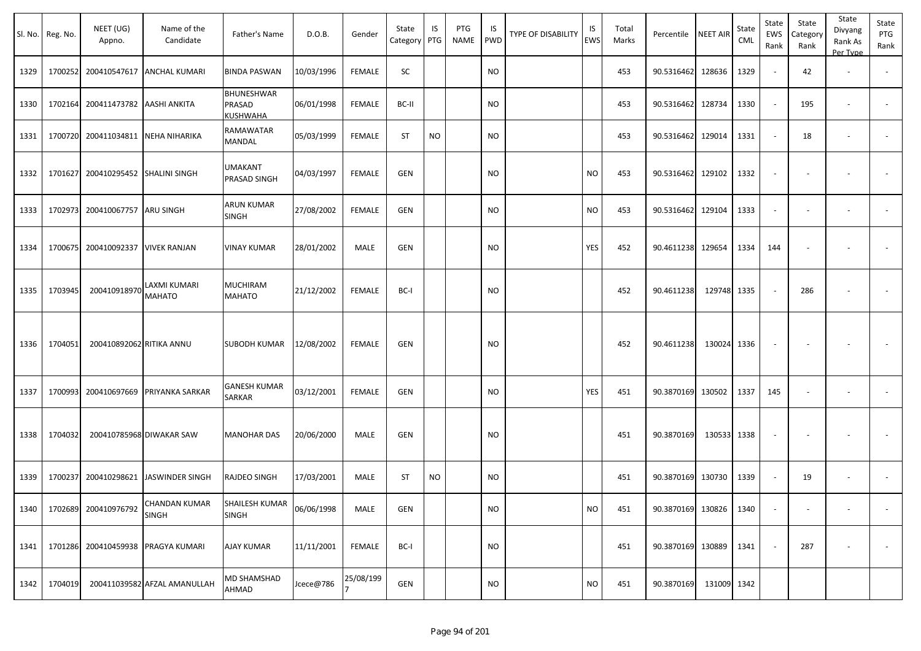|      | Sl. No. Reg. No. | NEET (UG)<br>Appno.       | Name of the<br>Candidate      | Father's Name                    | D.O.B.     | Gender        | State<br>Category | IS<br>PTG | PTG<br><b>NAME</b> | IS<br>PWD | <b>TYPE OF DISABILITY</b> | IS<br><b>EWS</b> | Total<br>Marks | Percentile             | <b>NEET AIR</b> | State<br>CML | State<br>EWS<br>Rank     | State<br>Category<br>Rank | State<br>Divyang<br>Rank As<br>Per Type | State<br>PTG<br>Rank     |
|------|------------------|---------------------------|-------------------------------|----------------------------------|------------|---------------|-------------------|-----------|--------------------|-----------|---------------------------|------------------|----------------|------------------------|-----------------|--------------|--------------------------|---------------------------|-----------------------------------------|--------------------------|
| 1329 | 1700252          | 200410547617              | <b>ANCHAL KUMARI</b>          | <b>BINDA PASWAN</b>              | 10/03/1996 | <b>FEMALE</b> | SC                |           |                    | <b>NO</b> |                           |                  | 453            | 90.5316462             | 128636          | 1329         |                          | 42                        | $\blacksquare$                          |                          |
| 1330 | 1702164          | 200411473782 AASHI ANKITA |                               | BHUNESHWAR<br>PRASAD<br>KUSHWAHA | 06/01/1998 | <b>FEMALE</b> | BC-II             |           |                    | <b>NO</b> |                           |                  | 453            | 90.5316462 128734      |                 | 1330         |                          | 195                       | $\overline{\phantom{a}}$                |                          |
| 1331 | 1700720          | 200411034811              | NEHA NIHARIKA                 | RAMAWATAR<br>MANDAL              | 05/03/1999 | <b>FEMALE</b> | <b>ST</b>         | <b>NO</b> |                    | NO        |                           |                  | 453            | 90.5316462             | 129014          | 1331         |                          | 18                        | $\blacksquare$                          |                          |
| 1332 | 1701627          | 200410295452              | <b>SHALINI SINGH</b>          | UMAKANT<br>PRASAD SINGH          | 04/03/1997 | <b>FEMALE</b> | <b>GEN</b>        |           |                    | <b>NO</b> |                           | <b>NO</b>        | 453            | 90.5316462             | 129102          | 1332         | $\overline{\phantom{a}}$ |                           | ÷,                                      | $\sim$                   |
| 1333 | 1702973          | 200410067757              | ARU SINGH                     | ARUN KUMAR<br>SINGH              | 27/08/2002 | <b>FEMALE</b> | GEN               |           |                    | NO        |                           | <b>NO</b>        | 453            | 90.5316462             | 129104          | 1333         |                          |                           | $\overline{\phantom{a}}$                |                          |
| 1334 | 1700675          | 200410092337              | <b>VIVEK RANJAN</b>           | VINAY KUMAR                      | 28/01/2002 | MALE          | GEN               |           |                    | <b>NO</b> |                           | YES              | 452            | 90.4611238 129654      |                 | 1334         | 144                      |                           | $\overline{\phantom{a}}$                |                          |
| 1335 | 1703945          | 200410918970              | LAXMI KUMARI<br>MAHATO        | MUCHIRAM<br>MAHATO               | 21/12/2002 | FEMALE        | BC-I              |           |                    | <b>NO</b> |                           |                  | 452            | 90.4611238             | 129748 1335     |              |                          | 286                       |                                         |                          |
| 1336 | 1704051          | 200410892062 RITIKA ANNU  |                               | SUBODH KUMAR                     | 12/08/2002 | <b>FEMALE</b> | GEN               |           |                    | <b>NO</b> |                           |                  | 452            | 90.4611238             | 130024 1336     |              | $\overline{\phantom{a}}$ |                           |                                         |                          |
| 1337 | 1700993          | 200410697669              | <b>PRIYANKA SARKAR</b>        | GANESH KUMAR<br>SARKAR           | 03/12/2001 | <b>FEMALE</b> | GEN               |           |                    | NO        |                           | YES              | 451            | 90.3870169             | 130502          | 1337         | 145                      | $\overline{\phantom{a}}$  | $\overline{\phantom{a}}$                | $\sim$                   |
| 1338 | 1704032          |                           | 200410785968 DIWAKAR SAW      | <b>MANOHAR DAS</b>               | 20/06/2000 | MALE          | GEN               |           |                    | <b>NO</b> |                           |                  | 451            | 90.3870169             | 130533 1338     |              |                          |                           |                                         |                          |
| 1339 | 1700237          | 200410298621              | <b>JASWINDER SINGH</b>        | RAJDEO SINGH                     | 17/03/2001 | MALE          | ST                | <b>NO</b> |                    | NO        |                           |                  | 451            | 90.3870169             | 130730          | 1339         |                          | 19                        | $\overline{\phantom{a}}$                | $\blacksquare$           |
| 1340 |                  | 1702689 200410976792      | CHANDAN KUMAR<br><b>SINGH</b> | SHAILESH KUMAR<br><b>SINGH</b>   | 06/06/1998 | MALE          | GEN               |           |                    | <b>NO</b> |                           | <b>NO</b>        | 451            | 90.3870169 130826 1340 |                 |              |                          | $\overline{\phantom{a}}$  | $\sim$                                  | $\overline{\phantom{a}}$ |
| 1341 | 1701286          |                           | 200410459938   PRAGYA KUMARI  | AJAY KUMAR                       | 11/11/2001 | FEMALE        | BC-I              |           |                    | <b>NO</b> |                           |                  | 451            | 90.3870169 130889      |                 | 1341         |                          | 287                       | $\overline{\phantom{a}}$                | $\sim$                   |
| 1342 | 1704019          |                           | 200411039582 AFZAL AMANULLAH  | MD SHAMSHAD<br>AHMAD             | Jcece@786  | 25/08/199     | GEN               |           |                    | <b>NO</b> |                           | <b>NO</b>        | 451            | 90.3870169             | 131009 1342     |              |                          |                           |                                         |                          |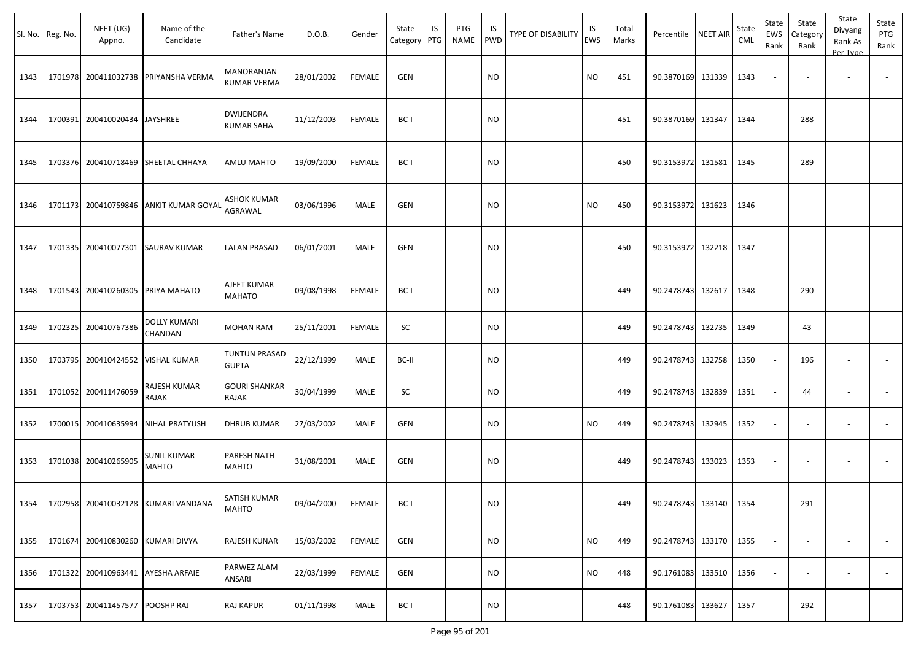| Sl. No. | Reg. No. | NEET (UG)<br>Appno.             | Name of the<br>Candidate                   | Father's Name                         | D.O.B.     | Gender        | State<br>Category PTG | IS | PTG<br><b>NAME</b> | IS<br><b>PWD</b> | <b>TYPE OF DISABILITY</b> | IS<br>EWS | Total<br>Marks | Percentile             | <b>NEET AIR</b> | State<br><b>CML</b> | State<br>EWS<br>Rank     | State<br>Category<br>Rank | State<br>Divyang<br>Rank As<br>Per Type | State<br>PTG<br>Rank |
|---------|----------|---------------------------------|--------------------------------------------|---------------------------------------|------------|---------------|-----------------------|----|--------------------|------------------|---------------------------|-----------|----------------|------------------------|-----------------|---------------------|--------------------------|---------------------------|-----------------------------------------|----------------------|
| 1343    | 1701978  |                                 | 200411032738 PRIYANSHA VERMA               | MANORANJAN<br><b>KUMAR VERMA</b>      | 28/01/2002 | <b>FEMALE</b> | GEN                   |    |                    | <b>NO</b>        |                           | <b>NO</b> | 451            | 90.3870169 131339      |                 | 1343                | $\overline{\phantom{a}}$ |                           |                                         |                      |
| 1344    | 1700391  | 200410020434 JAYSHREE           |                                            | <b>DWIJENDRA</b><br><b>KUMAR SAHA</b> | 11/12/2003 | <b>FEMALE</b> | BC-I                  |    |                    | <b>NO</b>        |                           |           | 451            | 90.3870169 131347      |                 | 1344                |                          | 288                       |                                         |                      |
| 1345    | 1703376  | 200410718469                    | <b>SHEETAL CHHAYA</b>                      | <b>AMLU MAHTO</b>                     | 19/09/2000 | <b>FEMALE</b> | BC-I                  |    |                    | <b>NO</b>        |                           |           | 450            | 90.3153972 131581      |                 | 1345                |                          | 289                       |                                         |                      |
| 1346    |          |                                 | 1701173 200410759846 ANKIT KUMAR GOYAL     | ASHOK KUMAR<br>AGRAWAL                | 03/06/1996 | MALE          | <b>GEN</b>            |    |                    | <b>NO</b>        |                           | <b>NO</b> | 450            | 90.3153972 131623      |                 | 1346                | $\overline{\phantom{a}}$ | $\overline{\phantom{a}}$  |                                         |                      |
| 1347    | 1701335  |                                 | 200410077301 SAURAV KUMAR                  | <b>LALAN PRASAD</b>                   | 06/01/2001 | MALE          | <b>GEN</b>            |    |                    | <b>NO</b>        |                           |           | 450            | 90.3153972 132218      |                 | 1347                |                          |                           |                                         |                      |
| 1348    | 1701543  | 200410260305                    | PRIYA MAHATO                               | AJEET KUMAR<br><b>MAHATO</b>          | 09/08/1998 | <b>FEMALE</b> | BC-I                  |    |                    | <b>NO</b>        |                           |           | 449            | 90.2478743 132617      |                 | 1348                |                          | 290                       |                                         |                      |
| 1349    | 1702325  | 200410767386                    | DOLLY KUMARI<br>CHANDAN                    | MOHAN RAM                             | 25/11/2001 | <b>FEMALE</b> | SC                    |    |                    | <b>NO</b>        |                           |           | 449            | 90.2478743 132735      |                 | 1349                |                          | 43                        |                                         |                      |
| 1350    | 1703795  |                                 | 200410424552 VISHAL KUMAR                  | <b>TUNTUN PRASAD</b><br><b>GUPTA</b>  | 22/12/1999 | MALE          | BC-II                 |    |                    | <b>NO</b>        |                           |           | 449            | 90.2478743 132758      |                 | 1350                |                          | 196                       |                                         |                      |
| 1351    | 1701052  | 200411476059                    | RAJESH KUMAR<br>RAJAK                      | <b>GOURI SHANKAR</b><br>RAJAK         | 30/04/1999 | MALE          | SC                    |    |                    | <b>NO</b>        |                           |           | 449            | 90.2478743 132839      |                 | 1351                |                          | 44                        | $\overline{\phantom{a}}$                |                      |
| 1352    | 1700015  |                                 | 200410635994 NIHAL PRATYUSH                | <b>DHRUB KUMAR</b>                    | 27/03/2002 | MALE          | GEN                   |    |                    | <b>NO</b>        |                           | <b>NO</b> | 449            | 90.2478743 132945      |                 | 1352                |                          |                           | $\sim$                                  |                      |
| 1353    | 1701038  | 200410265905                    | <b>SUNIL KUMAR</b><br><b>MAHTO</b>         | PARESH NATH<br><b>MAHTO</b>           | 31/08/2001 | MALE          | <b>GEN</b>            |    |                    | <b>NO</b>        |                           |           | 449            | 90.2478743 133023      |                 | 1353                |                          | $\overline{\phantom{a}}$  |                                         |                      |
|         |          |                                 | 1354   1702958 200410032128 KUMARI VANDANA | <b>SATISH KUMAR</b><br><b>MAHTO</b>   | 09/04/2000 | FEMALE        | BC-I                  |    |                    | $\rm NO$         |                           |           | 449            | 90.2478743 133140 1354 |                 |                     |                          | 291                       |                                         |                      |
| 1355    | 1701674  | 200410830260 KUMARI DIVYA       |                                            | RAJESH KUNAR                          | 15/03/2002 | FEMALE        | GEN                   |    |                    | <b>NO</b>        |                           | <b>NO</b> | 449            | 90.2478743 133170      |                 | 1355                |                          |                           | $\blacksquare$                          | $\sim$               |
| 1356    |          |                                 | 1701322 200410963441 AYESHA ARFAIE         | PARWEZ ALAM<br>ANSARI                 | 22/03/1999 | FEMALE        | GEN                   |    |                    | <b>NO</b>        |                           | <b>NO</b> | 448            | 90.1761083 133510      |                 | 1356                |                          | $\overline{\phantom{a}}$  | $\blacksquare$                          | $\sim$               |
| 1357    |          | 1703753 200411457577 POOSHP RAJ |                                            | RAJ KAPUR                             | 01/11/1998 | MALE          | BC-I                  |    |                    | <b>NO</b>        |                           |           | 448            | 90.1761083 133627      |                 | 1357                |                          | 292                       | $\overline{\phantom{a}}$                | $\sim$               |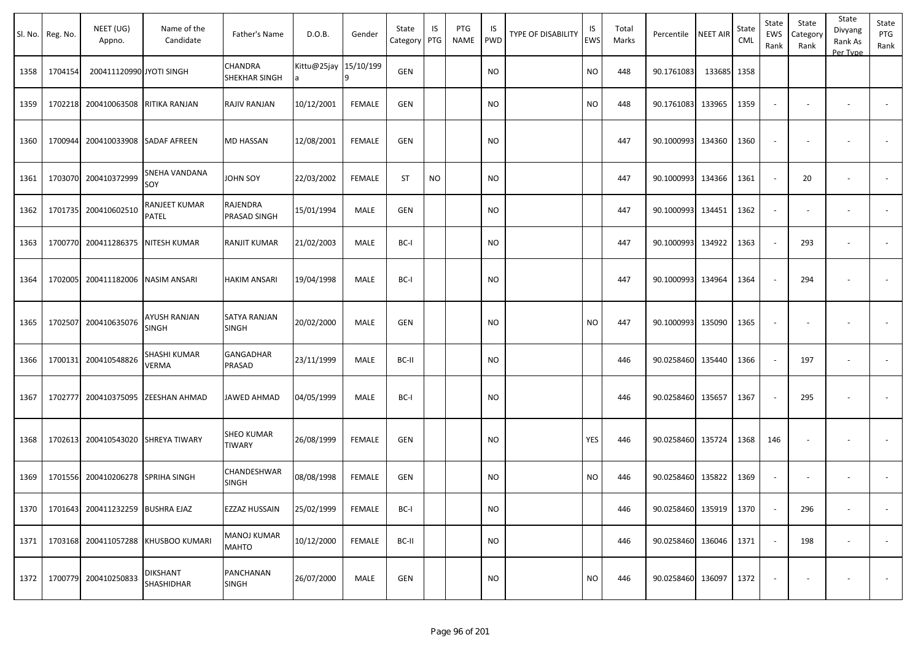|      | Sl. No. Reg. No. | NEET (UG)<br>Appno.              | Name of the<br>Candidate            | Father's Name                      | D.O.B.                | Gender        | State<br>Category | IS<br>PTG | PTG<br>NAME | IS<br><b>PWD</b> | <b>TYPE OF DISABILITY</b> | IS<br><b>EWS</b> | Total<br>Marks | Percentile        | <b>NEET AIR</b> | State<br>CML | State<br>EWS<br>Rank | State<br>Category<br>Rank | State<br>Divyang<br>Rank As<br>Per Type | State<br>PTG<br>Rank |
|------|------------------|----------------------------------|-------------------------------------|------------------------------------|-----------------------|---------------|-------------------|-----------|-------------|------------------|---------------------------|------------------|----------------|-------------------|-----------------|--------------|----------------------|---------------------------|-----------------------------------------|----------------------|
| 1358 | 1704154          | 200411120990 JYOTI SINGH         |                                     | CHANDRA<br>SHEKHAR SINGH           | Kittu@25jay 15/10/199 |               | GEN               |           |             | <b>NO</b>        |                           | <b>NO</b>        | 448            | 90.1761083        | 133685          | 1358         |                      |                           |                                         |                      |
| 1359 | 1702218          | 200410063508 RITIKA RANJAN       |                                     | RAJIV RANJAN                       | 10/12/2001            | <b>FEMALE</b> | GEN               |           |             | <b>NO</b>        |                           | <b>NO</b>        | 448            | 90.1761083 133965 |                 | 1359         |                      |                           | $\overline{\phantom{a}}$                |                      |
| 1360 | 1700944          | 200410033908                     | <b>SADAF AFREEN</b>                 | <b>MD HASSAN</b>                   | 12/08/2001            | <b>FEMALE</b> | GEN               |           |             | <b>NO</b>        |                           |                  | 447            | 90.1000993 134360 |                 | 1360         |                      |                           |                                         |                      |
| 1361 | 1703070          | 200410372999                     | SNEHA VANDANA<br>SOY                | JOHN SOY                           | 22/03/2002            | <b>FEMALE</b> | <b>ST</b>         | <b>NO</b> |             | NO               |                           |                  | 447            | 90.1000993 134366 |                 | 1361         | $\sim$               | 20                        |                                         |                      |
| 1362 | 1701735          | 200410602510                     | RANJEET KUMAR<br>PATEL              | RAJENDRA<br>PRASAD SINGH           | 15/01/1994            | MALE          | <b>GEN</b>        |           |             | <b>NO</b>        |                           |                  | 447            | 90.1000993        | 134451          | 1362         |                      |                           |                                         |                      |
| 1363 | 1700770          | 200411286375                     | <b>NITESH KUMAR</b>                 | RANJIT KUMAR                       | 21/02/2003            | MALE          | BC-I              |           |             | <b>NO</b>        |                           |                  | 447            | 90.1000993 134922 |                 | 1363         |                      | 293                       |                                         |                      |
| 1364 | 1702005          | 200411182006                     | <b>NASIM ANSARI</b>                 | <b>HAKIM ANSARI</b>                | 19/04/1998            | <b>MALE</b>   | BC-I              |           |             | <b>NO</b>        |                           |                  | 447            | 90.1000993        | 134964          | 1364         |                      | 294                       | $\overline{\phantom{a}}$                |                      |
| 1365 | 1702507          | 200410635076                     | <b>AYUSH RANJAN</b><br><b>SINGH</b> | SATYA RANJAN<br><b>SINGH</b>       | 20/02/2000            | MALE          | <b>GEN</b>        |           |             | <b>NO</b>        |                           | <b>NO</b>        | 447            | 90.1000993 135090 |                 | 1365         |                      |                           |                                         |                      |
| 1366 | 1700131          | 200410548826                     | SHASHI KUMAR<br>VERMA               | GANGADHAR<br>PRASAD                | 23/11/1999            | MALE          | BC-II             |           |             | <b>NO</b>        |                           |                  | 446            | 90.0258460 135440 |                 | 1366         |                      | 197                       |                                         |                      |
| 1367 | 1702777          | 200410375095                     | <b>ZEESHAN AHMAD</b>                | JAWED AHMAD                        | 04/05/1999            | MALE          | BC-I              |           |             | <b>NO</b>        |                           |                  | 446            | 90.0258460 135657 |                 | 1367         |                      | 295                       |                                         |                      |
| 1368 | 1702613          | 200410543020                     | <b>SHREYA TIWARY</b>                | SHEO KUMAR<br><b>TIWARY</b>        | 26/08/1999            | <b>FEMALE</b> | GEN               |           |             | <b>NO</b>        |                           | YES              | 446            | 90.0258460 135724 |                 | 1368         | 146                  |                           |                                         |                      |
| 1369 | 1701556          | 200410206278                     | <b>SPRIHA SINGH</b>                 | CHANDESHWAR<br>SINGH               | 08/08/1998            | <b>FEMALE</b> | GEN               |           |             | <b>NO</b>        |                           | <b>NO</b>        | 446            | 90.0258460 135822 |                 | 1369         | $\sim$               |                           | $\overline{\phantom{a}}$                |                      |
| 1370 |                  | 1701643 200411232259 BUSHRA EJAZ |                                     | EZZAZ HUSSAIN                      | 25/02/1999            | <b>FEMALE</b> | BC-I              |           |             | <b>NO</b>        |                           |                  | 446            | 90.0258460 135919 |                 | 1370         |                      | 296                       | $\overline{\phantom{a}}$                |                      |
| 1371 | 1703168          | 200411057288                     | KHUSBOO KUMARI                      | <b>MANOJ KUMAR</b><br><b>MAHTO</b> | 10/12/2000            | <b>FEMALE</b> | BC-II             |           |             | <b>NO</b>        |                           |                  | 446            | 90.0258460 136046 |                 | 1371         | $\sim$               | 198                       | $\overline{\phantom{a}}$                | $\sim$               |
| 1372 | 1700779          | 200410250833                     | <b>DIKSHANT</b><br>SHASHIDHAR       | PANCHANAN<br><b>SINGH</b>          | 26/07/2000            | MALE          | GEN               |           |             | <b>NO</b>        |                           | <b>NO</b>        | 446            | 90.0258460 136097 |                 | 1372         |                      |                           |                                         | $\sim$               |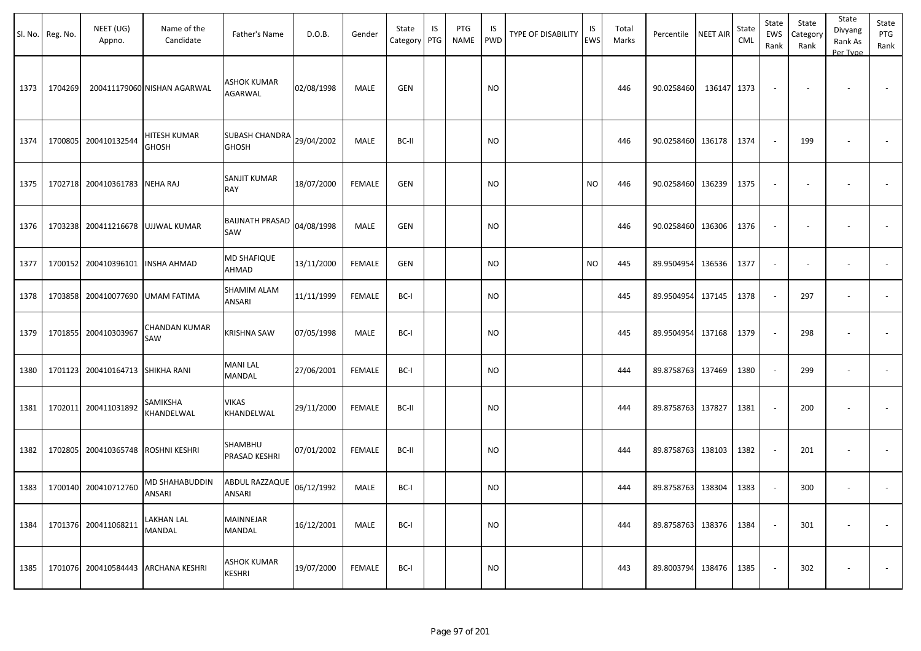|      | Sl. No. Reg. No. | NEET (UG)<br>Appno.  | Name of the<br>Candidate     | Father's Name                       | D.O.B.     | Gender        | State<br>Category | IS<br>PTG | PTG<br>NAME | IS<br><b>PWD</b> | TYPE OF DISABILITY | IS<br><b>EWS</b> | Total<br>Marks | Percentile        | <b>NEET AIR</b> | State<br><b>CML</b> | State<br>EWS<br>Rank     | State<br>Category<br>Rank | State<br>Divyang<br>Rank As<br>Per Type | State<br>PTG<br>Rank     |
|------|------------------|----------------------|------------------------------|-------------------------------------|------------|---------------|-------------------|-----------|-------------|------------------|--------------------|------------------|----------------|-------------------|-----------------|---------------------|--------------------------|---------------------------|-----------------------------------------|--------------------------|
| 1373 | 1704269          |                      | 200411179060 NISHAN AGARWAL  | ASHOK KUMAR<br>AGARWAL              | 02/08/1998 | MALE          | <b>GEN</b>        |           |             | <b>NO</b>        |                    |                  | 446            | 90.0258460        | 136147          | 1373                | $\overline{\phantom{a}}$ |                           |                                         |                          |
| 1374 | 1700805          | 200410132544         | HITESH KUMAR<br><b>GHOSH</b> | SUBASH CHANDRA<br><b>GHOSH</b>      | 29/04/2002 | MALE          | BC-II             |           |             | <b>NO</b>        |                    |                  | 446            | 90.0258460        | 136178          | 1374                | $\omega$                 | 199                       |                                         |                          |
| 1375 |                  | 1702718 200410361783 | <b>NEHA RAJ</b>              | SANJIT KUMAR<br>RAY                 | 18/07/2000 | <b>FEMALE</b> | <b>GEN</b>        |           |             | <b>NO</b>        |                    | <b>NO</b>        | 446            | 90.0258460        | 136239          | 1375                | $\overline{\phantom{a}}$ |                           |                                         |                          |
| 1376 |                  | 1703238 200411216678 | UJJWAL KUMAR                 | <b>BAIJNATH PRASAD</b><br>SAW       | 04/08/1998 | MALE          | <b>GEN</b>        |           |             | <b>NO</b>        |                    |                  | 446            | 90.0258460 136306 |                 | 1376                | $\blacksquare$           | $\sim$                    |                                         |                          |
| 1377 |                  | 1700152 200410396101 | <b>INSHA AHMAD</b>           | MD SHAFIQUE<br>AHMAD                | 13/11/2000 | <b>FEMALE</b> | GEN               |           |             | <b>NO</b>        |                    | <b>NO</b>        | 445            | 89.9504954        | 136536          | 1377                | $\blacksquare$           |                           |                                         |                          |
| 1378 |                  | 1703858 200410077690 | UMAM FATIMA                  | SHAMIM ALAM<br>ANSARI               | 11/11/1999 | <b>FEMALE</b> | BC-I              |           |             | NO.              |                    |                  | 445            | 89.9504954        | 137145          | 1378                | $\overline{\phantom{a}}$ | 297                       |                                         |                          |
| 1379 |                  | 1701855 200410303967 | CHANDAN KUMAR<br>SAW         | <b>KRISHNA SAW</b>                  | 07/05/1998 | MALE          | BC-I              |           |             | <b>NO</b>        |                    |                  | 445            | 89.9504954        | 137168          | 1379                | $\overline{\phantom{a}}$ | 298                       | $\overline{\phantom{a}}$                |                          |
| 1380 |                  | 1701123 200410164713 | SHIKHA RANI                  | <b>MANI LAL</b><br>MANDAL           | 27/06/2001 | <b>FEMALE</b> | BC-I              |           |             | <b>NO</b>        |                    |                  | 444            | 89.8758763 137469 |                 | 1380                | $\sim$                   | 299                       | $\overline{\phantom{a}}$                | $\sim$                   |
| 1381 |                  | 1702011 200411031892 | SAMIKSHA<br>KHANDELWAL       | VIKAS<br>KHANDELWAL                 | 29/11/2000 | <b>FEMALE</b> | BC-II             |           |             | <b>NO</b>        |                    |                  | 444            | 89.8758763 137827 |                 | 1381                | $\sim$                   | 200                       |                                         |                          |
| 1382 |                  | 1702805 200410365748 | ROSHNI KESHRI                | SHAMBHU<br>PRASAD KESHRI            | 07/01/2002 | <b>FEMALE</b> | BC-II             |           |             | <b>NO</b>        |                    |                  | 444            | 89.8758763 138103 |                 | 1382                | $\overline{\phantom{a}}$ | 201                       |                                         |                          |
| 1383 |                  | 1700140 200410712760 | MD SHAHABUDDIN<br>ANSARI     | ABDUL RAZZAQUE<br>ANSARI            | 06/12/1992 | MALE          | BC-I              |           |             | <b>NO</b>        |                    |                  | 444            | 89.8758763 138304 |                 | 1383                | $\overline{\phantom{a}}$ | 300                       |                                         |                          |
| 1384 |                  | 1701376 200411068211 | LAKHAN LAL<br>MANDAL         | <b>MAINNEJAR</b><br>MANDAL          | 16/12/2001 | MALE          | BC-I              |           |             | <b>NO</b>        |                    |                  | 444            | 89.8758763 138376 |                 | 1384                | $\omega$                 | 301                       |                                         | $\overline{\phantom{a}}$ |
| 1385 |                  | 1701076 200410584443 | <b>ARCHANA KESHRI</b>        | <b>ASHOK KUMAR</b><br><b>KESHRI</b> | 19/07/2000 | <b>FEMALE</b> | BC-I              |           |             | <b>NO</b>        |                    |                  | 443            | 89.8003794 138476 |                 | 1385                | $\sim$                   | 302                       |                                         | $\sim$                   |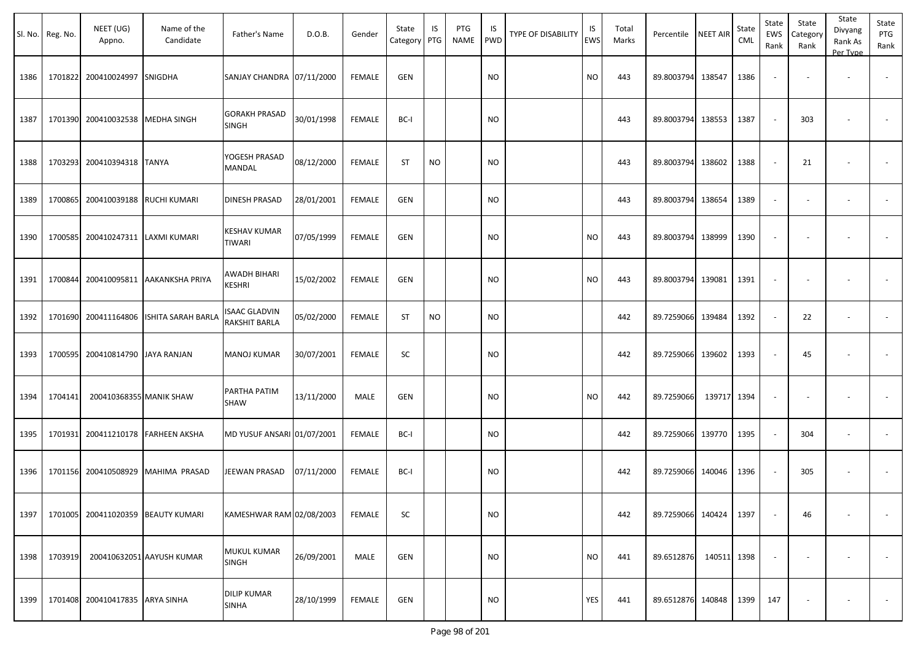|      | Sl. No. Reg. No. | NEET (UG)<br>Appno.             | Name of the<br>Candidate           | Father's Name                         | D.O.B.     | Gender        | State<br>Category PTG | IS        | PTG<br><b>NAME</b> | IS<br><b>PWD</b> | <b>TYPE OF DISABILITY</b> | IS<br>EWS | Total<br>Marks | Percentile NEET AIR |             | State<br>CML | State<br>EWS<br>Rank | State<br>Category<br>Rank | State<br>Divyang<br>Rank As<br>Per Type | State<br>PTG<br>Rank |
|------|------------------|---------------------------------|------------------------------------|---------------------------------------|------------|---------------|-----------------------|-----------|--------------------|------------------|---------------------------|-----------|----------------|---------------------|-------------|--------------|----------------------|---------------------------|-----------------------------------------|----------------------|
| 1386 | 1701822          | 200410024997 SNIGDHA            |                                    | SANJAY CHANDRA 07/11/2000             |            | <b>FEMALE</b> | <b>GEN</b>            |           |                    | <b>NO</b>        |                           | <b>NO</b> | 443            | 89.8003794 138547   |             | 1386         |                      |                           |                                         | $\sim$               |
| 1387 | 1701390          | 200410032538 MEDHA SINGH        |                                    | <b>GORAKH PRASAD</b><br><b>SINGH</b>  | 30/01/1998 | <b>FEMALE</b> | BC-I                  |           |                    | <b>NO</b>        |                           |           | 443            | 89.8003794 138553   |             | 1387         |                      | 303                       |                                         |                      |
| 1388 | 1703293          | 200410394318 TANYA              |                                    | YOGESH PRASAD<br>MANDAL               | 08/12/2000 | <b>FEMALE</b> | <b>ST</b>             | <b>NO</b> |                    | <b>NO</b>        |                           |           | 443            | 89.8003794 138602   |             | 1388         |                      | 21                        | $\overline{\phantom{a}}$                | $\sim$               |
| 1389 | 1700865          | 200410039188 RUCHI KUMARI       |                                    | <b>DINESH PRASAD</b>                  | 28/01/2001 | <b>FEMALE</b> | <b>GEN</b>            |           |                    | <b>NO</b>        |                           |           | 443            | 89.8003794          | 138654      | 1389         | $\sim$               |                           | $\overline{\phantom{a}}$                | $\sim$               |
| 1390 | 1700585          |                                 | 200410247311 LAXMI KUMARI          | KESHAV KUMAR<br>TIWARI                | 07/05/1999 | <b>FEMALE</b> | <b>GEN</b>            |           |                    | <b>NO</b>        |                           | <b>NO</b> | 443            | 89.8003794          | 138999      | 1390         |                      |                           |                                         |                      |
| 1391 | 1700844          |                                 | 200410095811 AAKANKSHA PRIYA       | AWADH BIHARI<br><b>KESHRI</b>         | 15/02/2002 | <b>FEMALE</b> | <b>GEN</b>            |           |                    | <b>NO</b>        |                           | <b>NO</b> | 443            | 89.8003794          | 139081      | 1391         |                      |                           |                                         |                      |
| 1392 | 1701690          |                                 | 200411164806 ISHITA SARAH BARLA    | <b>ISAAC GLADVIN</b><br>RAKSHIT BARLA | 05/02/2000 | <b>FEMALE</b> | <b>ST</b>             | <b>NO</b> |                    | <b>NO</b>        |                           |           | 442            | 89.7259066          | 139484      | 1392         |                      | 22                        | $\overline{\phantom{a}}$                | $\sim$               |
| 1393 | 1700595          | 200410814790 JAYA RANJAN        |                                    | <b>MANOJ KUMAR</b>                    | 30/07/2001 | <b>FEMALE</b> | SC                    |           |                    | <b>NO</b>        |                           |           | 442            | 89.7259066          | 139602      | 1393         |                      | 45                        |                                         |                      |
| 1394 | 1704141          | 200410368355 MANIK SHAW         |                                    | PARTHA PATIM<br>SHAW                  | 13/11/2000 | MALE          | <b>GEN</b>            |           |                    | <b>NO</b>        |                           | <b>NO</b> | 442            | 89.7259066          | 139717      | 1394         |                      |                           |                                         |                      |
| 1395 | 1701931          |                                 | 200411210178 FARHEEN AKSHA         | MD YUSUF ANSARI 01/07/2001            |            | <b>FEMALE</b> | BC-I                  |           |                    | <b>NO</b>        |                           |           | 442            | 89.7259066          | 139770      | 1395         |                      | 304                       |                                         |                      |
| 1396 | 1701156          |                                 | 200410508929 MAHIMA PRASAD         | JEEWAN PRASAD                         | 07/11/2000 | <b>FEMALE</b> | BC-I                  |           |                    | <b>NO</b>        |                           |           | 442            | 89.7259066          | 140046      | 1396         |                      | 305                       | $\overline{\phantom{a}}$                |                      |
| 1397 |                  |                                 | 1701005 200411020359 BEAUTY KUMARI | KAMESHWAR RAM 02/08/2003              |            | <b>FEMALE</b> | ${\sf SC}$            |           |                    | <b>NO</b>        |                           |           | 442            | 89.7259066 140424   |             | 1397         |                      | 46                        |                                         |                      |
| 1398 | 1703919          |                                 | 200410632051 AAYUSH KUMAR          | MUKUL KUMAR<br>SINGH                  | 26/09/2001 | MALE          | GEN                   |           |                    | <b>NO</b>        |                           | $\rm NO$  | 441            | 89.6512876          | 140511 1398 |              |                      |                           | $\overline{\phantom{a}}$                | $\sim$               |
| 1399 |                  | 1701408 200410417835 ARYA SINHA |                                    | <b>DILIP KUMAR</b><br><b>SINHA</b>    | 28/10/1999 | FEMALE        | GEN                   |           |                    | <b>NO</b>        |                           | YES       | 441            | 89.6512876 140848   |             | 1399         | 147                  |                           | $\overline{\phantom{a}}$                | $\sim$               |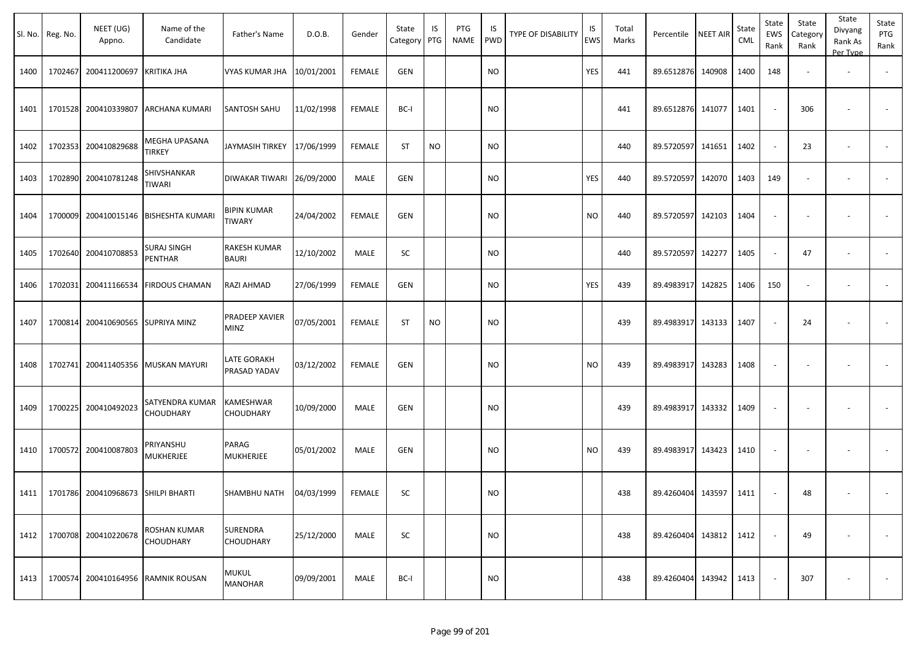|      | Sl. No. Reg. No. | NEET (UG)<br>Appno.                       | Name of the<br>Candidate              | Father's Name                       | D.O.B.     | Gender        | State<br>Category | IS<br>PTG | PTG<br>NAME | IS.<br>PWD | TYPE OF DISABILITY | IS<br>EWS | Total<br>Marks | Percentile        | <b>NEET AIR</b> | State<br><b>CML</b> | State<br>EWS<br>Rank     | State<br>Category<br>Rank | State<br>Divyang<br>Rank As<br>Per Type | State<br>PTG<br>Rank     |
|------|------------------|-------------------------------------------|---------------------------------------|-------------------------------------|------------|---------------|-------------------|-----------|-------------|------------|--------------------|-----------|----------------|-------------------|-----------------|---------------------|--------------------------|---------------------------|-----------------------------------------|--------------------------|
| 1400 |                  | 1702467 200411200697                      | <b>KRITIKA JHA</b>                    | VYAS KUMAR JHA                      | 10/01/2001 | <b>FEMALE</b> | <b>GEN</b>        |           |             | <b>NO</b>  |                    | YES       | 441            | 89.6512876        | 140908          | 1400                | 148                      | $\blacksquare$            | $\overline{\phantom{a}}$                |                          |
| 1401 |                  | 1701528 200410339807                      | ARCHANA KUMARI                        | <b>SANTOSH SAHU</b>                 | 11/02/1998 | <b>FEMALE</b> | BC-I              |           |             | NO         |                    |           | 441            | 89.6512876        | 141077          | 1401                | $\sim$                   | 306                       |                                         |                          |
| 1402 |                  | 1702353 200410829688                      | MEGHA UPASANA<br>TIRKEY               | JAYMASIH TIRKEY                     | 17/06/1999 | <b>FEMALE</b> | <b>ST</b>         | <b>NO</b> |             | <b>NO</b>  |                    |           | 440            | 89.5720597        | 141651          | 1402                | $\sim$                   | 23                        | $\overline{\phantom{a}}$                | $\overline{\phantom{a}}$ |
| 1403 |                  | 1702890 200410781248                      | SHIVSHANKAR<br>TIWARI                 | DIWAKAR TIWARI 26/09/2000           |            | MALE          | <b>GEN</b>        |           |             | <b>NO</b>  |                    | YES       | 440            | 89.5720597        | 142070          | 1403                | 149                      | $\blacksquare$            |                                         |                          |
| 1404 |                  |                                           | 1700009 200410015146 BISHESHTA KUMARI | BIPIN KUMAR<br><b>TIWARY</b>        | 24/04/2002 | <b>FEMALE</b> | <b>GEN</b>        |           |             | <b>NO</b>  |                    | NO.       | 440            | 89.5720597        | 142103          | 1404                | $\overline{\phantom{a}}$ | $\overline{\phantom{a}}$  | $\overline{\phantom{a}}$                |                          |
| 1405 |                  | 1702640 200410708853                      | <b>SURAJ SINGH</b><br>PENTHAR         | <b>RAKESH KUMAR</b><br><b>BAURI</b> | 12/10/2002 | MALE          | SC                |           |             | NO         |                    |           | 440            | 89.5720597        | 142277          | 1405                | $\sim$                   | 47                        | $\overline{\phantom{a}}$                | $\sim$                   |
| 1406 |                  | 1702031 200411166534                      | <b>FIRDOUS CHAMAN</b>                 | RAZI AHMAD                          | 27/06/1999 | FEMALE        | <b>GEN</b>        |           |             | <b>NO</b>  |                    | YES       | 439            | 89.4983917        | 142825          | 1406                | 150                      | $\sim$                    | $\overline{\phantom{a}}$                |                          |
| 1407 |                  | 1700814 200410690565                      | <b>SUPRIYA MINZ</b>                   | PRADEEP XAVIER<br>MINZ              | 07/05/2001 | <b>FEMALE</b> | <b>ST</b>         | <b>NO</b> |             | <b>NO</b>  |                    |           | 439            | 89.4983917        | 143133          | 1407                | $\blacksquare$           | 24                        |                                         |                          |
| 1408 |                  | 1702741 200411405356                      | <b>MUSKAN MAYURI</b>                  | LATE GORAKH<br>PRASAD YADAV         | 03/12/2002 | <b>FEMALE</b> | <b>GEN</b>        |           |             | NO.        |                    | NO.       | 439            | 89.4983917        | 143283          | 1408                | $\overline{\phantom{a}}$ |                           |                                         |                          |
| 1409 |                  | 1700225 200410492023                      | SATYENDRA KUMAR<br>CHOUDHARY          | KAMESHWAR<br>CHOUDHARY              | 10/09/2000 | MALE          | <b>GEN</b>        |           |             | NO.        |                    |           | 439            | 89.4983917        | 143332          | 1409                | $\overline{\phantom{a}}$ |                           |                                         |                          |
| 1410 |                  | 1700572 200410087803                      | PRIYANSHU<br>MUKHERJEE                | PARAG<br>MUKHERJEE                  | 05/01/2002 | MALE          | <b>GEN</b>        |           |             | NO         |                    | NO        | 439            | 89.4983917        | 143423          | 1410                | $\overline{\phantom{a}}$ | $\overline{\phantom{a}}$  | $\overline{\phantom{a}}$                |                          |
|      |                  | 1411   1701786 200410968673 SHILPI BHARTI |                                       | SHAMBHU NATH                        | 04/03/1999 | FEMALE        | SC                |           |             | <b>NO</b>  |                    |           | 438            | 89.4260404 143597 |                 | 1411                | $\sim$                   | 48                        |                                         |                          |
| 1412 |                  | 1700708 200410220678                      | ROSHAN KUMAR<br><b>CHOUDHARY</b>      | <b>SURENDRA</b><br><b>CHOUDHARY</b> | 25/12/2000 | MALE          | SC                |           |             | <b>NO</b>  |                    |           | 438            | 89.4260404        | 143812          | 1412                | $\sim$                   | 49                        | $\overline{\phantom{a}}$                | $\sim$                   |
| 1413 |                  | 1700574 200410164956                      | <b>RAMNIK ROUSAN</b>                  | MUKUL<br><b>MANOHAR</b>             | 09/09/2001 | MALE          | BC-I              |           |             | <b>NO</b>  |                    |           | 438            | 89.4260404        | 143942          | 1413                | $\blacksquare$           | 307                       |                                         | $\sim$                   |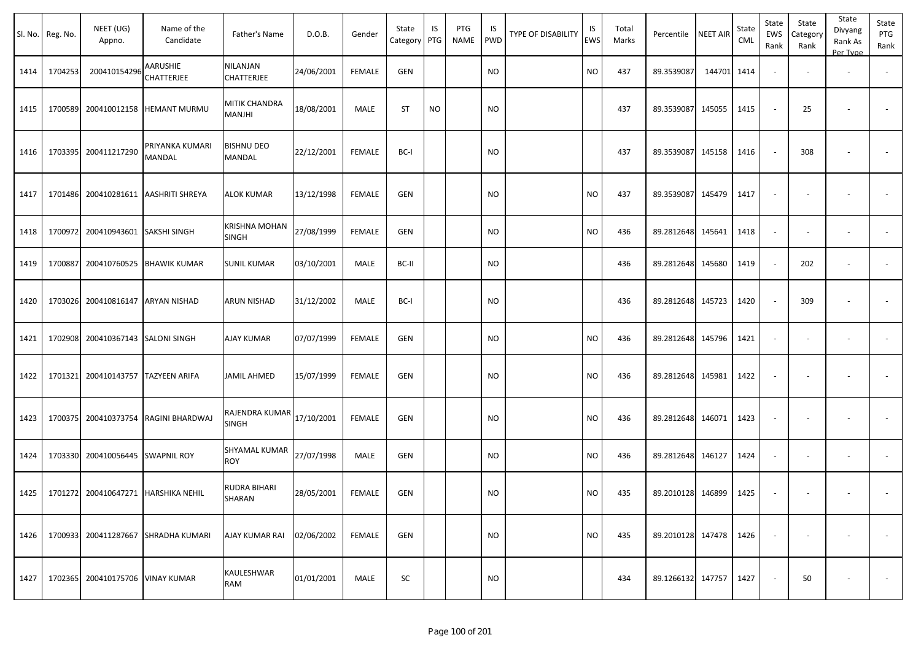|      | Sl. No. Reg. No. | NEET (UG)<br>Appno.               | Name of the<br>Candidate             | Father's Name                  | D.O.B.     | Gender        | State<br>Category | IS<br>PTG | PTG<br>NAME | IS.<br>PWD | TYPE OF DISABILITY | IS<br>EWS | Total<br>Marks | Percentile        | <b>NEET AIR</b> | State<br><b>CML</b> | State<br>EWS<br>Rank     | State<br>Category<br>Rank | State<br>Divyang<br>Rank As<br>Per Type | State<br>PTG<br>Rank |
|------|------------------|-----------------------------------|--------------------------------------|--------------------------------|------------|---------------|-------------------|-----------|-------------|------------|--------------------|-----------|----------------|-------------------|-----------------|---------------------|--------------------------|---------------------------|-----------------------------------------|----------------------|
| 1414 | 1704253          | 200410154296                      | AARUSHIE<br>CHATTERJEE               | NILANJAN<br><b>CHATTERJEE</b>  | 24/06/2001 | <b>FEMALE</b> | <b>GEN</b>        |           |             | <b>NO</b>  |                    | NO.       | 437            | 89.3539087        | 144701 1414     |                     | $\sim$                   |                           | $\overline{\phantom{a}}$                |                      |
| 1415 |                  | 1700589 200410012158              | <b>HEMANT MURMU</b>                  | MITIK CHANDRA<br>MANJHI        | 18/08/2001 | MALE          | <b>ST</b>         | <b>NO</b> |             | NO         |                    |           | 437            | 89.3539087        | 145055          | 1415                | $\sim$                   | 25                        |                                         | $\sim$               |
| 1416 |                  | 1703395 200411217290              | PRIYANKA KUMARI<br>MANDAL            | <b>BISHNU DEO</b><br>MANDAL    | 22/12/2001 | <b>FEMALE</b> | BC-I              |           |             | <b>NO</b>  |                    |           | 437            | 89.3539087        | 145158          | 1416                | $\overline{\phantom{a}}$ | 308                       |                                         |                      |
| 1417 |                  | 1701486 200410281611              | <b>AASHRITI SHREYA</b>               | <b>ALOK KUMAR</b>              | 13/12/1998 | <b>FEMALE</b> | <b>GEN</b>        |           |             | NO.        |                    | <b>NO</b> | 437            | 89.3539087        | 145479          | 1417                | $\overline{\phantom{a}}$ |                           |                                         |                      |
| 1418 |                  | 1700972 200410943601 SAKSHI SINGH |                                      | <b>KRISHNA MOHAN</b><br>SINGH  | 27/08/1999 | <b>FEMALE</b> | <b>GEN</b>        |           |             | <b>NO</b>  |                    | NO.       | 436            | 89.2812648        | 145641          | 1418                | $\overline{\phantom{a}}$ | $\overline{\phantom{a}}$  |                                         | $\sim$               |
| 1419 | 1700887          | 200410760525                      | <b>BHAWIK KUMAR</b>                  | <b>SUNIL KUMAR</b>             | 03/10/2001 | MALE          | BC-II             |           |             | <b>NO</b>  |                    |           | 436            | 89.2812648        | 145680          | 1419                | $\sim$                   | 202                       |                                         |                      |
| 1420 |                  | 1703026 200410816147 ARYAN NISHAD |                                      | <b>ARUN NISHAD</b>             | 31/12/2002 | MALE          | BC-I              |           |             | <b>NO</b>  |                    |           | 436            | 89.2812648        | 145723          | 1420                | $\sim$                   | 309                       |                                         |                      |
| 1421 |                  | 1702908 200410367143              | <b>SALONI SINGH</b>                  | <b>AJAY KUMAR</b>              | 07/07/1999 | <b>FEMALE</b> | <b>GEN</b>        |           |             | NO         |                    | NO        | 436            | 89.2812648        | 145796          | 1421                | $\blacksquare$           | $\overline{\phantom{a}}$  | $\overline{\phantom{a}}$                | $\blacksquare$       |
| 1422 |                  | 1701321 200410143757              | TAZYEEN ARIFA                        | <b>JAMIL AHMED</b>             | 15/07/1999 | FEMALE        | GEN               |           |             | NO         |                    | <b>NO</b> | 436            | 89.2812648        | 145981          | 1422                | $\overline{\phantom{a}}$ |                           |                                         |                      |
| 1423 |                  |                                   | 1700375 200410373754 RAGINI BHARDWAJ | RAJENDRA KUMAR<br><b>SINGH</b> | 17/10/2001 | FEMALE        | <b>GEN</b>        |           |             | NO         |                    | NO        | 436            | 89.2812648        | 146071          | 1423                | $\overline{\phantom{a}}$ |                           |                                         |                      |
| 1424 |                  | 1703330 200410056445              | <b>SWAPNIL ROY</b>                   | SHYAMAL KUMAR<br>ROY           | 27/07/1998 | MALE          | <b>GEN</b>        |           |             | NO         |                    | NO        | 436            | 89.2812648        | 146127          | 1424                | $\sim$                   | $\sim$                    | $\overline{\phantom{a}}$                | $\sim$               |
| 1425 |                  |                                   | 1701272 200410647271 HARSHIKA NEHIL  | RUDRA BIHARI<br><b>SHARAN</b>  | 28/05/2001 | FEMALE        | <b>GEN</b>        |           |             | <b>NO</b>  |                    | <b>NO</b> | 435            | 89.2010128 146899 |                 | 1425                | $\overline{\phantom{a}}$ | $\overline{\phantom{a}}$  |                                         |                      |
| 1426 |                  |                                   | 1700933 200411287667 SHRADHA KUMARI  | AJAY KUMAR RAI                 | 02/06/2002 | FEMALE        | <b>GEN</b>        |           |             | <b>NO</b>  |                    | <b>NO</b> | 435            | 89.2010128 147478 |                 | 1426                | $\sim$                   | $\overline{\phantom{a}}$  | $\overline{\phantom{a}}$                | $\sim$               |
| 1427 |                  | 1702365 200410175706 VINAY KUMAR  |                                      | KAULESHWAR<br><b>RAM</b>       | 01/01/2001 | MALE          | SC                |           |             | $\sf NO$   |                    |           | 434            | 89.1266132 147757 |                 | 1427                | $\sim$                   | 50                        |                                         | $\sim$               |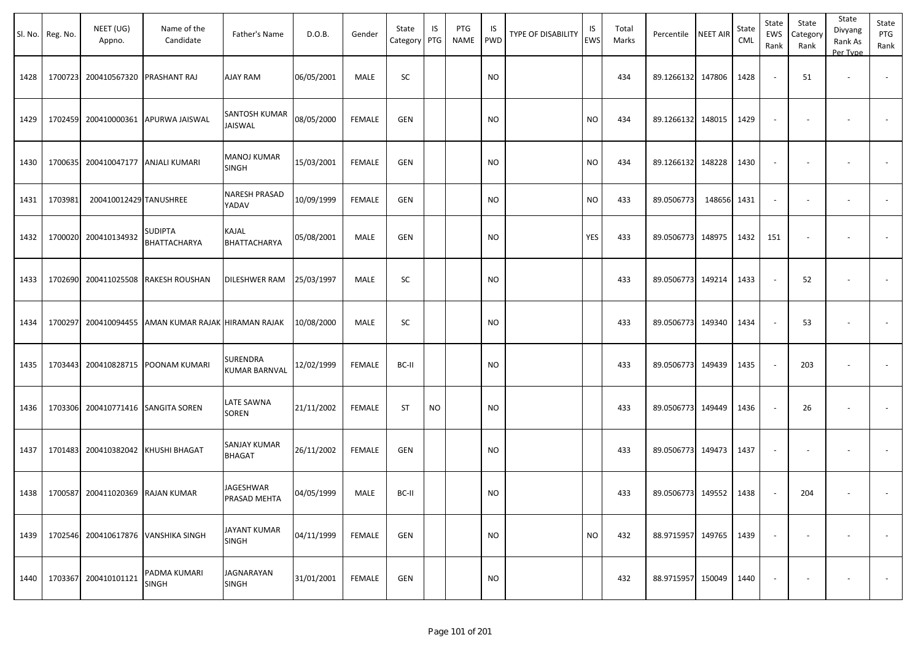|      | Sl. No. Reg. No. | NEET (UG)<br>Appno.                     | Name of the<br>Candidate            | Father's Name                    | D.O.B.     | Gender        | State<br>Category | IS<br>PTG | PTG<br>NAME | IS<br>PWD | TYPE OF DISABILITY | IS<br><b>EWS</b> | Total<br>Marks | Percentile        | <b>NEET AIR</b> | State<br><b>CML</b> | State<br>EWS<br>Rank     | State<br>Category<br>Rank | State<br>Divyang<br>Rank As<br>Per Type | State<br>PTG<br>Rank |
|------|------------------|-----------------------------------------|-------------------------------------|----------------------------------|------------|---------------|-------------------|-----------|-------------|-----------|--------------------|------------------|----------------|-------------------|-----------------|---------------------|--------------------------|---------------------------|-----------------------------------------|----------------------|
| 1428 |                  | 1700723 200410567320                    | PRASHANT RAJ                        | <b>AJAY RAM</b>                  | 06/05/2001 | MALE          | SC                |           |             | <b>NO</b> |                    |                  | 434            | 89.1266132        | 147806          | 1428                | $\overline{\phantom{a}}$ | 51                        | $\overline{\phantom{a}}$                |                      |
| 1429 |                  |                                         | 1702459 200410000361 APURWA JAISWAL | SANTOSH KUMAR<br><b>JAISWAL</b>  | 08/05/2000 | <b>FEMALE</b> | <b>GEN</b>        |           |             | <b>NO</b> |                    | <b>NO</b>        | 434            | 89.1266132        | 148015          | 1429                | $\overline{\phantom{a}}$ |                           |                                         |                      |
| 1430 |                  | 1700635 200410047177 ANJALI KUMARI      |                                     | <b>MANOJ KUMAR</b><br>SINGH      | 15/03/2001 | FEMALE        | GEN               |           |             | <b>NO</b> |                    | <b>NO</b>        | 434            | 89.1266132 148228 |                 | 1430                | $\overline{\phantom{a}}$ |                           |                                         |                      |
| 1431 | 1703981          | 200410012429 TANUSHREE                  |                                     | <b>NARESH PRASAD</b><br>YADAV    | 10/09/1999 | <b>FEMALE</b> | GEN               |           |             | <b>NO</b> |                    | <b>NO</b>        | 433            | 89.0506773        | 148656          | 1431                | $\sim$                   | $\blacksquare$            | $\overline{\phantom{a}}$                |                      |
| 1432 |                  | 1700020 200410134932                    | SUDIPTA<br>BHATTACHARYA             | KAJAL<br>BHATTACHARYA            | 05/08/2001 | MALE          | <b>GEN</b>        |           |             | <b>NO</b> |                    | YES              | 433            | 89.0506773 148975 |                 | 1432                | 151                      |                           |                                         |                      |
| 1433 |                  | 1702690 200411025508                    | <b>RAKESH ROUSHAN</b>               | DILESHWER RAM                    | 25/03/1997 | MALE          | SC                |           |             | <b>NO</b> |                    |                  | 433            | 89.0506773 149214 |                 | 1433                | $\sim$                   | 52                        |                                         |                      |
| 1434 | 1700297          | 200410094455                            | AMAN KUMAR RAJAK HIRAMAN RAJAK      |                                  | 10/08/2000 | MALE          | SC                |           |             | <b>NO</b> |                    |                  | 433            | 89.0506773 149340 |                 | 1434                |                          | 53                        |                                         |                      |
| 1435 |                  | 1703443 200410828715                    | <b>POONAM KUMARI</b>                | SURENDRA<br><b>KUMAR BARNVAL</b> | 12/02/1999 | <b>FEMALE</b> | BC-II             |           |             | <b>NO</b> |                    |                  | 433            | 89.0506773        | 149439          | 1435                | $\sim$                   | 203                       |                                         |                      |
| 1436 |                  | 1703306 200410771416 SANGITA SOREN      |                                     | LATE SAWNA<br><b>SOREN</b>       | 21/11/2002 | <b>FEMALE</b> | ST                | <b>NO</b> |             | <b>NO</b> |                    |                  | 433            | 89.0506773 149449 |                 | 1436                | $\sim$                   | 26                        |                                         |                      |
| 1437 |                  | 1701483 200410382042 KHUSHI BHAGAT      |                                     | SANJAY KUMAR<br><b>BHAGAT</b>    | 26/11/2002 | <b>FEMALE</b> | <b>GEN</b>        |           |             | <b>NO</b> |                    |                  | 433            | 89.0506773 149473 |                 | 1437                | $\blacksquare$           |                           |                                         |                      |
|      |                  | 1438   1700587 200411020369 RAJAN KUMAR |                                     | JAGESHWAR<br>PRASAD MEHTA        | 04/05/1999 | MALE          | BC-II             |           |             | <b>NO</b> |                    |                  | 433            | 89.0506773 149552 |                 | 1438                | $\sim$                   | 204                       | $\overline{\phantom{a}}$                |                      |
| 1439 |                  | 1702546 200410617876                    | <b>VANSHIKA SINGH</b>               | JAYANT KUMAR<br><b>SINGH</b>     | 04/11/1999 | <b>FEMALE</b> | GEN               |           |             | <b>NO</b> |                    | <b>NO</b>        | 432            | 88.9715957 149765 |                 | 1439                | $\sim$                   | $\overline{\phantom{a}}$  |                                         | $\sim$               |
| 1440 |                  | 1703367 200410101121                    | PADMA KUMARI<br>SINGH               | JAGNARAYAN<br>SINGH              | 31/01/2001 | FEMALE        | GEN               |           |             | <b>NO</b> |                    |                  | 432            | 88.9715957 150049 |                 | 1440                |                          |                           |                                         | $\sim$               |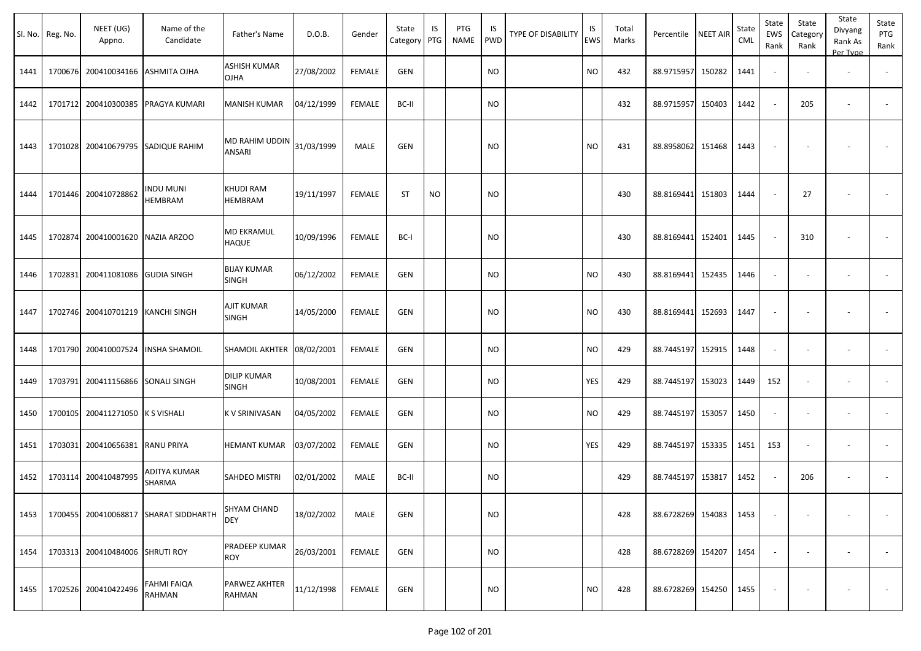|      | Sl. No.   Reg. No. | NEET (UG)<br>Appno.       | Name of the<br>Candidate            | Father's Name                                | D.O.B.     | Gender        | State<br>Category | IS<br>PTG | PTG<br><b>NAME</b> | IS<br><b>PWD</b> | <b>TYPE OF DISABILITY</b> | IS<br><b>EWS</b> | Total<br>Marks | Percentile        | <b>NEET AIR</b> | State<br><b>CML</b> | State<br><b>EWS</b><br>Rank | State<br>Category<br>Rank | State<br>Divyang<br>Rank As<br>Per Type | State<br>PTG<br>Rank     |
|------|--------------------|---------------------------|-------------------------------------|----------------------------------------------|------------|---------------|-------------------|-----------|--------------------|------------------|---------------------------|------------------|----------------|-------------------|-----------------|---------------------|-----------------------------|---------------------------|-----------------------------------------|--------------------------|
| 1441 | 1700676            |                           | 200410034166 ASHMITA OJHA           | ASHISH KUMAR<br>OJHA                         | 27/08/2002 | <b>FEMALE</b> | <b>GEN</b>        |           |                    | <b>NO</b>        |                           | <b>NO</b>        | 432            | 88.9715957        | 150282          | 1441                |                             |                           | ٠                                       |                          |
| 1442 | 1701712            |                           | 200410300385 PRAGYA KUMARI          | MANISH KUMAR                                 | 04/12/1999 | <b>FEMALE</b> | BC-II             |           |                    | <b>NO</b>        |                           |                  | 432            | 88.9715957        | 150403          | 1442                |                             | 205                       | $\blacksquare$                          |                          |
| 1443 | 1701028            |                           | 200410679795 SADIQUE RAHIM          | IMD RAHIM UDDIN $\Big  31/03/1999$<br>ANSARI |            | MALE          | <b>GEN</b>        |           |                    | <b>NO</b>        |                           | <b>NO</b>        | 431            | 88.8958062 151468 |                 | 1443                | $\overline{\phantom{a}}$    | $\overline{\phantom{a}}$  |                                         |                          |
| 1444 | 1701446            | 200410728862              | <b>INDU MUNI</b><br>HEMBRAM         | <b>KHUDI RAM</b><br>HEMBRAM                  | 19/11/1997 | FEMALE        | ST                | <b>NO</b> |                    | <b>NO</b>        |                           |                  | 430            | 88.8169441        | 151803          | 1444                |                             | 27                        | $\overline{\phantom{a}}$                |                          |
| 1445 | 1702874            | 200410001620 NAZIA ARZOO  |                                     | <b>MD EKRAMUL</b><br><b>HAQUE</b>            | 10/09/1996 | <b>FEMALE</b> | BC-I              |           |                    | NO               |                           |                  | 430            | 88.8169441        | 152401          | 1445                |                             | 310                       |                                         |                          |
| 1446 | 1702831            | 200411081086 GUDIA SINGH  |                                     | <b>BIJAY KUMAR</b><br>SINGH                  | 06/12/2002 | <b>FEMALE</b> | <b>GEN</b>        |           |                    | <b>NO</b>        |                           | <b>NO</b>        | 430            | 88.8169441        | 152435          | 1446                |                             |                           | $\overline{\phantom{a}}$                |                          |
| 1447 | 1702746            | 200410701219 KANCHI SINGH |                                     | AJIT KUMAR<br><b>SINGH</b>                   | 14/05/2000 | <b>FEMALE</b> | <b>GEN</b>        |           |                    | <b>NO</b>        |                           | <b>NO</b>        | 430            | 88.8169441        | 152693          | 1447                |                             |                           |                                         |                          |
| 1448 | 1701790            |                           | 200410007524  INSHA SHAMOIL         | SHAMOIL AKHTER 08/02/2001                    |            | <b>FEMALE</b> | <b>GEN</b>        |           |                    | <b>NO</b>        |                           | <b>NO</b>        | 429            | 88.7445197        | 152915          | 1448                | $\overline{\phantom{a}}$    |                           | $\blacksquare$                          | $\overline{\phantom{a}}$ |
| 1449 | 1703791            | 200411156866 SONALI SINGH |                                     | <b>DILIP KUMAR</b><br>SINGH                  | 10/08/2001 | <b>FEMALE</b> | GEN               |           |                    | NO.              |                           | YES              | 429            | 88.7445197        | 153023          | 1449                | 152                         |                           |                                         |                          |
| 1450 | 1700105            | 200411271050 K S VISHALI  |                                     | K V SRINIVASAN                               | 04/05/2002 | <b>FEMALE</b> | <b>GEN</b>        |           |                    | <b>NO</b>        |                           | <b>NO</b>        | 429            | 88.7445197        | 153057          | 1450                | $\overline{\phantom{a}}$    |                           |                                         |                          |
| 1451 | 1703031            | 200410656381 RANU PRIYA   |                                     | <b>HEMANT KUMAR</b>                          | 03/07/2002 | <b>FEMALE</b> | GEN               |           |                    | NO.              |                           | YES              | 429            | 88.7445197        | 153335          | 1451                | 153                         | $\overline{\phantom{a}}$  | $\overline{\phantom{a}}$                |                          |
| 1452 |                    | 1703114 200410487995      | ADITYA KUMAR<br>SHARMA              | SAHDEO MISTRI                                | 02/01/2002 | MALE          | BC-II             |           |                    | <b>NO</b>        |                           |                  | 429            | 88.7445197 153817 |                 | 1452                |                             | 206                       | $\overline{\phantom{a}}$                |                          |
| 1453 | 1700455            |                           | 200410068817 SHARAT SIDDHARTH       | <b>SHYAM CHAND</b><br><b>DEY</b>             | 18/02/2002 | MALE          | <b>GEN</b>        |           |                    | <b>NO</b>        |                           |                  | 428            | 88.6728269 154083 |                 | 1453                |                             |                           |                                         |                          |
| 1454 | 1703313            | 200410484006 SHRUTI ROY   |                                     | PRADEEP KUMAR<br><b>ROY</b>                  | 26/03/2001 | <b>FEMALE</b> | <b>GEN</b>        |           |                    | <b>NO</b>        |                           |                  | 428            | 88.6728269 154207 |                 | 1454                | $\sim$                      |                           |                                         | $\sim$                   |
| 1455 |                    | 1702526 200410422496      | <b>FAHMI FAIQA</b><br><b>RAHMAN</b> | PARWEZ AKHTER<br>RAHMAN                      | 11/12/1998 | <b>FEMALE</b> | <b>GEN</b>        |           |                    | <b>NO</b>        |                           | <b>NO</b>        | 428            | 88.6728269 154250 |                 | 1455                |                             |                           |                                         | $\sim$                   |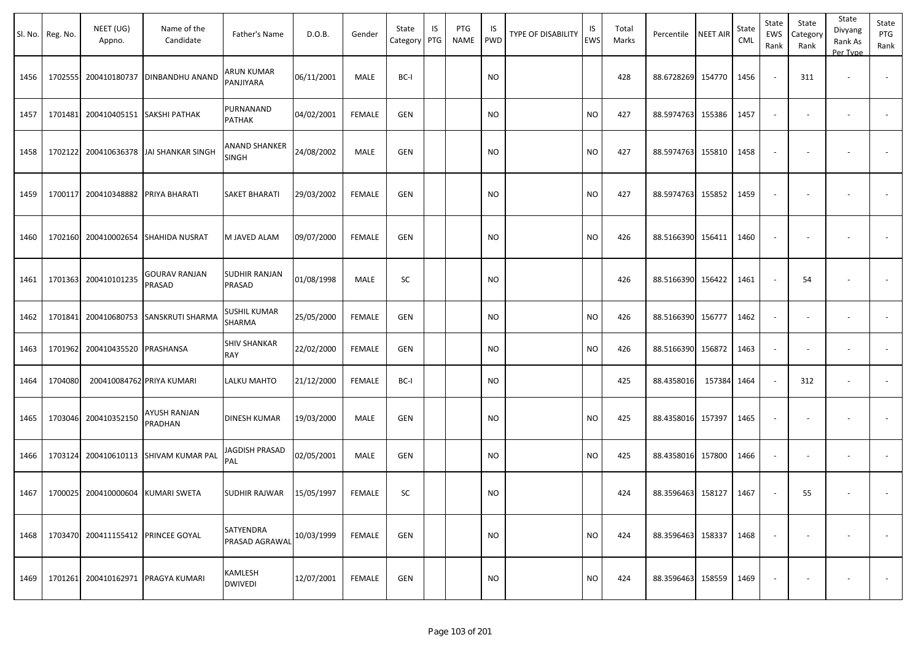|      | Sl. No. Reg. No. | NEET (UG)<br>Appno.               | Name of the<br>Candidate              | Father's Name                 | D.O.B.     | Gender        | State<br>Category | IS<br>PTG | PTG<br><b>NAME</b> | IS<br><b>PWD</b> | TYPE OF DISABILITY | IS<br><b>EWS</b> | Total<br>Marks | Percentile        | <b>NEET AIR</b> | State<br><b>CML</b> | State<br>EWS<br>Rank     | State<br>Category<br>Rank | State<br>Divyang<br>Rank As<br>Per Type | State<br>PTG<br>Rank     |
|------|------------------|-----------------------------------|---------------------------------------|-------------------------------|------------|---------------|-------------------|-----------|--------------------|------------------|--------------------|------------------|----------------|-------------------|-----------------|---------------------|--------------------------|---------------------------|-----------------------------------------|--------------------------|
| 1456 | 1702555          |                                   | 200410180737 DINBANDHU ANAND          | ARUN KUMAR<br>PANJIYARA       | 06/11/2001 | MALE          | BC-I              |           |                    | NO.              |                    |                  | 428            | 88.6728269        | 154770          | 1456                |                          | 311                       | $\overline{\phantom{a}}$                | $\overline{\phantom{a}}$ |
| 1457 | 1701481          |                                   | 200410405151 SAKSHI PATHAK            | PURNANAND<br>PATHAK           | 04/02/2001 | <b>FEMALE</b> | <b>GEN</b>        |           |                    | NO.              |                    | <b>NO</b>        | 427            | 88.5974763        | 155386          | 1457                | $\sim$                   | $\overline{\phantom{a}}$  | $\overline{\phantom{a}}$                |                          |
| 1458 | 1702122          |                                   | 200410636378 JAI SHANKAR SINGH        | ANAND SHANKER<br><b>SINGH</b> | 24/08/2002 | MALE          | <b>GEN</b>        |           |                    | <b>NO</b>        |                    | <b>NO</b>        | 427            | 88.5974763        | 155810          | 1458                |                          |                           |                                         |                          |
| 1459 | 1700117          | 200410348882 PRIYA BHARATI        |                                       | <b>SAKET BHARATI</b>          | 29/03/2002 | <b>FEMALE</b> | <b>GEN</b>        |           |                    | <b>NO</b>        |                    | <b>NO</b>        | 427            | 88.5974763        | 155852          | 1459                |                          |                           |                                         |                          |
| 1460 | 1702160          |                                   | 200410002654 SHAHIDA NUSRAT           | M JAVED ALAM                  | 09/07/2000 | <b>FEMALE</b> | <b>GEN</b>        |           |                    | NO.              |                    | <b>NO</b>        | 426            | 88.5166390        | 156411          | 1460                |                          |                           |                                         |                          |
| 1461 |                  | 1701363 200410101235              | <b>GOURAV RANJAN</b><br>PRASAD        | SUDHIR RANJAN<br>PRASAD       | 01/08/1998 | MALE          | <b>SC</b>         |           |                    | <b>NO</b>        |                    |                  | 426            | 88.5166390        | 156422          | 1461                |                          | 54                        |                                         |                          |
| 1462 | 1701841          |                                   | 200410680753 SANSKRUTI SHARMA         | SUSHIL KUMAR<br>SHARMA        | 25/05/2000 | <b>FEMALE</b> | <b>GEN</b>        |           |                    | <b>NO</b>        |                    | <b>NO</b>        | 426            | 88.5166390        | 156777          | 1462                | $\overline{\phantom{a}}$ |                           |                                         |                          |
| 1463 | 1701962          | 200410435520 PRASHANSA            |                                       | <b>SHIV SHANKAR</b><br>RAY    | 22/02/2000 | <b>FEMALE</b> | <b>GEN</b>        |           |                    | NO.              |                    | <b>NO</b>        | 426            | 88.5166390        | 156872          | 1463                |                          |                           |                                         |                          |
| 1464 | 1704080          |                                   | 200410084762 PRIYA KUMARI             | LALKU MAHTO                   | 21/12/2000 | <b>FEMALE</b> | BC-I              |           |                    | <b>NO</b>        |                    |                  | 425            | 88.4358016        | 157384          | 1464                |                          | 312                       |                                         |                          |
| 1465 |                  | 1703046 200410352150              | <b>AYUSH RANJAN</b><br>PRADHAN        | DINESH KUMAR                  | 19/03/2000 | MALE          | GEN               |           |                    | NO               |                    | NO               | 425            | 88.4358016        | 157397          | 1465                |                          |                           |                                         |                          |
| 1466 |                  |                                   | 1703124 200410610113 SHIVAM KUMAR PAL | JAGDISH PRASAD<br>PAL         | 02/05/2001 | MALE          | GEN               |           |                    | <b>NO</b>        |                    | <b>NO</b>        | 425            | 88.4358016        | 157800          | 1466                | $\overline{\phantom{a}}$ | $\overline{\phantom{a}}$  | $\overline{\phantom{a}}$                |                          |
| 1467 |                  | 1700025 200410000604 KUMARI SWETA |                                       | SUDHIR RAJWAR                 | 15/05/1997 | <b>FEMALE</b> | SC                |           |                    | <b>NO</b>        |                    |                  | 424            | 88.3596463 158127 |                 | 1467                |                          | 55                        |                                         |                          |
| 1468 | 1703470          |                                   | 200411155412 PRINCEE GOYAL            | SATYENDRA<br>PRASAD AGRAWAL   | 10/03/1999 | <b>FEMALE</b> | <b>GEN</b>        |           |                    | <b>NO</b>        |                    | <b>NO</b>        | 424            | 88.3596463 158337 |                 | 1468                |                          | $\overline{\phantom{a}}$  | $\blacksquare$                          | $\sim$                   |
| 1469 | 1701261          |                                   | 200410162971   PRAGYA KUMARI          | KAMLESH<br><b>DWIVEDI</b>     | 12/07/2001 | <b>FEMALE</b> | <b>GEN</b>        |           |                    | <b>NO</b>        |                    | <b>NO</b>        | 424            | 88.3596463        | 158559          | 1469                |                          |                           |                                         | $\sim$                   |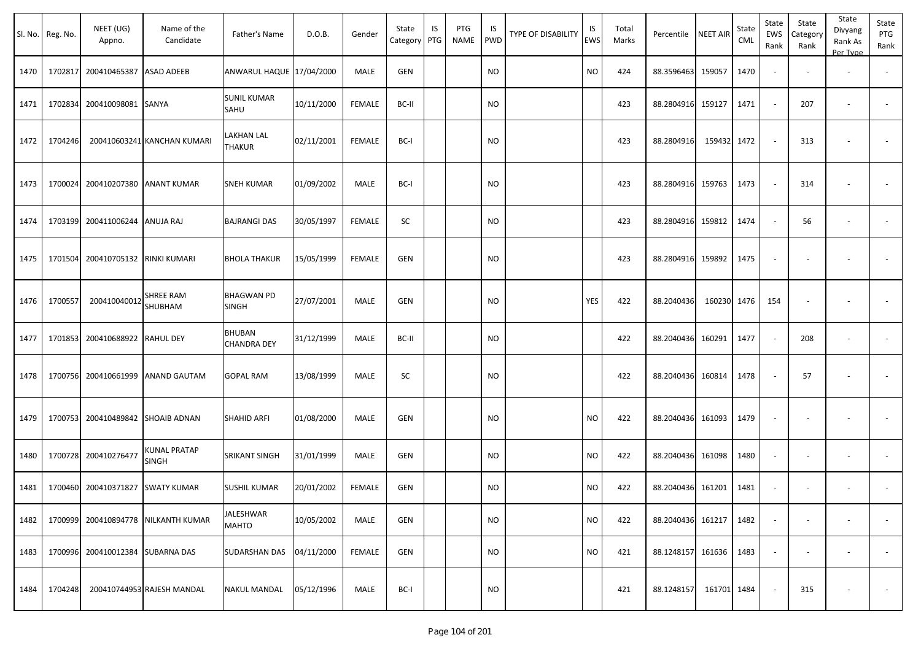|      | Sl. No. Reg. No. | NEET (UG)<br>Appno.               | Name of the<br>Candidate            | Father's Name                       | D.O.B.     | Gender        | State<br>Category PTG | IS | PTG<br>NAME | IS<br>PWD | <b>TYPE OF DISABILITY</b> | IS<br>EWS | Total<br>Marks | Percentile | <b>NEET AIR</b> | State<br><b>CML</b> | State<br>EWS<br>Rank     | State<br>Category<br>Rank | State<br>Divyang<br>Rank As<br>Per Type | State<br>PTG<br>Rank     |
|------|------------------|-----------------------------------|-------------------------------------|-------------------------------------|------------|---------------|-----------------------|----|-------------|-----------|---------------------------|-----------|----------------|------------|-----------------|---------------------|--------------------------|---------------------------|-----------------------------------------|--------------------------|
| 1470 | 1702817          | 200410465387 ASAD ADEEB           |                                     | ANWARUL HAQUE 17/04/2000            |            | <b>MALE</b>   | GEN                   |    |             | <b>NO</b> |                           | <b>NO</b> | 424            | 88.3596463 | 159057          | 1470                | $\overline{\phantom{a}}$ |                           | $\overline{\phantom{a}}$                |                          |
| 1471 | 1702834          | 200410098081                      | SANYA                               | <b>SUNIL KUMAR</b><br>SAHU          | 10/11/2000 | FEMALE        | BC-II                 |    |             | <b>NO</b> |                           |           | 423            | 88.2804916 | 159127          | 1471                | $\sim$                   | 207                       | $\overline{\phantom{a}}$                | $\overline{\phantom{a}}$ |
| 1472 | 1704246          |                                   | 200410603241 KANCHAN KUMARI         | LAKHAN LAL<br><b>THAKUR</b>         | 02/11/2001 | <b>FEMALE</b> | BC-I                  |    |             | <b>NO</b> |                           |           | 423            | 88.2804916 | 159432 1472     |                     | $\sim$                   | 313                       | $\overline{\phantom{a}}$                |                          |
| 1473 |                  | 1700024 200410207380              | <b>ANANT KUMAR</b>                  | SNEH KUMAR                          | 01/09/2002 | MALE          | BC-I                  |    |             | <b>NO</b> |                           |           | 423            | 88.2804916 | 159763          | 1473                | $\sim$                   | 314                       | $\overline{\phantom{a}}$                |                          |
| 1474 |                  | 1703199 200411006244              | <b>ANUJA RAJ</b>                    | <b>BAJRANGI DAS</b>                 | 30/05/1997 | <b>FEMALE</b> | SC                    |    |             | <b>NO</b> |                           |           | 423            | 88.2804916 | 159812          | 1474                | $\sim$                   | 56                        | $\overline{\phantom{a}}$                | $\sim$                   |
| 1475 |                  | 1701504 200410705132 RINKI KUMARI |                                     | <b>BHOLA THAKUR</b>                 | 15/05/1999 | <b>FEMALE</b> | <b>GEN</b>            |    |             | <b>NO</b> |                           |           | 423            | 88.2804916 | 159892          | 1475                | $\blacksquare$           |                           |                                         | $\overline{\phantom{a}}$ |
| 1476 | 1700557          | 200410040012                      | SHREE RAM<br>SHUBHAM                | <b>BHAGWAN PD</b><br><b>SINGH</b>   | 27/07/2001 | MALE          | <b>GEN</b>            |    |             | <b>NO</b> |                           | YES       | 422            | 88.2040436 | 160230          | 1476                | 154                      |                           |                                         |                          |
| 1477 | 1701853          | 200410688922                      | <b>RAHUL DEY</b>                    | <b>BHUBAN</b><br><b>CHANDRA DEY</b> | 31/12/1999 | MALE          | BC-II                 |    |             | <b>NO</b> |                           |           | 422            | 88.2040436 | 160291          | 1477                | $\omega$                 | 208                       | $\overline{\phantom{a}}$                | $\overline{\phantom{a}}$ |
| 1478 |                  | 1700756 200410661999              | <b>ANAND GAUTAM</b>                 | <b>GOPAL RAM</b>                    | 13/08/1999 | MALE          | SC                    |    |             | <b>NO</b> |                           |           | 422            | 88.2040436 | 160814          | 1478                |                          | 57                        |                                         |                          |
| 1479 |                  | 1700753 200410489842 SHOAIB ADNAN |                                     | <b>SHAHID ARFI</b>                  | 01/08/2000 | MALE          | GEN                   |    |             | <b>NO</b> |                           | <b>NO</b> | 422            | 88.2040436 | 161093          | 1479                | $\sim$                   |                           |                                         |                          |
| 1480 |                  | 1700728 200410276477              | KUNAL PRATAP<br><b>SINGH</b>        | SRIKANT SINGH                       | 31/01/1999 | MALE          | GEN                   |    |             | <b>NO</b> |                           | <b>NO</b> | 422            | 88.2040436 | 161098          | 1480                | $\sim$                   | $\overline{\phantom{a}}$  | $\overline{\phantom{a}}$                | $\sim$                   |
| 1481 |                  | 1700460 200410371827 SWATY KUMAR  |                                     | SUSHIL KUMAR                        | 20/01/2002 | FEMALE        | <b>GEN</b>            |    |             | <b>NO</b> |                           | <b>NO</b> | 422            | 88.2040436 | 161201          | 1481                | $\overline{\phantom{a}}$ |                           |                                         |                          |
| 1482 |                  |                                   | 1700999 200410894778 NILKANTH KUMAR | JALESHWAR<br>MAHTO                  | 10/05/2002 | MALE          | GEN                   |    |             | <b>NO</b> |                           | <b>NO</b> | 422            | 88.2040436 | 161217          | 1482                | $\overline{\phantom{a}}$ | $\overline{\phantom{a}}$  |                                         | $\overline{\phantom{a}}$ |
| 1483 |                  | 1700996 200410012384 SUBARNA DAS  |                                     | SUDARSHAN DAS                       | 04/11/2000 | FEMALE        | GEN                   |    |             | <b>NO</b> |                           | <b>NO</b> | 421            | 88.1248157 | 161636          | 1483                | $\sim$                   |                           |                                         | $\sim$                   |
| 1484 | 1704248          |                                   | 200410744953 RAJESH MANDAL          | <b>NAKUL MANDAL</b>                 | 05/12/1996 | MALE          | BC-I                  |    |             | <b>NO</b> |                           |           | 421            | 88.1248157 | 161701 1484     |                     | $\sim$                   | 315                       | $\overline{\phantom{a}}$                | $\sim$                   |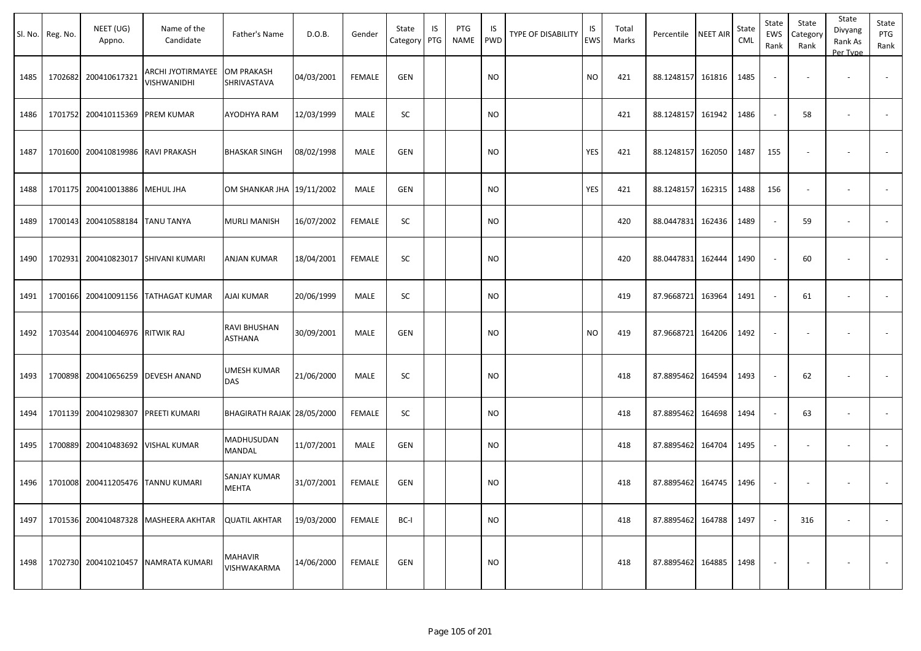|      | Sl. No. Reg. No. | NEET (UG)<br>Appno.                | Name of the<br>Candidate                       | Father's Name                    | D.O.B.     | Gender        | State<br>Category PTG | IS | PTG<br><b>NAME</b> | IS<br><b>PWD</b> | <b>TYPE OF DISABILITY</b> | IS<br>EWS | Total<br>Marks | Percentile NEET AIR |        | State<br>CML | State<br><b>EWS</b><br>Rank | State<br>Category<br>Rank | State<br>Divyang<br>Rank As<br>Per Type | State<br>PTG<br>Rank |
|------|------------------|------------------------------------|------------------------------------------------|----------------------------------|------------|---------------|-----------------------|----|--------------------|------------------|---------------------------|-----------|----------------|---------------------|--------|--------------|-----------------------------|---------------------------|-----------------------------------------|----------------------|
| 1485 | 1702682          | 200410617321                       | <b>ARCHI JYOTIRMAYEE</b><br><b>VISHWANIDHI</b> | <b>OM PRAKASH</b><br>SHRIVASTAVA | 04/03/2001 | <b>FEMALE</b> | GEN                   |    |                    | <b>NO</b>        |                           | <b>NO</b> | 421            | 88.1248157 161816   |        | 1485         |                             |                           |                                         |                      |
| 1486 |                  | 1701752 200410115369 PREM KUMAR    |                                                | AYODHYA RAM                      | 12/03/1999 | MALE          | SC                    |    |                    | <b>NO</b>        |                           |           | 421            | 88.1248157          | 161942 | 1486         | $\sim$                      | 58                        | $\overline{\phantom{a}}$                |                      |
| 1487 | 1701600          | 200410819986 RAVI PRAKASH          |                                                | <b>BHASKAR SINGH</b>             | 08/02/1998 | MALE          | GEN                   |    |                    | <b>NO</b>        |                           | YES       | 421            | 88.1248157          | 162050 | 1487         | 155                         |                           |                                         |                      |
| 1488 |                  | 1701175 200410013886 MEHUL JHA     |                                                | OM SHANKAR JHA 19/11/2002        |            | MALE          | GEN                   |    |                    | <b>NO</b>        |                           | YES       | 421            | 88.1248157          | 162315 | 1488         | 156                         |                           |                                         |                      |
| 1489 | 1700143          | 200410588184 TANU TANYA            |                                                | <b>MURLI MANISH</b>              | 16/07/2002 | <b>FEMALE</b> | SC                    |    |                    | <b>NO</b>        |                           |           | 420            | 88.0447831          | 162436 | 1489         | $\sim$                      | 59                        | $\overline{\phantom{a}}$                |                      |
| 1490 | 1702931          |                                    | 200410823017 SHIVANI KUMARI                    | <b>ANJAN KUMAR</b>               | 18/04/2001 | <b>FEMALE</b> | SC                    |    |                    | <b>NO</b>        |                           |           | 420            | 88.0447831          | 162444 | 1490         |                             | 60                        | $\overline{\phantom{a}}$                |                      |
| 1491 | 1700166          |                                    | 200410091156 TATHAGAT KUMAR                    | AJAI KUMAR                       | 20/06/1999 | MALE          | SC                    |    |                    | <b>NO</b>        |                           |           | 419            | 87.9668721          | 163964 | 1491         |                             | 61                        | $\overline{\phantom{a}}$                |                      |
| 1492 | 1703544          | 200410046976 RITWIK RAJ            |                                                | RAVI BHUSHAN<br>ASTHANA          | 30/09/2001 | MALE          | GEN                   |    |                    | <b>NO</b>        |                           | <b>NO</b> | 419            | 87.9668721          | 164206 | 1492         |                             |                           |                                         |                      |
| 1493 |                  | 1700898 200410656259 DEVESH ANAND  |                                                | <b>UMESH KUMAR</b><br>DAS        | 21/06/2000 | MALE          | SC                    |    |                    | <b>NO</b>        |                           |           | 418            | 87.8895462 164594   |        | 1493         |                             | 62                        |                                         |                      |
| 1494 |                  | 1701139 200410298307 PREETI KUMARI |                                                | BHAGIRATH RAJAK 28/05/2000       |            | FEMALE        | SC                    |    |                    | <b>NO</b>        |                           |           | 418            | 87.8895462          | 164698 | 1494         |                             | 63                        | $\overline{\phantom{a}}$                |                      |
| 1495 | 1700889          |                                    | 200410483692 VISHAL KUMAR                      | MADHUSUDAN<br>MANDAL             | 11/07/2001 | MALE          | <b>GEN</b>            |    |                    | <b>NO</b>        |                           |           | 418            | 87.8895462          | 164704 | 1495         |                             |                           | $\overline{\phantom{a}}$                |                      |
| 1496 | 1701008          |                                    | 200411205476 TANNU KUMARI                      | SANJAY KUMAR<br><b>MEHTA</b>     | 31/07/2001 | <b>FEMALE</b> | GEN                   |    |                    | <b>NO</b>        |                           |           | 418            | 87.8895462          | 164745 | 1496         |                             |                           |                                         |                      |
| 1497 |                  |                                    | 1701536 200410487328 MASHEERA AKHTAR           | <b>QUATIL AKHTAR</b>             | 19/03/2000 | FEMALE        | BC-I                  |    |                    | <b>NO</b>        |                           |           | 418            | 87.8895462 164788   |        | 1497         |                             | 316                       |                                         | $\sim$               |
| 1498 |                  |                                    | 1702730 200410210457 NAMRATA KUMARI            | MAHAVIR<br>VISHWAKARMA           | 14/06/2000 | FEMALE        | GEN                   |    |                    | <b>NO</b>        |                           |           | 418            | 87.8895462 164885   |        | 1498         |                             |                           |                                         | $\sim$               |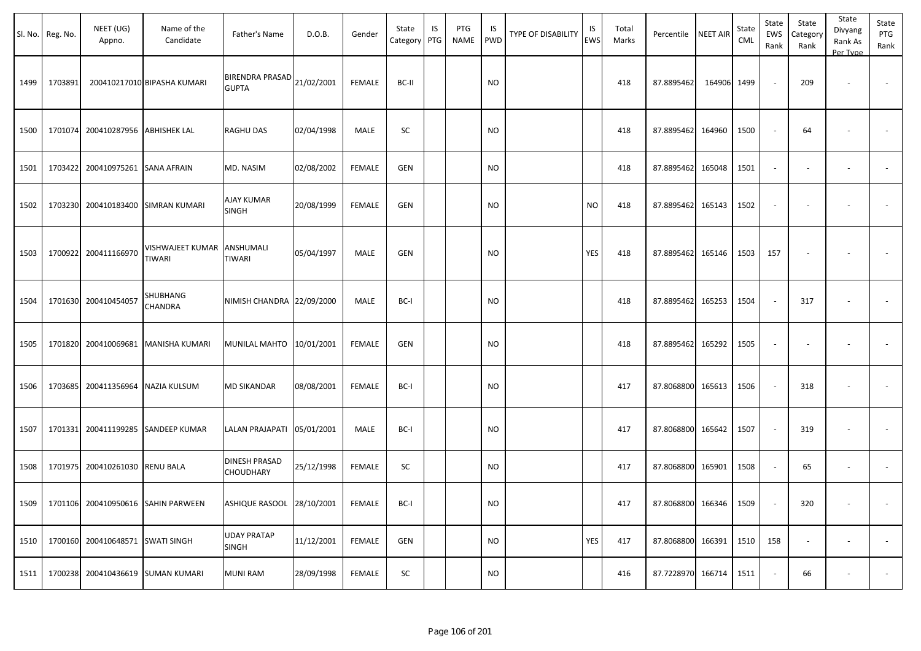|      | Sl. No. Reg. No. | NEET (UG)<br>Appno.               | Name of the<br>Candidate            | Father's Name                            | D.O.B.     | Gender        | State<br>Category | IS<br>PTG | PTG<br>NAME | IS<br>PWD | <b>TYPE OF DISABILITY</b> | IS<br>EWS | Total<br>Marks | Percentile        | <b>NEET AIR</b> | State<br><b>CML</b> | State<br>EWS<br>Rank     | State<br>Category<br>Rank | State<br>Divyang<br>Rank As<br>Per Type | State<br>PTG<br>Rank |
|------|------------------|-----------------------------------|-------------------------------------|------------------------------------------|------------|---------------|-------------------|-----------|-------------|-----------|---------------------------|-----------|----------------|-------------------|-----------------|---------------------|--------------------------|---------------------------|-----------------------------------------|----------------------|
| 1499 | 1703891          |                                   | 200410217010 BIPASHA KUMARI         | <b>BIRENDRA PRASAD</b><br><b>GUPTA</b>   | 21/02/2001 | <b>FEMALE</b> | BC-II             |           |             | <b>NO</b> |                           |           | 418            | 87.8895462        | 164906 1499     |                     | $\sim$                   | 209                       | $\overline{\phantom{a}}$                |                      |
| 1500 |                  | 1701074 200410287956 ABHISHEK LAL |                                     | <b>RAGHU DAS</b>                         | 02/04/1998 | MALE          | SC                |           |             | NO        |                           |           | 418            | 87.8895462        | 164960          | 1500                | $\sim$                   | 64                        | $\overline{\phantom{a}}$                |                      |
| 1501 |                  | 1703422 200410975261              | <b>SANA AFRAIN</b>                  | MD. NASIM                                | 02/08/2002 | <b>FEMALE</b> | <b>GEN</b>        |           |             | NO.       |                           |           | 418            | 87.8895462        | 165048          | 1501                | $\blacksquare$           | $\overline{\phantom{a}}$  | $\overline{\phantom{a}}$                | $\sim$               |
| 1502 |                  | 1703230 200410183400              | SIMRAN KUMARI                       | AJAY KUMAR<br>SINGH                      | 20/08/1999 | FEMALE        | GEN               |           |             | NO        |                           | <b>NO</b> | 418            | 87.8895462        | 165143          | 1502                | $\sim$                   | $\sim$                    |                                         |                      |
| 1503 |                  | 1700922 200411166970              | VISHWAJEET KUMAR<br>TIWARI          | ANSHUMALI<br><b>TIWARI</b>               | 05/04/1997 | MALE          | <b>GEN</b>        |           |             | NO        |                           | YES       | 418            | 87.8895462        | 165146          | 1503                | 157                      | $\overline{\phantom{a}}$  |                                         |                      |
| 1504 |                  | 1701630 200410454057              | SHUBHANG<br>CHANDRA                 | NIMISH CHANDRA 22/09/2000                |            | MALE          | BC-I              |           |             | NO        |                           |           | 418            | 87.8895462        | 165253          | 1504                | $\overline{\phantom{a}}$ | 317                       | $\overline{\phantom{a}}$                |                      |
| 1505 |                  |                                   | 1701820 200410069681 MANISHA KUMARI | MUNILAL MAHTO 10/01/2001                 |            | <b>FEMALE</b> | <b>GEN</b>        |           |             | <b>NO</b> |                           |           | 418            | 87.8895462        | 165292          | 1505                | $\overline{\phantom{a}}$ | $\overline{\phantom{a}}$  | $\overline{\phantom{a}}$                | $\sim$               |
| 1506 |                  | 1703685 200411356964 NAZIA KULSUM |                                     | <b>MD SIKANDAR</b>                       | 08/08/2001 | <b>FEMALE</b> | BC-I              |           |             | <b>NO</b> |                           |           | 417            | 87.8068800        | 165613          | 1506                | $\sim$                   | 318                       | $\overline{\phantom{a}}$                | $\sim$               |
| 1507 |                  | 1701331 200411199285              | <b>SANDEEP KUMAR</b>                | LALAN PRAJAPATI 05/01/2001               |            | MALE          | BC-I              |           |             | <b>NO</b> |                           |           | 417            | 87.8068800        | 165642          | 1507                | $\sim$                   | 319                       | $\overline{\phantom{a}}$                |                      |
| 1508 |                  | 1701975 200410261030              | <b>RENU BALA</b>                    | <b>DINESH PRASAD</b><br><b>CHOUDHARY</b> | 25/12/1998 | <b>FEMALE</b> | SC                |           |             | NO        |                           |           | 417            | 87.8068800        | 165901          | 1508                | $\sim$                   | 65                        |                                         |                      |
| 1509 |                  |                                   | 1701106 200410950616 SAHIN PARWEEN  | ASHIQUE RASOOL 28/10/2001                |            | FEMALE        | BC-I              |           |             | $\rm NO$  |                           |           | 417            | 87.8068800 166346 |                 | 1509                | $\sim$                   | 320                       | $\sim$                                  |                      |
| 1510 |                  | 1700160 200410648571 SWATI SINGH  |                                     | <b>UDAY PRATAP</b><br>SINGH              | 11/12/2001 | FEMALE        | GEN               |           |             | <b>NO</b> |                           | YES       | 417            | 87.8068800        | 166391          | 1510                | 158                      | $\sim$                    | $\sim$                                  | $\sim$               |
| 1511 |                  | 1700238 200410436619 SUMAN KUMARI |                                     | <b>MUNI RAM</b>                          | 28/09/1998 | FEMALE        | SC                |           |             | <b>NO</b> |                           |           | 416            | 87.7228970        | 166714          | 1511                | $\sim$                   | 66                        | $\overline{\phantom{a}}$                | $\sim$               |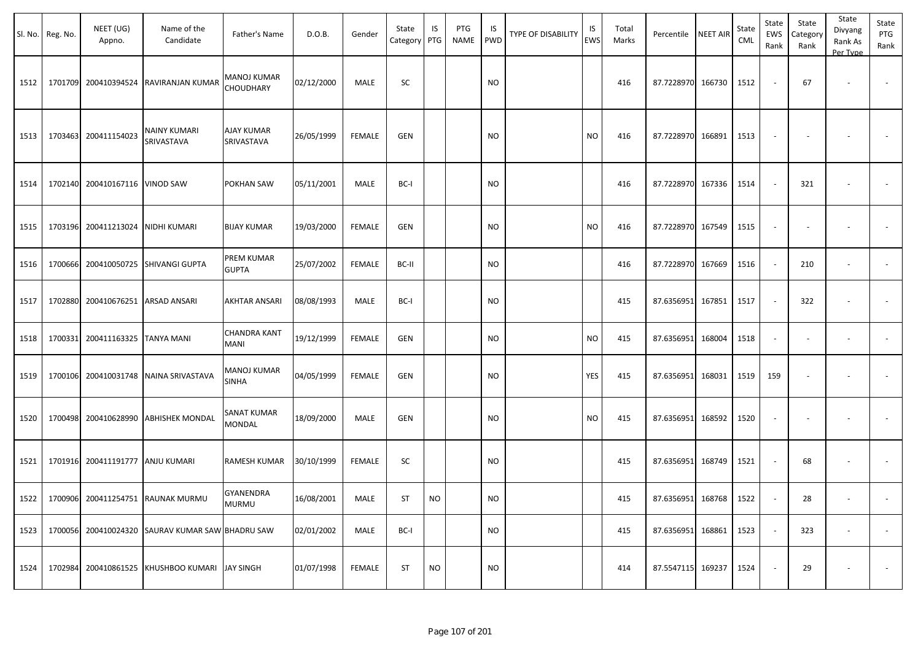|      | Sl. No. Reg. No. | NEET (UG)<br>Appno.              | Name of the<br>Candidate                         | Father's Name                      | D.O.B.     | Gender        | State<br>Category | IS<br>PTG | PTG<br><b>NAME</b> | IS<br><b>PWD</b> | <b>TYPE OF DISABILITY</b> | IS<br><b>EWS</b> | Total<br>Marks | Percentile NEET AIR |        | State<br>CML | State<br>EWS<br>Rank | State<br>Category<br>Rank | State<br>Divyang<br>Rank As<br>Per Type | State<br>PTG<br>Rank     |
|------|------------------|----------------------------------|--------------------------------------------------|------------------------------------|------------|---------------|-------------------|-----------|--------------------|------------------|---------------------------|------------------|----------------|---------------------|--------|--------------|----------------------|---------------------------|-----------------------------------------|--------------------------|
| 1512 |                  | 1701709 200410394524             | RAVIRANJAN KUMAR                                 | MANOJ KUMAR<br><b>CHOUDHARY</b>    | 02/12/2000 | MALE          | SC                |           |                    | <b>NO</b>        |                           |                  | 416            | 87.7228970 166730   |        | 1512         |                      | 67                        |                                         |                          |
| 1513 |                  | 1703463 200411154023             | NAINY KUMARI<br>SRIVASTAVA                       | <b>AJAY KUMAR</b><br>SRIVASTAVA    | 26/05/1999 | <b>FEMALE</b> | <b>GEN</b>        |           |                    | <b>NO</b>        |                           | <b>NO</b>        | 416            | 87.7228970 166891   |        | 1513         |                      |                           |                                         |                          |
| 1514 |                  | 1702140 200410167116 VINOD SAW   |                                                  | POKHAN SAW                         | 05/11/2001 | MALE          | BC-I              |           |                    | <b>NO</b>        |                           |                  | 416            | 87.7228970 167336   |        | 1514         |                      | 321                       |                                         |                          |
| 1515 |                  | 1703196 200411213024             | NIDHI KUMARI                                     | <b>BIJAY KUMAR</b>                 | 19/03/2000 | <b>FEMALE</b> | <b>GEN</b>        |           |                    | <b>NO</b>        |                           | <b>NO</b>        | 416            | 87.7228970 167549   |        | 1515         |                      |                           |                                         |                          |
| 1516 |                  |                                  | 1700666 200410050725 SHIVANGI GUPTA              | PREM KUMAR<br><b>GUPTA</b>         | 25/07/2002 | <b>FEMALE</b> | BC-II             |           |                    | <b>NO</b>        |                           |                  | 416            | 87.7228970 167669   |        | 1516         |                      | 210                       |                                         |                          |
| 1517 | 1702880          | 200410676251 ARSAD ANSARI        |                                                  | AKHTAR ANSARI                      | 08/08/1993 | MALE          | BC-I              |           |                    | <b>NO</b>        |                           |                  | 415            | 87.6356951          | 167851 | 1517         |                      | 322                       |                                         |                          |
| 1518 | 1700331          | 200411163325 TANYA MANI          |                                                  | <b>CHANDRA KANT</b><br>MANI        | 19/12/1999 | <b>FEMALE</b> | <b>GEN</b>        |           |                    | <b>NO</b>        |                           | <b>NO</b>        | 415            | 87.6356951          | 168004 | 1518         |                      |                           | $\overline{\phantom{a}}$                | $\overline{\phantom{a}}$ |
| 1519 |                  |                                  | 1700106 200410031748 NAINA SRIVASTAVA            | <b>MANOJ KUMAR</b><br><b>SINHA</b> | 04/05/1999 | FEMALE        | GEN               |           |                    | <b>NO</b>        |                           | YES              | 415            | 87.6356951          | 168031 | 1519         | 159                  |                           |                                         |                          |
| 1520 |                  |                                  | 1700498 200410628990 ABHISHEK MONDAL             | SANAT KUMAR<br>MONDAL              | 18/09/2000 | MALE          | <b>GEN</b>        |           |                    | <b>NO</b>        |                           | <b>NO</b>        | 415            | 87.6356951 168592   |        | 1520         |                      |                           |                                         |                          |
| 1521 |                  | 1701916 200411191777 ANJU KUMARI |                                                  | RAMESH KUMAR                       | 30/10/1999 | <b>FEMALE</b> | SC                |           |                    | <b>NO</b>        |                           |                  | 415            | 87.6356951          | 168749 | 1521         |                      | 68                        |                                         |                          |
| 1522 |                  |                                  | 1700906 200411254751 RAUNAK MURMU                | GYANENDRA<br><b>MURMU</b>          | 16/08/2001 | MALE          | <b>ST</b>         | <b>NO</b> |                    | <b>NO</b>        |                           |                  | 415            | 87.6356951 168768   |        | 1522         |                      | 28                        | $\overline{\phantom{a}}$                |                          |
| 1523 |                  |                                  | 1700056 200410024320 SAURAV KUMAR SAW BHADRU SAW |                                    | 02/01/2002 | MALE          | BC-I              |           |                    | <b>NO</b>        |                           |                  | 415            | 87.6356951 168861   |        | 1523         | $\sim$               | 323                       | $\overline{\phantom{a}}$                | $\sim$                   |
| 1524 |                  |                                  | 1702984 200410861525 KHUSHBOO KUMARI             | <b>JAY SINGH</b>                   | 01/07/1998 | <b>FEMALE</b> | <b>ST</b>         | <b>NO</b> |                    | <b>NO</b>        |                           |                  | 414            | 87.5547115 169237   |        | 1524         |                      | 29                        | $\overline{\phantom{a}}$                | $\sim$                   |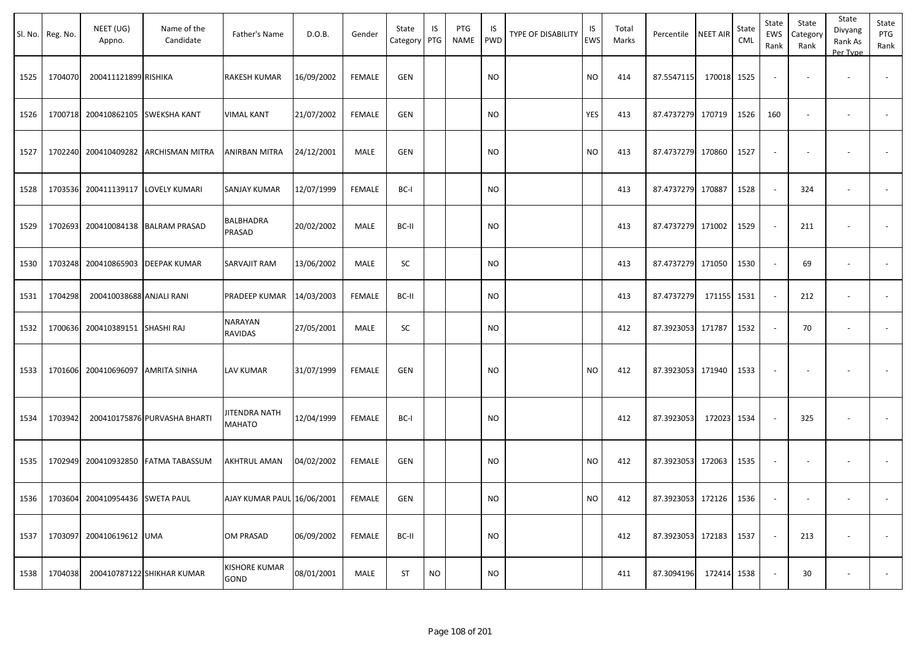|      | Sl. No. Reg. No. | NEET (UG)<br>Appno.                | Name of the<br>Candidate     | Father's Name                  | D.O.B.     | Gender        | State<br>Category PTG | IS        | PTG<br><b>NAME</b> | IS<br><b>PWD</b> | <b>TYPE OF DISABILITY</b> | IS<br><b>EWS</b> | Total<br>Marks | Percentile NEET AIR |        | State<br>CML | State<br>EWS<br>Rank | State<br>Category<br>Rank | State<br>Divyang<br>Rank As<br>Per Type | State<br>PTG<br>Rank |
|------|------------------|------------------------------------|------------------------------|--------------------------------|------------|---------------|-----------------------|-----------|--------------------|------------------|---------------------------|------------------|----------------|---------------------|--------|--------------|----------------------|---------------------------|-----------------------------------------|----------------------|
| 1525 | 1704070          | 200411121899 RISHIKA               |                              | <b>RAKESH KUMAR</b>            | 16/09/2002 | <b>FEMALE</b> | <b>GEN</b>            |           |                    | <b>NO</b>        |                           | <b>NO</b>        | 414            | 87.5547115          | 170018 | 1525         |                      |                           | $\overline{\phantom{a}}$                |                      |
| 1526 | 1700718          | 200410862105 SWEKSHA KANT          |                              | <b>VIMAL KANT</b>              | 21/07/2002 | <b>FEMALE</b> | GEN                   |           |                    | <b>NO</b>        |                           | YES              | 413            | 87.4737279 170719   |        | 1526         | 160                  |                           | $\overline{\phantom{a}}$                |                      |
| 1527 | 1702240          |                                    | 200410409282 ARCHISMAN MITRA | ANIRBAN MITRA                  | 24/12/2001 | MALE          | GEN                   |           |                    | <b>NO</b>        |                           | <b>NO</b>        | 413            | 87.4737279 170860   |        | 1527         |                      |                           |                                         |                      |
| 1528 |                  | 1703536 200411139117 LOVELY KUMARI |                              | SANJAY KUMAR                   | 12/07/1999 | <b>FEMALE</b> | BC-I                  |           |                    | <b>NO</b>        |                           |                  | 413            | 87.4737279 170887   |        | 1528         | $\sim$               | 324                       | $\overline{\phantom{a}}$                |                      |
| 1529 | 1702693          |                                    | 200410084138 BALRAM PRASAD   | BALBHADRA<br>PRASAD            | 20/02/2002 | MALE          | BC-II                 |           |                    | <b>NO</b>        |                           |                  | 413            | 87.4737279 171002   |        | 1529         |                      | 211                       |                                         |                      |
| 1530 | 1703248          |                                    | 200410865903 DEEPAK KUMAR    | SARVAJIT RAM                   | 13/06/2002 | MALE          | SC                    |           |                    | <b>NO</b>        |                           |                  | 413            | 87.4737279          | 171050 | 1530         |                      | 69                        |                                         |                      |
| 1531 | 1704298          | 200410038688 ANJALI RANI           |                              | PRADEEP KUMAR                  | 14/03/2003 | <b>FEMALE</b> | BC-II                 |           |                    | <b>NO</b>        |                           |                  | 413            | 87.4737279          | 171155 | 1531         |                      | 212                       | $\overline{\phantom{a}}$                |                      |
| 1532 | 1700636          | 200410389151 SHASHI RAJ            |                              | NARAYAN<br>RAVIDAS             | 27/05/2001 | MALE          | SC                    |           |                    | <b>NO</b>        |                           |                  | 412            | 87.3923053          | 171787 | 1532         |                      | 70                        | $\overline{\phantom{a}}$                |                      |
| 1533 | 1701606          | 200410696097 AMRITA SINHA          |                              | LAV KUMAR                      | 31/07/1999 | <b>FEMALE</b> | <b>GEN</b>            |           |                    | <b>NO</b>        |                           | <b>NO</b>        | 412            | 87.3923053 171940   |        | 1533         |                      |                           |                                         |                      |
| 1534 | 1703942          |                                    | 200410175876 PURVASHA BHARTI | JITENDRA NATH<br><b>MAHATO</b> | 12/04/1999 | <b>FEMALE</b> | BC-I                  |           |                    | <b>NO</b>        |                           |                  | 412            | 87.3923053          | 172023 | 1534         |                      | 325                       |                                         |                      |
| 1535 | 1702949          |                                    | 200410932850 FATMA TABASSUM  | AKHTRUL AMAN                   | 04/02/2002 | FEMALE        | <b>GEN</b>            |           |                    | <b>NO</b>        |                           | <b>NO</b>        | 412            | 87.3923053 172063   |        | 1535         |                      |                           |                                         |                      |
| 1536 |                  | 1703604 200410954436 SWETA PAUL    |                              | AJAY KUMAR PAUL 16/06/2001     |            | FEMALE        | <b>GEN</b>            |           |                    | <b>NO</b>        |                           | <b>NO</b>        | 412            | 87.3923053 172126   |        | 1536         |                      |                           |                                         |                      |
| 1537 | 1703097          | 200410619612 UMA                   |                              | OM PRASAD                      | 06/09/2002 | FEMALE        | BC-II                 |           |                    | <b>NO</b>        |                           |                  | 412            | 87.3923053 172183   |        | 1537         |                      | 213                       | $\overline{\phantom{a}}$                | $\sim$               |
| 1538 | 1704038          |                                    | 200410787122 SHIKHAR KUMAR   | KISHORE KUMAR<br>GOND          | 08/01/2001 | MALE          | <b>ST</b>             | <b>NO</b> |                    | <b>NO</b>        |                           |                  | 411            | 87.3094196          | 172414 | 1538         |                      | 30                        | $\overline{\phantom{a}}$                | $\sim$               |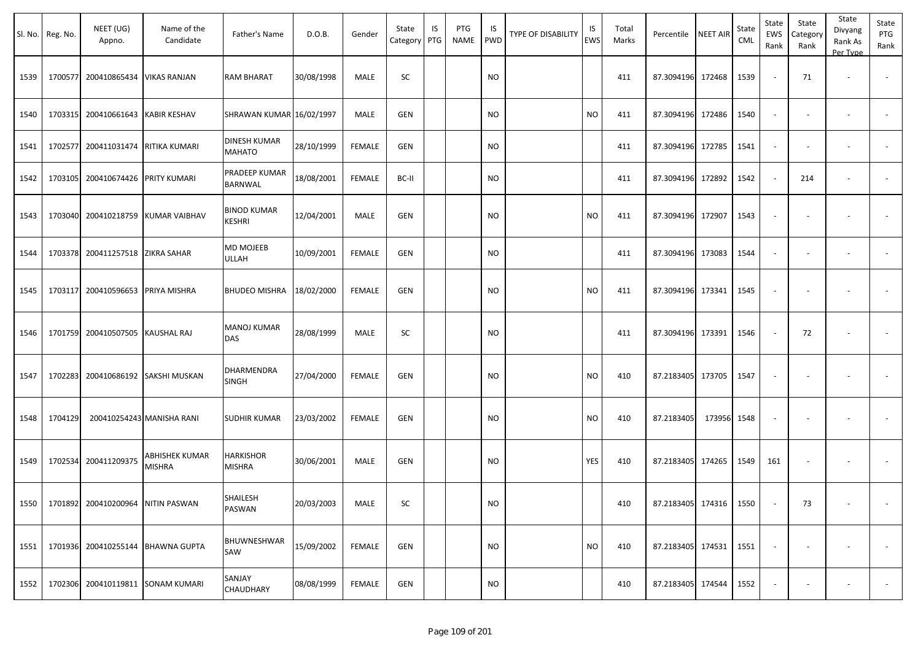|      | Sl. No. Reg. No. | NEET (UG)<br>Appno.                | Name of the<br>Candidate           | Father's Name                        | D.O.B.     | Gender        | State<br>Category | IS<br>PTG | PTG<br>NAME | IS.<br>PWD | TYPE OF DISABILITY | IS<br>EWS | Total<br>Marks | Percentile             | <b>NEET AIR</b> | State<br><b>CML</b> | State<br>EWS<br>Rank     | State<br>Category<br>Rank | State<br>Divyang<br>Rank As<br>Per Type | State<br>PTG<br>Rank     |
|------|------------------|------------------------------------|------------------------------------|--------------------------------------|------------|---------------|-------------------|-----------|-------------|------------|--------------------|-----------|----------------|------------------------|-----------------|---------------------|--------------------------|---------------------------|-----------------------------------------|--------------------------|
| 1539 | 1700577          | 200410865434                       | <b>VIKAS RANJAN</b>                | <b>RAM BHARAT</b>                    | 30/08/1998 | MALE          | SC                |           |             | <b>NO</b>  |                    |           | 411            | 87.3094196             | 172468          | 1539                | $\overline{\phantom{a}}$ | 71                        | $\overline{\phantom{a}}$                |                          |
| 1540 |                  | 1703315 200410661643               | <b>KABIR KESHAV</b>                | SHRAWAN KUMAR 16/02/1997             |            | <b>MALE</b>   | <b>GEN</b>        |           |             | <b>NO</b>  |                    | <b>NO</b> | 411            | 87.3094196             | 172486          | 1540                | $\sim$                   | $\sim$                    | $\overline{\phantom{a}}$                | $\sim$                   |
| 1541 |                  | 1702577 200411031474 RITIKA KUMARI |                                    | <b>DINESH KUMAR</b><br><b>MAHATO</b> | 28/10/1999 | <b>FEMALE</b> | <b>GEN</b>        |           |             | NO         |                    |           | 411            | 87.3094196             | 172785          | 1541                | $\blacksquare$           | $\overline{\phantom{a}}$  |                                         | $\overline{\phantom{a}}$ |
| 1542 |                  | 1703105 200410674426 PRITY KUMARI  |                                    | PRADEEP KUMAR<br>BARNWAL             | 18/08/2001 | <b>FEMALE</b> | BC-II             |           |             | <b>NO</b>  |                    |           | 411            | 87.3094196             | 172892          | 1542                | $\sim$                   | 214                       |                                         |                          |
| 1543 |                  |                                    | 1703040 200410218759 KUMAR VAIBHAV | <b>BINOD KUMAR</b><br>KESHRI         | 12/04/2001 | MALE          | <b>GEN</b>        |           |             | <b>NO</b>  |                    | <b>NO</b> | 411            | 87.3094196             | 172907          | 1543                | $\overline{\phantom{a}}$ |                           | $\overline{\phantom{a}}$                |                          |
| 1544 |                  | 1703378 200411257518 ZIKRA SAHAR   |                                    | MD MOJEEB<br>ULLAH                   | 10/09/2001 | <b>FEMALE</b> | <b>GEN</b>        |           |             | NO.        |                    |           | 411            | 87.3094196             | 173083          | 1544                | $\blacksquare$           | $\sim$                    | $\overline{\phantom{a}}$                | $\sim$                   |
| 1545 |                  | 1703117 200410596653 PRIYA MISHRA  |                                    | <b>BHUDEO MISHRA</b>                 | 18/02/2000 | <b>FEMALE</b> | <b>GEN</b>        |           |             | NO         |                    | <b>NO</b> | 411            | 87.3094196             | 173341          | 1545                | $\overline{\phantom{a}}$ | $\overline{\phantom{a}}$  |                                         |                          |
| 1546 |                  | 1701759 200410507505 KAUSHAL RAJ   |                                    | <b>MANOJ KUMAR</b><br>DAS            | 28/08/1999 | MALE          | SC                |           |             | NO         |                    |           | 411            | 87.3094196             | 173391          | 1546                | $\sim$                   | 72                        | $\overline{\phantom{a}}$                | $\sim$                   |
| 1547 |                  | 1702283 200410686192               | SAKSHI MUSKAN                      | DHARMENDRA<br>SINGH                  | 27/04/2000 | <b>FEMALE</b> | <b>GEN</b>        |           |             | NO         |                    | <b>NO</b> | 410            | 87.2183405             | 173705          | 1547                | $\blacksquare$           | $\overline{\phantom{a}}$  |                                         |                          |
| 1548 | 1704129          |                                    | 200410254243 MANISHA RANI          | <b>SUDHIR KUMAR</b>                  | 23/03/2002 | FEMALE        | <b>GEN</b>        |           |             | NO         |                    | <b>NO</b> | 410            | 87.2183405             | 173956 1548     |                     | $\overline{\phantom{a}}$ |                           | $\overline{\phantom{a}}$                |                          |
| 1549 |                  | 1702534 200411209375               | ABHISHEK KUMAR<br>MISHRA           | HARKISHOR<br><b>MISHRA</b>           | 30/06/2001 | MALE          | GEN               |           |             | <b>NO</b>  |                    | YES       | 410            | 87.2183405             | 174265          | 1549                | 161                      | $\overline{\phantom{a}}$  |                                         |                          |
| 1550 |                  | 1701892 200410200964 NITIN PASWAN  |                                    | SHAILESH<br>PASWAN                   | 20/03/2003 | MALE          | SC                |           |             | <b>NO</b>  |                    |           | 410            | 87.2183405 174316 1550 |                 |                     | $\sim$                   | 73                        | $\sim$                                  | $\sim$                   |
| 1551 |                  |                                    | 1701936 200410255144 BHAWNA GUPTA  | BHUWNESHWAR<br>SAW                   | 15/09/2002 | FEMALE        | <b>GEN</b>        |           |             | <b>NO</b>  |                    | <b>NO</b> | 410            | 87.2183405 174531      |                 | 1551                | $\sim$                   | $\overline{\phantom{a}}$  |                                         | $\sim$                   |
| 1552 |                  |                                    | 1702306 200410119811 SONAM KUMARI  | SANJAY<br><b>CHAUDHARY</b>           | 08/08/1999 | FEMALE        | <b>GEN</b>        |           |             | <b>NO</b>  |                    |           | 410            | 87.2183405 174544      |                 | 1552                | $\sim$                   | ٠                         | $\overline{\phantom{a}}$                | $\sim$                   |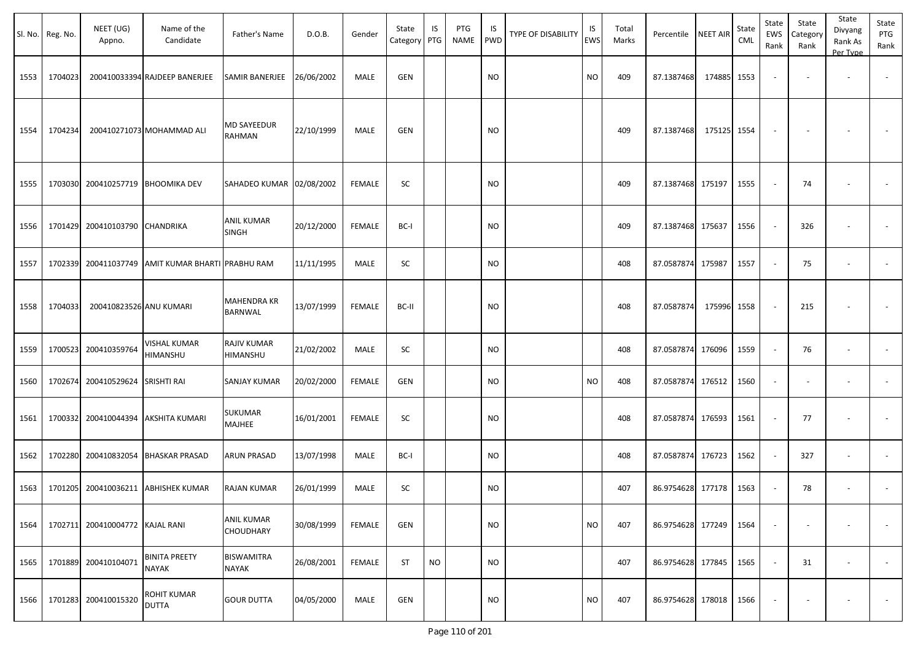|      | Sl. No. Reg. No. | NEET (UG)<br>Appno.      | Name of the<br>Candidate                  | Father's Name                     | D.O.B.     | Gender        | State<br>Category   PTG | IS        | PTG<br><b>NAME</b> | IS<br><b>PWD</b> | <b>TYPE OF DISABILITY</b> | IS<br>EWS | Total<br>Marks | Percentile NEET AIR |        | State<br>CML | State<br><b>EWS</b><br>Rank | State<br>Category<br>Rank | State<br>Divyang<br>Rank As<br>Per Type | State<br>PTG<br>Rank     |
|------|------------------|--------------------------|-------------------------------------------|-----------------------------------|------------|---------------|-------------------------|-----------|--------------------|------------------|---------------------------|-----------|----------------|---------------------|--------|--------------|-----------------------------|---------------------------|-----------------------------------------|--------------------------|
| 1553 | 1704023          |                          | 200410033394 RAJDEEP BANERJEE             | SAMIR BANERJEE                    | 26/06/2002 | MALE          | GEN                     |           |                    | <b>NO</b>        |                           | <b>NO</b> | 409            | 87.1387468          | 174885 | 1553         | $\sim$                      |                           |                                         | $\sim$                   |
| 1554 | 1704234          |                          | 200410271073 MOHAMMAD ALI                 | MD SAYEEDUR<br>RAHMAN             | 22/10/1999 | MALE          | GEN                     |           |                    | <b>NO</b>        |                           |           | 409            | 87.1387468          | 175125 | 1554         |                             |                           |                                         |                          |
| 1555 | 1703030          |                          | 200410257719 BHOOMIKA DEV                 | SAHADEO KUMAR 02/08/2002          |            | <b>FEMALE</b> | <b>SC</b>               |           |                    | <b>NO</b>        |                           |           | 409            | 87.1387468 175197   |        | 1555         |                             | 74                        |                                         |                          |
| 1556 | 1701429          | 200410103790 CHANDRIKA   |                                           | <b>ANIL KUMAR</b><br><b>SINGH</b> | 20/12/2000 | <b>FEMALE</b> | BC-I                    |           |                    | <b>NO</b>        |                           |           | 409            | 87.1387468 175637   |        | 1556         |                             | 326                       |                                         |                          |
| 1557 | 1702339          |                          | 200411037749 AMIT KUMAR BHARTI PRABHU RAM |                                   | 11/11/1995 | MALE          | SC                      |           |                    | <b>NO</b>        |                           |           | 408            | 87.0587874 175987   |        | 1557         |                             | 75                        |                                         | $\overline{\phantom{a}}$ |
| 1558 | 1704033          | 200410823526 ANU KUMARI  |                                           | <b>MAHENDRA KR</b><br>BARNWAL     | 13/07/1999 | <b>FEMALE</b> | BC-II                   |           |                    | <b>NO</b>        |                           |           | 408            | 87.0587874          | 175996 | 1558         | $\sim$                      | 215                       |                                         |                          |
| 1559 | 1700523          | 200410359764             | <b>VISHAL KUMAR</b><br>HIMANSHU           | RAJIV KUMAR<br>HIMANSHU           | 21/02/2002 | MALE          | SC                      |           |                    | <b>NO</b>        |                           |           | 408            | 87.0587874 176096   |        | 1559         | $\sim$                      | 76                        | $\overline{\phantom{a}}$                | $\overline{\phantom{a}}$ |
| 1560 | 1702674          | 200410529624 SRISHTI RAI |                                           | SANJAY KUMAR                      | 20/02/2000 | <b>FEMALE</b> | <b>GEN</b>              |           |                    | <b>NO</b>        |                           | <b>NO</b> | 408            | 87.0587874 176512   |        | 1560         |                             |                           | $\overline{\phantom{a}}$                |                          |
| 1561 | 1700332          |                          | 200410044394 AKSHITA KUMARI               | SUKUMAR<br><b>MAJHEE</b>          | 16/01/2001 | <b>FEMALE</b> | SC                      |           |                    | <b>NO</b>        |                           |           | 408            | 87.0587874 176593   |        | 1561         |                             | 77                        | $\overline{\phantom{a}}$                |                          |
| 1562 | 1702280          |                          | 200410832054 BHASKAR PRASAD               | <b>ARUN PRASAD</b>                | 13/07/1998 | MALE          | BC-I                    |           |                    | <b>NO</b>        |                           |           | 408            | 87.0587874          | 176723 | 1562         |                             | 327                       | $\blacksquare$                          | $\sim$                   |
| 1563 | 1701205          |                          | 200410036211 ABHISHEK KUMAR               | RAJAN KUMAR                       | 26/01/1999 | MALE          | SC                      |           |                    | <b>NO</b>        |                           |           | 407            | 86.9754628 177178   |        | 1563         |                             | 78                        | $\overline{\phantom{a}}$                |                          |
| 1564 | 1702711          | 200410004772 KAJAL RANI  |                                           | <b>ANIL KUMAR</b><br>CHOUDHARY    | 30/08/1999 | <b>FEMALE</b> | GEN                     |           |                    | <b>NO</b>        |                           | <b>NO</b> | 407            | 86.9754628 177249   |        | 1564         |                             |                           |                                         | $\sim$                   |
| 1565 | 1701889          | 200410104071             | <b>BINITA PREETY</b><br><b>NAYAK</b>      | <b>BISWAMITRA</b><br><b>NAYAK</b> | 26/08/2001 | FEMALE        | <b>ST</b>               | <b>NO</b> |                    | <b>NO</b>        |                           |           | 407            | 86.9754628 177845   |        | 1565         | $\sim$                      | 31                        | $\overline{\phantom{a}}$                | $\overline{\phantom{a}}$ |
| 1566 |                  | 1701283 200410015320     | <b>ROHIT KUMAR</b><br><b>DUTTA</b>        | <b>GOUR DUTTA</b>                 | 04/05/2000 | MALE          | <b>GEN</b>              |           |                    | <b>NO</b>        |                           | <b>NO</b> | 407            | 86.9754628 178018   |        | 1566         |                             |                           | $\overline{\phantom{a}}$                | $\sim$                   |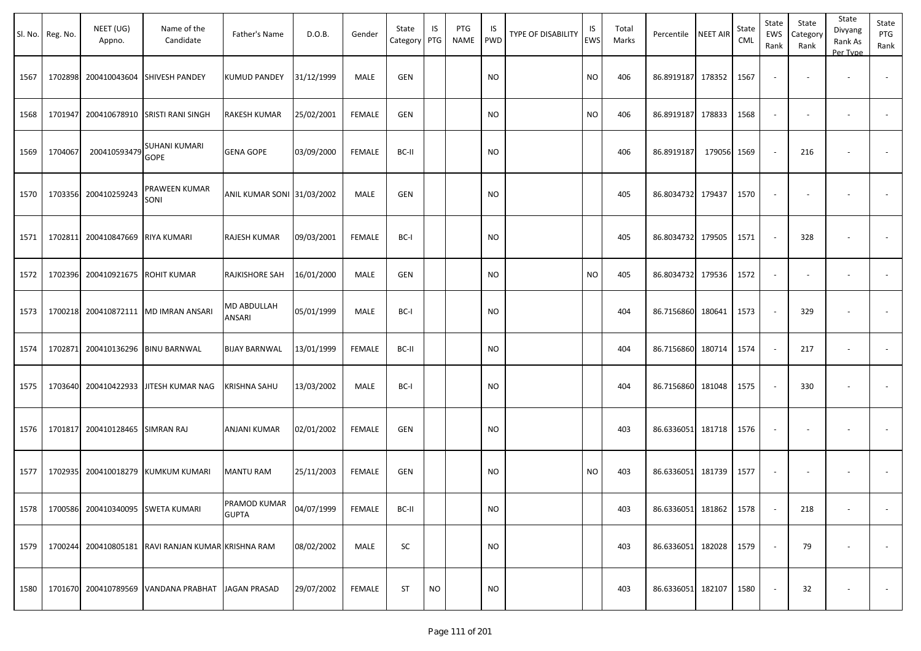|      | Sl. No. Reg. No. | NEET (UG)<br>Appno.               | Name of the<br>Candidate                           | Father's Name                | D.O.B.     | Gender        | State<br>Category PTG | IS        | PTG<br><b>NAME</b> | IS<br>PWD | <b>TYPE OF DISABILITY</b> | IS<br><b>EWS</b> | Total<br>Marks | Percentile        | <b>NEET AIR</b> | State<br>CML | State<br>EWS<br>Rank     | State<br>Category<br>Rank | State<br>Divyang<br>Rank As<br>Per Type | State<br>PTG<br>Rank     |
|------|------------------|-----------------------------------|----------------------------------------------------|------------------------------|------------|---------------|-----------------------|-----------|--------------------|-----------|---------------------------|------------------|----------------|-------------------|-----------------|--------------|--------------------------|---------------------------|-----------------------------------------|--------------------------|
| 1567 | 1702898          |                                   | 200410043604 SHIVESH PANDEY                        | <b>KUMUD PANDEY</b>          | 31/12/1999 | MALE          | GEN                   |           |                    | <b>NO</b> |                           | <b>NO</b>        | 406            | 86.8919187 178352 |                 | 1567         | $\sim$                   |                           |                                         |                          |
| 1568 | 1701947          |                                   | 200410678910 SRISTI RANI SINGH                     | <b>RAKESH KUMAR</b>          | 25/02/2001 | <b>FEMALE</b> | GEN                   |           |                    | <b>NO</b> |                           | <b>NO</b>        | 406            | 86.8919187        | 178833          | 1568         | $\blacksquare$           |                           | $\overline{\phantom{a}}$                |                          |
| 1569 | 1704067          | 200410593479                      | SUHANI KUMARI<br><b>GOPE</b>                       | <b>GENA GOPE</b>             | 03/09/2000 | <b>FEMALE</b> | BC-II                 |           |                    | <b>NO</b> |                           |                  | 406            | 86.8919187        | 179056 1569     |              |                          | 216                       |                                         |                          |
| 1570 |                  | 1703356 200410259243              | PRAWEEN KUMAR<br>SONI                              | ANIL KUMAR SONI 31/03/2002   |            | MALE          | GEN                   |           |                    | <b>NO</b> |                           |                  | 405            | 86.8034732 179437 |                 | 1570         | $\sim$                   | $\sim$                    |                                         |                          |
| 1571 | 1702811          | 200410847669                      | <b>RIYA KUMARI</b>                                 | RAJESH KUMAR                 | 09/03/2001 | <b>FEMALE</b> | BC-I                  |           |                    | <b>NO</b> |                           |                  | 405            | 86.8034732 179505 |                 | 1571         |                          | 328                       |                                         |                          |
| 1572 | 1702396          | 200410921675                      | <b>ROHIT KUMAR</b>                                 | RAJKISHORE SAH               | 16/01/2000 | MALE          | GEN                   |           |                    | <b>NO</b> |                           | <b>NO</b>        | 405            | 86.8034732 179536 |                 | 1572         |                          |                           |                                         |                          |
| 1573 | 1700218          |                                   | 200410872111   MD IMRAN ANSARI                     | MD ABDULLAH<br>ANSARI        | 05/01/1999 | MALE          | BC-I                  |           |                    | <b>NO</b> |                           |                  | 404            | 86.7156860 180641 |                 | 1573         |                          | 329                       | ۰                                       |                          |
| 1574 | 1702871          |                                   | 200410136296   BINU BARNWAL                        | <b>BIJAY BARNWAL</b>         | 13/01/1999 | <b>FEMALE</b> | BC-II                 |           |                    | <b>NO</b> |                           |                  | 404            | 86.7156860        | 180714          | 1574         |                          | 217                       | ä,                                      |                          |
| 1575 | 1703640          |                                   | 200410422933 JITESH KUMAR NAG                      | <b>KRISHNA SAHU</b>          | 13/03/2002 | MALE          | BC-I                  |           |                    | <b>NO</b> |                           |                  | 404            | 86.7156860        | 181048          | 1575         |                          | 330                       |                                         |                          |
| 1576 | 1701817          | 200410128465 SIMRAN RAJ           |                                                    | ANJANI KUMAR                 | 02/01/2002 | <b>FEMALE</b> | GEN                   |           |                    | <b>NO</b> |                           |                  | 403            | 86.6336051 181718 |                 | 1576         | $\sim$                   | $\overline{\phantom{a}}$  | $\overline{\phantom{a}}$                |                          |
| 1577 | 1702935          | 200410018279                      | KUMKUM KUMARI                                      | <b>MANTU RAM</b>             | 25/11/2003 | FEMALE        | GEN                   |           |                    | <b>NO</b> |                           | <b>NO</b>        | 403            | 86.6336051 181739 |                 | 1577         | $\overline{\phantom{a}}$ | $\overline{\phantom{a}}$  | $\overline{\phantom{a}}$                |                          |
| 1578 |                  | 1700586 200410340095 SWETA KUMARI |                                                    | PRAMOD KUMAR<br><b>GUPTA</b> | 04/07/1999 | FEMALE        | BC-II                 |           |                    | <b>NO</b> |                           |                  | 403            | 86.6336051 181862 |                 | 1578         |                          | 218                       | $\blacksquare$                          |                          |
| 1579 |                  |                                   | 1700244 200410805181 RAVI RANJAN KUMAR KRISHNA RAM |                              | 08/02/2002 | MALE          | SC                    |           |                    | <b>NO</b> |                           |                  | 403            | 86.6336051 182028 |                 | 1579         | $\sim$                   | 79                        | $\overline{\phantom{a}}$                | $\overline{\phantom{a}}$ |
| 1580 |                  |                                   | 1701670 200410789569 VANDANA PRABHAT JAGAN PRASAD  |                              | 29/07/2002 | FEMALE        | ST                    | <b>NO</b> |                    | <b>NO</b> |                           |                  | 403            | 86.6336051 182107 |                 | 1580         |                          | 32                        | $\overline{\phantom{a}}$                | $\sim$                   |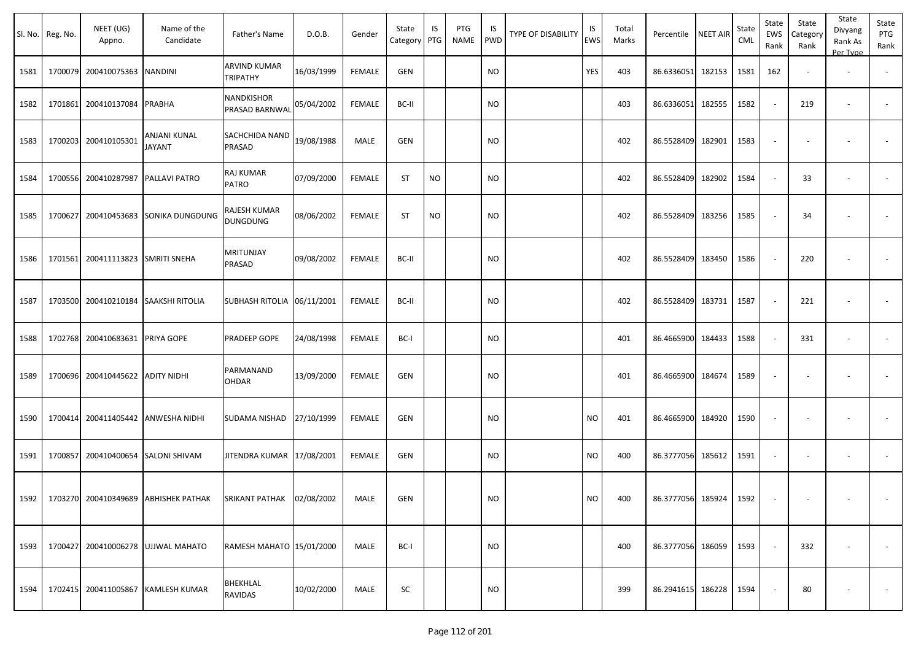| Sl. No. | Reg. No. | NEET (UG)<br>Appno.  | Name of the<br>Candidate                    | Father's Name                   | D.O.B.     | Gender        | State<br>Category PTG | IS        | PTG<br>NAME | IS<br><b>PWD</b> | TYPE OF DISABILITY | IS<br><b>EWS</b> | Total<br>Marks | Percentile             | <b>NEET AIR</b> | State<br>CML | State<br>EWS<br>Rank | State<br>Category<br>Rank | State<br>Divyang<br>Rank As<br>Per Type | State<br>PTG<br>Rank     |
|---------|----------|----------------------|---------------------------------------------|---------------------------------|------------|---------------|-----------------------|-----------|-------------|------------------|--------------------|------------------|----------------|------------------------|-----------------|--------------|----------------------|---------------------------|-----------------------------------------|--------------------------|
| 1581    | 1700079  | 200410075363         | <b>NANDINI</b>                              | ARVIND KUMAR<br>TRIPATHY        | 16/03/1999 | <b>FEMALE</b> | GEN                   |           |             | <b>NO</b>        |                    | YES              | 403            | 86.6336051             | 182153          | 1581         | 162                  | $\overline{\phantom{a}}$  | $\overline{\phantom{a}}$                | $\sim$                   |
| 1582    | 1701861  | 200410137084         | PRABHA                                      | NANDKISHOR<br>PRASAD BARNWAL    | 05/04/2002 | <b>FEMALE</b> | BC-II                 |           |             | <b>NO</b>        |                    |                  | 403            | 86.6336051             | 182555          | 1582         | $\sim$               | 219                       | $\overline{\phantom{a}}$                | $\overline{\phantom{a}}$ |
| 1583    | 1700203  | 200410105301         | ANJANI KUNAL<br><b>JAYANT</b>               | SACHCHIDA NAND<br>PRASAD        | 19/08/1988 | MALE          | GEN                   |           |             | NO.              |                    |                  | 402            | 86.5528409             | 182901          | 1583         | $\sim$               | $\overline{\phantom{a}}$  |                                         |                          |
| 1584    |          | 1700556 200410287987 | PALLAVI PATRO                               | RAJ KUMAR<br>PATRO              | 07/09/2000 | <b>FEMALE</b> | ST                    | <b>NO</b> |             | <b>NO</b>        |                    |                  | 402            | 86.5528409             | 182902          | 1584         | $\sim$               | 33                        | $\overline{\phantom{a}}$                |                          |
| 1585    | 1700627  | 200410453683         | <b>SONIKA DUNGDUNG</b>                      | RAJESH KUMAR<br><b>DUNGDUNG</b> | 08/06/2002 | <b>FEMALE</b> | <b>ST</b>             | NO.       |             | <b>NO</b>        |                    |                  | 402            | 86.5528409             | 183256          | 1585         |                      | 34                        |                                         |                          |
| 1586    |          | 1701561 200411113823 | <b>SMRITI SNEHA</b>                         | MRITUNJAY<br>PRASAD             | 09/08/2002 | <b>FEMALE</b> | BC-II                 |           |             | NO.              |                    |                  | 402            | 86.5528409             | 183450          | 1586         |                      | 220                       |                                         |                          |
| 1587    |          | 1703500 200410210184 | <b>SAAKSHI RITOLIA</b>                      | SUBHASH RITOLIA 06/11/2001      |            | <b>FEMALE</b> | BC-II                 |           |             | <b>NO</b>        |                    |                  | 402            | 86.5528409             | 183731          | 1587         |                      | 221                       |                                         | $\overline{\phantom{a}}$ |
| 1588    |          | 1702768 200410683631 | PRIYA GOPE                                  | PRADEEP GOPE                    | 24/08/1998 | <b>FEMALE</b> | BC-I                  |           |             | <b>NO</b>        |                    |                  | 401            | 86.4665900             | 184433          | 1588         | $\sim$               | 331                       |                                         | $\overline{\phantom{a}}$ |
| 1589    |          | 1700696 200410445622 | <b>ADITY NIDHI</b>                          | PARMANAND<br>OHDAR              | 13/09/2000 | <b>FEMALE</b> | GEN                   |           |             | NO.              |                    |                  | 401            | 86.4665900             | 184674          | 1589         |                      |                           |                                         |                          |
| 1590    |          | 1700414 200411405442 | <b>ANWESHA NIDHI</b>                        | SUDAMA NISHAD                   | 27/10/1999 | <b>FEMALE</b> | GEN                   |           |             | <b>NO</b>        |                    | <b>NO</b>        | 401            | 86.4665900             | 184920          | 1590         | $\sim$               |                           |                                         |                          |
| 1591    | 1700857  | 200410400654         | <b>SALONI SHIVAM</b>                        | JITENDRA KUMAR   17/08/2001     |            | <b>FEMALE</b> | <b>GEN</b>            |           |             | NO.              |                    | <b>NO</b>        | 400            | 86.3777056             | 185612          | 1591         | $\sim$               | $\overline{\phantom{a}}$  | $\overline{\phantom{a}}$                | $\overline{\phantom{a}}$ |
|         |          |                      | 1592   1703270 200410349689 ABHISHEK PATHAK | SRIKANT PATHAK 02/08/2002       |            | <b>MALE</b>   | GEN                   |           |             | <b>NO</b>        |                    | <b>NO</b>        | 400            | 86.3777056 185924 1592 |                 |              |                      |                           |                                         |                          |
| 1593    |          |                      | 1700427 200410006278 UJJWAL MAHATO          | RAMESH MAHATO 15/01/2000        |            | MALE          | BC-I                  |           |             | <b>NO</b>        |                    |                  | 400            | 86.3777056 186059      |                 | 1593         |                      | 332                       |                                         | $\sim$                   |
| 1594    |          | 1702415 200411005867 | <b>KAMLESH KUMAR</b>                        | BHEKHLAL<br>RAVIDAS             | 10/02/2000 | MALE          | SC                    |           |             | <b>NO</b>        |                    |                  | 399            | 86.2941615 186228      |                 | 1594         |                      | 80                        |                                         | $\sim$                   |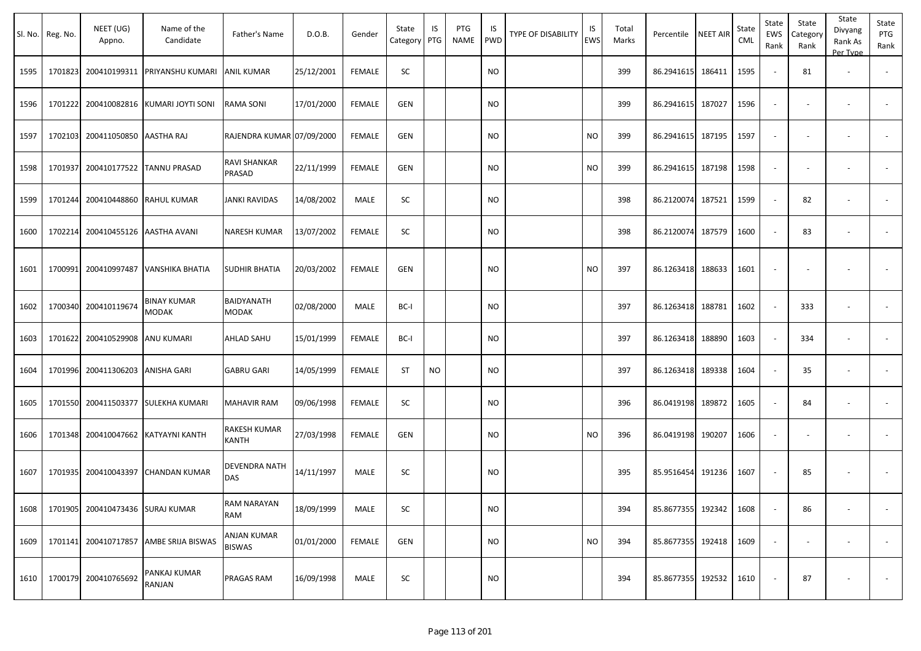|      | Sl. No. Reg. No. | NEET (UG)<br>Appno.               | Name of the<br>Candidate              | Father's Name                       | D.O.B.     | Gender        | State<br>Category | IS<br>PTG | PTG<br>NAME | IS<br>PWD | TYPE OF DISABILITY | IS<br>EWS | Total<br>Marks | Percentile        | <b>NEET AIR</b> | State<br><b>CML</b> | State<br>EWS<br>Rank     | State<br>Category<br>Rank | State<br>Divyang<br>Rank As<br>Per Type | State<br>PTG<br>Rank     |
|------|------------------|-----------------------------------|---------------------------------------|-------------------------------------|------------|---------------|-------------------|-----------|-------------|-----------|--------------------|-----------|----------------|-------------------|-----------------|---------------------|--------------------------|---------------------------|-----------------------------------------|--------------------------|
| 1595 |                  |                                   | 1701823 200410199311 PRIYANSHU KUMARI | <b>ANIL KUMAR</b>                   | 25/12/2001 | <b>FEMALE</b> | SC                |           |             | NO        |                    |           | 399            | 86.2941615        | 186411          | 1595                | $\blacksquare$           | 81                        | $\overline{\phantom{a}}$                |                          |
| 1596 |                  | 1701222 200410082816              | KUMARI JOYTI SONI                     | <b>RAMA SONI</b>                    | 17/01/2000 | <b>FEMALE</b> | <b>GEN</b>        |           |             | NO        |                    |           | 399            | 86.2941615        | 187027          | 1596                | $\overline{\phantom{a}}$ | $\overline{\phantom{a}}$  |                                         |                          |
| 1597 |                  | 1702103 200411050850 AASTHA RAJ   |                                       | RAJENDRA KUMAR 07/09/2000           |            | <b>FEMALE</b> | <b>GEN</b>        |           |             | NO        |                    | <b>NO</b> | 399            | 86.2941615        | 187195          | 1597                | $\Box$                   | $\overline{\phantom{a}}$  |                                         |                          |
| 1598 | 1701937          |                                   | 200410177522 TANNU PRASAD             | <b>RAVI SHANKAR</b><br>PRASAD       | 22/11/1999 | <b>FEMALE</b> | <b>GEN</b>        |           |             | NO.       |                    | NO.       | 399            | 86.2941615        | 187198          | 1598                | $\overline{\phantom{a}}$ | $\overline{\phantom{a}}$  | $\overline{\phantom{a}}$                | $\overline{\phantom{a}}$ |
| 1599 |                  | 1701244 200410448860              | <b>RAHUL KUMAR</b>                    | <b>JANKI RAVIDAS</b>                | 14/08/2002 | MALE          | SC                |           |             | NO        |                    |           | 398            | 86.2120074        | 187521          | 1599                | $\sim$                   | 82                        | $\overline{\phantom{a}}$                |                          |
| 1600 |                  | 1702214 200410455126 AASTHA AVANI |                                       | <b>NARESH KUMAR</b>                 | 13/07/2002 | <b>FEMALE</b> | SC                |           |             | NO.       |                    |           | 398            | 86.2120074        | 187579          | 1600                | $\blacksquare$           | 83                        |                                         | $\overline{\phantom{a}}$ |
| 1601 | 1700991          | 200410997487                      | VANSHIKA BHATIA                       | <b>SUDHIR BHATIA</b>                | 20/03/2002 | <b>FEMALE</b> | <b>GEN</b>        |           |             | <b>NO</b> |                    | NO.       | 397            | 86.1263418 188633 |                 | 1601                | $\blacksquare$           |                           |                                         |                          |
| 1602 |                  | 1700340 200410119674              | BINAY KUMAR<br><b>MODAK</b>           | BAIDYANATH<br><b>MODAK</b>          | 02/08/2000 | MALE          | BC-I              |           |             | NO        |                    |           | 397            | 86.1263418        | 188781          | 1602                | $\sim$                   | 333                       | $\overline{\phantom{a}}$                |                          |
| 1603 |                  | 1701622 200410529908              | <b>ANU KUMARI</b>                     | <b>AHLAD SAHU</b>                   | 15/01/1999 | <b>FEMALE</b> | BC-I              |           |             | NO        |                    |           | 397            | 86.1263418        | 188890          | 1603                | $\blacksquare$           | 334                       |                                         |                          |
| 1604 |                  | 1701996 200411306203              | <b>ANISHA GARI</b>                    | <b>GABRU GARI</b>                   | 14/05/1999 | <b>FEMALE</b> | <b>ST</b>         | <b>NO</b> |             | NO.       |                    |           | 397            | 86.1263418 189338 |                 | 1604                | $\sim$                   | 35                        | $\overline{\phantom{a}}$                | $\sim$                   |
| 1605 |                  | 1701550 200411503377              | <b>SULEKHA KUMARI</b>                 | <b>MAHAVIR RAM</b>                  | 09/06/1998 | <b>FEMALE</b> | SC                |           |             | NO        |                    |           | 396            | 86.0419198        | 189872          | 1605                | $\blacksquare$           | 84                        |                                         | $\overline{\phantom{a}}$ |
| 1606 |                  | 1701348 200410047662              | KATYAYNI KANTH                        | <b>RAKESH KUMAR</b><br>KANTH        | 27/03/1998 | FEMALE        | <b>GEN</b>        |           |             | NO.       |                    | NO.       | 396            | 86.0419198        | 190207          | 1606                | $\overline{\phantom{a}}$ |                           |                                         |                          |
| 1607 |                  | 1701935 200410043397              | <b>CHANDAN KUMAR</b>                  | <b>DEVENDRA NATH</b><br><b>DAS</b>  | 14/11/1997 | MALE          | SC                |           |             | NO        |                    |           | 395            | 85.9516454 191236 |                 | 1607                | $\blacksquare$           | 85                        |                                         |                          |
| 1608 |                  | 1701905 200410473436 SURAJ KUMAR  |                                       | <b>RAM NARAYAN</b><br><b>RAM</b>    | 18/09/1999 | MALE          | SC                |           |             | <b>NO</b> |                    |           | 394            | 85.8677355 192342 |                 | 1608                | $\overline{\phantom{a}}$ | 86                        |                                         | $\sim$                   |
| 1609 |                  | 1701141 200410717857              | AMBE SRIJA BISWAS                     | <b>ANJAN KUMAR</b><br><b>BISWAS</b> | 01/01/2000 | <b>FEMALE</b> | <b>GEN</b>        |           |             | <b>NO</b> |                    | <b>NO</b> | 394            | 85.8677355 192418 |                 | 1609                | $\omega$                 | $\overline{\phantom{a}}$  | $\overline{\phantom{a}}$                | $\sim$                   |
| 1610 |                  | 1700179 200410765692              | PANKAJ KUMAR<br>RANJAN                | <b>PRAGAS RAM</b>                   | 16/09/1998 | MALE          | SC                |           |             | <b>NO</b> |                    |           | 394            | 85.8677355 192532 |                 | 1610                |                          | 87                        |                                         | $\overline{\phantom{a}}$ |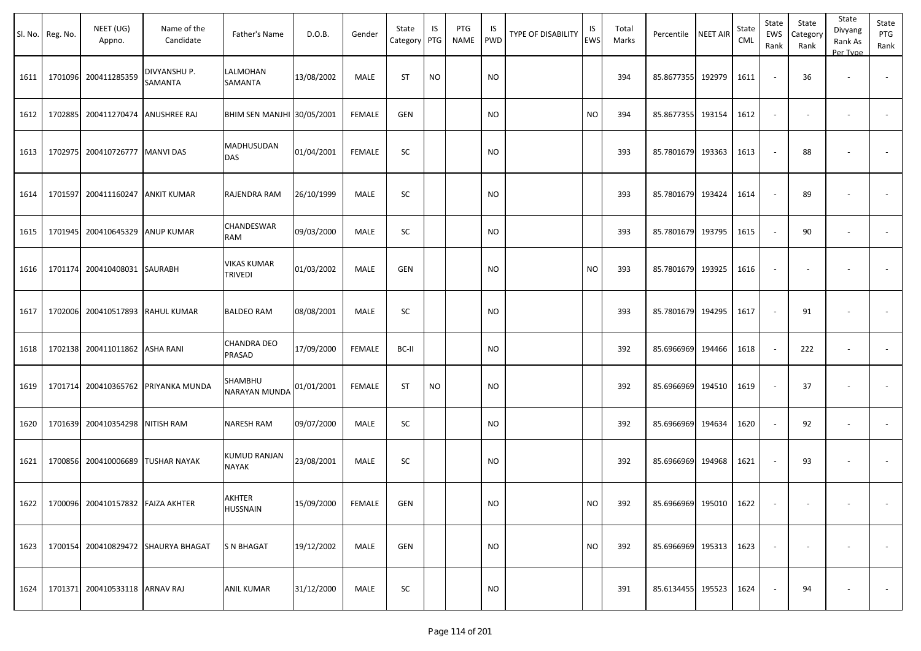|      | Sl. No. Reg. No. | NEET (UG)<br>Appno.                    | Name of the<br>Candidate            | Father's Name                        | D.O.B.     | Gender        | State<br>Category PTG | IS        | PTG<br>NAME | IS<br><b>PWD</b> | TYPE OF DISABILITY | IS<br>EWS | Total<br>Marks | Percentile             | <b>NEET AIR</b> | State<br><b>CML</b> | State<br>EWS<br>Rank     | State<br>Category<br>Rank | State<br>Divyang<br>Rank As<br>Per Type | State<br>PTG<br>Rank     |
|------|------------------|----------------------------------------|-------------------------------------|--------------------------------------|------------|---------------|-----------------------|-----------|-------------|------------------|--------------------|-----------|----------------|------------------------|-----------------|---------------------|--------------------------|---------------------------|-----------------------------------------|--------------------------|
| 1611 | 1701096          | 200411285359                           | DIVYANSHU P.<br>SAMANTA             | LALMOHAN<br><b>SAMANTA</b>           | 13/08/2002 | MALE          | ST                    | <b>NO</b> |             | <b>NO</b>        |                    |           | 394            | 85.8677355             | 192979          | 1611                | $\overline{\phantom{a}}$ | 36                        |                                         | $\overline{\phantom{a}}$ |
| 1612 | 1702885          | 200411270474                           | <b>ANUSHREE RAJ</b>                 | BHIM SEN MANJHI 30/05/2001           |            | <b>FEMALE</b> | <b>GEN</b>            |           |             | <b>NO</b>        |                    | <b>NO</b> | 394            | 85.8677355             | 193154          | 1612                | $\overline{\phantom{a}}$ | $\overline{\phantom{a}}$  |                                         | $\sim$                   |
| 1613 | 1702975          | 200410726777                           | <b>MANVI DAS</b>                    | MADHUSUDAN<br><b>DAS</b>             | 01/04/2001 | FEMALE        | SC                    |           |             | NO               |                    |           | 393            | 85.7801679 193363      |                 | 1613                | $\sim$                   | 88                        |                                         |                          |
| 1614 | 1701597          | 200411160247                           | <b>ANKIT KUMAR</b>                  | <b>RAJENDRA RAM</b>                  | 26/10/1999 | MALE          | SC                    |           |             | <b>NO</b>        |                    |           | 393            | 85.7801679 193424      |                 | 1614                | $\sim$                   | 89                        |                                         | $\sim$                   |
| 1615 | 1701945          | 200410645329                           | <b>ANUP KUMAR</b>                   | CHANDESWAR<br>RAM                    | 09/03/2000 | MALE          | SC                    |           |             | NO               |                    |           | 393            | 85.7801679             | 193795          | 1615                | $\sim$                   | 90                        |                                         |                          |
| 1616 |                  | 1701174 200410408031 SAURABH           |                                     | <b>VIKAS KUMAR</b><br><b>TRIVEDI</b> | 01/03/2002 | MALE          | <b>GEN</b>            |           |             | NO               |                    | <b>NO</b> | 393            | 85.7801679 193925      |                 | 1616                | $\sim$                   | $\overline{\phantom{a}}$  | $\overline{\phantom{a}}$                | $\overline{\phantom{a}}$ |
| 1617 |                  | 1702006 200410517893                   | <b>RAHUL KUMAR</b>                  | <b>BALDEO RAM</b>                    | 08/08/2001 | MALE          | SC                    |           |             | <b>NO</b>        |                    |           | 393            | 85.7801679 194295      |                 | 1617                | $\sim$                   | 91                        |                                         | $\sim$                   |
| 1618 | 1702138          | 200411011862                           | <b>ASHA RANI</b>                    | <b>CHANDRA DEO</b><br>PRASAD         | 17/09/2000 | FEMALE        | BC-II                 |           |             | NO               |                    |           | 392            | 85.6966969             | 194466          | 1618                | $\sim$                   | 222                       |                                         |                          |
| 1619 | 1701714          | 200410365762                           | PRIYANKA MUNDA                      | SHAMBHU<br><b>NARAYAN MUNDA</b>      | 01/01/2001 | FEMALE        | <b>ST</b>             | <b>NO</b> |             | NO               |                    |           | 392            | 85.6966969             | 194510          | 1619                | $\sim$                   | 37                        | $\overline{\phantom{a}}$                | $\sim$                   |
| 1620 | 1701639          | 200410354298                           | NITISH RAM                          | <b>NARESH RAM</b>                    | 09/07/2000 | MALE          | SC                    |           |             | NO               |                    |           | 392            | 85.6966969             | 194634          | 1620                | $\sim$                   | 92                        | $\sim$                                  | $\sim$                   |
| 1621 | 1700856          |                                        | 200410006689 TUSHAR NAYAK           | <b>KUMUD RANJAN</b><br><b>NAYAK</b>  | 23/08/2001 | MALE          | <b>SC</b>             |           |             | NO               |                    |           | 392            | 85.6966969             | 194968          | 1621                | $\blacksquare$           | 93                        |                                         |                          |
|      |                  | 1622 1700096 200410157832 FAIZA AKHTER |                                     | AKHTER<br><b>HUSSNAIN</b>            | 15/09/2000 | FEMALE        | GEN                   |           |             | NO               |                    | <b>NO</b> | 392            | 85.6966969 195010 1622 |                 |                     | $\sim$                   | $\sim$                    | $\sim$                                  | $\sim$                   |
| 1623 |                  |                                        | 1700154 200410829472 SHAURYA BHAGAT | <b>S N BHAGAT</b>                    | 19/12/2002 | MALE          | GEN                   |           |             | <b>NO</b>        |                    | <b>NO</b> | 392            | 85.6966969 195313      |                 | 1623                | $\overline{\phantom{a}}$ |                           |                                         | $\sim$                   |
| 1624 |                  | 1701371 200410533118 ARNAV RAJ         |                                     | <b>ANIL KUMAR</b>                    | 31/12/2000 | MALE          | SC                    |           |             | <b>NO</b>        |                    |           | 391            | 85.6134455 195523      |                 | 1624                | $\sim$                   | 94                        |                                         | $\sim$                   |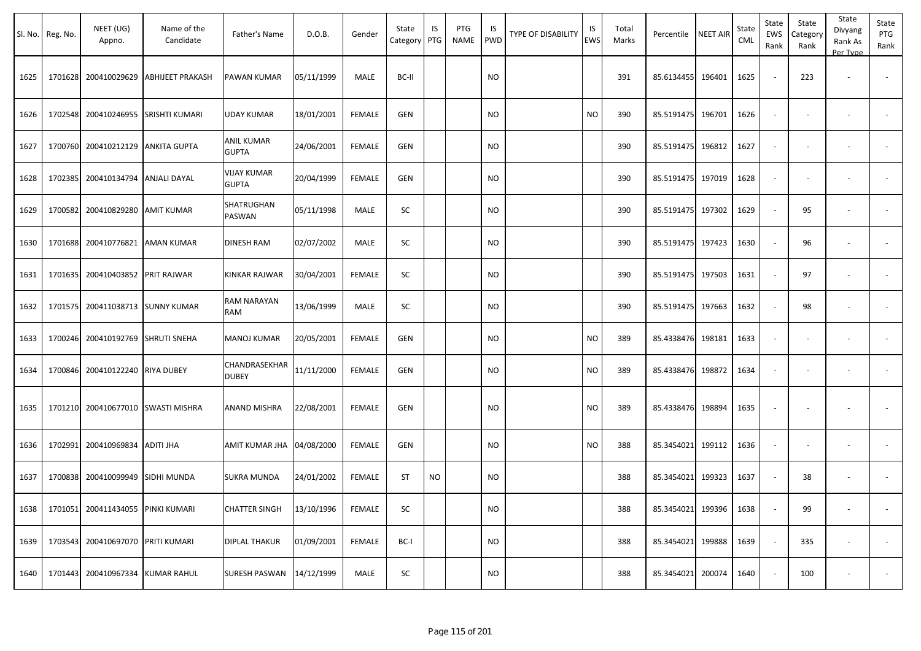|      | Sl. No. Reg. No. | NEET (UG)<br>Appno.               | Name of the<br>Candidate | Father's Name                 | D.O.B.     | Gender        | State<br>Category | IS<br>PTG | PTG<br>NAME | IS<br>PWD | TYPE OF DISABILITY | IS<br>EWS | Total<br>Marks | Percentile | <b>NEET AIR</b> | State<br><b>CML</b> | State<br>EWS<br>Rank        | State<br>Category<br>Rank | State<br>Divyang<br>Rank As<br>Per Type | State<br>PTG<br>Rank |
|------|------------------|-----------------------------------|--------------------------|-------------------------------|------------|---------------|-------------------|-----------|-------------|-----------|--------------------|-----------|----------------|------------|-----------------|---------------------|-----------------------------|---------------------------|-----------------------------------------|----------------------|
| 1625 |                  | 1701628 200410029629              | <b>ABHIJEET PRAKASH</b>  | PAWAN KUMAR                   | 05/11/1999 | MALE          | BC-II             |           |             | <b>NO</b> |                    |           | 391            | 85.6134455 | 196401          | 1625                | $\overline{\phantom{a}}$    | 223                       | $\overline{\phantom{a}}$                |                      |
| 1626 |                  | 1702548 200410246955              | SRISHTI KUMARI           | UDAY KUMAR                    | 18/01/2001 | <b>FEMALE</b> | <b>GEN</b>        |           |             | <b>NO</b> |                    | <b>NO</b> | 390            | 85.5191475 | 196701          | 1626                | $\sim$                      | $\sim$                    | $\overline{\phantom{a}}$                |                      |
| 1627 |                  | 1700760 200410212129              | <b>ANKITA GUPTA</b>      | ANIL KUMAR<br><b>GUPTA</b>    | 24/06/2001 | <b>FEMALE</b> | <b>GEN</b>        |           |             | NO        |                    |           | 390            | 85.5191475 | 196812          | 1627                | $\blacksquare$              | $\overline{\phantom{a}}$  |                                         |                      |
| 1628 |                  | 1702385 200410134794              | <b>ANJALI DAYAL</b>      | VIJAY KUMAR<br><b>GUPTA</b>   | 20/04/1999 | <b>FEMALE</b> | <b>GEN</b>        |           |             | <b>NO</b> |                    |           | 390            | 85.5191475 | 197019          | 1628                | $\sim$                      |                           |                                         |                      |
| 1629 |                  | 1700582 200410829280              | AMIT KUMAR               | SHATRUGHAN<br>PASWAN          | 05/11/1998 | MALE          | SC                |           |             | NO        |                    |           | 390            | 85.5191475 | 197302          | 1629                | $\sim$                      | 95                        |                                         |                      |
| 1630 |                  | 1701688 200410776821 AMAN KUMAR   |                          | DINESH RAM                    | 02/07/2002 | MALE          | SC                |           |             | <b>NO</b> |                    |           | 390            | 85.5191475 | 197423          | 1630                | $\sim$                      | 96                        | $\overline{\phantom{a}}$                |                      |
| 1631 |                  | 1701635 200410403852 PRIT RAJWAR  |                          | KINKAR RAJWAR                 | 30/04/2001 | FEMALE        | SC                |           |             | NO.       |                    |           | 390            | 85.5191475 | 197503          | 1631                | $\sim$                      | 97                        | $\overline{\phantom{a}}$                |                      |
| 1632 |                  | 1701575 200411038713 SUNNY KUMAR  |                          | RAM NARAYAN<br>RAM            | 13/06/1999 | MALE          | SC                |           |             | <b>NO</b> |                    |           | 390            | 85.5191475 | 197663          | 1632                | $\sim$                      | 98                        | $\overline{\phantom{a}}$                |                      |
| 1633 |                  | 1700246 200410192769              | SHRUTI SNEHA             | <b>MANOJ KUMAR</b>            | 20/05/2001 | <b>FEMALE</b> | <b>GEN</b>        |           |             | NO        |                    | NO        | 389            | 85.4338476 | 198181          | 1633                | $\blacksquare$              | $\sim$                    | $\overline{\phantom{a}}$                |                      |
| 1634 |                  | 1700846 200410122240              | <b>RIYA DUBEY</b>        | CHANDRASEKHAR<br><b>DUBEY</b> | 11/11/2000 | <b>FEMALE</b> | <b>GEN</b>        |           |             | NO.       |                    | NO.       | 389            | 85.4338476 | 198872          | 1634                | $\blacksquare$              | $\blacksquare$            | $\overline{\phantom{a}}$                | $\sim$               |
| 1635 |                  | 1701210 200410677010              | <b>SWASTI MISHRA</b>     | ANAND MISHRA                  | 22/08/2001 | <b>FEMALE</b> | <b>GEN</b>        |           |             | <b>NO</b> |                    | <b>NO</b> | 389            | 85.4338476 | 198894          | 1635                | $\overline{\phantom{a}}$    |                           |                                         |                      |
| 1636 |                  | 1702991 200410969834              | <b>ADITI JHA</b>         | AMIT KUMAR JHA                | 04/08/2000 | <b>FEMALE</b> | <b>GEN</b>        |           |             | NO        |                    | NO.       | 388            | 85.3454021 | 199112          | 1636                | $\overline{\phantom{a}}$    |                           |                                         |                      |
| 1637 |                  | 1700838 200410099949              | SIDHI MUNDA              | <b>SUKRA MUNDA</b>            | 24/01/2002 | <b>FEMALE</b> | <b>ST</b>         | <b>NO</b> |             | NO        |                    |           | 388            | 85.3454021 | 199323          | 1637                | $\sim$                      | 38                        | $\overline{\phantom{a}}$                |                      |
| 1638 |                  | 1701051 200411434055 PINKI KUMARI |                          | <b>CHATTER SINGH</b>          | 13/10/1996 | <b>FEMALE</b> | SC                |           |             | <b>NO</b> |                    |           | 388            | 85.3454021 | 199396          | 1638                | $\overline{\phantom{a}}$    | 99                        |                                         |                      |
| 1639 |                  | 1703543 200410697070 PRITI KUMARI |                          | <b>DIPLAL THAKUR</b>          | 01/09/2001 | <b>FEMALE</b> | BC-I              |           |             | <b>NO</b> |                    |           | 388            | 85.3454021 | 199888          | 1639                | $\mathcal{L}_{\mathcal{A}}$ | 335                       | $\overline{\phantom{a}}$                | $\sim$               |
| 1640 |                  | 1701443 200410967334 KUMAR RAHUL  |                          | SURESH PASWAN                 | 14/12/1999 | MALE          | SC                |           |             | $\rm NO$  |                    |           | 388            | 85.3454021 | 200074          | 1640                | $\sim$                      | 100                       | $\overline{\phantom{a}}$                | $\sim$               |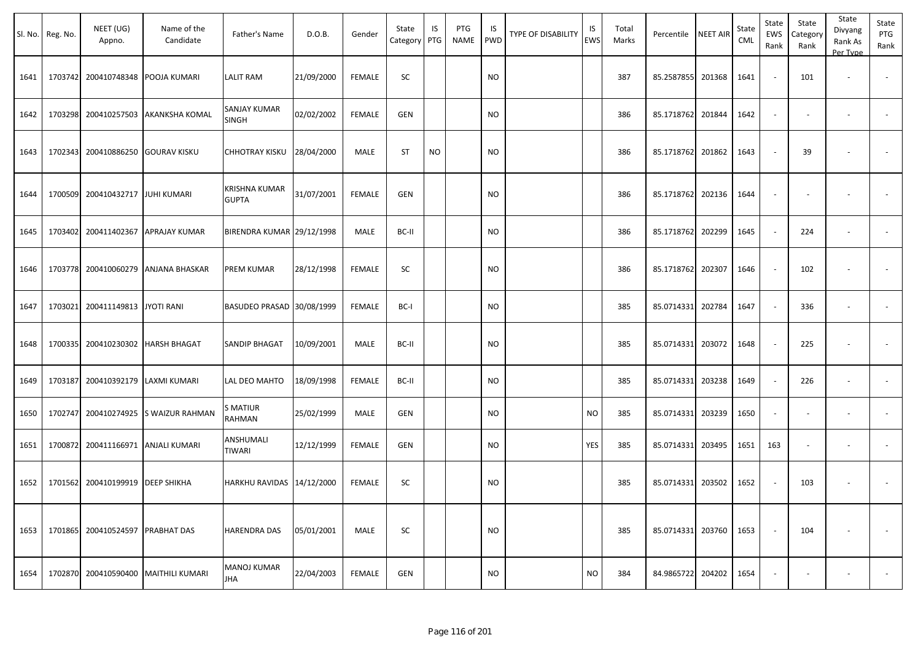|      | Sl. No. Reg. No. | NEET (UG)<br>Appno.                | Name of the<br>Candidate             | Father's Name                        | D.O.B.     | Gender        | State<br>Category   PTG | IS        | PTG<br><b>NAME</b> | IS<br><b>PWD</b> | <b>TYPE OF DISABILITY</b> | IS<br>EWS | Total<br>Marks | Percentile NEET AIR |        | State<br>CML | State<br>EWS<br>Rank | State<br>Category<br>Rank | State<br>Divyang<br>Rank As<br>Per Type | State<br>PTG<br>Rank |
|------|------------------|------------------------------------|--------------------------------------|--------------------------------------|------------|---------------|-------------------------|-----------|--------------------|------------------|---------------------------|-----------|----------------|---------------------|--------|--------------|----------------------|---------------------------|-----------------------------------------|----------------------|
| 1641 | 1703742          |                                    | 200410748348 POOJA KUMARI            | LALIT RAM                            | 21/09/2000 | <b>FEMALE</b> | SC                      |           |                    | <b>NO</b>        |                           |           | 387            | 85.2587855 201368   |        | 1641         |                      | 101                       | $\overline{\phantom{a}}$                |                      |
| 1642 | 1703298          |                                    | 200410257503 AKANKSHA KOMAL          | SANJAY KUMAR<br>SINGH                | 02/02/2002 | <b>FEMALE</b> | GEN                     |           |                    | <b>NO</b>        |                           |           | 386            | 85.1718762          | 201844 | 1642         | $\sim$               |                           | $\overline{\phantom{a}}$                |                      |
| 1643 | 1702343          |                                    | 200410886250 GOURAV KISKU            | CHHOTRAY KISKU                       | 28/04/2000 | MALE          | <b>ST</b>               | <b>NO</b> |                    | <b>NO</b>        |                           |           | 386            | 85.1718762 201862   |        | 1643         |                      | 39                        |                                         |                      |
| 1644 |                  | 1700509 200410432717 JJUHI KUMARI  |                                      | <b>KRISHNA KUMAR</b><br><b>GUPTA</b> | 31/07/2001 | <b>FEMALE</b> | GEN                     |           |                    | <b>NO</b>        |                           |           | 386            | 85.1718762 202136   |        | 1644         |                      |                           |                                         |                      |
| 1645 | 1703402          |                                    | 200411402367 APRAJAY KUMAR           | BIRENDRA KUMAR 29/12/1998            |            | MALE          | BC-II                   |           |                    | <b>NO</b>        |                           |           | 386            | 85.1718762 202299   |        | 1645         | $\sim$               | 224                       |                                         |                      |
| 1646 |                  |                                    | 1703778 200410060279 ANJANA BHASKAR  | PREM KUMAR                           | 28/12/1998 | <b>FEMALE</b> | SC                      |           |                    | <b>NO</b>        |                           |           | 386            | 85.1718762 202307   |        | 1646         |                      | 102                       |                                         |                      |
| 1647 | 1703021          | 200411149813 JYOTI RANI            |                                      | BASUDEO PRASAD 30/08/1999            |            | <b>FEMALE</b> | BC-I                    |           |                    | <b>NO</b>        |                           |           | 385            | 85.0714331          | 202784 | 1647         |                      | 336                       | $\overline{\phantom{a}}$                |                      |
| 1648 | 1700335          |                                    | 200410230302 HARSH BHAGAT            | SANDIP BHAGAT                        | 10/09/2001 | MALE          | BC-II                   |           |                    | <b>NO</b>        |                           |           | 385            | 85.0714331 203072   |        | 1648         |                      | 225                       |                                         |                      |
| 1649 | 1703187          | 200410392179 LAXMI KUMARI          |                                      | LAL DEO MAHTO                        | 18/09/1998 | <b>FEMALE</b> | BC-II                   |           |                    | <b>NO</b>        |                           |           | 385            | 85.0714331 203238   |        | 1649         |                      | 226                       |                                         |                      |
| 1650 |                  |                                    | 1702747 200410274925 S WAIZUR RAHMAN | S MATIUR<br>RAHMAN                   | 25/02/1999 | MALE          | GEN                     |           |                    | <b>NO</b>        |                           | <b>NO</b> | 385            | 85.0714331 203239   |        | 1650         |                      |                           | $\overline{\phantom{a}}$                |                      |
| 1651 |                  | 1700872 200411166971 ANJALI KUMARI |                                      | ANSHUMALI<br>TIWARI                  | 12/12/1999 | <b>FEMALE</b> | GEN                     |           |                    | <b>NO</b>        |                           | YES       | 385            | 85.0714331 203495   |        | 1651         | 163                  |                           | $\overline{\phantom{a}}$                |                      |
| 1652 |                  | 1701562 200410199919 DEEP SHIKHA   |                                      | HARKHU RAVIDAS 14/12/2000            |            | <b>FEMALE</b> | SC                      |           |                    | <b>NO</b>        |                           |           | 385            | 85.0714331 203502   |        | 1652         |                      | 103                       |                                         |                      |
| 1653 |                  | 1701865 200410524597 PRABHAT DAS   |                                      | HARENDRA DAS                         | 05/01/2001 | MALE          | SC                      |           |                    | <b>NO</b>        |                           |           | 385            | 85.0714331 203760   |        | 1653         |                      | 104                       |                                         | $\sim$               |
| 1654 |                  |                                    | 1702870 200410590400 MAITHILI KUMARI | <b>MANOJ KUMAR</b><br><b>JHA</b>     | 22/04/2003 | FEMALE        | <b>GEN</b>              |           |                    | <b>NO</b>        |                           | <b>NO</b> | 384            | 84.9865722 204202   |        | 1654         |                      |                           | $\overline{\phantom{a}}$                | $\sim$               |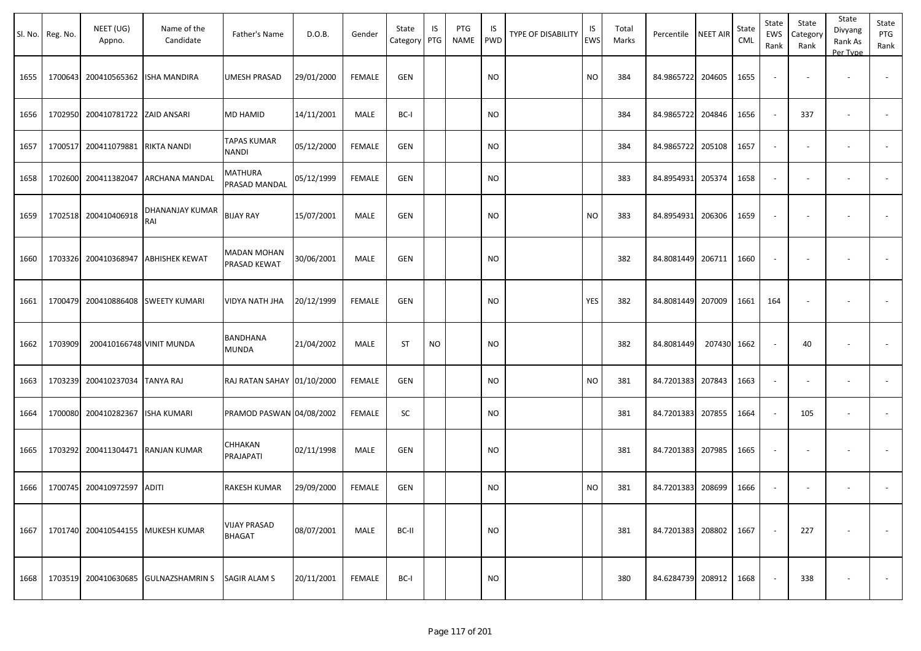|      | Sl. No. Reg. No. | NEET (UG)<br>Appno.               | Name of the<br>Candidate             | Father's Name                        | D.O.B.     | Gender        | State<br>Category | IS<br>PTG | PTG<br>NAME | IS<br>PWD | TYPE OF DISABILITY | IS<br><b>EWS</b> | Total<br>Marks | Percentile        | <b>NEET AIR</b> | State<br>CML | State<br>EWS<br>Rank     | State<br>Category<br>Rank | State<br>Divyang<br>Rank As<br>Per Type | State<br>PTG<br>Rank     |
|------|------------------|-----------------------------------|--------------------------------------|--------------------------------------|------------|---------------|-------------------|-----------|-------------|-----------|--------------------|------------------|----------------|-------------------|-----------------|--------------|--------------------------|---------------------------|-----------------------------------------|--------------------------|
| 1655 | 1700643          | 200410565362                      | <b>ISHA MANDIRA</b>                  | <b>UMESH PRASAD</b>                  | 29/01/2000 | <b>FEMALE</b> | GEN               |           |             | <b>NO</b> |                    | <b>NO</b>        | 384            | 84.9865722        | 204605          | 1655         | $\overline{\phantom{a}}$ | $\overline{\phantom{a}}$  | $\sim$                                  |                          |
| 1656 |                  | 1702950 200410781722 ZAID ANSARI  |                                      | <b>MD HAMID</b>                      | 14/11/2001 | MALE          | BC-I              |           |             | <b>NO</b> |                    |                  | 384            | 84.9865722        | 204846          | 1656         | $\sim$                   | 337                       | $\sim$                                  | $\sim$                   |
| 1657 |                  | 1700517 200411079881              | <b>RIKTA NANDI</b>                   | <b>TAPAS KUMAR</b><br><b>NANDI</b>   | 05/12/2000 | <b>FEMALE</b> | <b>GEN</b>        |           |             | <b>NO</b> |                    |                  | 384            | 84.9865722        | 205108          | 1657         | $\overline{\phantom{a}}$ | $\overline{\phantom{a}}$  |                                         | $\overline{\phantom{a}}$ |
| 1658 |                  | 1702600 200411382047              | ARCHANA MANDAL                       | MATHURA<br>PRASAD MANDAL             | 05/12/1999 | <b>FEMALE</b> | GEN               |           |             | <b>NO</b> |                    |                  | 383            | 84.8954931        | 205374          | 1658         | $\sim$                   | $\blacksquare$            |                                         |                          |
| 1659 |                  | 1702518 200410406918              | DHANANJAY KUMAR<br>RAI               | <b>BIJAY RAY</b>                     | 15/07/2001 | MALE          | <b>GEN</b>        |           |             | <b>NO</b> |                    | <b>NO</b>        | 383            | 84.8954931        | 206306          | 1659         | $\sim$                   | $\overline{\phantom{a}}$  | $\overline{\phantom{a}}$                |                          |
| 1660 |                  | 1703326 200410368947              | <b>ABHISHEK KEWAT</b>                | <b>MADAN MOHAN</b><br>PRASAD KEWAT   | 30/06/2001 | <b>MALE</b>   | <b>GEN</b>        |           |             | <b>NO</b> |                    |                  | 382            | 84.8081449        | 206711          | 1660         | $\overline{\phantom{a}}$ | $\overline{\phantom{a}}$  |                                         | $\sim$                   |
| 1661 |                  | 1700479 200410886408              | <b>SWEETY KUMARI</b>                 | VIDYA NATH JHA                       | 20/12/1999 | <b>FEMALE</b> | <b>GEN</b>        |           |             | <b>NO</b> |                    | YES              | 382            | 84.8081449        | 207009          | 1661         | 164                      |                           |                                         |                          |
| 1662 | 1703909          | 200410166748 VINIT MUNDA          |                                      | <b>BANDHANA</b><br><b>MUNDA</b>      | 21/04/2002 | MALE          | <b>ST</b>         | <b>NO</b> |             | <b>NO</b> |                    |                  | 382            | 84.8081449        | 207430 1662     |              | $\sim$                   | 40                        | $\overline{\phantom{a}}$                | $\blacksquare$           |
| 1663 |                  | 1703239 200410237034              | <b>TANYA RAJ</b>                     | RAJ RATAN SAHAY 01/10/2000           |            | <b>FEMALE</b> | <b>GEN</b>        |           |             | <b>NO</b> |                    | NO.              | 381            | 84.7201383        | 207843          | 1663         | $\sim$                   |                           |                                         |                          |
| 1664 |                  | 1700080 200410282367              | <b>ISHA KUMARI</b>                   | PRAMOD PASWAN 04/08/2002             |            | FEMALE        | SC                |           |             | <b>NO</b> |                    |                  | 381            | 84.7201383        | 207855          | 1664         | $\sim$                   | 105                       | $\sim$                                  |                          |
| 1665 |                  | 1703292 200411304471 RANJAN KUMAR |                                      | <b>CHHAKAN</b><br>PRAJAPATI          | 02/11/1998 | MALE          | <b>GEN</b>        |           |             | <b>NO</b> |                    |                  | 381            | 84.7201383        | 207985          | 1665         | $\overline{\phantom{a}}$ | $\overline{\phantom{a}}$  | $\overline{\phantom{a}}$                | $\blacksquare$           |
| 1666 |                  | 1700745 200410972597              | <b>ADITI</b>                         | <b>RAKESH KUMAR</b>                  | 29/09/2000 | FEMALE        | <b>GEN</b>        |           |             | <b>NO</b> |                    | NO.              | 381            | 84.7201383        | 208699          | 1666         | $\sim$                   |                           |                                         |                          |
| 1667 |                  |                                   | 1701740 200410544155 MUKESH KUMAR    | <b>VIJAY PRASAD</b><br><b>BHAGAT</b> | 08/07/2001 | <b>MALE</b>   | BC-II             |           |             | <b>NO</b> |                    |                  | 381            | 84.7201383 208802 |                 | 1667         | $\sim$                   | 227                       |                                         | $\sim$                   |
| 1668 |                  |                                   | 1703519 200410630685 GULNAZSHAMRIN S | <b>SAGIR ALAM S</b>                  | 20/11/2001 | FEMALE        | BC-I              |           |             | <b>NO</b> |                    |                  | 380            | 84.6284739        | 208912          | 1668         | $\sim$                   | 338                       |                                         | $\sim$                   |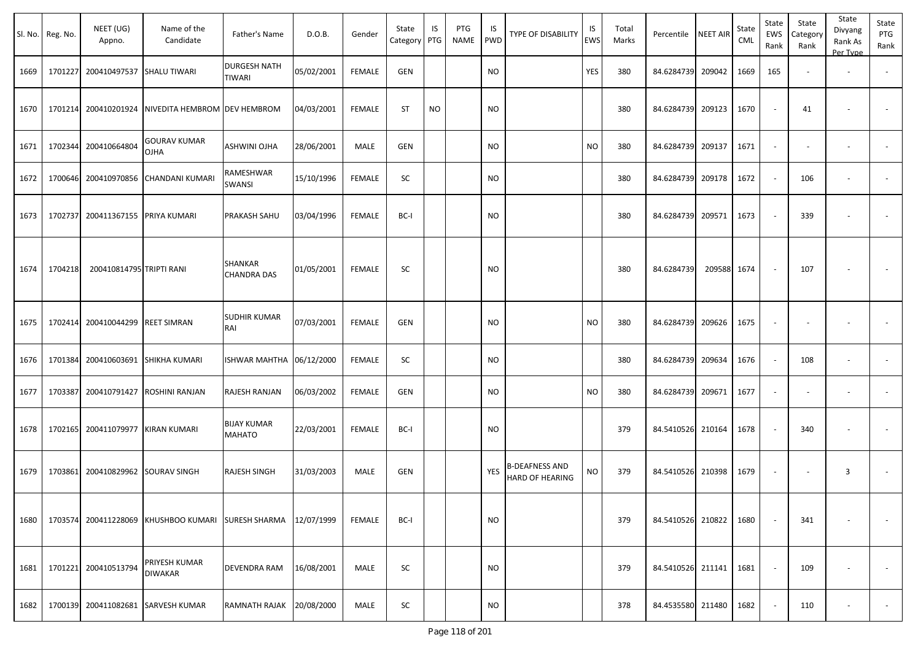| Sl. No. | Reg. No. | NEET (UG)<br>Appno.               | Name of the<br>Candidate             | Father's Name                        | D.O.B.     | Gender        | State<br>Category | IS<br>PTG | PTG<br><b>NAME</b> | IS<br>PWD  | <b>TYPE OF DISABILITY</b>                | IS<br><b>EWS</b> | Total<br>Marks | Percentile        | <b>NEET AIR</b> | State<br>CML | State<br>EWS<br>Rank | State<br>Category<br>Rank | State<br>Divyang<br>Rank As<br>Per Type | State<br>PTG<br>Rank |
|---------|----------|-----------------------------------|--------------------------------------|--------------------------------------|------------|---------------|-------------------|-----------|--------------------|------------|------------------------------------------|------------------|----------------|-------------------|-----------------|--------------|----------------------|---------------------------|-----------------------------------------|----------------------|
| 1669    | 1701227  | 200410497537                      | <b>SHALU TIWARI</b>                  | <b>DURGESH NATH</b><br>TIWARI        | 05/02/2001 | <b>FEMALE</b> | <b>GEN</b>        |           |                    | <b>NO</b>  |                                          | <b>YES</b>       | 380            | 84.6284739        | 209042          | 1669         | 165                  |                           |                                         |                      |
| 1670    | 1701214  | 200410201924                      | NIVEDITA HEMBROM DEV HEMBROM         |                                      | 04/03/2001 | <b>FEMALE</b> | <b>ST</b>         | <b>NO</b> |                    | <b>NO</b>  |                                          |                  | 380            | 84.6284739        | 209123          | 1670         |                      | 41                        |                                         |                      |
| 1671    | 1702344  | 200410664804                      | <b>GOURAV KUMAR</b><br>OJHA          | ASHWINI OJHA                         | 28/06/2001 | MALE          | <b>GEN</b>        |           |                    | <b>NO</b>  |                                          | <b>NO</b>        | 380            | 84.6284739        | 209137          | 1671         | $\sim$               |                           | $\overline{\phantom{a}}$                |                      |
| 1672    | 1700646  |                                   | 200410970856 CHANDANI KUMARI         | RAMESHWAR<br>SWANSI                  | 15/10/1996 | <b>FEMALE</b> | SC                |           |                    | <b>NO</b>  |                                          |                  | 380            | 84.6284739        | 209178          | 1672         |                      | 106                       |                                         |                      |
| 1673    | 1702737  | 200411367155 PRIYA KUMARI         |                                      | PRAKASH SAHU                         | 03/04/1996 | <b>FEMALE</b> | BC-I              |           |                    | <b>NO</b>  |                                          |                  | 380            | 84.6284739 209571 |                 | 1673         |                      | 339                       |                                         |                      |
| 1674    | 1704218  | 200410814795 TRIPTI RANI          |                                      | <b>SHANKAR</b><br><b>CHANDRA DAS</b> | 01/05/2001 | <b>FEMALE</b> | SC                |           |                    | <b>NO</b>  |                                          |                  | 380            | 84.6284739        | 209588          | 1674         |                      | 107                       |                                         |                      |
| 1675    | 1702414  | 200410044299                      | <b>REET SIMRAN</b>                   | <b>SUDHIR KUMAR</b><br>RAI           | 07/03/2001 | <b>FEMALE</b> | <b>GEN</b>        |           |                    | <b>NO</b>  |                                          | <b>NO</b>        | 380            | 84.6284739        | 209626          | 1675         |                      |                           |                                         |                      |
| 1676    | 1701384  |                                   | 200410603691 SHIKHA KUMARI           | ISHWAR MAHTHA                        | 06/12/2000 | <b>FEMALE</b> | SC                |           |                    | <b>NO</b>  |                                          |                  | 380            | 84.6284739        | 209634          | 1676         |                      | 108                       | $\overline{\phantom{a}}$                |                      |
| 1677    | 1703387  | 200410791427                      | <b>ROSHINI RANJAN</b>                | RAJESH RANJAN                        | 06/03/2002 | <b>FEMALE</b> | <b>GEN</b>        |           |                    | <b>NO</b>  |                                          | <b>NO</b>        | 380            | 84.6284739        | 209671          | 1677         |                      |                           | $\overline{\phantom{a}}$                |                      |
| 1678    |          | 1702165 200411079977 KIRAN KUMARI |                                      | <b>BIJAY KUMAR</b><br><b>MAHATO</b>  | 22/03/2001 | <b>FEMALE</b> | BC-I              |           |                    | <b>NO</b>  |                                          |                  | 379            | 84.5410526 210164 |                 | 1678         |                      | 340                       |                                         |                      |
| 1679    | 1703861  | 200410829962 SOURAV SINGH         |                                      | RAJESH SINGH                         | 31/03/2003 | MALE          | <b>GEN</b>        |           |                    | <b>YES</b> | <b>B-DEAFNESS AND</b><br>HARD OF HEARING | <b>NO</b>        | 379            | 84.5410526 210398 |                 | 1679         |                      |                           | $\overline{3}$                          |                      |
| 1680    |          |                                   | 1703574 200411228069 KHUSHBOO KUMARI | <b>SURESH SHARMA</b>                 | 12/07/1999 | <b>FEMALE</b> | BC-I              |           |                    | <b>NO</b>  |                                          |                  | 379            | 84.5410526 210822 |                 | 1680         |                      | 341                       | $\overline{\phantom{a}}$                | $\sim$               |
| 1681    |          | 1701221 200410513794              | PRIYESH KUMAR<br><b>DIWAKAR</b>      | DEVENDRA RAM                         | 16/08/2001 | MALE          | SC                |           |                    | <b>NO</b>  |                                          |                  | 379            | 84.5410526 211141 |                 | 1681         |                      | 109                       |                                         | $\sim$               |
| 1682    |          |                                   | 1700139 200411082681 SARVESH KUMAR   | RAMNATH RAJAK                        | 20/08/2000 | MALE          | SC                |           |                    | <b>NO</b>  |                                          |                  | 378            | 84.4535580 211480 |                 | 1682         |                      | 110                       | $\overline{\phantom{a}}$                | $\sim$               |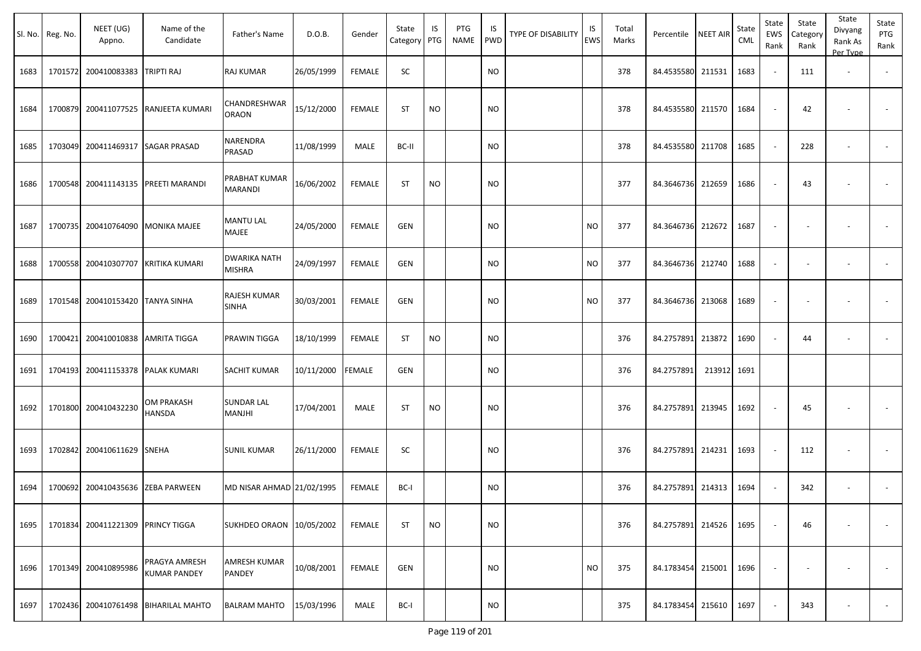|      | Sl. No. Reg. No. | NEET (UG)<br>Appno.       | Name of the<br>Candidate             | Father's Name                 | D.O.B.     | Gender        | State<br>Category PTG | IS        | PTG<br><b>NAME</b> | IS<br>PWD | <b>TYPE OF DISABILITY</b> | IS<br><b>EWS</b> | Total<br>Marks | Percentile        | <b>NEET AIR</b> | State<br><b>CML</b> | State<br>EWS<br>Rank     | State<br>Category<br>Rank | State<br>Divyang<br>Rank As<br>Per Type | State<br>PTG<br>Rank     |
|------|------------------|---------------------------|--------------------------------------|-------------------------------|------------|---------------|-----------------------|-----------|--------------------|-----------|---------------------------|------------------|----------------|-------------------|-----------------|---------------------|--------------------------|---------------------------|-----------------------------------------|--------------------------|
| 1683 | 1701572          | 200410083383              | TRIPTI RAJ                           | RAJ KUMAR                     | 26/05/1999 | <b>FEMALE</b> | SC                    |           |                    | <b>NO</b> |                           |                  | 378            | 84.4535580 211531 |                 | 1683                |                          | 111                       | $\overline{\phantom{a}}$                |                          |
| 1684 | 1700879          | 200411077525              | RANJEETA KUMARI                      | CHANDRESHWAR<br><b>ORAON</b>  | 15/12/2000 | <b>FEMALE</b> | <b>ST</b>             | <b>NO</b> |                    | <b>NO</b> |                           |                  | 378            | 84.4535580 211570 |                 | 1684                |                          | 42                        |                                         |                          |
| 1685 | 1703049          | 200411469317              | <b>SAGAR PRASAD</b>                  | NARENDRA<br>PRASAD            | 11/08/1999 | MALE          | BC-II                 |           |                    | NO.       |                           |                  | 378            | 84.4535580        | 211708          | 1685                |                          | 228                       |                                         | $\overline{\phantom{a}}$ |
| 1686 | 1700548          | 200411143135              | PREETI MARANDI                       | PRABHAT KUMAR<br>MARANDI      | 16/06/2002 | <b>FEMALE</b> | ST                    | <b>NO</b> |                    | NO        |                           |                  | 377            | 84.3646736 212659 |                 | 1686                |                          | 43                        |                                         |                          |
| 1687 | 1700735          | 200410764090              | <b>MONIKA MAJEE</b>                  | <b>MANTU LAL</b><br>MAJEE     | 24/05/2000 | <b>FEMALE</b> | <b>GEN</b>            |           |                    | <b>NO</b> |                           | <b>NO</b>        | 377            | 84.3646736 212672 |                 | 1687                |                          |                           |                                         |                          |
| 1688 | 1700558          | 200410307707              | KRITIKA KUMARI                       | DWARIKA NATH<br><b>MISHRA</b> | 24/09/1997 | FEMALE        | GEN                   |           |                    | NO.       |                           | <b>NO</b>        | 377            | 84.3646736        | 212740          | 1688                | $\overline{\phantom{a}}$ |                           |                                         |                          |
| 1689 | 1701548          | 200410153420              | <b>TANYA SINHA</b>                   | RAJESH KUMAR<br>SINHA         | 30/03/2001 | <b>FEMALE</b> | <b>GEN</b>            |           |                    | NO.       |                           | <b>NO</b>        | 377            | 84.3646736 213068 |                 | 1689                |                          |                           |                                         |                          |
| 1690 | 1700421          | 200410010838              | <b>AMRITA TIGGA</b>                  | PRAWIN TIGGA                  | 18/10/1999 | <b>FEMALE</b> | ST                    | <b>NO</b> |                    | <b>NO</b> |                           |                  | 376            | 84.2757891 213872 |                 | 1690                |                          | 44                        | $\overline{\phantom{a}}$                | $\overline{\phantom{a}}$ |
| 1691 | 1704193          | 200411153378              | PALAK KUMARI                         | SACHIT KUMAR                  | 10/11/2000 | <b>FEMALE</b> | GEN                   |           |                    | <b>NO</b> |                           |                  | 376            | 84.2757891        | 213912 1691     |                     |                          |                           |                                         |                          |
| 1692 | 1701800          | 200410432230              | OM PRAKASH<br>HANSDA                 | <b>SUNDAR LAL</b><br>MANJHI   | 17/04/2001 | MALE          | ST                    | <b>NO</b> |                    | NO.       |                           |                  | 376            | 84.2757891        | 213945          | 1692                |                          | 45                        |                                         |                          |
| 1693 | 1702842          | 200410611629              | <b>SNEHA</b>                         | <b>SUNIL KUMAR</b>            | 26/11/2000 | <b>FEMALE</b> | SC                    |           |                    | NO.       |                           |                  | 376            | 84.2757891 214231 |                 | 1693                |                          | 112                       | $\overline{\phantom{a}}$                |                          |
| 1694 | 1700692          | 200410435636              | <b>ZEBA PARWEEN</b>                  | MD NISAR AHMAD 21/02/1995     |            | <b>FEMALE</b> | BC-I                  |           |                    | NO.       |                           |                  | 376            | 84.2757891        | 214313          | 1694                |                          | 342                       | $\overline{\phantom{a}}$                |                          |
| 1695 | 1701834          | 200411221309 PRINCY TIGGA |                                      | SUKHDEO ORAON 10/05/2002      |            | <b>FEMALE</b> | <b>ST</b>             | <b>NO</b> |                    | <b>NO</b> |                           |                  | 376            | 84.2757891 214526 |                 | 1695                |                          | 46                        |                                         |                          |
| 1696 | 1701349          | 200410895986              | PRAGYA AMRESH<br><b>KUMAR PANDEY</b> | AMRESH KUMAR<br>PANDEY        | 10/08/2001 | <b>FEMALE</b> | <b>GEN</b>            |           |                    | NO.       |                           | <b>NO</b>        | 375            | 84.1783454 215001 |                 | 1696                |                          |                           |                                         | $\sim$                   |
| 1697 | 1702436          | 200410761498              | <b>BIHARILAL MAHTO</b>               | <b>BALRAM MAHTO</b>           | 15/03/1996 | MALE          | BC-I                  |           |                    | <b>NO</b> |                           |                  | 375            | 84.1783454        | 215610          | 1697                |                          | 343                       |                                         | $\sim$                   |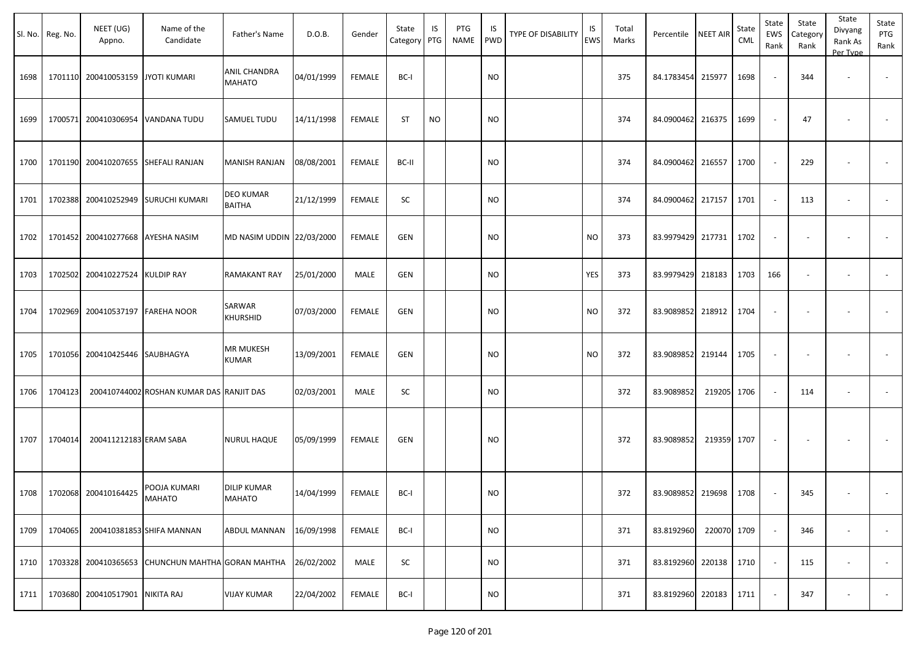|      | Sl. No. Reg. No. | NEET (UG)<br>Appno.               | Name of the<br>Candidate                          | Father's Name                        | D.O.B.     | Gender        | State<br>Category | IS<br>PTG | PTG<br>NAME | IS.<br>PWD | TYPE OF DISABILITY | IS<br>EWS | Total<br>Marks | Percentile        | <b>NEET AIR</b> | State<br><b>CML</b> | State<br>EWS<br>Rank     | State<br>Category<br>Rank | State<br>Divyang<br>Rank As<br>Per Type | State<br>PTG<br>Rank |
|------|------------------|-----------------------------------|---------------------------------------------------|--------------------------------------|------------|---------------|-------------------|-----------|-------------|------------|--------------------|-----------|----------------|-------------------|-----------------|---------------------|--------------------------|---------------------------|-----------------------------------------|----------------------|
| 1698 |                  | 1701110 200410053159              | <b>JYOTI KUMARI</b>                               | <b>ANIL CHANDRA</b><br><b>MAHATO</b> | 04/01/1999 | <b>FEMALE</b> | BC-I              |           |             | <b>NO</b>  |                    |           | 375            | 84.1783454        | 215977          | 1698                | $\overline{\phantom{a}}$ | 344                       | $\overline{\phantom{a}}$                |                      |
| 1699 |                  |                                   | 1700571 200410306954 VANDANA TUDU                 | SAMUEL TUDU                          | 14/11/1998 | <b>FEMALE</b> | <b>ST</b>         | <b>NO</b> |             | <b>NO</b>  |                    |           | 374            | 84.0900462        | 216375          | 1699                | $\sim$                   | 47                        |                                         |                      |
| 1700 |                  |                                   | 1701190 200410207655 SHEFALI RANJAN               | <b>MANISH RANJAN</b>                 | 08/08/2001 | <b>FEMALE</b> | BC-II             |           |             | NO         |                    |           | 374            | 84.0900462        | 216557          | 1700                | $\sim$                   | 229                       | $\overline{\phantom{a}}$                |                      |
| 1701 |                  | 1702388 200410252949              | <b>SURUCHI KUMARI</b>                             | DEO KUMAR<br><b>BAITHA</b>           | 21/12/1999 | <b>FEMALE</b> | SC                |           |             | <b>NO</b>  |                    |           | 374            | 84.0900462        | 217157          | 1701                | $\sim$                   | 113                       | $\sim$                                  | $\sim$               |
| 1702 |                  | 1701452 200410277668 AYESHA NASIM |                                                   | MD NASIM UDDIN 22/03/2000            |            | <b>FEMALE</b> | <b>GEN</b>        |           |             | <b>NO</b>  |                    | NO        | 373            | 83.9979429 217731 |                 | 1702                | $\overline{\phantom{a}}$ |                           |                                         |                      |
| 1703 |                  | 1702502 200410227524 KULDIP RAY   |                                                   | <b>RAMAKANT RAY</b>                  | 25/01/2000 | MALE          | <b>GEN</b>        |           |             | NO         |                    | YES       | 373            | 83.9979429        | 218183          | 1703                | 166                      | $\overline{\phantom{a}}$  | $\overline{\phantom{a}}$                |                      |
| 1704 |                  | 1702969 200410537197              | <b>FAREHA NOOR</b>                                | SARWAR<br>KHURSHID                   | 07/03/2000 | <b>FEMALE</b> | <b>GEN</b>        |           |             | NO         |                    | NO.       | 372            | 83.9089852        | 218912          | 1704                | $\overline{\phantom{a}}$ | $\overline{\phantom{a}}$  | $\overline{\phantom{a}}$                |                      |
| 1705 |                  | 1701056 200410425446 SAUBHAGYA    |                                                   | <b>MR MUKESH</b><br><b>KUMAR</b>     | 13/09/2001 | <b>FEMALE</b> | <b>GEN</b>        |           |             | NO         |                    | NO        | 372            | 83.9089852        | 219144          | 1705                | $\sim$                   |                           |                                         |                      |
| 1706 | 1704123          |                                   | 200410744002 ROSHAN KUMAR DAS RANJIT DAS          |                                      | 02/03/2001 | MALE          | SC                |           |             | <b>NO</b>  |                    |           | 372            | 83.9089852        | 219205 1706     |                     | $\sim$                   | 114                       | $\overline{\phantom{a}}$                |                      |
| 1707 | 1704014          | 200411212183 ERAM SABA            |                                                   | <b>NURUL HAQUE</b>                   | 05/09/1999 | <b>FEMALE</b> | <b>GEN</b>        |           |             | <b>NO</b>  |                    |           | 372            | 83.9089852        | 219359 1707     |                     | $\sim$                   |                           |                                         |                      |
|      |                  | 1708 1702068 200410164425         | POOJA KUMARI<br>MAHATO                            | <b>DILIP KUMAR</b><br><b>MAHATO</b>  | 14/04/1999 | FEMALE        | BC-I              |           |             | <b>NO</b>  |                    |           | 372            | 83.9089852 219698 |                 | 1708                | $\sim$                   | 345                       | $\overline{\phantom{a}}$                |                      |
| 1709 | 1704065          |                                   | 200410381853 SHIFA MANNAN                         | <b>ABDUL MANNAN</b>                  | 16/09/1998 | FEMALE        | BC-I              |           |             | <b>NO</b>  |                    |           | 371            | 83.8192960        | 220070 1709     |                     | $\sim$                   | 346                       | $\sim$                                  | $\sim$               |
| 1710 |                  |                                   | 1703328 200410365653 CHUNCHUN MAHTHA GORAN MAHTHA |                                      | 26/02/2002 | MALE          | SC                |           |             | <b>NO</b>  |                    |           | 371            | 83.8192960        | 220138          | 1710                | $\sim$                   | 115                       | $\sim$                                  | $\sim$               |
| 1711 |                  | 1703680 200410517901 NIKITA RAJ   |                                                   | <b>VIJAY KUMAR</b>                   | 22/04/2002 | FEMALE        | BC-I              |           |             | <b>NO</b>  |                    |           | 371            | 83.8192960        | 220183          | 1711                | $\sim$                   | 347                       | $\sim$                                  | $\sim$ $-$           |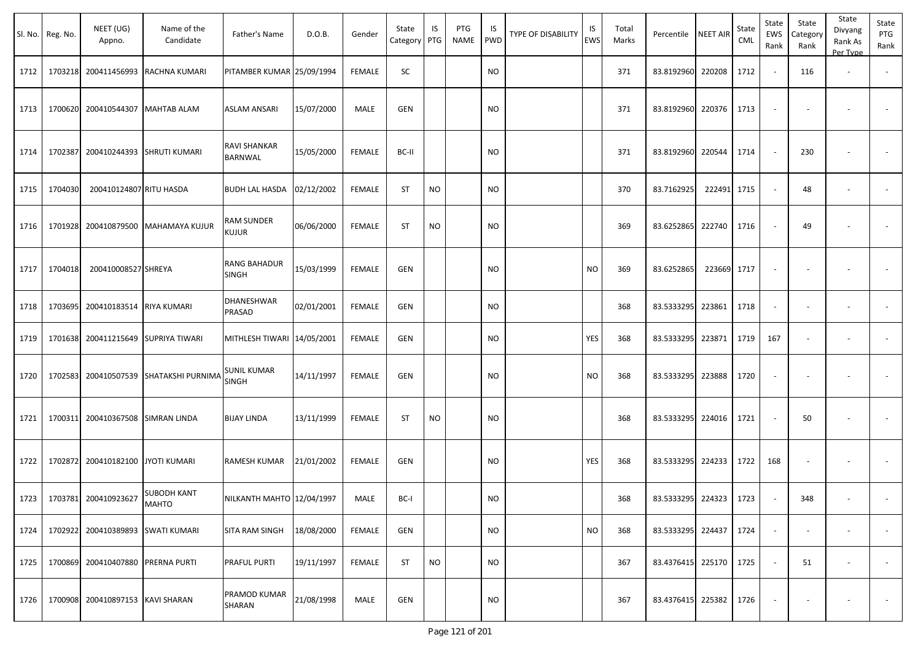|      | Sl. No. Reg. No. | NEET (UG)<br>Appno.       | Name of the<br>Candidate    | Father's Name              | D.O.B.     | Gender        | State<br>Category | IS<br>PTG | PTG<br><b>NAME</b> | IS<br>PWD | <b>TYPE OF DISABILITY</b> | IS<br><b>EWS</b> | Total<br>Marks | Percentile NEET AIR    |             | State<br>CML | State<br>EWS<br>Rank | State<br>Category<br>Rank | State<br>Divyang<br>Rank As<br>Per Type | State<br>PTG<br>Rank |
|------|------------------|---------------------------|-----------------------------|----------------------------|------------|---------------|-------------------|-----------|--------------------|-----------|---------------------------|------------------|----------------|------------------------|-------------|--------------|----------------------|---------------------------|-----------------------------------------|----------------------|
| 1712 | 1703218          | 200411456993              | RACHNA KUMARI               | PITAMBER KUMAR 25/09/1994  |            | <b>FEMALE</b> | SC                |           |                    | <b>NO</b> |                           |                  | 371            | 83.8192960 220208      |             | 1712         | $\sim$               | 116                       | $\overline{\phantom{a}}$                |                      |
| 1713 | 1700620          | 200410544307              | <b>MAHTAB ALAM</b>          | ASLAM ANSARI               | 15/07/2000 | MALE          | <b>GEN</b>        |           |                    | <b>NO</b> |                           |                  | 371            | 83.8192960 220376      |             | 1713         |                      |                           |                                         |                      |
| 1714 | 1702387          |                           | 200410244393 SHRUTI KUMARI  | RAVI SHANKAR<br>BARNWAL    | 15/05/2000 | <b>FEMALE</b> | BC-II             |           |                    | <b>NO</b> |                           |                  | 371            | 83.8192960 220544      |             | 1714         |                      | 230                       |                                         |                      |
| 1715 | 1704030          | 200410124807 RITU HASDA   |                             | <b>BUDH LAL HASDA</b>      | 02/12/2002 | <b>FEMALE</b> | <b>ST</b>         | <b>NO</b> |                    | <b>NO</b> |                           |                  | 370            | 83.7162925             | 222491 1715 |              | $\sim$               | 48                        |                                         |                      |
| 1716 | 1701928          | 200410879500              | <b>MAHAMAYA KUJUR</b>       | RAM SUNDER<br><b>KUJUR</b> | 06/06/2000 | <b>FEMALE</b> | <b>ST</b>         | <b>NO</b> |                    | <b>NO</b> |                           |                  | 369            | 83.6252865 222740      |             | 1716         |                      | 49                        |                                         |                      |
| 1717 | 1704018          | 200410008527 SHREYA       |                             | RANG BAHADUR<br>SINGH      | 15/03/1999 | <b>FEMALE</b> | GEN               |           |                    | <b>NO</b> |                           | <b>NO</b>        | 369            | 83.6252865             | 223669      | 1717         |                      |                           |                                         |                      |
| 1718 | 1703695          | 200410183514 RIYA KUMARI  |                             | DHANESHWAR<br>PRASAD       | 02/01/2001 | <b>FEMALE</b> | GEN               |           |                    | <b>NO</b> |                           |                  | 368            | 83.5333295 223861      |             | 1718         | $\sim$               |                           | $\overline{\phantom{a}}$                |                      |
| 1719 | 1701638          |                           | 200411215649 SUPRIYA TIWARI | MITHLESH TIWARI 14/05/2001 |            | <b>FEMALE</b> | GEN               |           |                    | <b>NO</b> |                           | YES              | 368            | 83.5333295 223871      |             | 1719         | 167                  |                           | $\overline{\phantom{a}}$                |                      |
| 1720 | 1702583          | 200410507539              | SHATAKSHI PURNIMA           | SUNIL KUMAR<br>SINGH       | 14/11/1997 | <b>FEMALE</b> | GEN               |           |                    | <b>NO</b> |                           | <b>NO</b>        | 368            | 83.5333295 223888      |             | 1720         | $\sim$               |                           |                                         |                      |
| 1721 | 1700311          | 200410367508 SIMRAN LINDA |                             | <b>BIJAY LINDA</b>         | 13/11/1999 | <b>FEMALE</b> | <b>ST</b>         | <b>NO</b> |                    | <b>NO</b> |                           |                  | 368            | 83.5333295 224016      |             | 1721         |                      | 50                        |                                         |                      |
| 1722 | 1702872          | 200410182100              | <b>JYOTI KUMARI</b>         | RAMESH KUMAR               | 21/01/2002 | <b>FEMALE</b> | GEN               |           |                    | <b>NO</b> |                           | YES              | 368            | 83.5333295 224233      |             | 1722         | 168                  |                           |                                         |                      |
| 1723 |                  | 1703781 200410923627      | <b>SUBODH KANT</b><br>MAHTO | NILKANTH MAHTO 12/04/1997  |            | MALE          | BC-I              |           |                    | <b>NO</b> |                           |                  | 368            | 83.5333295 224323      |             | 1723         |                      | 348                       |                                         |                      |
| 1724 | 1702922          | 200410389893              | <b>SWATI KUMARI</b>         | SITA RAM SINGH             | 18/08/2000 | <b>FEMALE</b> | GEN               |           |                    | <b>NO</b> |                           | <b>NO</b>        | 368            | 83.5333295 224437      |             | 1724         |                      |                           | $\overline{\phantom{a}}$                | $\sim$               |
| 1725 | 1700869          | 200410407880              | <b>PRERNA PURTI</b>         | PRAFUL PURTI               | 19/11/1997 | FEMALE        | ST                | <b>NO</b> |                    | <b>NO</b> |                           |                  | 367            | 83.4376415 225170 1725 |             |              | $\sim$               | 51                        | $\overline{\phantom{a}}$                | $\sim$               |
| 1726 | 1700908          | 200410897153 KAVI SHARAN  |                             | PRAMOD KUMAR<br>SHARAN     | 21/08/1998 | MALE          | GEN               |           |                    | <b>NO</b> |                           |                  | 367            | 83.4376415 225382      |             | 1726         |                      |                           |                                         | $\sim$               |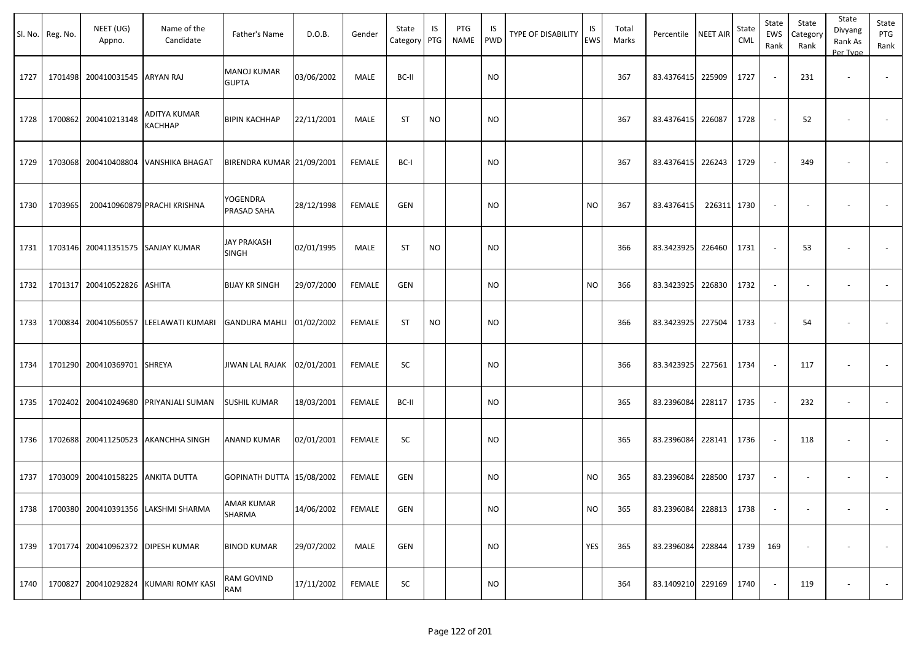|      | Sl. No. Reg. No. | NEET (UG)<br>Appno.               | Name of the<br>Candidate              | Father's Name                      | D.O.B.     | Gender        | State<br>Category | IS<br>PTG | PTG<br>NAME | IS.<br>PWD | TYPE OF DISABILITY | IS<br>EWS | Total<br>Marks | Percentile        | <b>NEET AIR</b> | State<br><b>CML</b> | State<br>EWS<br>Rank        | State<br>Category<br>Rank | State<br>Divyang<br>Rank As<br>Per Type | State<br>PTG<br>Rank     |
|------|------------------|-----------------------------------|---------------------------------------|------------------------------------|------------|---------------|-------------------|-----------|-------------|------------|--------------------|-----------|----------------|-------------------|-----------------|---------------------|-----------------------------|---------------------------|-----------------------------------------|--------------------------|
| 1727 |                  | 1701498 200410031545              | <b>ARYAN RAJ</b>                      | <b>MANOJ KUMAR</b><br><b>GUPTA</b> | 03/06/2002 | MALE          | BC-II             |           |             | <b>NO</b>  |                    |           | 367            | 83.4376415        | 225909          | 1727                | $\sim$                      | 231                       | $\overline{\phantom{a}}$                |                          |
| 1728 |                  | 1700862 200410213148              | ADITYA KUMAR<br>KACHHAP               | <b>BIPIN KACHHAP</b>               | 22/11/2001 | MALE          | <b>ST</b>         | <b>NO</b> |             | <b>NO</b>  |                    |           | 367            | 83.4376415        | 226087          | 1728                | $\sim$                      | 52                        |                                         |                          |
| 1729 |                  |                                   | 1703068 200410408804 VANSHIKA BHAGAT  | BIRENDRA KUMAR 21/09/2001          |            | FEMALE        | BC-I              |           |             | <b>NO</b>  |                    |           | 367            | 83.4376415        | 226243          | 1729                | $\sim$                      | 349                       | $\overline{\phantom{a}}$                |                          |
| 1730 | 1703965          |                                   | 200410960879 PRACHI KRISHNA           | YOGENDRA<br>PRASAD SAHA            | 28/12/1998 | FEMALE        | <b>GEN</b>        |           |             | <b>NO</b>  |                    | <b>NO</b> | 367            | 83.4376415        | 226311 1730     |                     | $\blacksquare$              | $\overline{\phantom{a}}$  |                                         |                          |
| 1731 |                  | 1703146 200411351575 SANJAY KUMAR |                                       | <b>JAY PRAKASH</b><br>SINGH        | 02/01/1995 | MALE          | <b>ST</b>         | <b>NO</b> |             | <b>NO</b>  |                    |           | 366            | 83.3423925        | 226460          | 1731                | $\sim$                      | 53                        | $\overline{\phantom{a}}$                |                          |
| 1732 |                  | 1701317 200410522826              | <b>ASHITA</b>                         | <b>BIJAY KR SINGH</b>              | 29/07/2000 | <b>FEMALE</b> | <b>GEN</b>        |           |             | <b>NO</b>  |                    | <b>NO</b> | 366            | 83.3423925        | 226830          | 1732                | $\sim$                      | $\sim$                    | $\overline{\phantom{a}}$                | $\omega$                 |
| 1733 |                  | 1700834 200410560557              | LEELAWATI KUMARI                      | <b>GANDURA MAHLI</b>               | 01/02/2002 | <b>FEMALE</b> | <b>ST</b>         | <b>NO</b> |             | <b>NO</b>  |                    |           | 366            | 83.3423925        | 227504          | 1733                | $\sim$                      | 54                        |                                         |                          |
| 1734 |                  | 1701290 200410369701              | SHREYA                                | JIWAN LAL RAJAK 02/01/2001         |            | <b>FEMALE</b> | SC                |           |             | <b>NO</b>  |                    |           | 366            | 83.3423925        | 227561          | 1734                | $\sim$                      | 117                       |                                         | $\sim$                   |
| 1735 |                  | 1702402 200410249680              | PRIYANJALI SUMAN                      | <b>SUSHIL KUMAR</b>                | 18/03/2001 | <b>FEMALE</b> | BC-II             |           |             | NO         |                    |           | 365            | 83.2396084        | 228117          | 1735                | $\mathcal{L}_{\mathcal{A}}$ | 232                       | $\sim$                                  | $\sim$                   |
| 1736 |                  | 1702688 200411250523              | <b>AKANCHHA SINGH</b>                 | <b>ANAND KUMAR</b>                 | 02/01/2001 | FEMALE        | SC                |           |             | <b>NO</b>  |                    |           | 365            | 83.2396084        | 228141          | 1736                | $\sim$                      | 118                       | $\overline{\phantom{a}}$                |                          |
| 1737 |                  | 1703009 200410158225              | <b>ANKITA DUTTA</b>                   | GOPINATH DUTTA 15/08/2002          |            | FEMALE        | <b>GEN</b>        |           |             | <b>NO</b>  |                    | <b>NO</b> | 365            | 83.2396084        | 228500          | 1737                | $\sim$                      |                           |                                         |                          |
| 1738 |                  |                                   | 1700380 200410391356 LAKSHMI SHARMA   | <b>AMAR KUMAR</b><br>SHARMA        | 14/06/2002 | <b>FEMALE</b> | <b>GEN</b>        |           |             | <b>NO</b>  |                    | <b>NO</b> | 365            | 83.2396084        | 228813          | 1738                | $\blacksquare$              | $\overline{\phantom{a}}$  |                                         |                          |
| 1739 |                  | 1701774 200410962372 DIPESH KUMAR |                                       | <b>BINOD KUMAR</b>                 | 29/07/2002 | MALE          | <b>GEN</b>        |           |             | <b>NO</b>  |                    | YES       | 365            | 83.2396084        | 228844          | 1739                | 169                         | $\overline{\phantom{a}}$  |                                         | $\overline{\phantom{a}}$ |
| 1740 |                  |                                   | 1700827 200410292824 KUMARI ROMY KASI | RAM GOVIND<br>RAM                  | 17/11/2002 | FEMALE        | SC                |           |             | $\rm NO$   |                    |           | 364            | 83.1409210 229169 |                 | 1740                | $\sim$                      | 119                       | $\overline{\phantom{a}}$                |                          |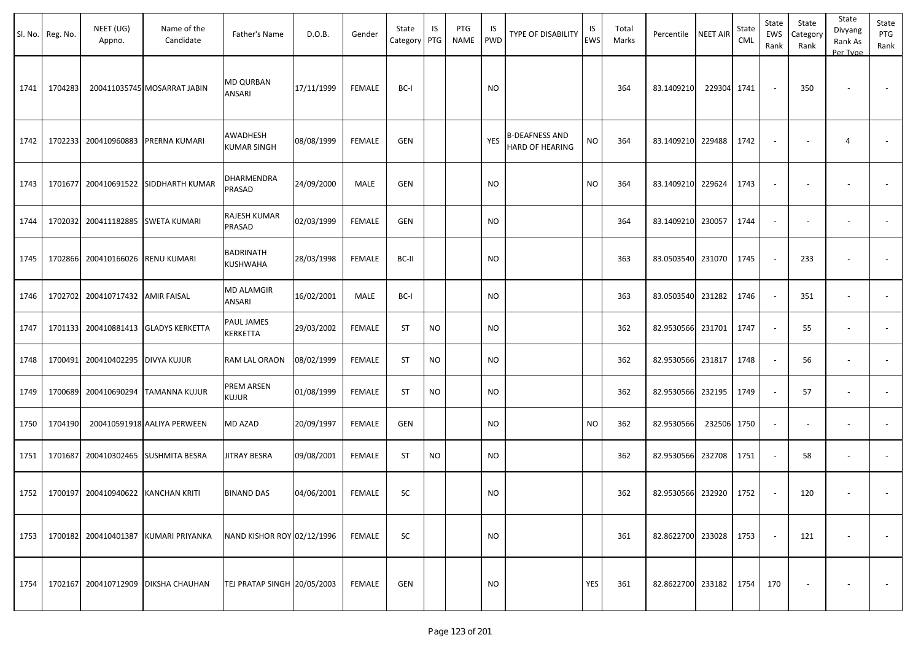|      | Sl. No. Reg. No. | NEET (UG)<br>Appno.                       | Name of the<br>Candidate             | Father's Name                  | D.O.B.     | Gender        | State<br>Category PTG | IS        | PTG<br>NAME | IS.<br>PWD | TYPE OF DISABILITY                       | IS<br><b>EWS</b> | Total<br>Marks | Percentile             | <b>NEET AIR</b> | State<br><b>CML</b> | State<br>EWS<br>Rank     | State<br>Category<br>Rank | State<br>Divyang<br>Rank As<br>Per Type | State<br>PTG<br>Rank     |
|------|------------------|-------------------------------------------|--------------------------------------|--------------------------------|------------|---------------|-----------------------|-----------|-------------|------------|------------------------------------------|------------------|----------------|------------------------|-----------------|---------------------|--------------------------|---------------------------|-----------------------------------------|--------------------------|
| 1741 | 1704283          |                                           | 200411035745 MOSARRAT JABIN          | MD QURBAN<br>ANSARI            | 17/11/1999 | FEMALE        | BC-I                  |           |             | <b>NO</b>  |                                          |                  | 364            | 83.1409210             | 229304 1741     |                     | $\sim$                   | 350                       |                                         |                          |
| 1742 | 1702233          | 200410960883                              | PRERNA KUMARI                        | AWADHESH<br><b>KUMAR SINGH</b> | 08/08/1999 | FEMALE        | GEN                   |           |             | <b>YES</b> | <b>B-DEAFNESS AND</b><br>HARD OF HEARING | <b>NO</b>        | 364            | 83.1409210             | 229488          | 1742                | $\sim$                   |                           | $\overline{4}$                          | $\sim$                   |
| 1743 |                  |                                           | 1701677 200410691522 SIDDHARTH KUMAR | DHARMENDRA<br>PRASAD           | 24/09/2000 | MALE          | GEN                   |           |             | <b>NO</b>  |                                          | <b>NO</b>        | 364            | 83.1409210             | 229624          | 1743                | $\overline{\phantom{a}}$ |                           |                                         |                          |
| 1744 | 1702032          | 200411182885                              | <b>SWETA KUMARI</b>                  | RAJESH KUMAR<br>PRASAD         | 02/03/1999 | <b>FEMALE</b> | <b>GEN</b>            |           |             | <b>NO</b>  |                                          |                  | 364            | 83.1409210             | 230057          | 1744                | $\blacksquare$           | $\sim$                    | $\overline{\phantom{a}}$                |                          |
| 1745 |                  | 1702866 200410166026                      | <b>RENU KUMARI</b>                   | <b>BADRINATH</b><br>KUSHWAHA   | 28/03/1998 | <b>FEMALE</b> | BC-II                 |           |             | <b>NO</b>  |                                          |                  | 363            | 83.0503540             | 231070          | 1745                | $\sim$                   | 233                       |                                         | $\sim$                   |
| 1746 |                  | 1702702 200410717432 AMIR FAISAL          |                                      | MD ALAMGIR<br>ANSARI           | 16/02/2001 | MALE          | BC-I                  |           |             | <b>NO</b>  |                                          |                  | 363            | 83.0503540             | 231282          | 1746                | $\sim$                   | 351                       | $\sim$                                  |                          |
| 1747 |                  |                                           | 1701133 200410881413 GLADYS KERKETTA | PAUL JAMES<br>KERKETTA         | 29/03/2002 | FEMALE        | ST                    | <b>NO</b> |             | <b>NO</b>  |                                          |                  | 362            | 82.9530566             | 231701          | 1747                | $\sim$                   | 55                        | $\overline{\phantom{a}}$                |                          |
| 1748 |                  | 1700491 200410402295 DIVYA KUJUR          |                                      | RAM LAL ORAON                  | 08/02/1999 | FEMALE        | ST                    | <b>NO</b> |             | <b>NO</b>  |                                          |                  | 362            | 82.9530566             | 231817          | 1748                | $\sim$                   | 56                        | $\overline{\phantom{a}}$                | $\overline{\phantom{a}}$ |
| 1749 |                  |                                           | 1700689 200410690294 TAMANNA KUJUR   | PREM ARSEN<br><b>KUJUR</b>     | 01/08/1999 | FEMALE        | ST                    | <b>NO</b> |             | <b>NO</b>  |                                          |                  | 362            | 82.9530566             | 232195          | 1749                | $\sim$                   | 57                        | $\overline{\phantom{a}}$                |                          |
| 1750 | 1704190          |                                           | 200410591918 AALIYA PERWEEN          | MD AZAD                        | 20/09/1997 | <b>FEMALE</b> | GEN                   |           |             | <b>NO</b>  |                                          | <b>NO</b>        | 362            | 82.9530566             | 232506 1750     |                     | $\sim$                   |                           | $\overline{\phantom{a}}$                | $\blacksquare$           |
| 1751 | 1701687          | 200410302465                              | <b>SUSHMITA BESRA</b>                | <b>JITRAY BESRA</b>            | 09/08/2001 | FEMALE        | ST                    | NO.       |             | <b>NO</b>  |                                          |                  | 362            | 82.9530566             | 232708          | 1751                | $\sim$                   | 58                        | $\overline{\phantom{a}}$                | $\overline{\phantom{a}}$ |
|      |                  | 1752   1700197 200410940622 KANCHAN KRITI |                                      | <b>BINAND DAS</b>              | 04/06/2001 | FEMALE        | SC                    |           |             | <b>NO</b>  |                                          |                  | 362            | 82.9530566 232920      |                 | 1752                | $\sim$                   | 120                       | $\overline{\phantom{a}}$                |                          |
| 1753 |                  | 1700182 200410401387                      | <b>KUMARI PRIYANKA</b>               | NAND KISHOR ROY 02/12/1996     |            | FEMALE        | SC                    |           |             | <b>NO</b>  |                                          |                  | 361            | 82.8622700             | 233028          | 1753                | $\sim$                   | 121                       | $\overline{\phantom{a}}$                | $\sim$                   |
| 1754 |                  |                                           | 1702167 200410712909 DIKSHA CHAUHAN  | TEJ PRATAP SINGH 20/05/2003    |            | FEMALE        | GEN                   |           |             | <b>NO</b>  |                                          | YES              | 361            | 82.8622700 233182 1754 |                 |                     | 170                      |                           |                                         | $\sim$                   |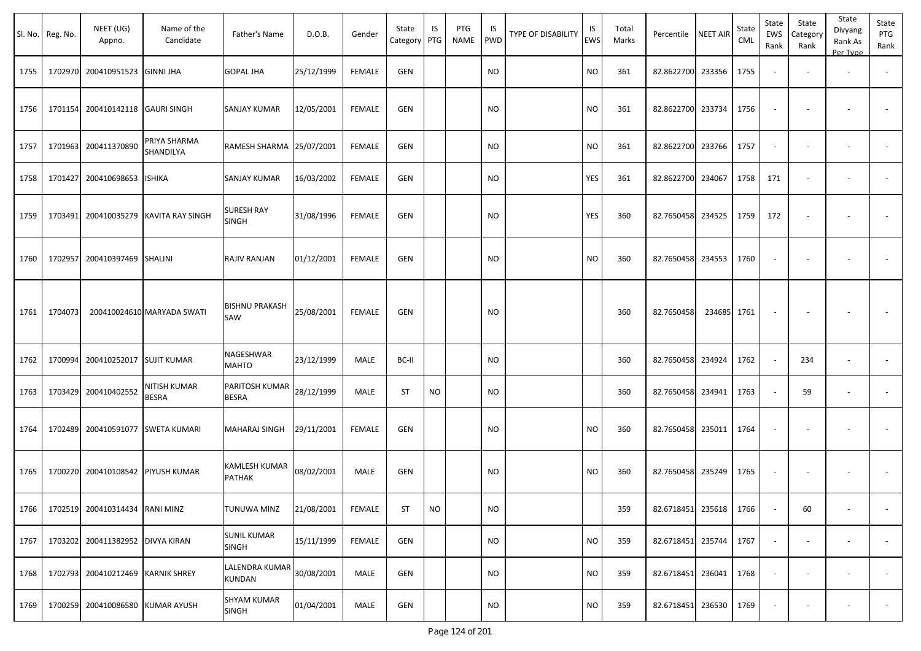|      | Sl. No. Reg. No. | NEET (UG)<br>Appno.               | Name of the<br>Candidate            | Father's Name                      | D.O.B.     | Gender        | State<br>Category | IS<br>PTG | <b>PTG</b><br>NAME | IS<br><b>PWD</b> | <b>TYPE OF DISABILITY</b> | IS<br><b>EWS</b> | Total<br>Marks | Percentile        | <b>NEET AIR</b> | State<br>CML | State<br><b>EWS</b><br>Rank | State<br>Categor<br>Rank | State<br>Divyang<br>Rank As<br>Per Type | State<br>PTG<br>Rank     |
|------|------------------|-----------------------------------|-------------------------------------|------------------------------------|------------|---------------|-------------------|-----------|--------------------|------------------|---------------------------|------------------|----------------|-------------------|-----------------|--------------|-----------------------------|--------------------------|-----------------------------------------|--------------------------|
| 1755 | 1702970          | 200410951523 GINNI JHA            |                                     | <b>GOPAL JHA</b>                   | 25/12/1999 | <b>FEMALE</b> | <b>GEN</b>        |           |                    | <b>NO</b>        |                           | <b>NO</b>        | 361            | 82.8622700        | 233356          | 1755         |                             |                          | $\overline{\phantom{a}}$                | $\overline{\phantom{a}}$ |
| 1756 | 1701154          | 200410142118 GAURI SINGH          |                                     | <b>SANJAY KUMAR</b>                | 12/05/2001 | <b>FEMALE</b> | GEN               |           |                    | <b>NO</b>        |                           | NO               | 361            | 82.8622700        | 233734          | 1756         |                             |                          | $\overline{\phantom{a}}$                |                          |
| 1757 | 1701963          | 200411370890                      | PRIYA SHARMA<br>SHANDILYA           | RAMESH SHARMA 25/07/2001           |            | <b>FEMALE</b> | GEN               |           |                    | <b>NO</b>        |                           | <b>NO</b>        | 361            | 82.8622700        | 233766          | 1757         | $\sim$                      | $\overline{\phantom{a}}$ | $\blacksquare$                          |                          |
| 1758 | 1701427          | 200410698653 ISHIKA               |                                     | SANJAY KUMAR                       | 16/03/2002 | <b>FEMALE</b> | <b>GEN</b>        |           |                    | <b>NO</b>        |                           | <b>YES</b>       | 361            | 82.8622700        | 234067          | 1758         | 171                         | $\overline{\phantom{a}}$ | $\overline{\phantom{a}}$                |                          |
| 1759 | 1703491          |                                   | 200410035279 KAVITA RAY SINGH       | <b>SURESH RAY</b><br><b>SINGH</b>  | 31/08/1996 | <b>FEMALE</b> | GEN               |           |                    | <b>NO</b>        |                           | YES              | 360            | 82.7650458        | 234525          | 1759         | 172                         |                          |                                         |                          |
| 1760 | 1702957          | 200410397469 SHALINI              |                                     | RAJIV RANJAN                       | 01/12/2001 | <b>FEMALE</b> | <b>GEN</b>        |           |                    | <b>NO</b>        |                           | <b>NO</b>        | 360            | 82.7650458        | 234553          | 1760         |                             |                          | ٠                                       |                          |
| 1761 | 1704073          |                                   | 200410024610 MARYADA SWATI          | <b>BISHNU PRAKASH</b><br>SAW       | 25/08/2001 | <b>FEMALE</b> | <b>GEN</b>        |           |                    | <b>NO</b>        |                           |                  | 360            | 82.7650458        | 234685          | 1761         | $\overline{\phantom{a}}$    |                          |                                         |                          |
| 1762 | 1700994          | 200410252017 SUJIT KUMAR          |                                     | NAGESHWAR<br><b>MAHTO</b>          | 23/12/1999 | MALE          | BC-II             |           |                    | <b>NO</b>        |                           |                  | 360            | 82.7650458        | 234924          | 1762         |                             | 234                      | $\overline{\phantom{a}}$                |                          |
| 1763 | 1703429          | 200410402552                      | <b>NITISH KUMAR</b><br><b>BESRA</b> | PARITOSH KUMAR<br>BESRA            | 28/12/1999 | MALE          | <b>ST</b>         | <b>NO</b> |                    | <b>NO</b>        |                           |                  | 360            | 82.7650458        | 234941          | 1763         |                             | 59                       | $\overline{\phantom{a}}$                |                          |
| 1764 | 1702489          |                                   | 200410591077 SWETA KUMARI           | <b>MAHARAJ SINGH</b>               | 29/11/2001 | <b>FEMALE</b> | <b>GEN</b>        |           |                    | <b>NO</b>        |                           | <b>NO</b>        | 360            | 82.7650458        | 235011          | 1764         |                             |                          |                                         |                          |
| 1765 | 1700220          | 200410108542 PIYUSH KUMAR         |                                     | KAMLESH KUMAR<br><b>PATHAK</b>     | 08/02/2001 | MALE          | <b>GEN</b>        |           |                    | <b>NO</b>        |                           | <b>NO</b>        | 360            | 82.7650458        | 235249          | 1765         |                             |                          |                                         |                          |
| 1766 |                  | 1702519 200410314434 RANI MINZ    |                                     | <b>TUNUWA MINZ</b>                 | 21/08/2001 | FEMALE        | <b>ST</b>         | <b>NO</b> |                    | <b>NO</b>        |                           |                  | 359            | 82.6718451 235618 |                 | 1766         |                             | 60                       | $\sim$                                  |                          |
| 1767 |                  | 1703202 200411382952 DIVYA KIRAN  |                                     | <b>SUNIL KUMAR</b><br><b>SINGH</b> | 15/11/1999 | FEMALE        | GEN               |           |                    | <b>NO</b>        |                           | <b>NO</b>        | 359            | 82.6718451 235744 |                 | 1767         |                             |                          | $\blacksquare$                          | $\sim$                   |
| 1768 |                  | 1702793 200410212469 KARNIK SHREY |                                     | LALENDRA KUMAR<br>KUNDAN           | 30/08/2001 | MALE          | GEN               |           |                    | <b>NO</b>        |                           | <b>NO</b>        | 359            | 82.6718451 236041 |                 | 1768         |                             | $\sim$                   | $\overline{\phantom{a}}$                | $\overline{\phantom{a}}$ |
| 1769 |                  | 1700259 200410086580 KUMAR AYUSH  |                                     | <b>SHYAM KUMAR</b><br><b>SINGH</b> | 01/04/2001 | MALE          | GEN               |           |                    | <b>NO</b>        |                           | <b>NO</b>        | 359            | 82.6718451 236530 |                 | 1769         |                             |                          | $\overline{\phantom{a}}$                | $\sim$                   |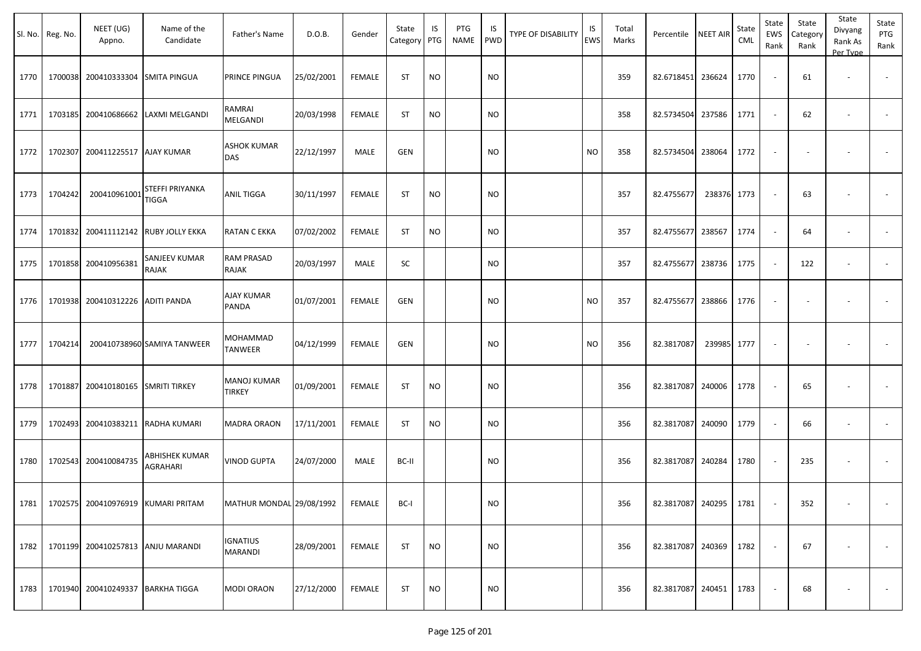|      | Sl. No. Reg. No. | NEET (UG)<br>Appno.                      | Name of the<br>Candidate                      | Father's Name                       | D.O.B.     | Gender        | State<br>Category   PTG | IS        | PTG<br>NAME | IS<br><b>PWD</b> | <b>TYPE OF DISABILITY</b> | IS<br>EWS | Total<br>Marks | Percentile NEET AIR    |        | State<br>CML | State<br>EWS<br>Rank | State<br>Category<br>Rank | State<br>Divyang<br>Rank As<br>Per Type | State<br>PTG<br>Rank     |
|------|------------------|------------------------------------------|-----------------------------------------------|-------------------------------------|------------|---------------|-------------------------|-----------|-------------|------------------|---------------------------|-----------|----------------|------------------------|--------|--------------|----------------------|---------------------------|-----------------------------------------|--------------------------|
| 1770 | 1700038          | 200410333304 SMITA PINGUA                |                                               | PRINCE PINGUA                       | 25/02/2001 | <b>FEMALE</b> | <b>ST</b>               | <b>NO</b> |             | <b>NO</b>        |                           |           | 359            | 82.6718451 236624      |        | 1770         |                      | 61                        | $\overline{\phantom{a}}$                |                          |
| 1771 | 1703185          |                                          | 200410686662 LAXMI MELGANDI                   | RAMRAI<br>MELGANDI                  | 20/03/1998 | <b>FEMALE</b> | <b>ST</b>               | <b>NO</b> |             | <b>NO</b>        |                           |           | 358            | 82.5734504             | 237586 | 1771         |                      | 62                        | $\overline{\phantom{a}}$                |                          |
| 1772 | 1702307          | 200411225517   AJAY KUMAR                |                                               | ASHOK KUMAR<br>DAS                  | 22/12/1997 | MALE          | GEN                     |           |             | <b>NO</b>        |                           | <b>NO</b> | 358            | 82.5734504             | 238064 | 1772         |                      |                           |                                         |                          |
| 1773 | 1704242          | 200410961001                             | STEFFI PRIYANKA<br>TIGGA                      | ANIL TIGGA                          | 30/11/1997 | <b>FEMALE</b> | <b>ST</b>               | <b>NO</b> |             | <b>NO</b>        |                           |           | 357            | 82.4755677             | 238376 | 1773         |                      | 63                        |                                         |                          |
| 1774 | 1701832          |                                          | 200411112142 RUBY JOLLY EKKA                  | RATAN C EKKA                        | 07/02/2002 | FEMALE        | <b>ST</b>               | <b>NO</b> |             | <b>NO</b>        |                           |           | 357            | 82.4755677             | 238567 | 1774         | $\sim$               | 64                        |                                         |                          |
| 1775 | 1701858          | 200410956381                             | SANJEEV KUMAR<br><b>RAJAK</b>                 | RAM PRASAD<br>RAJAK                 | 20/03/1997 | MALE          | SC                      |           |             | <b>NO</b>        |                           |           | 357            | 82.4755677             | 238736 | 1775         |                      | 122                       |                                         |                          |
| 1776 | 1701938          | 200410312226 ADITI PANDA                 |                                               | <b>AJAY KUMAR</b><br>PANDA          | 01/07/2001 | <b>FEMALE</b> | GEN                     |           |             | <b>NO</b>        |                           | <b>NO</b> | 357            | 82.4755677 238866      |        | 1776         |                      |                           |                                         |                          |
| 1777 | 1704214          |                                          | 200410738960 SAMIYA TANWEER                   | MOHAMMAD<br><b>TANWEER</b>          | 04/12/1999 | <b>FEMALE</b> | GEN                     |           |             | <b>NO</b>        |                           | <b>NO</b> | 356            | 82.3817087             | 239985 | 1777         |                      |                           |                                         | $\overline{\phantom{a}}$ |
| 1778 | 1701887          | 200410180165 SMRITI TIRKEY               |                                               | <b>MANOJ KUMAR</b><br><b>TIRKEY</b> | 01/09/2001 | <b>FEMALE</b> | <b>ST</b>               | <b>NO</b> |             | <b>NO</b>        |                           |           | 356            | 82.3817087             | 240006 | 1778         |                      | 65                        |                                         |                          |
| 1779 | 1702493          |                                          | 200410383211 RADHA KUMARI                     | <b>MADRA ORAON</b>                  | 17/11/2001 | <b>FEMALE</b> | <b>ST</b>               | <b>NO</b> |             | <b>NO</b>        |                           |           | 356            | 82.3817087             | 240090 | 1779         |                      | 66                        | $\overline{\phantom{a}}$                |                          |
| 1780 | 1702543          | 200410084735                             | <b>ABHISHEK KUMAR</b><br>AGRAHARI             | VINOD GUPTA                         | 24/07/2000 | MALE          | BC-II                   |           |             | <b>NO</b>        |                           |           | 356            | 82.3817087             | 240284 | 1780         |                      | 235                       |                                         |                          |
|      |                  |                                          | 1781   1702575   200410976919   KUMARI PRITAM | MATHUR MONDAL 29/08/1992            |            | FEMALE        | BC-I                    |           |             | <b>NO</b>        |                           |           | 356            | 82.3817087 240295 1781 |        |              |                      | 352                       |                                         |                          |
|      |                  | 1782 1701199 200410257813 ANJU MARANDI   |                                               | <b>IGNATIUS</b><br>MARANDI          | 28/09/2001 | FEMALE        | <b>ST</b>               | <b>NO</b> |             | <b>NO</b>        |                           |           | 356            | 82.3817087 240369 1782 |        |              |                      | 67                        | $\overline{\phantom{a}}$                | $\sim$                   |
|      |                  | 1783   1701940 200410249337 BARKHA TIGGA |                                               | <b>MODI ORAON</b>                   | 27/12/2000 | <b>FEMALE</b> | ST                      | NO        |             | <b>NO</b>        |                           |           | 356            | 82.3817087 240451 1783 |        |              | $\sim$               | 68                        | $\overline{\phantom{a}}$                | $\sim 100$               |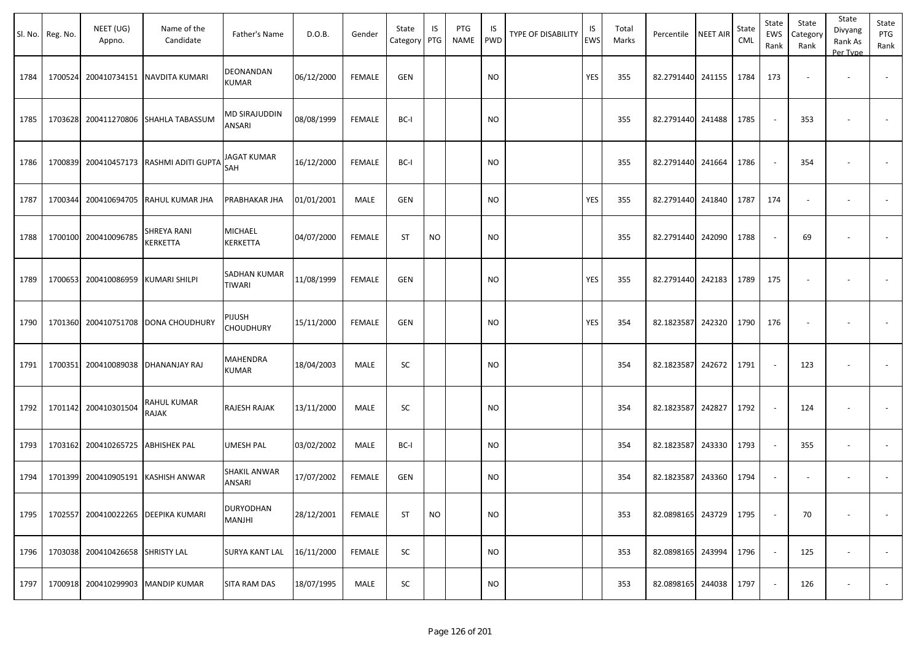|      | Sl. No. Reg. No. | NEET (UG)<br>Appno.              | Name of the<br>Candidate                | Father's Name                        | D.O.B.     | Gender        | State<br>Category | IS<br>PTG | PTG<br>NAME | IS.<br>PWD | TYPE OF DISABILITY | IS<br>EWS | Total<br>Marks | Percentile        | <b>NEET AIR</b> | State<br><b>CML</b> | State<br>EWS<br>Rank        | State<br>Category<br>Rank | State<br>Divyang<br>Rank As<br>Per Type | State<br>PTG<br>Rank |
|------|------------------|----------------------------------|-----------------------------------------|--------------------------------------|------------|---------------|-------------------|-----------|-------------|------------|--------------------|-----------|----------------|-------------------|-----------------|---------------------|-----------------------------|---------------------------|-----------------------------------------|----------------------|
| 1784 | 1700524          | 200410734151                     | NAVDITA KUMARI                          | DEONANDAN<br><b>KUMAR</b>            | 06/12/2000 | <b>FEMALE</b> | <b>GEN</b>        |           |             | <b>NO</b>  |                    | YES       | 355            | 82.2791440        | 241155          | 1784                | 173                         |                           | $\overline{\phantom{a}}$                |                      |
| 1785 |                  | 1703628 200411270806             | <b>SHAHLA TABASSUM</b>                  | MD SIRAJUDDIN<br>ANSARI              | 08/08/1999 | <b>FEMALE</b> | BC-I              |           |             | <b>NO</b>  |                    |           | 355            | 82.2791440        | 241488          | 1785                | $\sim$                      | 353                       |                                         |                      |
| 1786 |                  |                                  | 1700839 200410457173 RASHMI ADITI GUPTA | <b>JAGAT KUMAR</b><br>SAH            | 16/12/2000 | FEMALE        | BC-I              |           |             | NO         |                    |           | 355            | 82.2791440        | 241664          | 1786                | $\sim$                      | 354                       | $\sim$                                  |                      |
| 1787 |                  | 1700344 200410694705             | RAHUL KUMAR JHA                         | PRABHAKAR JHA                        | 01/01/2001 | MALE          | <b>GEN</b>        |           |             | <b>NO</b>  |                    | YES       | 355            | 82.2791440        | 241840          | 1787                | 174                         | $\overline{\phantom{a}}$  | $\sim$                                  |                      |
| 1788 |                  | 1700100 200410096785             | SHREYA RANI<br>KERKETTA                 | <b>MICHAEL</b><br>KERKETTA           | 04/07/2000 | <b>FEMALE</b> | <b>ST</b>         | <b>NO</b> |             | <b>NO</b>  |                    |           | 355            | 82.2791440        | 242090          | 1788                | $\overline{\phantom{a}}$    | 69                        |                                         |                      |
| 1789 |                  | 1700653 200410086959             | <b>KUMARI SHILPI</b>                    | <b>SADHAN KUMAR</b><br><b>TIWARI</b> | 11/08/1999 | <b>FEMALE</b> | <b>GEN</b>        |           |             | NO         |                    | YES       | 355            | 82.2791440        | 242183          | 1789                | 175                         |                           |                                         |                      |
| 1790 |                  | 1701360 200410751708             | <b>DONA CHOUDHURY</b>                   | pijush<br><b>CHOUDHURY</b>           | 15/11/2000 | <b>FEMALE</b> | <b>GEN</b>        |           |             | NO         |                    | YES       | 354            | 82.1823587        | 242320          | 1790                | 176                         |                           |                                         |                      |
| 1791 |                  | 1700351 200410089038             | DHANANJAY RAJ                           | MAHENDRA<br><b>KUMAR</b>             | 18/04/2003 | MALE          | SC                |           |             | <b>NO</b>  |                    |           | 354            | 82.1823587        | 242672          | 1791                | $\overline{\phantom{a}}$    | 123                       |                                         |                      |
| 1792 |                  | 1701142 200410301504             | RAHUL KUMAR<br>RAJAK                    | RAJESH RAJAK                         | 13/11/2000 | MALE          | SC                |           |             | <b>NO</b>  |                    |           | 354            | 82.1823587        | 242827          | 1792                | $\overline{\phantom{a}}$    | 124                       |                                         |                      |
| 1793 |                  | 1703162 200410265725             | <b>ABHISHEK PAL</b>                     | <b>UMESH PAL</b>                     | 03/02/2002 | MALE          | BC-I              |           |             | NO.        |                    |           | 354            | 82.1823587        | 243330          | 1793                | $\sim$                      | 355                       | $\overline{\phantom{a}}$                |                      |
| 1794 |                  | 1701399 200410905191             | <b>KASHISH ANWAR</b>                    | SHAKIL ANWAR<br>ANSARI               | 17/07/2002 | FEMALE        | <b>GEN</b>        |           |             | <b>NO</b>  |                    |           | 354            | 82.1823587        | 243360          | 1794                | $\blacksquare$              |                           |                                         |                      |
| 1795 |                  |                                  | 1702557 200410022265 DEEPIKA KUMARI     | <b>DURYODHAN</b><br>MANJHI           | 28/12/2001 | FEMALE        | <b>ST</b>         | <b>NO</b> |             | <b>NO</b>  |                    |           | 353            | 82.0898165 243729 |                 | 1795                | $\overline{\phantom{a}}$    | 70                        |                                         | $\sim$               |
| 1796 |                  | 1703038 200410426658 SHRISTY LAL |                                         | <b>SURYA KANT LAL</b>                | 16/11/2000 | FEMALE        | SC                |           |             | <b>NO</b>  |                    |           | 353            | 82.0898165 243994 |                 | 1796                | $\sim$                      | 125                       |                                         | $\sim$               |
| 1797 |                  |                                  | 1700918 200410299903 MANDIP KUMAR       | SITA RAM DAS                         | 18/07/1995 | MALE          | SC                |           |             | $\rm NO$   |                    |           | 353            | 82.0898165 244038 |                 | 1797                | $\mathcal{L}_{\mathcal{A}}$ | 126                       | $\overline{\phantom{a}}$                |                      |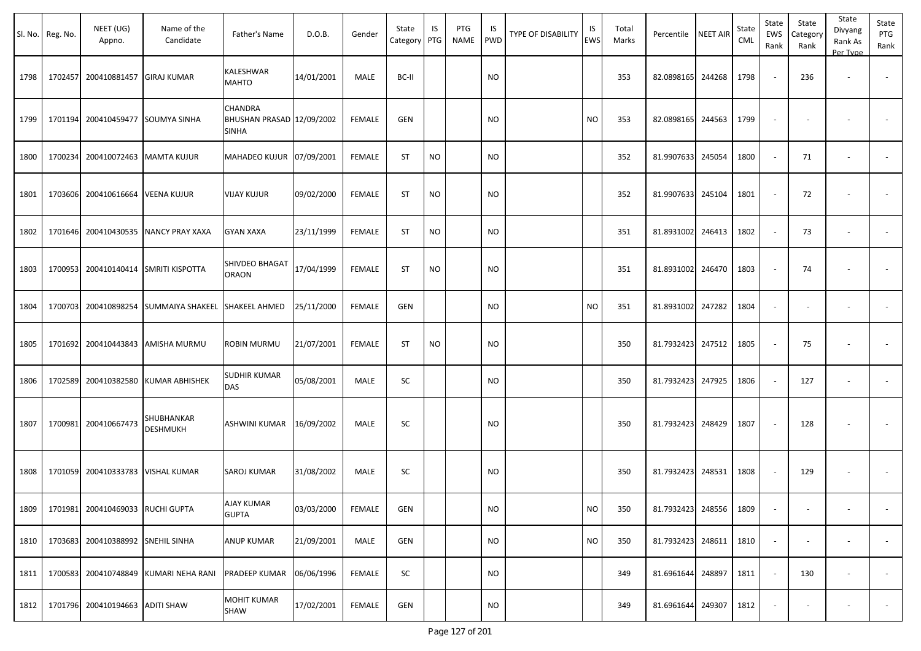|      | Sl. No. Reg. No. | NEET (UG)<br>Appno.               | Name of the<br>Candidate              | Father's Name                                 | D.O.B.     | Gender        | State<br>Category PTG | IS        | PTG<br><b>NAME</b> | IS<br><b>PWD</b> | <b>TYPE OF DISABILITY</b> | IS<br>EWS | Total<br>Marks | Percentile NEET AIR    | State<br>CML | State<br>EWS<br>Rank | State<br>Category<br>Rank | State<br>Divyang<br>Rank As<br>Per Type | State<br>PTG<br>Rank |
|------|------------------|-----------------------------------|---------------------------------------|-----------------------------------------------|------------|---------------|-----------------------|-----------|--------------------|------------------|---------------------------|-----------|----------------|------------------------|--------------|----------------------|---------------------------|-----------------------------------------|----------------------|
| 1798 | 1702457          | 200410881457 GIRAJ KUMAR          |                                       | KALESHWAR<br><b>MAHTO</b>                     | 14/01/2001 | <b>MALE</b>   | BC-II                 |           |                    | <b>NO</b>        |                           |           | 353            | 82.0898165 244268      | 1798         |                      | 236                       | $\overline{\phantom{a}}$                |                      |
| 1799 | 1701194          |                                   | 200410459477 SOUMYA SINHA             | CHANDRA<br>BHUSHAN PRASAD 12/09/2002<br>SINHA |            | <b>FEMALE</b> | GEN                   |           |                    | <b>NO</b>        |                           | <b>NO</b> | 353            | 82.0898165 244563      | 1799         |                      |                           |                                         |                      |
| 1800 |                  | 1700234 200410072463 MAMTA KUJUR  |                                       | MAHADEO KUJUR 07/09/2001                      |            | <b>FEMALE</b> | <b>ST</b>             | <b>NO</b> |                    | <b>NO</b>        |                           |           | 352            | 81.9907633 245054      | 1800         |                      | 71                        | $\overline{\phantom{a}}$                |                      |
| 1801 | 1703606          | 200410616664 VEENA KUJUR          |                                       | <b>VIJAY KUJUR</b>                            | 09/02/2000 | <b>FEMALE</b> | <b>ST</b>             | <b>NO</b> |                    | <b>NO</b>        |                           |           | 352            | 81.9907633 245104      | 1801         |                      | 72                        |                                         |                      |
| 1802 |                  |                                   | 1701646 200410430535 NANCY PRAY XAXA  | <b>GYAN XAXA</b>                              | 23/11/1999 | <b>FEMALE</b> | <b>ST</b>             | <b>NO</b> |                    | <b>NO</b>        |                           |           | 351            | 81.8931002 246413      | 1802         |                      | 73                        | $\overline{\phantom{a}}$                |                      |
| 1803 |                  |                                   | 1700953 200410140414 SMRITI KISPOTTA  | SHIVDEO BHAGAT<br><b>ORAON</b>                | 17/04/1999 | <b>FEMALE</b> | <b>ST</b>             | <b>NO</b> |                    | <b>NO</b>        |                           |           | 351            | 81.8931002 246470      | 1803         |                      | 74                        |                                         |                      |
| 1804 | 1700703          |                                   | 200410898254 SUMMAIYA SHAKEEL         | <b>SHAKEEL AHMED</b>                          | 25/11/2000 | <b>FEMALE</b> | <b>GEN</b>            |           |                    | <b>NO</b>        |                           | <b>NO</b> | 351            | 81.8931002 247282      | 1804         |                      |                           | $\overline{\phantom{a}}$                |                      |
| 1805 |                  |                                   | 1701692 200410443843 AMISHA MURMU     | ROBIN MURMU                                   | 21/07/2001 | <b>FEMALE</b> | <b>ST</b>             | <b>NO</b> |                    | <b>NO</b>        |                           |           | 350            | 81.7932423 247512      | 1805         |                      | 75                        |                                         | $\sim$               |
| 1806 | 1702589          |                                   | 200410382580 KUMAR ABHISHEK           | SUDHIR KUMAR<br>DAS                           | 05/08/2001 | MALE          | SC                    |           |                    | <b>NO</b>        |                           |           | 350            | 81.7932423 247925      | 1806         |                      | 127                       |                                         |                      |
| 1807 |                  | 1700981 200410667473              | SHUBHANKAR<br><b>DESHMUKH</b>         | ASHWINI KUMAR 16/09/2002                      |            | MALE          | <b>SC</b>             |           |                    | <b>NO</b>        |                           |           | 350            | 81.7932423 248429      | 1807         |                      | 128                       |                                         |                      |
| 1808 | 1701059          | 200410333783 VISHAL KUMAR         |                                       | SAROJ KUMAR                                   | 31/08/2002 | MALE          | SC                    |           |                    | <b>NO</b>        |                           |           | 350            | 81.7932423 248531      | 1808         |                      | 129                       | $\overline{\phantom{a}}$                |                      |
| 1809 |                  | 1701981 200410469033 RUCHI GUPTA  |                                       | AJAY KUMAR<br><b>GUPTA</b>                    | 03/03/2000 | <b>FEMALE</b> | <b>GEN</b>            |           |                    | <b>NO</b>        |                           | <b>NO</b> | 350            | 81.7932423 248556 1809 |              |                      |                           | $\sim$                                  | $\sim$               |
| 1810 |                  | 1703683 200410388992 SNEHIL SINHA |                                       | ANUP KUMAR                                    | 21/09/2001 | MALE          | <b>GEN</b>            |           |                    | <b>NO</b>        |                           | <b>NO</b> | 350            | 81.7932423 248611      | 1810         | $\sim$               |                           | $\overline{\phantom{a}}$                | $\sim$               |
| 1811 |                  |                                   | 1700583 200410748849 KUMARI NEHA RANI | PRADEEP KUMAR                                 | 06/06/1996 | <b>FEMALE</b> | SC                    |           |                    | <b>NO</b>        |                           |           | 349            | 81.6961644 248897      | 1811         | $\sim$               | 130                       | $\overline{\phantom{a}}$                | $\sim$               |
| 1812 |                  | 1701796 200410194663 ADITI SHAW   |                                       | <b>MOHIT KUMAR</b><br>SHAW                    | 17/02/2001 | FEMALE        | <b>GEN</b>            |           |                    | <b>NO</b>        |                           |           | 349            | 81.6961644 249307      | 1812         |                      |                           | $\overline{\phantom{a}}$                | $\sim$               |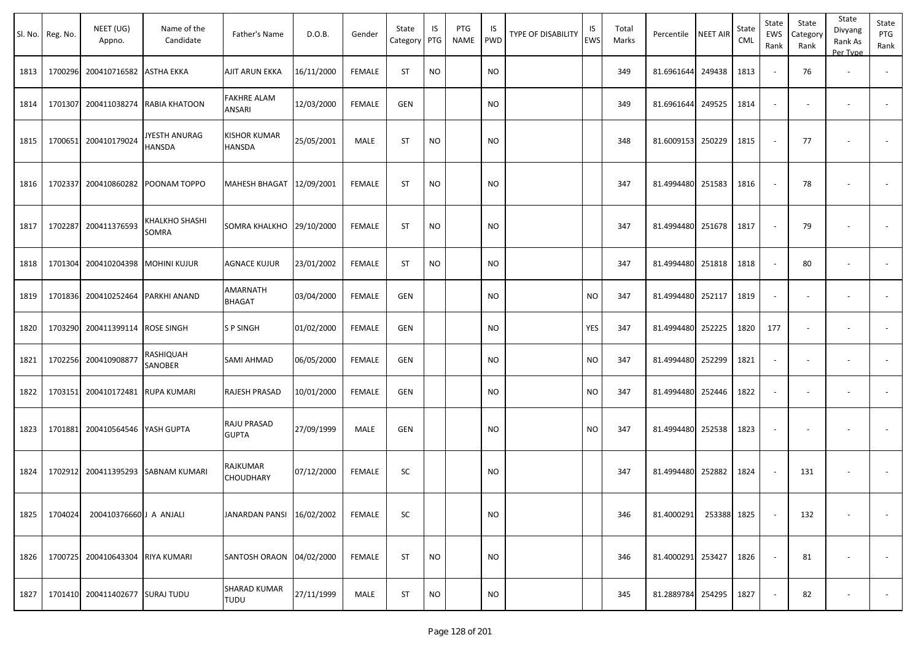|      | Sl. No. Reg. No. | NEET (UG)<br>Appno.      | Name of the<br>Candidate   | Father's Name                | D.O.B.     | Gender        | State<br>Category | IS<br>PTG | PTG<br><b>NAME</b> | IS<br><b>PWD</b> | <b>TYPE OF DISABILITY</b> | IS<br><b>EWS</b> | Total<br>Marks | Percentile        | <b>NEET AIR</b> | State<br><b>CML</b> | State<br><b>EWS</b><br>Rank | State<br>Category<br>Rank | State<br>Divyang<br>Rank As<br>Per Type | State<br>PTG<br>Rank     |
|------|------------------|--------------------------|----------------------------|------------------------------|------------|---------------|-------------------|-----------|--------------------|------------------|---------------------------|------------------|----------------|-------------------|-----------------|---------------------|-----------------------------|---------------------------|-----------------------------------------|--------------------------|
| 1813 | 1700296          | 200410716582             | <b>ASTHA EKKA</b>          | AJIT ARUN EKKA               | 16/11/2000 | <b>FEMALE</b> | ST                | <b>NO</b> |                    | <b>NO</b>        |                           |                  | 349            | 81.6961644        | 249438          | 1813                |                             | 76                        | $\overline{\phantom{a}}$                |                          |
| 1814 | 1701307          |                          | 200411038274 RABIA KHATOON | FAKHRE ALAM<br>ANSARI        | 12/03/2000 | <b>FEMALE</b> | <b>GEN</b>        |           |                    | <b>NO</b>        |                           |                  | 349            | 81.6961644        | 249525          | 1814                |                             |                           | $\overline{\phantom{a}}$                |                          |
| 1815 | 1700651          | 200410179024             | JYESTH ANURAG<br>HANSDA    | KISHOR KUMAR<br>HANSDA       | 25/05/2001 | MALE          | <b>ST</b>         | <b>NO</b> |                    | <b>NO</b>        |                           |                  | 348            | 81.6009153 250229 |                 | 1815                |                             | 77                        |                                         |                          |
| 1816 | 1702337          | 200410860282             | POONAM TOPPO               | MAHESH BHAGAT 12/09/2001     |            | <b>FEMALE</b> | <b>ST</b>         | <b>NO</b> |                    | <b>NO</b>        |                           |                  | 347            | 81.4994480        | 251583          | 1816                |                             | 78                        |                                         |                          |
| 1817 | 1702287          | 200411376593             | KHALKHO SHASHI<br>SOMRA    | SOMRA KHALKHO                | 29/10/2000 | <b>FEMALE</b> | <b>ST</b>         | <b>NO</b> |                    | <b>NO</b>        |                           |                  | 347            | 81.4994480        | 251678          | 1817                |                             | 79                        |                                         |                          |
| 1818 | 1701304          | 200410204398             | MOHINI KUJUR               | AGNACE KUJUR                 | 23/01/2002 | <b>FEMALE</b> | ST                | <b>NO</b> |                    | NO.              |                           |                  | 347            | 81.4994480        | 251818          | 1818                |                             | 80                        |                                         |                          |
| 1819 | 1701836          | 200410252464             | PARKHI ANAND               | AMARNATH<br>BHAGAT           | 03/04/2000 | <b>FEMALE</b> | <b>GEN</b>        |           |                    | NO.              |                           | <b>NO</b>        | 347            | 81.4994480        | 252117          | 1819                |                             |                           |                                         |                          |
| 1820 | 1703290          | 200411399114             | ROSE SINGH                 | <b>SP SINGH</b>              | 01/02/2000 | <b>FEMALE</b> | GEN               |           |                    | NO.              |                           | YES              | 347            | 81.4994480        | 252225          | 1820                | 177                         |                           | $\overline{\phantom{a}}$                |                          |
| 1821 | 1702256          | 200410908877             | RASHIQUAH<br>SANOBER       | SAMI AHMAD                   | 06/05/2000 | <b>FEMALE</b> | <b>GEN</b>        |           |                    | NO.              |                           | <b>NO</b>        | 347            | 81.4994480        | 252299          | 1821                |                             |                           | $\overline{\phantom{a}}$                |                          |
| 1822 | 1703151          | 200410172481             | <b>RUPA KUMARI</b>         | RAJESH PRASAD                | 10/01/2000 | <b>FEMALE</b> | <b>GEN</b>        |           |                    | NO.              |                           | <b>NO</b>        | 347            | 81.4994480        | 252446          | 1822                |                             |                           | $\sim$                                  | $\overline{\phantom{a}}$ |
| 1823 | 1701881          | 200410564546             | YASH GUPTA                 | RAJU PRASAD<br><b>GUPTA</b>  | 27/09/1999 | MALE          | GEN               |           |                    | NO.              |                           | <b>NO</b>        | 347            | 81.4994480        | 252538          | 1823                |                             | $\overline{\phantom{a}}$  | $\overline{\phantom{a}}$                |                          |
| 1824 | 1702912          | 200411395293             | SABNAM KUMARI              | RAJKUMAR<br><b>CHOUDHARY</b> | 07/12/2000 | <b>FEMALE</b> | SC                |           |                    | <b>NO</b>        |                           |                  | 347            | 81.4994480        | 252882          | 1824                |                             | 131                       | $\overline{\phantom{a}}$                |                          |
| 1825 | 1704024          | 200410376660 J A ANJALI  |                            | JANARDAN PANSI 16/02/2002    |            | <b>FEMALE</b> | SC                |           |                    | <b>NO</b>        |                           |                  | 346            | 81.4000291        | 253388 1825     |                     |                             | 132                       | $\blacksquare$                          | $\sim$                   |
| 1826 | 1700725          | 200410643304 RIYA KUMARI |                            | SANTOSH ORAON 04/02/2000     |            | FEMALE        | <b>ST</b>         | <b>NO</b> |                    | <b>NO</b>        |                           |                  | 346            | 81.4000291 253427 |                 | 1826                |                             | 81                        | $\overline{\phantom{a}}$                | $\overline{\phantom{a}}$ |
| 1827 | 1701410          | 200411402677             | <b>SURAJ TUDU</b>          | SHARAD KUMAR<br>TUDU         | 27/11/1999 | MALE          | ST                | $NO$      |                    | <b>NO</b>        |                           |                  | 345            | 81.2889784 254295 |                 | 1827                |                             | 82                        |                                         | $\sim$                   |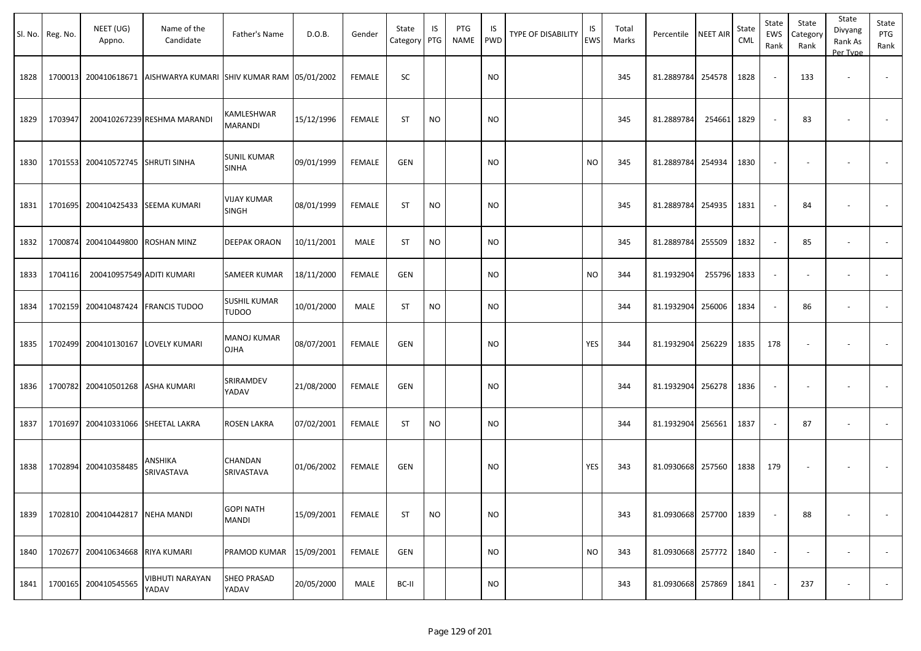|      | Sl. No. Reg. No. | NEET (UG)<br>Appno.             | Name of the<br>Candidate                                      | Father's Name                       | D.O.B.     | Gender        | State<br>Category | IS<br>PTG | PTG<br><b>NAME</b> | IS<br><b>PWD</b> | <b>TYPE OF DISABILITY</b> | IS<br>EWS | Total<br>Marks | Percentile        | <b>NEET AIR</b> | State<br><b>CML</b> | State<br>EWS<br>Rank     | State<br>Category<br>Rank | State<br>Divyang<br>Rank As<br>Per Type | State<br>PTG<br>Rank     |
|------|------------------|---------------------------------|---------------------------------------------------------------|-------------------------------------|------------|---------------|-------------------|-----------|--------------------|------------------|---------------------------|-----------|----------------|-------------------|-----------------|---------------------|--------------------------|---------------------------|-----------------------------------------|--------------------------|
| 1828 | 1700013          |                                 | 200410618671   AISHWARYA KUMARI   SHIV KUMAR RAM   05/01/2002 |                                     |            | <b>FEMALE</b> | SC                |           |                    | <b>NO</b>        |                           |           | 345            | 81.2889784        | 254578          | 1828                |                          | 133                       | $\blacksquare$                          | $\overline{\phantom{a}}$ |
| 1829 | 1703947          |                                 | 200410267239 RESHMA MARANDI                                   | KAMLESHWAR<br>MARANDI               | 15/12/1996 | <b>FEMALE</b> | ST                | <b>NO</b> |                    | <b>NO</b>        |                           |           | 345            | 81.2889784        | 254661          | 1829                |                          | 83                        |                                         |                          |
| 1830 | 1701553          | 200410572745 SHRUTI SINHA       |                                                               | <b>SUNIL KUMAR</b><br><b>SINHA</b>  | 09/01/1999 | <b>FEMALE</b> | <b>GEN</b>        |           |                    | <b>NO</b>        |                           | <b>NO</b> | 345            | 81.2889784        | 254934          | 1830                | $\overline{\phantom{a}}$ | $\overline{\phantom{a}}$  | $\overline{\phantom{a}}$                |                          |
| 1831 | 1701695          |                                 | 200410425433 SEEMA KUMARI                                     | <b>VIJAY KUMAR</b><br><b>SINGH</b>  | 08/01/1999 | <b>FEMALE</b> | ST                | <b>NO</b> |                    | NO               |                           |           | 345            | 81.2889784        | 254935          | 1831                | $\overline{\phantom{a}}$ | 84                        |                                         |                          |
| 1832 | 1700874          | 200410449800 ROSHAN MINZ        |                                                               | <b>DEEPAK ORAON</b>                 | 10/11/2001 | MALE          | ST                | <b>NO</b> |                    | <b>NO</b>        |                           |           | 345            | 81.2889784        | 255509          | 1832                |                          | 85                        | $\blacksquare$                          |                          |
| 1833 | 1704116          | 200410957549 ADITI KUMARI       |                                                               | SAMEER KUMAR                        | 18/11/2000 | <b>FEMALE</b> | <b>GEN</b>        |           |                    | <b>NO</b>        |                           | <b>NO</b> | 344            | 81.1932904        | 255796          | 1833                | $\overline{\phantom{a}}$ |                           | $\blacksquare$                          |                          |
| 1834 | 1702159          |                                 | 200410487424 FRANCIS TUDOO                                    | <b>SUSHIL KUMAR</b><br><b>TUDOO</b> | 10/01/2000 | MALE          | ST                | <b>NO</b> |                    | <b>NO</b>        |                           |           | 344            | 81.1932904        | 256006          | 1834                |                          | 86                        | $\blacksquare$                          |                          |
| 1835 | 1702499          |                                 | 200410130167 LOVELY KUMARI                                    | <b>MANOJ KUMAR</b><br><b>OJHA</b>   | 08/07/2001 | <b>FEMALE</b> | <b>GEN</b>        |           |                    | <b>NO</b>        |                           | YES       | 344            | 81.1932904        | 256229          | 1835                | 178                      |                           |                                         |                          |
| 1836 | 1700782          | 200410501268 ASHA KUMARI        |                                                               | SRIRAMDEV<br>YADAV                  | 21/08/2000 | <b>FEMALE</b> | <b>GEN</b>        |           |                    | <b>NO</b>        |                           |           | 344            | 81.1932904        | 256278          | 1836                | $\overline{\phantom{a}}$ |                           |                                         |                          |
| 1837 | 1701697          |                                 | 200410331066 SHEETAL LAKRA                                    | <b>ROSEN LAKRA</b>                  | 07/02/2001 | <b>FEMALE</b> | ST                | <b>NO</b> |                    | <b>NO</b>        |                           |           | 344            | 81.1932904        | 256561          | 1837                |                          | 87                        | $\overline{\phantom{a}}$                | $\overline{\phantom{a}}$ |
| 1838 | 1702894          | 200410358485                    | ANSHIKA<br>SRIVASTAVA                                         | <b>CHANDAN</b><br>SRIVASTAVA        | 01/06/2002 | <b>FEMALE</b> | <b>GEN</b>        |           |                    | <b>NO</b>        |                           | YES       | 343            | 81.0930668 257560 |                 | 1838                | 179                      |                           |                                         |                          |
| 1839 |                  | 1702810 200410442817 NEHA MANDI |                                                               | <b>GOPI NATH</b><br>MANDI           | 15/09/2001 | <b>FEMALE</b> | <b>ST</b>         | <b>NO</b> |                    | <b>NO</b>        |                           |           | 343            | 81.0930668 257700 |                 | 1839                |                          | 88                        |                                         | $\blacksquare$           |
| 1840 | 1702677          | 200410634668 RIYA KUMARI        |                                                               | PRAMOD KUMAR 15/09/2001             |            | <b>FEMALE</b> | <b>GEN</b>        |           |                    | <b>NO</b>        |                           | <b>NO</b> | 343            | 81.0930668 257772 |                 | 1840                | $\overline{\phantom{a}}$ |                           | $\overline{\phantom{a}}$                | $\overline{\phantom{a}}$ |
| 1841 | 1700165          | 200410545565                    | VIBHUTI NARAYAN<br>YADAV                                      | <b>SHEO PRASAD</b><br>YADAV         | 20/05/2000 | MALE          | BC-II             |           |                    | <b>NO</b>        |                           |           | 343            | 81.0930668 257869 |                 | 1841                |                          | 237                       | $\overline{\phantom{a}}$                | $\sim$                   |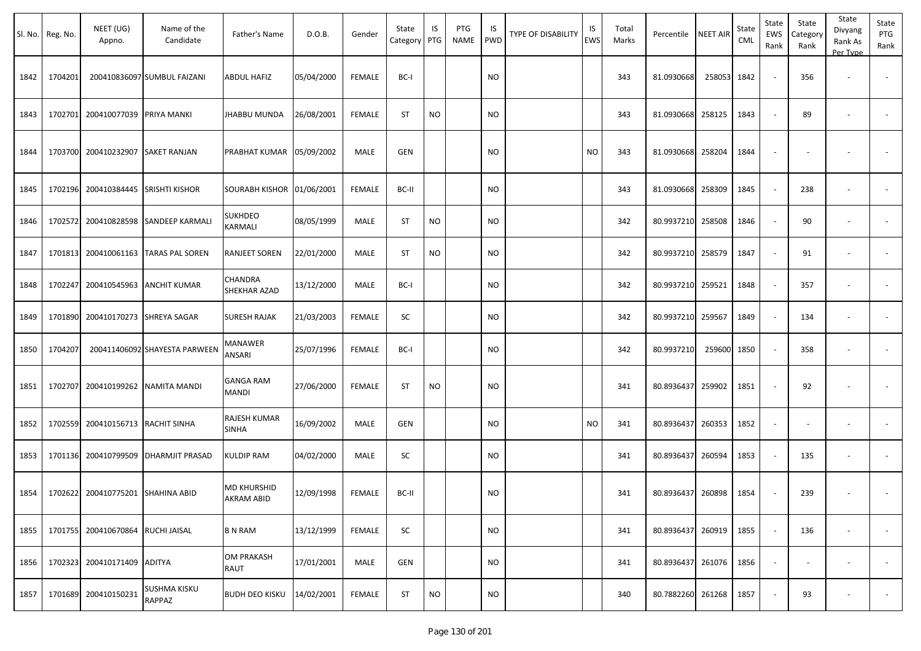|      | Sl. No. Reg. No. | NEET (UG)<br>Appno.               | Name of the<br>Candidate      | Father's Name                    | D.O.B.     | Gender        | State<br>Category | IS<br>PTG | <b>PTG</b><br>NAME | IS<br><b>PWD</b> | TYPE OF DISABILITY | IS<br><b>EWS</b> | Total<br>Marks | Percentile        | <b>NEET AIR</b> | State<br>CML | State<br>EWS<br>Rank     | State<br>Category<br>Rank | State<br>Divyang<br>Rank As<br>Per Type | State<br>PTG<br>Rank     |
|------|------------------|-----------------------------------|-------------------------------|----------------------------------|------------|---------------|-------------------|-----------|--------------------|------------------|--------------------|------------------|----------------|-------------------|-----------------|--------------|--------------------------|---------------------------|-----------------------------------------|--------------------------|
| 1842 | 1704201          |                                   | 200410836097 SUMBUL FAIZANI   | <b>ABDUL HAFIZ</b>               | 05/04/2000 | <b>FEMALE</b> | BC-I              |           |                    | <b>NO</b>        |                    |                  | 343            | 81.0930668        | 258053          | 1842         | $\overline{\phantom{a}}$ | 356                       |                                         |                          |
| 1843 | 1702701          | 200410077039                      | PRIYA MANKI                   | <b>JHABBU MUNDA</b>              | 26/08/2001 | <b>FEMALE</b> | <b>ST</b>         | <b>NO</b> |                    | <b>NO</b>        |                    |                  | 343            | 81.0930668        | 258125          | 1843         | $\omega$                 | 89                        | $\overline{\phantom{a}}$                | $\overline{\phantom{a}}$ |
| 1844 |                  | 1703700 200410232907              | <b>SAKET RANJAN</b>           | PRABHAT KUMAR 05/09/2002         |            | MALE          | <b>GEN</b>        |           |                    | <b>NO</b>        |                    | <b>NO</b>        | 343            | 81.0930668        | 258204          | 1844         |                          |                           |                                         |                          |
| 1845 |                  | 1702196 200410384445              | <b>SRISHTI KISHOR</b>         | SOURABH KISHOR 01/06/2001        |            | <b>FEMALE</b> | BC-II             |           |                    | <b>NO</b>        |                    |                  | 343            | 81.0930668        | 258309          | 1845         | $\overline{\phantom{a}}$ | 238                       |                                         |                          |
| 1846 | 1702572          | 200410828598                      | <b>SANDEEP KARMALI</b>        | SUKHDEO<br>KARMALI               | 08/05/1999 | MALE          | <b>ST</b>         | <b>NO</b> |                    | <b>NO</b>        |                    |                  | 342            | 80.9937210        | 258508          | 1846         | $\sim$                   | 90                        | $\overline{\phantom{a}}$                |                          |
| 1847 |                  | 1701813 200410061163              | <b>TARAS PAL SOREN</b>        | RANJEET SOREN                    | 22/01/2000 | MALE          | ST                | NO.       |                    | <b>NO</b>        |                    |                  | 342            | 80.9937210        | 258579          | 1847         | $\sim$                   | 91                        | $\overline{\phantom{a}}$                | $\overline{\phantom{a}}$ |
| 1848 | 1702247          | 200410545963                      | <b>ANCHIT KUMAR</b>           | CHANDRA<br>SHEKHAR AZAD          | 13/12/2000 | MALE          | BC-I              |           |                    | <b>NO</b>        |                    |                  | 342            | 80.9937210        | 259521          | 1848         | $\sim$                   | 357                       | $\overline{\phantom{a}}$                |                          |
| 1849 |                  | 1701890 200410170273 SHREYA SAGAR |                               | <b>SURESH RAJAK</b>              | 21/03/2003 | <b>FEMALE</b> | SC                |           |                    | <b>NO</b>        |                    |                  | 342            | 80.9937210        | 259567          | 1849         | $\overline{\phantom{a}}$ | 134                       |                                         | $\overline{\phantom{a}}$ |
| 1850 | 1704207          |                                   | 200411406092 SHAYESTA PARWEEN | MANAWER<br>ANSARI                | 25/07/1996 | <b>FEMALE</b> | BC-I              |           |                    | <b>NO</b>        |                    |                  | 342            | 80.9937210        | 259600          | 1850         |                          | 358                       |                                         |                          |
| 1851 |                  | 1702707 200410199262 NAMITA MANDI |                               | GANGA RAM<br>MANDI               | 27/06/2000 | <b>FEMALE</b> | <b>ST</b>         | <b>NO</b> |                    | <b>NO</b>        |                    |                  | 341            | 80.8936437        | 259902          | 1851         | $\overline{\phantom{a}}$ | 92                        |                                         |                          |
| 1852 |                  | 1702559 200410156713              | <b>RACHIT SINHA</b>           | RAJESH KUMAR<br>SINHA            | 16/09/2002 | MALE          | <b>GEN</b>        |           |                    | <b>NO</b>        |                    | <b>NO</b>        | 341            | 80.8936437        | 260353          | 1852         | $\blacksquare$           | $\overline{\phantom{a}}$  | $\overline{\phantom{a}}$                | $\overline{\phantom{a}}$ |
| 1853 |                  | 1701136 200410799509              | <b>DHARMJIT PRASAD</b>        | KULDIP RAM                       | 04/02/2000 | MALE          | SC                |           |                    | <b>NO</b>        |                    |                  | 341            | 80.8936437        | 260594          | 1853         | $\sim$                   | 135                       | $\overline{\phantom{a}}$                |                          |
| 1854 |                  | 1702622 200410775201 SHAHINA ABID |                               | <b>MD KHURSHID</b><br>AKRAM ABID | 12/09/1998 | FEMALE        | BC-II             |           |                    | <b>NO</b>        |                    |                  | 341            | 80.8936437 260898 |                 | 1854         | $\sim$                   | 239                       | $\overline{\phantom{a}}$                |                          |
| 1855 |                  | 1701755 200410670864 RUCHI JAISAL |                               | <b>B N RAM</b>                   | 13/12/1999 | <b>FEMALE</b> | SC                |           |                    | <b>NO</b>        |                    |                  | 341            | 80.8936437 260919 |                 | 1855         | $\sim$                   | 136                       | $\sim$                                  | $\overline{\phantom{a}}$ |
| 1856 |                  | 1702323 200410171409              | <b>ADITYA</b>                 | <b>OM PRAKASH</b><br>RAUT        | 17/01/2001 | MALE          | GEN               |           |                    | <b>NO</b>        |                    |                  | 341            | 80.8936437        | 261076          | 1856         | $\sim$                   | $\overline{\phantom{a}}$  | $\overline{\phantom{a}}$                | $\sim$                   |
| 1857 |                  | 1701689 200410150231              | SUSHMA KISKU<br>RAPPAZ        | <b>BUDH DEO KISKU</b>            | 14/02/2001 | <b>FEMALE</b> | ST                | <b>NO</b> |                    | <b>NO</b>        |                    |                  | 340            | 80.7882260 261268 |                 | 1857         | $\blacksquare$           | 93                        | $\overline{\phantom{a}}$                | $\sim$                   |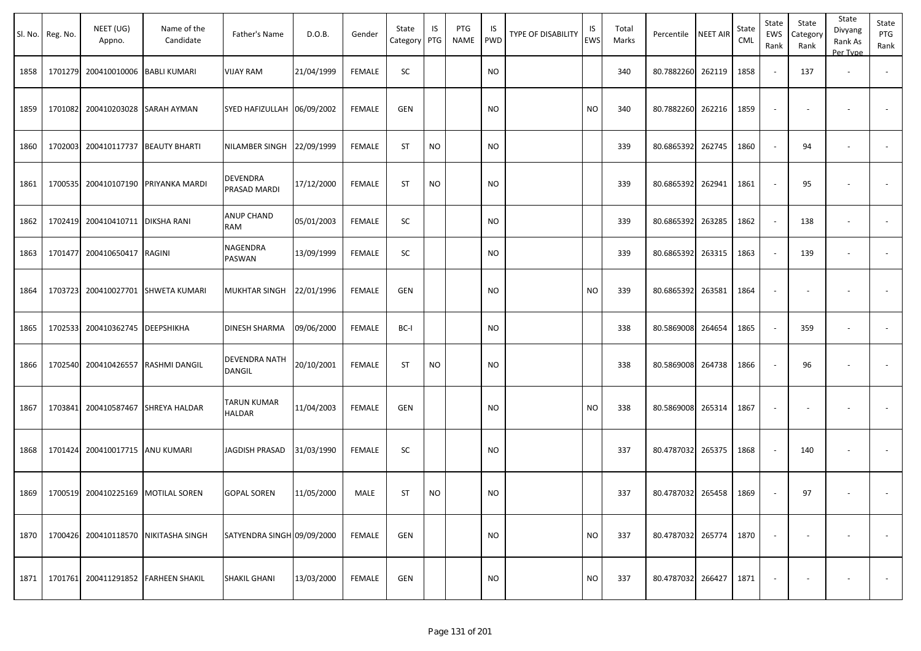|      | Sl. No. Reg. No. | NEET (UG)<br>Appno. | Name of the<br>Candidate     | Father's Name              | D.O.B.     | Gender        | State<br>Category | IS<br>PTG | PTG<br>NAME | IS<br><b>PWD</b> | <b>TYPE OF DISABILITY</b> | IS<br>EWS | Total<br>Marks | Percentile        | <b>NEET AIR</b> | State<br>CML | State<br>EWS<br>Rank | State<br>Category<br>Rank | State<br>Divyang<br>Rank As<br>Per Type | State<br>PTG<br>Rank     |
|------|------------------|---------------------|------------------------------|----------------------------|------------|---------------|-------------------|-----------|-------------|------------------|---------------------------|-----------|----------------|-------------------|-----------------|--------------|----------------------|---------------------------|-----------------------------------------|--------------------------|
| 1858 | 1701279          | 200410010006        | <b>BABLI KUMARI</b>          | <b>VIJAY RAM</b>           | 21/04/1999 | <b>FEMALE</b> | SC                |           |             | <b>NO</b>        |                           |           | 340            | 80.7882260 262119 |                 | 1858         |                      | 137                       | $\overline{\phantom{a}}$                |                          |
| 1859 | 1701082          | 200410203028        | <b>SARAH AYMAN</b>           | SYED HAFIZULLAH 06/09/2002 |            | <b>FEMALE</b> | GEN               |           |             | <b>NO</b>        |                           | <b>NO</b> | 340            | 80.7882260 262216 |                 | 1859         |                      |                           |                                         |                          |
| 1860 | 1702003          | 200410117737        | <b>BEAUTY BHARTI</b>         | NILAMBER SINGH             | 22/09/1999 | <b>FEMALE</b> | <b>ST</b>         | <b>NO</b> |             | <b>NO</b>        |                           |           | 339            | 80.6865392 262745 |                 | 1860         | $\sim$               | 94                        |                                         | $\overline{\phantom{a}}$ |
| 1861 | 1700535          | 200410107190        | PRIYANKA MARDI               | DEVENDRA<br>PRASAD MARDI   | 17/12/2000 | <b>FEMALE</b> | <b>ST</b>         | <b>NO</b> |             | <b>NO</b>        |                           |           | 339            | 80.6865392 262941 |                 | 1861         |                      | 95                        |                                         |                          |
| 1862 | 1702419          | 200410410711        | <b>DIKSHA RANI</b>           | ANUP CHAND<br>RAM          | 05/01/2003 | <b>FEMALE</b> | SC                |           |             | <b>NO</b>        |                           |           | 339            | 80.6865392        | 263285          | 1862         | $\sim$               | 138                       | $\overline{\phantom{a}}$                |                          |
| 1863 | 1701477          | 200410650417        | RAGINI                       | NAGENDRA<br>PASWAN         | 13/09/1999 | <b>FEMALE</b> | SC                |           |             | <b>NO</b>        |                           |           | 339            | 80.6865392        | 263315          | 1863         |                      | 139                       | $\overline{\phantom{a}}$                |                          |
| 1864 | 1703723          | 200410027701        | <b>SHWETA KUMARI</b>         | MUKHTAR SINGH              | 22/01/1996 | <b>FEMALE</b> | <b>GEN</b>        |           |             | <b>NO</b>        |                           | <b>NO</b> | 339            | 80.6865392 263581 |                 | 1864         |                      |                           |                                         |                          |
| 1865 | 1702533          | 200410362745        | <b>DEEPSHIKHA</b>            | DINESH SHARMA              | 09/06/2000 | <b>FEMALE</b> | BC-I              |           |             | <b>NO</b>        |                           |           | 338            | 80.5869008 264654 |                 | 1865         |                      | 359                       | $\overline{\phantom{a}}$                |                          |
| 1866 | 1702540          | 200410426557        | <b>RASHMI DANGIL</b>         | DEVENDRA NATH<br>DANGIL    | 20/10/2001 | <b>FEMALE</b> | <b>ST</b>         | <b>NO</b> |             | <b>NO</b>        |                           |           | 338            | 80.5869008 264738 |                 | 1866         |                      | 96                        |                                         |                          |
| 1867 | 1703841          | 200410587467        | SHREYA HALDAR                | TARUN KUMAR<br>HALDAR      | 11/04/2003 | <b>FEMALE</b> | <b>GEN</b>        |           |             | <b>NO</b>        |                           | <b>NO</b> | 338            | 80.5869008 265314 |                 | 1867         |                      |                           |                                         |                          |
| 1868 | 1701424          | 200410017715        | <b>ANU KUMARI</b>            | JAGDISH PRASAD             | 31/03/1990 | <b>FEMALE</b> | <b>SC</b>         |           |             | <b>NO</b>        |                           |           | 337            | 80.4787032 265375 |                 | 1868         |                      | 140                       |                                         |                          |
| 1869 | 1700519          |                     | 200410225169 MOTILAL SOREN   | <b>GOPAL SOREN</b>         | 11/05/2000 | MALE          | <b>ST</b>         | <b>NO</b> |             | <b>NO</b>        |                           |           | 337            | 80.4787032 265458 |                 | 1869         |                      | 97                        |                                         |                          |
| 1870 | 1700426          |                     | 200410118570 NIKITASHA SINGH | SATYENDRA SINGH 09/09/2000 |            | <b>FEMALE</b> | GEN               |           |             | <b>NO</b>        |                           | <b>NO</b> | 337            | 80.4787032 265774 |                 | 1870         |                      |                           | $\overline{\phantom{a}}$                | $\sim$                   |
| 1871 | 1701761          |                     | 200411291852 FARHEEN SHAKIL  | SHAKIL GHANI               | 13/03/2000 | <b>FEMALE</b> | GEN               |           |             | <b>NO</b>        |                           | <b>NO</b> | 337            | 80.4787032 266427 |                 | 1871         |                      |                           |                                         | $\sim$                   |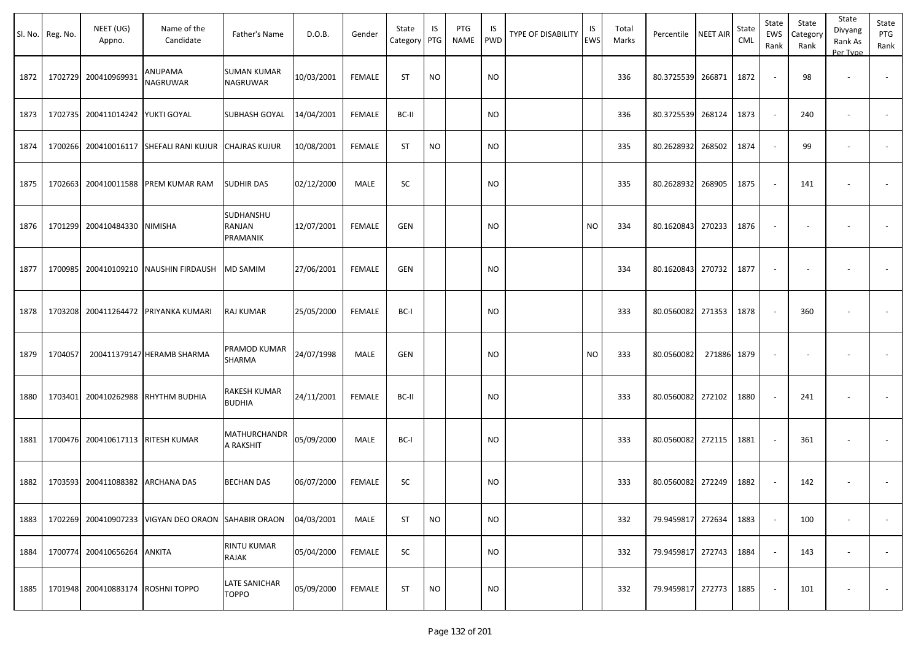| SI. No. | Reg. No. | NEET (UG)<br>Appno.               | Name of the<br>Candidate                    | Father's Name                         | D.O.B.     | Gender        | State<br>Category | IS<br>PTG | PTG<br>NAME | IS<br><b>PWD</b> | TYPE OF DISABILITY | IS<br><b>EWS</b> | Total<br>Marks | Percentile NEET AIR |        | State<br>CML | State<br>EWS<br>Rank     | State<br>Category<br>Rank | State<br>Divyang<br>Rank As<br>Per Type | State<br>PTG<br>Rank     |
|---------|----------|-----------------------------------|---------------------------------------------|---------------------------------------|------------|---------------|-------------------|-----------|-------------|------------------|--------------------|------------------|----------------|---------------------|--------|--------------|--------------------------|---------------------------|-----------------------------------------|--------------------------|
| 1872    | 1702729  | 200410969931                      | ANUPAMA<br>NAGRUWAR                         | <b>SUMAN KUMAR</b><br><b>NAGRUWAR</b> | 10/03/2001 | <b>FEMALE</b> | <b>ST</b>         | <b>NO</b> |             | <b>NO</b>        |                    |                  | 336            | 80.3725539 266871   |        | 1872         |                          | 98                        |                                         |                          |
| 1873    |          | 1702735 200411014242 YUKTI GOYAL  |                                             | SUBHASH GOYAL                         | 14/04/2001 | <b>FEMALE</b> | BC-II             |           |             | NO.              |                    |                  | 336            | 80.3725539 268124   |        | 1873         |                          | 240                       | $\sim$                                  |                          |
| 1874    |          |                                   | 1700266 200410016117 SHEFALI RANI KUJUR     | <b>CHAJRAS KUJUR</b>                  | 10/08/2001 | <b>FEMALE</b> | ST                | <b>NO</b> |             | <b>NO</b>        |                    |                  | 335            | 80.2628932          | 268502 | 1874         |                          | 99                        | $\sim$                                  |                          |
| 1875    | 1702663  |                                   | 200410011588 PREM KUMAR RAM                 | <b>SUDHIR DAS</b>                     | 02/12/2000 | MALE          | SC                |           |             | <b>NO</b>        |                    |                  | 335            | 80.2628932 268905   |        | 1875         | $\overline{\phantom{a}}$ | 141                       | $\overline{\phantom{a}}$                |                          |
| 1876    |          | 1701299 200410484330 NIMISHA      |                                             | SUDHANSHU<br>RANJAN<br>PRAMANIK       | 12/07/2001 | <b>FEMALE</b> | GEN               |           |             | <b>NO</b>        |                    | NO               | 334            | 80.1620843          | 270233 | 1876         | $\sim$                   |                           |                                         |                          |
| 1877    |          |                                   | 1700985 200410109210 NAUSHIN FIRDAUSH       | <b>MD SAMIM</b>                       | 27/06/2001 | <b>FEMALE</b> | GEN               |           |             | <b>NO</b>        |                    |                  | 334            | 80.1620843 270732   |        | 1877         | $\overline{\phantom{a}}$ | $\overline{\phantom{a}}$  | $\overline{\phantom{a}}$                |                          |
| 1878    |          |                                   | 1703208 200411264472 PRIYANKA KUMARI        | RAJ KUMAR                             | 25/05/2000 | <b>FEMALE</b> | BC-I              |           |             | <b>NO</b>        |                    |                  | 333            | 80.0560082 271353   |        | 1878         | $\sim$                   | 360                       | $\overline{\phantom{a}}$                |                          |
| 1879    | 1704057  |                                   | 200411379147 HERAMB SHARMA                  | PRAMOD KUMAR<br><b>SHARMA</b>         | 24/07/1998 | MALE          | GEN               |           |             | <b>NO</b>        |                    | <b>NO</b>        | 333            | 80.0560082          | 271886 | 1879         | $\overline{\phantom{a}}$ |                           | $\overline{\phantom{a}}$                |                          |
| 1880    |          |                                   | 1703401 200410262988 RHYTHM BUDHIA          | RAKESH KUMAR<br><b>BUDHIA</b>         | 24/11/2001 | <b>FEMALE</b> | BC-II             |           |             | <b>NO</b>        |                    |                  | 333            | 80.0560082 272102   |        | 1880         |                          | 241                       |                                         |                          |
| 1881    |          | 1700476 200410617113 RITESH KUMAR |                                             | MATHURCHANDR<br>A RAKSHIT             | 05/09/2000 | MALE          | BC-I              |           |             | NO.              |                    |                  | 333            | 80.0560082 272115   |        | 1881         | $\overline{\phantom{a}}$ | 361                       | $\overline{\phantom{a}}$                | $\overline{\phantom{a}}$ |
| 1882    |          | 1703593 200411088382 ARCHANA DAS  |                                             | <b>BECHAN DAS</b>                     | 06/07/2000 | <b>FEMALE</b> | SC                |           |             | <b>NO</b>        |                    |                  | 333            | 80.0560082 272249   |        | 1882         |                          | 142                       |                                         |                          |
| 1883    | 1702269  |                                   | 200410907233 VIGYAN DEO ORAON SAHABIR ORAON |                                       | 04/03/2001 | MALE          | ST                | <b>NO</b> |             | <b>NO</b>        |                    |                  | 332            | 79.9459817 272634   |        | 1883         |                          | 100                       | $\sim$                                  |                          |
| 1884    |          | 1700774 200410656264 ANKITA       |                                             | RINTU KUMAR<br><b>RAJAK</b>           | 05/04/2000 | <b>FEMALE</b> | SC                |           |             | <b>NO</b>        |                    |                  | 332            | 79.9459817 272743   |        | 1884         | $\sim$                   | 143                       | $\overline{\phantom{a}}$                | $\sim$                   |
| 1885    |          | 1701948 200410883174 ROSHNI TOPPO |                                             | <b>LATE SANICHAR</b><br><b>TOPPO</b>  | 05/09/2000 | <b>FEMALE</b> | <b>ST</b>         | <b>NO</b> |             | <b>NO</b>        |                    |                  | 332            | 79.9459817 272773   |        | 1885         |                          | 101                       |                                         | $\sim$                   |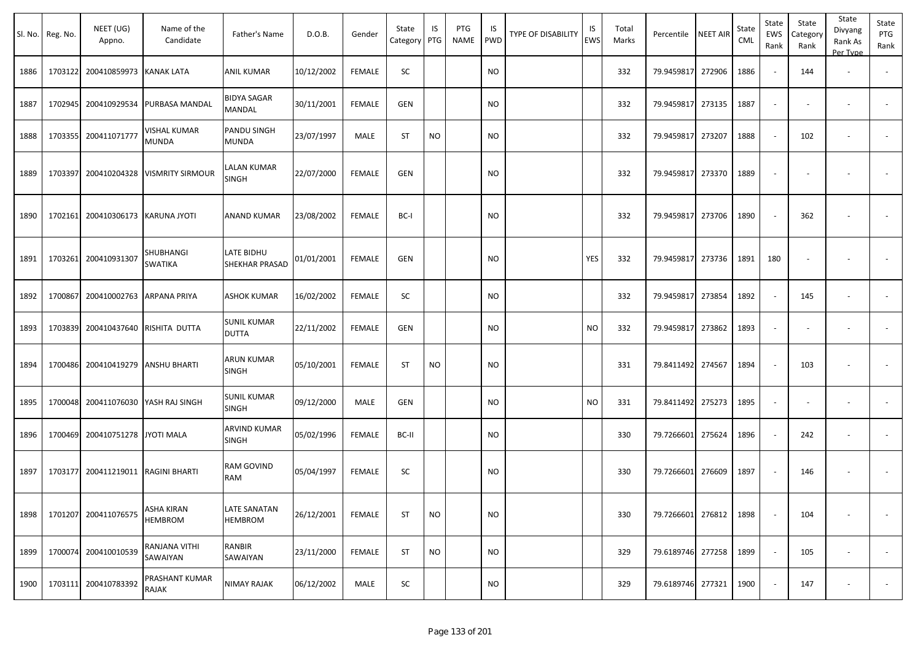|      | Sl. No. Reg. No. | NEET (UG)<br>Appno.                | Name of the<br>Candidate     | Father's Name                      | D.O.B.     | Gender        | State<br>Category | IS<br>PTG | PTG<br>NAME | IS<br><b>PWD</b> | TYPE OF DISABILITY | IS<br><b>EWS</b> | Total<br>Marks | Percentile        | <b>NEET AIR</b> | State<br><b>CML</b> | State<br>EWS<br>Rank     | State<br>Category<br>Rank | State<br>Divyang<br>Rank As<br>Per Type | State<br>PTG<br>Rank     |
|------|------------------|------------------------------------|------------------------------|------------------------------------|------------|---------------|-------------------|-----------|-------------|------------------|--------------------|------------------|----------------|-------------------|-----------------|---------------------|--------------------------|---------------------------|-----------------------------------------|--------------------------|
| 1886 |                  | 1703122 200410859973               | <b>KANAK LATA</b>            | <b>ANIL KUMAR</b>                  | 10/12/2002 | <b>FEMALE</b> | SC                |           |             | <b>NO</b>        |                    |                  | 332            | 79.9459817 272906 |                 | 1886                | $\omega$                 | 144                       | $\overline{\phantom{a}}$                |                          |
| 1887 |                  | 1702945 200410929534               | PURBASA MANDAL               | BIDYA SAGAR<br>MANDAL              | 30/11/2001 | <b>FEMALE</b> | GEN               |           |             | <b>NO</b>        |                    |                  | 332            | 79.9459817        | 273135          | 1887                | $\overline{\phantom{a}}$ | $\overline{\phantom{a}}$  |                                         | $\overline{\phantom{a}}$ |
| 1888 |                  | 1703355 200411071777               | VISHAL KUMAR<br>MUNDA        | PANDU SINGH<br>MUNDA               | 23/07/1997 | MALE          | ST                | <b>NO</b> |             | <b>NO</b>        |                    |                  | 332            | 79.9459817        | 273207          | 1888                | $\sim$                   | 102                       | $\overline{\phantom{a}}$                |                          |
| 1889 |                  | 1703397 200410204328               | <b>VISMRITY SIRMOUR</b>      | LALAN KUMAR<br>SINGH               | 22/07/2000 | <b>FEMALE</b> | <b>GEN</b>        |           |             | <b>NO</b>        |                    |                  | 332            | 79.9459817 273370 |                 | 1889                | $\overline{\phantom{a}}$ | $\overline{\phantom{a}}$  |                                         | $\overline{\phantom{a}}$ |
| 1890 |                  | 1702161 200410306173 KARUNA JYOTI  |                              | <b>ANAND KUMAR</b>                 | 23/08/2002 | <b>FEMALE</b> | BC-I              |           |             | <b>NO</b>        |                    |                  | 332            | 79.9459817        | 273706          | 1890                | $\sim$                   | 362                       |                                         |                          |
| 1891 | 1703261          | 200410931307                       | SHUBHANGI<br>SWATIKA         | LATE BIDHU<br>SHEKHAR PRASAD       | 01/01/2001 | <b>FEMALE</b> | <b>GEN</b>        |           |             | <b>NO</b>        |                    | <b>YES</b>       | 332            | 79.9459817        | 273736          | 1891                | 180                      | $\overline{\phantom{a}}$  |                                         |                          |
| 1892 | 1700867          | 200410002763                       | ARPANA PRIYA                 | <b>ASHOK KUMAR</b>                 | 16/02/2002 | <b>FEMALE</b> | SC                |           |             | <b>NO</b>        |                    |                  | 332            | 79.9459817        | 273854          | 1892                | $\sim$                   | 145                       |                                         |                          |
| 1893 |                  | 1703839 200410437640               | RISHITA DUTTA                | <b>SUNIL KUMAR</b><br><b>DUTTA</b> | 22/11/2002 | <b>FEMALE</b> | <b>GEN</b>        |           |             | <b>NO</b>        |                    | <b>NO</b>        | 332            | 79.9459817        | 273862          | 1893                | $\overline{\phantom{a}}$ |                           |                                         |                          |
| 1894 |                  | 1700486 200410419279               | <b>ANSHU BHARTI</b>          | ARUN KUMAR<br><b>SINGH</b>         | 05/10/2001 | <b>FEMALE</b> | <b>ST</b>         | <b>NO</b> |             | <b>NO</b>        |                    |                  | 331            | 79.8411492 274567 |                 | 1894                | $\sim$                   | 103                       |                                         |                          |
| 1895 |                  | 1700048 200411076030               | YASH RAJ SINGH               | <b>SUNIL KUMAR</b><br>SINGH        | 09/12/2000 | MALE          | <b>GEN</b>        |           |             | <b>NO</b>        |                    | <b>NO</b>        | 331            | 79.8411492 275273 |                 | 1895                | $\overline{\phantom{a}}$ | $\overline{\phantom{a}}$  |                                         | $\overline{\phantom{a}}$ |
| 1896 |                  | 1700469 200410751278               | JYOTI MALA                   | ARVIND KUMAR<br>SINGH              | 05/02/1996 | FEMALE        | BC-II             |           |             | <b>NO</b>        |                    |                  | 330            | 79.7266601        | 275624          | 1896                | $\sim$                   | 242                       |                                         |                          |
| 1897 |                  | 1703177 200411219011 RAGINI BHARTI |                              | RAM GOVIND<br>RAM                  | 05/04/1997 | <b>FEMALE</b> | SC                |           |             | <b>NO</b>        |                    |                  | 330            | 79.7266601 276609 |                 | 1897                | $\sim$                   | 146                       |                                         |                          |
| 1898 |                  | 1701207 200411076575               | ASHA KIRAN<br><b>HEMBROM</b> | LATE SANATAN<br><b>HEMBROM</b>     | 26/12/2001 | <b>FEMALE</b> | ST                | <b>NO</b> |             | <b>NO</b>        |                    |                  | 330            | 79.7266601 276812 |                 | 1898                | $\sim$                   | 104                       |                                         | $\overline{\phantom{a}}$ |
| 1899 |                  | 1700074 200410010539               | RANJANA VITHI<br>SAWAIYAN    | RANBIR<br>SAWAIYAN                 | 23/11/2000 | <b>FEMALE</b> | ST                | <b>NO</b> |             | <b>NO</b>        |                    |                  | 329            | 79.6189746 277258 |                 | 1899                | $\sim$                   | 105                       |                                         | $\overline{\phantom{a}}$ |
| 1900 |                  | 1703111 200410783392               | PRASHANT KUMAR<br>RAJAK      | NIMAY RAJAK                        | 06/12/2002 | MALE          | SC                |           |             | <b>NO</b>        |                    |                  | 329            | 79.6189746 277321 |                 | 1900                | $\overline{\phantom{a}}$ | 147                       | $\overline{\phantom{a}}$                |                          |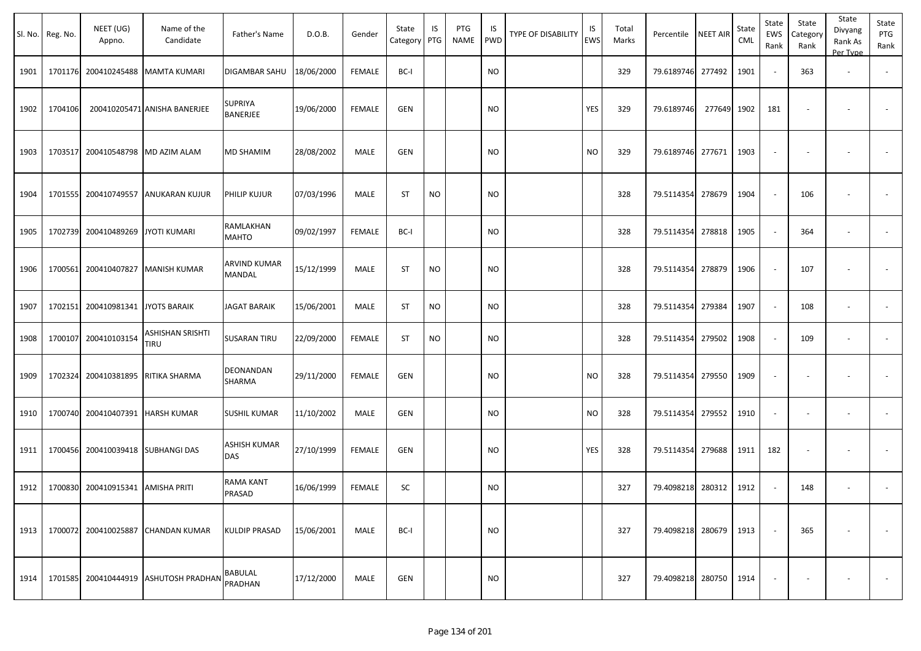|      | Sl. No. Reg. No. | NEET (UG)<br>Appno.               | Name of the<br>Candidate           | Father's Name              | D.O.B.     | Gender        | State<br>Category | IS<br>PTG | PTG<br>NAME | IS.<br>PWD | TYPE OF DISABILITY | IS<br>EWS | Total<br>Marks | Percentile | <b>NEET AIR</b> | State<br><b>CML</b> | State<br>EWS<br>Rank     | State<br>Category<br>Rank | State<br>Divyang<br>Rank As<br>Per Type | State<br>PTG<br>Rank     |
|------|------------------|-----------------------------------|------------------------------------|----------------------------|------------|---------------|-------------------|-----------|-------------|------------|--------------------|-----------|----------------|------------|-----------------|---------------------|--------------------------|---------------------------|-----------------------------------------|--------------------------|
| 1901 |                  |                                   | 1701176 200410245488 MAMTA KUMARI  | DIGAMBAR SAHU              | 18/06/2000 | <b>FEMALE</b> | BC-I              |           |             | <b>NO</b>  |                    |           | 329            | 79.6189746 | 277492          | 1901                | $\sim$                   | 363                       | $\overline{\phantom{a}}$                |                          |
| 1902 | 1704106          |                                   | 200410205471 ANISHA BANERJEE       | <b>SUPRIYA</b><br>BANERJEE | 19/06/2000 | <b>FEMALE</b> | <b>GEN</b>        |           |             | NO         |                    | YES       | 329            | 79.6189746 | 277649 1902     |                     | 181                      | $\overline{\phantom{a}}$  |                                         | $\overline{\phantom{a}}$ |
| 1903 |                  | 1703517 200410548798              | MD AZIM ALAM                       | MD SHAMIM                  | 28/08/2002 | MALE          | <b>GEN</b>        |           |             | <b>NO</b>  |                    | NO        | 329            | 79.6189746 | 277671          | 1903                | $\blacksquare$           |                           |                                         |                          |
| 1904 |                  | 1701555 200410749557              | ANUKARAN KUJUR                     | PHILIP KUJUR               | 07/03/1996 | MALE          | <b>ST</b>         | <b>NO</b> |             | <b>NO</b>  |                    |           | 328            | 79.5114354 | 278679          | 1904                | $\overline{\phantom{a}}$ | 106                       |                                         | $\sim$                   |
| 1905 |                  | 1702739 200410489269              | JYOTI KUMARI                       | RAMLAKHAN<br>MAHTO         | 09/02/1997 | <b>FEMALE</b> | BC-I              |           |             | NO         |                    |           | 328            | 79.5114354 | 278818          | 1905                | $\sim$                   | 364                       | $\overline{\phantom{a}}$                | $\sim$                   |
| 1906 |                  | 1700561 200410407827              | <b>MANISH KUMAR</b>                | ARVIND KUMAR<br>MANDAL     | 15/12/1999 | MALE          | ST                | <b>NO</b> |             | <b>NO</b>  |                    |           | 328            | 79.5114354 | 278879          | 1906                | $\sim$                   | 107                       | $\overline{\phantom{a}}$                |                          |
| 1907 | 1702151          | 200410981341                      | <b>JYOTS BARAIK</b>                | <b>JAGAT BARAIK</b>        | 15/06/2001 | MALE          | <b>ST</b>         | <b>NO</b> |             | <b>NO</b>  |                    |           | 328            | 79.5114354 | 279384          | 1907                | $\sim$                   | 108                       | $\overline{\phantom{a}}$                | $\sim$                   |
| 1908 | 1700107          | 200410103154                      | ASHISHAN SRISHTI<br>TIRU           | <b>SUSARAN TIRU</b>        | 22/09/2000 | <b>FEMALE</b> | <b>ST</b>         | <b>NO</b> |             | <b>NO</b>  |                    |           | 328            | 79.5114354 | 279502          | 1908                | $\blacksquare$           | 109                       | $\overline{\phantom{a}}$                | $\blacksquare$           |
| 1909 | 1702324          | 200410381895                      | RITIKA SHARMA                      | DEONANDAN<br>SHARMA        | 29/11/2000 | <b>FEMALE</b> | GEN               |           |             | NO         |                    | <b>NO</b> | 328            | 79.5114354 | 279550          | 1909                | $\overline{\phantom{a}}$ | $\overline{\phantom{a}}$  |                                         |                          |
| 1910 |                  | 1700740 200410407391 HARSH KUMAR  |                                    | <b>SUSHIL KUMAR</b>        | 11/10/2002 | MALE          | <b>GEN</b>        |           |             | <b>NO</b>  |                    | <b>NO</b> | 328            | 79.5114354 | 279552          | 1910                | $\sim$                   | $\blacksquare$            | $\overline{\phantom{a}}$                |                          |
| 1911 |                  | 1700456 200410039418 SUBHANGI DAS |                                    | <b>ASHISH KUMAR</b><br>DAS | 27/10/1999 | <b>FEMALE</b> | <b>GEN</b>        |           |             | NO.        |                    | YES       | 328            | 79.5114354 | 279688          | 1911                | 182                      | $\overline{\phantom{a}}$  | $\overline{\phantom{a}}$                | $\blacksquare$           |
| 1912 |                  | 1700830 200410915341 AMISHA PRITI |                                    | RAMA KANT<br>PRASAD        | 16/06/1999 | FEMALE        | SC                |           |             | <b>NO</b>  |                    |           | 327            | 79.4098218 | 280312          | 1912                | $\overline{\phantom{a}}$ | 148                       |                                         |                          |
| 1913 |                  |                                   | 1700072 200410025887 CHANDAN KUMAR | <b>KULDIP PRASAD</b>       | 15/06/2001 | MALE          | BC-I              |           |             | NO         |                    |           | 327            | 79.4098218 | 280679          | 1913                | $\sim$                   | 365                       |                                         | $\blacksquare$           |
| 1914 |                  | 1701585 200410444919              | <b>ASHUTOSH PRADHAN</b>            | <b>BABULAL</b><br>PRADHAN  | 17/12/2000 | MALE          | <b>GEN</b>        |           |             | <b>NO</b>  |                    |           | 327            | 79.4098218 | 280750          | 1914                | $\blacksquare$           |                           |                                         | $\sim$                   |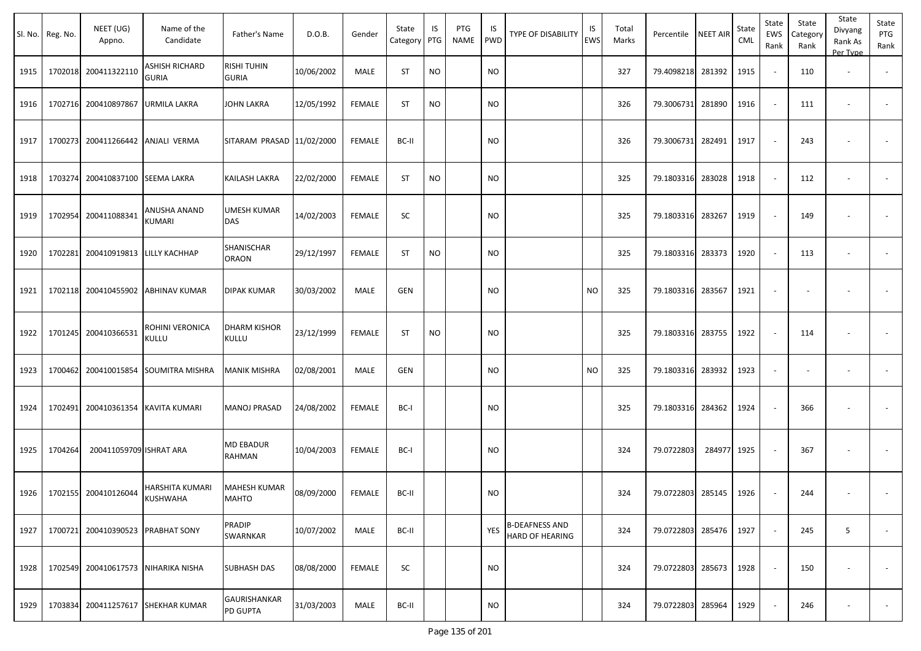|      | Sl. No. Reg. No. | NEET (UG)<br>Appno.     | Name of the<br>Candidate       | Father's Name                          | D.O.B.     | Gender        | State<br>Category | IS<br>PTG | PTG<br><b>NAME</b> | IS<br>PWD  | TYPE OF DISABILITY                       | IS<br><b>EWS</b> | Total<br>Marks | Percentile        | <b>NEET AIR</b> | State<br><b>CML</b> | State<br>EWS<br>Rank     | State<br>Category<br>Rank | State<br>Divyang<br>Rank As<br>Per Type | State<br>PTG<br>Rank |
|------|------------------|-------------------------|--------------------------------|----------------------------------------|------------|---------------|-------------------|-----------|--------------------|------------|------------------------------------------|------------------|----------------|-------------------|-----------------|---------------------|--------------------------|---------------------------|-----------------------------------------|----------------------|
| 1915 | 1702018          | 200411322110            | ASHISH RICHARD<br><b>GURIA</b> | <b>RISHI TUHIN</b><br><b>GURIA</b>     | 10/06/2002 | MALE          | <b>ST</b>         | <b>NO</b> |                    | <b>NO</b>  |                                          |                  | 327            | 79.4098218        | 281392          | 1915                |                          | 110                       | $\overline{\phantom{a}}$                |                      |
| 1916 | 1702716          | 200410897867            | URMILA LAKRA                   | <b>JOHN LAKRA</b>                      | 12/05/1992 | <b>FEMALE</b> | ST                | <b>NO</b> |                    | <b>NO</b>  |                                          |                  | 326            | 79.3006731 281890 |                 | 1916                |                          | 111                       | $\overline{\phantom{a}}$                |                      |
| 1917 | 1700273          | 200411266442            | <b>ANJALI VERMA</b>            | SITARAM PRASAD 11/02/2000              |            | FEMALE        | BC-II             |           |                    | <b>NO</b>  |                                          |                  | 326            | 79.3006731        | 282491          | 1917                |                          | 243                       |                                         |                      |
| 1918 | 1703274          | 200410837100            | <b>SEEMA LAKRA</b>             | KAILASH LAKRA                          | 22/02/2000 | FEMALE        | <b>ST</b>         | <b>NO</b> |                    | NO         |                                          |                  | 325            | 79.1803316        | 283028          | 1918                |                          | 112                       |                                         |                      |
| 1919 | 1702954          | 200411088341            | ANUSHA ANAND<br>KUMARI         | UMESH KUMAR<br><b>DAS</b>              | 14/02/2003 | FEMALE        | SC                |           |                    | <b>NO</b>  |                                          |                  | 325            | 79.1803316        | 283267          | 1919                |                          | 149                       |                                         |                      |
| 1920 | 1702281          | 200410919813            | LILLY KACHHAP                  | SHANISCHAR<br><b>ORAON</b>             | 29/12/1997 | <b>FEMALE</b> | <b>ST</b>         | <b>NO</b> |                    | <b>NO</b>  |                                          |                  | 325            | 79.1803316        | 283373          | 1920                |                          | 113                       | $\overline{\phantom{a}}$                |                      |
| 1921 | 1702118          | 200410455902            | ABHINAV KUMAR                  | <b>DIPAK KUMAR</b>                     | 30/03/2002 | MALE          | GEN               |           |                    | <b>NO</b>  |                                          | <b>NO</b>        | 325            | 79.1803316        | 283567          | 1921                |                          |                           |                                         |                      |
| 1922 | 1701245          | 200410366531            | ROHINI VERONICA<br>KULLU       | <b>DHARM KISHOR</b><br><b>KULLU</b>    | 23/12/1999 | <b>FEMALE</b> | <b>ST</b>         | <b>NO</b> |                    | <b>NO</b>  |                                          |                  | 325            | 79.1803316        | 283755          | 1922                |                          | 114                       |                                         |                      |
| 1923 | 1700462          | 200410015854            | SOUMITRA MISHRA                | <b>MANIK MISHRA</b>                    | 02/08/2001 | MALE          | GEN               |           |                    | NO.        |                                          | <b>NO</b>        | 325            | 79.1803316        | 283932          | 1923                | $\overline{\phantom{a}}$ | $\overline{\phantom{a}}$  | $\overline{\phantom{a}}$                |                      |
| 1924 | 1702491          | 200410361354            | KAVITA KUMARI                  | MANOJ PRASAD                           | 24/08/2002 | FEMALE        | BC-I              |           |                    | <b>NO</b>  |                                          |                  | 325            | 79.1803316        | 284362          | 1924                |                          | 366                       |                                         |                      |
| 1925 | 1704264          | 200411059709 ISHRAT ARA |                                | <b>MD EBADUR</b><br>RAHMAN             | 10/04/2003 | <b>FEMALE</b> | BC-I              |           |                    | <b>NO</b>  |                                          |                  | 324            | 79.0722803        | 284977          | 1925                |                          | 367                       |                                         |                      |
| 1926 |                  | 1702155 200410126044    | HARSHITA KUMARI<br>KUSHWAHA    | MAHESH KUMAR<br><b>MAHTO</b>           | 08/09/2000 | FEMALE        | BC-II             |           |                    | <b>NO</b>  |                                          |                  | 324            | 79.0722803 285145 |                 | 1926                |                          | 244                       |                                         |                      |
| 1927 | 1700721          | 200410390523            | <b>PRABHAT SONY</b>            | PRADIP<br><b>SWARNKAR</b>              | 10/07/2002 | MALE          | BC-II             |           |                    | <b>YES</b> | <b>B-DEAFNESS AND</b><br>HARD OF HEARING |                  | 324            | 79.0722803 285476 |                 | 1927                |                          | 245                       | 5                                       | $\sim$               |
| 1928 | 1702549          |                         | 200410617573   NIHARIKA NISHA  | <b>SUBHASH DAS</b>                     | 08/08/2000 | <b>FEMALE</b> | SC                |           |                    | <b>NO</b>  |                                          |                  | 324            | 79.0722803 285673 |                 | 1928                |                          | 150                       | $\overline{\phantom{a}}$                | $\sim$               |
| 1929 | 1703834          | 200411257617            | <b>SHEKHAR KUMAR</b>           | <b>GAURISHANKAR</b><br><b>PD GUPTA</b> | 31/03/2003 | MALE          | BC-II             |           |                    | <b>NO</b>  |                                          |                  | 324            | 79.0722803        | 285964          | 1929                |                          | 246                       | $\overline{\phantom{a}}$                | $\sim$               |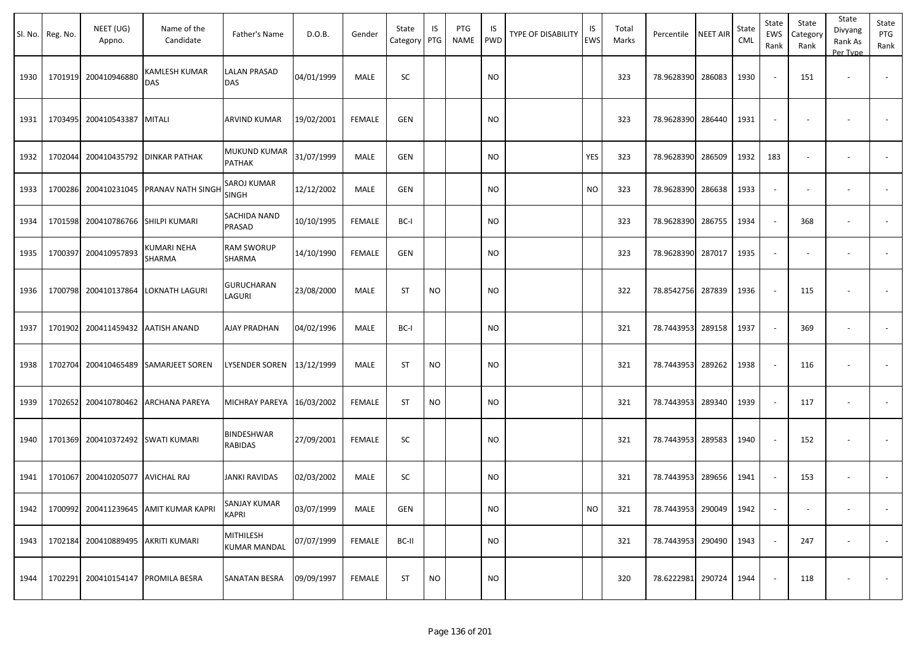|      | Sl. No. Reg. No. | NEET (UG)<br>Appno.        | Name of the<br>Candidate              | Father's Name                       | D.O.B.     | Gender        | State<br>Category | IS<br>PTG | PTG<br>NAME | IS<br><b>PWD</b> | <b>TYPE OF DISABILITY</b> | IS<br>EWS | Total<br>Marks | Percentile             | <b>NEET AIR</b> | State<br>CML | State<br>EWS<br>Rank | State<br>Category<br>Rank | State<br>Divyang<br>Rank As<br>Per Type | State<br>PTG<br>Rank     |
|------|------------------|----------------------------|---------------------------------------|-------------------------------------|------------|---------------|-------------------|-----------|-------------|------------------|---------------------------|-----------|----------------|------------------------|-----------------|--------------|----------------------|---------------------------|-----------------------------------------|--------------------------|
| 1930 | 1701919          | 200410946880               | <b>KAMLESH KUMAR</b><br>DAS           | LALAN PRASAD<br><b>DAS</b>          | 04/01/1999 | <b>MALE</b>   | SC                |           |             | <b>NO</b>        |                           |           | 323            | 78.9628390 286083      |                 | 1930         | $\sim$               | 151                       | $\overline{\phantom{a}}$                |                          |
| 1931 | 1703495          | 200410543387               | <b>MITALI</b>                         | ARVIND KUMAR                        | 19/02/2001 | <b>FEMALE</b> | <b>GEN</b>        |           |             | <b>NO</b>        |                           |           | 323            | 78.9628390 286440      |                 | 1931         |                      |                           |                                         |                          |
| 1932 | 1702044          | 200410435792               | <b>DINKAR PATHAK</b>                  | MUKUND KUMAR<br>PATHAK              | 31/07/1999 | MALE          | <b>GEN</b>        |           |             | <b>NO</b>        |                           | YES       | 323            | 78.9628390 286509      |                 | 1932         | 183                  |                           | $\overline{\phantom{a}}$                |                          |
| 1933 | 1700286          | 200410231045               | PRANAV NATH SINGH                     | SAROJ KUMAR<br>SINGH                | 12/12/2002 | MALE          | GEN               |           |             | <b>NO</b>        |                           | <b>NO</b> | 323            | 78.9628390 286638      |                 | 1933         |                      |                           | $\overline{\phantom{a}}$                |                          |
| 1934 | 1701598          | 200410786766 SHILPI KUMARI |                                       | SACHIDA NAND<br>PRASAD              | 10/10/1995 | <b>FEMALE</b> | BC-I              |           |             | <b>NO</b>        |                           |           | 323            | 78.9628390 286755      |                 | 1934         | $\sim$               | 368                       | $\overline{\phantom{a}}$                |                          |
| 1935 | 1700397          | 200410957893               | KUMARI NEHA<br>SHARMA                 | <b>RAM SWORUP</b><br>SHARMA         | 14/10/1990 | <b>FEMALE</b> | <b>GEN</b>        |           |             | <b>NO</b>        |                           |           | 323            | 78.9628390             | 287017          | 1935         |                      |                           | $\overline{\phantom{a}}$                |                          |
| 1936 | 1700798          | 200410137864               | LOKNATH LAGURI                        | GURUCHARAN<br>LAGURI                | 23/08/2000 | MALE          | <b>ST</b>         | <b>NO</b> |             | <b>NO</b>        |                           |           | 322            | 78.8542756 287839      |                 | 1936         |                      | 115                       |                                         |                          |
| 1937 | 1701902          | 200411459432 AATISH ANAND  |                                       | <b>AJAY PRADHAN</b>                 | 04/02/1996 | MALE          | BC-I              |           |             | <b>NO</b>        |                           |           | 321            | 78.7443953 289158      |                 | 1937         |                      | 369                       | $\overline{\phantom{a}}$                |                          |
| 1938 | 1702704          | 200410465489               | <b>SAMARJEET SOREN</b>                | LYSENDER SOREN                      | 13/12/1999 | <b>MALE</b>   | <b>ST</b>         | <b>NO</b> |             | <b>NO</b>        |                           |           | 321            | 78.7443953 289262      |                 | 1938         |                      | 116                       |                                         |                          |
| 1939 | 1702652          | 200410780462               | ARCHANA PAREYA                        | MICHRAY PAREYA                      | 16/03/2002 | <b>FEMALE</b> | <b>ST</b>         | <b>NO</b> |             | <b>NO</b>        |                           |           | 321            | 78.7443953 289340      |                 | 1939         | $\sim$               | 117                       | $\overline{\phantom{a}}$                | $\overline{\phantom{a}}$ |
| 1940 | 1701369          | 200410372492               | <b>SWATI KUMARI</b>                   | <b>BINDESHWAR</b><br><b>RABIDAS</b> | 27/09/2001 | <b>FEMALE</b> | <b>SC</b>         |           |             | <b>NO</b>        |                           |           | 321            | 78.7443953 289583      |                 | 1940         |                      | 152                       |                                         |                          |
| 1941 | 1701067          | 200410205077               | <b>AVICHAL RAJ</b>                    | <b>JANKI RAVIDAS</b>                | 02/03/2002 | MALE          | SC                |           |             | <b>NO</b>        |                           |           | 321            | 78.7443953 289656      |                 | 1941         |                      | 153                       | $\sim$                                  |                          |
| 1942 |                  |                            | 1700992 200411239645 AMIT KUMAR KAPRI | SANJAY KUMAR<br>KAPRI               | 03/07/1999 | MALE          | GEN               |           |             | <b>NO</b>        |                           | <b>NO</b> | 321            | 78.7443953 290049 1942 |                 |              |                      |                           | $\sim$                                  | $\sim$                   |
| 1943 | 1702184          | 200410889495               | AKRITI KUMARI                         | MITHILESH<br><b>KUMAR MANDAL</b>    | 07/07/1999 | <b>FEMALE</b> | BC-II             |           |             | <b>NO</b>        |                           |           | 321            | 78.7443953 290490      |                 | 1943         | $\sim$               | 247                       | $\overline{\phantom{a}}$                | $\sim$                   |
| 1944 | 1702291          |                            | 200410154147 PROMILA BESRA            | SANATAN BESRA                       | 09/09/1997 | <b>FEMALE</b> | ST                | <b>NO</b> |             | <b>NO</b>        |                           |           | 320            | 78.6222981 290724      |                 | 1944         |                      | 118                       |                                         | $\sim$                   |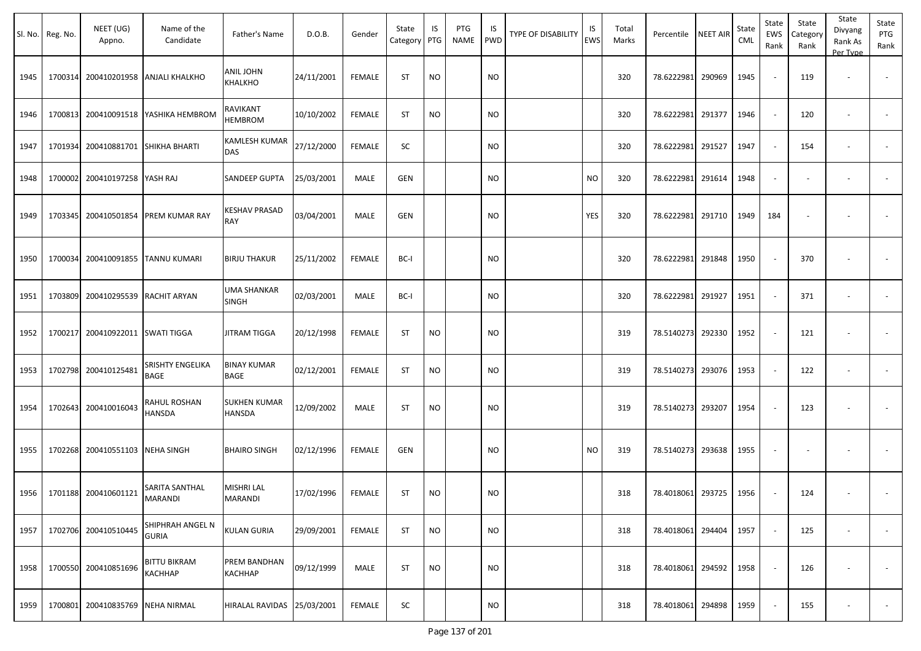|      | Sl. No. Reg. No. | NEET (UG)<br>Appno.       | Name of the<br>Candidate                | Father's Name                      | D.O.B.     | Gender        | State<br>Category | IS<br>PTG | PTG<br><b>NAME</b> | IS<br><b>PWD</b> | <b>TYPE OF DISABILITY</b> | IS<br><b>EWS</b> | Total<br>Marks | Percentile        | <b>NEET AIR</b> | State<br>CML | State<br>EWS<br>Rank | State<br>Category<br>Rank | State<br>Divyang<br>Rank As<br>Per Type | State<br>PTG<br>Rank     |
|------|------------------|---------------------------|-----------------------------------------|------------------------------------|------------|---------------|-------------------|-----------|--------------------|------------------|---------------------------|------------------|----------------|-------------------|-----------------|--------------|----------------------|---------------------------|-----------------------------------------|--------------------------|
| 1945 | 1700314          |                           | 200410201958 ANJALI KHALKHO             | ANIL JOHN<br>KHALKHO               | 24/11/2001 | <b>FEMALE</b> | <b>ST</b>         | <b>NO</b> |                    | <b>NO</b>        |                           |                  | 320            | 78.6222981 290969 |                 | 1945         |                      | 119                       | $\sim$                                  |                          |
| 1946 | 1700813          |                           | 200410091518 YASHIKA HEMBROM            | RAVIKANT<br>HEMBROM                | 10/10/2002 | <b>FEMALE</b> | <b>ST</b>         | <b>NO</b> |                    | <b>NO</b>        |                           |                  | 320            | 78.6222981        | 291377          | 1946         |                      | 120                       | $\overline{\phantom{a}}$                |                          |
| 1947 | 1701934          |                           | 200410881701 SHIKHA BHARTI              | KAMLESH KUMAR<br>DAS               | 27/12/2000 | <b>FEMALE</b> | SC                |           |                    | <b>NO</b>        |                           |                  | 320            | 78.6222981        | 291527          | 1947         |                      | 154                       |                                         |                          |
| 1948 | 1700002          | 200410197258 YASH RAJ     |                                         | SANDEEP GUPTA                      | 25/03/2001 | MALE          | <b>GEN</b>        |           |                    | <b>NO</b>        |                           | <b>NO</b>        | 320            | 78.6222981        | 291614          | 1948         |                      |                           |                                         |                          |
| 1949 | 1703345          |                           | 200410501854 PREM KUMAR RAY             | <b>KESHAV PRASAD</b><br>RAY        | 03/04/2001 | MALE          | <b>GEN</b>        |           |                    | <b>NO</b>        |                           | YES              | 320            | 78.6222981 291710 |                 | 1949         | 184                  |                           |                                         |                          |
| 1950 | 1700034          |                           | 200410091855 TANNU KUMARI               | <b>BIRJU THAKUR</b>                | 25/11/2002 | <b>FEMALE</b> | BC-I              |           |                    | <b>NO</b>        |                           |                  | 320            | 78.6222981 291848 |                 | 1950         |                      | 370                       |                                         |                          |
| 1951 | 1703809          | 200410295539 RACHIT ARYAN |                                         | <b>UMA SHANKAR</b><br><b>SINGH</b> | 02/03/2001 | MALE          | BC-I              |           |                    | <b>NO</b>        |                           |                  | 320            | 78.6222981        | 291927          | 1951         |                      | 371                       |                                         |                          |
| 1952 | 1700217          | 200410922011 SWATI TIGGA  |                                         | <b>JITRAM TIGGA</b>                | 20/12/1998 | <b>FEMALE</b> | ST                | NO        |                    | <b>NO</b>        |                           |                  | 319            | 78.5140273 292330 |                 | 1952         |                      | 121                       |                                         |                          |
| 1953 | 1702798          | 200410125481              | SRISHTY ENGELIKA<br><b>BAGE</b>         | <b>BINAY KUMAR</b><br>BAGE         | 02/12/2001 | <b>FEMALE</b> | <b>ST</b>         | <b>NO</b> |                    | <b>NO</b>        |                           |                  | 319            | 78.5140273        | 293076          | 1953         |                      | 122                       | $\overline{\phantom{a}}$                |                          |
| 1954 | 1702643          | 200410016043              | RAHUL ROSHAN<br><b>HANSDA</b>           | SUKHEN KUMAR<br>HANSDA             | 12/09/2002 | MALE          | <b>ST</b>         | <b>NO</b> |                    | <b>NO</b>        |                           |                  | 319            | 78.5140273 293207 |                 | 1954         |                      | 123                       |                                         |                          |
| 1955 | 1702268          | 200410551103 NEHA SINGH   |                                         | <b>BHAIRO SINGH</b>                | 02/12/1996 | <b>FEMALE</b> | GEN               |           |                    | <b>NO</b>        |                           | <b>NO</b>        | 319            | 78.5140273 293638 |                 | 1955         |                      |                           |                                         |                          |
| 1956 |                  | 1701188 200410601121      | <b>SARITA SANTHAL</b><br><b>MARANDI</b> | MISHRI LAL<br>MARANDI              | 17/02/1996 | <b>FEMALE</b> | <b>ST</b>         | <b>NO</b> |                    | <b>NO</b>        |                           |                  | 318            | 78.4018061 293725 |                 | 1956         |                      | 124                       |                                         |                          |
| 1957 |                  | 1702706 200410510445      | <b>SHIPHRAH ANGEL N</b><br><b>GURIA</b> | <b>KULAN GURIA</b>                 | 29/09/2001 | FEMALE        | <b>ST</b>         | <b>NO</b> |                    | <b>NO</b>        |                           |                  | 318            | 78.4018061 294404 |                 | 1957         |                      | 125                       | $\overline{\phantom{a}}$                | $\sim$                   |
| 1958 |                  | 1700550 200410851696      | <b>BITTU BIKRAM</b><br><b>KACHHAP</b>   | PREM BANDHAN<br>КАСННАР            | 09/12/1999 | MALE          | <b>ST</b>         | <b>NO</b> |                    | <b>NO</b>        |                           |                  | 318            | 78.4018061 294592 |                 | 1958         |                      | 126                       | $\overline{\phantom{a}}$                | $\overline{\phantom{a}}$ |
| 1959 | 1700801          | 200410835769 NEHA NIRMAL  |                                         | HIRALAL RAVIDAS 25/03/2001         |            | <b>FEMALE</b> | SC                |           |                    | <b>NO</b>        |                           |                  | 318            | 78.4018061 294898 |                 | 1959         |                      | 155                       | $\overline{\phantom{a}}$                | $\sim$                   |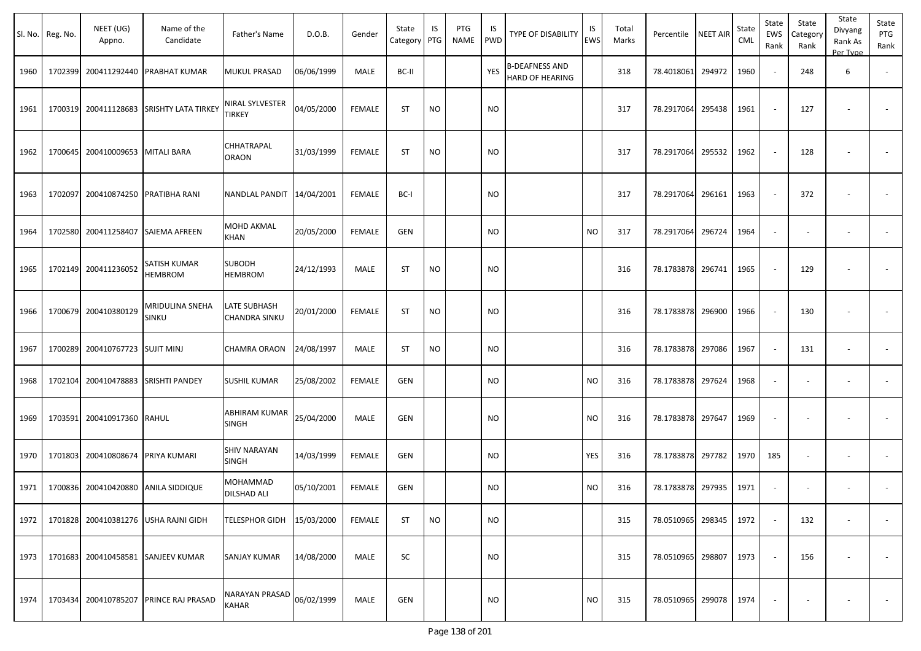|      | Sl. No. Reg. No. | NEET (UG)<br>Appno.             | Name of the<br>Candidate                 | Father's Name                        | D.O.B.     | Gender        | State<br>Category | IS<br>PTG | PTG<br><b>NAME</b> | <b>IS</b><br><b>PWD</b> | TYPE OF DISABILITY                       | IS<br><b>EWS</b> | Total<br>Marks | Percentile   NEET AIR |        | State<br>CML | State<br>EWS<br>Rank | State<br>Category<br>Rank | State<br>Divyang<br>Rank As<br>Per Type | State<br>PTG<br>Rank     |
|------|------------------|---------------------------------|------------------------------------------|--------------------------------------|------------|---------------|-------------------|-----------|--------------------|-------------------------|------------------------------------------|------------------|----------------|-----------------------|--------|--------------|----------------------|---------------------------|-----------------------------------------|--------------------------|
| 1960 | 1702399          |                                 | 200411292440 PRABHAT KUMAR               | MUKUL PRASAD                         | 06/06/1999 | MALE          | BC-II             |           |                    | YES                     | B-DEAFNESS AND<br><b>HARD OF HEARING</b> |                  | 318            | 78.4018061            | 294972 | 1960         |                      | 248                       | 6                                       |                          |
| 1961 |                  |                                 | 1700319 200411128683 SRISHTY LATA TIRKEY | NIRAL SYLVESTER<br><b>TIRKEY</b>     | 04/05/2000 | <b>FEMALE</b> | <b>ST</b>         | <b>NO</b> |                    | <b>NO</b>               |                                          |                  | 317            | 78.2917064            | 295438 | 1961         |                      | 127                       |                                         |                          |
| 1962 | 1700645          | 200410009653 MITALI BARA        |                                          | CHHATRAPAL<br><b>ORAON</b>           | 31/03/1999 | <b>FEMALE</b> | <b>ST</b>         | <b>NO</b> |                    | <b>NO</b>               |                                          |                  | 317            | 78.2917064            | 295532 | 1962         |                      | 128                       |                                         |                          |
| 1963 | 1702097          | 200410874250 PRATIBHA RANI      |                                          | NANDLAL PANDIT                       | 14/04/2001 | <b>FEMALE</b> | BC-I              |           |                    | <b>NO</b>               |                                          |                  | 317            | 78.2917064            | 296161 | 1963         |                      | 372                       |                                         |                          |
| 1964 |                  | 1702580 200411258407            | <b>SAIEMA AFREEN</b>                     | MOHD AKMAL<br>KHAN                   | 20/05/2000 | <b>FEMALE</b> | <b>GEN</b>        |           |                    | <b>NO</b>               |                                          | <b>NO</b>        | 317            | 78.2917064            | 296724 | 1964         | $\sim$               |                           |                                         |                          |
| 1965 |                  | 1702149 200411236052            | SATISH KUMAR<br><b>HEMBROM</b>           | <b>SUBODH</b><br><b>HEMBROM</b>      | 24/12/1993 | MALE          | <b>ST</b>         | <b>NO</b> |                    | <b>NO</b>               |                                          |                  | 316            | 78.1783878 296741     |        | 1965         |                      | 129                       |                                         |                          |
| 1966 |                  | 1700679 200410380129            | MRIDULINA SNEHA<br>SINKU                 | LATE SUBHASH<br><b>CHANDRA SINKU</b> | 20/01/2000 | <b>FEMALE</b> | <b>ST</b>         | <b>NO</b> |                    | <b>NO</b>               |                                          |                  | 316            | 78.1783878 296900     |        | 1966         |                      | 130                       |                                         |                          |
| 1967 |                  | 1700289 200410767723 SUJIT MINJ |                                          | CHAMRA ORAON                         | 24/08/1997 | MALE          | ST                | <b>NO</b> |                    | NO                      |                                          |                  | 316            | 78.1783878 297086     |        | 1967         | $\sim$               | 131                       |                                         |                          |
| 1968 | 1702104          |                                 | 200410478883 SRISHTI PANDEY              | <b>SUSHIL KUMAR</b>                  | 25/08/2002 | <b>FEMALE</b> | <b>GEN</b>        |           |                    | <b>NO</b>               |                                          | <b>NO</b>        | 316            | 78.1783878 297624     |        | 1968         |                      |                           |                                         |                          |
| 1969 | 1703591          | 200410917360 RAHUL              |                                          | ABHIRAM KUMAR<br>SINGH               | 25/04/2000 | MALE          | <b>GEN</b>        |           |                    | <b>NO</b>               |                                          | <b>NO</b>        | 316            | 78.1783878 297647     |        | 1969         |                      |                           |                                         |                          |
| 1970 | 1701803          | 200410808674                    | PRIYA KUMARI                             | SHIV NARAYAN<br><b>SINGH</b>         | 14/03/1999 | <b>FEMALE</b> | <b>GEN</b>        |           |                    | <b>NO</b>               |                                          | <b>YES</b>       | 316            | 78.1783878            | 297782 | 1970         | 185                  |                           | $\overline{\phantom{a}}$                | $\overline{\phantom{a}}$ |
| 1971 |                  | 1700836 200410420880            | <b>ANILA SIDDIQUE</b>                    | MOHAMMAD<br>DILSHAD ALI              | 05/10/2001 | <b>FEMALE</b> | <b>GEN</b>        |           |                    | <b>NO</b>               |                                          | <b>NO</b>        | 316            | 78.1783878 297935     |        | 1971         | $\sim$               |                           | $\overline{\phantom{a}}$                |                          |
| 1972 |                  |                                 | 1701828 200410381276 USHA RAJNI GIDH     | TELESPHOR GIDH 15/03/2000            |            | <b>FEMALE</b> | <b>ST</b>         | <b>NO</b> |                    | <b>NO</b>               |                                          |                  | 315            | 78.0510965 298345     |        | 1972         |                      | 132                       |                                         | $\sim$                   |
| 1973 |                  |                                 | 1701683 200410458581 SANJEEV KUMAR       | SANJAY KUMAR                         | 14/08/2000 | MALE          | SC                |           |                    | <b>NO</b>               |                                          |                  | 315            | 78.0510965 298807     |        | 1973         |                      | 156                       |                                         | $\sim$                   |
| 1974 |                  | 1703434 200410785207            | <b>PRINCE RAJ PRASAD</b>                 | NARAYAN PRASAD<br>KAHAR              | 06/02/1999 | MALE          | GEN               |           |                    | <b>NO</b>               |                                          | <b>NO</b>        | 315            | 78.0510965 299078     |        | 1974         |                      |                           |                                         | $\sim$                   |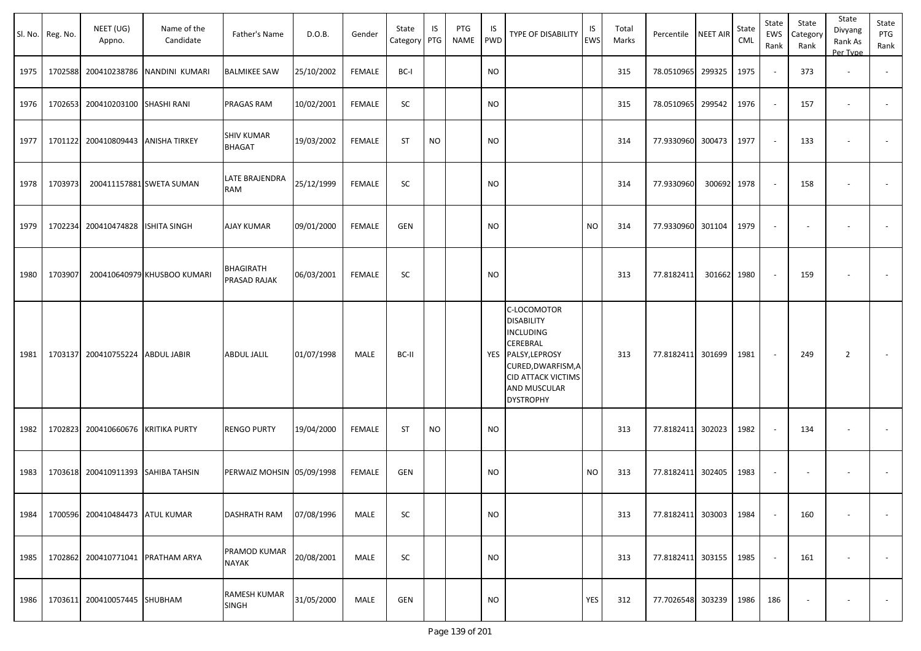|      | Sl. No. Reg. No. | NEET (UG)<br>Appno.             | Name of the<br>Candidate    | Father's Name                      | D.O.B.     | Gender        | State<br>Category | IS<br>PTG | PTG<br><b>NAME</b> | IS<br>PWD | TYPE OF DISABILITY                                                                                                                                                                          | IS<br><b>EWS</b> | Total<br>Marks | Percentile        | <b>NEET AIR</b> | State<br>CML | State<br>EWS<br>Rank | State<br>Category<br>Rank | State<br>Divyang<br>Rank As<br>Per Type | State<br>PTG<br>Rank     |
|------|------------------|---------------------------------|-----------------------------|------------------------------------|------------|---------------|-------------------|-----------|--------------------|-----------|---------------------------------------------------------------------------------------------------------------------------------------------------------------------------------------------|------------------|----------------|-------------------|-----------------|--------------|----------------------|---------------------------|-----------------------------------------|--------------------------|
| 1975 | 1702588          | 200410238786                    | NANDINI KUMARI              | <b>BALMIKEE SAW</b>                | 25/10/2002 | <b>FEMALE</b> | BC-I              |           |                    | NO        |                                                                                                                                                                                             |                  | 315            | 78.0510965        | 299325          | 1975         |                      | 373                       | $\overline{\phantom{a}}$                | $\overline{\phantom{a}}$ |
| 1976 | 1702653          | 200410203100                    | <b>SHASHI RANI</b>          | PRAGAS RAM                         | 10/02/2001 | <b>FEMALE</b> | SC                |           |                    | <b>NO</b> |                                                                                                                                                                                             |                  | 315            | 78.0510965        | 299542          | 1976         |                      | 157                       | $\overline{\phantom{a}}$                |                          |
| 1977 | 1701122          | 200410809443                    | <b>ANISHA TIRKEY</b>        | <b>SHIV KUMAR</b><br><b>BHAGAT</b> | 19/03/2002 | <b>FEMALE</b> | <b>ST</b>         | <b>NO</b> |                    | NO        |                                                                                                                                                                                             |                  | 314            | 77.9330960 300473 |                 | 1977         |                      | 133                       | $\overline{\phantom{a}}$                | $\overline{\phantom{a}}$ |
| 1978 | 1703973          |                                 | 200411157881 SWETA SUMAN    | LATE BRAJENDRA<br>RAM              | 25/12/1999 | <b>FEMALE</b> | SC                |           |                    | <b>NO</b> |                                                                                                                                                                                             |                  | 314            | 77.9330960        | 300692          | 1978         |                      | 158                       | ÷,                                      |                          |
| 1979 | 1702234          | 200410474828                    | <b>ISHITA SINGH</b>         | <b>AJAY KUMAR</b>                  | 09/01/2000 | <b>FEMALE</b> | GEN               |           |                    | <b>NO</b> |                                                                                                                                                                                             | <b>NO</b>        | 314            | 77.9330960        | 301104          | 1979         | $\sim$               | $\overline{\phantom{a}}$  |                                         |                          |
| 1980 | 1703907          |                                 | 200410640979 KHUSBOO KUMARI | BHAGIRATH<br>PRASAD RAJAK          | 06/03/2001 | <b>FEMALE</b> | SC                |           |                    | <b>NO</b> |                                                                                                                                                                                             |                  | 313            | 77.8182411        | 301662          | 1980         |                      | 159                       |                                         |                          |
| 1981 | 1703137          | 200410755224                    | <b>ABDUL JABIR</b>          | ABDUL JALIL                        | 01/07/1998 | MALE          | BC-II             |           |                    |           | C-LOCOMOTOR<br><b>DISABILITY</b><br><b>INCLUDING</b><br><b>CEREBRAL</b><br>YES PALSY, LEPROSY<br>CURED, DWARFISM, A<br><b>CID ATTACK VICTIMS</b><br><b>AND MUSCULAR</b><br><b>DYSTROPHY</b> |                  | 313            | 77.8182411 301699 |                 | 1981         |                      | 249                       | $\overline{2}$                          | $\overline{\phantom{a}}$ |
| 1982 | 1702823          | 200410660676                    | <b>KRITIKA PURTY</b>        | <b>RENGO PURTY</b>                 | 19/04/2000 | <b>FEMALE</b> | <b>ST</b>         | <b>NO</b> |                    | <b>NO</b> |                                                                                                                                                                                             |                  | 313            | 77.8182411 302023 |                 | 1982         |                      | 134                       | $\blacksquare$                          | $\overline{\phantom{a}}$ |
| 1983 | 1703618          | 200410911393                    | SAHIBA TAHSIN               | PERWAIZ MOHSIN 05/09/1998          |            | <b>FEMALE</b> | <b>GEN</b>        |           |                    | <b>NO</b> |                                                                                                                                                                                             | <b>NO</b>        | 313            | 77.8182411 302405 |                 | 1983         |                      |                           | ٠                                       |                          |
| 1984 |                  | 1700596 200410484473 ATUL KUMAR |                             | DASHRATH RAM                       | 07/08/1996 | MALE          | SC                |           |                    | <b>NO</b> |                                                                                                                                                                                             |                  | 313            | 77.8182411 303003 |                 | 1984         |                      | 160                       | $\blacksquare$                          | $\overline{\phantom{a}}$ |
| 1985 |                  | 1702862 200410771041            | PRATHAM ARYA                | PRAMOD KUMAR<br>NAYAK              | 20/08/2001 | MALE          | SC                |           |                    | <b>NO</b> |                                                                                                                                                                                             |                  | 313            | 77.8182411 303155 |                 | 1985         |                      | 161                       | $\overline{\phantom{a}}$                | $\overline{\phantom{a}}$ |
| 1986 |                  | 1703611 200410057445            | <b>SHUBHAM</b>              | RAMESH KUMAR<br><b>SINGH</b>       | 31/05/2000 | MALE          | <b>GEN</b>        |           |                    | <b>NO</b> |                                                                                                                                                                                             | YES              | 312            | 77.7026548 303239 |                 | 1986         | 186                  |                           | $\overline{\phantom{a}}$                | $\sim$                   |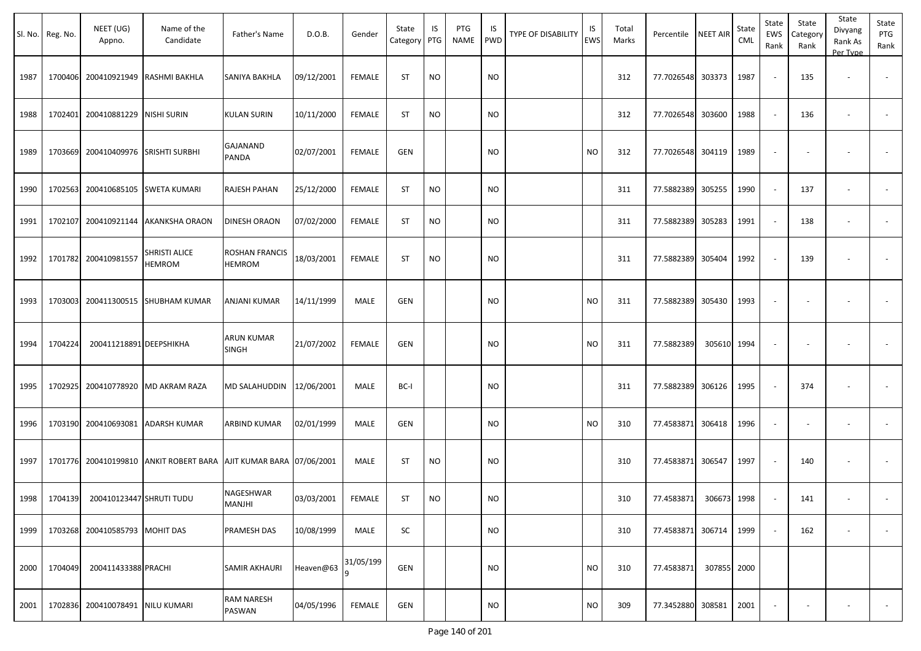|      | Sl. No. Reg. No. | NEET (UG)<br>Appno.               | Name of the<br>Candidate               | Father's Name                     | D.O.B.     | Gender        | State<br>Category | IS<br>PTG | PTG<br><b>NAME</b> | <b>IS</b><br><b>PWD</b> | <b>TYPE OF DISABILITY</b> | IS<br><b>EWS</b> | Total<br>Marks | Percentile NEET AIR |             | State<br>CML | State<br>EWS<br>Rank | State<br>Category<br>Rank | State<br>Divyang<br>Rank As<br>Per Type | State<br>PTG<br>Rank     |
|------|------------------|-----------------------------------|----------------------------------------|-----------------------------------|------------|---------------|-------------------|-----------|--------------------|-------------------------|---------------------------|------------------|----------------|---------------------|-------------|--------------|----------------------|---------------------------|-----------------------------------------|--------------------------|
| 1987 |                  | 1700406 200410921949              | <b>RASHMI BAKHLA</b>                   | SANIYA BAKHLA                     | 09/12/2001 | <b>FEMALE</b> | <b>ST</b>         | NO        |                    | <b>NO</b>               |                           |                  | 312            | 77.7026548 303373   |             | 1987         |                      | 135                       |                                         |                          |
| 1988 | 1702401          | 200410881229                      | NISHI SURIN                            | KULAN SURIN                       | 10/11/2000 | <b>FEMALE</b> | <b>ST</b>         | <b>NO</b> |                    | <b>NO</b>               |                           |                  | 312            | 77.7026548          | 303600      | 1988         |                      | 136                       | $\overline{\phantom{a}}$                |                          |
| 1989 | 1703669          | 200410409976 SRISHTI SURBHI       |                                        | GAJANAND<br>PANDA                 | 02/07/2001 | <b>FEMALE</b> | <b>GEN</b>        |           |                    | <b>NO</b>               |                           | <b>NO</b>        | 312            | 77.7026548 304119   |             | 1989         |                      |                           |                                         |                          |
| 1990 |                  | 1702563 200410685105 SWETA KUMARI |                                        | RAJESH PAHAN                      | 25/12/2000 | <b>FEMALE</b> | <b>ST</b>         | <b>NO</b> |                    | <b>NO</b>               |                           |                  | 311            | 77.5882389          | 305255      | 1990         |                      | 137                       |                                         |                          |
| 1991 | 1702107          |                                   | 200410921144 AKANKSHA ORAON            | DINESH ORAON                      | 07/02/2000 | <b>FEMALE</b> | <b>ST</b>         | <b>NO</b> |                    | <b>NO</b>               |                           |                  | 311            | 77.5882389          | 305283      | 1991         |                      | 138                       | $\sim$                                  |                          |
| 1992 |                  | 1701782 200410981557              | <b>SHRISTI ALICE</b><br>HEMROM         | ROSHAN FRANCIS<br><b>HEMROM</b>   | 18/03/2001 | <b>FEMALE</b> | <b>ST</b>         | <b>NO</b> |                    | <b>NO</b>               |                           |                  | 311            | 77.5882389 305404   |             | 1992         |                      | 139                       |                                         |                          |
| 1993 | 1703003          |                                   | 200411300515 SHUBHAM KUMAR             | ANJANI KUMAR                      | 14/11/1999 | MALE          | GEN               |           |                    | <b>NO</b>               |                           | <b>NO</b>        | 311            | 77.5882389          | 305430      | 1993         |                      |                           | $\overline{\phantom{a}}$                |                          |
| 1994 | 1704224          | 200411218891 DEEPSHIKHA           |                                        | <b>ARUN KUMAR</b><br><b>SINGH</b> | 21/07/2002 | <b>FEMALE</b> | <b>GEN</b>        |           |                    | <b>NO</b>               |                           | <b>NO</b>        | 311            | 77.5882389          | 305610      | 1994         |                      |                           |                                         |                          |
| 1995 |                  |                                   | 1702925 200410778920 MD AKRAM RAZA     | MD SALAHUDDIN                     | 12/06/2001 | MALE          | BC-I              |           |                    | <b>NO</b>               |                           |                  | 311            | 77.5882389          | 306126      | 1995         |                      | 374                       | $\overline{\phantom{a}}$                |                          |
| 1996 |                  | 1703190 200410693081              | <b>ADARSH KUMAR</b>                    | ARBIND KUMAR                      | 02/01/1999 | MALE          | <b>GEN</b>        |           |                    | <b>NO</b>               |                           | <b>NO</b>        | 310            | 77.4583871          | 306418      | 1996         |                      |                           | $\overline{\phantom{a}}$                | $\overline{\phantom{a}}$ |
| 1997 |                  |                                   | 1701776 200410199810 ANKIT ROBERT BARA | AJIT KUMAR BARA 07/06/2001        |            | MALE          | <b>ST</b>         | <b>NO</b> |                    | <b>NO</b>               |                           |                  | 310            | 77.4583871 306547   |             | 1997         |                      | 140                       |                                         |                          |
| 1998 | 1704139          | 200410123447 SHRUTI TUDU          |                                        | NAGESHWAR<br>MANJHI               | 03/03/2001 | <b>FEMALE</b> | <b>ST</b>         | <b>NO</b> |                    | <b>NO</b>               |                           |                  | 310            | 77.4583871          | 306673      | 1998         |                      | 141                       |                                         |                          |
| 1999 |                  | 1703268 200410585793 MOHIT DAS    |                                        | PRAMESH DAS                       | 10/08/1999 | MALE          | SC                |           |                    | <b>NO</b>               |                           |                  | 310            | 77.4583871 306714   |             | 1999         |                      | 162                       | $\overline{\phantom{a}}$                | $\sim$                   |
| 2000 | 1704049          | 200411433388 PRACHI               |                                        | SAMIR AKHAURI                     | Heaven@63  | 31/05/199     | <b>GEN</b>        |           |                    | <b>NO</b>               |                           | <b>NO</b>        | 310            | 77.4583871          | 307855 2000 |              |                      |                           |                                         |                          |
| 2001 |                  | 1702836 200410078491 NILU KUMARI  |                                        | <b>RAM NARESH</b><br>PASWAN       | 04/05/1996 | <b>FEMALE</b> | GEN               |           |                    | <b>NO</b>               |                           | <b>NO</b>        | 309            | 77.3452880 308581   |             | 2001         |                      |                           | $\overline{\phantom{a}}$                | $\sim$                   |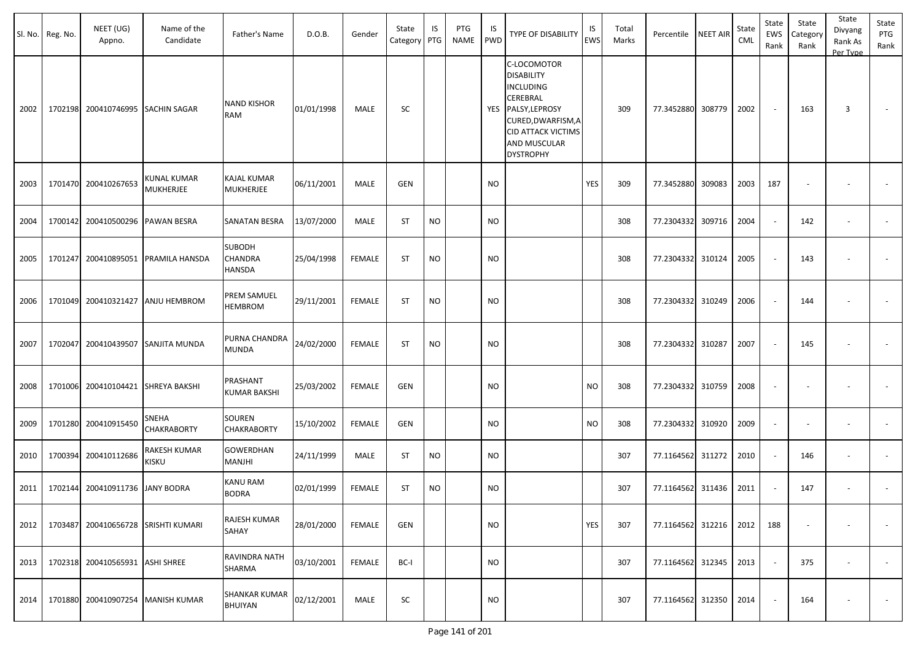|      | Sl. No. Reg. No. | NEET (UG)<br>Appno.             | Name of the<br>Candidate            | Father's Name                             | D.O.B.     | Gender        | State<br>Category PTG | IS        | PTG<br><b>NAME</b> | IS<br><b>PWD</b> | <b>TYPE OF DISABILITY</b>                                                                                                                                          | IS<br>EWS | Total<br>Marks | Percentile        | NEET AIR | State<br>CML | State<br><b>EWS</b><br>Rank | State<br>Category<br>Rank | State<br>Divyang<br>Rank As<br>Per Type | State<br>PTG<br>Rank     |
|------|------------------|---------------------------------|-------------------------------------|-------------------------------------------|------------|---------------|-----------------------|-----------|--------------------|------------------|--------------------------------------------------------------------------------------------------------------------------------------------------------------------|-----------|----------------|-------------------|----------|--------------|-----------------------------|---------------------------|-----------------------------------------|--------------------------|
| 2002 | 1702198          |                                 | 200410746995 SACHIN SAGAR           | <b>NAND KISHOR</b><br>RAM                 | 01/01/1998 | MALE          | SC                    |           |                    | YES              | C-LOCOMOTOR<br><b>DISABILITY</b><br>INCLUDING<br>CEREBRAL<br>PALSY, LEPROSY<br>CURED, DWARFISM, A<br><b>CID ATTACK VICTIMS</b><br>AND MUSCULAR<br><b>DYSTROPHY</b> |           | 309            | 77.3452880 308779 |          | 2002         | $\sim$                      | 163                       | 3                                       | $\sim$                   |
| 2003 | 1701470          | 200410267653                    | KUNAL KUMAR<br><b>MUKHERJEE</b>     | <b>KAJAL KUMAR</b><br><b>MUKHERJEE</b>    | 06/11/2001 | MALE          | GEN                   |           |                    | <b>NO</b>        |                                                                                                                                                                    | YES       | 309            | 77.3452880        | 309083   | 2003         | 187                         |                           |                                         |                          |
| 2004 | 1700142          | 200410500296 PAWAN BESRA        |                                     | SANATAN BESRA                             | 13/07/2000 | MALE          | <b>ST</b>             | <b>NO</b> |                    | <b>NO</b>        |                                                                                                                                                                    |           | 308            | 77.2304332        | 309716   | 2004         |                             | 142                       | $\overline{\phantom{a}}$                |                          |
| 2005 | 1701247          |                                 | 200410895051 PRAMILA HANSDA         | <b>SUBODH</b><br>CHANDRA<br><b>HANSDA</b> | 25/04/1998 | <b>FEMALE</b> | <b>ST</b>             | <b>NO</b> |                    | <b>NO</b>        |                                                                                                                                                                    |           | 308            | 77.2304332 310124 |          | 2005         |                             | 143                       | $\overline{\phantom{a}}$                |                          |
| 2006 | 1701049          |                                 | 200410321427 ANJU HEMBROM           | PREM SAMUEL<br><b>HEMBROM</b>             | 29/11/2001 | <b>FEMALE</b> | <b>ST</b>             | <b>NO</b> |                    | <b>NO</b>        |                                                                                                                                                                    |           | 308            | 77.2304332 310249 |          | 2006         |                             | 144                       | $\overline{\phantom{a}}$                |                          |
| 2007 | 1702047          | 200410439507                    | <b>SANJITA MUNDA</b>                | PURNA CHANDRA<br><b>MUNDA</b>             | 24/02/2000 | <b>FEMALE</b> | <b>ST</b>             | <b>NO</b> |                    | <b>NO</b>        |                                                                                                                                                                    |           | 308            | 77.2304332        | 310287   | 2007         |                             | 145                       | $\overline{\phantom{a}}$                |                          |
| 2008 | 1701006          |                                 | 200410104421 SHREYA BAKSHI          | PRASHANT<br>KUMAR BAKSHI                  | 25/03/2002 | <b>FEMALE</b> | GEN                   |           |                    | <b>NO</b>        |                                                                                                                                                                    | <b>NO</b> | 308            | 77.2304332 310759 |          | 2008         |                             |                           | $\overline{\phantom{a}}$                |                          |
| 2009 | 1701280          | 200410915450                    | <b>SNEHA</b><br><b>CHAKRABORTY</b>  | SOUREN<br><b>CHAKRABORTY</b>              | 15/10/2002 | <b>FEMALE</b> | GEN                   |           |                    | <b>NO</b>        |                                                                                                                                                                    | <b>NO</b> | 308            | 77.2304332        | 310920   | 2009         | $\sim$                      |                           | $\overline{\phantom{a}}$                |                          |
| 2010 | 1700394          | 200410112686                    | <b>RAKESH KUMAR</b><br><b>KISKU</b> | GOWERDHAN<br>MANJHI                       | 24/11/1999 | MALE          | <b>ST</b>             | <b>NO</b> |                    | <b>NO</b>        |                                                                                                                                                                    |           | 307            | 77.1164562        | 311272   | 2010         |                             | 146                       | $\overline{\phantom{a}}$                | $\overline{\phantom{a}}$ |
| 2011 | 1702144          | 200410911736 JANY BODRA         |                                     | KANU RAM<br><b>BODRA</b>                  | 02/01/1999 | <b>FEMALE</b> | <b>ST</b>             | <b>NO</b> |                    | <b>NO</b>        |                                                                                                                                                                    |           | 307            | 77.1164562 311436 |          | 2011         |                             | 147                       | $\overline{\phantom{a}}$                |                          |
| 2012 | 1703487          |                                 | 200410656728 SRISHTI KUMARI         | RAJESH KUMAR<br>SAHAY                     | 28/01/2000 | FEMALE        | <b>GEN</b>            |           |                    | <b>NO</b>        |                                                                                                                                                                    | YES       | 307            | 77.1164562 312216 |          | 2012         | 188                         |                           |                                         |                          |
| 2013 |                  | 1702318 200410565931 ASHI SHREE |                                     | RAVINDRA NATH<br>SHARMA                   | 03/10/2001 | <b>FEMALE</b> | BC-I                  |           |                    | <b>NO</b>        |                                                                                                                                                                    |           | 307            | 77.1164562 312345 |          | 2013         | $\sim$                      | 375                       | $\overline{\phantom{a}}$                | $\sim$                   |
| 2014 |                  |                                 | 1701880 200410907254 MANISH KUMAR   | SHANKAR KUMAR<br>BHUIYAN                  | 02/12/2001 | MALE          | SC                    |           |                    | <b>NO</b>        |                                                                                                                                                                    |           | 307            | 77.1164562 312350 |          | 2014         |                             | 164                       |                                         | $\sim$                   |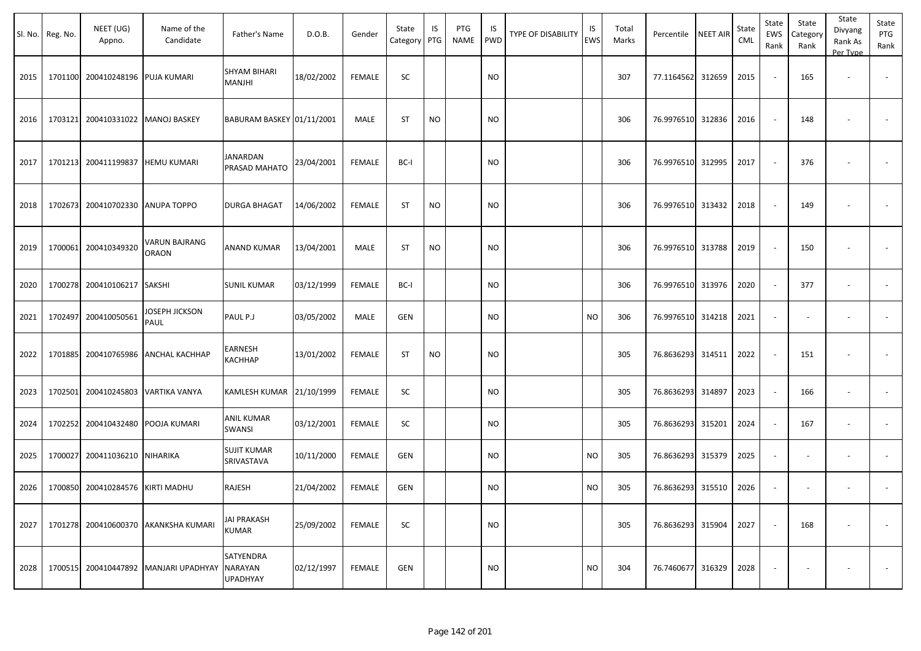|      | Sl. No. Reg. No. | NEET (UG)<br>Appno.               | Name of the<br>Candidate      | Father's Name                           | D.O.B.     | Gender        | State<br>Category | IS<br>PTG | PTG<br>NAME | IS<br><b>PWD</b> | <b>TYPE OF DISABILITY</b> | IS<br><b>EWS</b> | Total<br>Marks | Percentile        | <b>NEET AIR</b> | State<br><b>CML</b> | State<br>EWS<br>Rank     | State<br>Category<br>Rank | State<br>Divyang<br>Rank As<br>Per Type | State<br>PTG<br>Rank     |
|------|------------------|-----------------------------------|-------------------------------|-----------------------------------------|------------|---------------|-------------------|-----------|-------------|------------------|---------------------------|------------------|----------------|-------------------|-----------------|---------------------|--------------------------|---------------------------|-----------------------------------------|--------------------------|
| 2015 |                  | 1701100 200410248196              | <b>PUJA KUMARI</b>            | SHYAM BIHARI<br>MANJHI                  | 18/02/2002 | <b>FEMALE</b> | SC                |           |             | <b>NO</b>        |                           |                  | 307            | 77.1164562        | 312659          | 2015                | $\overline{\phantom{a}}$ | 165                       | $\overline{\phantom{a}}$                |                          |
| 2016 |                  | 1703121 200410331022 MANOJ BASKEY |                               | BABURAM BASKEY 01/11/2001               |            | MALE          | <b>ST</b>         | <b>NO</b> |             | <b>NO</b>        |                           |                  | 306            | 76.9976510        | 312836          | 2016                | $\sim$                   | 148                       |                                         |                          |
| 2017 |                  | 1701213 200411199837              | <b>HEMU KUMARI</b>            | JANARDAN<br>PRASAD MAHATO               | 23/04/2001 | FEMALE        | BC-I              |           |             | <b>NO</b>        |                           |                  | 306            | 76.9976510 312995 |                 | 2017                | $\overline{\phantom{a}}$ | 376                       |                                         |                          |
| 2018 |                  | 1702673 200410702330              | <b>ANUPA TOPPO</b>            | <b>DURGA BHAGAT</b>                     | 14/06/2002 | FEMALE        | <b>ST</b>         | <b>NO</b> |             | <b>NO</b>        |                           |                  | 306            | 76.9976510        | 313432          | 2018                | $\sim$                   | 149                       |                                         |                          |
| 2019 |                  | 1700061 200410349320              | VARUN BAJRANG<br><b>ORAON</b> | ANAND KUMAR                             | 13/04/2001 | MALE          | ST                | <b>NO</b> |             | <b>NO</b>        |                           |                  | 306            | 76.9976510        | 313788          | 2019                | $\overline{\phantom{a}}$ | 150                       |                                         |                          |
| 2020 |                  | 1700278 200410106217              | <b>SAKSHI</b>                 | <b>SUNIL KUMAR</b>                      | 03/12/1999 | <b>FEMALE</b> | BC-I              |           |             | <b>NO</b>        |                           |                  | 306            | 76.9976510 313976 |                 | 2020                | $\sim$                   | 377                       | $\sim$                                  | $\overline{\phantom{a}}$ |
| 2021 | 1702497          | 200410050561                      | JOSEPH JICKSON<br>PAUL        | PAUL P.J                                | 03/05/2002 | MALE          | <b>GEN</b>        |           |             | <b>NO</b>        |                           | <b>NO</b>        | 306            | 76.9976510        | 314218          | 2021                | $\overline{\phantom{a}}$ | $\overline{\phantom{a}}$  |                                         | $\overline{\phantom{a}}$ |
| 2022 |                  | 1701885 200410765986              | <b>ANCHAL KACHHAP</b>         | EARNESH<br>КАСННАР                      | 13/01/2002 | FEMALE        | ST                | <b>NO</b> |             | <b>NO</b>        |                           |                  | 305            | 76.8636293 314511 |                 | 2022                | $\sim$                   | 151                       |                                         |                          |
| 2023 | 1702501          | 200410245803                      | <b>VARTIKA VANYA</b>          | KAMLESH KUMAR 21/10/1999                |            | <b>FEMALE</b> | SC                |           |             | <b>NO</b>        |                           |                  | 305            | 76.8636293        | 314897          | 2023                | $\sim$                   | 166                       | $\overline{\phantom{a}}$                |                          |
| 2024 | 1702252          | 200410432480                      | POOJA KUMARI                  | <b>ANIL KUMAR</b><br>SWANSI             | 03/12/2001 | <b>FEMALE</b> | SC                |           |             | <b>NO</b>        |                           |                  | 305            | 76.8636293        | 315201          | 2024                | $\sim$                   | 167                       | $\overline{\phantom{a}}$                | $\overline{\phantom{a}}$ |
| 2025 | 1700027          | 200411036210                      | NIHARIKA                      | <b>SUJIT KUMAR</b><br>SRIVASTAVA        | 10/11/2000 | FEMALE        | <b>GEN</b>        |           |             | <b>NO</b>        |                           | <b>NO</b>        | 305            | 76.8636293        | 315379          | 2025                | $\blacksquare$           | $\overline{\phantom{a}}$  | $\overline{\phantom{a}}$                |                          |
| 2026 |                  | 1700850 200410284576              | <b>KIRTI MADHU</b>            | RAJESH                                  | 21/04/2002 | FEMALE        | <b>GEN</b>        |           |             | <b>NO</b>        |                           | <b>NO</b>        | 305            | 76.8636293 315510 |                 | 2026                | $\overline{\phantom{a}}$ |                           |                                         |                          |
| 2027 |                  | 1701278 200410600370              | AKANKSHA KUMARI               | JAI PRAKASH<br>KUMAR                    | 25/09/2002 | <b>FEMALE</b> | SC                |           |             | <b>NO</b>        |                           |                  | 305            | 76.8636293 315904 |                 | 2027                | $\sim$                   | 168                       |                                         | $\overline{\phantom{a}}$ |
| 2028 |                  | 1700515 200410447892              | <b>MANJARI UPADHYAY</b>       | <b>SATYENDRA</b><br>NARAYAN<br>UPADHYAY | 02/12/1997 | <b>FEMALE</b> | <b>GEN</b>        |           |             | <b>NO</b>        |                           | <b>NO</b>        | 304            | 76.7460677        | 316329          | 2028                |                          |                           |                                         | $\overline{\phantom{a}}$ |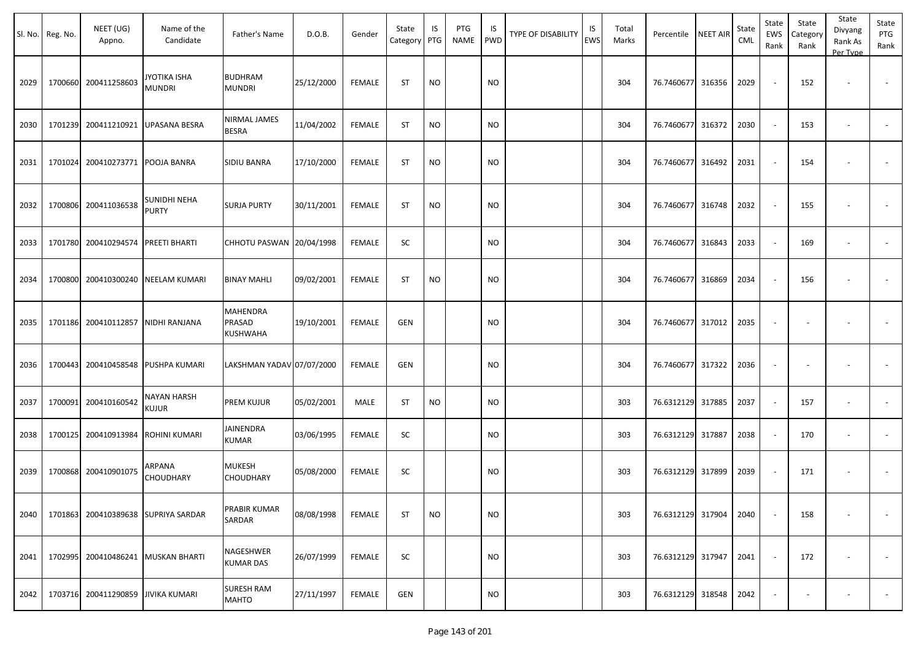|      | Sl. No. Reg. No. | NEET (UG)<br>Appno.  | Name of the<br>Candidate            | Father's Name                     | D.O.B.     | Gender        | State<br>Category | IS<br>PTG | PTG<br>NAME | IS<br><b>PWD</b> | <b>TYPE OF DISABILITY</b> | IS<br>EWS | Total<br>Marks | Percentile        | <b>NEET AIR</b> | State<br><b>CML</b> | State<br>EWS<br>Rank     | State<br>Category<br>Rank | State<br>Divyang<br>Rank As<br>Per Type | State<br>PTG<br>Rank     |
|------|------------------|----------------------|-------------------------------------|-----------------------------------|------------|---------------|-------------------|-----------|-------------|------------------|---------------------------|-----------|----------------|-------------------|-----------------|---------------------|--------------------------|---------------------------|-----------------------------------------|--------------------------|
| 2029 |                  | 1700660 200411258603 | JYOTIKA ISHA<br><b>MUNDRI</b>       | <b>BUDHRAM</b><br><b>MUNDRI</b>   | 25/12/2000 | <b>FEMALE</b> | <b>ST</b>         | <b>NO</b> |             | <b>NO</b>        |                           |           | 304            | 76.7460677 316356 |                 | 2029                | $\sim$                   | 152                       | $\overline{\phantom{a}}$                |                          |
| 2030 |                  | 1701239 200411210921 | <b>UPASANA BESRA</b>                | NIRMAL JAMES<br><b>BESRA</b>      | 11/04/2002 | <b>FEMALE</b> | ST                | NO        |             | NO.              |                           |           | 304            | 76.7460677        | 316372          | 2030                | $\sim$                   | 153                       |                                         |                          |
| 2031 |                  | 1701024 200410273771 | POOJA BANRA                         | SIDIU BANRA                       | 17/10/2000 | <b>FEMALE</b> | ST                | <b>NO</b> |             | <b>NO</b>        |                           |           | 304            | 76.7460677        | 316492          | 2031                | $\overline{\phantom{a}}$ | 154                       |                                         |                          |
| 2032 |                  | 1700806 200411036538 | SUNIDHI NEHA<br>PURTY               | <b>SURJA PURTY</b>                | 30/11/2001 | FEMALE        | ST                | <b>NO</b> |             | <b>NO</b>        |                           |           | 304            | 76.7460677        | 316748          | 2032                | $\sim$                   | 155                       |                                         |                          |
| 2033 |                  | 1701780 200410294574 | <b>PREETI BHARTI</b>                | CHHOTU PASWAN 20/04/1998          |            | <b>FEMALE</b> | SC                |           |             | <b>NO</b>        |                           |           | 304            | 76.7460677 316843 |                 | 2033                | $\sim$                   | 169                       | $\overline{\phantom{a}}$                |                          |
| 2034 |                  | 1700800 200410300240 | <b>NEELAM KUMARI</b>                | <b>BINAY MAHLI</b>                | 09/02/2001 | <b>FEMALE</b> | <b>ST</b>         | <b>NO</b> |             | <b>NO</b>        |                           |           | 304            | 76.7460677 316869 |                 | 2034                | $\sim$                   | 156                       |                                         |                          |
| 2035 |                  | 1701186 200410112857 | NIDHI RANJANA                       | MAHENDRA<br>PRASAD<br>KUSHWAHA    | 19/10/2001 | <b>FEMALE</b> | <b>GEN</b>        |           |             | <b>NO</b>        |                           |           | 304            | 76.7460677        | 317012          | 2035                |                          |                           |                                         |                          |
| 2036 |                  | 1700443 200410458548 | PUSHPA KUMARI                       | LAKSHMAN YADAV 07/07/2000         |            | <b>FEMALE</b> | <b>GEN</b>        |           |             | <b>NO</b>        |                           |           | 304            | 76.7460677 317322 |                 | 2036                | $\overline{\phantom{a}}$ |                           |                                         |                          |
| 2037 |                  | 1700091 200410160542 | NAYAN HARSH<br>kujur                | <b>PREM KUJUR</b>                 | 05/02/2001 | MALE          | ST                | <b>NO</b> |             | <b>NO</b>        |                           |           | 303            | 76.6312129        | 317885          | 2037                | $\sim$                   | 157                       |                                         | $\overline{\phantom{a}}$ |
| 2038 |                  | 1700125 200410913984 | ROHINI KUMARI                       | JAINENDRA<br>KUMAR                | 03/06/1995 | FEMALE        | SC                |           |             | <b>NO</b>        |                           |           | 303            | 76.6312129        | 317887          | 2038                | $\sim$                   | 170                       |                                         |                          |
| 2039 |                  | 1700868 200410901075 | ARPANA<br>CHOUDHARY                 | MUKESH<br>CHOUDHARY               | 05/08/2000 | <b>FEMALE</b> | SC                |           |             | <b>NO</b>        |                           |           | 303            | 76.6312129 317899 |                 | 2039                | $\sim$                   | 171                       |                                         |                          |
| 2040 |                  |                      | 1701863 200410389638 SUPRIYA SARDAR | PRABIR KUMAR<br>SARDAR            | 08/08/1998 | <b>FEMALE</b> | ST                | $\rm NO$  |             | <b>NO</b>        |                           |           | 303            | 76.6312129 317904 |                 | 2040                | $\sim$                   | 158                       | $\overline{\phantom{a}}$                | $\sim$                   |
| 2041 |                  | 1702995 200410486241 | <b>MUSKAN BHARTI</b>                | NAGESHWER<br><b>KUMAR DAS</b>     | 26/07/1999 | <b>FEMALE</b> | SC                |           |             | <b>NO</b>        |                           |           | 303            | 76.6312129 317947 |                 | 2041                | $\sim$                   | 172                       | $\overline{\phantom{a}}$                |                          |
| 2042 |                  | 1703716 200411290859 | <b>JIVIKA KUMARI</b>                | <b>SURESH RAM</b><br><b>MAHTO</b> | 27/11/1997 | <b>FEMALE</b> | GEN               |           |             | <b>NO</b>        |                           |           | 303            | 76.6312129 318548 |                 | 2042                |                          |                           |                                         | $\sim$                   |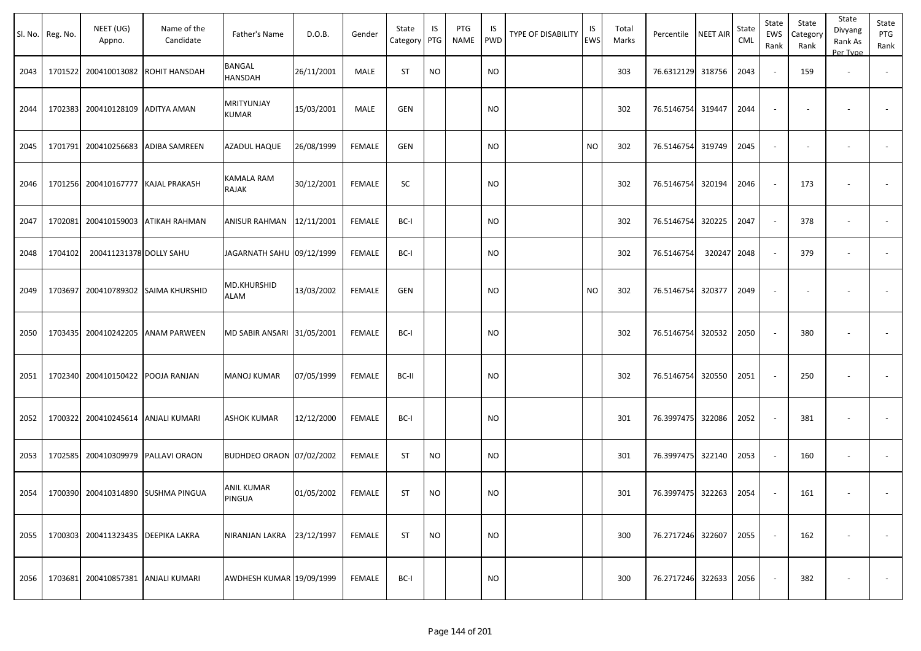|      | Sl. No. Reg. No. | NEET (UG)<br>Appno.        | Name of the<br>Candidate   | Father's Name                   | D.O.B.     | Gender        | State<br>Category | IS<br>PTG | PTG<br><b>NAME</b> | IS<br>PWD | <b>TYPE OF DISABILITY</b> | IS<br><b>EWS</b> | Total<br>Marks | Percentile        | <b>NEET AIR</b> | State<br>CML | State<br>EWS<br>Rank | State<br>Category<br>Rank | State<br>Divyang<br>Rank As<br>Per Type | State<br>PTG<br>Rank |
|------|------------------|----------------------------|----------------------------|---------------------------------|------------|---------------|-------------------|-----------|--------------------|-----------|---------------------------|------------------|----------------|-------------------|-----------------|--------------|----------------------|---------------------------|-----------------------------------------|----------------------|
| 2043 | 1701522          | 200410013082               | ROHIT HANSDAH              | BANGAL<br>HANSDAH               | 26/11/2001 | MALE          | ST                | <b>NO</b> |                    | NO        |                           |                  | 303            | 76.6312129 318756 |                 | 2043         |                      | 159                       | $\overline{\phantom{a}}$                |                      |
| 2044 | 1702383          | 200410128109               | <b>ADITYA AMAN</b>         | <b>MRITYUNJAY</b><br>KUMAR      | 15/03/2001 | MALE          | GEN               |           |                    | NO        |                           |                  | 302            | 76.5146754 319447 |                 | 2044         |                      |                           |                                         |                      |
| 2045 | 1701791          | 200410256683               | ADIBA SAMREEN              | AZADUL HAQUE                    | 26/08/1999 | <b>FEMALE</b> | <b>GEN</b>        |           |                    | NO.       |                           | <b>NO</b>        | 302            | 76.5146754 319749 |                 | 2045         | $\sim$               |                           |                                         |                      |
| 2046 | 1701256          | 200410167777               | <b>KAJAL PRAKASH</b>       | KAMALA RAM<br>RAJAK             | 30/12/2001 | <b>FEMALE</b> | SC                |           |                    | NO        |                           |                  | 302            | 76.5146754 320194 |                 | 2046         |                      | 173                       |                                         |                      |
| 2047 | 1702081          |                            | 200410159003 ATIKAH RAHMAN | ANISUR RAHMAN 12/11/2001        |            | FEMALE        | BC-I              |           |                    | NO        |                           |                  | 302            | 76.5146754 320225 |                 | 2047         | $\sim$               | 378                       | $\sim$                                  |                      |
| 2048 | 1704102          | 200411231378 DOLLY SAHU    |                            | JAGARNATH SAHU 09/12/1999       |            | <b>FEMALE</b> | BC-I              |           |                    | <b>NO</b> |                           |                  | 302            | 76.5146754        | 320247          | 2048         |                      | 379                       | $\overline{\phantom{a}}$                |                      |
| 2049 | 1703697          | 200410789302               | SAIMA KHURSHID             | MD.KHURSHID<br>ALAM             | 13/03/2002 | <b>FEMALE</b> | <b>GEN</b>        |           |                    | NO        |                           | <b>NO</b>        | 302            | 76.5146754 320377 |                 | 2049         |                      |                           |                                         |                      |
| 2050 | 1703435          | 200410242205               | <b>ANAM PARWEEN</b>        | MD SABIR ANSARI 31/05/2001      |            | <b>FEMALE</b> | BC-I              |           |                    | NO        |                           |                  | 302            | 76.5146754 320532 |                 | 2050         | $\sim$               | 380                       |                                         |                      |
| 2051 | 1702340          | 200410150422               | POOJA RANJAN               | MANOJ KUMAR                     | 07/05/1999 | FEMALE        | BC-II             |           |                    | NO        |                           |                  | 302            | 76.5146754 320550 |                 | 2051         | $\sim$               | 250                       |                                         |                      |
| 2052 | 1700322          |                            | 200410245614 ANJALI KUMARI | <b>ASHOK KUMAR</b>              | 12/12/2000 | <b>FEMALE</b> | BC-I              |           |                    | <b>NO</b> |                           |                  | 301            | 76.3997475 322086 |                 | 2052         |                      | 381                       |                                         |                      |
| 2053 | 1702585          | 200410309979               | <b>PALLAVI ORAON</b>       | <b>BUDHDEO ORAON 07/02/2002</b> |            | <b>FEMALE</b> | ST                | <b>NO</b> |                    | <b>NO</b> |                           |                  | 301            | 76.3997475 322140 |                 | 2053         |                      | 160                       | $\overline{\phantom{a}}$                | $\sim$               |
| 2054 | 1700390          |                            | 200410314890 SUSHMA PINGUA | ANIL KUMAR<br>PINGUA            | 01/05/2002 | FEMALE        | ST                | <b>NO</b> |                    | <b>NO</b> |                           |                  | 301            | 76.3997475 322263 |                 | 2054         |                      | 161                       |                                         |                      |
| 2055 | 1700303          | 200411323435               | <b>DEEPIKA LAKRA</b>       | NIRANJAN LAKRA 23/12/1997       |            | <b>FEMALE</b> | ST                | <b>NO</b> |                    | <b>NO</b> |                           |                  | 300            | 76.2717246 322607 |                 | 2055         | $\sim$               | 162                       |                                         | $\sim$               |
| 2056 | 1703681          | 200410857381 ANJALI KUMARI |                            | AWDHESH KUMAR 19/09/1999        |            | <b>FEMALE</b> | BC-I              |           |                    | NO        |                           |                  | 300            | 76.2717246 322633 |                 | 2056         | $\sim$               | 382                       |                                         | $\sim$               |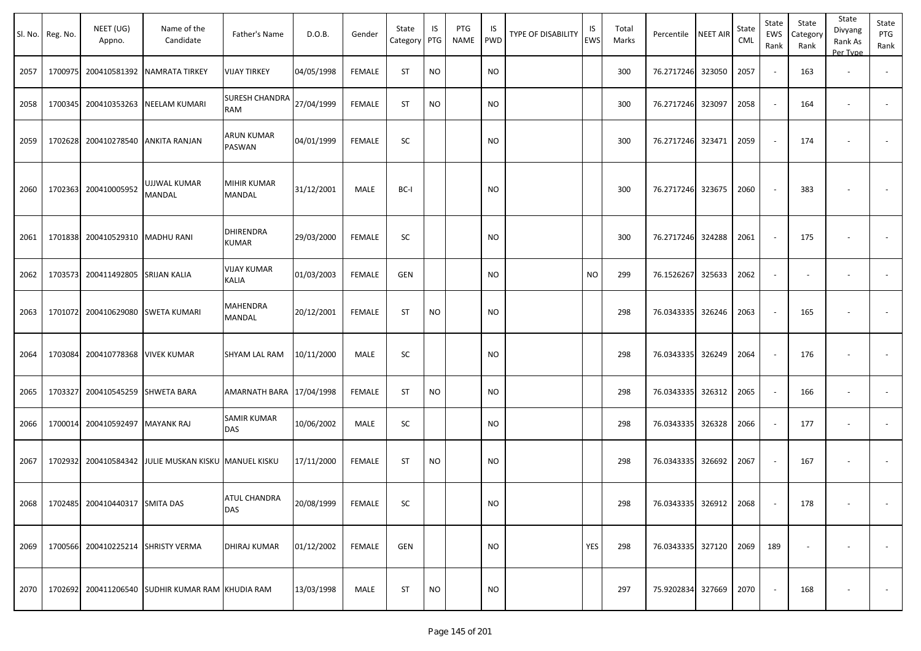|      | Sl. No. Reg. No. | NEET (UG)<br>Appno.                 | Name of the<br>Candidate                         | Father's Name                     | D.O.B.     | Gender        | State<br>Category | IS<br>PTG | PTG<br><b>NAME</b> | IS<br><b>PWD</b> | <b>TYPE OF DISABILITY</b> | IS<br><b>EWS</b> | Total<br>Marks | Percentile                 | <b>NEET AIR</b> | State<br>CML | State<br>EWS<br>Rank | State<br>Category<br>Rank | State<br>Divyang<br>Rank As<br>Per Type | State<br>PTG<br>Rank |
|------|------------------|-------------------------------------|--------------------------------------------------|-----------------------------------|------------|---------------|-------------------|-----------|--------------------|------------------|---------------------------|------------------|----------------|----------------------------|-----------------|--------------|----------------------|---------------------------|-----------------------------------------|----------------------|
| 2057 |                  |                                     | 1700975 200410581392 NAMRATA TIRKEY              | <b>VIJAY TIRKEY</b>               | 04/05/1998 | FEMALE        | <b>ST</b>         | <b>NO</b> |                    | <b>NO</b>        |                           |                  | 300            | 76.2717246 323050          |                 | 2057         |                      | 163                       | $\sim$                                  |                      |
| 2058 |                  |                                     | 1700345 200410353263 NEELAM KUMARI               | <b>SURESH CHANDRA</b><br>RAM      | 27/04/1999 | <b>FEMALE</b> | <b>ST</b>         | <b>NO</b> |                    | <b>NO</b>        |                           |                  | 300            | 76.2717246 323097          |                 | 2058         |                      | 164                       | $\overline{\phantom{a}}$                |                      |
| 2059 |                  | 1702628 200410278540 ANKITA RANJAN  |                                                  | ARUN KUMAR<br>PASWAN              | 04/01/1999 | <b>FEMALE</b> | SC                |           |                    | <b>NO</b>        |                           |                  | 300            | 76.2717246 323471          |                 | 2059         |                      | 174                       |                                         |                      |
| 2060 |                  | 1702363 200410005952                | UJJWAL KUMAR<br><b>MANDAL</b>                    | MIHIR KUMAR<br>MANDAL             | 31/12/2001 | MALE          | BC-I              |           |                    | <b>NO</b>        |                           |                  | 300            | 76.2717246 323675          |                 | 2060         |                      | 383                       |                                         |                      |
| 2061 | 1701838          | 200410529310   MADHU RANI           |                                                  | DHIRENDRA<br>KUMAR                | 29/03/2000 | <b>FEMALE</b> | SC                |           |                    | <b>NO</b>        |                           |                  | 300            | 76.2717246 324288          |                 | 2061         |                      | 175                       |                                         |                      |
| 2062 | 1703573          | 200411492805 SRIJAN KALIA           |                                                  | <b>VIJAY KUMAR</b><br>KALIA       | 01/03/2003 | <b>FEMALE</b> | <b>GEN</b>        |           |                    | <b>NO</b>        |                           | <b>NO</b>        | 299            | 76.1526267                 | 325633          | 2062         |                      |                           | $\overline{\phantom{a}}$                |                      |
| 2063 |                  | 1701072 200410629080 SWETA KUMARI   |                                                  | MAHENDRA<br>MANDAL                | 20/12/2001 | <b>FEMALE</b> | <b>ST</b>         | <b>NO</b> |                    | <b>NO</b>        |                           |                  | 298            | 76.0343335 326246          |                 | 2063         |                      | 165                       | $\overline{\phantom{a}}$                |                      |
| 2064 | 1703084          | 200410778368   VIVEK KUMAR          |                                                  | SHYAM LAL RAM                     | 10/11/2000 | MALE          | SC                |           |                    | <b>NO</b>        |                           |                  | 298            | 76.0343335 326249          |                 | 2064         |                      | 176                       |                                         |                      |
| 2065 | 1703327          | 200410545259 SHWETA BARA            |                                                  | AMARNATH BARA 17/04/1998          |            | <b>FEMALE</b> | <b>ST</b>         | <b>NO</b> |                    | <b>NO</b>        |                           |                  | 298            | 76.0343335 326312          |                 | 2065         |                      | 166                       | $\overline{\phantom{a}}$                |                      |
| 2066 |                  | 1700014 200410592497 MAYANK RAJ     |                                                  | SAMIR KUMAR<br>DAS                | 10/06/2002 | MALE          | SC                |           |                    | <b>NO</b>        |                           |                  | 298            | 76.0343335 326328          |                 | 2066         |                      | 177                       | $\overline{\phantom{a}}$                |                      |
| 2067 | 1702932          |                                     | 200410584342 JULIE MUSKAN KISKU MANUEL KISKU     |                                   | 17/11/2000 | <b>FEMALE</b> | <b>ST</b>         | <b>NO</b> |                    | <b>NO</b>        |                           |                  | 298            | 76.0343335 326692          |                 | 2067         |                      | 167                       |                                         |                      |
|      |                  | 2068 1702485 200410440317 SMITA DAS |                                                  | <b>ATUL CHANDRA</b><br><b>DAS</b> | 20/08/1999 | <b>FEMALE</b> | SC                |           |                    | <b>NO</b>        |                           |                  | 298            | 76.0343335 326912 2068     |                 |              |                      | 178                       |                                         |                      |
| 2069 |                  | 1700566 200410225214 SHRISTY VERMA  |                                                  | <b>DHIRAJ KUMAR</b>               | 01/12/2002 | FEMALE        | GEN               |           |                    | <b>NO</b>        |                           | YES              | 298            | 76.0343335 327120 2069 189 |                 |              |                      | $\sim$                    | $\overline{\phantom{a}}$                | $\sim$               |
| 2070 |                  |                                     | 1702692 200411206540 SUDHIR KUMAR RAM KHUDIA RAM |                                   | 13/03/1998 | MALE          | ST                | <b>NO</b> |                    | <b>NO</b>        |                           |                  | 297            | 75.9202834 327669 2070     |                 |              | $\sim$ $-$           | 168                       | $\overline{\phantom{a}}$                | $\sim$ $ \sim$       |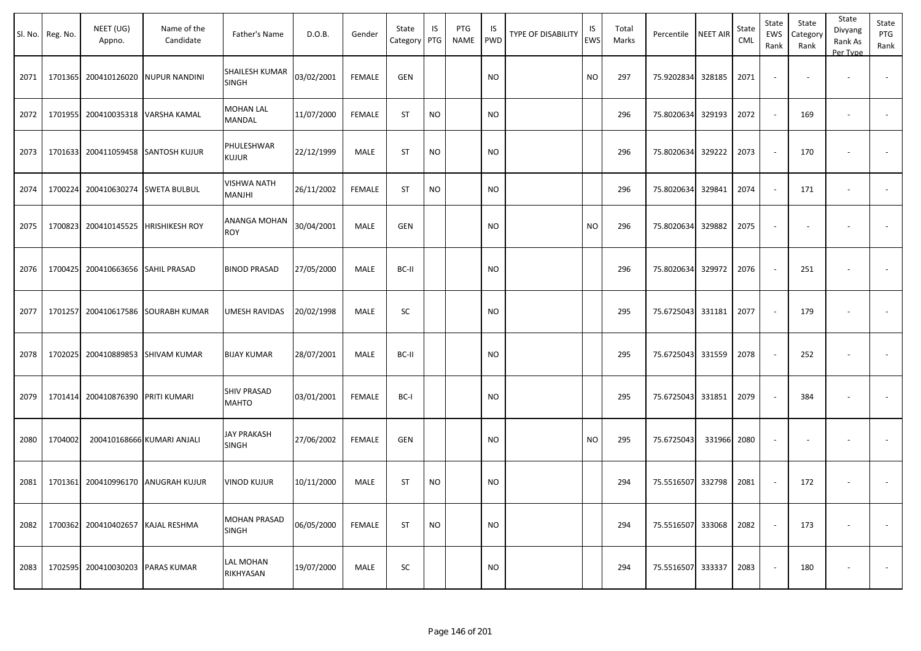| Sl. No. | Reg. No. | NEET (UG)<br>Appno.              | Name of the<br>Candidate           | Father's Name                      | D.O.B.     | Gender        | State<br>Category | IS<br>PTG | PTG<br><b>NAME</b> | IS<br><b>PWD</b> | <b>TYPE OF DISABILITY</b> | IS<br><b>EWS</b> | Total<br>Marks | Percentile        | <b>NEET AIR</b> | State<br>CML | State<br>EWS<br>Rank | State<br>Category<br>Rank | State<br>Divyang<br>Rank As<br>Per Type | State<br>PTG<br>Rank     |
|---------|----------|----------------------------------|------------------------------------|------------------------------------|------------|---------------|-------------------|-----------|--------------------|------------------|---------------------------|------------------|----------------|-------------------|-----------------|--------------|----------------------|---------------------------|-----------------------------------------|--------------------------|
| 2071    |          |                                  | 1701365 200410126020 NUPUR NANDINI | SHAILESH KUMAR<br><b>SINGH</b>     | 03/02/2001 | <b>FEMALE</b> | <b>GEN</b>        |           |                    | <b>NO</b>        |                           | <b>NO</b>        | 297            | 75.9202834        | 328185          | 2071         |                      |                           |                                         |                          |
| 2072    | 1701955  | 200410035318                     | VARSHA KAMAL                       | <b>MOHAN LAL</b><br>MANDAL         | 11/07/2000 | <b>FEMALE</b> | <b>ST</b>         | <b>NO</b> |                    | <b>NO</b>        |                           |                  | 296            | 75.8020634        | 329193          | 2072         | $\sim$               | 169                       | $\overline{\phantom{a}}$                | $\sim$                   |
| 2073    | 1701633  |                                  | 200411059458 SANTOSH KUJUR         | PHULESHWAR<br><b>KUJUR</b>         | 22/12/1999 | MALE          | <b>ST</b>         | <b>NO</b> |                    | <b>NO</b>        |                           |                  | 296            | 75.8020634        | 329222          | 2073         |                      | 170                       |                                         |                          |
| 2074    | 1700224  | 200410630274 SWETA BULBUL        |                                    | <b>VISHWA NATH</b><br>MANJHI       | 26/11/2002 | <b>FEMALE</b> | <b>ST</b>         | <b>NO</b> |                    | <b>NO</b>        |                           |                  | 296            | 75.8020634        | 329841          | 2074         | $\sim$               | 171                       | $\overline{\phantom{a}}$                | $\overline{\phantom{a}}$ |
| 2075    | 1700823  | 200410145525                     | <b>HRISHIKESH ROY</b>              | ANANGA MOHAN<br><b>ROY</b>         | 30/04/2001 | MALE          | <b>GEN</b>        |           |                    | <b>NO</b>        |                           | <b>NO</b>        | 296            | 75.8020634        | 329882          | 2075         |                      |                           |                                         |                          |
| 2076    | 1700425  | 200410663656 SAHIL PRASAD        |                                    | <b>BINOD PRASAD</b>                | 27/05/2000 | MALE          | BC-II             |           |                    | <b>NO</b>        |                           |                  | 296            | 75.8020634        | 329972          | 2076         |                      | 251                       |                                         |                          |
| 2077    | 1701257  |                                  | 200410617586 SOURABH KUMAR         | UMESH RAVIDAS                      | 20/02/1998 | MALE          | SC                |           |                    | <b>NO</b>        |                           |                  | 295            | 75.6725043 331181 |                 | 2077         |                      | 179                       |                                         |                          |
| 2078    | 1702025  |                                  | 200410889853 SHIVAM KUMAR          | <b>BIJAY KUMAR</b>                 | 28/07/2001 | MALE          | BC-II             |           |                    | <b>NO</b>        |                           |                  | 295            | 75.6725043        | 331559          | 2078         |                      | 252                       |                                         |                          |
| 2079    | 1701414  | 200410876390 PRITI KUMARI        |                                    | <b>SHIV PRASAD</b><br><b>MAHTO</b> | 03/01/2001 | <b>FEMALE</b> | BC-I              |           |                    | <b>NO</b>        |                           |                  | 295            | 75.6725043 331851 |                 | 2079         |                      | 384                       |                                         |                          |
| 2080    | 1704002  |                                  | 200410168666 KUMARI ANJALI         | <b>JAY PRAKASH</b><br><b>SINGH</b> | 27/06/2002 | <b>FEMALE</b> | <b>GEN</b>        |           |                    | <b>NO</b>        |                           | <b>NO</b>        | 295            | 75.6725043        | 331966          | 2080         |                      |                           |                                         |                          |
| 2081    |          |                                  | 1701361 200410996170 ANUGRAH KUJUR | <b>VINOD KUJUR</b>                 | 10/11/2000 | MALE          | <b>ST</b>         | <b>NO</b> |                    | <b>NO</b>        |                           |                  | 294            | 75.5516507        | 332798          | 2081         |                      | 172                       |                                         |                          |
| 2082    |          | 1700362 200410402657             | KAJAL RESHMA                       | MOHAN PRASAD<br>SINGH              | 06/05/2000 | <b>FEMALE</b> | ST                | <b>NO</b> |                    | <b>NO</b>        |                           |                  | 294            | 75.5516507 333068 |                 | 2082         |                      | 173                       |                                         |                          |
| 2083    |          | 1702595 200410030203 PARAS KUMAR |                                    | LAL MOHAN<br>RIKHYASAN             | 19/07/2000 | MALE          | SC                |           |                    | <b>NO</b>        |                           |                  | 294            | 75.5516507 333337 |                 | 2083         |                      | 180                       |                                         | $\sim$                   |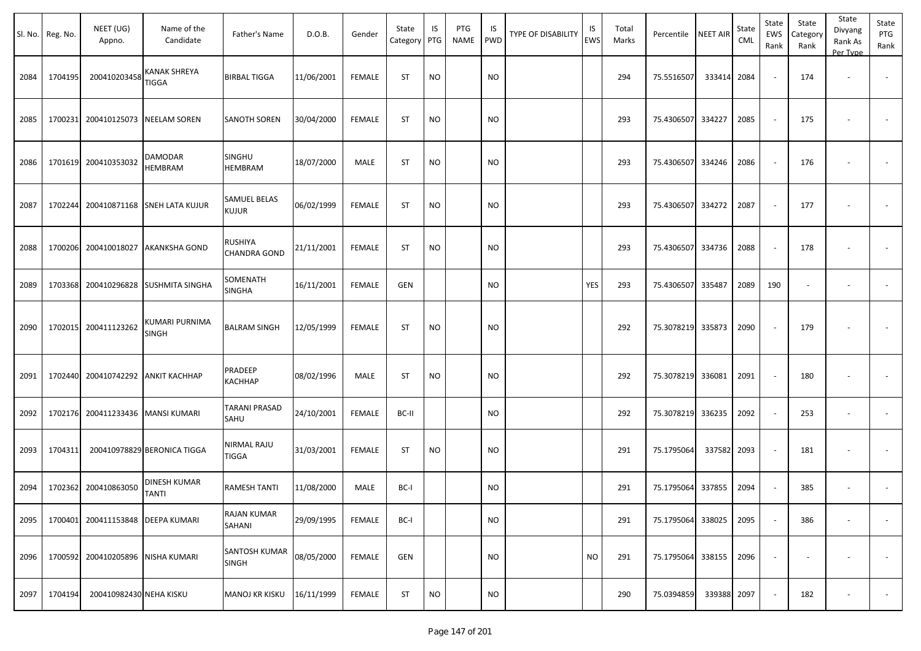| Sl. No. | Reg. No. | NEET (UG)<br>Appno.       | Name of the<br>Candidate     | Father's Name                      | D.O.B.     | Gender        | State<br>Category PTG | IS        | PTG<br><b>NAME</b> | IS.<br>PWD | TYPE OF DISABILITY | IS<br>EWS  | Total<br>Marks | Percentile        | <b>NEET AIR</b> | State<br><b>CML</b> | State<br>EWS<br>Rank | State<br>Category<br>Rank | State<br>Divyang<br>Rank As<br>Per Type | State<br>PTG<br>Rank     |
|---------|----------|---------------------------|------------------------------|------------------------------------|------------|---------------|-----------------------|-----------|--------------------|------------|--------------------|------------|----------------|-------------------|-----------------|---------------------|----------------------|---------------------------|-----------------------------------------|--------------------------|
| 2084    | 1704195  | 200410203458              | <b>KANAK SHREYA</b><br>TIGGA | <b>BIRBAL TIGGA</b>                | 11/06/2001 | FEMALE        | ST                    | <b>NO</b> |                    | <b>NO</b>  |                    |            | 294            | 75.5516507        | 333414          | 2084                |                      | 174                       |                                         |                          |
| 2085    | 1700231  | 200410125073              | <b>NEELAM SOREN</b>          | <b>SANOTH SOREN</b>                | 30/04/2000 | FEMALE        | <b>ST</b>             | <b>NO</b> |                    | <b>NO</b>  |                    |            | 293            | 75.4306507        | 334227          | 2085                |                      | 175                       |                                         |                          |
| 2086    | 1701619  | 200410353032              | DAMODAR<br><b>HEMBRAM</b>    | <b>SINGHU</b><br><b>HEMBRAM</b>    | 18/07/2000 | MALE          | <b>ST</b>             | <b>NO</b> |                    | <b>NO</b>  |                    |            | 293            | 75.4306507 334246 |                 | 2086                |                      | 176                       |                                         | $\sim$                   |
| 2087    | 1702244  | 200410871168              | <b>SNEH LATA KUJUR</b>       | SAMUEL BELAS<br><b>KUJUR</b>       | 06/02/1999 | FEMALE        | <b>ST</b>             | <b>NO</b> |                    | <b>NO</b>  |                    |            | 293            | 75.4306507        | 334272          | 2087                |                      | 177                       |                                         |                          |
| 2088    | 1700206  | 200410018027              | <b>AKANKSHA GOND</b>         | RUSHIYA<br><b>CHANDRA GOND</b>     | 21/11/2001 | FEMALE        | <b>ST</b>             | <b>NO</b> |                    | <b>NO</b>  |                    |            | 293            | 75.4306507        | 334736          | 2088                |                      | 178                       |                                         |                          |
| 2089    | 1703368  | 200410296828              | <b>SUSHMITA SINGHA</b>       | SOMENATH<br><b>SINGHA</b>          | 16/11/2001 | <b>FEMALE</b> | <b>GEN</b>            |           |                    | <b>NO</b>  |                    | <b>YES</b> | 293            | 75.4306507        | 335487          | 2089                | 190                  | $\overline{\phantom{a}}$  |                                         | $\sim$                   |
| 2090    |          | 1702015 200411123262      | KUMARI PURNIMA<br>SINGH      | <b>BALRAM SINGH</b>                | 12/05/1999 | FEMALE        | <b>ST</b>             | <b>NO</b> |                    | <b>NO</b>  |                    |            | 292            | 75.3078219        | 335873          | 2090                | $\sim$               | 179                       |                                         |                          |
| 2091    | 1702440  | 200410742292              | <b>ANKIT KACHHAP</b>         | PRADEEP<br>KACHHAP                 | 08/02/1996 | MALE          | <b>ST</b>             | <b>NO</b> |                    | <b>NO</b>  |                    |            | 292            | 75.3078219        | 336081          | 2091                |                      | 180                       |                                         |                          |
| 2092    | 1702176  |                           | 200411233436 MANSI KUMARI    | <b>TARANI PRASAD</b><br>SAHU       | 24/10/2001 | FEMALE        | BC-II                 |           |                    | NO         |                    |            | 292            | 75.3078219        | 336235          | 2092                | $\sim$               | 253                       | $\overline{\phantom{a}}$                | $\sim$                   |
| 2093    | 1704311  |                           | 200410978829 BERONICA TIGGA  | <b>NIRMAL RAJU</b><br><b>TIGGA</b> | 31/03/2001 | FEMALE        | ST                    | <b>NO</b> |                    | NO         |                    |            | 291            | 75.1795064        | 337582          | 2093                | $\sim$               | 181                       |                                         |                          |
| 2094    | 1702362  | 200410863050              | DINESH KUMAR<br><b>TANTI</b> | <b>RAMESH TANTI</b>                | 11/08/2000 | MALE          | BC-I                  |           |                    | NO         |                    |            | 291            | 75.1795064 337855 |                 | 2094                |                      | 385                       |                                         |                          |
| 2095    | 1700401  | 200411153848              | <b>DEEPA KUMARI</b>          | RAJAN KUMAR<br>SAHANI              | 29/09/1995 | FEMALE        | BC-I                  |           |                    | NO         |                    |            | 291            | 75.1795064        | 338025          | 2095                | $\sim$               | 386                       |                                         | $\overline{\phantom{a}}$ |
| 2096    | 1700592  | 200410205896 NISHA KUMARI |                              | SANTOSH KUMAR<br><b>SINGH</b>      | 08/05/2000 | FEMALE        | <b>GEN</b>            |           |                    | NO         |                    | <b>NO</b>  | 291            | 75.1795064 338155 |                 | 2096                |                      | $\overline{\phantom{a}}$  |                                         | $\sim$                   |
| 2097    | 1704194  | 200410982430 NEHA KISKU   |                              | MANOJ KR KISKU                     | 16/11/1999 | FEMALE        | ST                    | $NO$      |                    | <b>NO</b>  |                    |            | 290            | 75.0394859        | 339388          | 2097                | $\blacksquare$       | 182                       |                                         | $\sim$                   |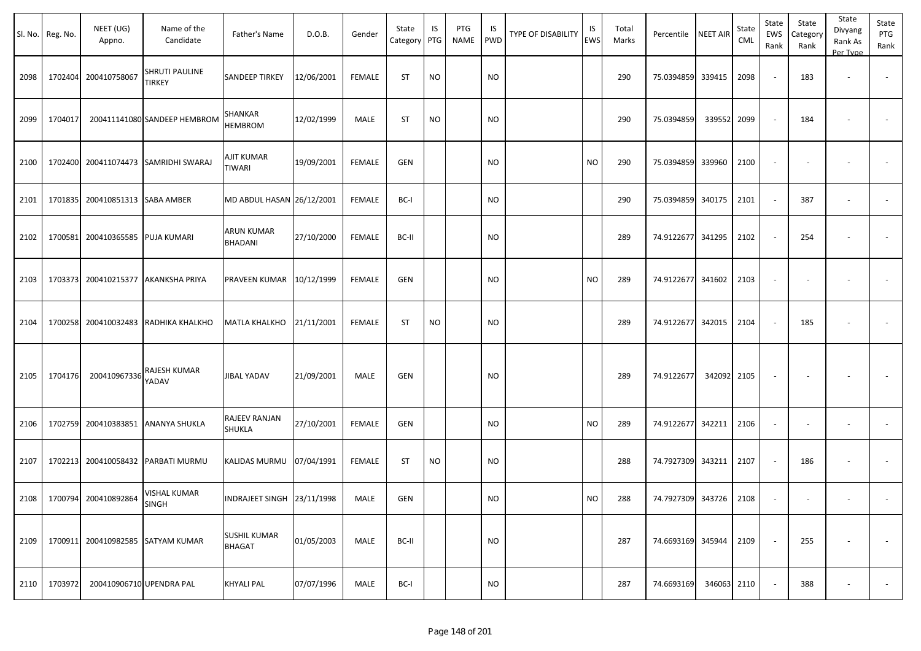|      | Sl. No. Reg. No. | NEET (UG)<br>Appno.      | Name of the<br>Candidate          | Father's Name                        | D.O.B.     | Gender        | State<br>Category PTG | IS        | PTG<br>NAME | IS<br><b>PWD</b> | <b>TYPE OF DISABILITY</b> | IS<br><b>EWS</b> | Total<br>Marks | Percentile NEET AIR    |             | State<br>CML | State<br>EWS<br>Rank | State<br>Category<br>Rank | State<br>Divyang<br>Rank As<br>Per Type | State<br>PTG<br>Rank |
|------|------------------|--------------------------|-----------------------------------|--------------------------------------|------------|---------------|-----------------------|-----------|-------------|------------------|---------------------------|------------------|----------------|------------------------|-------------|--------------|----------------------|---------------------------|-----------------------------------------|----------------------|
| 2098 | 1702404          | 200410758067             | SHRUTI PAULINE<br><b>TIRKEY</b>   | <b>SANDEEP TIRKEY</b>                | 12/06/2001 | <b>FEMALE</b> | <b>ST</b>             | <b>NO</b> |             | <b>NO</b>        |                           |                  | 290            | 75.0394859 339415      |             | 2098         |                      | 183                       | $\overline{\phantom{a}}$                |                      |
| 2099 | 1704017          |                          | 200411141080 SANDEEP HEMBROM      | SHANKAR<br><b>HEMBROM</b>            | 12/02/1999 | MALE          | <b>ST</b>             | <b>NO</b> |             | <b>NO</b>        |                           |                  | 290            | 75.0394859             | 339552 2099 |              |                      | 184                       |                                         |                      |
| 2100 | 1702400          |                          | 200411074473 SAMRIDHI SWARAJ      | AJIT KUMAR<br><b>TIWARI</b>          | 19/09/2001 | FEMALE        | <b>GEN</b>            |           |             | <b>NO</b>        |                           | <b>NO</b>        | 290            | 75.0394859 339960      |             | 2100         |                      |                           |                                         |                      |
| 2101 | 1701835          | 200410851313 SABA AMBER  |                                   | MD ABDUL HASAN 26/12/2001            |            | <b>FEMALE</b> | BC-I                  |           |             | <b>NO</b>        |                           |                  | 290            | 75.0394859 340175      |             | 2101         |                      | 387                       |                                         |                      |
| 2102 | 1700581          | 200410365585 PUJA KUMARI |                                   | ARUN KUMAR<br><b>BHADANI</b>         | 27/10/2000 | <b>FEMALE</b> | BC-II                 |           |             | <b>NO</b>        |                           |                  | 289            | 74.9122677 341295      |             | 2102         |                      | 254                       |                                         |                      |
| 2103 | 1703373          |                          | 200410215377 AKANKSHA PRIYA       | PRAVEEN KUMAR 10/12/1999             |            | <b>FEMALE</b> | GEN                   |           |             | <b>NO</b>        |                           | <b>NO</b>        | 289            | 74.9122677 341602      |             | 2103         |                      |                           |                                         |                      |
| 2104 | 1700258          |                          | 200410032483 RADHIKA KHALKHO      | <b>MATLA KHALKHO</b>                 | 21/11/2001 | <b>FEMALE</b> | <b>ST</b>             | <b>NO</b> |             | <b>NO</b>        |                           |                  | 289            | 74.9122677 342015      |             | 2104         |                      | 185                       |                                         |                      |
| 2105 | 1704176          | 200410967336             | RAJESH KUMAR<br>YADAV             | <b>JIBAL YADAV</b>                   | 21/09/2001 | MALE          | GEN                   |           |             | <b>NO</b>        |                           |                  | 289            | 74.9122677             | 342092 2105 |              |                      |                           |                                         |                      |
| 2106 | 1702759          | 200410383851             | <b>ANANYA SHUKLA</b>              | RAJEEV RANJAN<br><b>SHUKLA</b>       | 27/10/2001 | <b>FEMALE</b> | GEN                   |           |             | <b>NO</b>        |                           | <b>NO</b>        | 289            | 74.9122677 342211      |             | 2106         |                      |                           | $\overline{\phantom{a}}$                |                      |
| 2107 | 1702213          |                          | 200410058432 PARBATI MURMU        | KALIDAS MURMU 07/04/1991             |            | FEMALE        | <b>ST</b>             | <b>NO</b> |             | <b>NO</b>        |                           |                  | 288            | 74.7927309 343211      |             | 2107         |                      | 186                       |                                         |                      |
| 2108 |                  | 1700794 200410892864     | <b>VISHAL KUMAR</b><br>SINGH      | INDRAJEET SINGH 23/11/1998           |            | MALE          | GEN                   |           |             | <b>NO</b>        |                           | <b>NO</b>        | 288            | 74.7927309 343726 2108 |             |              |                      |                           |                                         |                      |
| 2109 |                  |                          | 1700911 200410982585 SATYAM KUMAR | <b>SUSHIL KUMAR</b><br><b>BHAGAT</b> | 01/05/2003 | MALE          | BC-II                 |           |             | <b>NO</b>        |                           |                  | 287            | 74.6693169 345944      |             | 2109         | $\sim$               | 255                       | $\overline{\phantom{a}}$                | $\sim$               |
| 2110 | 1703972          | 200410906710 UPENDRA PAL |                                   | <b>KHYALI PAL</b>                    | 07/07/1996 | MALE          | BC-I                  |           |             | <b>NO</b>        |                           |                  | 287            | 74.6693169             | 346063 2110 |              |                      | 388                       | $\overline{\phantom{a}}$                | $\sim$               |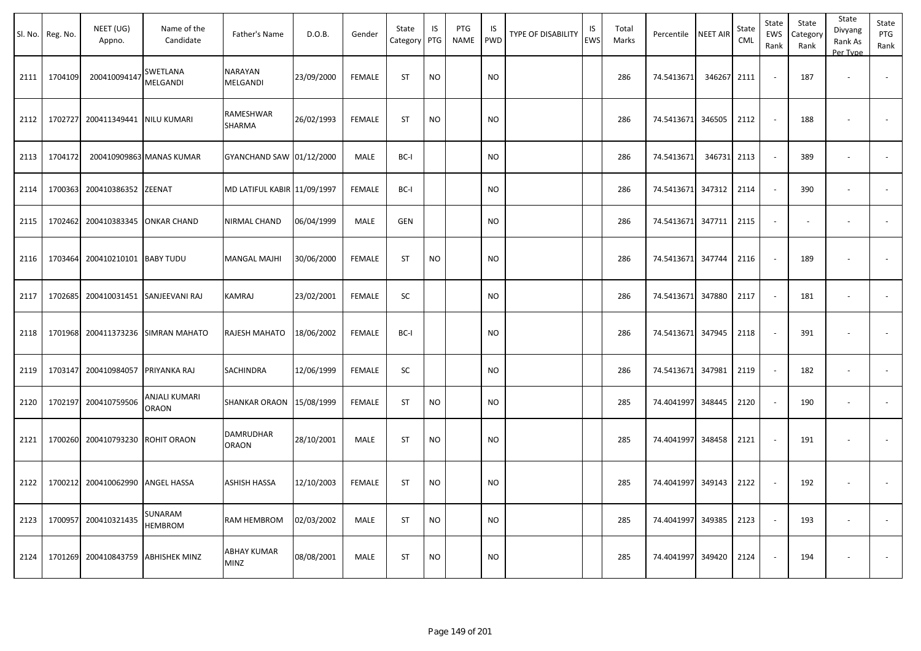| Sl. No. | Reg. No. | NEET (UG)<br>Appno.  | Name of the<br>Candidate      | Father's Name                    | D.O.B.     | Gender        | State<br>Category | IS<br>PTG | PTG<br><b>NAME</b> | IS.<br><b>PWD</b> | TYPE OF DISABILITY | IS<br>EWS | Total<br>Marks | Percentile        | <b>NEET AIR</b> | State<br>CML | State<br>EWS<br>Rank | State<br>Category<br>Rank | State<br>Divyang<br>Rank As<br>Per Type | State<br>PTG<br>Rank     |
|---------|----------|----------------------|-------------------------------|----------------------------------|------------|---------------|-------------------|-----------|--------------------|-------------------|--------------------|-----------|----------------|-------------------|-----------------|--------------|----------------------|---------------------------|-----------------------------------------|--------------------------|
| 2111    | 1704109  | 200410094147         | SWETLANA<br>MELGANDI          | NARAYAN<br>MELGANDI              | 23/09/2000 | <b>FEMALE</b> | <b>ST</b>         | <b>NO</b> |                    | <b>NO</b>         |                    |           | 286            | 74.5413671        | 346267          | 2111         |                      | 187                       |                                         |                          |
| 2112    | 1702727  | 200411349441         | <b>NILU KUMARI</b>            | RAMESHWAR<br>SHARMA              | 26/02/1993 | <b>FEMALE</b> | <b>ST</b>         | <b>NO</b> |                    | <b>NO</b>         |                    |           | 286            | 74.5413671        | 346505          | 2112         |                      | 188                       |                                         |                          |
| 2113    | 1704172  |                      | 200410909863 MANAS KUMAR      | GYANCHAND SAW 01/12/2000         |            | MALE          | BC-I              |           |                    | <b>NO</b>         |                    |           | 286            | 74.5413671        | 346731          | 2113         |                      | 389                       | $\overline{\phantom{a}}$                |                          |
| 2114    | 1700363  | 200410386352 ZEENAT  |                               | MD LATIFUL KABIR 11/09/1997      |            | <b>FEMALE</b> | BC-I              |           |                    | <b>NO</b>         |                    |           | 286            | 74.5413671        | 347312          | 2114         | $\sim$               | 390                       | $\overline{\phantom{a}}$                | $\overline{\phantom{a}}$ |
| 2115    |          | 1702462 200410383345 | <b>ONKAR CHAND</b>            | NIRMAL CHAND                     | 06/04/1999 | MALE          | <b>GEN</b>        |           |                    | <b>NO</b>         |                    |           | 286            | 74.5413671 347711 |                 | 2115         | $\sim$               |                           | $\sim$                                  |                          |
| 2116    | 1703464  | 200410210101         | <b>BABY TUDU</b>              | MANGAL MAJHI                     | 30/06/2000 | <b>FEMALE</b> | ST                | <b>NO</b> |                    | <b>NO</b>         |                    |           | 286            | 74.5413671        | 347744          | 2116         |                      | 189                       |                                         |                          |
| 2117    | 1702685  |                      | 200410031451 SANJEEVANI RAJ   | KAMRAJ                           | 23/02/2001 | <b>FEMALE</b> | SC                |           |                    | <b>NO</b>         |                    |           | 286            | 74.5413671        | 347880          | 2117         |                      | 181                       | $\sim$                                  |                          |
| 2118    | 1701968  | 200411373236         | <b>SIMRAN MAHATO</b>          | RAJESH MAHATO                    | 18/06/2002 | <b>FEMALE</b> | BC-I              |           |                    | <b>NO</b>         |                    |           | 286            | 74.5413671 347945 |                 | 2118         |                      | 391                       |                                         |                          |
| 2119    | 1703147  | 200410984057         | PRIYANKA RAJ                  | SACHINDRA                        | 12/06/1999 | <b>FEMALE</b> | SC                |           |                    | <b>NO</b>         |                    |           | 286            | 74.5413671        | 347981          | 2119         | $\sim$               | 182                       | $\sim$                                  | $\overline{\phantom{a}}$ |
| 2120    | 1702197  | 200410759506         | ANJALI KUMARI<br><b>ORAON</b> | <b>SHANKAR ORAON</b>             | 15/08/1999 | <b>FEMALE</b> | <b>ST</b>         | <b>NO</b> |                    | <b>NO</b>         |                    |           | 285            | 74.4041997        | 348445          | 2120         |                      | 190                       | $\overline{\phantom{a}}$                |                          |
| 2121    |          | 1700260 200410793230 | <b>ROHIT ORAON</b>            | <b>DAMRUDHAR</b><br><b>ORAON</b> | 28/10/2001 | MALE          | <b>ST</b>         | <b>NO</b> |                    | <b>NO</b>         |                    |           | 285            | 74.4041997        | 348458          | 2121         |                      | 191                       |                                         |                          |
| 2122    | 1700212  | 200410062990         | <b>ANGEL HASSA</b>            | ASHISH HASSA                     | 12/10/2003 | <b>FEMALE</b> | <b>ST</b>         | <b>NO</b> |                    | <b>NO</b>         |                    |           | 285            | 74.4041997        | 349143          | 2122         |                      | 192                       |                                         |                          |
| 2123    | 1700957  | 200410321435         | SUNARAM<br><b>HEMBROM</b>     | RAM HEMBROM                      | 02/03/2002 | MALE          | <b>ST</b>         | <b>NO</b> |                    | <b>NO</b>         |                    |           | 285            | 74.4041997        | 349385          | 2123         |                      | 193                       | ÷.                                      |                          |
| 2124    | 1701269  | 200410843759         | ABHISHEK MINZ                 | ABHAY KUMAR<br><b>MINZ</b>       | 08/08/2001 | MALE          | <b>ST</b>         | <b>NO</b> |                    | <b>NO</b>         |                    |           | 285            | 74.4041997        | 349420          | 2124         |                      | 194                       |                                         |                          |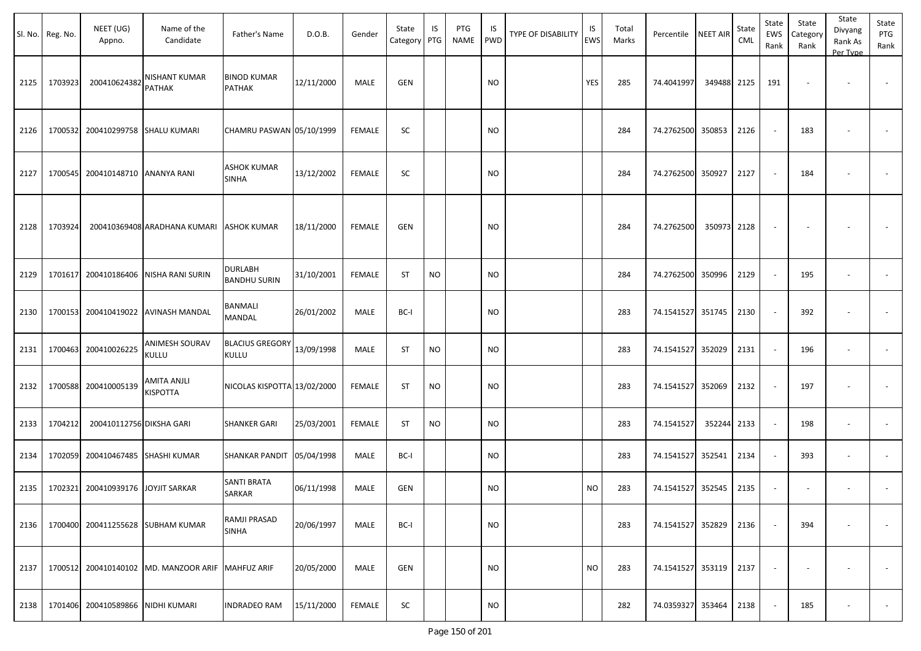|      | Sl. No. Reg. No. | NEET (UG)<br>Appno.               | Name of the<br>Candidate                          | Father's Name                       | D.O.B.     | Gender | State<br>Category PTG | IS        | PTG<br><b>NAME</b> | IS<br>PWD | <b>TYPE OF DISABILITY</b> | IS<br><b>EWS</b> | Total<br>Marks | Percentile NEET AIR |             | State<br><b>CML</b> | State<br>EWS<br>Rank | State<br>Category<br>Rank | State<br>Divyang<br>Rank As<br>Per Type | State<br>PTG<br>Rank     |
|------|------------------|-----------------------------------|---------------------------------------------------|-------------------------------------|------------|--------|-----------------------|-----------|--------------------|-----------|---------------------------|------------------|----------------|---------------------|-------------|---------------------|----------------------|---------------------------|-----------------------------------------|--------------------------|
| 2125 | 1703923          | 200410624382                      | <b>NISHANT KUMAR</b><br><b>PATHAK</b>             | <b>BINOD KUMAR</b><br><b>PATHAK</b> | 12/11/2000 | MALE   | <b>GEN</b>            |           |                    | NO        |                           | YES              | 285            | 74.4041997          | 349488 2125 |                     | 191                  |                           |                                         |                          |
| 2126 |                  | 1700532 200410299758 SHALU KUMARI |                                                   | CHAMRU PASWAN 05/10/1999            |            | FEMALE | SC                    |           |                    | <b>NO</b> |                           |                  | 284            | 74.2762500 350853   |             | 2126                |                      | 183                       | $\overline{\phantom{a}}$                |                          |
| 2127 |                  | 1700545 200410148710 ANANYA RANI  |                                                   | <b>ASHOK KUMAR</b><br><b>SINHA</b>  | 13/12/2002 | FEMALE | SC                    |           |                    | NO        |                           |                  | 284            | 74.2762500 350927   |             | 2127                |                      | 184                       | $\overline{\phantom{a}}$                |                          |
| 2128 | 1703924          |                                   | 200410369408 ARADHANA KUMARI                      | <b>ASHOK KUMAR</b>                  | 18/11/2000 | FEMALE | GEN                   |           |                    | NO        |                           |                  | 284            | 74.2762500          | 350973      | 2128                |                      |                           |                                         |                          |
| 2129 | 1701617          |                                   | 200410186406 NISHA RANI SURIN                     | DURLABH<br><b>BANDHU SURIN</b>      | 31/10/2001 | FEMALE | <b>ST</b>             | <b>NO</b> |                    | <b>NO</b> |                           |                  | 284            | 74.2762500 350996   |             | 2129                |                      | 195                       | $\overline{\phantom{a}}$                |                          |
| 2130 |                  | 1700153 200410419022              | <b>AVINASH MANDAL</b>                             | BANMALI<br>MANDAL                   | 26/01/2002 | MALE   | BC-I                  |           |                    | NO        |                           |                  | 283            | 74.1541527 351745   |             | 2130                |                      | 392                       | $\overline{\phantom{a}}$                |                          |
| 2131 | 1700463          | 200410026225                      | ANIMESH SOURAV<br><b>KULLU</b>                    | <b>BLACIUS GREGORY</b><br>KULLU     | 13/09/1998 | MALE   | ST                    | NO.       |                    | NO        |                           |                  | 283            | 74.1541527          | 352029      | 2131                |                      | 196                       | $\overline{\phantom{a}}$                |                          |
| 2132 |                  | 1700588 200410005139              | AMITA ANJLI<br>KISPOTTA                           | NICOLAS KISPOTTA 13/02/2000         |            | FEMALE | <b>ST</b>             | <b>NO</b> |                    | <b>NO</b> |                           |                  | 283            | 74.1541527 352069   |             | 2132                |                      | 197                       | $\overline{\phantom{a}}$                |                          |
| 2133 | 1704212          | 200410112756 DIKSHA GARI          |                                                   | <b>SHANKER GARI</b>                 | 25/03/2001 | FEMALE | ST                    | NO        |                    | <b>NO</b> |                           |                  | 283            | 74.1541527          | 352244      | 2133                |                      | 198                       | $\sim$                                  |                          |
| 2134 | 1702059          | 200410467485                      | <b>SHASHI KUMAR</b>                               | <b>SHANKAR PANDIT</b>               | 05/04/1998 | MALE   | BC-I                  |           |                    | NO        |                           |                  | 283            | 74.1541527          | 352541      | 2134                |                      | 393                       | $\sim$                                  | $\overline{\phantom{a}}$ |
| 2135 | 1702321          | 200410939176                      | <b>JOYJIT SARKAR</b>                              | <b>SANTI BRATA</b><br><b>SARKAR</b> | 06/11/1998 | MALE   | GEN                   |           |                    | NO.       |                           | <b>NO</b>        | 283            | 74.1541527 352545   |             | 2135                |                      |                           | $\overline{\phantom{a}}$                |                          |
| 2136 |                  |                                   | 1700400 200411255628 SUBHAM KUMAR                 | RAMJI PRASAD<br><b>SINHA</b>        | 20/06/1997 | MALE   | BC-I                  |           |                    | NO        |                           |                  | 283            | 74.1541527 352829   |             | 2136                |                      | 394                       |                                         |                          |
| 2137 |                  |                                   | 1700512 200410140102 MD. MANZOOR ARIF MAHFUZ ARIF |                                     | 20/05/2000 | MALE   | GEN                   |           |                    | NO        |                           | <b>NO</b>        | 283            | 74.1541527 353119   |             | 2137                |                      |                           |                                         | $\overline{\phantom{a}}$ |
| 2138 |                  | 1701406 200410589866 NIDHI KUMARI |                                                   | <b>INDRADEO RAM</b>                 | 15/11/2000 | FEMALE | SC                    |           |                    | NO        |                           |                  | 282            | 74.0359327 353464   |             | 2138                |                      | 185                       | $\overline{\phantom{a}}$                | $\sim$                   |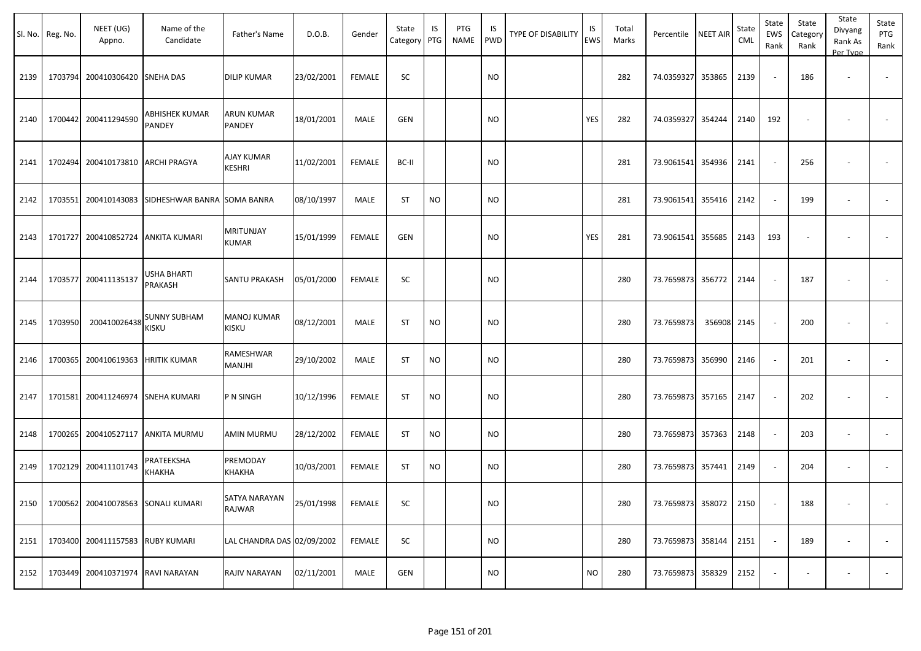|      | Sl. No. Reg. No. | NEET (UG)<br>Appno.                       | Name of the<br>Candidate                 | Father's Name               | D.O.B.     | Gender        | State<br>Category PTG | IS        | PTG<br>NAME | IS<br><b>PWD</b> | <b>TYPE OF DISABILITY</b> | IS<br><b>EWS</b> | Total<br>Marks | Percentile NEET AIR    |        | State<br>CML | State<br>EWS<br>Rank | State<br>Category<br>Rank | State<br>Divyang<br>Rank As<br>Per Type | State<br>PTG<br>Rank |
|------|------------------|-------------------------------------------|------------------------------------------|-----------------------------|------------|---------------|-----------------------|-----------|-------------|------------------|---------------------------|------------------|----------------|------------------------|--------|--------------|----------------------|---------------------------|-----------------------------------------|----------------------|
| 2139 | 1703794          | 200410306420 SNEHA DAS                    |                                          | <b>DILIP KUMAR</b>          | 23/02/2001 | <b>FEMALE</b> | SC                    |           |             | <b>NO</b>        |                           |                  | 282            | 74.0359327             | 353865 | 2139         |                      | 186                       | $\overline{\phantom{a}}$                |                      |
| 2140 |                  | 1700442 200411294590                      | <b>ABHISHEK KUMAR</b><br><b>PANDEY</b>   | ARUN KUMAR<br>PANDEY        | 18/01/2001 | MALE          | <b>GEN</b>            |           |             | <b>NO</b>        |                           | YES              | 282            | 74.0359327 354244      |        | 2140         | 192                  |                           |                                         |                      |
| 2141 | 1702494          | 200410173810 ARCHI PRAGYA                 |                                          | <b>AJAY KUMAR</b><br>KESHRI | 11/02/2001 | <b>FEMALE</b> | BC-II                 |           |             | <b>NO</b>        |                           |                  | 281            | 73.9061541 354936      |        | 2141         |                      | 256                       |                                         |                      |
| 2142 | 1703551          |                                           | 200410143083 SIDHESHWAR BANRA SOMA BANRA |                             | 08/10/1997 | MALE          | ST                    | <b>NO</b> |             | <b>NO</b>        |                           |                  | 281            | 73.9061541 355416      |        | 2142         |                      | 199                       | $\overline{\phantom{a}}$                |                      |
| 2143 | 1701727          |                                           | 200410852724 ANKITA KUMARI               | MRITUNJAY<br>KUMAR          | 15/01/1999 | <b>FEMALE</b> | <b>GEN</b>            |           |             | <b>NO</b>        |                           | YES              | 281            | 73.9061541 355685      |        | 2143         | 193                  |                           |                                         |                      |
| 2144 |                  | 1703577 200411135137                      | <b>USHA BHARTI</b><br><b>PRAKASH</b>     | <b>SANTU PRAKASH</b>        | 05/01/2000 | <b>FEMALE</b> | SC                    |           |             | <b>NO</b>        |                           |                  | 280            | 73.7659873 356772      |        | 2144         |                      | 187                       |                                         |                      |
| 2145 | 1703950          | 200410026438                              | <b>SUNNY SUBHAM</b><br><b>KISKU</b>      | <b>MANOJ KUMAR</b><br>KISKU | 08/12/2001 | MALE          | <b>ST</b>             | <b>NO</b> |             | <b>NO</b>        |                           |                  | 280            | 73.7659873             | 356908 | 2145         |                      | 200                       |                                         |                      |
| 2146 |                  | 1700365 200410619363 HRITIK KUMAR         |                                          | RAMESHWAR<br>MANJHI         | 29/10/2002 | MALE          | <b>ST</b>             | <b>NO</b> |             | <b>NO</b>        |                           |                  | 280            | 73.7659873             | 356990 | 2146         |                      | 201                       | $\overline{\phantom{a}}$                |                      |
| 2147 | 1701581          | 200411246974 SNEHA KUMARI                 |                                          | P N SINGH                   | 10/12/1996 | <b>FEMALE</b> | <b>ST</b>             | <b>NO</b> |             | <b>NO</b>        |                           |                  | 280            | 73.7659873 357165      |        | 2147         |                      | 202                       |                                         |                      |
| 2148 | 1700265          |                                           | 200410527117 ANKITA MURMU                | AMIN MURMU                  | 28/12/2002 | <b>FEMALE</b> | <b>ST</b>             | <b>NO</b> |             | <b>NO</b>        |                           |                  | 280            | 73.7659873 357363      |        | 2148         |                      | 203                       |                                         |                      |
| 2149 |                  | 1702129 200411101743                      | PRATEEKSHA<br>KHAKHA                     | PREMODAY<br>КНАКНА          | 10/03/2001 | FEMALE        | <b>ST</b>             | <b>NO</b> |             | <b>NO</b>        |                           |                  | 280            | 73.7659873 357441      |        | 2149         |                      | 204                       | $\overline{\phantom{a}}$                |                      |
|      |                  | 2150   1700562 200410078563 SONALI KUMARI |                                          | SATYA NARAYAN<br>RAJWAR     | 25/01/1998 | <b>FEMALE</b> | SC                    |           |             | <b>NO</b>        |                           |                  | 280            | 73.7659873 358072 2150 |        |              |                      | 188                       |                                         |                      |
| 2151 |                  | 1703400 200411157583 RUBY KUMARI          |                                          | LAL CHANDRA DAS 02/09/2002  |            | <b>FEMALE</b> | <b>SC</b>             |           |             | <b>NO</b>        |                           |                  | 280            | 73.7659873 358144 2151 |        |              |                      | 189                       | $\sim$                                  | $\sim$               |
|      |                  | 2152   1703449 200410371974 RAVI NARAYAN  |                                          | RAJIV NARAYAN               | 02/11/2001 | MALE          | <b>GEN</b>            |           |             | <b>NO</b>        |                           | <b>NO</b>        | 280            | 73.7659873 358329 2152 |        |              | $\sim$               | $\sim$                    | $\overline{\phantom{a}}$                | $\sim$               |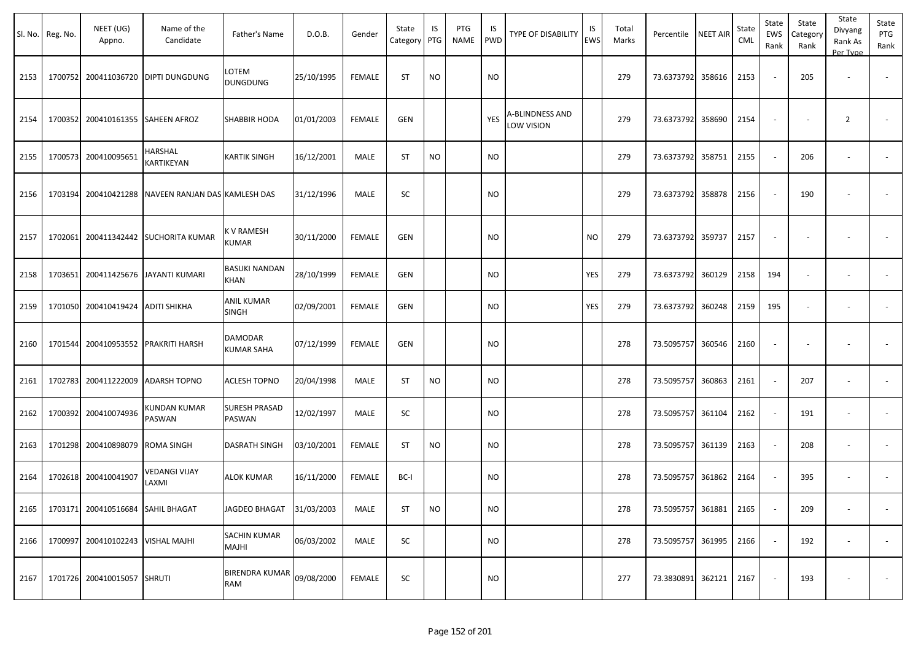|      | Sl. No. Reg. No. | NEET (UG)<br>Appno.               | Name of the<br>Candidate             | Father's Name                       | D.O.B.     | Gender        | State<br>Category | IS<br>PTG | PTG<br>NAME | IS<br>PWD | <b>TYPE OF DISABILITY</b>     | IS<br><b>EWS</b> | Total<br>Marks | Percentile        | <b>NEET AIR</b> | State<br><b>CML</b> | State<br>EWS<br>Rank     | State<br>Category<br>Rank | State<br>Divyang<br>Rank As<br>Per Type | State<br>PTG<br>Rank |
|------|------------------|-----------------------------------|--------------------------------------|-------------------------------------|------------|---------------|-------------------|-----------|-------------|-----------|-------------------------------|------------------|----------------|-------------------|-----------------|---------------------|--------------------------|---------------------------|-----------------------------------------|----------------------|
| 2153 |                  | 1700752 200411036720              | <b>DIPTI DUNGDUNG</b>                | LOTEM<br><b>DUNGDUNG</b>            | 25/10/1995 | <b>FEMALE</b> | <b>ST</b>         | <b>NO</b> |             | <b>NO</b> |                               |                  | 279            | 73.6373792        | 358616          | 2153                | $\sim$                   | 205                       | $\overline{\phantom{a}}$                |                      |
| 2154 |                  | 1700352 200410161355              | <b>SAHEEN AFROZ</b>                  | <b>SHABBIR HODA</b>                 | 01/01/2003 | <b>FEMALE</b> | GEN               |           |             | YES       | A-BLINDNESS AND<br>LOW VISION |                  | 279            | 73.6373792        | 358690          | 2154                | $\overline{\phantom{a}}$ |                           | $\overline{2}$                          |                      |
| 2155 |                  | 1700573 200410095651              | HARSHAL<br>KARTIKEYAN                | <b>KARTIK SINGH</b>                 | 16/12/2001 | MALE          | <b>ST</b>         | <b>NO</b> |             | <b>NO</b> |                               |                  | 279            | 73.6373792 358751 |                 | 2155                | $\sim$                   | 206                       | $\overline{\phantom{a}}$                |                      |
| 2156 |                  | 1703194 200410421288              | NAVEEN RANJAN DAS KAMLESH DAS        |                                     | 31/12/1996 | MALE          | SC                |           |             | <b>NO</b> |                               |                  | 279            | 73.6373792        | 358878          | 2156                | $\overline{\phantom{a}}$ | 190                       |                                         |                      |
| 2157 |                  |                                   | 1702061 200411342442 SUCHORITA KUMAR | K V RAMESH<br>KUMAR                 | 30/11/2000 | <b>FEMALE</b> | <b>GEN</b>        |           |             | <b>NO</b> |                               | <b>NO</b>        | 279            | 73.6373792 359737 |                 | 2157                | $\overline{\phantom{a}}$ |                           |                                         |                      |
| 2158 |                  |                                   | 1703651 200411425676 JAYANTI KUMARI  | <b>BASUKI NANDAN</b><br><b>KHAN</b> | 28/10/1999 | <b>FEMALE</b> | <b>GEN</b>        |           |             | NO.       |                               | YES              | 279            | 73.6373792        | 360129          | 2158                | 194                      | $\sim$                    | $\overline{\phantom{a}}$                |                      |
| 2159 |                  | 1701050 200410419424              | <b>ADITI SHIKHA</b>                  | <b>ANIL KUMAR</b><br>SINGH          | 02/09/2001 | <b>FEMALE</b> | <b>GEN</b>        |           |             | <b>NO</b> |                               | YES              | 279            | 73.6373792        | 360248          | 2159                | 195                      | $\sim$                    | $\overline{\phantom{a}}$                |                      |
| 2160 |                  |                                   | 1701544 200410953552 PRAKRITI HARSH  | DAMODAR<br><b>KUMAR SAHA</b>        | 07/12/1999 | <b>FEMALE</b> | <b>GEN</b>        |           |             | <b>NO</b> |                               |                  | 278            | 73.5095757        | 360546          | 2160                | $\overline{\phantom{a}}$ | $\overline{\phantom{a}}$  | $\overline{\phantom{a}}$                |                      |
| 2161 |                  | 1702783 200411222009              | <b>ADARSH TOPNO</b>                  | <b>ACLESH TOPNO</b>                 | 20/04/1998 | MALE          | <b>ST</b>         | <b>NO</b> |             | <b>NO</b> |                               |                  | 278            | 73.5095757        | 360863          | 2161                | $\overline{\phantom{a}}$ | 207                       |                                         |                      |
| 2162 |                  | 1700392 200410074936              | KUNDAN KUMAR<br>PASWAN               | <b>SURESH PRASAD</b><br>PASWAN      | 12/02/1997 | MALE          | SC                |           |             | <b>NO</b> |                               |                  | 278            | 73.5095757        | 361104          | 2162                | $\sim$                   | 191                       | $\sim$                                  |                      |
| 2163 |                  | 1701298 200410898079 ROMA SINGH   |                                      | <b>DASRATH SINGH</b>                | 03/10/2001 | <b>FEMALE</b> | <b>ST</b>         | <b>NO</b> |             | <b>NO</b> |                               |                  | 278            | 73.5095757        | 361139          | 2163                | $\sim$                   | 208                       | $\overline{\phantom{a}}$                |                      |
| 2164 |                  | 1702618 200410041907              | VEDANGI VIJAY<br>LAXMI               | <b>ALOK KUMAR</b>                   | 16/11/2000 | FEMALE        | BC-I              |           |             | NO.       |                               |                  | 278            | 73.5095757        | 361862          | 2164                | $\overline{\phantom{a}}$ | 395                       | $\overline{\phantom{a}}$                |                      |
| 2165 |                  | 1703171 200410516684 SAHIL BHAGAT |                                      | JAGDEO BHAGAT                       | 31/03/2003 | MALE          | <b>ST</b>         | <b>NO</b> |             | <b>NO</b> |                               |                  | 278            | 73.5095757 361881 |                 | 2165                | $\sim$                   | 209                       |                                         |                      |
| 2166 |                  | 1700997 200410102243              | <b>VISHAL MAJHI</b>                  | SACHIN KUMAR<br>MAJHI               | 06/03/2002 | MALE          | SC                |           |             | <b>NO</b> |                               |                  | 278            | 73.5095757 361995 |                 | 2166                | $\blacksquare$           | 192                       | $\overline{\phantom{a}}$                | $\sim$               |
| 2167 |                  | 1701726 200410015057 SHRUTI       |                                      | BIRENDRA KUMAR<br>RAM               | 09/08/2000 | <b>FEMALE</b> | SC                |           |             | <b>NO</b> |                               |                  | 277            | 73.3830891 362121 |                 | 2167                | $\blacksquare$           | 193                       | $\overline{\phantom{a}}$                | $\sim$               |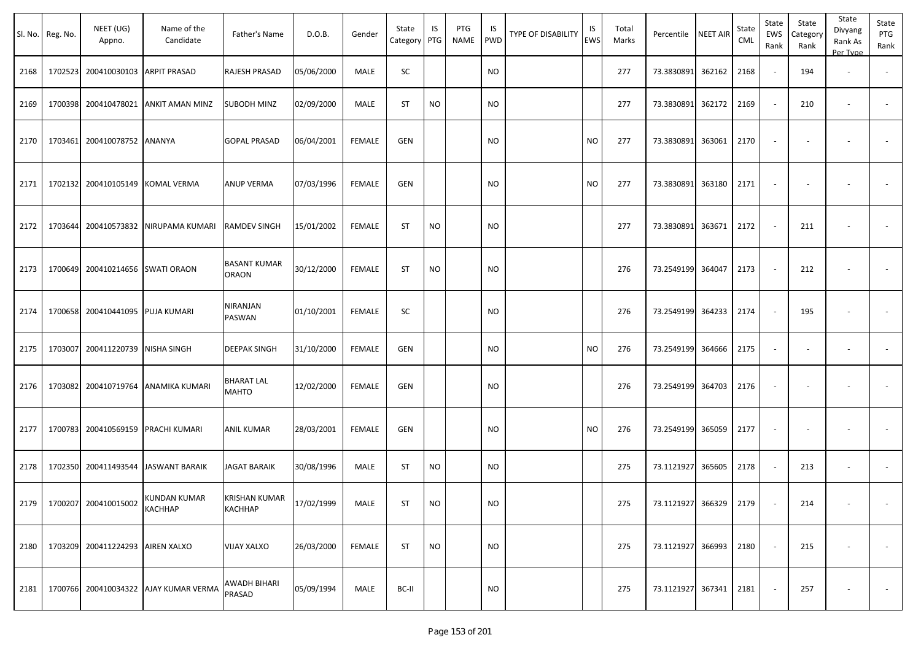| SI. No. | Reg. No. | NEET (UG)<br>Appno.                | Name of the<br>Candidate              | Father's Name                          | D.O.B.     | Gender        | State<br>Category | IS<br>PTG | PTG<br><b>NAME</b> | IS<br><b>PWD</b> | TYPE OF DISABILITY | IS<br>EWS | Total<br>Marks | Percentile NEET AIR    |        | State<br>CML | State<br>EWS<br>Rank | State<br>Category<br>Rank | State<br>Divyang<br>Rank As<br>Per Type | State<br>PTG<br>Rank     |
|---------|----------|------------------------------------|---------------------------------------|----------------------------------------|------------|---------------|-------------------|-----------|--------------------|------------------|--------------------|-----------|----------------|------------------------|--------|--------------|----------------------|---------------------------|-----------------------------------------|--------------------------|
| 2168    |          | 1702523 200410030103 ARPIT PRASAD  |                                       | <b>RAJESH PRASAD</b>                   | 05/06/2000 | MALE          | SC                |           |                    | <b>NO</b>        |                    |           | 277            | 73.3830891             | 362162 | 2168         | $\sim$               | 194                       | $\sim$                                  | $\sim$                   |
| 2169    | 1700398  | 200410478021                       | <b>ANKIT AMAN MINZ</b>                | <b>SUBODH MINZ</b>                     | 02/09/2000 | MALE          | ST                | <b>NO</b> |                    | NO.              |                    |           | 277            | 73.3830891             | 362172 | 2169         | $\sim$               | 210                       | $\overline{\phantom{a}}$                | $\sim$                   |
| 2170    |          | 1703461 200410078752 ANANYA        |                                       | <b>GOPAL PRASAD</b>                    | 06/04/2001 | <b>FEMALE</b> | GEN               |           |                    | <b>NO</b>        |                    | <b>NO</b> | 277            | 73.3830891             | 363061 | 2170         | $\sim$               | $\sim$                    |                                         |                          |
| 2171    |          | 1702132 200410105149               | <b>KOMAL VERMA</b>                    | <b>ANUP VERMA</b>                      | 07/03/1996 | <b>FEMALE</b> | GEN               |           |                    | <b>NO</b>        |                    | NO.       | 277            | 73.3830891             | 363180 | 2171         | $\sim$               |                           | $\overline{\phantom{a}}$                |                          |
| 2172    |          |                                    | 1703644 200410573832 NIRUPAMA KUMARI  | <b>RAMDEV SINGH</b>                    | 15/01/2002 | <b>FEMALE</b> | ST                | NO.       |                    | NO               |                    |           | 277            | 73.3830891             | 363671 | 2172         | $\sim$               | 211                       |                                         |                          |
| 2173    |          | 1700649 200410214656 SWATI ORAON   |                                       | <b>BASANT KUMAR</b><br><b>ORAON</b>    | 30/12/2000 | <b>FEMALE</b> | <b>ST</b>         | <b>NO</b> |                    | NO.              |                    |           | 276            | 73.2549199 364047      |        | 2173         | $\sim$               | 212                       | $\overline{\phantom{a}}$                | $\sim$                   |
| 2174    |          | 1700658 200410441095               | <b>PUJA KUMARI</b>                    | <b>NIRANJAN</b><br>PASWAN              | 01/10/2001 | <b>FEMALE</b> | SC                |           |                    | NO               |                    |           | 276            | 73.2549199 364233      |        | 2174         | $\sim$               | 195                       | $\overline{\phantom{a}}$                | $\sim$                   |
| 2175    |          | 1703007 200411220739 NISHA SINGH   |                                       | <b>DEEPAK SINGH</b>                    | 31/10/2000 | FEMALE        | GEN               |           |                    | <b>NO</b>        |                    | <b>NO</b> | 276            | 73.2549199 364666      |        | 2175         | $\sim$               | $\overline{\phantom{a}}$  | $\overline{\phantom{a}}$                |                          |
| 2176    |          | 1703082 200410719764               | <b>ANAMIKA KUMARI</b>                 | <b>BHARAT LAL</b><br><b>MAHTO</b>      | 12/02/2000 | <b>FEMALE</b> | GEN               |           |                    | NO.              |                    |           | 276            | 73.2549199 364703      |        | 2176         | $\blacksquare$       |                           |                                         |                          |
| 2177    |          | 1700783 200410569159 PRACHI KUMARI |                                       | <b>ANIL KUMAR</b>                      | 28/03/2001 | <b>FEMALE</b> | GEN               |           |                    | <b>NO</b>        |                    | <b>NO</b> | 276            | 73.2549199 365059      |        | 2177         |                      |                           |                                         |                          |
| 2178    | 1702350  |                                    | 200411493544 JASWANT BARAIK           | <b>JAGAT BARAIK</b>                    | 30/08/1996 | MALE          | ST                | <b>NO</b> |                    | NO.              |                    |           | 275            | 73.1121927             | 365605 | 2178         | $\sim$               | 213                       | $\overline{\phantom{a}}$                | $\overline{\phantom{a}}$ |
| 2179    |          | 1700207 200410015002               | KUNDAN KUMAR<br><b>КАСННАР</b>        | <b>KRISHAN KUMAR</b><br><b>KACHHAP</b> | 17/02/1999 | MALE          | ST                | <b>NO</b> |                    | <b>NO</b>        |                    |           | 275            | 73.1121927 366329 2179 |        |              | $\sim$               | 214                       | $\sim$                                  | $\sim$                   |
| 2180    |          | 1703209 200411224293 AIREN XALXO   |                                       | <b>VIJAY XALXO</b>                     | 26/03/2000 | FEMALE        | <b>ST</b>         | <b>NO</b> |                    | <b>NO</b>        |                    |           | 275            | 73.1121927 366993      |        | 2180         |                      | 215                       |                                         | $\sim$                   |
| 2181    |          |                                    | 1700766 200410034322 AJAY KUMAR VERMA | <b>AWADH BIHARI</b><br>PRASAD          | 05/09/1994 | MALE          | BC-II             |           |                    | <b>NO</b>        |                    |           | 275            | 73.1121927 367341 2181 |        |              |                      | 257                       | $\overline{\phantom{a}}$                | $\sim$                   |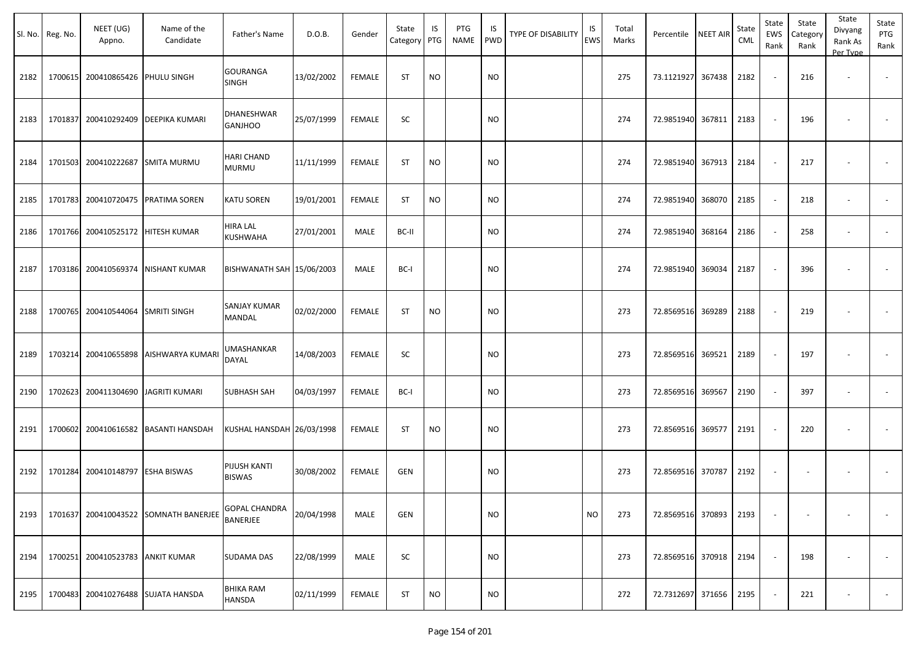| SI. No. | Reg. No. | NEET (UG)<br>Appno.              | Name of the<br>Candidate              | Father's Name                     | D.O.B.     | Gender        | State<br>Category PTG | IS        | PTG<br><b>NAME</b> | IS<br><b>PWD</b> | <b>TYPE OF DISABILITY</b> | IS<br><b>EWS</b> | Total<br>Marks | Percentile        | <b>NEET AIR</b> | State<br>CML | State<br>EWS<br>Rank | State<br>Category<br>Rank | State<br>Divyang<br>Rank As<br>Per Type | State<br>PTG<br>Rank     |
|---------|----------|----------------------------------|---------------------------------------|-----------------------------------|------------|---------------|-----------------------|-----------|--------------------|------------------|---------------------------|------------------|----------------|-------------------|-----------------|--------------|----------------------|---------------------------|-----------------------------------------|--------------------------|
| 2182    | 1700615  | 200410865426 PHULU SINGH         |                                       | <b>GOURANGA</b><br><b>SINGH</b>   | 13/02/2002 | <b>FEMALE</b> | <b>ST</b>             | <b>NO</b> |                    | <b>NO</b>        |                           |                  | 275            | 73.1121927 367438 |                 | 2182         |                      | 216                       | $\overline{\phantom{a}}$                | $\sim$                   |
| 2183    | 1701837  | 200410292409                     | <b>DEEPIKA KUMARI</b>                 | DHANESHWAR<br><b>GANJHOO</b>      | 25/07/1999 | <b>FEMALE</b> | SC                    |           |                    | <b>NO</b>        |                           |                  | 274            | 72.9851940        | 367811          | 2183         | $\sim$               | 196                       | $\blacksquare$                          |                          |
| 2184    | 1701503  | 200410222687                     | <b>SMITA MURMU</b>                    | <b>HARI CHAND</b><br><b>MURMU</b> | 11/11/1999 | <b>FEMALE</b> | <b>ST</b>             | <b>NO</b> |                    | <b>NO</b>        |                           |                  | 274            | 72.9851940 367913 |                 | 2184         |                      | 217                       |                                         |                          |
| 2185    | 1701783  | 200410720475                     | PRATIMA SOREN                         | <b>KATU SOREN</b>                 | 19/01/2001 | <b>FEMALE</b> | <b>ST</b>             | <b>NO</b> |                    | <b>NO</b>        |                           |                  | 274            | 72.9851940        | 368070          | 2185         |                      | 218                       | $\overline{\phantom{a}}$                | $\overline{\phantom{a}}$ |
| 2186    | 1701766  | 200410525172                     | <b>HITESH KUMAR</b>                   | HIRA LAL<br><b>KUSHWAHA</b>       | 27/01/2001 | MALE          | BC-II                 |           |                    | <b>NO</b>        |                           |                  | 274            | 72.9851940        | 368164          | 2186         |                      | 258                       | $\blacksquare$                          |                          |
| 2187    | 1703186  | 200410569374                     | <b>NISHANT KUMAR</b>                  | BISHWANATH SAH 15/06/2003         |            | MALE          | BC-I                  |           |                    | <b>NO</b>        |                           |                  | 274            | 72.9851940        | 369034          | 2187         |                      | 396                       |                                         |                          |
| 2188    | 1700765  | 200410544064 SMRITI SINGH        |                                       | SANJAY KUMAR<br>MANDAL            | 02/02/2000 | <b>FEMALE</b> | <b>ST</b>             | <b>NO</b> |                    | <b>NO</b>        |                           |                  | 273            | 72.8569516        | 369289          | 2188         |                      | 219                       | $\blacksquare$                          |                          |
| 2189    | 1703214  | 200410655898                     | <b>AISHWARYA KUMARI</b>               | UMASHANKAR<br><b>DAYAL</b>        | 14/08/2003 | <b>FEMALE</b> | SC                    |           |                    | <b>NO</b>        |                           |                  | 273            | 72.8569516        | 369521          | 2189         |                      | 197                       | ÷,                                      |                          |
| 2190    | 1702623  |                                  | 200411304690 JJAGRITI KUMARI          | <b>SUBHASH SAH</b>                | 04/03/1997 | <b>FEMALE</b> | BC-I                  |           |                    | <b>NO</b>        |                           |                  | 273            | 72.8569516        | 369567          | 2190         |                      | 397                       | $\overline{\phantom{a}}$                | $\overline{\phantom{a}}$ |
| 2191    | 1700602  |                                  | 200410616582 BASANTI HANSDAH          | KUSHAL HANSDAH 26/03/1998         |            | <b>FEMALE</b> | <b>ST</b>             | <b>NO</b> |                    | <b>NO</b>        |                           |                  | 273            | 72.8569516 369577 |                 | 2191         |                      | 220                       | ۰                                       |                          |
| 2192    | 1701284  | 200410148797                     | <b>ESHA BISWAS</b>                    | PIJUSH KANTI<br><b>BISWAS</b>     | 30/08/2002 | FEMALE        | GEN                   |           |                    | <b>NO</b>        |                           |                  | 273            | 72.8569516        | 370787          | 2192         | $\sim$               | $\overline{\phantom{a}}$  | $\overline{\phantom{a}}$                |                          |
| 2193    |          |                                  | 1701637 200410043522 SOMNATH BANERJEE | <b>GOPAL CHANDRA</b><br>BANERJEE  | 20/04/1998 | MALE          | GEN                   |           |                    | <b>NO</b>        |                           | <b>NO</b>        | 273            | 72.8569516 370893 |                 | 2193         |                      | $\overline{\phantom{a}}$  | $\overline{\phantom{a}}$                | $\sim$                   |
| 2194    |          | 1700251 200410523783 ANKIT KUMAR |                                       | <b>SUDAMA DAS</b>                 | 22/08/1999 | MALE          | SC                    |           |                    | <b>NO</b>        |                           |                  | 273            | 72.8569516 370918 |                 | 2194         |                      | 198                       | $\overline{\phantom{a}}$                | $\overline{\phantom{a}}$ |
| 2195    | 1700483  |                                  | 200410276488 SUJATA HANSDA            | <b>BHIKA RAM</b><br>HANSDA        | 02/11/1999 | FEMALE        | ST                    | <b>NO</b> |                    | <b>NO</b>        |                           |                  | 272            | 72.7312697 371656 |                 | 2195         |                      | 221                       |                                         | $\sim$                   |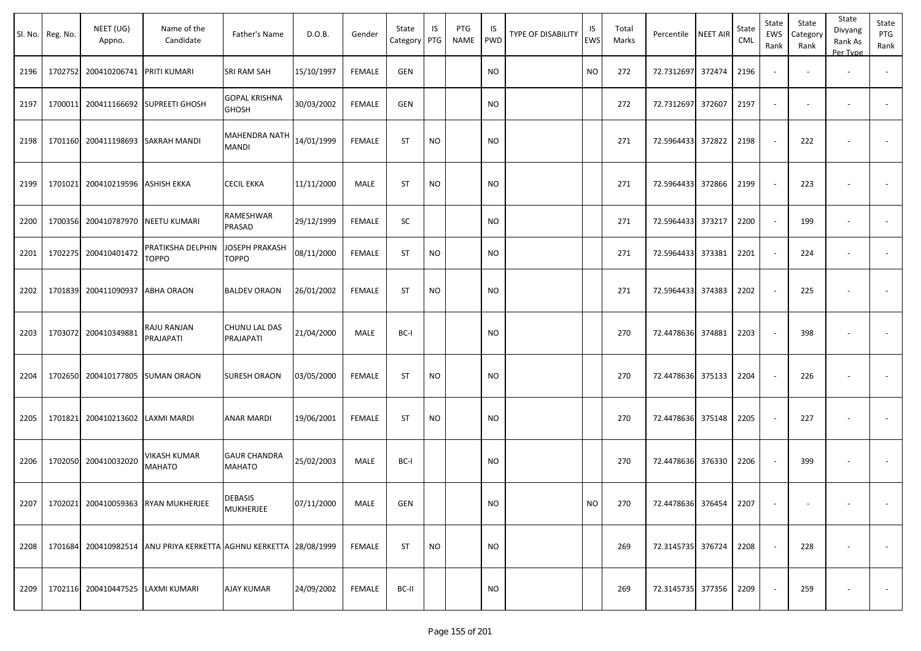| Sl. No. | Reg. No. | NEET (UG)<br>Appno.               | Name of the<br>Candidate                                          | Father's Name                         | D.O.B.     | Gender        | State<br>Category | IS<br>PTG | PTG<br><b>NAME</b> | IS<br>PWD | TYPE OF DISABILITY | IS<br>EWS | Total<br>Marks | Percentile NEET AIR    |        | State<br>CML | State<br>EWS<br>Rank | State<br>Category<br>Rank | State<br>Divyang<br>Rank As<br>Per Type | State<br>PTG<br>Rank     |
|---------|----------|-----------------------------------|-------------------------------------------------------------------|---------------------------------------|------------|---------------|-------------------|-----------|--------------------|-----------|--------------------|-----------|----------------|------------------------|--------|--------------|----------------------|---------------------------|-----------------------------------------|--------------------------|
| 2196    | 1702752  | 200410206741 PRITI KUMARI         |                                                                   | SRI RAM SAH                           | 15/10/1997 | <b>FEMALE</b> | GEN               |           |                    | <b>NO</b> |                    | <b>NO</b> | 272            | 72.7312697             | 372474 | 2196         |                      |                           | $\overline{\phantom{m}}$                | $\overline{\phantom{a}}$ |
| 2197    | 1700011  | 200411166692                      | <b>SUPREETI GHOSH</b>                                             | <b>GOPAL KRISHNA</b><br><b>GHOSH</b>  | 30/03/2002 | <b>FEMALE</b> | GEN               |           |                    | <b>NO</b> |                    |           | 272            | 72.7312697             | 372607 | 2197         |                      |                           | $\overline{\phantom{m}}$                | $\sim$                   |
| 2198    | 1701160  | 200411198693 SAKRAH MANDI         |                                                                   | <b>MAHENDRA NATH</b><br><b>MANDI</b>  | 14/01/1999 | <b>FEMALE</b> | <b>ST</b>         | <b>NO</b> |                    | <b>NO</b> |                    |           | 271            | 72.5964433 372822      |        | 2198         |                      | 222                       |                                         | $\overline{\phantom{a}}$ |
| 2199    | 1701021  | 200410219596 ASHISH EKKA          |                                                                   | <b>CECIL EKKA</b>                     | 11/11/2000 | MALE          | <b>ST</b>         | <b>NO</b> |                    | <b>NO</b> |                    |           | 271            | 72.5964433 372866      |        | 2199         |                      | 223                       |                                         | $\overline{\phantom{a}}$ |
| 2200    | 1700356  | 200410787970                      | <b>NEETU KUMARI</b>                                               | RAMESHWAR<br>PRASAD                   | 29/12/1999 | <b>FEMALE</b> | SC                |           |                    | <b>NO</b> |                    |           | 271            | 72.5964433 373217      |        | 2200         |                      | 199                       | $\overline{\phantom{m}}$                | $\sim$                   |
| 2201    | 1702275  | 200410401472                      | PRATIKSHA DELPHIN<br><b>TOPPO</b>                                 | <b>JOSEPH PRAKASH</b><br><b>TOPPO</b> | 08/11/2000 | <b>FEMALE</b> | <b>ST</b>         | <b>NO</b> |                    | <b>NO</b> |                    |           | 271            | 72.5964433 373381      |        | 2201         |                      | 224                       | $\overline{\phantom{m}}$                | $\overline{\phantom{a}}$ |
| 2202    | 1701839  | 200411090937                      | <b>ABHA ORAON</b>                                                 | <b>BALDEV ORAON</b>                   | 26/01/2002 | <b>FEMALE</b> | <b>ST</b>         | <b>NO</b> |                    | <b>NO</b> |                    |           | 271            | 72.5964433 374383      |        | 2202         |                      | 225                       | ٠                                       |                          |
| 2203    |          | 1703072 200410349881              | RAJU RANJAN<br>PRAJAPATI                                          | CHUNU LAL DAS<br>PRAJAPATI            | 21/04/2000 | MALE          | BC-I              |           |                    | <b>NO</b> |                    |           | 270            | 72.4478636 374881      |        | 2203         |                      | 398                       | ٠                                       | $\sim$                   |
| 2204    | 1702650  |                                   | 200410177805 SUMAN ORAON                                          | <b>SURESH ORAON</b>                   | 03/05/2000 | <b>FEMALE</b> | <b>ST</b>         | <b>NO</b> |                    | <b>NO</b> |                    |           | 270            | 72.4478636 375133      |        | 2204         |                      | 226                       |                                         |                          |
| 2205    | 1701821  | 200410213602                      | LAXMI MARDI                                                       | <b>ANAR MARDI</b>                     | 19/06/2001 | FEMALE        | <b>ST</b>         | NO.       |                    | <b>NO</b> |                    |           | 270            | 72.4478636 375148      |        | 2205         |                      | 227                       |                                         | $\sim$                   |
| 2206    | 1702050  | 200410032020                      | VIKASH KUMAR<br><b>MAHATO</b>                                     | <b>GAUR CHANDRA</b><br><b>MAHATO</b>  | 25/02/2003 | MALE          | BC-I              |           |                    | <b>NO</b> |                    |           | 270            | 72.4478636 376330      |        | 2206         |                      | 399                       |                                         |                          |
| 2207    |          |                                   | 1702021 200410059363 RYAN MUKHERJEE                               | <b>DEBASIS</b><br><b>MUKHERJEE</b>    | 07/11/2000 | MALE          | GEN               |           |                    | <b>NO</b> |                    | <b>NO</b> | 270            | 72.4478636 376454 2207 |        |              | $\sim$               | $\sim$                    | $\sim$                                  |                          |
| 2208    |          |                                   | 1701684 200410982514 ANU PRIYA KERKETTA AGHNU KERKETTA 28/08/1999 |                                       |            | FEMALE        | ST                | <b>NO</b> |                    | <b>NO</b> |                    |           | 269            | 72.3145735 376724      |        | 2208         |                      | 228                       |                                         | $\overline{\phantom{a}}$ |
| 2209    |          | 1702116 200410447525 LAXMI KUMARI |                                                                   | <b>AJAY KUMAR</b>                     | 24/09/2002 | <b>FEMALE</b> | BC-II             |           |                    | <b>NO</b> |                    |           | 269            | 72.3145735 377356 2209 |        |              |                      | 259                       | $\overline{\phantom{a}}$                | $\sim$                   |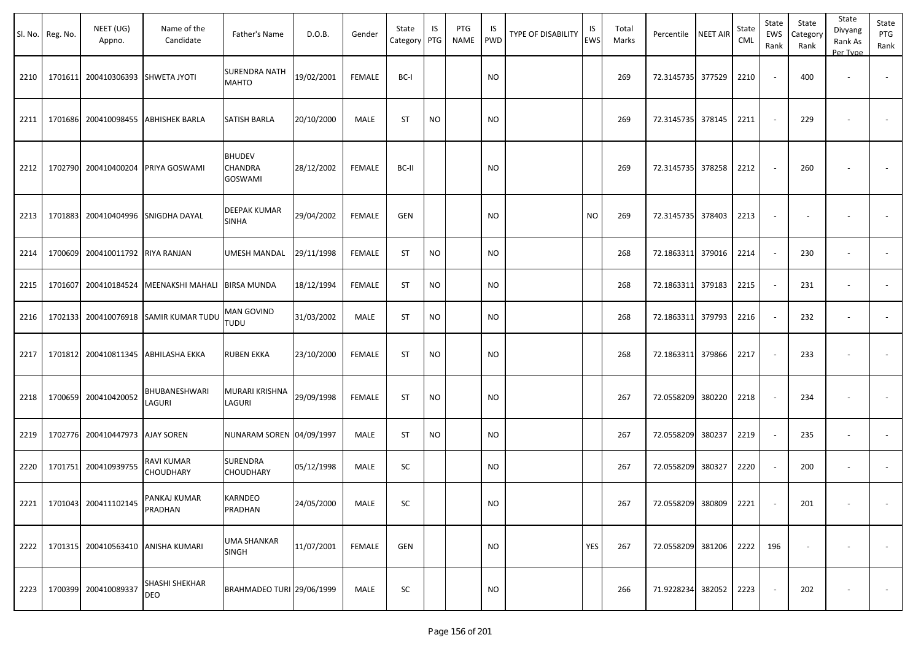| SI. No. | Reg. No. | NEET (UG)<br>Appno.     | Name of the<br>Candidate           | Father's Name                        | D.O.B.     | Gender        | State<br>Category | IS<br>PTG | PTG<br><b>NAME</b> | IS<br><b>PWD</b> | TYPE OF DISABILITY | IS<br><b>EWS</b> | Total<br>Marks | Percentile             | <b>NEET AIR</b> | State<br><b>CML</b> | State<br><b>EWS</b><br>Rank | State<br>Category<br>Rank | State<br>Divyang<br>Rank As<br>Per Type | State<br>PTG<br>Rank     |
|---------|----------|-------------------------|------------------------------------|--------------------------------------|------------|---------------|-------------------|-----------|--------------------|------------------|--------------------|------------------|----------------|------------------------|-----------------|---------------------|-----------------------------|---------------------------|-----------------------------------------|--------------------------|
| 2210    | 1701611  | 200410306393            | <b>SHWETA JYOTI</b>                | <b>SURENDRA NATH</b><br><b>MAHTO</b> | 19/02/2001 | <b>FEMALE</b> | BC-I              |           |                    | <b>NO</b>        |                    |                  | 269            | 72.3145735 377529      |                 | 2210                |                             | 400                       |                                         |                          |
| 2211    | 1701686  | 200410098455            | <b>ABHISHEK BARLA</b>              | SATISH BARLA                         | 20/10/2000 | MALE          | <b>ST</b>         | <b>NO</b> |                    | <b>NO</b>        |                    |                  | 269            | 72.3145735 378145      |                 | 2211                |                             | 229                       |                                         |                          |
| 2212    | 1702790  | 200410400204            | PRIYA GOSWAMI                      | <b>BHUDEV</b><br>CHANDRA<br>GOSWAMI  | 28/12/2002 | <b>FEMALE</b> | BC-II             |           |                    | <b>NO</b>        |                    |                  | 269            | 72.3145735 378258      |                 | 2212                |                             | 260                       |                                         |                          |
| 2213    | 1701883  |                         | 200410404996 SNIGDHA DAYAL         | DEEPAK KUMAR<br><b>SINHA</b>         | 29/04/2002 | <b>FEMALE</b> | GEN               |           |                    | <b>NO</b>        |                    | <b>NO</b>        | 269            | 72.3145735 378403      |                 | 2213                |                             |                           |                                         |                          |
| 2214    | 1700609  | 200410011792            | <b>RIYA RANJAN</b>                 | UMESH MANDAL                         | 29/11/1998 | <b>FEMALE</b> | <b>ST</b>         | <b>NO</b> |                    | <b>NO</b>        |                    |                  | 268            | 72.1863311 379016      |                 | 2214                | $\overline{\phantom{a}}$    | 230                       | $\overline{a}$                          | $\overline{\phantom{a}}$ |
| 2215    | 1701607  | 200410184524            | MEENAKSHI MAHALI                   | <b>BIRSA MUNDA</b>                   | 18/12/1994 | <b>FEMALE</b> | ST                | <b>NO</b> |                    | <b>NO</b>        |                    |                  | 268            | 72.1863311 379183      |                 | 2215                |                             | 231                       |                                         |                          |
| 2216    | 1702133  |                         | 200410076918 SAMIR KUMAR TUDU      | <b>MAN GOVIND</b><br><b>TUDU</b>     | 31/03/2002 | MALE          | ST                | <b>NO</b> |                    | <b>NO</b>        |                    |                  | 268            | 72.1863311 379793      |                 | 2216                |                             | 232                       | $\overline{a}$                          |                          |
| 2217    | 1701812  |                         | 200410811345 ABHILASHA EKKA        | <b>RUBEN EKKA</b>                    | 23/10/2000 | <b>FEMALE</b> | <b>ST</b>         | <b>NO</b> |                    | <b>NO</b>        |                    |                  | 268            | 72.1863311 379866      |                 | 2217                |                             | 233                       |                                         |                          |
| 2218    | 1700659  | 200410420052            | BHUBANESHWARI<br>LAGURI            | MURARI KRISHNA<br>LAGURI             | 29/09/1998 | <b>FEMALE</b> | ST                | <b>NO</b> |                    | <b>NO</b>        |                    |                  | 267            | 72.0558209 380220      |                 | 2218                |                             | 234                       |                                         |                          |
| 2219    | 1702776  | 200410447973 AJAY SOREN |                                    | NUNARAM SOREN 04/09/1997             |            | MALE          | ST                | <b>NO</b> |                    | <b>NO</b>        |                    |                  | 267            | 72.0558209 380237      |                 | 2219                |                             | 235                       | $\overline{\phantom{a}}$                |                          |
| 2220    | 1701751  | 200410939755            | RAVI KUMAR<br><b>CHOUDHARY</b>     | SURENDRA<br><b>CHOUDHARY</b>         | 05/12/1998 | MALE          | SC                |           |                    | <b>NO</b>        |                    |                  | 267            | 72.0558209             | 380327          | 2220                |                             | 200                       | $\overline{\phantom{a}}$                | $\overline{\phantom{a}}$ |
| 2221    |          | 1701043 200411102145    | PANKAJ KUMAR<br>PRADHAN            | KARNDEO<br>PRADHAN                   | 24/05/2000 | MALE          | SC                |           |                    | <b>NO</b>        |                    |                  | 267            | 72.0558209 380809 2221 |                 |                     |                             | 201                       | $\sim$                                  | $\overline{\phantom{a}}$ |
| 2222    |          |                         | 1701315 200410563410 ANISHA KUMARI | <b>UMA SHANKAR</b><br>SINGH          | 11/07/2001 | FEMALE        | GEN               |           |                    | <b>NO</b>        |                    | YES              | 267            | 72.0558209 381206      |                 | 2222                | 196                         |                           |                                         | $\overline{\phantom{a}}$ |
| 2223    |          | 1700399 200410089337    | SHASHI SHEKHAR<br>DEO              | BRAHMADEO TURI 29/06/1999            |            | MALE          | SC                |           |                    | <b>NO</b>        |                    |                  | 266            | 71.9228234 382052      |                 | 2223                |                             | 202                       | $\overline{\phantom{a}}$                | $\sim$                   |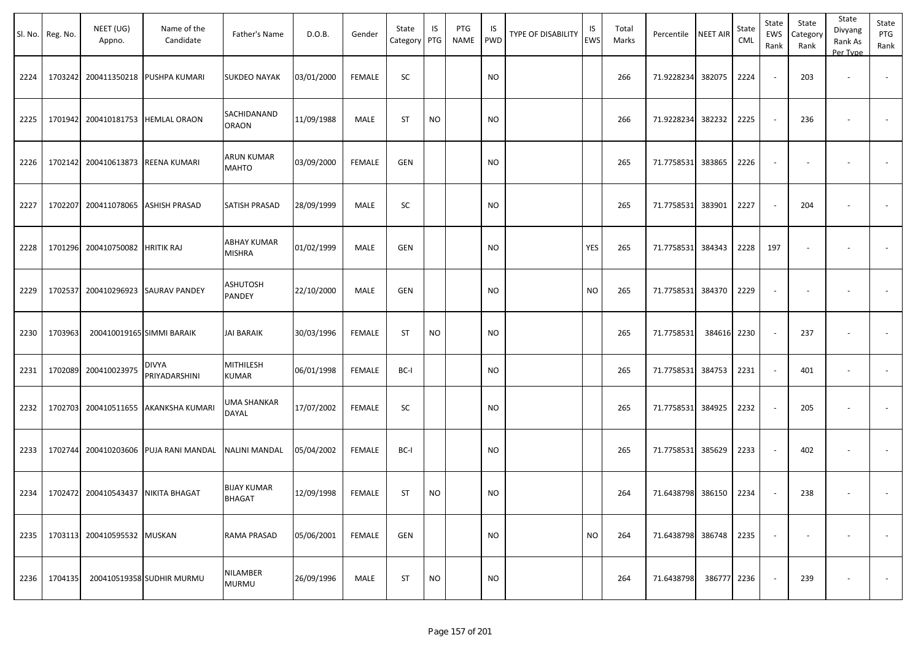|      | Sl. No. Reg. No. | NEET (UG)<br>Appno.                       | Name of the<br>Candidate           | Father's Name                       | D.O.B.     | Gender        | State<br>Category | IS<br>PTG | PTG<br>NAME | IS.<br>PWD | TYPE OF DISABILITY | IS<br>EWS | Total<br>Marks | Percentile        | <b>NEET AIR</b> | State<br><b>CML</b> | State<br>EWS<br>Rank     | State<br>Category<br>Rank | State<br>Divyang<br>Rank As<br>Per Type | State<br>PTG<br>Rank |
|------|------------------|-------------------------------------------|------------------------------------|-------------------------------------|------------|---------------|-------------------|-----------|-------------|------------|--------------------|-----------|----------------|-------------------|-----------------|---------------------|--------------------------|---------------------------|-----------------------------------------|----------------------|
| 2224 |                  | 1703242 200411350218                      | PUSHPA KUMARI                      | <b>SUKDEO NAYAK</b>                 | 03/01/2000 | <b>FEMALE</b> | SC                |           |             | <b>NO</b>  |                    |           | 266            | 71.9228234        | 382075          | 2224                | $\sim$                   | 203                       | $\overline{\phantom{a}}$                |                      |
| 2225 |                  | 1701942 200410181753 HEMLAL ORAON         |                                    | SACHIDANAND<br><b>ORAON</b>         | 11/09/1988 | MALE          | <b>ST</b>         | <b>NO</b> |             | <b>NO</b>  |                    |           | 266            | 71.9228234        | 382232          | 2225                | $\sim$                   | 236                       |                                         |                      |
| 2226 |                  | 1702142 200410613873 REENA KUMARI         |                                    | <b>ARUN KUMAR</b><br><b>MAHTO</b>   | 03/09/2000 | FEMALE        | <b>GEN</b>        |           |             | NO         |                    |           | 265            | 71.7758531        | 383865          | 2226                | $\overline{\phantom{a}}$ | $\overline{\phantom{a}}$  | $\overline{\phantom{a}}$                |                      |
| 2227 | 1702207          | 200411078065                              | <b>ASHISH PRASAD</b>               | SATISH PRASAD                       | 28/09/1999 | MALE          | SC                |           |             | NO         |                    |           | 265            | 71.7758531        | 383901          | 2227                | $\sim$                   | 204                       |                                         |                      |
| 2228 |                  | 1701296 200410750082                      | <b>HRITIK RAJ</b>                  | <b>ABHAY KUMAR</b><br><b>MISHRA</b> | 01/02/1999 | MALE          | <b>GEN</b>        |           |             | NO         |                    | YES       | 265            | 71.7758531        | 384343          | 2228                | 197                      | $\overline{\phantom{a}}$  |                                         |                      |
| 2229 |                  |                                           | 1702537 200410296923 SAURAV PANDEY | ASHUTOSH<br>PANDEY                  | 22/10/2000 | MALE          | GEN               |           |             | <b>NO</b>  |                    | NO.       | 265            | 71.7758531        | 384370          | 2229                | $\blacksquare$           | $\overline{\phantom{a}}$  |                                         |                      |
| 2230 | 1703963          | 200410019165 SIMMI BARAIK                 |                                    | <b>JAI BARAIK</b>                   | 30/03/1996 | FEMALE        | <b>ST</b>         | <b>NO</b> |             | <b>NO</b>  |                    |           | 265            | 71.7758531        | 384616 2230     |                     | $\sim$                   | 237                       | $\overline{\phantom{a}}$                | $\sim$               |
| 2231 |                  | 1702089 200410023975                      | <b>DIVYA</b><br>PRIYADARSHINI      | <b>MITHILESH</b><br><b>KUMAR</b>    | 06/01/1998 | <b>FEMALE</b> | BC-I              |           |             | <b>NO</b>  |                    |           | 265            | 71.7758531        | 384753          | 2231                | $\sim$                   | 401                       | $\sim$                                  | $\sim$               |
| 2232 |                  | 1702703 200410511655                      | AKANKSHA KUMARI                    | UMA SHANKAR<br>DAYAL                | 17/07/2002 | <b>FEMALE</b> | SC                |           |             | <b>NO</b>  |                    |           | 265            | 71.7758531 384925 |                 | 2232                | $\sim$                   | 205                       |                                         |                      |
| 2233 |                  | 1702744 200410203606                      | PUJA RANI MANDAL                   | <b>NALINI MANDAL</b>                | 05/04/2002 | <b>FEMALE</b> | BC-I              |           |             | <b>NO</b>  |                    |           | 265            | 71.7758531 385629 |                 | 2233                | $\sim$                   | 402                       | $\overline{\phantom{a}}$                | $\blacksquare$       |
|      |                  | 2234   1702472 200410543437 NIKITA BHAGAT |                                    | <b>BIJAY KUMAR</b><br><b>BHAGAT</b> | 12/09/1998 | FEMALE        | <b>ST</b>         | <b>NO</b> |             | <b>NO</b>  |                    |           | 264            | 71.6438798 386150 |                 | 2234                | $\sim$                   | 238                       | $\overline{\phantom{a}}$                |                      |
| 2235 |                  | 1703113 200410595532 MUSKAN               |                                    | RAMA PRASAD                         | 05/06/2001 | FEMALE        | GEN               |           |             | <b>NO</b>  |                    | <b>NO</b> | 264            | 71.6438798 386748 |                 | 2235                | $\overline{\phantom{a}}$ | $\overline{\phantom{a}}$  |                                         | $\sim$               |
| 2236 | 1704135          |                                           | 200410519358 SUDHIR MURMU          | NILAMBER<br><b>MURMU</b>            | 26/09/1996 | MALE          | <b>ST</b>         | <b>NO</b> |             | <b>NO</b>  |                    |           | 264            | 71.6438798        | 386777 2236     |                     | $\sim$                   | 239                       |                                         | $\sim$               |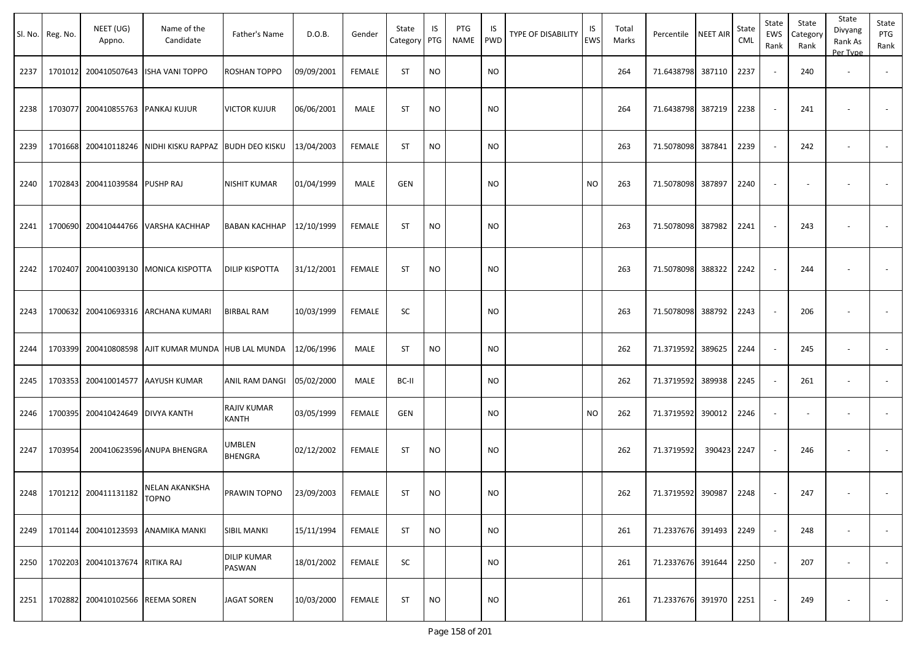|      | Sl. No. Reg. No. | NEET (UG)<br>Appno. | Name of the<br>Candidate                        | Father's Name                | D.O.B.     | Gender        | State<br>Category | IS<br>PTG | PTG<br><b>NAME</b> | IS<br><b>PWD</b> | <b>TYPE OF DISABILITY</b> | IS<br><b>EWS</b> | Total<br>Marks | Percentile             | <b>NEET AIR</b> | State<br><b>CML</b> | State<br>EWS<br>Rank     | State<br>Category<br>Rank | State<br>Divyang<br>Rank As<br>Per Type | State<br>PTG<br>Rank |
|------|------------------|---------------------|-------------------------------------------------|------------------------------|------------|---------------|-------------------|-----------|--------------------|------------------|---------------------------|------------------|----------------|------------------------|-----------------|---------------------|--------------------------|---------------------------|-----------------------------------------|----------------------|
| 2237 | 1701012          | 200410507643        | ISHA VANI TOPPO                                 | ROSHAN TOPPO                 | 09/09/2001 | <b>FEMALE</b> | ST                | <b>NO</b> |                    | <b>NO</b>        |                           |                  | 264            | 71.6438798             | 387110          | 2237                |                          | 240                       | $\sim$                                  |                      |
| 2238 | 1703077          | 200410855763        | <b>PANKAJ KUJUR</b>                             | <b>VICTOR KUJUR</b>          | 06/06/2001 | MALE          | <b>ST</b>         | <b>NO</b> |                    | <b>NO</b>        |                           |                  | 264            | 71.6438798 387219      |                 | 2238                |                          | 241                       |                                         |                      |
| 2239 | 1701668          | 200410118246        | NIDHI KISKU RAPPAZ                              | <b>BUDH DEO KISKU</b>        | 13/04/2003 | <b>FEMALE</b> | ST                | <b>NO</b> |                    | <b>NO</b>        |                           |                  | 263            | 71.5078098             | 387841          | 2239                | $\overline{\phantom{a}}$ | 242                       |                                         |                      |
| 2240 | 1702843          | 200411039584        | PUSHP RAJ                                       | <b>NISHIT KUMAR</b>          | 01/04/1999 | MALE          | GEN               |           |                    | NO.              |                           | <b>NO</b>        | 263            | 71.5078098             | 387897          | 2240                |                          |                           |                                         |                      |
| 2241 | 1700690          | 200410444766        | VARSHA KACHHAP                                  | BABAN KACHHAP                | 12/10/1999 | <b>FEMALE</b> | <b>ST</b>         | <b>NO</b> |                    | <b>NO</b>        |                           |                  | 263            | 71.5078098             | 387982          | 2241                |                          | 243                       |                                         |                      |
| 2242 | 1702407          | 200410039130        | <b>MONICA KISPOTTA</b>                          | DILIP KISPOTTA               | 31/12/2001 | <b>FEMALE</b> | ST                | <b>NO</b> |                    | NO.              |                           |                  | 263            | 71.5078098             | 388322          | 2242                |                          | 244                       |                                         |                      |
| 2243 | 1700632          | 200410693316        | <b>ARCHANA KUMARI</b>                           | <b>BIRBAL RAM</b>            | 10/03/1999 | <b>FEMALE</b> | SC                |           |                    | NO.              |                           |                  | 263            | 71.5078098 388792      |                 | 2243                |                          | 206                       |                                         |                      |
| 2244 | 1703399          |                     | 200410808598   AJIT KUMAR MUNDA   HUB LAL MUNDA |                              | 12/06/1996 | MALE          | ST                | <b>NO</b> |                    | NO.              |                           |                  | 262            | 71.3719592             | 389625          | 2244                |                          | 245                       |                                         |                      |
| 2245 | 1703353          | 200410014577        | <b>AAYUSH KUMAR</b>                             | ANIL RAM DANGI               | 05/02/2000 | MALE          | BC-II             |           |                    | <b>NO</b>        |                           |                  | 262            | 71.3719592             | 389938          | 2245                |                          | 261                       | $\overline{\phantom{a}}$                |                      |
| 2246 | 1700395          | 200410424649        | <b>DIVYA KANTH</b>                              | RAJIV KUMAR<br>KANTH         | 03/05/1999 | <b>FEMALE</b> | <b>GEN</b>        |           |                    | <b>NO</b>        |                           | <b>NO</b>        | 262            | 71.3719592 390012      |                 | 2246                |                          |                           |                                         |                      |
| 2247 | 1703954          |                     | 200410623596 ANUPA BHENGRA                      | UMBLEN<br>BHENGRA            | 02/12/2002 | <b>FEMALE</b> | <b>ST</b>         | <b>NO</b> |                    | <b>NO</b>        |                           |                  | 262            | 71.3719592             | 390423          | 2247                |                          | 246                       |                                         |                      |
| 2248 | 1701212          | 200411131182        | NELAN AKANKSHA<br>TOPNO                         | PRAWIN TOPNO                 | 23/09/2003 | FEMALE        | ST                | <b>NO</b> |                    | <b>NO</b>        |                           |                  | 262            | 71.3719592 390987      |                 | 2248                |                          | 247                       |                                         |                      |
| 2249 | 1701144          | 200410123593        | <b>ANAMIKA MANKI</b>                            | <b>SIBIL MANKI</b>           | 15/11/1994 | <b>FEMALE</b> | <b>ST</b>         | <b>NO</b> |                    | <b>NO</b>        |                           |                  | 261            | 71.2337676 391493      |                 | 2249                |                          | 248                       | $\overline{\phantom{a}}$                | $\sim$               |
| 2250 | 1702203          | 200410137674        | <b>RITIKA RAJ</b>                               | <b>DILIP KUMAR</b><br>PASWAN | 18/01/2002 | FEMALE        | SC                |           |                    | <b>NO</b>        |                           |                  | 261            | 71.2337676 391644      |                 | 2250                | $\overline{\phantom{a}}$ | 207                       | $\overline{\phantom{a}}$                | $\sim$               |
| 2251 | 1702882          | 200410102566        | <b>REEMA SOREN</b>                              | <b>JAGAT SOREN</b>           | 10/03/2000 | FEMALE        | ST                | <b>NO</b> |                    | <b>NO</b>        |                           |                  | 261            | 71.2337676 391970 2251 |                 |                     |                          | 249                       |                                         | $\sim$               |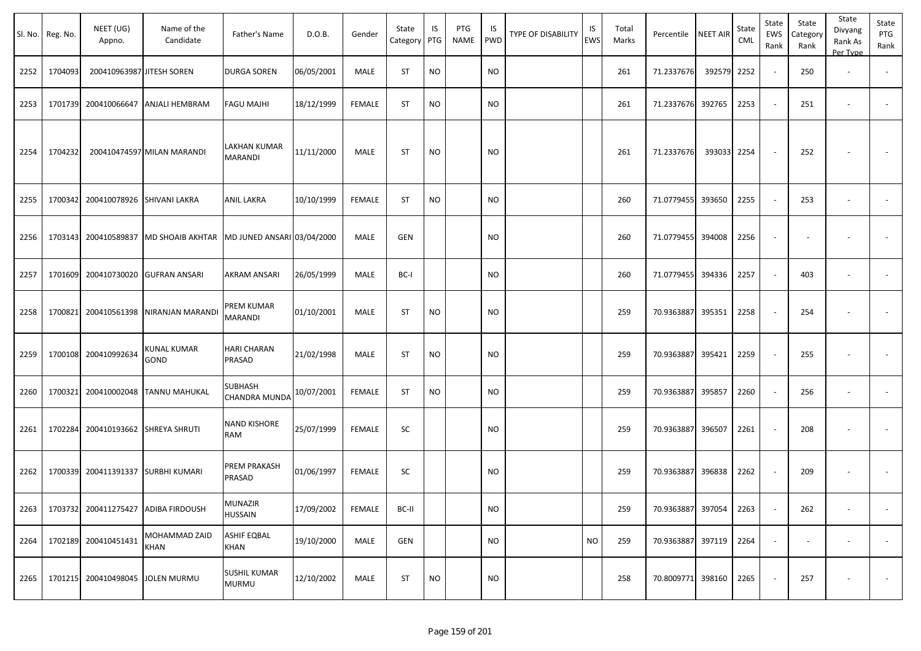|      | Sl. No. Reg. No. | NEET (UG)<br>Appno.              | Name of the<br>Candidate            | Father's Name                          | D.O.B.     | Gender        | State<br>Category PTG | IS        | PTG<br><b>NAME</b> | IS<br><b>PWD</b> | <b>TYPE OF DISABILITY</b> | IS<br>EWS | Total<br>Marks | Percentile        | NEET AIR | State<br>CML | State<br>EWS<br>Rank | State<br>Category<br>Rank | State<br>Divyang<br>Rank As<br>Per Type | State<br>PTG<br>Rank     |
|------|------------------|----------------------------------|-------------------------------------|----------------------------------------|------------|---------------|-----------------------|-----------|--------------------|------------------|---------------------------|-----------|----------------|-------------------|----------|--------------|----------------------|---------------------------|-----------------------------------------|--------------------------|
| 2252 | 1704093          | 200410963987 JITESH SOREN        |                                     | <b>DURGA SOREN</b>                     | 06/05/2001 | MALE          | <b>ST</b>             | <b>NO</b> |                    | <b>NO</b>        |                           |           | 261            | 71.2337676        | 392579   | 2252         |                      | 250                       | $\overline{\phantom{a}}$                |                          |
| 2253 | 1701739          |                                  | 200410066647 ANJALI HEMBRAM         | <b>FAGU MAJHI</b>                      | 18/12/1999 | <b>FEMALE</b> | <b>ST</b>             | <b>NO</b> |                    | <b>NO</b>        |                           |           | 261            | 71.2337676 392765 |          | 2253         |                      | 251                       | $\overline{\phantom{a}}$                |                          |
| 2254 | 1704232          |                                  | 200410474597 MILAN MARANDI          | LAKHAN KUMAR<br><b>MARANDI</b>         | 11/11/2000 | MALE          | <b>ST</b>             | <b>NO</b> |                    | <b>NO</b>        |                           |           | 261            | 71.2337676        | 393033   | 2254         |                      | 252                       |                                         |                          |
| 2255 | 1700342          | 200410078926 SHIVANI LAKRA       |                                     | ANIL LAKRA                             | 10/10/1999 | <b>FEMALE</b> | <b>ST</b>             | <b>NO</b> |                    | <b>NO</b>        |                           |           | 260            | 71.0779455        | 393650   | 2255         |                      | 253                       | $\overline{\phantom{a}}$                | $\overline{\phantom{a}}$ |
| 2256 | 1703143          |                                  | 200410589837 MD SHOAIB AKHTAR       | MD JUNED ANSARI 03/04/2000             |            | <b>MALE</b>   | GEN                   |           |                    | <b>NO</b>        |                           |           | 260            | 71.0779455        | 394008   | 2256         |                      |                           |                                         |                          |
| 2257 | 1701609          |                                  | 200410730020 GUFRAN ANSARI          | <b>AKRAM ANSARI</b>                    | 26/05/1999 | <b>MALE</b>   | BC-I                  |           |                    | <b>NO</b>        |                           |           | 260            | 71.0779455        | 394336   | 2257         |                      | 403                       |                                         |                          |
| 2258 | 1700821          |                                  | 200410561398 NIRANJAN MARANDI       | PREM KUMAR<br><b>MARANDI</b>           | 01/10/2001 | MALE          | <b>ST</b>             | <b>NO</b> |                    | <b>NO</b>        |                           |           | 259            | 70.9363887        | 395351   | 2258         |                      | 254                       |                                         |                          |
| 2259 | 1700108          | 200410992634                     | KUNAL KUMAR<br>GOND                 | <b>HARI CHARAN</b><br>PRASAD           | 21/02/1998 | MALE          | <b>ST</b>             | <b>NO</b> |                    | <b>NO</b>        |                           |           | 259            | 70.9363887        | 395421   | 2259         |                      | 255                       |                                         |                          |
| 2260 | 1700321          |                                  | 200410002048 TANNU MAHUKAL          | <b>SUBHASH</b><br><b>CHANDRA MUNDA</b> | 10/07/2001 | <b>FEMALE</b> | <b>ST</b>             | <b>NO</b> |                    | <b>NO</b>        |                           |           | 259            | 70.9363887        | 395857   | 2260         |                      | 256                       | $\overline{\phantom{a}}$                | $\overline{\phantom{a}}$ |
| 2261 | 1702284          |                                  | 200410193662 SHREYA SHRUTI          | <b>NAND KISHORE</b><br>RAM             | 25/07/1999 | <b>FEMALE</b> | SC                    |           |                    | <b>NO</b>        |                           |           | 259            | 70.9363887        | 396507   | 2261         |                      | 208                       | $\overline{\phantom{a}}$                |                          |
| 2262 | 1700339          |                                  | 200411391337 SURBHI KUMARI          | PREM PRAKASH<br>PRASAD                 | 01/06/1997 | <b>FEMALE</b> | SC                    |           |                    | <b>NO</b>        |                           |           | 259            | 70.9363887        | 396838   | 2262         |                      | 209                       | <b>.</b>                                |                          |
| 2263 |                  |                                  | 1703732 200411275427 ADIBA FIRDOUSH | MUNAZIR<br><b>HUSSAIN</b>              | 17/09/2002 | FEMALE        | BC-II                 |           |                    | <b>NO</b>        |                           |           | 259            | 70.9363887 397054 |          | 2263         |                      | 262                       | $\sim$                                  |                          |
| 2264 |                  | 1702189 200410451431             | MOHAMMAD ZAID<br><b>KHAN</b>        | <b>ASHIF EQBAL</b><br><b>KHAN</b>      | 19/10/2000 | MALE          | GEN                   |           |                    | <b>NO</b>        |                           | <b>NO</b> | 259            | 70.9363887 397119 |          | 2264         |                      |                           | $\overline{\phantom{a}}$                | $\sim$                   |
| 2265 |                  | 1701215 200410498045 JOLEN MURMU |                                     | <b>SUSHIL KUMAR</b><br><b>MURMU</b>    | 12/10/2002 | MALE          | <b>ST</b>             | <b>NO</b> |                    | <b>NO</b>        |                           |           | 258            | 70.8009771 398160 |          | 2265         |                      | 257                       |                                         | $\sim$                   |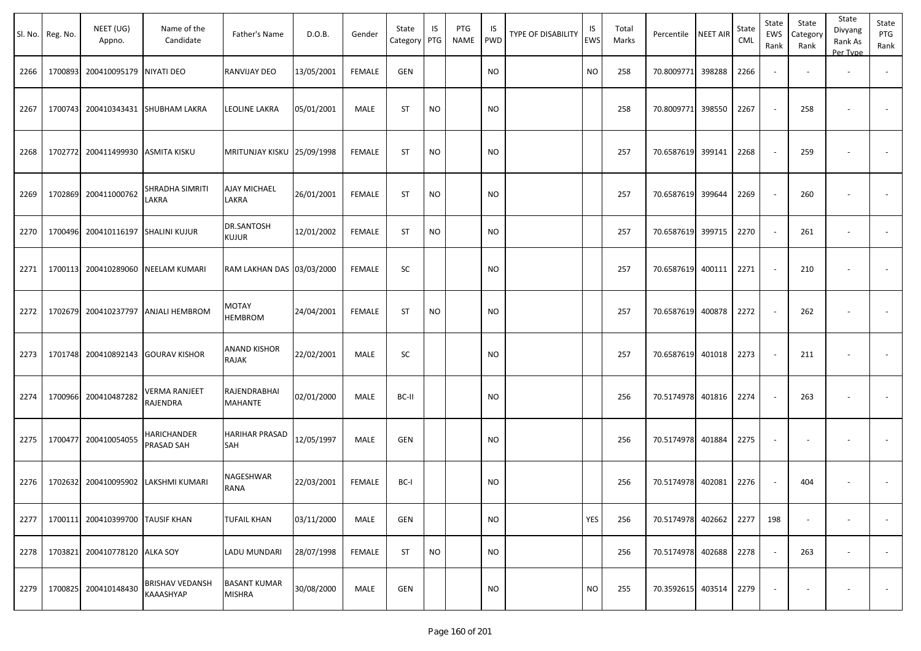| Sl. No. | Reg. No. | NEET (UG)<br>Appno.              | Name of the<br>Candidate            | Father's Name                        | D.O.B.     | Gender        | State<br>Category | IS<br>PTG | PTG<br><b>NAME</b> | IS<br><b>PWD</b> | TYPE OF DISABILITY | IS.<br><b>EWS</b> | Total<br>Marks | Percentile NEET AIR |        | State<br>CML | State<br>EWS<br>Rank     | State<br>Category<br>Rank | State<br>Divyang<br>Rank As<br>Per Type | State<br>PTG<br>Rank     |
|---------|----------|----------------------------------|-------------------------------------|--------------------------------------|------------|---------------|-------------------|-----------|--------------------|------------------|--------------------|-------------------|----------------|---------------------|--------|--------------|--------------------------|---------------------------|-----------------------------------------|--------------------------|
| 2266    | 1700893  | 200410095179 NIYATI DEO          |                                     | RANVIJAY DEO                         | 13/05/2001 | <b>FEMALE</b> | GEN               |           |                    | <b>NO</b>        |                    | <b>NO</b>         | 258            | 70.8009771          | 398288 | 2266         | $\sim$                   |                           | $\overline{\phantom{a}}$                | $\blacksquare$           |
| 2267    | 1700743  |                                  | 200410343431 SHUBHAM LAKRA          | LEOLINE LAKRA                        | 05/01/2001 | MALE          | <b>ST</b>         | <b>NO</b> |                    | <b>NO</b>        |                    |                   | 258            | 70.8009771          | 398550 | 2267         | $\overline{\phantom{a}}$ | 258                       |                                         |                          |
| 2268    | 1702772  | 200411499930 ASMITA KISKU        |                                     | MRITUNJAY KISKU 25/09/1998           |            | <b>FEMALE</b> | <b>ST</b>         | <b>NO</b> |                    | <b>NO</b>        |                    |                   | 257            | 70.6587619 399141   |        | 2268         | $\overline{\phantom{a}}$ | 259                       | $\overline{\phantom{a}}$                | $\sim$                   |
| 2269    | 1702869  | 200411000762                     | SHRADHA SIMRITI<br>LAKRA            | <b>AJAY MICHAEL</b><br>LAKRA         | 26/01/2001 | <b>FEMALE</b> | <b>ST</b>         | <b>NO</b> |                    | <b>NO</b>        |                    |                   | 257            | 70.6587619 399644   |        | 2269         | $\sim$                   | 260                       |                                         | $\sim$                   |
| 2270    | 1700496  | 200410116197                     | <b>SHALINI KUJUR</b>                | DR.SANTOSH<br><b>KUJUR</b>           | 12/01/2002 | <b>FEMALE</b> | ST                | NO.       |                    | <b>NO</b>        |                    |                   | 257            | 70.6587619 399715   |        | 2270         |                          | 261                       |                                         |                          |
| 2271    | 1700113  |                                  | 200410289060 NEELAM KUMARI          | RAM LAKHAN DAS 03/03/2000            |            | <b>FEMALE</b> | SC                |           |                    | <b>NO</b>        |                    |                   | 257            | 70.6587619 400111   |        | 2271         |                          | 210                       | $\overline{\phantom{a}}$                | $\overline{\phantom{a}}$ |
| 2272    | 1702679  | 200410237797                     | <b>ANJALI HEMBROM</b>               | MOTAY<br><b>HEMBROM</b>              | 24/04/2001 | <b>FEMALE</b> | <b>ST</b>         | <b>NO</b> |                    | <b>NO</b>        |                    |                   | 257            | 70.6587619          | 400878 | 2272         |                          | 262                       |                                         |                          |
| 2273    | 1701748  | 200410892143                     | <b>GOURAV KISHOR</b>                | <b>ANAND KISHOR</b><br>RAJAK         | 22/02/2001 | MALE          | SC                |           |                    | <b>NO</b>        |                    |                   | 257            | 70.6587619 401018   |        | 2273         | $\sim$                   | 211                       |                                         |                          |
| 2274    | 1700966  | 200410487282                     | <b>VERMA RANJEET</b><br>RAJENDRA    | RAJENDRABHAI<br><b>MAHANTE</b>       | 02/01/2000 | MALE          | BC-II             |           |                    | <b>NO</b>        |                    |                   | 256            | 70.5174978 401816   |        | 2274         |                          | 263                       |                                         |                          |
| 2275    | 1700477  | 200410054055                     | HARICHANDER<br>PRASAD SAH           | <b>HARIHAR PRASAD</b><br>SAH         | 12/05/1997 | MALE          | GEN               |           |                    | <b>NO</b>        |                    |                   | 256            | 70.5174978 401884   |        | 2275         | $\overline{\phantom{0}}$ | $\overline{\phantom{a}}$  | $\overline{\phantom{a}}$                |                          |
| 2276    | 1702632  | 200410095902                     | LAKSHMI KUMARI                      | NAGESHWAR<br>RANA                    | 22/03/2001 | FEMALE        | BC-I              |           |                    | <b>NO</b>        |                    |                   | 256            | 70.5174978 402081   |        | 2276         |                          | 404                       |                                         |                          |
| 2277    |          | 1700111 200410399700 TAUSIF KHAN |                                     | <b>TUFAIL KHAN</b>                   | 03/11/2000 | MALE          | GEN               |           |                    | <b>NO</b>        |                    | YES               | 256            | 70.5174978 402662   |        | 2277         | 198                      | $\overline{\phantom{a}}$  | $\overline{\phantom{a}}$                | $\sim$                   |
| 2278    |          | 1703821 200410778120 ALKA SOY    |                                     | LADU MUNDARI                         | 28/07/1998 | FEMALE        | <b>ST</b>         | <b>NO</b> |                    | <b>NO</b>        |                    |                   | 256            | 70.5174978 402688   |        | 2278         | $\sim$                   | 263                       | $\overline{\phantom{a}}$                | $\sim$                   |
| 2279    | 1700825  | 200410148430                     | <b>BRISHAV VEDANSH</b><br>KAAASHYAP | <b>BASANT KUMAR</b><br><b>MISHRA</b> | 30/08/2000 | MALE          | <b>GEN</b>        |           |                    | <b>NO</b>        |                    | <b>NO</b>         | 255            | 70.3592615 403514   |        | 2279         |                          |                           |                                         | $\sim$                   |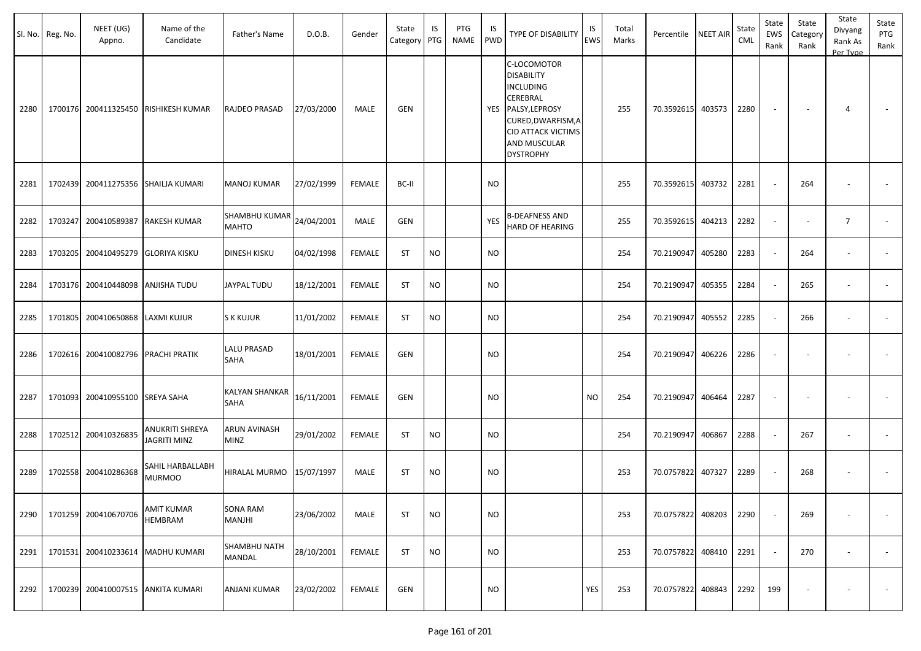| Sl. No. | Reg. No. | NEET (UG)<br>Appno.                | Name of the<br>Candidate               | Father's Name                 | D.O.B.     | Gender        | State<br>Category | IS<br>PTG | <b>PTG</b><br><b>NAME</b> | IS<br><b>PWD</b> | TYPE OF DISABILITY                                                                                                                                                               | IS<br>EWS | Total<br>Marks | Percentile        | <b>NEET AIR</b> | State<br>CML | State<br><b>EWS</b><br>Rank | State<br>Category<br>Rank | State<br>Divyang<br>Rank As<br>Per Type | State<br>PTG<br>Rank     |
|---------|----------|------------------------------------|----------------------------------------|-------------------------------|------------|---------------|-------------------|-----------|---------------------------|------------------|----------------------------------------------------------------------------------------------------------------------------------------------------------------------------------|-----------|----------------|-------------------|-----------------|--------------|-----------------------------|---------------------------|-----------------------------------------|--------------------------|
| 2280    |          |                                    | 1700176 200411325450 RISHIKESH KUMAR   | RAJDEO PRASAD                 | 27/03/2000 | MALE          | <b>GEN</b>        |           |                           | <b>YES</b>       | C-LOCOMOTOR<br><b>DISABILITY</b><br><b>INCLUDING</b><br>CEREBRAL<br>PALSY, LEPROSY<br>CURED, DWARFISM, A<br><b>CID ATTACK VICTIMS</b><br><b>AND MUSCULAR</b><br><b>DYSTROPHY</b> |           | 255            | 70.3592615 403573 |                 | 2280         |                             |                           | $\overline{4}$                          |                          |
| 2281    |          |                                    | 1702439 200411275356 SHAILJA KUMARI    | MANOJ KUMAR                   | 27/02/1999 | <b>FEMALE</b> | BC-II             |           |                           | <b>NO</b>        |                                                                                                                                                                                  |           | 255            | 70.3592615        | 403732          | 2281         |                             | 264                       |                                         |                          |
| 2282    | 1703247  | 200410589387                       | <b>RAKESH KUMAR</b>                    | SHAMBHU KUMAR<br><b>MAHTO</b> | 24/04/2001 | MALE          | <b>GEN</b>        |           |                           | <b>YES</b>       | <b>B-DEAFNESS AND</b><br>HARD OF HEARING                                                                                                                                         |           | 255            | 70.3592615        | 404213          | 2282         | $\sim$                      |                           | $\overline{7}$                          | $\overline{\phantom{a}}$ |
| 2283    | 1703205  | 200410495279                       | <b>GLORIYA KISKU</b>                   | DINESH KISKU                  | 04/02/1998 | <b>FEMALE</b> | <b>ST</b>         | <b>NO</b> |                           | <b>NO</b>        |                                                                                                                                                                                  |           | 254            | 70.2190947        | 405280          | 2283         |                             | 264                       | $\overline{\phantom{a}}$                |                          |
| 2284    |          | 1703176 200410448098               | <b>ANJISHA TUDU</b>                    | JAYPAL TUDU                   | 18/12/2001 | <b>FEMALE</b> | <b>ST</b>         | <b>NO</b> |                           | <b>NO</b>        |                                                                                                                                                                                  |           | 254            | 70.2190947        | 405355          | 2284         |                             | 265                       | $\overline{\phantom{a}}$                |                          |
| 2285    | 1701805  | 200410650868                       | LAXMI KUJUR                            | S K KUJUR                     | 11/01/2002 | <b>FEMALE</b> | <b>ST</b>         | <b>NO</b> |                           | <b>NO</b>        |                                                                                                                                                                                  |           | 254            | 70.2190947        | 405552          | 2285         |                             | 266                       |                                         |                          |
| 2286    | 1702616  | 200410082796                       | <b>PRACHI PRATIK</b>                   | <b>LALU PRASAD</b><br>SAHA    | 18/01/2001 | <b>FEMALE</b> | <b>GEN</b>        |           |                           | <b>NO</b>        |                                                                                                                                                                                  |           | 254            | 70.2190947        | 406226          | 2286         |                             |                           |                                         |                          |
| 2287    | 1701093  | 200410955100 SREYA SAHA            |                                        | KALYAN SHANKAR<br>SAHA        | 16/11/2001 | <b>FEMALE</b> | <b>GEN</b>        |           |                           | <b>NO</b>        |                                                                                                                                                                                  | <b>NO</b> | 254            | 70.2190947        | 406464          | 2287         |                             |                           |                                         |                          |
| 2288    | 1702512  | 200410326835                       | ANUKRITI SHREYA<br><b>JAGRITI MINZ</b> | ARUN AVINASH<br><b>MINZ</b>   | 29/01/2002 | <b>FEMALE</b> | <b>ST</b>         | NO        |                           | NO.              |                                                                                                                                                                                  |           | 254            | 70.2190947        | 406867          | 2288         |                             | 267                       |                                         |                          |
| 2289    |          | 1702558 200410286368               | SAHIL HARBALLABH<br><b>MURMOO</b>      | HIRALAL MURMO                 | 15/07/1997 | MALE          | <b>ST</b>         | <b>NO</b> |                           | <b>NO</b>        |                                                                                                                                                                                  |           | 253            | 70.0757822        | 407327          | 2289         |                             | 268                       | $\overline{\phantom{a}}$                |                          |
| 2290    |          | 1701259 200410670706               | <b>AMIT KUMAR</b><br><b>HEMBRAM</b>    | SONA RAM<br>MANJHI            | 23/06/2002 | MALE          | <b>ST</b>         | <b>NO</b> |                           | <b>NO</b>        |                                                                                                                                                                                  |           | 253            | 70.0757822 408203 |                 | 2290         |                             | 269                       |                                         |                          |
| 2291    |          |                                    | 1701531 200410233614 MADHU KUMARI      | SHAMBHU NATH<br>MANDAL        | 28/10/2001 | <b>FEMALE</b> | ST                | <b>NO</b> |                           | <b>NO</b>        |                                                                                                                                                                                  |           | 253            | 70.0757822 408410 |                 | 2291         |                             | 270                       | $\overline{\phantom{a}}$                | $\sim$                   |
| 2292    |          | 1700239 200410007515 ANKITA KUMARI |                                        | ANJANI KUMAR                  | 23/02/2002 | <b>FEMALE</b> | GEN               |           |                           | <b>NO</b>        |                                                                                                                                                                                  | YES       | 253            | 70.0757822 408843 |                 | 2292         | 199                         |                           |                                         | $\sim$                   |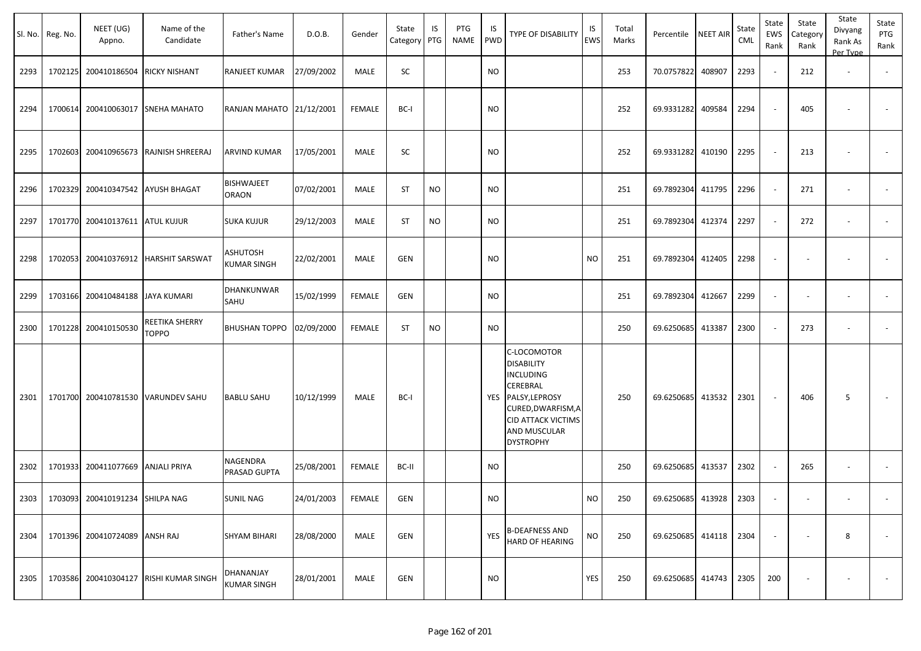|      | Sl. No. Reg. No. | NEET (UG)<br>Appno.                | Name of the<br>Candidate               | Father's Name                     | D.O.B.     | Gender        | State<br>Category | IS<br>PTG | PTG<br>NAME | IS<br><b>PWD</b> | TYPE OF DISABILITY                                                                                                                                                        | IS<br><b>EWS</b> | Total<br>Marks | Percentile        | <b>NEET AIR</b> | State<br><b>CML</b> | State<br>EWS<br>Rank | State<br>Category<br>Rank | State<br>Divyang<br>Rank As<br>Per Type | State<br>PTG<br>Rank     |
|------|------------------|------------------------------------|----------------------------------------|-----------------------------------|------------|---------------|-------------------|-----------|-------------|------------------|---------------------------------------------------------------------------------------------------------------------------------------------------------------------------|------------------|----------------|-------------------|-----------------|---------------------|----------------------|---------------------------|-----------------------------------------|--------------------------|
| 2293 |                  | 1702125 200410186504 RICKY NISHANT |                                        | RANJEET KUMAR                     | 27/09/2002 | MALE          | SC                |           |             | <b>NO</b>        |                                                                                                                                                                           |                  | 253            | 70.0757822        | 408907          | 2293                |                      | 212                       | $\blacksquare$                          | $\overline{\phantom{a}}$ |
| 2294 | 1700614          |                                    | 200410063017 SNEHA MAHATO              | RANJAN MAHATO 21/12/2001          |            | <b>FEMALE</b> | BC-I              |           |             | <b>NO</b>        |                                                                                                                                                                           |                  | 252            | 69.9331282        | 409584          | 2294                |                      | 405                       |                                         |                          |
| 2295 | 1702603          |                                    | 200410965673 RAJNISH SHREERAJ          | ARVIND KUMAR                      | 17/05/2001 | MALE          | SC                |           |             | NO               |                                                                                                                                                                           |                  | 252            | 69.9331282        | 410190          | 2295                |                      | 213                       |                                         |                          |
| 2296 | 1702329          |                                    | 200410347542 AYUSH BHAGAT              | <b>BISHWAJEET</b><br><b>ORAON</b> | 07/02/2001 | MALE          | <b>ST</b>         | <b>NO</b> |             | <b>NO</b>        |                                                                                                                                                                           |                  | 251            | 69.7892304        | 411795          | 2296                |                      | 271                       | $\overline{\phantom{a}}$                |                          |
| 2297 |                  | 1701770 200410137611 ATUL KUJUR    |                                        | <b>SUKA KUJUR</b>                 | 29/12/2003 | MALE          | <b>ST</b>         | <b>NO</b> |             | <b>NO</b>        |                                                                                                                                                                           |                  | 251            | 69.7892304        | 412374          | 2297                |                      | 272                       | $\overline{\phantom{a}}$                | $\blacksquare$           |
| 2298 | 1702053          |                                    | 200410376912 HARSHIT SARSWAT           | ASHUTOSH<br><b>KUMAR SINGH</b>    | 22/02/2001 | MALE          | GEN               |           |             | NO.              |                                                                                                                                                                           | <b>NO</b>        | 251            | 69.7892304        | 412405          | 2298                |                      | $\overline{\phantom{a}}$  | $\overline{\phantom{a}}$                |                          |
| 2299 |                  | 1703166 200410484188 JAYA KUMARI   |                                        | DHANKUNWAR<br>SAHU                | 15/02/1999 | <b>FEMALE</b> | GEN               |           |             | <b>NO</b>        |                                                                                                                                                                           |                  | 251            | 69.7892304        | 412667          | 2299                |                      |                           |                                         |                          |
| 2300 |                  | 1701228 200410150530               | REETIKA SHERRY<br><b>TOPPO</b>         | <b>BHUSHAN TOPPO</b>              | 02/09/2000 | <b>FEMALE</b> | <b>ST</b>         | <b>NO</b> |             | <b>NO</b>        |                                                                                                                                                                           |                  | 250            | 69.6250685        | 413387          | 2300                |                      | 273                       | $\overline{\phantom{a}}$                |                          |
| 2301 | 1701700          |                                    | 200410781530 VARUNDEV SAHU             | <b>BABLU SAHU</b>                 | 10/12/1999 | MALE          | BC-I              |           |             | YES              | C-LOCOMOTOR<br><b>DISABILITY</b><br><b>INCLUDING</b><br>CEREBRAL<br>PALSY, LEPROSY<br>CURED, DWARFISM, A<br><b>CID ATTACK VICTIMS</b><br>AND MUSCULAR<br><b>DYSTROPHY</b> |                  | 250            | 69.6250685        | 413532          | 2301                |                      | 406                       | 5                                       |                          |
| 2302 | 1701933          | 200411077669 ANJALI PRIYA          |                                        | NAGENDRA<br>PRASAD GUPTA          | 25/08/2001 | <b>FEMALE</b> | BC-II             |           |             | <b>NO</b>        |                                                                                                                                                                           |                  | 250            | 69.6250685        | 413537          | 2302                |                      | 265                       | $\blacksquare$                          |                          |
| 2303 |                  | 1703093 200410191234 SHILPA NAG    |                                        | <b>SUNIL NAG</b>                  | 24/01/2003 | FEMALE        | <b>GEN</b>        |           |             | <b>NO</b>        |                                                                                                                                                                           | <b>NO</b>        | 250            | 69.6250685 413928 |                 | 2303                |                      |                           |                                         |                          |
| 2304 |                  | 1701396 200410724089 ANSH RAJ      |                                        | <b>SHYAM BIHARI</b>               | 28/08/2000 | MALE          | <b>GEN</b>        |           |             | <b>YES</b>       | <b>B-DEAFNESS AND</b><br>HARD OF HEARING                                                                                                                                  | <b>NO</b>        | 250            | 69.6250685 414118 |                 | 2304                |                      | $\overline{\phantom{a}}$  | 8                                       | $\sim$                   |
| 2305 |                  |                                    | 1703586 200410304127 RISHI KUMAR SINGH | DHANANJAY<br><b>KUMAR SINGH</b>   | 28/01/2001 | MALE          | <b>GEN</b>        |           |             | <b>NO</b>        |                                                                                                                                                                           | YES              | 250            | 69.6250685 414743 |                 | 2305                | 200                  |                           |                                         | $\sim$                   |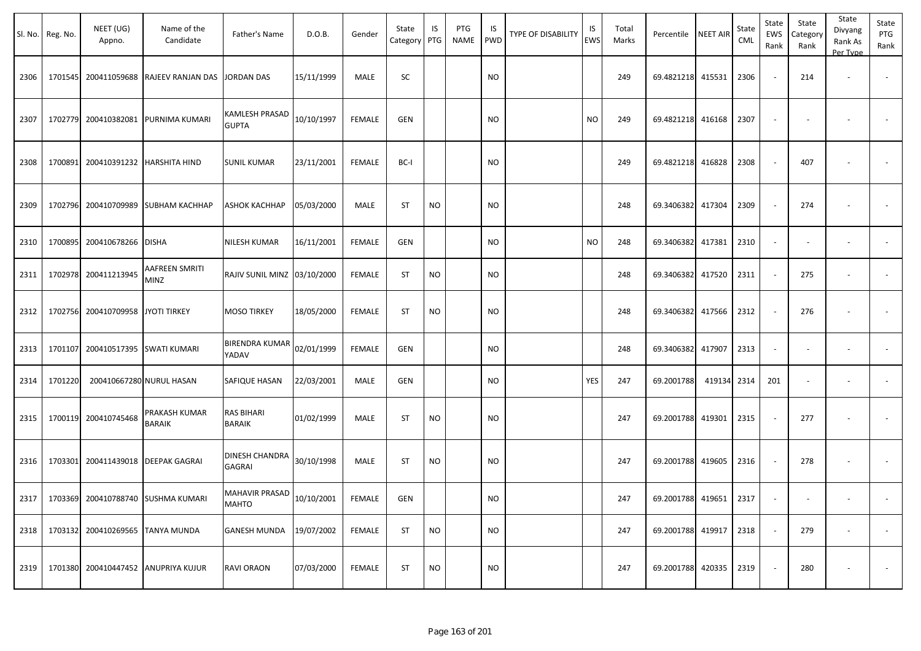|      | Sl. No. Reg. No. | NEET (UG)<br>Appno.                | Name of the<br>Candidate                  | Father's Name                          | D.O.B.            | Gender        | State<br>Category | IS<br>PTG | PTG<br>NAME | IS.<br>PWD    | TYPE OF DISABILITY | IS<br>EWS  | Total<br>Marks | Percentile             | <b>NEET AIR</b> | State<br><b>CML</b> | State<br>EWS<br>Rank     | State<br>Category<br>Rank | State<br>Divyang<br>Rank As<br>Per Type | State<br>PTG<br>Rank |
|------|------------------|------------------------------------|-------------------------------------------|----------------------------------------|-------------------|---------------|-------------------|-----------|-------------|---------------|--------------------|------------|----------------|------------------------|-----------------|---------------------|--------------------------|---------------------------|-----------------------------------------|----------------------|
| 2306 |                  | 1701545 200411059688               | RAJEEV RANJAN DAS                         | <b>JORDAN DAS</b>                      | 15/11/1999        | MALE          | SC                |           |             | <b>NO</b>     |                    |            | 249            | 69.4821218             | 415531          | 2306                | $\sim$                   | 214                       | $\overline{\phantom{a}}$                |                      |
| 2307 |                  | 1702779 200410382081               | PURNIMA KUMARI                            | KAMLESH PRASAD<br><b>GUPTA</b>         | 10/10/1997        | <b>FEMALE</b> | <b>GEN</b>        |           |             | <b>NO</b>     |                    | <b>NO</b>  | 249            | 69.4821218             | 416168          | 2307                | $\sim$                   |                           |                                         |                      |
| 2308 |                  | 1700891 200410391232 HARSHITA HIND |                                           | <b>SUNIL KUMAR</b>                     | 23/11/2001        | FEMALE        | BC-I              |           |             | NO            |                    |            | 249            | 69.4821218             | 416828          | 2308                | $\sim$                   | 407                       | $\overline{\phantom{a}}$                |                      |
| 2309 |                  |                                    | 1702796 200410709989 SUBHAM KACHHAP       | ASHOK KACHHAP                          | 05/03/2000        | MALE          | ST                | <b>NO</b> |             | <b>NO</b>     |                    |            | 248            | 69.3406382             | 417304          | 2309                | $\sim$                   | 274                       |                                         |                      |
| 2310 |                  | 1700895 200410678266 DISHA         |                                           | NILESH KUMAR                           | 16/11/2001        | FEMALE        | <b>GEN</b>        |           |             | <b>NO</b>     |                    | <b>NO</b>  | 248            | 69.3406382 417381      |                 | 2310                | $\sim$                   |                           | $\overline{\phantom{a}}$                |                      |
| 2311 |                  | 1702978 200411213945               | AAFREEN SMRITI<br>MINZ                    | RAJIV SUNIL MINZ 03/10/2000            |                   | FEMALE        | <b>ST</b>         | <b>NO</b> |             | <b>NO</b>     |                    |            | 248            | 69.3406382             | 417520          | 2311                | $\sim$                   | 275                       | $\overline{\phantom{a}}$                |                      |
| 2312 |                  | 1702756 200410709958               | <b>JYOTI TIRKEY</b>                       | <b>MOSO TIRKEY</b>                     | 18/05/2000        | FEMALE        | ST                | <b>NO</b> |             | NO            |                    |            | 248            | 69.3406382             | 417566          | 2312                | $\sim$                   | 276                       |                                         |                      |
| 2313 |                  | 1701107 200410517395 SWATI KUMARI  |                                           | <b>BIRENDRA KUMAR</b><br>YADAV         | 02/01/1999        | <b>FEMALE</b> | <b>GEN</b>        |           |             | <b>NO</b>     |                    |            | 248            | 69.3406382             | 417907          | 2313                | $\overline{\phantom{a}}$ |                           |                                         |                      |
| 2314 | 1701220          |                                    | 200410667280 NURUL HASAN                  | SAFIQUE HASAN                          | 22/03/2001        | MALE          | <b>GEN</b>        |           |             | NO            |                    | <b>YES</b> | 247            | 69.2001788             | 419134 2314     |                     | 201                      |                           |                                         |                      |
| 2315 |                  | 1700119 200410745468               | PRAKASH KUMAR<br>BARAIK                   | RAS BIHARI<br><b>BARAIK</b>            | 01/02/1999        | MALE          | ST                | <b>NO</b> |             | <b>NO</b>     |                    |            | 247            | 69.2001788             | 419301          | 2315                | $\sim$                   | 277                       |                                         |                      |
| 2316 |                  |                                    | 1703301 200411439018 DEEPAK GAGRAI        | <b>DINESH CHANDRA</b><br><b>GAGRAI</b> | 30/10/1998        | MALE          | ST                | <b>NO</b> |             | <b>NO</b>     |                    |            | 247            | 69.2001788 419605      |                 | 2316                | $\sim$                   | 278                       |                                         |                      |
|      |                  |                                    | 2317   1703369 200410788740 SUSHMA KUMARI | MAHAVIR PRASAD<br><b>MAHTO</b>         | 10/10/2001 FEMALE |               | GEN               |           |             | $\mathsf{NO}$ |                    |            | 247            | 69.2001788 419651 2317 |                 |                     |                          |                           |                                         |                      |
| 2318 |                  | 1703132 200410269565 TANYA MUNDA   |                                           | GANESH MUNDA 19/07/2002                |                   | FEMALE        | <b>ST</b>         | <b>NO</b> |             | <b>NO</b>     |                    |            | 247            | 69.2001788 419917      |                 | 2318                | $\sim$ $\sim$            | 279                       | $\sim$                                  | $\sim$               |
| 2319 |                  |                                    | 1701380 200410447452 ANUPRIYA KUJUR       | RAVI ORAON                             | 07/03/2000        | FEMALE        | ST                | <b>NO</b> |             | <b>NO</b>     |                    |            | 247            | 69.2001788 420335      |                 | 2319                | $\sim$                   | 280                       | $\overline{\phantom{a}}$                | $\sim$               |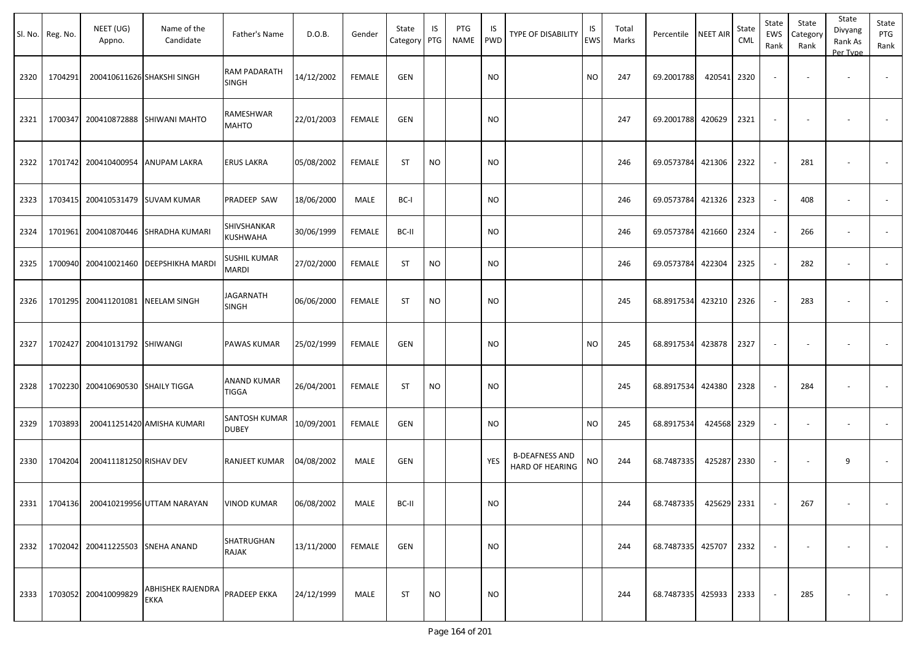|      | Sl. No. Reg. No. | NEET (UG)<br>Appno.              | Name of the<br>Candidate                      | Father's Name                       | D.O.B.     | Gender        | State<br>Category PTG | IS        | PTG<br><b>NAME</b> | IS<br>PWD  | TYPE OF DISABILITY                       | IS<br>EWS | Total<br>Marks | Percentile   NEET AIR  |        | State<br>CML | State<br>EWS<br>Rank | State<br>Category<br>Rank | State<br>Divyang<br>Rank As<br>Per Type | State<br>PTG<br>Rank |
|------|------------------|----------------------------------|-----------------------------------------------|-------------------------------------|------------|---------------|-----------------------|-----------|--------------------|------------|------------------------------------------|-----------|----------------|------------------------|--------|--------------|----------------------|---------------------------|-----------------------------------------|----------------------|
| 2320 | 1704291          |                                  | 200410611626 SHAKSHI SINGH                    | RAM PADARATH<br><b>SINGH</b>        | 14/12/2002 | <b>FEMALE</b> | GEN                   |           |                    | <b>NO</b>  |                                          | <b>NO</b> | 247            | 69.2001788             | 420541 | 2320         |                      |                           | $\overline{\phantom{a}}$                |                      |
| 2321 | 1700347          |                                  | 200410872888 SHIWANI MAHTO                    | RAMESHWAR<br><b>MAHTO</b>           | 22/01/2003 | <b>FEMALE</b> | GEN                   |           |                    | <b>NO</b>  |                                          |           | 247            | 69.2001788             | 420629 | 2321         |                      |                           |                                         |                      |
| 2322 | 1701742          |                                  | 200410400954 ANUPAM LAKRA                     | <b>ERUS LAKRA</b>                   | 05/08/2002 | <b>FEMALE</b> | ST                    | <b>NO</b> |                    | <b>NO</b>  |                                          |           | 246            | 69.0573784             | 421306 | 2322         |                      | 281                       |                                         |                      |
| 2323 | 1703415          |                                  | 200410531479 SUVAM KUMAR                      | PRADEEP SAW                         | 18/06/2000 | MALE          | BC-I                  |           |                    | <b>NO</b>  |                                          |           | 246            | 69.0573784             | 421326 | 2323         |                      | 408                       | $\overline{\phantom{a}}$                |                      |
| 2324 | 1701961          |                                  | 200410870446 SHRADHA KUMARI                   | SHIVSHANKAR<br>KUSHWAHA             | 30/06/1999 | <b>FEMALE</b> | BC-II                 |           |                    | <b>NO</b>  |                                          |           | 246            | 69.0573784             | 421660 | 2324         |                      | 266                       |                                         |                      |
| 2325 | 1700940          |                                  | 200410021460   DEEPSHIKHA MARDI               | <b>SUSHIL KUMAR</b><br><b>MARDI</b> | 27/02/2000 | <b>FEMALE</b> | ST                    | <b>NO</b> |                    | <b>NO</b>  |                                          |           | 246            | 69.0573784             | 422304 | 2325         |                      | 282                       |                                         |                      |
| 2326 | 1701295          |                                  | 200411201081 NEELAM SINGH                     | <b>JAGARNATH</b><br><b>SINGH</b>    | 06/06/2000 | <b>FEMALE</b> | <b>ST</b>             | <b>NO</b> |                    | <b>NO</b>  |                                          |           | 245            | 68.8917534 423210      |        | 2326         |                      | 283                       |                                         |                      |
| 2327 | 1702427          | 200410131792 SHIWANGI            |                                               | <b>PAWAS KUMAR</b>                  | 25/02/1999 | <b>FEMALE</b> | <b>GEN</b>            |           |                    | <b>NO</b>  |                                          | <b>NO</b> | 245            | 68.8917534             | 423878 | 2327         |                      |                           |                                         | $\sim$               |
| 2328 | 1702230          | 200410690530 SHAILY TIGGA        |                                               | <b>ANAND KUMAR</b><br>TIGGA         | 26/04/2001 | <b>FEMALE</b> | <b>ST</b>             | <b>NO</b> |                    | <b>NO</b>  |                                          |           | 245            | 68.8917534 424380      |        | 2328         |                      | 284                       |                                         |                      |
| 2329 | 1703893          |                                  | 200411251420 AMISHA KUMARI                    | SANTOSH KUMAR<br><b>DUBEY</b>       | 10/09/2001 | <b>FEMALE</b> | GEN                   |           |                    | <b>NO</b>  |                                          | <b>NO</b> | 245            | 68.8917534             | 424568 | 2329         |                      |                           | $\overline{\phantom{a}}$                |                      |
| 2330 | 1704204          | 200411181250 RISHAV DEV          |                                               | <b>RANJEET KUMAR</b>                | 04/08/2002 | MALE          | GEN                   |           |                    | <b>YES</b> | <b>B-DEAFNESS AND</b><br>HARD OF HEARING | NO        | 244            | 68.7487335             | 425287 | 2330         |                      |                           | 9                                       |                      |
|      |                  |                                  | 2331   1704136 200410219956 UTTAM NARAYAN     | <b>VINOD KUMAR</b>                  | 06/08/2002 | MALE          | BC-II                 |           |                    | <b>NO</b>  |                                          |           | 244            | 68.7487335 425629 2331 |        |              |                      | 267                       |                                         |                      |
| 2332 |                  | 1702042 200411225503 SNEHA ANAND |                                               | SHATRUGHAN<br><b>RAJAK</b>          | 13/11/2000 | FEMALE        | GEN                   |           |                    | <b>NO</b>  |                                          |           | 244            | 68.7487335 425707 2332 |        |              | $\sim$               |                           | $\overline{\phantom{a}}$                | $\sim$               |
| 2333 |                  | 1703052 200410099829             | ABHISHEK RAJENDRA PRADEEP EKKA<br><b>EKKA</b> |                                     | 24/12/1999 | MALE          | <b>ST</b>             | <b>NO</b> |                    | <b>NO</b>  |                                          |           | 244            | 68.7487335 425933 2333 |        |              |                      | 285                       |                                         | $\sim 100$           |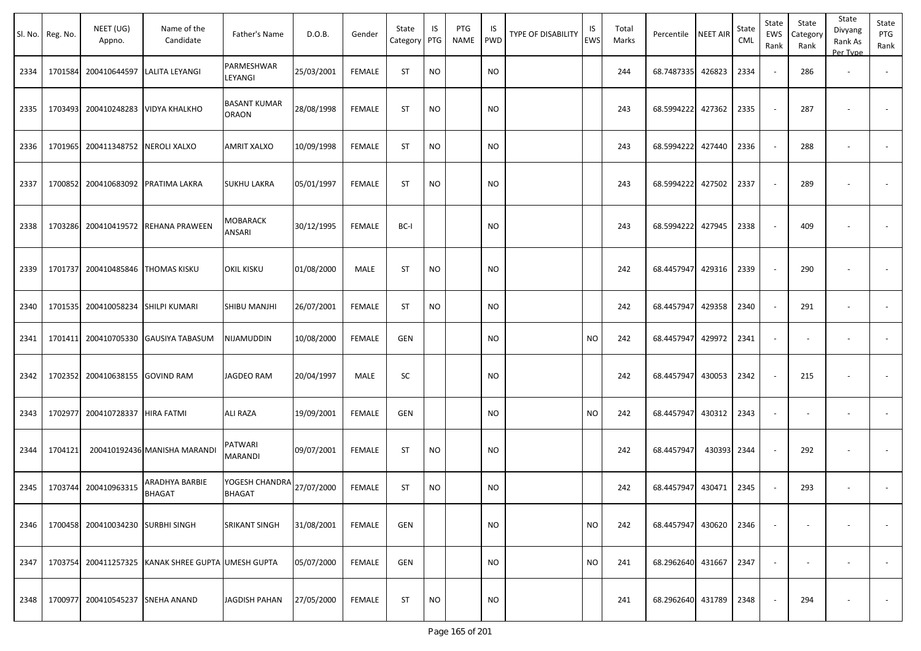| Sl. No. | Reg. No. | NEET (UG)<br>Appno.                | Name of the<br>Candidate                           | Father's Name                   | D.O.B.     | Gender        | State<br>Category | IS<br>PTG | PTG<br><b>NAME</b> | IS<br><b>PWD</b> | TYPE OF DISABILITY | IS<br><b>EWS</b> | Total<br>Marks | Percentile        | <b>NEET AIR</b> | State<br>CML | State<br>EWS<br>Rank | State<br>Category<br>Rank | State<br>Divyang<br>Rank As<br>Per Type | State<br>PTG<br>Rank     |
|---------|----------|------------------------------------|----------------------------------------------------|---------------------------------|------------|---------------|-------------------|-----------|--------------------|------------------|--------------------|------------------|----------------|-------------------|-----------------|--------------|----------------------|---------------------------|-----------------------------------------|--------------------------|
| 2334    | 1701584  | 200410644597                       | LALITA LEYANGI                                     | PARMESHWAR<br>LEYANGI           | 25/03/2001 | <b>FEMALE</b> | <b>ST</b>         | <b>NO</b> |                    | <b>NO</b>        |                    |                  | 244            | 68.7487335        | 426823          | 2334         |                      | 286                       | $\overline{\phantom{a}}$                |                          |
| 2335    | 1703493  | 200410248283                       | <b>VIDYA KHALKHO</b>                               | <b>BASANT KUMAR</b><br>ORAON    | 28/08/1998 | <b>FEMALE</b> | <b>ST</b>         | <b>NO</b> |                    | <b>NO</b>        |                    |                  | 243            | 68.5994222        | 427362          | 2335         |                      | 287                       |                                         |                          |
| 2336    | 1701965  | 200411348752                       | <b>NEROLI XALXO</b>                                | AMRIT XALXO                     | 10/09/1998 | <b>FEMALE</b> | <b>ST</b>         | <b>NO</b> |                    | <b>NO</b>        |                    |                  | 243            | 68.5994222        | 427440          | 2336         |                      | 288                       |                                         | $\overline{\phantom{a}}$ |
| 2337    | 1700852  |                                    | 200410683092 PRATIMA LAKRA                         | <b>SUKHU LAKRA</b>              | 05/01/1997 | <b>FEMALE</b> | <b>ST</b>         | <b>NO</b> |                    | <b>NO</b>        |                    |                  | 243            | 68.5994222        | 427502          | 2337         |                      | 289                       |                                         |                          |
| 2338    | 1703286  | 200410419572                       | <b>REHANA PRAWEEN</b>                              | <b>MOBARACK</b><br>ANSARI       | 30/12/1995 | <b>FEMALE</b> | BC-I              |           |                    | <b>NO</b>        |                    |                  | 243            | 68.5994222        | 427945          | 2338         |                      | 409                       |                                         |                          |
| 2339    | 1701737  | 200410485846 THOMAS KISKU          |                                                    | <b>OKIL KISKU</b>               | 01/08/2000 | MALE          | <b>ST</b>         | <b>NO</b> |                    | <b>NO</b>        |                    |                  | 242            | 68.4457947        | 429316          | 2339         |                      | 290                       |                                         |                          |
| 2340    |          | 1701535 200410058234 SHILPI KUMARI |                                                    | SHIBU MANJHI                    | 26/07/2001 | <b>FEMALE</b> | <b>ST</b>         | <b>NO</b> |                    | <b>NO</b>        |                    |                  | 242            | 68.4457947        | 429358          | 2340         |                      | 291                       | $\overline{\phantom{a}}$                |                          |
| 2341    | 1701411  |                                    | 200410705330 GAUSIYA TABASUM                       | NIJAMUDDIN                      | 10/08/2000 | <b>FEMALE</b> | <b>GEN</b>        |           |                    | <b>NO</b>        |                    | <b>NO</b>        | 242            | 68.4457947        | 429972          | 2341         |                      |                           | $\overline{\phantom{a}}$                |                          |
| 2342    |          | 1702352 200410638155 GOVIND RAM    |                                                    | JAGDEO RAM                      | 20/04/1997 | MALE          | <b>SC</b>         |           |                    | <b>NO</b>        |                    |                  | 242            | 68.4457947        | 430053          | 2342         |                      | 215                       |                                         |                          |
| 2343    | 1702977  | 200410728337                       | <b>HIRA FATMI</b>                                  | <b>ALI RAZA</b>                 | 19/09/2001 | FEMALE        | <b>GEN</b>        |           |                    | <b>NO</b>        |                    | <b>NO</b>        | 242            | 68.4457947        | 430312          | 2343         |                      |                           | $\overline{\phantom{a}}$                |                          |
| 2344    | 1704121  |                                    | 200410192436 MANISHA MARANDI                       | PATWARI<br><b>MARANDI</b>       | 09/07/2001 | <b>FEMALE</b> | <b>ST</b>         | <b>NO</b> |                    | <b>NO</b>        |                    |                  | 242            | 68.4457947        | 430393          | 2344         |                      | 292                       |                                         |                          |
| 2345    | 1703744  | 200410963315                       | ARADHYA BARBIE<br>BHAGAT                           | YOGESH CHANDRA<br><b>BHAGAT</b> | 27/07/2000 | <b>FEMALE</b> | <b>ST</b>         | <b>NO</b> |                    | <b>NO</b>        |                    |                  | 242            | 68.4457947        | 430471          | 2345         |                      | 293                       |                                         |                          |
| 2346    |          | 1700458 200410034230 SURBHI SINGH  |                                                    | SRIKANT SINGH                   | 31/08/2001 | <b>FEMALE</b> | <b>GEN</b>        |           |                    | <b>NO</b>        |                    | <b>NO</b>        | 242            | 68.4457947 430620 |                 | 2346         |                      |                           |                                         |                          |
| 2347    |          |                                    | 1703754 200411257325 KANAK SHREE GUPTA UMESH GUPTA |                                 | 05/07/2000 | <b>FEMALE</b> | GEN               |           |                    | <b>NO</b>        |                    | <b>NO</b>        | 241            | 68.2962640 431667 |                 | 2347         | $\sim$               |                           | $\overline{\phantom{a}}$                |                          |
| 2348    |          | 1700977 200410545237 SNEHA ANAND   |                                                    | <b>JAGDISH PAHAN</b>            | 27/05/2000 | <b>FEMALE</b> | ST                | <b>NO</b> |                    | <b>NO</b>        |                    |                  | 241            | 68.2962640 431789 |                 | 2348         |                      | 294                       | $\overline{\phantom{a}}$                | $\sim$                   |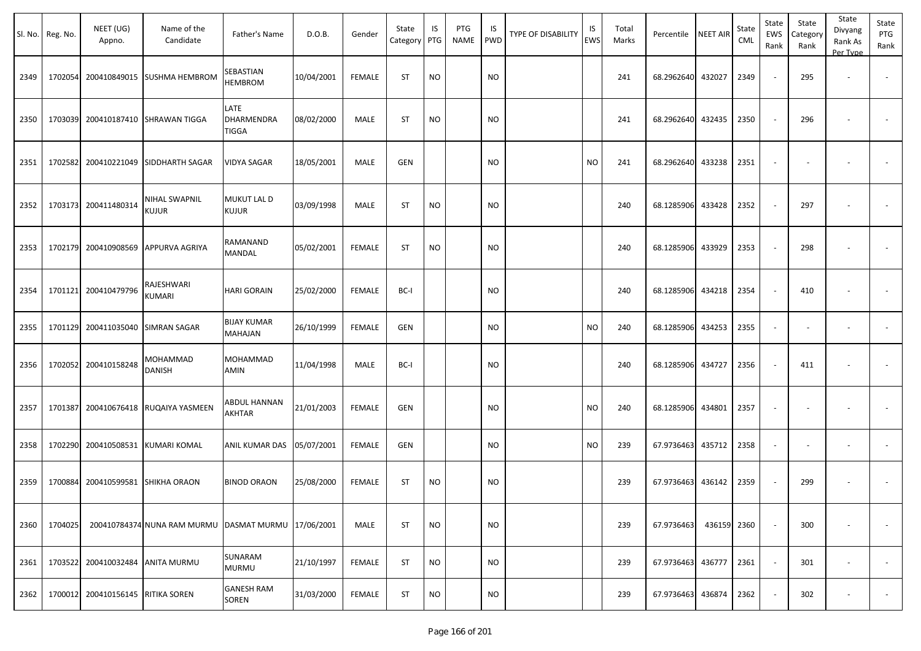|      | Sl. No. Reg. No. | NEET (UG)<br>Appno.               | Name of the<br>Candidate                 | Father's Name                      | D.O.B.     | Gender        | State<br>Category PTG | IS        | PTG<br>NAME | IS<br>PWD | TYPE OF DISABILITY | IS<br><b>EWS</b> | Total<br>Marks | Percentile | <b>NEET AIR</b> | State<br>CML | State<br>EWS<br>Rank     | State<br>Category<br>Rank | State<br>Divyang<br>Rank As<br>Per Type | State<br>PTG<br>Rank     |
|------|------------------|-----------------------------------|------------------------------------------|------------------------------------|------------|---------------|-----------------------|-----------|-------------|-----------|--------------------|------------------|----------------|------------|-----------------|--------------|--------------------------|---------------------------|-----------------------------------------|--------------------------|
| 2349 | 1702054          |                                   | 200410849015 SUSHMA HEMBROM              | SEBASTIAN<br><b>HEMBROM</b>        | 10/04/2001 | <b>FEMALE</b> | <b>ST</b>             | <b>NO</b> |             | <b>NO</b> |                    |                  | 241            | 68.2962640 | 432027          | 2349         | $\sim$                   | 295                       | $\overline{\phantom{a}}$                |                          |
| 2350 | 1703039          |                                   | 200410187410 SHRAWAN TIGGA               | LATE<br>DHARMENDRA<br><b>TIGGA</b> | 08/02/2000 | MALE          | <b>ST</b>             | <b>NO</b> |             | <b>NO</b> |                    |                  | 241            | 68.2962640 | 432435          | 2350         |                          | 296                       |                                         |                          |
| 2351 |                  |                                   | 1702582 200410221049 SIDDHARTH SAGAR     | <b>VIDYA SAGAR</b>                 | 18/05/2001 | MALE          | <b>GEN</b>            |           |             | <b>NO</b> |                    | <b>NO</b>        | 241            | 68.2962640 | 433238          | 2351         | $\overline{\phantom{a}}$ |                           |                                         |                          |
| 2352 |                  | 1703173 200411480314              | NIHAL SWAPNIL<br>KUJUR                   | MUKUT LAL D<br><b>KUJUR</b>        | 03/09/1998 | MALE          | <b>ST</b>             | <b>NO</b> |             | <b>NO</b> |                    |                  | 240            | 68.1285906 | 433428          | 2352         |                          | 297                       |                                         |                          |
| 2353 |                  |                                   | 1702179 200410908569 APPURVA AGRIYA      | RAMANAND<br><b>MANDAL</b>          | 05/02/2001 | FEMALE        | <b>ST</b>             | <b>NO</b> |             | <b>NO</b> |                    |                  | 240            | 68.1285906 | 433929          | 2353         | $\overline{\phantom{a}}$ | 298                       |                                         |                          |
| 2354 |                  | 1701121 200410479796              | RAJESHWARI<br>KUMARI                     | <b>HARI GORAIN</b>                 | 25/02/2000 | FEMALE        | BC-I                  |           |             | <b>NO</b> |                    |                  | 240            | 68.1285906 | 434218          | 2354         |                          | 410                       |                                         |                          |
| 2355 |                  | 1701129 200411035040 SIMRAN SAGAR |                                          | <b>BIJAY KUMAR</b><br>MAHAJAN      | 26/10/1999 | <b>FEMALE</b> | GEN                   |           |             | <b>NO</b> |                    | <b>NO</b>        | 240            | 68.1285906 | 434253          | 2355         | $\sim$                   |                           |                                         |                          |
| 2356 |                  | 1702052 200410158248              | MOHAMMAD<br><b>DANISH</b>                | MOHAMMAD<br>AMIN                   | 11/04/1998 | MALE          | BC-I                  |           |             | <b>NO</b> |                    |                  | 240            | 68.1285906 | 434727          | 2356         | $\overline{\phantom{a}}$ | 411                       |                                         |                          |
| 2357 |                  |                                   | 1701387 200410676418 RUQAIYA YASMEEN     | ABDUL HANNAN<br>AKHTAR             | 21/01/2003 | <b>FEMALE</b> | GEN                   |           |             | <b>NO</b> |                    | <b>NO</b>        | 240            | 68.1285906 | 434801          | 2357         | $\overline{\phantom{a}}$ |                           |                                         |                          |
| 2358 | 1702290          |                                   | 200410508531 KUMARI KOMAL                | ANIL KUMAR DAS                     | 05/07/2001 | <b>FEMALE</b> | <b>GEN</b>            |           |             | <b>NO</b> |                    | <b>NO</b>        | 239            | 67.9736463 | 435712          | 2358         | $\overline{\phantom{a}}$ | $\overline{\phantom{a}}$  |                                         |                          |
| 2359 | 1700884          | 200410599581                      | <b>SHIKHA ORAON</b>                      | <b>BINOD ORAON</b>                 | 25/08/2000 | FEMALE        | <b>ST</b>             | <b>NO</b> |             | <b>NO</b> |                    |                  | 239            | 67.9736463 | 436142          | 2359         |                          | 299                       |                                         |                          |
| 2360 | 1704025          |                                   | 200410784374 NUNA RAM MURMU DASMAT MURMU |                                    | 17/06/2001 | MALE          | <b>ST</b>             | <b>NO</b> |             | <b>NO</b> |                    |                  | 239            | 67.9736463 | 436159          | 2360         | $\overline{\phantom{a}}$ | 300                       |                                         | $\overline{\phantom{a}}$ |
| 2361 |                  | 1703522 200410032484 ANITA MURMU  |                                          | SUNARAM<br><b>MURMU</b>            | 21/10/1997 | FEMALE        | ST                    | <b>NO</b> |             | <b>NO</b> |                    |                  | 239            | 67.9736463 | 436777          | 2361         | $\sim$                   | 301                       | $\overline{\phantom{a}}$                | $\sim$                   |
| 2362 | 1700012          | 200410156145 RITIKA SOREN         |                                          | <b>GANESH RAM</b><br><b>SOREN</b>  | 31/03/2000 | FEMALE        | ST                    | <b>NO</b> |             | <b>NO</b> |                    |                  | 239            | 67.9736463 | 436874          | 2362         | $\sim$                   | 302                       |                                         | $\sim$                   |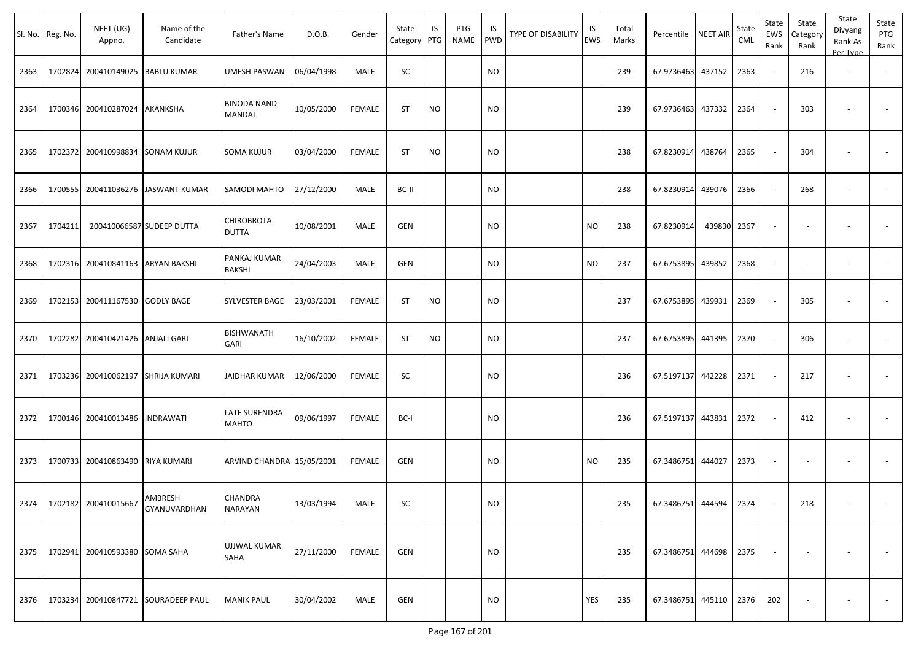|      | Sl. No. Reg. No. | NEET (UG)<br>Appno.                 | Name of the<br>Candidate                   | Father's Name                       | D.O.B.     | Gender        | State<br>Category PTG | IS        | PTG<br><b>NAME</b> | IS<br><b>PWD</b> | <b>TYPE OF DISABILITY</b> | IS<br><b>EWS</b> | Total<br>Marks | Percentile NEET AIR        |        | State<br>CML | State<br>EWS<br>Rank | State<br>Category<br>Rank | State<br>Divyang<br>Rank As<br>Per Type | State<br>PTG<br>Rank |
|------|------------------|-------------------------------------|--------------------------------------------|-------------------------------------|------------|---------------|-----------------------|-----------|--------------------|------------------|---------------------------|------------------|----------------|----------------------------|--------|--------------|----------------------|---------------------------|-----------------------------------------|----------------------|
| 2363 | 1702824          | 200410149025 BABLU KUMAR            |                                            | UMESH PASWAN                        | 06/04/1998 | MALE          | SC                    |           |                    | <b>NO</b>        |                           |                  | 239            | 67.9736463                 | 437152 | 2363         |                      | 216                       | $\overline{\phantom{a}}$                |                      |
| 2364 | 1700346          | 200410287024 AKANKSHA               |                                            | <b>BINODA NAND</b><br><b>MANDAL</b> | 10/05/2000 | <b>FEMALE</b> | <b>ST</b>             | <b>NO</b> |                    | <b>NO</b>        |                           |                  | 239            | 67.9736463                 | 437332 | 2364         |                      | 303                       |                                         |                      |
| 2365 | 1702372          | 200410998834 SONAM KUJUR            |                                            | SOMA KUJUR                          | 03/04/2000 | <b>FEMALE</b> | <b>ST</b>             | <b>NO</b> |                    | <b>NO</b>        |                           |                  | 238            | 67.8230914                 | 438764 | 2365         |                      | 304                       |                                         |                      |
| 2366 | 1700555          |                                     | 200411036276 JASWANT KUMAR                 | SAMODI MAHTO                        | 27/12/2000 | MALE          | BC-II                 |           |                    | <b>NO</b>        |                           |                  | 238            | 67.8230914                 | 439076 | 2366         |                      | 268                       | $\overline{\phantom{a}}$                |                      |
| 2367 | 1704211          |                                     | 200410066587 SUDEEP DUTTA                  | <b>CHIROBROTA</b><br><b>DUTTA</b>   | 10/08/2001 | MALE          | <b>GEN</b>            |           |                    | <b>NO</b>        |                           | <b>NO</b>        | 238            | 67.8230914                 | 439830 | 2367         |                      |                           |                                         |                      |
| 2368 | 1702316          |                                     | 200410841163 ARYAN BAKSHI                  | PANKAJ KUMAR<br><b>BAKSHI</b>       | 24/04/2003 | MALE          | GEN                   |           |                    | <b>NO</b>        |                           | <b>NO</b>        | 237            | 67.6753895                 | 439852 | 2368         |                      |                           |                                         |                      |
| 2369 |                  | 1702153 200411167530 GODLY BAGE     |                                            | SYLVESTER BAGE                      | 23/03/2001 | <b>FEMALE</b> | <b>ST</b>             | <b>NO</b> |                    | <b>NO</b>        |                           |                  | 237            | 67.6753895 439931          |        | 2369         |                      | 305                       |                                         |                      |
| 2370 | 1702282          | 200410421426 ANJALI GARI            |                                            | <b>BISHWANATH</b><br>GARI           | 16/10/2002 | <b>FEMALE</b> | <b>ST</b>             | <b>NO</b> |                    | <b>NO</b>        |                           |                  | 237            | 67.6753895                 | 441395 | 2370         |                      | 306                       | $\overline{\phantom{a}}$                | $\sim$               |
| 2371 |                  | 1703236 200410062197 SHRIJA KUMARI  |                                            | JAIDHAR KUMAR                       | 12/06/2000 | <b>FEMALE</b> | SC                    |           |                    | <b>NO</b>        |                           |                  | 236            | 67.5197137 442228          |        | 2371         |                      | 217                       |                                         |                      |
| 2372 |                  | 1700146 200410013486 INDRAWATI      |                                            | LATE SURENDRA<br><b>MAHTO</b>       | 09/06/1997 | <b>FEMALE</b> | BC-I                  |           |                    | <b>NO</b>        |                           |                  | 236            | 67.5197137 443831          |        | 2372         |                      | 412                       |                                         |                      |
| 2373 | 1700733          | 200410863490 RIYA KUMARI            |                                            | ARVIND CHANDRA 15/05/2001           |            | FEMALE        | <b>GEN</b>            |           |                    | <b>NO</b>        |                           | <b>NO</b>        | 235            | 67.3486751                 | 444027 | 2373         |                      |                           |                                         |                      |
|      |                  | 2374   1702182 200410015667 AMBRESH | GYANUVARDHAN                               | CHANDRA<br>NARAYAN                  | 13/03/1994 | MALE          | SC                    |           |                    | <b>NO</b>        |                           |                  | 235            | 67.3486751 444594 2374     |        |              |                      | 218                       |                                         |                      |
| 2375 |                  | 1702941 200410593380 SOMA SAHA      |                                            | UJJWAL KUMAR<br>SAHA                | 27/11/2000 | FEMALE        | GEN                   |           |                    | <b>NO</b>        |                           |                  | 235            | 67.3486751 444698 2375     |        |              |                      |                           |                                         |                      |
|      |                  |                                     | 2376   1703234 200410847721 SOURADEEP PAUL | <b>MANIK PAUL</b>                   | 30/04/2002 | MALE          | GEN                   |           |                    | <b>NO</b>        |                           | YES              | 235            | 67.3486751 445110 2376 202 |        |              |                      | $\sim$                    | $\overline{\phantom{a}}$                | $\sim 100$           |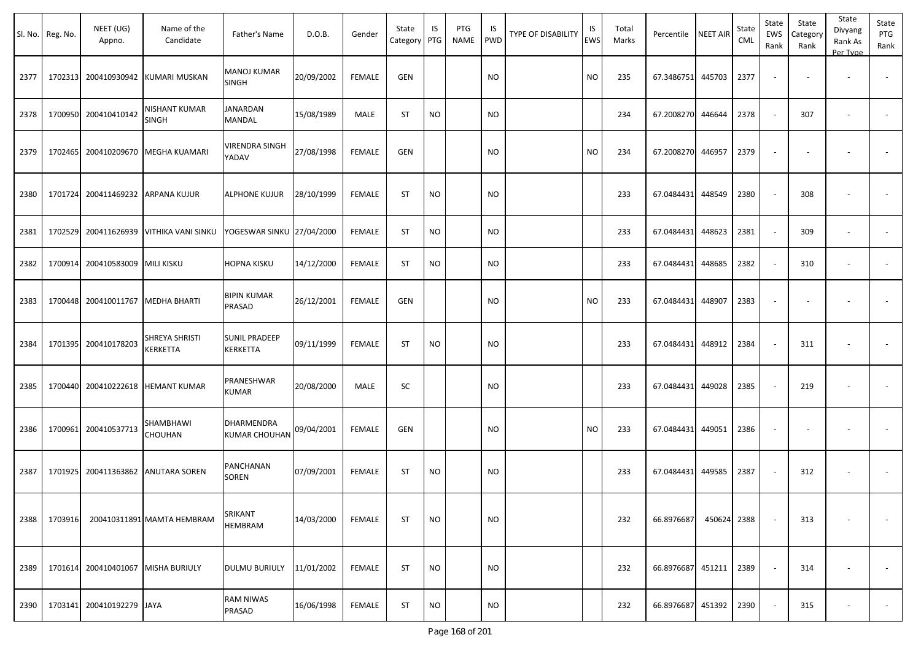| Sl. No. | Reg. No. | NEET (UG)<br>Appno.                | Name of the<br>Candidate      | Father's Name                      | D.O.B.     | Gender        | State<br>Category | IS<br>PTG | PTG<br><b>NAME</b> | IS<br><b>PWD</b> | <b>TYPE OF DISABILITY</b> | IS<br><b>EWS</b> | Total<br>Marks | Percentile        | <b>NEET AIR</b> | State<br>CML | State<br>EWS<br>Rank | State<br>Category<br>Rank | State<br>Divyang<br>Rank As<br>Per Type | State<br>PTG<br>Rank     |
|---------|----------|------------------------------------|-------------------------------|------------------------------------|------------|---------------|-------------------|-----------|--------------------|------------------|---------------------------|------------------|----------------|-------------------|-----------------|--------------|----------------------|---------------------------|-----------------------------------------|--------------------------|
| 2377    | 1702313  | 200410930942                       | KUMARI MUSKAN                 | <b>MANOJ KUMAR</b><br>SINGH        | 20/09/2002 | <b>FEMALE</b> | <b>GEN</b>        |           |                    | <b>NO</b>        |                           | <b>NO</b>        | 235            | 67.3486751        | 445703          | 2377         |                      |                           |                                         |                          |
| 2378    | 1700950  | 200410410142                       | <b>NISHANT KUMAR</b><br>SINGH | <b>JANARDAN</b><br>MANDAL          | 15/08/1989 | MALE          | <b>ST</b>         | <b>NO</b> |                    | <b>NO</b>        |                           |                  | 234            | 67.2008270        | 446644          | 2378         |                      | 307                       | $\overline{\phantom{a}}$                |                          |
| 2379    | 1702465  | 200410209670                       | MEGHA KUAMARI                 | <b>VIRENDRA SINGH</b><br>YADAV     | 27/08/1998 | <b>FEMALE</b> | <b>GEN</b>        |           |                    | <b>NO</b>        |                           | <b>NO</b>        | 234            | 67.2008270        | 446957          | 2379         |                      |                           |                                         |                          |
| 2380    |          | 1701724 200411469232 ARPANA KUJUR  |                               | <b>ALPHONE KUJUR</b>               | 28/10/1999 | <b>FEMALE</b> | <b>ST</b>         | <b>NO</b> |                    | <b>NO</b>        |                           |                  | 233            | 67.0484431        | 448549          | 2380         |                      | 308                       |                                         |                          |
| 2381    | 1702529  | 200411626939                       | <b>VITHIKA VANI SINKU</b>     | YOGESWAR SINKU 27/04/2000          |            | <b>FEMALE</b> | <b>ST</b>         | <b>NO</b> |                    | <b>NO</b>        |                           |                  | 233            | 67.0484431        | 448623          | 2381         | $\sim$               | 309                       | $\overline{\phantom{a}}$                | $\overline{\phantom{a}}$ |
| 2382    | 1700914  | 200410583009                       | <b>MILI KISKU</b>             | HOPNA KISKU                        | 14/12/2000 | <b>FEMALE</b> | <b>ST</b>         | NO        |                    | <b>NO</b>        |                           |                  | 233            | 67.0484431        | 448685          | 2382         |                      | 310                       |                                         |                          |
| 2383    |          | 1700448 200410011767               | <b>MEDHA BHARTI</b>           | <b>BIPIN KUMAR</b><br>PRASAD       | 26/12/2001 | <b>FEMALE</b> | <b>GEN</b>        |           |                    | <b>NO</b>        |                           | <b>NO</b>        | 233            | 67.0484431        | 448907          | 2383         |                      |                           | $\overline{\phantom{a}}$                |                          |
| 2384    |          | 1701395 200410178203               | SHREYA SHRISTI<br>KERKETTA    | <b>SUNIL PRADEEP</b><br>KERKETTA   | 09/11/1999 | <b>FEMALE</b> | <b>ST</b>         | <b>NO</b> |                    | <b>NO</b>        |                           |                  | 233            | 67.0484431        | 448912          | 2384         |                      | 311                       | $\overline{\phantom{a}}$                |                          |
| 2385    |          | 1700440 200410222618               | <b>HEMANT KUMAR</b>           | PRANESHWAR<br><b>KUMAR</b>         | 20/08/2000 | MALE          | SC                |           |                    | <b>NO</b>        |                           |                  | 233            | 67.0484431        | 449028          | 2385         |                      | 219                       | $\overline{\phantom{a}}$                |                          |
| 2386    |          | 1700961 200410537713               | SHAMBHAWI<br>CHOUHAN          | DHARMENDRA<br><b>KUMAR CHOUHAN</b> | 09/04/2001 | <b>FEMALE</b> | <b>GEN</b>        |           |                    | <b>NO</b>        |                           | <b>NO</b>        | 233            | 67.0484431        | 449051          | 2386         |                      |                           | $\overline{\phantom{a}}$                |                          |
| 2387    | 1701925  | 200411363862                       | <b>ANUTARA SOREN</b>          | PANCHANAN<br>SOREN                 | 07/09/2001 | <b>FEMALE</b> | <b>ST</b>         | <b>NO</b> |                    | <b>NO</b>        |                           |                  | 233            | 67.0484431        | 449585          | 2387         |                      | 312                       | $\overline{\phantom{a}}$                |                          |
| 2388    | 1703916  |                                    | 200410311891 MAMTA HEMBRAM    | SRIKANT<br>HEMBRAM                 | 14/03/2000 | <b>FEMALE</b> | <b>ST</b>         | <b>NO</b> |                    | <b>NO</b>        |                           |                  | 232            | 66.8976687        | 450624          | 2388         |                      | 313                       |                                         | $\sim$                   |
| 2389    |          | 1701614 200410401067 MISHA BURIULY |                               | <b>DULMU BURIULY</b>               | 11/01/2002 | <b>FEMALE</b> | ST                | <b>NO</b> |                    | <b>NO</b>        |                           |                  | 232            | 66.8976687 451211 |                 | 2389         |                      | 314                       |                                         | $\sim$                   |
| 2390    |          | 1703141 200410192279 JAYA          |                               | RAM NIWAS<br>PRASAD                | 16/06/1998 | <b>FEMALE</b> | ST                | <b>NO</b> |                    | <b>NO</b>        |                           |                  | 232            | 66.8976687        | 451392          | 2390         |                      | 315                       |                                         | $\sim$                   |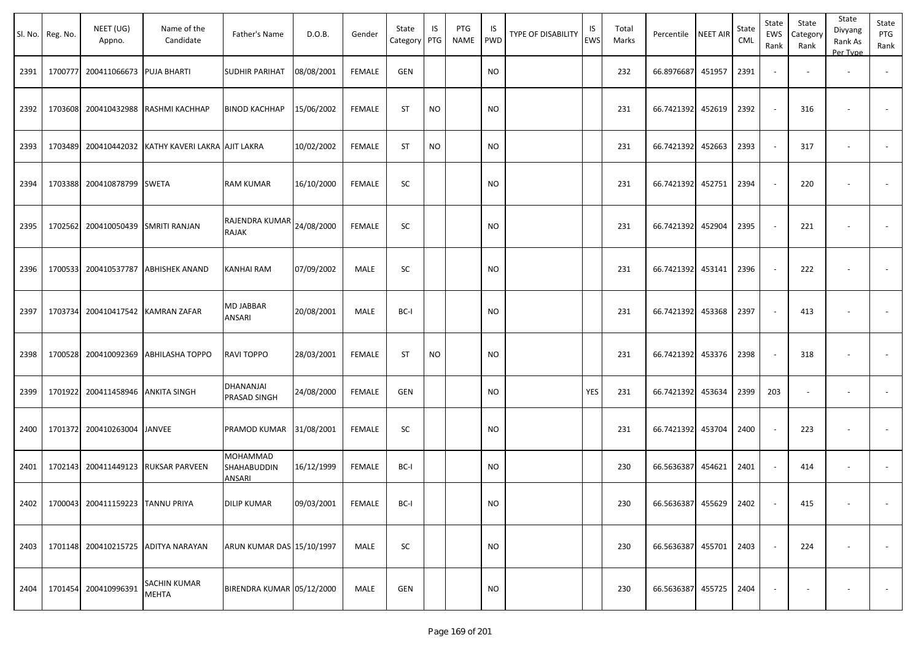|      | Sl. No. Reg. No. | NEET (UG)<br>Appno.                   | Name of the<br>Candidate                   | Father's Name                            | D.O.B.     | Gender        | State<br>Category | IS<br>PTG | PTG<br>NAME | IS<br>PWD | <b>TYPE OF DISABILITY</b> | IS<br><b>EWS</b> | Total<br>Marks | Percentile             | <b>NEET AIR</b> | State<br>CML | State<br>EWS<br>Rank | State<br>Category<br>Rank | State<br>Divyang<br>Rank As<br>Per Type | State<br>PTG<br>Rank |
|------|------------------|---------------------------------------|--------------------------------------------|------------------------------------------|------------|---------------|-------------------|-----------|-------------|-----------|---------------------------|------------------|----------------|------------------------|-----------------|--------------|----------------------|---------------------------|-----------------------------------------|----------------------|
| 2391 | 1700777          | 200411066673                          | <b>PUJA BHARTI</b>                         | SUDHIR PARIHAT                           | 08/08/2001 | <b>FEMALE</b> | <b>GEN</b>        |           |             | <b>NO</b> |                           |                  | 232            | 66.8976687             | 451957          | 2391         |                      |                           |                                         |                      |
| 2392 | 1703608          | 200410432988                          | RASHMI KACHHAP                             | <b>BINOD KACHHAP</b>                     | 15/06/2002 | <b>FEMALE</b> | <b>ST</b>         | <b>NO</b> |             | <b>NO</b> |                           |                  | 231            | 66.7421392 452619      |                 | 2392         |                      | 316                       |                                         |                      |
| 2393 | 1703489          | 200410442032                          | KATHY KAVERI LAKRA AJIT LAKRA              |                                          | 10/02/2002 | <b>FEMALE</b> | ST                | <b>NO</b> |             | <b>NO</b> |                           |                  | 231            | 66.7421392             | 452663          | 2393         |                      | 317                       |                                         |                      |
| 2394 | 1703388          | 200410878799                          | <b>SWETA</b>                               | RAM KUMAR                                | 16/10/2000 | FEMALE        | SC                |           |             | NO.       |                           |                  | 231            | 66.7421392 452751      |                 | 2394         |                      | 220                       |                                         |                      |
| 2395 | 1702562          | 200410050439                          | <b>SMRITI RANJAN</b>                       | RAJENDRA KUMAR<br>RAJAK                  | 24/08/2000 | <b>FEMALE</b> | SC                |           |             | <b>NO</b> |                           |                  | 231            | 66.7421392             | 452904          | 2395         |                      | 221                       |                                         |                      |
| 2396 | 1700533          | 200410537787                          | <b>ABHISHEK ANAND</b>                      | KANHAI RAM                               | 07/09/2002 | MALE          | SC                |           |             | NO.       |                           |                  | 231            | 66.7421392 453141      |                 | 2396         |                      | 222                       |                                         |                      |
| 2397 | 1703734          | 200410417542                          | <b>KAMRAN ZAFAR</b>                        | MD JABBAR<br>ANSARI                      | 20/08/2001 | MALE          | BC-I              |           |             | NO.       |                           |                  | 231            | 66.7421392 453368      |                 | 2397         |                      | 413                       |                                         |                      |
| 2398 | 1700528          | 200410092369                          | <b>ABHILASHA TOPPO</b>                     | RAVI TOPPO                               | 28/03/2001 | FEMALE        | ST                | <b>NO</b> |             | NO.       |                           |                  | 231            | 66.7421392 453376      |                 | 2398         |                      | 318                       |                                         |                      |
| 2399 | 1701922          | 200411458946 ANKITA SINGH             |                                            | DHANANJAI<br>PRASAD SINGH                | 24/08/2000 | <b>FEMALE</b> | <b>GEN</b>        |           |             | NO.       |                           | YES              | 231            | 66.7421392             | 453634          | 2399         | 203                  |                           | $\sim$                                  |                      |
| 2400 | 1701372          | 200410263004                          | JANVEE                                     | PRAMOD KUMAR                             | 31/08/2001 | <b>FEMALE</b> | SC                |           |             | NO.       |                           |                  | 231            | 66.7421392 453704      |                 | 2400         |                      | 223                       |                                         |                      |
| 2401 | 1702143          | 200411449123                          | <b>RUKSAR PARVEEN</b>                      | MOHAMMAD<br>SHAHABUDDIN<br><b>ANSARI</b> | 16/12/1999 | <b>FEMALE</b> | BC-I              |           |             | <b>NO</b> |                           |                  | 230            | 66.5636387             | 454621          | 2401         |                      | 414                       | $\overline{\phantom{a}}$                |                      |
|      |                  | 2402 1700043 200411159223 TANNU PRIYA |                                            | DILIP KUMAR                              | 09/03/2001 | FEMALE        | BC-I              |           |             | <b>NO</b> |                           |                  | 230            | 66.5636387 455629 2402 |                 |              |                      | 415                       |                                         |                      |
|      |                  |                                       | 2403   1701148 200410215725 ADITYA NARAYAN | ARUN KUMAR DAS 15/10/1997                |            | MALE          | <b>SC</b>         |           |             | <b>NO</b> |                           |                  | 230            | 66.5636387 455701 2403 |                 |              |                      | 224                       | $\overline{\phantom{a}}$                | $\sim$               |
|      |                  | 2404 1701454 200410996391             | SACHIN KUMAR<br><b>MEHTA</b>               | BIRENDRA KUMAR 05/12/2000                |            | MALE          | GEN               |           |             | <b>NO</b> |                           |                  | 230            | 66.5636387 455725 2404 |                 |              |                      |                           |                                         | $\sim$ $-$           |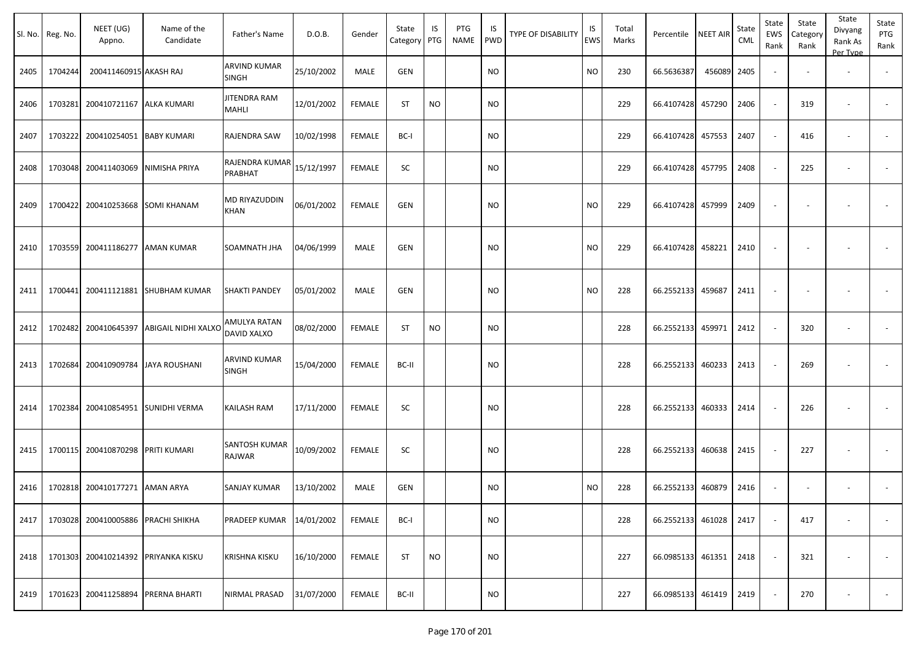|      | Sl. No. Reg. No. | NEET (UG)<br>Appno.                 | Name of the<br>Candidate           | Father's Name                  | D.O.B.     | Gender        | State<br>Category | IS<br>PTG | PTG<br>NAME | IS<br><b>PWD</b> | TYPE OF DISABILITY | IS<br>EWS | Total<br>Marks | Percentile        | <b>NEET AIR</b> | State<br><b>CML</b> | State<br>EWS<br>Rank     | State<br>Category<br>Rank | State<br>Divyang<br>Rank As<br>Per Type | State<br>PTG<br>Rank     |
|------|------------------|-------------------------------------|------------------------------------|--------------------------------|------------|---------------|-------------------|-----------|-------------|------------------|--------------------|-----------|----------------|-------------------|-----------------|---------------------|--------------------------|---------------------------|-----------------------------------------|--------------------------|
| 2405 | 1704244          | 200411460915 AKASH RAJ              |                                    | ARVIND KUMAR<br><b>SINGH</b>   | 25/10/2002 | MALE          | GEN               |           |             | <b>NO</b>        |                    | <b>NO</b> | 230            | 66.5636387        | 456089          | 2405                | $\sim$                   |                           | $\overline{\phantom{a}}$                | $\sim$                   |
| 2406 | 1703281          | 200410721167                        | ALKA KUMARI                        | JITENDRA RAM<br>MAHLI          | 12/01/2002 | FEMALE        | <b>ST</b>         | <b>NO</b> |             | <b>NO</b>        |                    |           | 229            | 66.4107428        | 457290          | 2406                | $\sim$                   | 319                       | $\overline{\phantom{a}}$                |                          |
| 2407 | 1703222          | 200410254051                        | <b>BABY KUMARI</b>                 | RAJENDRA SAW                   | 10/02/1998 | <b>FEMALE</b> | BC-I              |           |             | <b>NO</b>        |                    |           | 229            | 66.4107428        | 457553          | 2407                | $\sim$                   | 416                       | $\overline{\phantom{a}}$                |                          |
| 2408 | 1703048          | 200411403069                        | NIMISHA PRIYA                      | RAJENDRA KUMAR<br>PRABHAT      | 15/12/1997 | <b>FEMALE</b> | SC                |           |             | <b>NO</b>        |                    |           | 229            | 66.4107428        | 457795          | 2408                | $\sim$                   | 225                       | $\overline{\phantom{a}}$                |                          |
| 2409 | 1700422          | 200410253668                        | <b>SOMI KHANAM</b>                 | MD RIYAZUDDIN<br>KHAN          | 06/01/2002 | FEMALE        | <b>GEN</b>        |           |             | <b>NO</b>        |                    | <b>NO</b> | 229            | 66.4107428        | 457999          | 2409                |                          |                           |                                         |                          |
| 2410 |                  | 1703559 200411186277                | <b>AMAN KUMAR</b>                  | SOAMNATH JHA                   | 04/06/1999 | MALE          | <b>GEN</b>        |           |             | <b>NO</b>        |                    | <b>NO</b> | 229            | 66.4107428        | 458221          | 2410                |                          |                           |                                         |                          |
| 2411 |                  |                                     | 1700441 200411121881 SHUBHAM KUMAR | <b>SHAKTI PANDEY</b>           | 05/01/2002 | MALE          | <b>GEN</b>        |           |             | <b>NO</b>        |                    | <b>NO</b> | 228            | 66.2552133        | 459687          | 2411                |                          |                           |                                         |                          |
| 2412 | 1702482          | 200410645397                        | <b>ABIGAIL NIDHI XALXO</b>         | AMULYA RATAN<br>DAVID XALXO    | 08/02/2000 | <b>FEMALE</b> | <b>ST</b>         | <b>NO</b> |             | <b>NO</b>        |                    |           | 228            | 66.2552133        | 459971          | 2412                | $\sim$                   | 320                       | $\sim$                                  |                          |
| 2413 | 1702684          | 200410909784                        | JAYA ROUSHANI                      | ARVIND KUMAR<br><b>SINGH</b>   | 15/04/2000 | <b>FEMALE</b> | BC-II             |           |             | <b>NO</b>        |                    |           | 228            | 66.2552133        | 460233          | 2413                | $\overline{\phantom{a}}$ | 269                       |                                         |                          |
| 2414 | 1702384          | 200410854951                        | SUNIDHI VERMA                      | KAILASH RAM                    | 17/11/2000 | FEMALE        | SC                |           |             | <b>NO</b>        |                    |           | 228            | 66.2552133        | 460333          | 2414                | $\sim$                   | 226                       |                                         |                          |
| 2415 |                  | 1700115 200410870298 PRITI KUMARI   |                                    | <b>SANTOSH KUMAR</b><br>RAJWAR | 10/09/2002 | FEMALE        | SC                |           |             | <b>NO</b>        |                    |           | 228            | 66.2552133        | 460638          | 2415                | $\sim$                   | 227                       |                                         |                          |
| 2416 |                  | 1702818 200410177271                | <b>AMAN ARYA</b>                   | SANJAY KUMAR                   | 13/10/2002 | MALE          | GEN               |           |             | <b>NO</b>        |                    | <b>NO</b> | 228            | 66.2552133        | 460879          | 2416                |                          |                           |                                         |                          |
| 2417 |                  | 1703028 200410005886 PRACHI SHIKHA  |                                    | PRADEEP KUMAR                  | 14/01/2002 | FEMALE        | BC-I              |           |             | <b>NO</b>        |                    |           | 228            | 66.2552133        | 461028          | 2417                |                          | 417                       |                                         | $\overline{\phantom{a}}$ |
| 2418 |                  | 1701303 200410214392 PRIYANKA KISKU |                                    | <b>KRISHNA KISKU</b>           | 16/10/2000 | <b>FEMALE</b> | <b>ST</b>         | <b>NO</b> |             | <b>NO</b>        |                    |           | 227            | 66.0985133 461351 |                 | 2418                | $\sim$                   | 321                       |                                         | $\sim$                   |
| 2419 | 1701623          | 200411258894                        | PRERNA BHARTI                      | NIRMAL PRASAD                  | 31/07/2000 | FEMALE        | BC-II             |           |             | <b>NO</b>        |                    |           | 227            | 66.0985133 461419 |                 | 2419                | $\sim$                   | 270                       |                                         | $\sim$                   |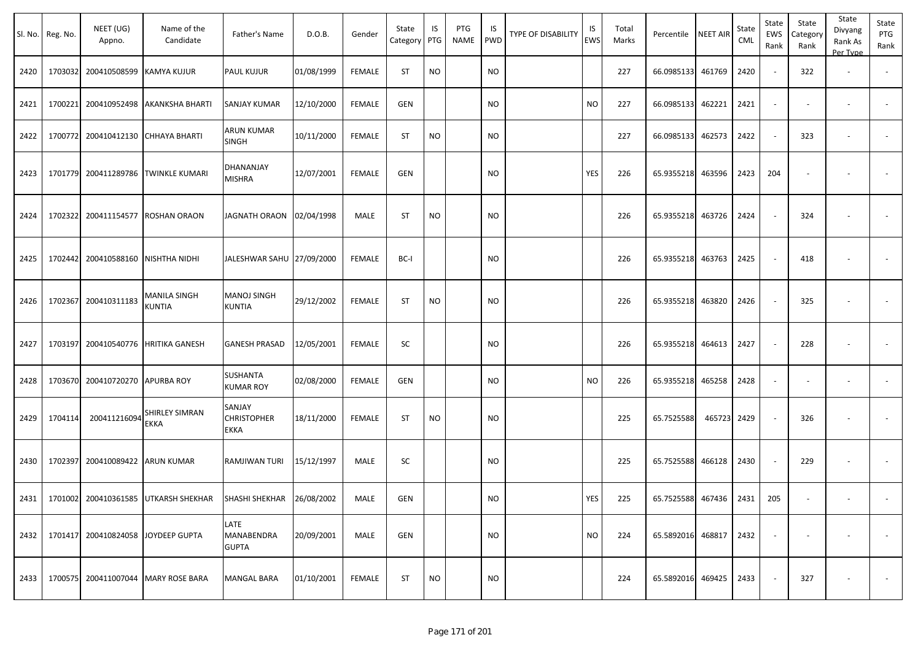|      | Sl. No. Reg. No. | NEET (UG)<br>Appno.                | Name of the<br>Candidate                                                      | Father's Name                               | D.O.B.     | Gender        | State<br>Category | IS<br>PTG | PTG<br>NAME | IS<br>PWD     | TYPE OF DISABILITY | IS<br><b>EWS</b> | Total<br>Marks | Percentile                 | <b>NEET AIR</b> | State<br>CML | State<br>EWS<br>Rank        | State<br>Category<br>Rank | State<br>Divyang<br>Rank As<br>Per Type | State<br>PTG<br>Rank |
|------|------------------|------------------------------------|-------------------------------------------------------------------------------|---------------------------------------------|------------|---------------|-------------------|-----------|-------------|---------------|--------------------|------------------|----------------|----------------------------|-----------------|--------------|-----------------------------|---------------------------|-----------------------------------------|----------------------|
| 2420 |                  | 1703032 200410508599               | <b>KAMYA KUJUR</b>                                                            | <b>PAUL KUJUR</b>                           | 01/08/1999 | <b>FEMALE</b> | <b>ST</b>         | <b>NO</b> |             | <b>NO</b>     |                    |                  | 227            | 66.0985133                 | 461769          | 2420         | $\sim$                      | 322                       | $\sim$                                  |                      |
| 2421 |                  |                                    | 1700221 200410952498 AKANKSHA BHARTI                                          | <b>SANJAY KUMAR</b>                         | 12/10/2000 | <b>FEMALE</b> | <b>GEN</b>        |           |             | <b>NO</b>     |                    | NO.              | 227            | 66.0985133                 | 462221          | 2421         | $\overline{\phantom{a}}$    | $\overline{\phantom{a}}$  | $\sim$                                  |                      |
| 2422 |                  | 1700772 200410412130 CHHAYA BHARTI |                                                                               | <b>ARUN KUMAR</b><br><b>SINGH</b>           | 10/11/2000 | <b>FEMALE</b> | <b>ST</b>         | <b>NO</b> |             | <b>NO</b>     |                    |                  | 227            | 66.0985133                 | 462573          | 2422         | $\mathcal{L}_{\mathcal{A}}$ | 323                       | $\sim$                                  |                      |
| 2423 |                  |                                    | 1701779 200411289786 TWINKLE KUMARI                                           | DHANANJAY<br><b>MISHRA</b>                  | 12/07/2001 | <b>FEMALE</b> | <b>GEN</b>        |           |             | <b>NO</b>     |                    | <b>YES</b>       | 226            | 65.9355218                 | 463596          | 2423         | 204                         | $\overline{\phantom{a}}$  |                                         |                      |
| 2424 |                  | 1702322 200411154577               | <b>ROSHAN ORAON</b>                                                           | JAGNATH ORAON                               | 02/04/1998 | <b>MALE</b>   | <b>ST</b>         | <b>NO</b> |             | <b>NO</b>     |                    |                  | 226            | 65.9355218                 | 463726          | 2424         | $\sim$                      | 324                       | $\sim$                                  |                      |
| 2425 |                  | 1702442 200410588160               | <b>NISHTHA NIDHI</b>                                                          | JALESHWAR SAHU 27/09/2000                   |            | <b>FEMALE</b> | BC-I              |           |             | <b>NO</b>     |                    |                  | 226            | 65.9355218                 | 463763          | 2425         | $\sim$                      | 418                       |                                         | $\sim$               |
| 2426 |                  | 1702367 200410311183               | MANILA SINGH<br><b>KUNTIA</b>                                                 | <b>MANOJ SINGH</b><br><b>KUNTIA</b>         | 29/12/2002 | <b>FEMALE</b> | <b>ST</b>         | <b>NO</b> |             | <b>NO</b>     |                    |                  | 226            | 65.9355218                 | 463820          | 2426         | $\sim$                      | 325                       |                                         |                      |
| 2427 |                  |                                    | 1703197 200410540776 HRITIKA GANESH                                           | <b>GANESH PRASAD</b>                        | 12/05/2001 | <b>FEMALE</b> | SC                |           |             | <b>NO</b>     |                    |                  | 226            | 65.9355218                 | 464613          | 2427         | $\sim$                      | 228                       | $\sim$                                  | $\blacksquare$       |
| 2428 |                  | 1703670 200410720270 APURBA ROY    |                                                                               | <b>SUSHANTA</b><br><b>KUMAR ROY</b>         | 02/08/2000 | <b>FEMALE</b> | <b>GEN</b>        |           |             | <b>NO</b>     |                    | NO.              | 226            | 65.9355218                 | 465258          | 2428         | $\blacksquare$              |                           |                                         |                      |
| 2429 | 1704114          | 200411216094                       | SHIRLEY SIMRAN<br><b>EKKA</b>                                                 | SANJAY<br><b>CHRISTOPHER</b><br><b>EKKA</b> | 18/11/2000 | FEMALE        | <b>ST</b>         | <b>NO</b> |             | <b>NO</b>     |                    |                  | 225            | 65.7525588                 | 465723 2429     |              | $\sim$                      | 326                       |                                         |                      |
| 2430 |                  | 1702397 200410089422 ARUN KUMAR    |                                                                               | RAMJIWAN TURI                               | 15/12/1997 | MALE          | SC                |           |             | <b>NO</b>     |                    |                  | 225            | 65.7525588                 | 466128          | 2430         | $\sim$                      | 229                       |                                         |                      |
|      |                  |                                    | 2431   1701002   200410361585   UTKARSH SHEKHAR   SHASHI SHEKHAR   26/08/2002 |                                             |            | MALE          | GEN               |           |             | $\mathsf{NO}$ |                    | YES              | 225            | 65.7525588 467436 2431 205 |                 |              |                             |                           |                                         |                      |
| 2432 |                  | 1701417 200410824058 JOYDEEP GUPTA |                                                                               | LATE<br>MANABENDRA<br><b>GUPTA</b>          | 20/09/2001 | MALE          | GEN               |           |             | <b>NO</b>     |                    | <b>NO</b>        | 224            | 65.5892016 468817          |                 | 2432         | $\sim$                      | $\overline{\phantom{a}}$  | $\sim$                                  | $\sim$               |
| 2433 |                  |                                    | 1700575 200411007044 MARY ROSE BARA                                           | <b>MANGAL BARA</b>                          | 01/10/2001 | FEMALE        | ST                | <b>NO</b> |             | <b>NO</b>     |                    |                  | 224            | 65.5892016 469425 2433     |                 |              | $\sim$                      | 327                       | $\sim$                                  | $\sim$               |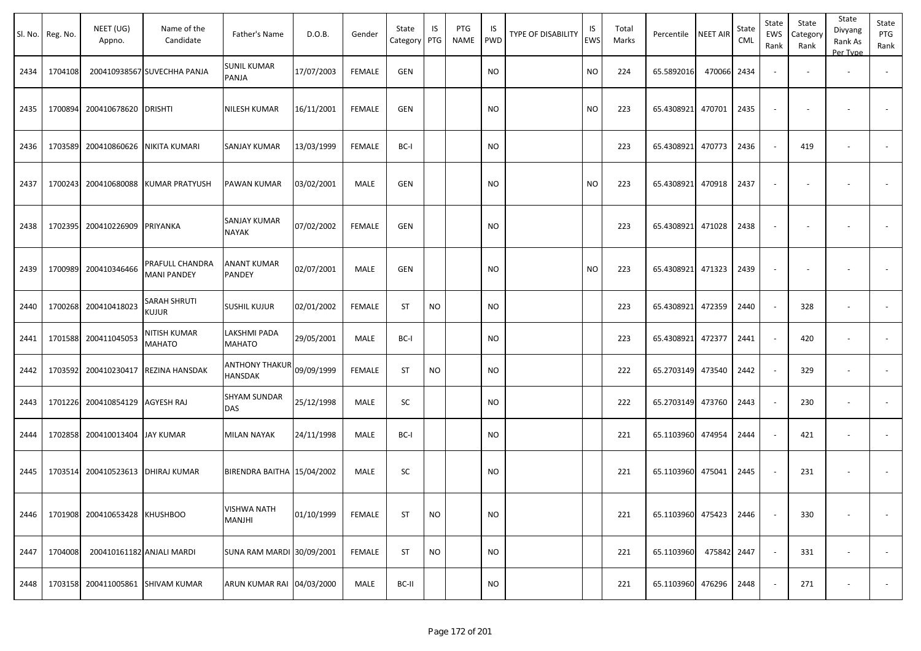|      | Sl. No. Reg. No. | NEET (UG)<br>Appno.   | Name of the<br>Candidate              | Father's Name                    | D.O.B.     | Gender        | State<br>Category | IS<br>PTG | PTG<br><b>NAME</b> | IS<br><b>PWD</b> | <b>TYPE OF DISABILITY</b> | IS<br>EWS | Total<br>Marks | Percentile        | <b>NEET AIR</b> | State<br>CML | State<br>EWS<br>Rank | State<br>Category<br>Rank | State<br>Divyang<br>Rank As<br>Per Type | State<br>PTG<br>Rank     |
|------|------------------|-----------------------|---------------------------------------|----------------------------------|------------|---------------|-------------------|-----------|--------------------|------------------|---------------------------|-----------|----------------|-------------------|-----------------|--------------|----------------------|---------------------------|-----------------------------------------|--------------------------|
| 2434 | 1704108          |                       | 200410938567 SUVECHHA PANJA           | SUNIL KUMAR<br>PANJA             | 17/07/2003 | <b>FEMALE</b> | <b>GEN</b>        |           |                    | <b>NO</b>        |                           | <b>NO</b> | 224            | 65.5892016        | 470066          | 2434         |                      |                           |                                         |                          |
| 2435 | 1700894          | 200410678620          | <b>DRISHTI</b>                        | NILESH KUMAR                     | 16/11/2001 | <b>FEMALE</b> | GEN               |           |                    | <b>NO</b>        |                           | <b>NO</b> | 223            | 65.4308921        | 470701          | 2435         |                      |                           |                                         |                          |
| 2436 | 1703589          | 200410860626          | <b>NIKITA KUMARI</b>                  | SANJAY KUMAR                     | 13/03/1999 | <b>FEMALE</b> | BC-I              |           |                    | <b>NO</b>        |                           |           | 223            | 65.4308921        | 470773          | 2436         | $\sim$               | 419                       |                                         | $\overline{\phantom{a}}$ |
| 2437 | 1700243          | 200410680088          | KUMAR PRATYUSH                        | PAWAN KUMAR                      | 03/02/2001 | MALE          | GEN               |           |                    | <b>NO</b>        |                           | <b>NO</b> | 223            | 65.4308921        | 470918          | 2437         |                      |                           |                                         |                          |
| 2438 | 1702395          | 200410226909          | PRIYANKA                              | SANJAY KUMAR<br>NAYAK            | 07/02/2002 | <b>FEMALE</b> | <b>GEN</b>        |           |                    | <b>NO</b>        |                           |           | 223            | 65.4308921        | 471028          | 2438         |                      |                           |                                         |                          |
| 2439 | 1700989          | 200410346466          | PRAFULL CHANDRA<br><b>MANI PANDEY</b> | ANANT KUMAR<br>PANDEY            | 02/07/2001 | MALE          | GEN               |           |                    | <b>NO</b>        |                           | <b>NO</b> | 223            | 65.4308921 471323 |                 | 2439         |                      |                           |                                         |                          |
| 2440 | 1700268          | 200410418023          | <b>SARAH SHRUTI</b><br><b>KUJUR</b>   | SUSHIL KUJUR                     | 02/01/2002 | <b>FEMALE</b> | <b>ST</b>         | <b>NO</b> |                    | <b>NO</b>        |                           |           | 223            | 65.4308921        | 472359          | 2440         |                      | 328                       |                                         |                          |
| 2441 | 1701588          | 200411045053          | NITISH KUMAR<br>MAHATO                | LAKSHMI PADA<br><b>MAHATO</b>    | 29/05/2001 | MALE          | BC-I              |           |                    | <b>NO</b>        |                           |           | 223            | 65.4308921        | 472377          | 2441         |                      | 420                       | $\overline{\phantom{a}}$                |                          |
| 2442 | 1703592          | 200410230417          | REZINA HANSDAK                        | <b>ANTHONY THAKUR</b><br>HANSDAK | 09/09/1999 | <b>FEMALE</b> | <b>ST</b>         | <b>NO</b> |                    | <b>NO</b>        |                           |           | 222            | 65.2703149 473540 |                 | 2442         |                      | 329                       | $\overline{\phantom{a}}$                |                          |
| 2443 | 1701226          | 200410854129          | <b>AGYESH RAJ</b>                     | SHYAM SUNDAR<br>DAS              | 25/12/1998 | MALE          | SC                |           |                    | <b>NO</b>        |                           |           | 222            | 65.2703149 473760 |                 | 2443         | $\sim$               | 230                       | $\overline{\phantom{a}}$                | $\overline{\phantom{a}}$ |
| 2444 | 1702858          | 200410013404          | <b>JAY KUMAR</b>                      | MILAN NAYAK                      | 24/11/1998 | MALE          | BC-I              |           |                    | NO               |                           |           | 221            | 65.1103960 474954 |                 | 2444         | $\sim$               | 421                       |                                         |                          |
| 2445 | 1703514          | 200410523613          | <b>DHIRAJ KUMAR</b>                   | BIRENDRA BAITHA 15/04/2002       |            | MALE          | SC                |           |                    | <b>NO</b>        |                           |           | 221            | 65.1103960 475041 |                 | 2445         |                      | 231                       | $\overline{\phantom{a}}$                |                          |
| 2446 | 1701908          | 200410653428 KHUSHBOO |                                       | VISHWA NATH<br>MANJHI            | 01/10/1999 | FEMALE        | <b>ST</b>         | <b>NO</b> |                    | <b>NO</b>        |                           |           | 221            | 65.1103960 475423 |                 | 2446         |                      | 330                       |                                         |                          |
| 2447 | 1704008          |                       | 200410161182 ANJALI MARDI             | SUNA RAM MARDI 30/09/2001        |            | <b>FEMALE</b> | ST                | <b>NO</b> |                    | <b>NO</b>        |                           |           | 221            | 65.1103960        | 475842          | 2447         | $\sim$               | 331                       | $\overline{\phantom{a}}$                | $\sim$                   |
| 2448 | 1703158          |                       | 200411005861 SHIVAM KUMAR             | ARUN KUMAR RAI 04/03/2000        |            | MALE          | BC-II             |           |                    | <b>NO</b>        |                           |           | 221            | 65.1103960 476296 |                 | 2448         |                      | 271                       |                                         | $\sim$                   |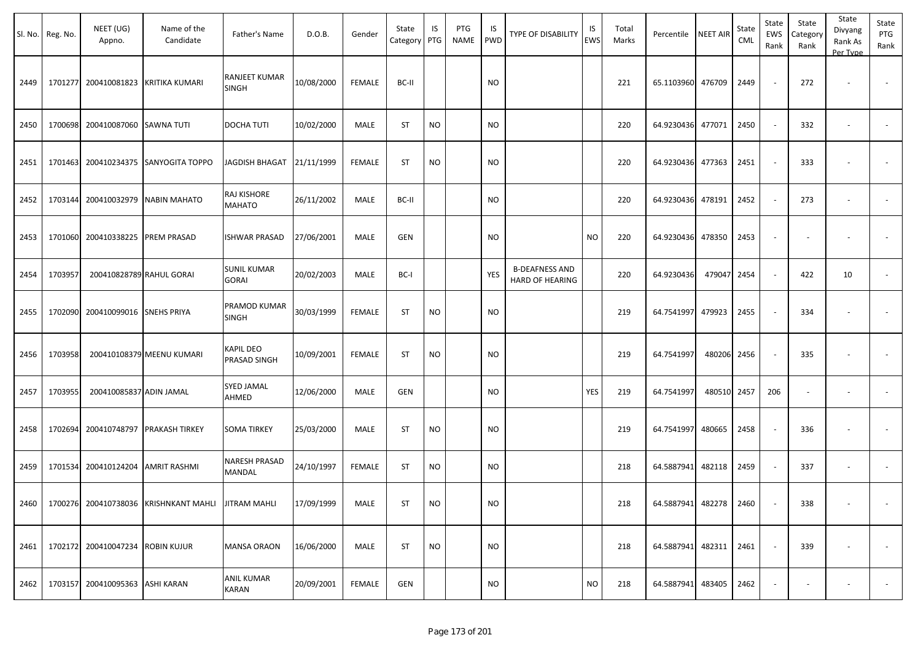|      | Sl. No. Reg. No. | NEET (UG)<br>Appno.              | Name of the<br>Candidate              | Father's Name                      | D.O.B.     | Gender        | State<br>Category | IS<br>PTG | <b>PTG</b><br>NAME | IS<br><b>PWD</b> | <b>TYPE OF DISABILITY</b>                | IS<br>EWS | Total<br>Marks | Percentile        | <b>NEET AIR</b> | State<br>CML | State<br>EWS<br>Rank     | State<br>Category<br>Rank | State<br>Divyang<br>Rank As<br>Per Type | State<br>PTG<br>Rank     |
|------|------------------|----------------------------------|---------------------------------------|------------------------------------|------------|---------------|-------------------|-----------|--------------------|------------------|------------------------------------------|-----------|----------------|-------------------|-----------------|--------------|--------------------------|---------------------------|-----------------------------------------|--------------------------|
| 2449 |                  | 1701277 200410081823             | <b>KRITIKA KUMARI</b>                 | RANJEET KUMAR<br>SINGH             | 10/08/2000 | <b>FEMALE</b> | BC-II             |           |                    | NO.              |                                          |           | 221            | 65.1103960        | 476709          | 2449         | $\sim$                   | 272                       | $\overline{\phantom{a}}$                | $\overline{\phantom{a}}$ |
| 2450 |                  | 1700698 200410087060             | <b>SAWNA TUTI</b>                     | <b>DOCHA TUTI</b>                  | 10/02/2000 | MALE          | <b>ST</b>         | <b>NO</b> |                    | <b>NO</b>        |                                          |           | 220            | 64.9230436        | 477071          | 2450         | $\sim$                   | 332                       |                                         |                          |
| 2451 |                  |                                  | 1701463 200410234375 SANYOGITA TOPPO  | JAGDISH BHAGAT 21/11/1999          |            | <b>FEMALE</b> | ST                | <b>NO</b> |                    | <b>NO</b>        |                                          |           | 220            | 64.9230436        | 477363          | 2451         | $\overline{\phantom{a}}$ | 333                       | $\overline{\phantom{a}}$                | $\overline{\phantom{a}}$ |
| 2452 |                  | 1703144 200410032979             | <b>NABIN MAHATO</b>                   | RAJ KISHORE<br>MAHATO              | 26/11/2002 | MALE          | BC-II             |           |                    | <b>NO</b>        |                                          |           | 220            | 64.9230436        | 478191          | 2452         | $\sim$                   | 273                       | $\overline{\phantom{a}}$                | $\sim$                   |
| 2453 |                  | 1701060 200410338225             | <b>PREM PRASAD</b>                    | ISHWAR PRASAD                      | 27/06/2001 | MALE          | <b>GEN</b>        |           |                    | <b>NO</b>        |                                          | <b>NO</b> | 220            | 64.9230436        | 478350          | 2453         | $\overline{\phantom{a}}$ |                           |                                         |                          |
| 2454 | 1703957          | 200410828789 RAHUL GORAI         |                                       | <b>SUNIL KUMAR</b><br><b>GORAI</b> | 20/02/2003 | MALE          | BC-I              |           |                    | YES              | <b>B-DEAFNESS AND</b><br>HARD OF HEARING |           | 220            | 64.9230436        | 479047          | 2454         | $\sim$                   | 422                       | 10                                      | $\sim$                   |
| 2455 |                  | 1702090 200410099016             | <b>SNEHS PRIYA</b>                    | PRAMOD KUMAR<br>SINGH              | 30/03/1999 | <b>FEMALE</b> | <b>ST</b>         | <b>NO</b> |                    | <b>NO</b>        |                                          |           | 219            | 64.7541997        | 479923          | 2455         | $\overline{\phantom{a}}$ | 334                       |                                         |                          |
| 2456 | 1703958          |                                  | 200410108379 MEENU KUMARI             | KAPIL DEO<br>PRASAD SINGH          | 10/09/2001 | <b>FEMALE</b> | <b>ST</b>         | <b>NO</b> |                    | <b>NO</b>        |                                          |           | 219            | 64.7541997        | 480206          | 2456         | $\sim$                   | 335                       |                                         |                          |
| 2457 | 1703955          | 200410085837 ADIN JAMAL          |                                       | <b>SYED JAMAL</b><br>AHMED         | 12/06/2000 | MALE          | GEN               |           |                    | NO.              |                                          | YES       | 219            | 64.7541997        | 480510          | 2457         | 206                      | $\sim$                    | $\overline{\phantom{a}}$                |                          |
| 2458 |                  | 1702694 200410748797             | <b>PRAKASH TIRKEY</b>                 | <b>SOMA TIRKEY</b>                 | 25/03/2000 | MALE          | <b>ST</b>         | <b>NO</b> |                    | <b>NO</b>        |                                          |           | 219            | 64.7541997        | 480665          | 2458         | $\sim$                   | 336                       |                                         |                          |
| 2459 | 1701534          | 200410124204                     | <b>AMRIT RASHMI</b>                   | NARESH PRASAD<br>MANDAL            | 24/10/1997 | <b>FEMALE</b> | <b>ST</b>         | <b>NO</b> |                    | <b>NO</b>        |                                          |           | 218            | 64.5887941        | 482118          | 2459         |                          | 337                       |                                         |                          |
| 2460 |                  |                                  | 1700276 200410738036 KRISHNKANT MAHLI | <b>JITRAM MAHLI</b>                | 17/09/1999 | MALE          | <b>ST</b>         | <b>NO</b> |                    | <b>NO</b>        |                                          |           | 218            | 64.5887941 482278 |                 | 2460         |                          | 338                       |                                         |                          |
| 2461 |                  | 1702172 200410047234 ROBIN KUJUR |                                       | <b>MANSA ORAON</b>                 | 16/06/2000 | MALE          | ST                | <b>NO</b> |                    | NO.              |                                          |           | 218            | 64.5887941 482311 |                 | 2461         | $\overline{\phantom{a}}$ | 339                       |                                         | $\sim$                   |
| 2462 |                  | 1703157 200410095363 ASHI KARAN  |                                       | <b>ANIL KUMAR</b><br>KARAN         | 20/09/2001 | FEMALE        | GEN               |           |                    | <b>NO</b>        |                                          | <b>NO</b> | 218            | 64.5887941 483405 |                 | 2462         | $\overline{\phantom{a}}$ | $\overline{\phantom{a}}$  | $\overline{\phantom{a}}$                | $\sim$                   |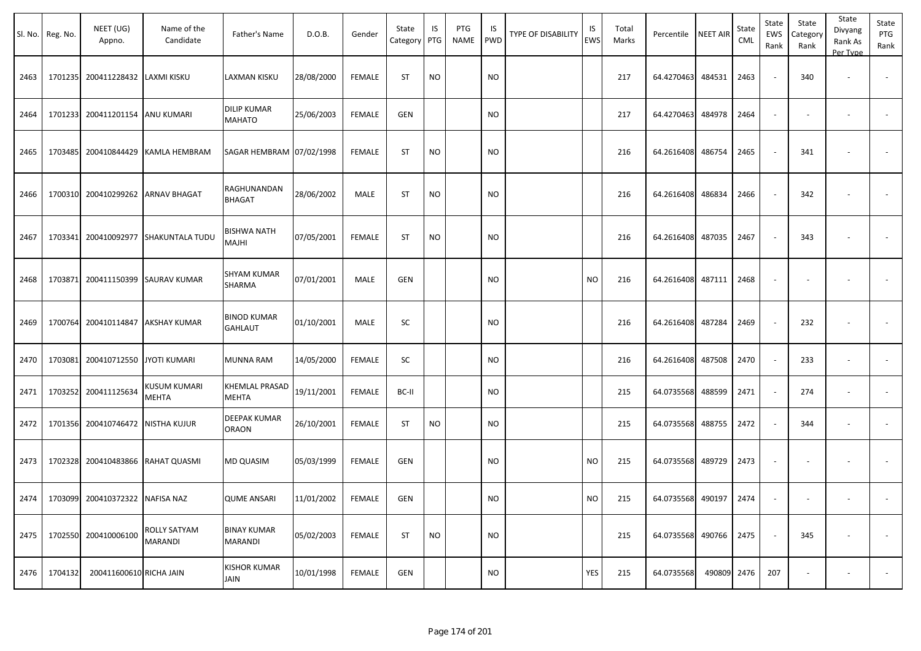|      | Sl. No. Reg. No. | NEET (UG)<br>Appno.               | Name of the<br>Candidate              | Father's Name                        | D.O.B.     | Gender        | State<br>Category PTG | IS        | PTG<br><b>NAME</b> | IS<br><b>PWD</b> | <b>TYPE OF DISABILITY</b> | IS<br>EWS | Total<br>Marks | Percentile NEET AIR |        | State<br>CML | State<br>EWS<br>Rank | State<br>Category<br>Rank | State<br>Divyang<br>Rank As<br>Per Type | State<br>PTG<br>Rank |
|------|------------------|-----------------------------------|---------------------------------------|--------------------------------------|------------|---------------|-----------------------|-----------|--------------------|------------------|---------------------------|-----------|----------------|---------------------|--------|--------------|----------------------|---------------------------|-----------------------------------------|----------------------|
| 2463 |                  | 1701235 200411228432 LAXMI KISKU  |                                       | LAXMAN KISKU                         | 28/08/2000 | <b>FEMALE</b> | ST                    | <b>NO</b> |                    | <b>NO</b>        |                           |           | 217            | 64.4270463          | 484531 | 2463         |                      | 340                       |                                         |                      |
| 2464 | 1701233          | 200411201154 ANU KUMARI           |                                       | <b>DILIP KUMAR</b><br>MAHATO         | 25/06/2003 | <b>FEMALE</b> | <b>GEN</b>            |           |                    | <b>NO</b>        |                           |           | 217            | 64.4270463          | 484978 | 2464         | $\sim$               |                           | $\overline{\phantom{a}}$                |                      |
| 2465 | 1703485          |                                   | 200410844429 KAMLA HEMBRAM            | SAGAR HEMBRAM   07/02/1998           |            | FEMALE        | <b>ST</b>             | <b>NO</b> |                    | <b>NO</b>        |                           |           | 216            | 64.2616408          | 486754 | 2465         |                      | 341                       |                                         |                      |
| 2466 | 1700310          |                                   | 200410299262 ARNAV BHAGAT             | RAGHUNANDAN<br><b>BHAGAT</b>         | 28/06/2002 | MALE          | <b>ST</b>             | <b>NO</b> |                    | <b>NO</b>        |                           |           | 216            | 64.2616408          | 486834 | 2466         |                      | 342                       |                                         |                      |
| 2467 | 1703341          |                                   | 200410092977 SHAKUNTALA TUDU          | BISHWA NATH<br>MAJHI                 | 07/05/2001 | <b>FEMALE</b> | <b>ST</b>             | <b>NO</b> |                    | <b>NO</b>        |                           |           | 216            | 64.2616408          | 487035 | 2467         |                      | 343                       |                                         |                      |
| 2468 | 1703871          |                                   | 200411150399 SAURAV KUMAR             | <b>SHYAM KUMAR</b><br>SHARMA         | 07/01/2001 | MALE          | GEN                   |           |                    | <b>NO</b>        |                           | <b>NO</b> | 216            | 64.2616408          | 487111 | 2468         |                      |                           |                                         |                      |
| 2469 | 1700764          |                                   | 200410114847   AKSHAY KUMAR           | <b>BINOD KUMAR</b><br><b>GAHLAUT</b> | 01/10/2001 | MALE          | SC                    |           |                    | <b>NO</b>        |                           |           | 216            | 64.2616408          | 487284 | 2469         |                      | 232                       |                                         |                      |
| 2470 | 1703081          | 200410712550 JYOTI KUMARI         |                                       | <b>MUNNA RAM</b>                     | 14/05/2000 | <b>FEMALE</b> | SC                    |           |                    | <b>NO</b>        |                           |           | 216            | 64.2616408          | 487508 | 2470         |                      | 233                       | $\overline{\phantom{a}}$                |                      |
| 2471 | 1703252          | 200411125634                      | <b>KUSUM KUMARI</b><br><b>MEHTA</b>   | KHEMLAL PRASAD<br><b>MEHTA</b>       | 19/11/2001 | FEMALE        | BC-II                 |           |                    | <b>NO</b>        |                           |           | 215            | 64.0735568          | 488599 | 2471         |                      | 274                       | $\overline{\phantom{a}}$                |                      |
| 2472 | 1701356          | 200410746472 NISTHA KUJUR         |                                       | DEEPAK KUMAR<br><b>ORAON</b>         | 26/10/2001 | <b>FEMALE</b> | <b>ST</b>             | <b>NO</b> |                    | <b>NO</b>        |                           |           | 215            | 64.0735568          | 488755 | 2472         |                      | 344                       | $\overline{\phantom{a}}$                |                      |
| 2473 |                  | 1702328 200410483866 RAHAT QUASMI |                                       | MD QUASIM                            | 05/03/1999 | FEMALE        | <b>GEN</b>            |           |                    | <b>NO</b>        |                           | <b>NO</b> | 215            | 64.0735568          | 489729 | 2473         |                      |                           |                                         |                      |
| 2474 |                  | 1703099 200410372322 NAFISA NAZ   |                                       | <b>QUME ANSARI</b>                   | 11/01/2002 | <b>FEMALE</b> | GEN                   |           |                    | <b>NO</b>        |                           | NO.       | 215            | 64.0735568 490197   |        | 2474         |                      |                           |                                         |                      |
| 2475 |                  | 1702550 200410006100              | <b>ROLLY SATYAM</b><br><b>MARANDI</b> | <b>BINAY KUMAR</b><br><b>MARANDI</b> | 05/02/2003 | <b>FEMALE</b> | <b>ST</b>             | <b>NO</b> |                    | <b>NO</b>        |                           |           | 215            | 64.0735568 490766   |        | 2475         |                      | 345                       |                                         | $\sim$               |
| 2476 | 1704132          | 200411600610 RICHA JAIN           |                                       | <b>KISHOR KUMAR</b><br>JAIN          | 10/01/1998 | <b>FEMALE</b> | GEN                   |           |                    | <b>NO</b>        |                           | YES       | 215            | 64.0735568          | 490809 | 2476         | 207                  |                           | $\overline{\phantom{a}}$                | $\sim$               |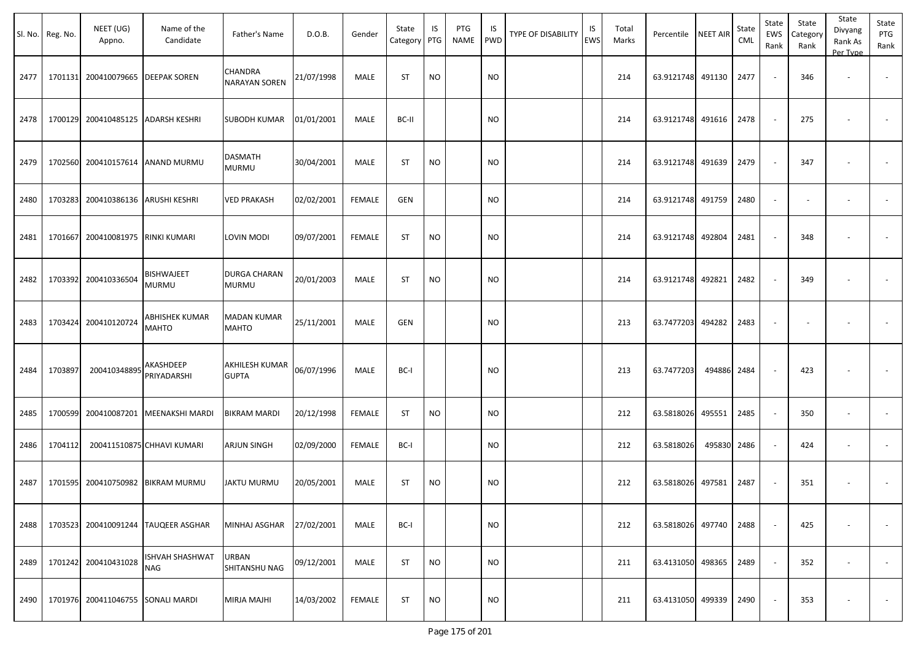|      | Sl. No. Reg. No. | NEET (UG)<br>Appno.               | Name of the<br>Candidate             | Father's Name                          | D.O.B.     | Gender        | State<br>Category PTG | IS        | PTG<br><b>NAME</b> | IS<br><b>PWD</b> | <b>TYPE OF DISABILITY</b> | IS<br>EWS | Total<br>Marks | Percentile NEET AIR |        | State<br>CML | State<br>EWS<br>Rank | State<br>Category<br>Rank | State<br>Divyang<br>Rank As<br>Per Type | State<br>PTG<br>Rank     |
|------|------------------|-----------------------------------|--------------------------------------|----------------------------------------|------------|---------------|-----------------------|-----------|--------------------|------------------|---------------------------|-----------|----------------|---------------------|--------|--------------|----------------------|---------------------------|-----------------------------------------|--------------------------|
| 2477 | 1701131          |                                   | 200410079665   DEEPAK SOREN          | <b>CHANDRA</b><br><b>NARAYAN SOREN</b> | 21/07/1998 | MALE          | <b>ST</b>             | <b>NO</b> |                    | <b>NO</b>        |                           |           | 214            | 63.9121748 491130   |        | 2477         |                      | 346                       |                                         | $\overline{\phantom{a}}$ |
| 2478 | 1700129          |                                   | 200410485125 ADARSH KESHRI           | SUBODH KUMAR                           | 01/01/2001 | MALE          | BC-II                 |           |                    | <b>NO</b>        |                           |           | 214            | 63.9121748          | 491616 | 2478         |                      | 275                       |                                         |                          |
| 2479 | 1702560          |                                   | 200410157614 ANAND MURMU             | <b>DASMATH</b><br><b>MURMU</b>         | 30/04/2001 | MALE          | <b>ST</b>             | <b>NO</b> |                    | <b>NO</b>        |                           |           | 214            | 63.9121748 491639   |        | 2479         |                      | 347                       |                                         | $\sim$                   |
| 2480 | 1703283          | 200410386136 ARUSHI KESHRI        |                                      | <b>VED PRAKASH</b>                     | 02/02/2001 | <b>FEMALE</b> | GEN                   |           |                    | <b>NO</b>        |                           |           | 214            | 63.9121748          | 491759 | 2480         | $\sim$               |                           | $\overline{\phantom{a}}$                | $\sim$                   |
| 2481 | 1701667          | 200410081975 RINKI KUMARI         |                                      | LOVIN MODI                             | 09/07/2001 | <b>FEMALE</b> | <b>ST</b>             | <b>NO</b> |                    | <b>NO</b>        |                           |           | 214            | 63.9121748 492804   |        | 2481         |                      | 348                       |                                         |                          |
| 2482 | 1703392          | 200410336504                      | <b>BISHWAJEET</b><br><b>MURMU</b>    | <b>DURGA CHARAN</b><br><b>MURMU</b>    | 20/01/2003 | MALE          | <b>ST</b>             | <b>NO</b> |                    | <b>NO</b>        |                           |           | 214            | 63.9121748          | 492821 | 2482         |                      | 349                       |                                         |                          |
| 2483 | 1703424          | 200410120724                      | ABHISHEK KUMAR<br><b>MAHTO</b>       | <b>MADAN KUMAR</b><br><b>MAHTO</b>     | 25/11/2001 | MALE          | GEN                   |           |                    | <b>NO</b>        |                           |           | 213            | 63.7477203          | 494282 | 2483         |                      |                           |                                         |                          |
| 2484 | 1703897          | 200410348895                      | AKASHDEEP<br>PRIYADARSHI             | AKHILESH KUMAR<br><b>GUPTA</b>         | 06/07/1996 | MALE          | BC-I                  |           |                    | <b>NO</b>        |                           |           | 213            | 63.7477203          | 494886 | 2484         |                      | 423                       |                                         |                          |
| 2485 |                  |                                   | 1700599 200410087201 MEENAKSHI MARDI | <b>BIKRAM MARDI</b>                    | 20/12/1998 | FEMALE        | <b>ST</b>             | <b>NO</b> |                    | <b>NO</b>        |                           |           | 212            | 63.5818026          | 495551 | 2485         |                      | 350                       | $\overline{\phantom{a}}$                |                          |
| 2486 | 1704112          |                                   | 200411510875 CHHAVI KUMARI           | ARJUN SINGH                            | 02/09/2000 | FEMALE        | BC-I                  |           |                    | <b>NO</b>        |                           |           | 212            | 63.5818026          | 495830 | 2486         |                      | 424                       | $\overline{\phantom{a}}$                |                          |
| 2487 | 1701595          |                                   | 200410750982 BIKRAM MURMU            | <b>JAKTU MURMU</b>                     | 20/05/2001 | MALE          | <b>ST</b>             | <b>NO</b> |                    | <b>NO</b>        |                           |           | 212            | 63.5818026          | 497581 | 2487         |                      | 351                       |                                         |                          |
| 2488 |                  |                                   | 1703523 200410091244 TAUQEER ASGHAR  | MINHAJ ASGHAR                          | 27/02/2001 | MALE          | BC-I                  |           |                    | <b>NO</b>        |                           |           | 212            | 63.5818026 497740   |        | 2488         |                      | 425                       |                                         |                          |
| 2489 |                  | 1701242 200410431028              | <b>ISHVAH SHASHWAT</b><br><b>NAG</b> | URBAN<br>SHITANSHU NAG                 | 09/12/2001 | MALE          | <b>ST</b>             | <b>NO</b> |                    | <b>NO</b>        |                           |           | 211            | 63.4131050 498365   |        | 2489         | $\sim$               | 352                       | $\overline{\phantom{a}}$                | $\sim$                   |
| 2490 |                  | 1701976 200411046755 SONALI MARDI |                                      | MIRJA MAJHI                            | 14/03/2002 | <b>FEMALE</b> | ST                    | <b>NO</b> |                    | <b>NO</b>        |                           |           | 211            | 63.4131050 499339   |        | 2490         |                      | 353                       |                                         | $\sim$                   |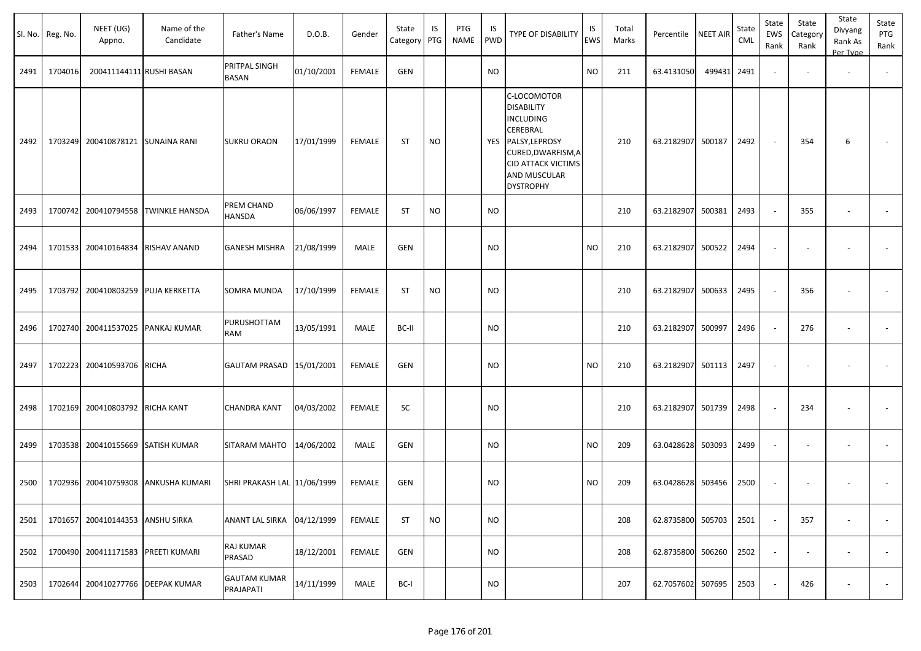|      | Sl. No. Reg. No. | NEET (UG)<br>Appno.               | Name of the<br>Candidate          | Father's Name                    | D.O.B.     | Gender        | State<br>Category | IS<br>PTG | PTG<br>NAME | IS<br>PWD | <b>TYPE OF DISABILITY</b>                                                                                                                                                 | IS<br>EWS | Total<br>Marks | Percentile        | <b>NEET AIR</b> | State<br><b>CML</b> | State<br>EWS<br>Rank     | State<br>Category<br>Rank | State<br>Divyang<br>Rank As<br>Per Type | State<br>PTG<br>Rank |
|------|------------------|-----------------------------------|-----------------------------------|----------------------------------|------------|---------------|-------------------|-----------|-------------|-----------|---------------------------------------------------------------------------------------------------------------------------------------------------------------------------|-----------|----------------|-------------------|-----------------|---------------------|--------------------------|---------------------------|-----------------------------------------|----------------------|
| 2491 | 1704016          | 200411144111 RUSHI BASAN          |                                   | PRITPAL SINGH<br><b>BASAN</b>    | 01/10/2001 | <b>FEMALE</b> | <b>GEN</b>        |           |             | <b>NO</b> |                                                                                                                                                                           | NO        | 211            | 63.4131050        | 499431          | 2491                | $\sim$                   |                           | $\overline{\phantom{a}}$                |                      |
| 2492 |                  | 1703249 200410878121 SUNAINA RANI |                                   | <b>SUKRU ORAON</b>               | 17/01/1999 | <b>FEMALE</b> | <b>ST</b>         | <b>NO</b> |             | YES       | C-LOCOMOTOR<br><b>DISABILITY</b><br><b>INCLUDING</b><br>CEREBRAL<br>PALSY, LEPROSY<br>CURED, DWARFISM, A<br><b>CID ATTACK VICTIMS</b><br>AND MUSCULAR<br><b>DYSTROPHY</b> |           | 210            | 63.2182907 500187 |                 | 2492                | $\sim$                   | 354                       | 6                                       |                      |
| 2493 |                  | 1700742 200410794558              | <b>TWINKLE HANSDA</b>             | PREM CHAND<br>HANSDA             | 06/06/1997 | <b>FEMALE</b> | <b>ST</b>         | <b>NO</b> |             | <b>NO</b> |                                                                                                                                                                           |           | 210            | 63.2182907 500381 |                 | 2493                | $\sim$                   | 355                       | $\overline{\phantom{a}}$                |                      |
| 2494 |                  | 1701533 200410164834              | RISHAV ANAND                      | <b>GANESH MISHRA</b>             | 21/08/1999 | MALE          | <b>GEN</b>        |           |             | <b>NO</b> |                                                                                                                                                                           | NO        | 210            | 63.2182907        | 500522          | 2494                | $\sim$                   | $\overline{\phantom{a}}$  | $\sim$                                  |                      |
| 2495 |                  | 1703792 200410803259              | PUJA KERKETTA                     | SOMRA MUNDA                      | 17/10/1999 | <b>FEMALE</b> | <b>ST</b>         | <b>NO</b> |             | <b>NO</b> |                                                                                                                                                                           |           | 210            | 63.2182907 500633 |                 | 2495                | $\sim$                   | 356                       | $\sim$                                  |                      |
| 2496 |                  | 1702740 200411537025 PANKAJ KUMAR |                                   | PURUSHOTTAM<br>RAM               | 13/05/1991 | MALE          | BC-II             |           |             | <b>NO</b> |                                                                                                                                                                           |           | 210            | 63.2182907 500997 |                 | 2496                | $\sim$                   | 276                       | $\sim$                                  |                      |
| 2497 |                  | 1702223 200410593706              | <b>RICHA</b>                      | <b>GAUTAM PRASAD</b>             | 15/01/2001 | <b>FEMALE</b> | <b>GEN</b>        |           |             | <b>NO</b> |                                                                                                                                                                           | NO        | 210            | 63.2182907 501113 |                 | 2497                | $\sim$                   | $\sim$                    | $\sim$                                  |                      |
| 2498 |                  | 1702169 200410803792              | <b>RICHA KANT</b>                 | <b>CHANDRA KANT</b>              | 04/03/2002 | <b>FEMALE</b> | SC                |           |             | <b>NO</b> |                                                                                                                                                                           |           | 210            | 63.2182907 501739 |                 | 2498                | $\sim$                   | 234                       | $\sim$                                  |                      |
| 2499 |                  | 1703538 200410155669 SATISH KUMAR |                                   | SITARAM MAHTO                    | 14/06/2002 | MALE          | <b>GEN</b>        |           |             | <b>NO</b> |                                                                                                                                                                           | NO        | 209            | 63.0428628 503093 |                 | 2499                | $\sim$                   | $\overline{\phantom{a}}$  | $\sim$                                  |                      |
| 2500 |                  | 1702936 200410759308              | <b>ANKUSHA KUMARI</b>             | SHRI PRAKASH LAL 11/06/1999      |            | <b>FEMALE</b> | <b>GEN</b>        |           |             | <b>NO</b> |                                                                                                                                                                           | NO        | 209            | 63.0428628 503456 |                 | 2500                | $\overline{\phantom{a}}$ | $\overline{\phantom{a}}$  | $\overline{\phantom{a}}$                |                      |
| 2501 |                  | 1701657 200410144353              | ANSHU SIRKA                       | ANANT LAL SIRKA                  | 04/12/1999 | <b>FEMALE</b> | <b>ST</b>         | <b>NO</b> |             | NO.       |                                                                                                                                                                           |           | 208            | 62.8735800 505703 |                 | 2501                | $\sim$                   | 357                       | $\overline{\phantom{a}}$                |                      |
| 2502 |                  | 1700490 200411171583              | PREETI KUMARI                     | RAJ KUMAR<br>PRASAD              | 18/12/2001 | <b>FEMALE</b> | <b>GEN</b>        |           |             | <b>NO</b> |                                                                                                                                                                           |           | 208            | 62.8735800 506260 |                 | 2502                | $\sim$                   | $\sim$                    | $\overline{\phantom{a}}$                |                      |
| 2503 |                  |                                   | 1702644 200410277766 DEEPAK KUMAR | <b>GAUTAM KUMAR</b><br>PRAJAPATI | 14/11/1999 | MALE          | BC-I              |           |             | NO.       |                                                                                                                                                                           |           | 207            | 62.7057602 507695 |                 | 2503                | $\sim$                   | 426                       | $\overline{\phantom{a}}$                |                      |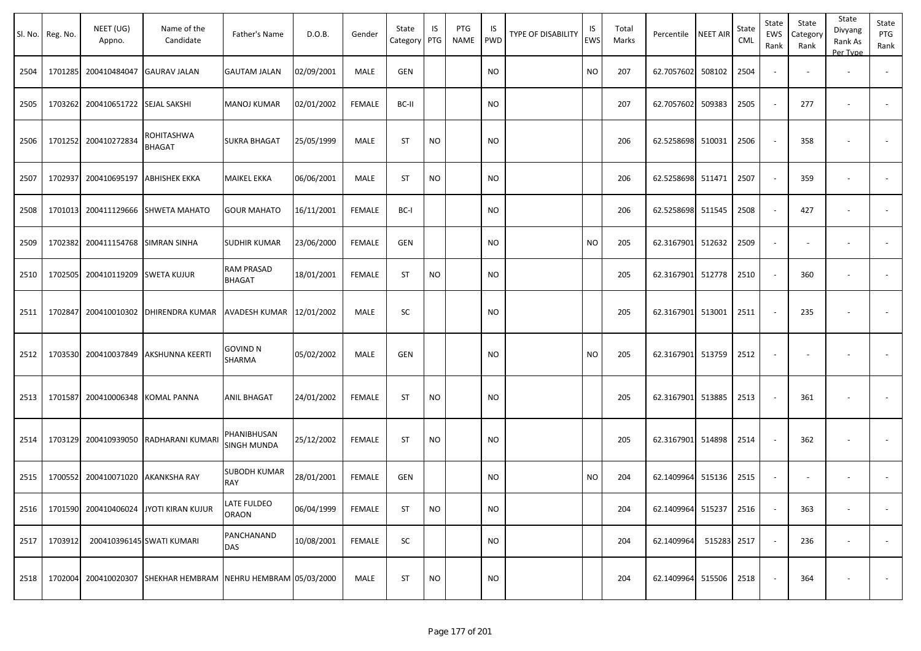|      | Sl. No. Reg. No. | NEET (UG)<br>Appno.               | Name of the<br>Candidate                                      | Father's Name                      | D.O.B.     | Gender        | State<br>Category | IS<br>PTG | PTG<br>NAME | IS<br>PWD | TYPE OF DISABILITY | IS<br><b>EWS</b> | Total<br>Marks | Percentile        | <b>NEET AIR</b> | State<br><b>CML</b> | State<br>EWS<br>Rank     | State<br>Category<br>Rank | State<br>Divyang<br>Rank As<br>Per Type | State<br>PTG<br>Rank     |
|------|------------------|-----------------------------------|---------------------------------------------------------------|------------------------------------|------------|---------------|-------------------|-----------|-------------|-----------|--------------------|------------------|----------------|-------------------|-----------------|---------------------|--------------------------|---------------------------|-----------------------------------------|--------------------------|
| 2504 |                  | 1701285 200410484047              | <b>GAURAV JALAN</b>                                           | <b>GAUTAM JALAN</b>                | 02/09/2001 | MALE          | <b>GEN</b>        |           |             | <b>NO</b> |                    | NO.              | 207            | 62.7057602        | 508102          | 2504                | $\blacksquare$           |                           | $\overline{\phantom{a}}$                |                          |
| 2505 |                  | 1703262 200410651722 SEJAL SAKSHI |                                                               | <b>MANOJ KUMAR</b>                 | 02/01/2002 | <b>FEMALE</b> | BC-II             |           |             | <b>NO</b> |                    |                  | 207            | 62.7057602        | 509383          | 2505                | $\sim$                   | 277                       | $\sim$                                  | $\sim$                   |
| 2506 |                  | 1701252 200410272834              | ROHITASHWA<br><b>BHAGAT</b>                                   | <b>SUKRA BHAGAT</b>                | 25/05/1999 | MALE          | <b>ST</b>         | <b>NO</b> |             | <b>NO</b> |                    |                  | 206            | 62.5258698        | 510031          | 2506                | $\sim$                   | 358                       | $\sim$                                  | $\overline{\phantom{a}}$ |
| 2507 |                  | 1702937 200410695197              | <b>ABHISHEK EKKA</b>                                          | <b>MAIKEL EKKA</b>                 | 06/06/2001 | MALE          | <b>ST</b>         | <b>NO</b> |             | <b>NO</b> |                    |                  | 206            | 62.5258698        | 511471          | 2507                | $\sim$                   | 359                       |                                         |                          |
| 2508 |                  |                                   | 1701013 200411129666 SHWETA MAHATO                            | <b>GOUR MAHATO</b>                 | 16/11/2001 | <b>FEMALE</b> | BC-I              |           |             | <b>NO</b> |                    |                  | 206            | 62.5258698 511545 |                 | 2508                | $\sim$                   | 427                       |                                         |                          |
| 2509 |                  | 1702382 200411154768 SIMRAN SINHA |                                                               | <b>SUDHIR KUMAR</b>                | 23/06/2000 | <b>FEMALE</b> | GEN               |           |             | <b>NO</b> |                    | <b>NO</b>        | 205            | 62.3167901        | 512632          | 2509                | $\omega$                 |                           | $\overline{\phantom{a}}$                |                          |
| 2510 |                  | 1702505 200410119209 SWETA KUJUR  |                                                               | <b>RAM PRASAD</b><br><b>BHAGAT</b> | 18/01/2001 | <b>FEMALE</b> | <b>ST</b>         | <b>NO</b> |             | <b>NO</b> |                    |                  | 205            | 62.3167901        | 512778          | 2510                | $\sim$                   | 360                       | $\sim$                                  |                          |
| 2511 | 1702847          | 200410010302                      | <b>DHIRENDRA KUMAR</b>                                        | AVADESH KUMAR   12/01/2002         |            | MALE          | <b>SC</b>         |           |             | <b>NO</b> |                    |                  | 205            | 62.3167901        | 513001          | 2511                | $\sim$                   | 235                       | $\sim$                                  |                          |
| 2512 |                  | 1703530 200410037849              | <b>AKSHUNNA KEERTI</b>                                        | <b>GOVIND N</b><br><b>SHARMA</b>   | 05/02/2002 | MALE          | <b>GEN</b>        |           |             | <b>NO</b> |                    | NO.              | 205            | 62.3167901        | 513759          | 2512                | $\sim$                   |                           |                                         |                          |
| 2513 |                  | 1701587 200410006348              | <b>KOMAL PANNA</b>                                            | <b>ANIL BHAGAT</b>                 | 24/01/2002 | <b>FEMALE</b> | <b>ST</b>         | <b>NO</b> |             | <b>NO</b> |                    |                  | 205            | 62.3167901        | 513885          | 2513                | $\sim$                   | 361                       | $\overline{\phantom{a}}$                | $\blacksquare$           |
| 2514 |                  | 1703129 200410939050              | RADHARANI KUMARI                                              | PHANIBHUSAN<br><b>SINGH MUNDA</b>  | 25/12/2002 | FEMALE        | <b>ST</b>         | <b>NO</b> |             | <b>NO</b> |                    |                  | 205            | 62.3167901        | 514898          | 2514                | $\overline{\phantom{a}}$ | 362                       | $\overline{\phantom{a}}$                |                          |
| 2515 |                  | 1700552 200410071020              | <b>AKANKSHA RAY</b>                                           | <b>SUBODH KUMAR</b><br><b>RAY</b>  | 28/01/2001 | FEMALE        | <b>GEN</b>        |           |             | <b>NO</b> |                    | NO.              | 204            | 62.1409964        | 515136          | 2515                | $\overline{\phantom{a}}$ | $\overline{\phantom{a}}$  | $\sim$                                  |                          |
| 2516 |                  |                                   | 1701590 200410406024 JYOTI KIRAN KUJUR                        | <b>LATE FULDEO</b><br><b>ORAON</b> | 06/04/1999 | <b>FEMALE</b> | <b>ST</b>         | <b>NO</b> |             | <b>NO</b> |                    |                  | 204            | 62.1409964 515237 |                 | 2516                | $\overline{\phantom{a}}$ | 363                       |                                         |                          |
| 2517 | 1703912          |                                   | 200410396145 SWATI KUMARI                                     | PANCHANAND<br>DAS                  | 10/08/2001 | <b>FEMALE</b> | SC                |           |             | <b>NO</b> |                    |                  | 204            | 62.1409964        | 515283 2517     |                     | $\sim$                   | 236                       | $\sim$                                  | $\sim$                   |
| 2518 |                  |                                   | 1702004 200410020307 SHEKHAR HEMBRAM NEHRU HEMBRAM 05/03/2000 |                                    |            | MALE          | <b>ST</b>         | <b>NO</b> |             | <b>NO</b> |                    |                  | 204            | 62.1409964        | 515506          | 2518                | $\sim$                   | 364                       |                                         | $\sim$                   |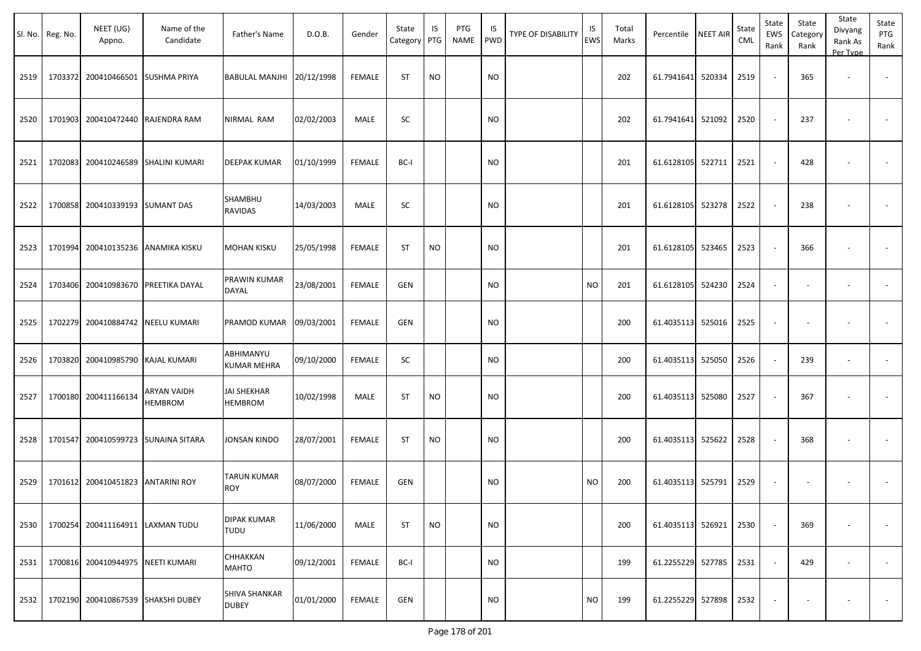|      | Sl. No. Reg. No. | NEET (UG)<br>Appno.                | Name of the<br>Candidate      | Father's Name                        | D.O.B.     | Gender        | State<br>Category | IS<br>PTG | PTG<br><b>NAME</b> | IS<br>PWD | TYPE OF DISABILITY | IS<br><b>EWS</b> | Total<br>Marks | Percentile        | <b>NEET AIR</b> | State<br><b>CML</b> | State<br><b>EWS</b><br>Rank | State<br>Category<br>Rank | State<br>Divyang<br>Rank As<br>Per Type | State<br>PTG<br>Rank     |
|------|------------------|------------------------------------|-------------------------------|--------------------------------------|------------|---------------|-------------------|-----------|--------------------|-----------|--------------------|------------------|----------------|-------------------|-----------------|---------------------|-----------------------------|---------------------------|-----------------------------------------|--------------------------|
| 2519 | 1703372          | 200410466501 SUSHMA PRIYA          |                               | <b>BABULAL MANJHI</b>                | 20/12/1998 | <b>FEMALE</b> | <b>ST</b>         | <b>NO</b> |                    | <b>NO</b> |                    |                  | 202            | 61.7941641        | 520334          | 2519                | ÷.                          | 365                       | $\blacksquare$                          | $\sim$                   |
| 2520 | 1701903          |                                    | 200410472440 RAJENDRA RAM     | NIRMAL RAM                           | 02/02/2003 | MALE          | SC                |           |                    | <b>NO</b> |                    |                  | 202            | 61.7941641        | 521092          | 2520                |                             | 237                       |                                         | $\overline{\phantom{a}}$ |
| 2521 | 1702083          |                                    | 200410246589 SHALINI KUMARI   | <b>DEEPAK KUMAR</b>                  | 01/10/1999 | <b>FEMALE</b> | BC-I              |           |                    | <b>NO</b> |                    |                  | 201            | 61.6128105        | 522711          | 2521                | $\overline{\phantom{a}}$    | 428                       |                                         | $\overline{\phantom{a}}$ |
| 2522 |                  | 1700858 200410339193 SUMANT DAS    |                               | SHAMBHU<br>RAVIDAS                   | 14/03/2003 | MALE          | SC                |           |                    | <b>NO</b> |                    |                  | 201            | 61.6128105        | 523278          | 2522                |                             | 238                       | $\overline{\phantom{a}}$                | $\overline{\phantom{a}}$ |
| 2523 | 1701994          |                                    | 200410135236 ANAMIKA KISKU    | MOHAN KISKU                          | 25/05/1998 | <b>FEMALE</b> | <b>ST</b>         | <b>NO</b> |                    | <b>NO</b> |                    |                  | 201            | 61.6128105        | 523465          | 2523                |                             | 366                       | $\blacksquare$                          | $\overline{\phantom{a}}$ |
| 2524 | 1703406          |                                    | 200410983670 PREETIKA DAYAL   | PRAWIN KUMAR<br>DAYAL                | 23/08/2001 | <b>FEMALE</b> | <b>GEN</b>        |           |                    | <b>NO</b> |                    | <b>NO</b>        | 201            | 61.6128105        | 524230          | 2524                | $\sim$                      | $\overline{\phantom{a}}$  | $\overline{\phantom{a}}$                | $\overline{\phantom{a}}$ |
| 2525 | 1702279          | 200410884742 NEELU KUMARI          |                               | PRAMOD KUMAR                         | 09/03/2001 | <b>FEMALE</b> | <b>GEN</b>        |           |                    | NO.       |                    |                  | 200            | 61.4035113        | 525016          | 2525                |                             |                           |                                         |                          |
| 2526 | 1703820          | 200410985790 KAJAL KUMARI          |                               | ABHIMANYU<br><b>KUMAR MEHRA</b>      | 09/10/2000 | <b>FEMALE</b> | SC                |           |                    | <b>NO</b> |                    |                  | 200            | 61.4035113 525050 |                 | 2526                |                             | 239                       | $\blacksquare$                          | $\overline{\phantom{a}}$ |
| 2527 |                  | 1700180 200411166134               | ARYAN VAIDH<br><b>HEMBROM</b> | <b>JAI SHEKHAR</b><br><b>HEMBROM</b> | 10/02/1998 | MALE          | <b>ST</b>         | <b>NO</b> |                    | <b>NO</b> |                    |                  | 200            | 61.4035113 525080 |                 | 2527                |                             | 367                       |                                         |                          |
| 2528 | 1701547          |                                    | 200410599723 SUNAINA SITARA   | JONSAN KINDO                         | 28/07/2001 | <b>FEMALE</b> | <b>ST</b>         | <b>NO</b> |                    | <b>NO</b> |                    |                  | 200            | 61.4035113 525622 |                 | 2528                |                             | 368                       |                                         |                          |
| 2529 |                  | 1701612 200410451823 ANTARINI ROY  |                               | TARUN KUMAR<br><b>ROY</b>            | 08/07/2000 | <b>FEMALE</b> | <b>GEN</b>        |           |                    | <b>NO</b> |                    | <b>NO</b>        | 200            | 61.4035113 525791 |                 | 2529                |                             |                           | $\overline{\phantom{a}}$                |                          |
| 2530 |                  | 1700254 200411164911 LAXMAN TUDU   |                               | DIPAK KUMAR<br>TUDU                  | 11/06/2000 | MALE          | ST                | <b>NO</b> |                    | <b>NO</b> |                    |                  | 200            | 61.4035113 526921 |                 | 2530                |                             | 369                       |                                         |                          |
| 2531 |                  | 1700816 200410944975 NEETI KUMARI  |                               | CHHAKKAN<br><b>MAHTO</b>             | 09/12/2001 | <b>FEMALE</b> | BC-I              |           |                    | <b>NO</b> |                    |                  | 199            | 61.2255229 527785 |                 | 2531                | $\overline{\phantom{a}}$    | 429                       | $\overline{\phantom{a}}$                | $\sim$                   |
| 2532 |                  | 1702190 200410867539 SHAKSHI DUBEY |                               | SHIVA SHANKAR<br><b>DUBEY</b>        | 01/01/2000 | <b>FEMALE</b> | GEN               |           |                    | <b>NO</b> |                    | <b>NO</b>        | 199            | 61.2255229 527898 |                 | 2532                |                             | $\overline{\phantom{a}}$  | ٠                                       | $\sim$                   |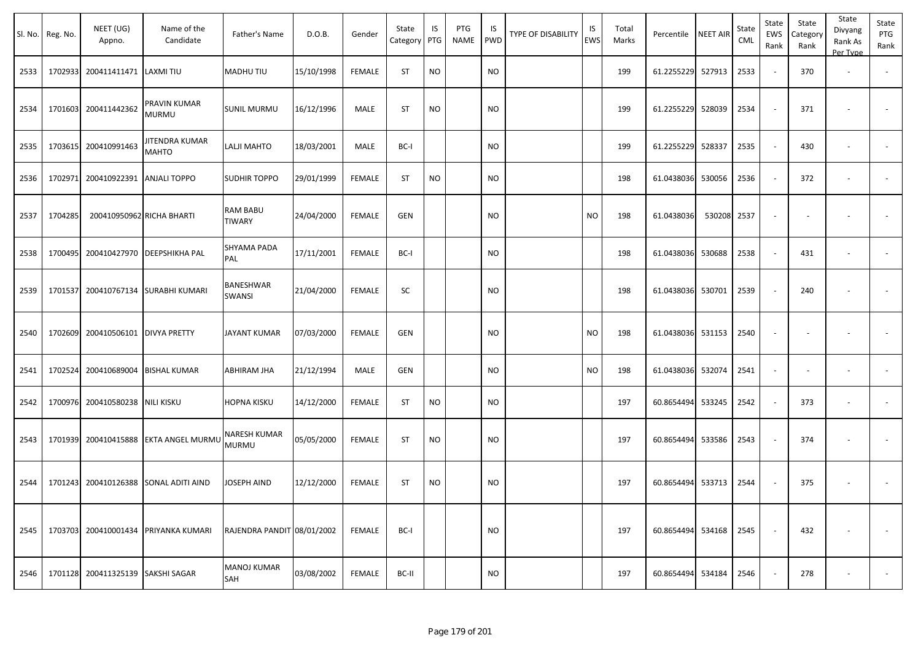|      | Sl. No. Reg. No. | NEET (UG)<br>Appno.       | Name of the<br>Candidate             | Father's Name              | D.O.B.     | Gender        | State<br>Category | IS<br>PTG | PTG<br>NAME | IS<br><b>PWD</b> | TYPE OF DISABILITY | IS<br>EWS | Total<br>Marks | Percentile NEET AIR |        | State<br>CML | State<br>EWS<br>Rank     | State<br>Category<br>Rank | State<br>Divyang<br>Rank As<br>Per Type | State<br>PTG<br>Rank     |
|------|------------------|---------------------------|--------------------------------------|----------------------------|------------|---------------|-------------------|-----------|-------------|------------------|--------------------|-----------|----------------|---------------------|--------|--------------|--------------------------|---------------------------|-----------------------------------------|--------------------------|
| 2533 | 1702933          | 200411411471              | LAXMI TIU                            | MADHU TIU                  | 15/10/1998 | <b>FEMALE</b> | <b>ST</b>         | <b>NO</b> |             | <b>NO</b>        |                    |           | 199            | 61.2255229 527913   |        | 2533         | $\sim$                   | 370                       | $\overline{\phantom{a}}$                |                          |
| 2534 | 1701603          | 200411442362              | PRAVIN KUMAR<br><b>MURMU</b>         | SUNIL MURMU                | 16/12/1996 | MALE          | <b>ST</b>         | <b>NO</b> |             | <b>NO</b>        |                    |           | 199            | 61.2255229 528039   |        | 2534         |                          | 371                       |                                         |                          |
| 2535 | 1703615          | 200410991463              | JITENDRA KUMAR<br><b>MAHTO</b>       | LALJI MAHTO                | 18/03/2001 | MALE          | BC-I              |           |             | <b>NO</b>        |                    |           | 199            | 61.2255229 528337   |        | 2535         | $\sim$                   | 430                       |                                         | $\overline{\phantom{a}}$ |
| 2536 | 1702971          | 200410922391              | <b>ANJALI TOPPO</b>                  | SUDHIR TOPPO               | 29/01/1999 | <b>FEMALE</b> | <b>ST</b>         | <b>NO</b> |             | <b>NO</b>        |                    |           | 198            | 61.0438036 530056   |        | 2536         | $\sim$                   | 372                       |                                         |                          |
| 2537 | 1704285          |                           | 200410950962 RICHA BHARTI            | RAM BABU<br>TIWARY         | 24/04/2000 | <b>FEMALE</b> | <b>GEN</b>        |           |             | <b>NO</b>        |                    | <b>NO</b> | 198            | 61.0438036          | 530208 | 2537         |                          |                           |                                         |                          |
| 2538 | 1700495          | 200410427970              | DEEPSHIKHA PAL                       | SHYAMA PADA<br>PAL         | 17/11/2001 | <b>FEMALE</b> | BC-I              |           |             | <b>NO</b>        |                    |           | 198            | 61.0438036          | 530688 | 2538         |                          | 431                       | $\overline{\phantom{a}}$                | $\overline{\phantom{a}}$ |
| 2539 | 1701537          | 200410767134              | <b>SURABHI KUMARI</b>                | BANESHWAR<br>SWANSI        | 21/04/2000 | <b>FEMALE</b> | SC                |           |             | <b>NO</b>        |                    |           | 198            | 61.0438036 530701   |        | 2539         |                          | 240                       |                                         |                          |
| 2540 | 1702609          | 200410506101              | <b>DIVYA PRETTY</b>                  | JAYANT KUMAR               | 07/03/2000 | FEMALE        | GEN               |           |             | NO               |                    | <b>NO</b> | 198            | 61.0438036 531153   |        | 2540         | $\overline{\phantom{a}}$ |                           |                                         |                          |
| 2541 | 1702524          | 200410689004              | <b>BISHAL KUMAR</b>                  | ABHIRAM JHA                | 21/12/1994 | MALE          | GEN               |           |             | <b>NO</b>        |                    | <b>NO</b> | 198            | 61.0438036 532074   |        | 2541         | $\sim$                   |                           | $\overline{\phantom{a}}$                |                          |
| 2542 | 1700976          | 200410580238              | <b>NILI KISKU</b>                    | HOPNA KISKU                | 14/12/2000 | <b>FEMALE</b> | ST                | <b>NO</b> |             | <b>NO</b>        |                    |           | 197            | 60.8654494 533245   |        | 2542         | $\sim$                   | 373                       | $\overline{\phantom{a}}$                | $\blacksquare$           |
| 2543 | 1701939          | 200410415888              | <b>EKTA ANGEL MURMU</b>              | NARESH KUMAR<br>MURMU      | 05/05/2000 | <b>FEMALE</b> | <b>ST</b>         | <b>NO</b> |             | <b>NO</b>        |                    |           | 197            | 60.8654494 533586   |        | 2543         |                          | 374                       |                                         |                          |
| 2544 | 1701243          | 200410126388              | SONAL ADITI AIND                     | JOSEPH AIND                | 12/12/2000 | <b>FEMALE</b> | <b>ST</b>         | <b>NO</b> |             | <b>NO</b>        |                    |           | 197            | 60.8654494 533713   |        | 2544         |                          | 375                       |                                         |                          |
| 2545 |                  |                           | 1703703 200410001434 PRIYANKA KUMARI | RAJENDRA PANDIT 08/01/2002 |            | FEMALE        | BC-I              |           |             | <b>NO</b>        |                    |           | 197            | 60.8654494 534168   |        | 2545         |                          | 432                       |                                         | $\sim$                   |
| 2546 | 1701128          | 200411325139 SAKSHI SAGAR |                                      | <b>MANOJ KUMAR</b><br>SAH  | 03/08/2002 | FEMALE        | BC-II             |           |             | <b>NO</b>        |                    |           | 197            | 60.8654494 534184   |        | 2546         | $\sim$                   | 278                       | $\overline{\phantom{a}}$                | $\sim$                   |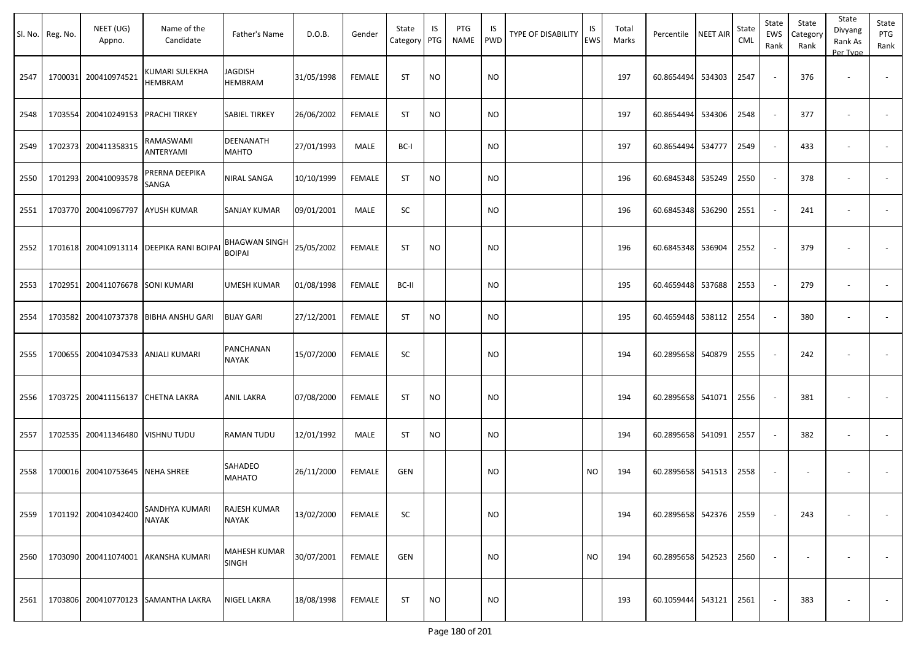| Sl. No. | Reg. No. | NEET (UG)<br>Appno.      | Name of the<br>Candidate                | Father's Name                  | D.O.B.     | Gender        | State<br>Category | IS<br>PTG | PTG<br><b>NAME</b> | IS<br><b>PWD</b> | TYPE OF DISABILITY | IS<br>EWS | Total<br>Marks | Percentile             | <b>NEET AIR</b> | State<br>CML | State<br><b>EWS</b><br>Rank | State<br>Category<br>Rank | State<br>Divyang<br>Rank As<br>Per Type | State<br>PTG<br>Rank     |
|---------|----------|--------------------------|-----------------------------------------|--------------------------------|------------|---------------|-------------------|-----------|--------------------|------------------|--------------------|-----------|----------------|------------------------|-----------------|--------------|-----------------------------|---------------------------|-----------------------------------------|--------------------------|
| 2547    | 1700031  | 200410974521             | KUMARI SULEKHA<br><b>HEMBRAM</b>        | JAGDISH<br>HEMBRAM             | 31/05/1998 | <b>FEMALE</b> | <b>ST</b>         | <b>NO</b> |                    | <b>NO</b>        |                    |           | 197            | 60.8654494             | 534303          | 2547         |                             | 376                       | $\blacksquare$                          | $\overline{\phantom{a}}$ |
| 2548    | 1703554  | 200410249153             | <b>PRACHI TIRKEY</b>                    | <b>SABIEL TIRKEY</b>           | 26/06/2002 | <b>FEMALE</b> | <b>ST</b>         | <b>NO</b> |                    | <b>NO</b>        |                    |           | 197            | 60.8654494             | 534306          | 2548         |                             | 377                       | $\overline{\phantom{a}}$                | $\blacksquare$           |
| 2549    | 1702373  | 200411358315             | RAMASWAMI<br>ANTERYAMI                  | DEENANATH<br>MAHTO             | 27/01/1993 | <b>MALE</b>   | BC-I              |           |                    | NO.              |                    |           | 197            | 60.8654494             | 534777          | 2549         |                             | 433                       | ٠                                       | $\overline{\phantom{a}}$ |
| 2550    | 1701293  | 200410093578             | PRERNA DEEPIKA<br>SANGA                 | NIRAL SANGA                    | 10/10/1999 | <b>FEMALE</b> | ST                | <b>NO</b> |                    | NO.              |                    |           | 196            | 60.6845348             | 535249          | 2550         |                             | 378                       | ÷,                                      |                          |
| 2551    | 1703770  | 200410967797             | <b>AYUSH KUMAR</b>                      | SANJAY KUMAR                   | 09/01/2001 | MALE          | SC                |           |                    | <b>NO</b>        |                    |           | 196            | 60.6845348             | 536290          | 2551         |                             | 241                       |                                         |                          |
| 2552    |          |                          | 1701618 200410913114 DEEPIKA RANI BOIPA | BHAGWAN SINGH<br><b>BOIPAI</b> | 25/05/2002 | <b>FEMALE</b> | <b>ST</b>         | <b>NO</b> |                    | <b>NO</b>        |                    |           | 196            | 60.6845348             | 536904          | 2552         |                             | 379                       | $\overline{\phantom{a}}$                | $\overline{\phantom{a}}$ |
| 2553    | 1702951  | 200411076678 SONI KUMARI |                                         | UMESH KUMAR                    | 01/08/1998 | <b>FEMALE</b> | BC-II             |           |                    | <b>NO</b>        |                    |           | 195            | 60.4659448             | 537688          | 2553         |                             | 279                       | $\overline{\phantom{a}}$                | $\blacksquare$           |
| 2554    | 1703582  | 200410737378             | <b>BIBHA ANSHU GARI</b>                 | <b>BIJAY GARI</b>              | 27/12/2001 | <b>FEMALE</b> | <b>ST</b>         | <b>NO</b> |                    | <b>NO</b>        |                    |           | 195            | 60.4659448             | 538112          | 2554         |                             | 380                       |                                         | $\overline{\phantom{a}}$ |
| 2555    | 1700655  | 200410347533             | <b>ANJALI KUMARI</b>                    | PANCHANAN<br>NAYAK             | 15/07/2000 | <b>FEMALE</b> | SC                |           |                    | NO.              |                    |           | 194            | 60.2895658             | 540879          | 2555         |                             | 242                       |                                         |                          |
| 2556    | 1703725  | 200411156137             | <b>CHETNA LAKRA</b>                     | ANIL LAKRA                     | 07/08/2000 | <b>FEMALE</b> | <b>ST</b>         | <b>NO</b> |                    | NO               |                    |           | 194            | 60.2895658             | 541071          | 2556         |                             | 381                       |                                         | $\blacksquare$           |
| 2557    | 1702535  | 200411346480             | <b>VISHNU TUDU</b>                      | RAMAN TUDU                     | 12/01/1992 | MALE          | <b>ST</b>         | <b>NO</b> |                    | NO.              |                    |           | 194            | 60.2895658             | 541091          | 2557         |                             | 382                       |                                         | $\sim$                   |
| 2558    | 1700016  | 200410753645             | <b>NEHA SHREE</b>                       | SAHADEO<br>MAHATO              | 26/11/2000 | <b>FEMALE</b> | <b>GEN</b>        |           |                    | NO.              |                    | <b>NO</b> | 194            | 60.2895658             | 541513          | 2558         |                             | $\overline{\phantom{a}}$  | $\overline{\phantom{a}}$                | $\overline{\phantom{a}}$ |
| 2559    |          | 1701192 200410342400     | SANDHYA KUMARI<br><b>NAYAK</b>          | <b>RAJESH KUMAR</b><br>NAYAK   | 13/02/2000 | <b>FEMALE</b> | SC                |           |                    | <b>NO</b>        |                    |           | 194            | 60.2895658 542376      |                 | 2559         |                             | 243                       | $\overline{\phantom{a}}$                | $\blacksquare$           |
| 2560    |          | 1703090 200411074001     | AKANSHA KUMARI                          | MAHESH KUMAR<br>SINGH          | 30/07/2001 | <b>FEMALE</b> | <b>GEN</b>        |           |                    | <b>NO</b>        |                    | <b>NO</b> | 194            | 60.2895658 542523      |                 | 2560         |                             |                           | $\overline{\phantom{a}}$                | $\sim$                   |
| 2561    |          |                          | 1703806 200410770123 SAMANTHA LAKRA     | NIGEL LAKRA                    | 18/08/1998 | <b>FEMALE</b> | ST                | <b>NO</b> |                    | <b>NO</b>        |                    |           | 193            | 60.1059444 543121 2561 |                 |              |                             | 383                       | $\overline{\phantom{a}}$                | $\sim$                   |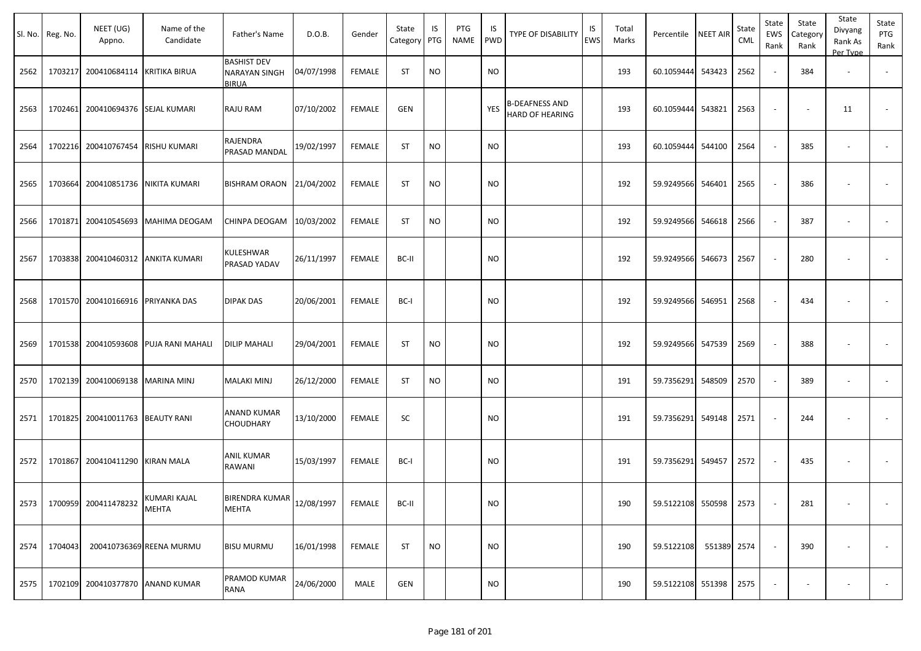|      | Sl. No. Reg. No. | NEET (UG)<br>Appno.                | Name of the<br>Candidate              | Father's Name                                       | D.O.B.     | Gender        | State<br>Category | IS<br>PTG | PTG<br>NAME | IS<br>PWD | TYPE OF DISABILITY                              | IS<br><b>EWS</b> | Total<br>Marks | Percentile        | <b>NEET AIR</b> | State<br><b>CML</b> | State<br>EWS<br>Rank     | State<br>Category<br>Rank | State<br>Divyang<br>Rank As<br>Per Type | State<br>PTG<br>Rank |
|------|------------------|------------------------------------|---------------------------------------|-----------------------------------------------------|------------|---------------|-------------------|-----------|-------------|-----------|-------------------------------------------------|------------------|----------------|-------------------|-----------------|---------------------|--------------------------|---------------------------|-----------------------------------------|----------------------|
| 2562 |                  | 1703217 200410684114 KRITIKA BIRUA |                                       | <b>BASHIST DEV</b><br><b>NARAYAN SINGH</b><br>BIRUA | 04/07/1998 | <b>FEMALE</b> | <b>ST</b>         | <b>NO</b> |             | <b>NO</b> |                                                 |                  | 193            | 60.1059444        | 543423          | 2562                | $\sim$                   | 384                       | $\sim$                                  |                      |
| 2563 |                  | 1702461 200410694376 SEJAL KUMARI  |                                       | RAJU RAM                                            | 07/10/2002 | <b>FEMALE</b> | <b>GEN</b>        |           |             | YES       | <b>B-DEAFNESS AND</b><br><b>HARD OF HEARING</b> |                  | 193            | 60.1059444 543821 |                 | 2563                | $\overline{\phantom{a}}$ | $\sim$                    | 11                                      | $\sim$               |
| 2564 |                  | 1702216 200410767454 RISHU KUMARI  |                                       | RAJENDRA<br>PRASAD MANDAL                           | 19/02/1997 | <b>FEMALE</b> | <b>ST</b>         | <b>NO</b> |             | <b>NO</b> |                                                 |                  | 193            | 60.1059444        | 544100          | 2564                | $\blacksquare$           | 385                       | $\overline{\phantom{a}}$                | $\sim$               |
| 2565 |                  | 1703664 200410851736               | <b>NIKITA KUMARI</b>                  | BISHRAM ORAON 21/04/2002                            |            | FEMALE        | <b>ST</b>         | <b>NO</b> |             | <b>NO</b> |                                                 |                  | 192            | 59.9249566 546401 |                 | 2565                | $\blacksquare$           | 386                       | $\overline{\phantom{a}}$                |                      |
| 2566 |                  | 1701871 200410545693               | <b>MAHIMA DEOGAM</b>                  | CHINPA DEOGAM                                       | 10/03/2002 | <b>FEMALE</b> | <b>ST</b>         | <b>NO</b> |             | <b>NO</b> |                                                 |                  | 192            | 59.9249566        | 546618          | 2566                | $\omega$                 | 387                       | $\overline{\phantom{a}}$                |                      |
| 2567 |                  |                                    | 1703838 200410460312 ANKITA KUMARI    | KULESHWAR<br>PRASAD YADAV                           | 26/11/1997 | <b>FEMALE</b> | BC-II             |           |             | <b>NO</b> |                                                 |                  | 192            | 59.9249566        | 546673          | 2567                | $\omega$                 | 280                       | $\sim$                                  | $\sim$               |
| 2568 |                  | 1701570 200410166916 PRIYANKA DAS  |                                       | <b>DIPAK DAS</b>                                    | 20/06/2001 | <b>FEMALE</b> | BC-I              |           |             | <b>NO</b> |                                                 |                  | 192            | 59.9249566 546951 |                 | 2568                | $\sim$                   | 434                       | $\overline{\phantom{a}}$                |                      |
| 2569 |                  |                                    | 1701538 200410593608 PUJA RANI MAHALI | <b>DILIP MAHALI</b>                                 | 29/04/2001 | <b>FEMALE</b> | <b>ST</b>         | <b>NO</b> |             | <b>NO</b> |                                                 |                  | 192            | 59.9249566 547539 |                 | 2569                | $\sim$                   | 388                       | $\sim$                                  |                      |
| 2570 |                  | 1702139 200410069138 MARINA MINJ   |                                       | <b>MALAKI MINJ</b>                                  | 26/12/2000 | <b>FEMALE</b> | <b>ST</b>         | <b>NO</b> |             | <b>NO</b> |                                                 |                  | 191            | 59.7356291 548509 |                 | 2570                | $\sim$                   | 389                       |                                         |                      |
| 2571 |                  | 1701825 200410011763 BEAUTY RANI   |                                       | ANAND KUMAR<br><b>CHOUDHARY</b>                     | 13/10/2000 | <b>FEMALE</b> | SC                |           |             | NO.       |                                                 |                  | 191            | 59.7356291        | 549148          | 2571                | $\sim$                   | 244                       | $\sim$                                  |                      |
| 2572 |                  | 1701867 200410411290 KIRAN MALA    |                                       | <b>ANIL KUMAR</b><br>RAWANI                         | 15/03/1997 | FEMALE        | BC-I              |           |             | <b>NO</b> |                                                 |                  | 191            | 59.7356291        | 549457          | 2572                | $\sim$                   | 435                       | $\sim$                                  |                      |
| 2573 |                  | 1700959 200411478232               | KUMARI KAJAL<br>MEHTA                 | <b>BIRENDRA KUMAR</b><br>MEHTA                      | 12/08/1997 | <b>FEMALE</b> | BC-II             |           |             | NO.       |                                                 |                  | 190            | 59.5122108 550598 |                 | 2573                | $\sim$                   | 281                       | $\sim$                                  | $\sim$               |
| 2574 | 1704043          |                                    | 200410736369 REENA MURMU              | <b>BISU MURMU</b>                                   | 16/01/1998 | FEMALE        | <b>ST</b>         | <b>NO</b> |             | <b>NO</b> |                                                 |                  | 190            | 59.5122108        | 551389 2574     |                     | $\sim$                   | 390                       | $\sim$                                  | $\sim$               |
| 2575 |                  | 1702109 200410377870 ANAND KUMAR   |                                       | PRAMOD KUMAR<br>RANA                                | 24/06/2000 | MALE          | <b>GEN</b>        |           |             | <b>NO</b> |                                                 |                  | 190            | 59.5122108 551398 |                 | 2575                | $\overline{\phantom{a}}$ | $\overline{\phantom{a}}$  | $\overline{\phantom{a}}$                | $\sim$               |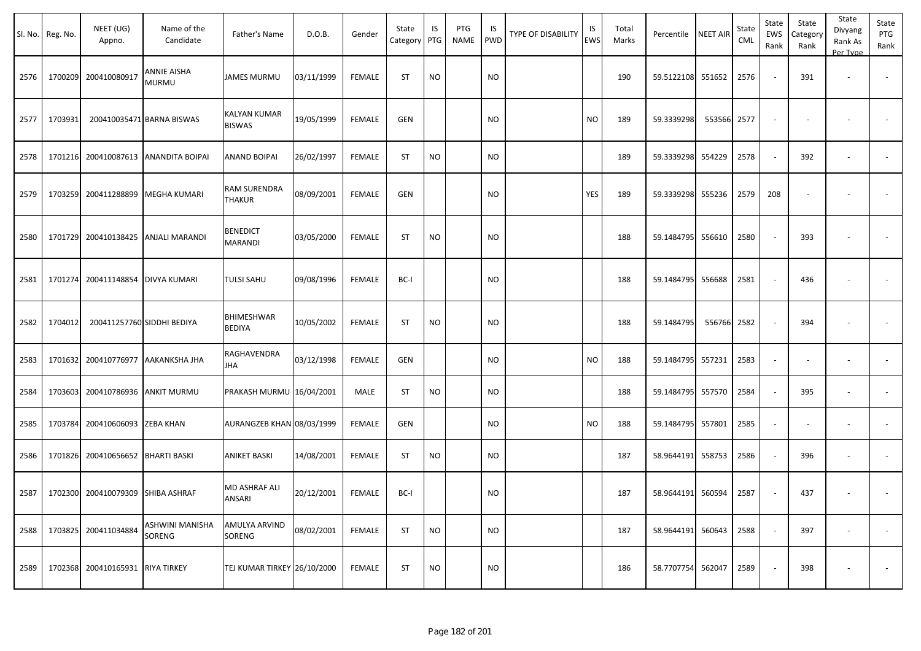|      | Sl. No. Reg. No. | NEET (UG)<br>Appno.               | Name of the<br>Candidate             | Father's Name                        | D.O.B.     | Gender        | State<br>Category   PTG | IS        | PTG<br>NAME | IS<br><b>PWD</b> | <b>TYPE OF DISABILITY</b> | IS<br>EWS | Total<br>Marks | Percentile NEET AIR |        | State<br>CML | State<br>EWS<br>Rank | State<br>Category<br>Rank | State<br>Divyang<br>Rank As<br>Per Type | State<br>PTG<br>Rank |
|------|------------------|-----------------------------------|--------------------------------------|--------------------------------------|------------|---------------|-------------------------|-----------|-------------|------------------|---------------------------|-----------|----------------|---------------------|--------|--------------|----------------------|---------------------------|-----------------------------------------|----------------------|
| 2576 | 1700209          | 200410080917                      | ANNIE AISHA<br><b>MURMU</b>          | <b>JAMES MURMU</b>                   | 03/11/1999 | <b>FEMALE</b> | <b>ST</b>               | <b>NO</b> |             | <b>NO</b>        |                           |           | 190            | 59.5122108 551652   |        | 2576         |                      | 391                       | $\overline{\phantom{a}}$                |                      |
| 2577 | 1703931          |                                   | 200410035471 BARNA BISWAS            | <b>KALYAN KUMAR</b><br><b>BISWAS</b> | 19/05/1999 | <b>FEMALE</b> | <b>GEN</b>              |           |             | <b>NO</b>        |                           | <b>NO</b> | 189            | 59.3339298          | 553566 | 2577         |                      |                           |                                         |                      |
| 2578 |                  |                                   | 1701216 200410087613 ANANDITA BOIPAI | <b>ANAND BOIPAI</b>                  | 26/02/1997 | <b>FEMALE</b> | <b>ST</b>               | <b>NO</b> |             | <b>NO</b>        |                           |           | 189            | 59.3339298 554229   |        | 2578         |                      | 392                       | $\overline{\phantom{a}}$                |                      |
| 2579 | 1703259          |                                   | 200411288899   MEGHA KUMARI          | RAM SURENDRA<br><b>THAKUR</b>        | 08/09/2001 | <b>FEMALE</b> | GEN                     |           |             | <b>NO</b>        |                           | YES       | 189            | 59.3339298 555236   |        | 2579         | 208                  |                           |                                         |                      |
| 2580 | 1701729          |                                   | 200410138425 ANJALI MARANDI          | <b>BENEDICT</b><br>MARANDI           | 03/05/2000 | <b>FEMALE</b> | <b>ST</b>               | <b>NO</b> |             | <b>NO</b>        |                           |           | 188            | 59.1484795 556610   |        | 2580         |                      | 393                       |                                         |                      |
| 2581 | 1701274          | 200411148854 DIVYA KUMARI         |                                      | <b>TULSI SAHU</b>                    | 09/08/1996 | <b>FEMALE</b> | BC-I                    |           |             | <b>NO</b>        |                           |           | 188            | 59.1484795 556688   |        | 2581         |                      | 436                       |                                         |                      |
| 2582 | 1704012          |                                   | 200411257760 SIDDHI BEDIYA           | BHIMESHWAR<br>BEDIYA                 | 10/05/2002 | <b>FEMALE</b> | <b>ST</b>               | <b>NO</b> |             | <b>NO</b>        |                           |           | 188            | 59.1484795          | 556766 | 2582         |                      | 394                       |                                         |                      |
| 2583 | 1701632          |                                   | 200410776977 AAKANKSHA JHA           | RAGHAVENDRA<br>JHA                   | 03/12/1998 | <b>FEMALE</b> | GEN                     |           |             | <b>NO</b>        |                           | <b>NO</b> | 188            | 59.1484795 557231   |        | 2583         |                      |                           |                                         |                      |
| 2584 | 1703603          |                                   | 200410786936 ANKIT MURMU             | PRAKASH MURMU 16/04/2001             |            | MALE          | <b>ST</b>               | <b>NO</b> |             | <b>NO</b>        |                           |           | 188            | 59.1484795 557570   |        | 2584         |                      | 395                       | $\overline{\phantom{a}}$                |                      |
| 2585 | 1703784          | 200410606093 ZEBA KHAN            |                                      | AURANGZEB KHAN 08/03/1999            |            | <b>FEMALE</b> | GEN                     |           |             | <b>NO</b>        |                           | <b>NO</b> | 188            | 59.1484795          | 557801 | 2585         |                      |                           | $\overline{\phantom{a}}$                |                      |
| 2586 | 1701826          | 200410656652 BHARTI BASKI         |                                      | <b>ANIKET BASKI</b>                  | 14/08/2001 | <b>FEMALE</b> | ST                      | <b>NO</b> |             | <b>NO</b>        |                           |           | 187            | 58.9644191          | 558753 | 2586         |                      | 396                       | $\overline{\phantom{a}}$                | $\sim$               |
| 2587 |                  | 1702300 200410079309 SHIBA ASHRAF |                                      | MD ASHRAF ALI<br><b>ANSARI</b>       | 20/12/2001 | <b>FEMALE</b> | BC-I                    |           |             | <b>NO</b>        |                           |           | 187            | 58.9644191 560594   |        | 2587         |                      | 437                       |                                         |                      |
| 2588 |                  | 1703825 200411034884              | ASHWINI MANISHA<br>SORENG            | AMULYA ARVIND<br>SORENG              | 08/02/2001 | FEMALE        | <b>ST</b>               | <b>NO</b> |             | <b>NO</b>        |                           |           | 187            | 58.9644191 560643   |        | 2588         |                      | 397                       |                                         | $\sim$               |
| 2589 |                  | 1702368 200410165931 RIYA TIRKEY  |                                      | TEJ KUMAR TIRKEY 26/10/2000          |            | <b>FEMALE</b> | <b>ST</b>               | <b>NO</b> |             | <b>NO</b>        |                           |           | 186            | 58.7707754 562047   |        | 2589         |                      | 398                       | $\overline{\phantom{a}}$                | $\sim$               |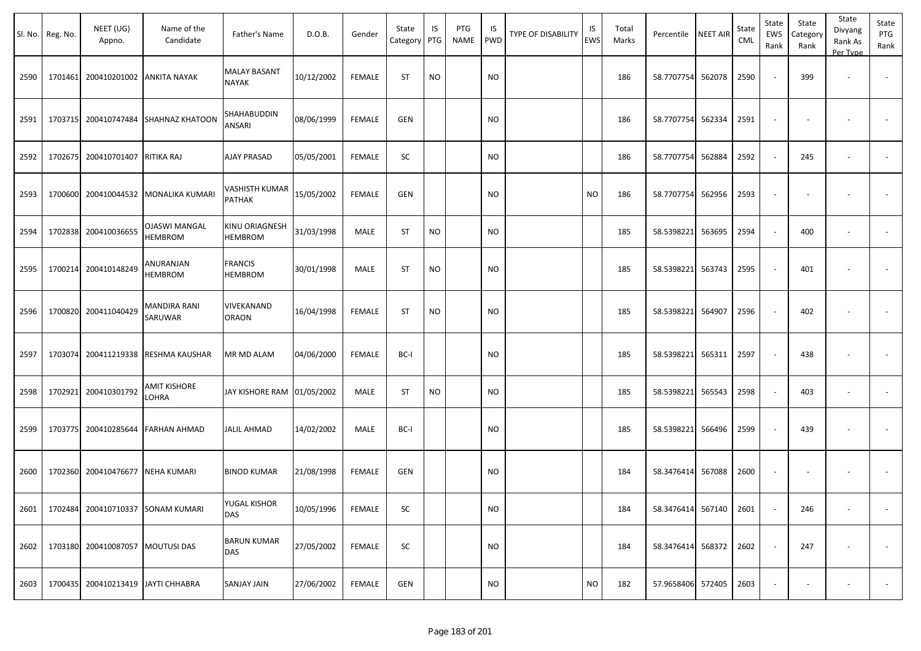|      | Sl. No. Reg. No. | NEET (UG)<br>Appno.                | Name of the<br>Candidate               | Father's Name                       | D.O.B.     | Gender        | State<br>Category | IS<br>PTG | PTG<br>NAME | IS.<br>PWD | TYPE OF DISABILITY | IS<br>EWS | Total<br>Marks | Percentile        | <b>NEET AIR</b> | State<br><b>CML</b> | State<br>EWS<br>Rank     | State<br>Category<br>Rank | State<br>Divyang<br>Rank As<br>Per Type | State<br>PTG<br>Rank     |
|------|------------------|------------------------------------|----------------------------------------|-------------------------------------|------------|---------------|-------------------|-----------|-------------|------------|--------------------|-----------|----------------|-------------------|-----------------|---------------------|--------------------------|---------------------------|-----------------------------------------|--------------------------|
| 2590 | 1701461          | 200410201002                       | <b>ANKITA NAYAK</b>                    | <b>MALAY BASANT</b><br><b>NAYAK</b> | 10/12/2002 | <b>FEMALE</b> | <b>ST</b>         | <b>NO</b> |             | <b>NO</b>  |                    |           | 186            | 58.7707754        | 562078          | 2590                | $\overline{\phantom{a}}$ | 399                       | $\overline{\phantom{a}}$                |                          |
| 2591 |                  | 1703715 200410747484               | <b>SHAHNAZ KHATOON</b>                 | SHAHABUDDIN<br>ANSARI               | 08/06/1999 | <b>FEMALE</b> | <b>GEN</b>        |           |             | <b>NO</b>  |                    |           | 186            | 58.7707754        | 562334          | 2591                | $\overline{\phantom{a}}$ |                           |                                         |                          |
| 2592 |                  | 1702675 200410701407               | <b>RITIKA RAJ</b>                      | <b>AJAY PRASAD</b>                  | 05/05/2001 | FEMALE        | SC                |           |             | <b>NO</b>  |                    |           | 186            | 58.7707754        | 562884          | 2592                | $\sim$                   | 245                       | $\overline{\phantom{a}}$                |                          |
| 2593 |                  | 1700600 200410044532               | MONALIKA KUMARI                        | VASHISTH KUMAR<br><b>PATHAK</b>     | 15/05/2002 | <b>FEMALE</b> | <b>GEN</b>        |           |             | <b>NO</b>  |                    | NO        | 186            | 58.7707754        | 562956          | 2593                | $\overline{\phantom{a}}$ |                           |                                         |                          |
| 2594 |                  | 1702838 200410036655               | <b>OJASWI MANGAL</b><br><b>HEMBROM</b> | KINU ORIAGNESH<br><b>HEMBROM</b>    | 31/03/1998 | MALE          | <b>ST</b>         | <b>NO</b> |             | <b>NO</b>  |                    |           | 185            | 58.5398221        | 563695          | 2594                | $\sim$                   | 400                       |                                         | $\sim$                   |
| 2595 |                  | 1700214 200410148249               | ANURANJAN<br>HEMBROM                   | <b>FRANCIS</b><br>HEMBROM           | 30/01/1998 | MALE          | ST                | <b>NO</b> |             | <b>NO</b>  |                    |           | 185            | 58.5398221        | 563743          | 2595                | $\sim$                   | 401                       |                                         |                          |
| 2596 |                  | 1700820 200411040429               | MANDIRA RANI<br>SARUWAR                | VIVEKANAND<br><b>ORAON</b>          | 16/04/1998 | <b>FEMALE</b> | ST                | <b>NO</b> |             | NO         |                    |           | 185            | 58.5398221        | 564907          | 2596                | $\sim$                   | 402                       |                                         |                          |
| 2597 |                  | 1703074 200411219338               | RESHMA KAUSHAR                         | MR MD ALAM                          | 04/06/2000 | FEMALE        | BC-I              |           |             | <b>NO</b>  |                    |           | 185            | 58.5398221        | 565311          | 2597                | $\sim$                   | 438                       |                                         |                          |
| 2598 |                  | 1702921 200410301792               | AMIT KISHORE<br>LOHRA                  | JAY KISHORE RAM 01/05/2002          |            | MALE          | <b>ST</b>         | <b>NO</b> |             | <b>NO</b>  |                    |           | 185            | 58.5398221        | 565543          | 2598                | $\sim$                   | 403                       | $\overline{\phantom{a}}$                |                          |
| 2599 |                  | 1703775 200410285644               | <b>FARHAN AHMAD</b>                    | <b>JALIL AHMAD</b>                  | 14/02/2002 | <b>MALE</b>   | BC-I              |           |             | <b>NO</b>  |                    |           | 185            | 58.5398221        | 566496          | 2599                | $\overline{\phantom{a}}$ | 439                       |                                         | $\blacksquare$           |
| 2600 |                  | 1702360 200410476677               | <b>NEHA KUMARI</b>                     | <b>BINOD KUMAR</b>                  | 21/08/1998 | <b>FEMALE</b> | <b>GEN</b>        |           |             | <b>NO</b>  |                    |           | 184            | 58.3476414        | 567088          | 2600                | $\overline{\phantom{a}}$ |                           |                                         |                          |
| 2601 |                  | 1702484 200410710337 SONAM KUMARI  |                                        | YUGAL KISHOR<br>DAS                 | 10/05/1996 | <b>FEMALE</b> | SC                |           |             | <b>NO</b>  |                    |           | 184            | 58.3476414 567140 |                 | 2601                | $\overline{\phantom{a}}$ | 246                       |                                         |                          |
| 2602 |                  | 1703180 200410087057 MOUTUSI DAS   |                                        | <b>BARUN KUMAR</b><br>DAS           | 27/05/2002 | FEMALE        | SC                |           |             | <b>NO</b>  |                    |           | 184            | 58.3476414        | 568372          | 2602                | $\overline{\phantom{a}}$ | 247                       |                                         | $\overline{\phantom{a}}$ |
| 2603 |                  | 1700435 200410213419 JAYTI CHHABRA |                                        | SANJAY JAIN                         | 27/06/2002 | FEMALE        | <b>GEN</b>        |           |             | $\rm NO$   |                    | <b>NO</b> | 182            | 57.9658406 572405 |                 | 2603                | $\overline{\phantom{a}}$ |                           |                                         |                          |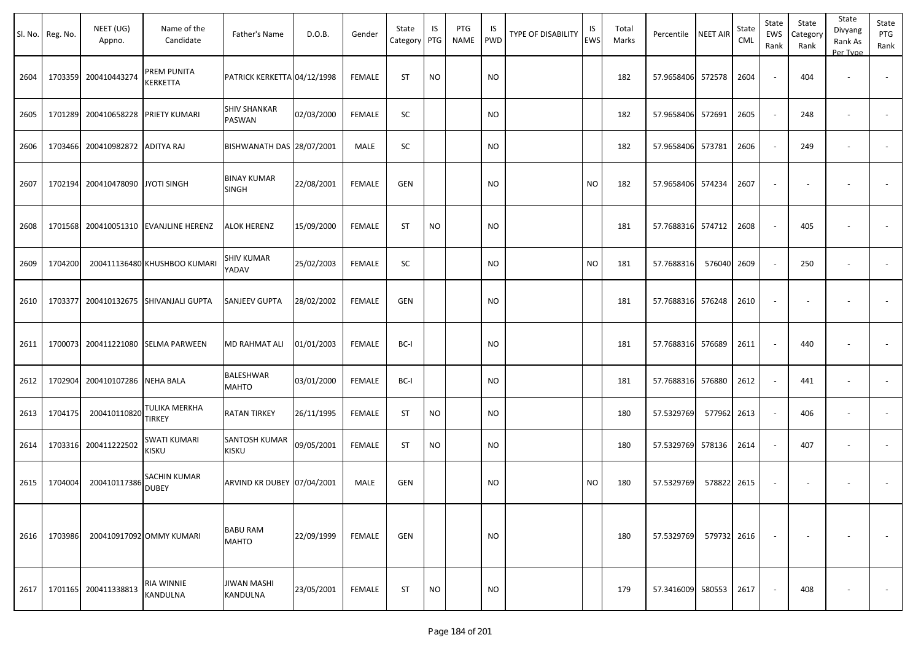| Sl. No. | Reg. No. | NEET (UG)<br>Appno.     | Name of the<br>Candidate              | Father's Name                        | D.O.B.     | Gender        | State<br>Category | IS<br>PTG | PTG<br><b>NAME</b> | IS<br><b>PWD</b> | <b>TYPE OF DISABILITY</b> | IS<br><b>EWS</b> | Total<br>Marks | Percentile        | NEET AIR    | State<br><b>CML</b> | State<br>EWS<br>Rank     | State<br>Category<br>Rank | State<br>Divyang<br>Rank As<br>Per Type | State<br>PTG<br>Rank |
|---------|----------|-------------------------|---------------------------------------|--------------------------------------|------------|---------------|-------------------|-----------|--------------------|------------------|---------------------------|------------------|----------------|-------------------|-------------|---------------------|--------------------------|---------------------------|-----------------------------------------|----------------------|
| 2604    |          | 1703359 200410443274    | PREM PUNITA<br>KERKETTA               | PATRICK KERKETTA 04/12/1998          |            | <b>FEMALE</b> | <b>ST</b>         | <b>NO</b> |                    | <b>NO</b>        |                           |                  | 182            | 57.9658406 572578 |             | 2604                |                          | 404                       | $\overline{\phantom{a}}$                |                      |
| 2605    | 1701289  | 200410658228            | <b>PRIETY KUMARI</b>                  | <b>SHIV SHANKAR</b><br>PASWAN        | 02/03/2000 | <b>FEMALE</b> | SC                |           |                    | NO.              |                           |                  | 182            | 57.9658406 572691 |             | 2605                |                          | 248                       |                                         |                      |
| 2606    | 1703466  | 200410982872 ADITYA RAJ |                                       | BISHWANATH DAS 28/07/2001            |            | MALE          | SC                |           |                    | NO.              |                           |                  | 182            | 57.9658406 573781 |             | 2606                |                          | 249                       | $\overline{\phantom{a}}$                |                      |
| 2607    | 1702194  | 200410478090            | JYOTI SINGH                           | <b>BINAY KUMAR</b><br><b>SINGH</b>   | 22/08/2001 | <b>FEMALE</b> | GEN               |           |                    | <b>NO</b>        |                           | <b>NO</b>        | 182            | 57.9658406 574234 |             | 2607                | $\sim$                   |                           |                                         |                      |
| 2608    |          |                         | 1701568 200410051310 EVANJLINE HERENZ | <b>ALOK HERENZ</b>                   | 15/09/2000 | <b>FEMALE</b> | ST                | NO.       |                    | NO               |                           |                  | 181            | 57.7688316 574712 |             | 2608                | $\sim$                   | 405                       |                                         |                      |
| 2609    | 1704200  |                         | 200411136480 KHUSHBOO KUMARI          | <b>SHIV KUMAR</b><br>YADAV           | 25/02/2003 | <b>FEMALE</b> | SC                |           |                    | <b>NO</b>        |                           | <b>NO</b>        | 181            | 57.7688316        | 576040      | 2609                | $\sim$                   | 250                       | $\overline{\phantom{a}}$                |                      |
| 2610    | 1703377  |                         | 200410132675 SHIVANJALI GUPTA         | <b>SANJEEV GUPTA</b>                 | 28/02/2002 | <b>FEMALE</b> | GEN               |           |                    | <b>NO</b>        |                           |                  | 181            | 57.7688316 576248 |             | 2610                |                          |                           |                                         |                      |
| 2611    |          |                         | 1700073 200411221080 SELMA PARWEEN    | <b>MD RAHMAT ALI</b>                 | 01/01/2003 | <b>FEMALE</b> | BC-I              |           |                    | <b>NO</b>        |                           |                  | 181            | 57.7688316 576689 |             | 2611                |                          | 440                       |                                         |                      |
| 2612    | 1702904  | 200410107286 NEHA BALA  |                                       | <b>BALESHWAR</b><br><b>MAHTO</b>     | 03/01/2000 | FEMALE        | BC-I              |           |                    | NO.              |                           |                  | 181            | 57.7688316 576880 |             | 2612                | $\sim$                   | 441                       | $\overline{\phantom{a}}$                |                      |
| 2613    | 1704175  | 200410110820            | TULIKA MERKHA<br><b>TIRKEY</b>        | <b>RATAN TIRKEY</b>                  | 26/11/1995 | <b>FEMALE</b> | ST                | <b>NO</b> |                    | NO.              |                           |                  | 180            | 57.5329769        | 577962      | 2613                | $\sim$                   | 406                       | $\overline{\phantom{a}}$                |                      |
| 2614    | 1703316  | 200411222502            | SWATI KUMARI<br>KISKU                 | <b>SANTOSH KUMAR</b><br><b>KISKU</b> | 09/05/2001 | <b>FEMALE</b> | ST                | <b>NO</b> |                    | NO.              |                           |                  | 180            | 57.5329769 578136 |             | 2614                | $\sim$                   | 407                       | $\overline{\phantom{a}}$                |                      |
| 2615    | 1704004  | 200410117386            | SACHIN KUMAR<br><b>DUBEY</b>          | ARVIND KR DUBEY 07/04/2001           |            | MALE          | GEN               |           |                    | <b>NO</b>        |                           | <b>NO</b>        | 180            | 57.5329769        | 578822      | 2615                | $\overline{\phantom{a}}$ |                           |                                         |                      |
| 2616    | 1703986  |                         | 200410917092 OMMY KUMARI              | <b>BABU RAM</b><br><b>MAHTO</b>      | 22/09/1999 | FEMALE        | GEN               |           |                    | <b>NO</b>        |                           |                  | 180            | 57.5329769        | 579732 2616 |                     | $\sim$                   |                           |                                         | $\sim$               |
| 2617    |          | 1701165 200411338813    | RIA WINNIE<br>KANDULNA                | <b>JIWAN MASHI</b><br>KANDULNA       | 23/05/2001 | FEMALE        | ST                | <b>NO</b> |                    | <b>NO</b>        |                           |                  | 179            | 57.3416009 580553 |             | 2617                |                          | 408                       |                                         | $\sim$               |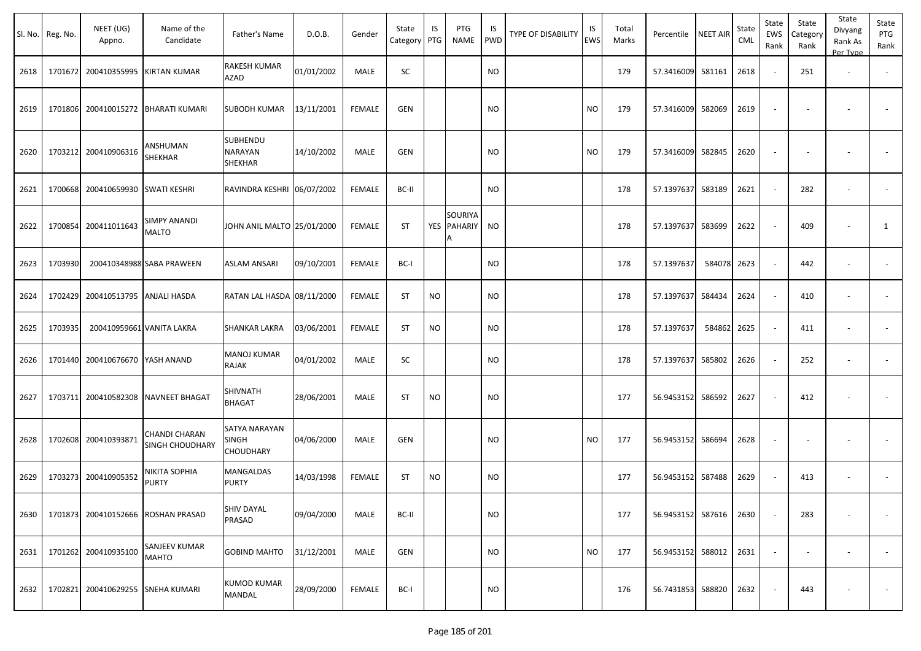|      | Sl. No. Reg. No. | NEET (UG)<br>Appno.       | Name of the<br>Candidate                | Father's Name                              | D.O.B.     | Gender        | State<br>Category PTG | IS        | PTG<br><b>NAME</b>               | IS<br><b>PWD</b> | TYPE OF DISABILITY | IS<br>EWS | Total<br>Marks | Percentile        | <b>NEET AIR</b> | State<br><b>CML</b> | State<br><b>EWS</b><br>Rank | State<br>Category<br>Rank | State<br>Divyang<br>Rank As<br>Per Type | State<br>PTG<br>Rank     |
|------|------------------|---------------------------|-----------------------------------------|--------------------------------------------|------------|---------------|-----------------------|-----------|----------------------------------|------------------|--------------------|-----------|----------------|-------------------|-----------------|---------------------|-----------------------------|---------------------------|-----------------------------------------|--------------------------|
| 2618 | 1701672          | 200410355995              | KIRTAN KUMAR                            | RAKESH KUMAR<br><b>AZAD</b>                | 01/01/2002 | MALE          | SC                    |           |                                  | <b>NO</b>        |                    |           | 179            | 57.3416009 581161 |                 | 2618                | $\sim$                      | 251                       | $\overline{\phantom{a}}$                |                          |
| 2619 | 1701806          | 200410015272              | <b>BHARATI KUMARI</b>                   | <b>SUBODH KUMAR</b>                        | 13/11/2001 | <b>FEMALE</b> | GEN                   |           |                                  | <b>NO</b>        |                    | <b>NO</b> | 179            | 57.3416009        | 582069          | 2619                |                             |                           |                                         |                          |
| 2620 | 1703212          | 200410906316              | <b>ANSHUMAN</b><br>SHEKHAR              | SUBHENDU<br>NARAYAN<br>SHEKHAR             | 14/10/2002 | MALE          | <b>GEN</b>            |           |                                  | <b>NO</b>        |                    | <b>NO</b> | 179            | 57.3416009        | 582845          | 2620                |                             |                           |                                         |                          |
| 2621 | 1700668          | 200410659930              | <b>SWATI KESHRI</b>                     | RAVINDRA KESHRI 06/07/2002                 |            | <b>FEMALE</b> | BC-II                 |           |                                  | <b>NO</b>        |                    |           | 178            | 57.1397637        | 583189          | 2621                | $\sim$                      | 282                       | $\sim$                                  |                          |
| 2622 | 1700854          | 200411011643              | <b>SIMPY ANANDI</b><br><b>MALTO</b>     | JOHN ANIL MALTO 25/01/2000                 |            | <b>FEMALE</b> | <b>ST</b>             | YES       | <b>SOURIYA</b><br><b>PAHARIY</b> | <b>NO</b>        |                    |           | 178            | 57.1397637        | 583699          | 2622                |                             | 409                       |                                         | 1                        |
| 2623 | 1703930          |                           | 200410348988 SABA PRAWEEN               | ASLAM ANSARI                               | 09/10/2001 | <b>FEMALE</b> | BC-I                  |           |                                  | <b>NO</b>        |                    |           | 178            | 57.1397637        | 584078          | 2623                |                             | 442                       | $\overline{\phantom{a}}$                |                          |
| 2624 | 1702429          | 200410513795 ANJALI HASDA |                                         | RATAN LAL HASDA 08/11/2000                 |            | FEMALE        | <b>ST</b>             | <b>NO</b> |                                  | <b>NO</b>        |                    |           | 178            | 57.1397637        | 584434          | 2624                | $\sim$                      | 410                       |                                         |                          |
| 2625 | 1703935          |                           | 200410959661 VANITA LAKRA               | SHANKAR LAKRA                              | 03/06/2001 | <b>FEMALE</b> | <b>ST</b>             | <b>NO</b> |                                  | <b>NO</b>        |                    |           | 178            | 57.1397637        | 584862          | 2625                | $\sim$                      | 411                       | $\overline{\phantom{a}}$                |                          |
| 2626 | 1701440          | 200410676670              | YASH ANAND                              | <b>MANOJ KUMAR</b><br>RAJAK                | 04/01/2002 | MALE          | SC                    |           |                                  | <b>NO</b>        |                    |           | 178            | 57.1397637        | 585802          | 2626                |                             | 252                       | $\sim$                                  |                          |
| 2627 | 1703711          | 200410582308              | <b>NAVNEET BHAGAT</b>                   | SHIVNATH<br><b>BHAGAT</b>                  | 28/06/2001 | MALE          | <b>ST</b>             | <b>NO</b> |                                  | <b>NO</b>        |                    |           | 177            | 56.9453152 586592 |                 | 2627                |                             | 412                       |                                         |                          |
| 2628 | 1702608          | 200410393871              | CHANDI CHARAN<br><b>SINGH CHOUDHARY</b> | SATYA NARAYAN<br>SINGH<br><b>CHOUDHARY</b> | 04/06/2000 | MALE          | <b>GEN</b>            |           |                                  | <b>NO</b>        |                    | <b>NO</b> | 177            | 56.9453152 586694 |                 | 2628                |                             |                           |                                         |                          |
| 2629 | 1703273          | 200410905352              | NIKITA SOPHIA<br><b>PURTY</b>           | MANGALDAS<br><b>PURTY</b>                  | 14/03/1998 | <b>FEMALE</b> | <b>ST</b>             | <b>NO</b> |                                  | <b>NO</b>        |                    |           | 177            | 56.9453152        | 587488          | 2629                |                             | 413                       | $\sim$                                  |                          |
| 2630 | 1701873          | 200410152666              | <b>ROSHAN PRASAD</b>                    | SHIV DAYAL<br>PRASAD                       | 09/04/2000 | MALE          | BC-II                 |           |                                  | <b>NO</b>        |                    |           | 177            | 56.9453152 587616 |                 | 2630                |                             | 283                       |                                         |                          |
| 2631 | 1701262          | 200410935100              | SANJEEV KUMAR<br><b>MAHTO</b>           | <b>GOBIND MAHTO</b>                        | 31/12/2001 | MALE          | <b>GEN</b>            |           |                                  | <b>NO</b>        |                    | <b>NO</b> | 177            | 56.9453152 588012 |                 | 2631                |                             | $\overline{\phantom{a}}$  | $\overline{\phantom{a}}$                | $\overline{\phantom{a}}$ |
| 2632 | 1702821          | 200410629255              | <b>SNEHA KUMARI</b>                     | <b>KUMOD KUMAR</b><br>MANDAL               | 28/09/2000 | <b>FEMALE</b> | BC-I                  |           |                                  | <b>NO</b>        |                    |           | 176            | 56.7431853 588820 |                 | 2632                | $\sim$                      | 443                       |                                         | $\sim$                   |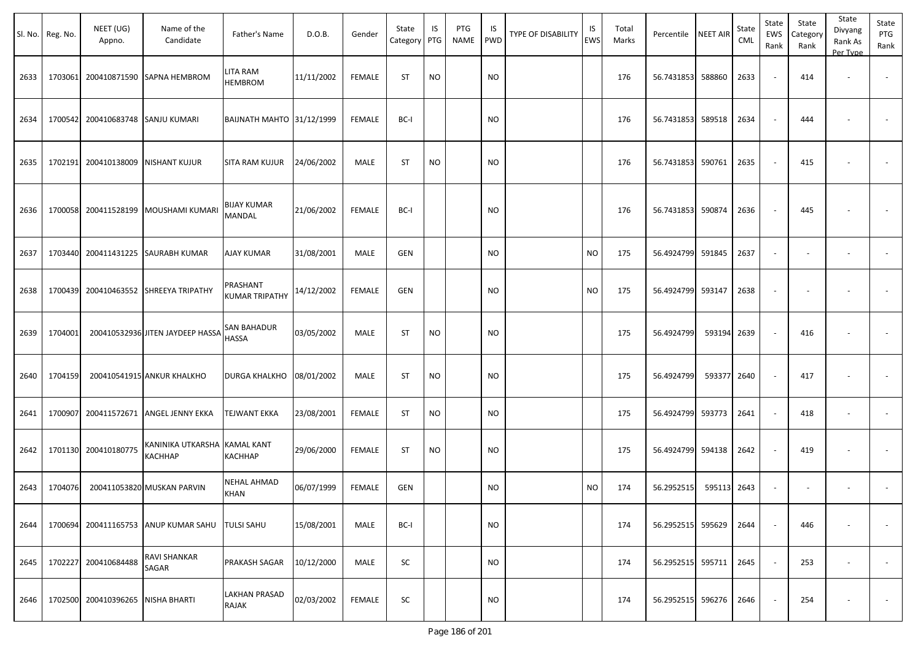| Sl. No. | Reg. No. | NEET (UG)<br>Appno.       | Name of the<br>Candidate            | Father's Name                        | D.O.B.     | Gender        | State<br>Category PTG | IS        | PTG<br><b>NAME</b> | IS<br><b>PWD</b> | <b>TYPE OF DISABILITY</b> | IS<br><b>EWS</b> | Total<br>Marks | Percentile        | <b>NEET AIR</b> | State<br><b>CML</b> | State<br>EWS<br>Rank | State<br>Category<br>Rank | State<br>Divyang<br>Rank As<br>Per Type | State<br>PTG<br>Rank     |
|---------|----------|---------------------------|-------------------------------------|--------------------------------------|------------|---------------|-----------------------|-----------|--------------------|------------------|---------------------------|------------------|----------------|-------------------|-----------------|---------------------|----------------------|---------------------------|-----------------------------------------|--------------------------|
| 2633    | 1703061  |                           | 200410871590 SAPNA HEMBROM          | LITA RAM<br><b>HEMBROM</b>           | 11/11/2002 | <b>FEMALE</b> | <b>ST</b>             | <b>NO</b> |                    | <b>NO</b>        |                           |                  | 176            | 56.7431853        | 588860          | 2633                |                      | 414                       | $\sim$                                  | $\overline{\phantom{a}}$ |
| 2634    | 1700542  | 200410683748 SANJU KUMARI |                                     | <b>BAIJNATH MAHTO 31/12/1999</b>     |            | <b>FEMALE</b> | BC-I                  |           |                    | <b>NO</b>        |                           |                  | 176            | 56.7431853 589518 |                 | 2634                |                      | 444                       |                                         |                          |
| 2635    | 1702191  |                           | 200410138009 NISHANT KUJUR          | <b>SITA RAM KUJUR</b>                | 24/06/2002 | MALE          | <b>ST</b>             | <b>NO</b> |                    | <b>NO</b>        |                           |                  | 176            | 56.7431853 590761 |                 | 2635                |                      | 415                       |                                         |                          |
| 2636    | 1700058  |                           | 200411528199 MOUSHAMI KUMARI        | <b>BIJAY KUMAR</b><br>MANDAL         | 21/06/2002 | <b>FEMALE</b> | BC-I                  |           |                    | <b>NO</b>        |                           |                  | 176            | 56.7431853 590874 |                 | 2636                |                      | 445                       |                                         |                          |
| 2637    | 1703440  |                           | 200411431225 SAURABH KUMAR          | AJAY KUMAR                           | 31/08/2001 | MALE          | GEN                   |           |                    | <b>NO</b>        |                           | <b>NO</b>        | 175            | 56.4924799        | 591845          | 2637                |                      | $\sim$                    | $\blacksquare$                          |                          |
| 2638    | 1700439  |                           | 200410463552 SHREEYA TRIPATHY       | PRASHANT<br><b>KUMAR TRIPATHY</b>    | 14/12/2002 | <b>FEMALE</b> | GEN                   |           |                    | <b>NO</b>        |                           | <b>NO</b>        | 175            | 56.4924799 593147 |                 | 2638                |                      | $\overline{\phantom{a}}$  |                                         |                          |
| 2639    | 1704001  |                           | 200410532936 JITEN JAYDEEP HASSA    | SAN BAHADUR<br><b>HASSA</b>          | 03/05/2002 | MALE          | <b>ST</b>             | <b>NO</b> |                    | <b>NO</b>        |                           |                  | 175            | 56.4924799        | 593194          | 2639                |                      | 416                       |                                         |                          |
| 2640    | 1704159  |                           | 200410541915 ANKUR KHALKHO          | <b>DURGA KHALKHO</b>                 | 08/01/2002 | MALE          | <b>ST</b>             | <b>NO</b> |                    | <b>NO</b>        |                           |                  | 175            | 56.4924799        | 593377 2640     |                     |                      | 417                       | $\overline{\phantom{a}}$                |                          |
| 2641    | 1700907  |                           | 200411572671 ANGEL JENNY EKKA       | <b>TEJWANT EKKA</b>                  | 23/08/2001 | <b>FEMALE</b> | <b>ST</b>             | <b>NO</b> |                    | <b>NO</b>        |                           |                  | 175            | 56.4924799 593773 |                 | 2641                |                      | 418                       |                                         |                          |
| 2642    |          | 1701130 200410180775      | KANINIKA UTKARSHA<br><b>KACHHAP</b> | <b>KAMAL KANT</b><br>KACHHAP         | 29/06/2000 | <b>FEMALE</b> | <b>ST</b>             | <b>NO</b> |                    | <b>NO</b>        |                           |                  | 175            | 56.4924799 594138 |                 | 2642                |                      | 419                       | ٠                                       | $\overline{\phantom{a}}$ |
| 2643    | 1704076  |                           | 200411053820 MUSKAN PARVIN          | <b>NEHAL AHMAD</b><br><b>KHAN</b>    | 06/07/1999 | <b>FEMALE</b> | GEN                   |           |                    | <b>NO</b>        |                           | <b>NO</b>        | 174            | 56.2952515        | 595113 2643     |                     |                      | $\sim$                    | $\overline{\phantom{a}}$                |                          |
| 2644    | 1700694  |                           | 200411165753 ANUP KUMAR SAHU        | <b>TULSI SAHU</b>                    | 15/08/2001 | MALE          | BC-I                  |           |                    | <b>NO</b>        |                           |                  | 174            | 56.2952515 595629 |                 | 2644                |                      | 446                       |                                         |                          |
| 2645    | 1702227  | 200410684488              | <b>RAVI SHANKAR</b><br>SAGAR        | PRAKASH SAGAR                        | 10/12/2000 | MALE          | SC                    |           |                    | <b>NO</b>        |                           |                  | 174            | 56.2952515 595711 |                 | 2645                |                      | 253                       | $\overline{\phantom{a}}$                | $\overline{\phantom{a}}$ |
| 2646    | 1702500  | 200410396265 NISHA BHARTI |                                     | <b>LAKHAN PRASAD</b><br><b>RAJAK</b> | 02/03/2002 | <b>FEMALE</b> | SC                    |           |                    | <b>NO</b>        |                           |                  | 174            | 56.2952515 596276 |                 | 2646                |                      | 254                       |                                         | $\overline{\phantom{a}}$ |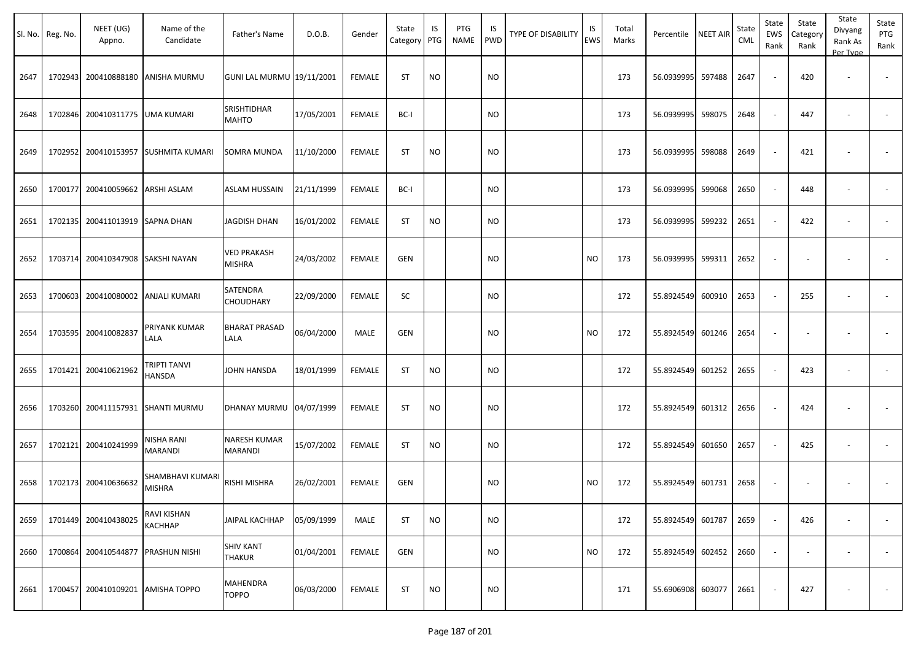| Sl. No. | Reg. No. | NEET (UG)<br>Appno.  | Name of the<br>Candidate          | Father's Name                     | D.O.B.     | Gender        | State<br>Category PTG | IS        | PTG<br>NAME | IS<br><b>PWD</b> | <b>TYPE OF DISABILITY</b> | IS<br>EWS | Total<br>Marks | Percentile        | <b>NEET AIR</b> | State<br>CML | State<br>EWS<br>Rank     | State<br>Category<br>Rank | State<br>Divyang<br>Rank As<br>Per Type | State<br>PTG<br>Rank     |
|---------|----------|----------------------|-----------------------------------|-----------------------------------|------------|---------------|-----------------------|-----------|-------------|------------------|---------------------------|-----------|----------------|-------------------|-----------------|--------------|--------------------------|---------------------------|-----------------------------------------|--------------------------|
| 2647    | 1702943  | 200410888180         | <b>ANISHA MURMU</b>               | GUNI LAL MURMU 19/11/2001         |            | <b>FEMALE</b> | <b>ST</b>             | <b>NO</b> |             | NO               |                           |           | 173            | 56.0939995        | 597488          | 2647         |                          | 420                       | $\sim$                                  |                          |
| 2648    |          | 1702846 200410311775 | <b>UMA KUMARI</b>                 | SRISHTIDHAR<br><b>MAHTO</b>       | 17/05/2001 | <b>FEMALE</b> | BC-I                  |           |             | <b>NO</b>        |                           |           | 173            | 56.0939995        | 598075          | 2648         |                          | 447                       |                                         |                          |
| 2649    |          | 1702952 200410153957 | <b>SUSHMITA KUMARI</b>            | SOMRA MUNDA                       | 11/10/2000 | <b>FEMALE</b> | <b>ST</b>             | <b>NO</b> |             | <b>NO</b>        |                           |           | 173            | 56.0939995        | 598088          | 2649         | $\overline{\phantom{a}}$ | 421                       | $\overline{\phantom{a}}$                |                          |
| 2650    | 1700177  | 200410059662         | ARSHI ASLAM                       | <b>ASLAM HUSSAIN</b>              | 21/11/1999 | <b>FEMALE</b> | BC-I                  |           |             | <b>NO</b>        |                           |           | 173            | 56.0939995        | 599068          | 2650         | $\sim$                   | 448                       | $\overline{\phantom{a}}$                | $\sim$                   |
| 2651    | 1702135  | 200411013919         | <b>SAPNA DHAN</b>                 | <b>JAGDISH DHAN</b>               | 16/01/2002 | <b>FEMALE</b> | <b>ST</b>             | <b>NO</b> |             | <b>NO</b>        |                           |           | 173            | 56.0939995        | 599232          | 2651         | $\sim$                   | 422                       | $\overline{\phantom{a}}$                |                          |
| 2652    |          | 1703714 200410347908 | <b>SAKSHI NAYAN</b>               | VED PRAKASH<br>MISHRA             | 24/03/2002 | <b>FEMALE</b> | <b>GEN</b>            |           |             | <b>NO</b>        |                           | <b>NO</b> | 173            | 56.0939995        | 599311          | 2652         |                          |                           |                                         |                          |
| 2653    | 1700603  | 200410080002         | ANJALI KUMARI                     | SATENDRA<br>CHOUDHARY             | 22/09/2000 | <b>FEMALE</b> | SC                    |           |             | <b>NO</b>        |                           |           | 172            | 55.8924549        | 600910          | 2653         | $\sim$                   | 255                       | $\overline{\phantom{a}}$                | $\overline{\phantom{a}}$ |
| 2654    |          | 1703595 200410082837 | PRIYANK KUMAR<br>LALA             | <b>BHARAT PRASAD</b><br>LALA      | 06/04/2000 | MALE          | GEN                   |           |             | <b>NO</b>        |                           | <b>NO</b> | 172            | 55.8924549        | 601246          | 2654         | $\sim$                   |                           |                                         |                          |
| 2655    |          | 1701421 200410621962 | TRIPTI TANVI<br>HANSDA            | JOHN HANSDA                       | 18/01/1999 | <b>FEMALE</b> | <b>ST</b>             | NO        |             | <b>NO</b>        |                           |           | 172            | 55.8924549        | 601252          | 2655         |                          | 423                       |                                         |                          |
| 2656    |          |                      | 1703260 200411157931 SHANTI MURMU | DHANAY MURMU 04/07/1999           |            | <b>FEMALE</b> | <b>ST</b>             | NO        |             | <b>NO</b>        |                           |           | 172            | 55.8924549        | 601312          | 2656         | $\blacksquare$           | 424                       |                                         |                          |
| 2657    |          | 1702121 200410241999 | NISHA RANI<br>MARANDI             | NARESH KUMAR<br><b>MARANDI</b>    | 15/07/2002 | <b>FEMALE</b> | ST                    | NO.       |             | <b>NO</b>        |                           |           | 172            | 55.8924549        | 601650          | 2657         | $\sim$                   | 425                       | $\overline{\phantom{a}}$                | $\sim$                   |
| 2658    | 1702173  | 200410636632         | SHAMBHAVI KUMAR<br><b>MISHRA</b>  | RISHI MISHRA                      | 26/02/2001 | <b>FEMALE</b> | <b>GEN</b>            |           |             | NO               |                           | <b>NO</b> | 172            | 55.8924549        | 601731          | 2658         |                          |                           |                                         |                          |
| 2659    | 1701449  | 200410438025         | RAVI KISHAN<br>KACHHAP            | JAIPAL KACHHAP                    | 05/09/1999 | MALE          | ST                    | <b>NO</b> |             | <b>NO</b>        |                           |           | 172            | 55.8924549 601787 |                 | 2659         |                          | 426                       |                                         | $\overline{\phantom{a}}$ |
| 2660    |          | 1700864 200410544877 | PRASHUN NISHI                     | <b>SHIV KANT</b><br><b>THAKUR</b> | 01/04/2001 | <b>FEMALE</b> | GEN                   |           |             | <b>NO</b>        |                           | <b>NO</b> | 172            | 55.8924549 602452 |                 | 2660         | $\overline{\phantom{a}}$ | $\overline{\phantom{a}}$  | $\overline{\phantom{a}}$                | $\sim$                   |
| 2661    | 1700457  | 200410109201         | <b>AMISHA TOPPO</b>               | MAHENDRA<br><b>TOPPO</b>          | 06/03/2000 | FEMALE        | <b>ST</b>             | <b>NO</b> |             | <b>NO</b>        |                           |           | 171            | 55.6906908 603077 |                 | 2661         |                          | 427                       |                                         | $\sim$                   |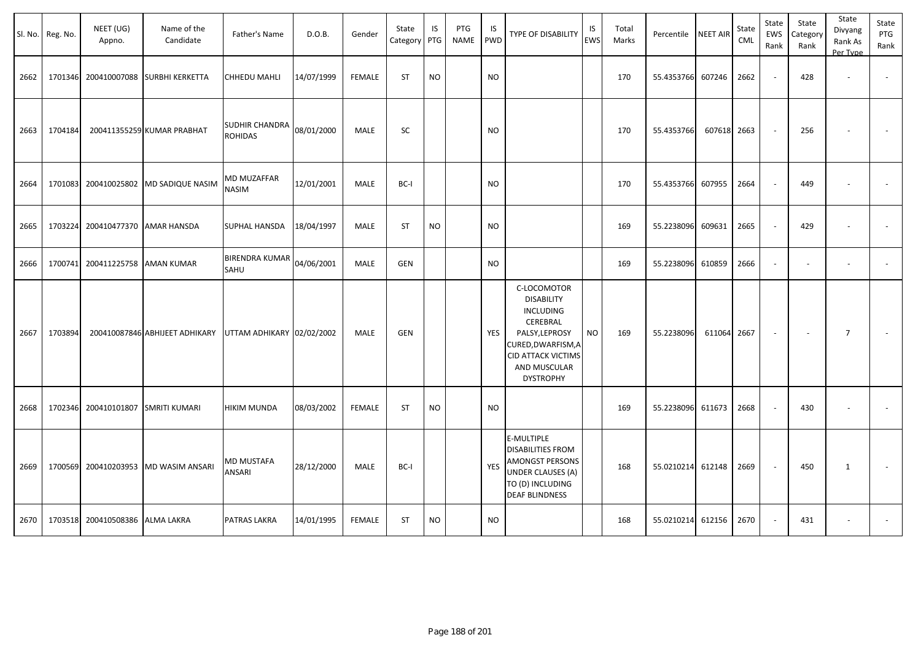| Sl. No. | Reg. No. | NEET (UG)<br>Appno.  | Name of the<br>Candidate       | Father's Name                 | D.O.B.     | Gender        | State<br>Category | IS<br>PTG | PTG<br><b>NAME</b> | IS<br><b>PWD</b> | <b>TYPE OF DISABILITY</b>                                                                                                                                                 | IS<br>EWS | Total<br>Marks | Percentile | <b>NEET AIR</b> | State<br><b>CML</b> | State<br><b>EWS</b><br>Rank | State<br>Category<br>Rank | State<br>Divyang<br>Rank As<br>Per Type | State<br>PTG<br>Rank |
|---------|----------|----------------------|--------------------------------|-------------------------------|------------|---------------|-------------------|-----------|--------------------|------------------|---------------------------------------------------------------------------------------------------------------------------------------------------------------------------|-----------|----------------|------------|-----------------|---------------------|-----------------------------|---------------------------|-----------------------------------------|----------------------|
| 2662    | 1701346  | 200410007088         | <b>SURBHI KERKETTA</b>         | CHHEDU MAHLI                  | 14/07/1999 | <b>FEMALE</b> | ST                | <b>NO</b> |                    | <b>NO</b>        |                                                                                                                                                                           |           | 170            | 55.4353766 | 607246          | 2662                | $\sim$                      | 428                       | $\overline{\phantom{a}}$                | $\sim$               |
| 2663    | 1704184  |                      | 200411355259 KUMAR PRABHAT     | SUDHIR CHANDRA<br>ROHIDAS     | 08/01/2000 | <b>MALE</b>   | SC                |           |                    | <b>NO</b>        |                                                                                                                                                                           |           | 170            | 55.4353766 | 607618 2663     |                     |                             | 256                       |                                         |                      |
| 2664    | 1701083  | 200410025802         | <b>MD SADIQUE NASIM</b>        | MD MUZAFFAR<br><b>NASIM</b>   | 12/01/2001 | <b>MALE</b>   | BC-I              |           |                    | <b>NO</b>        |                                                                                                                                                                           |           | 170            | 55.4353766 | 607955          | 2664                |                             | 449                       |                                         |                      |
| 2665    | 1703224  | 200410477370         | <b>AMAR HANSDA</b>             | SUPHAL HANSDA                 | 18/04/1997 | <b>MALE</b>   | ST                | <b>NO</b> |                    | <b>NO</b>        |                                                                                                                                                                           |           | 169            | 55.2238096 | 609631          | 2665                |                             | 429                       |                                         |                      |
| 2666    | 1700741  | 200411225758         | <b>AMAN KUMAR</b>              | <b>BIRENDRA KUMAR</b><br>SAHU | 04/06/2001 | MALE          | <b>GEN</b>        |           |                    | <b>NO</b>        |                                                                                                                                                                           |           | 169            | 55.2238096 | 610859          | 2666                |                             |                           | $\ddot{\phantom{1}}$                    |                      |
| 2667    | 1703894  |                      | 200410087846 ABHIJEET ADHIKARY | UTTAM ADHIKARY 02/02/2002     |            | <b>MALE</b>   | GEN               |           |                    | YES              | C-LOCOMOTOR<br><b>DISABILITY</b><br><b>INCLUDING</b><br>CEREBRAL<br>PALSY, LEPROSY<br>CURED, DWARFISM, A<br><b>CID ATTACK VICTIMS</b><br>AND MUSCULAR<br><b>DYSTROPHY</b> | <b>NO</b> | 169            | 55.2238096 | 611064          | 2667                |                             | $\overline{\phantom{a}}$  | $\overline{7}$                          |                      |
| 2668    |          | 1702346 200410101807 | <b>SMRITI KUMARI</b>           | HIKIM MUNDA                   | 08/03/2002 | <b>FEMALE</b> | <b>ST</b>         | <b>NO</b> |                    | <b>NO</b>        |                                                                                                                                                                           |           | 169            | 55.2238096 | 611673          | 2668                |                             | 430                       |                                         |                      |
| 2669    | 1700569  |                      | 200410203953 MD WASIM ANSARI   | <b>MD MUSTAFA</b><br>ANSARI   | 28/12/2000 | <b>MALE</b>   | BC-I              |           |                    | <b>YES</b>       | E-MULTIPLE<br><b>DISABILITIES FROM</b><br><b>AMONGST PERSONS</b><br><b>UNDER CLAUSES (A)</b><br>TO (D) INCLUDING<br><b>DEAF BLINDNESS</b>                                 |           | 168            | 55.0210214 | 612148          | 2669                |                             | 450                       | 1                                       |                      |
| 2670    |          | 1703518 200410508386 | <b>ALMA LAKRA</b>              | PATRAS LAKRA                  | 14/01/1995 | <b>FEMALE</b> | ST                | <b>NO</b> |                    | <b>NO</b>        |                                                                                                                                                                           |           | 168            | 55.0210214 | 612156          | 2670                |                             | 431                       |                                         |                      |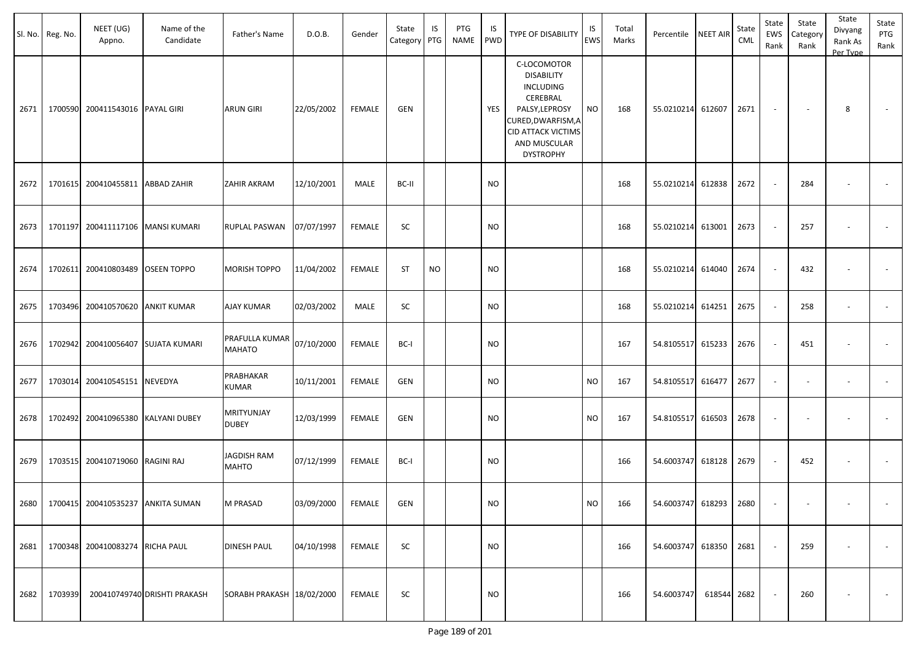|      | Sl. No. Reg. No. | NEET (UG)<br>Appno.                      | Name of the<br>Candidate     | Father's Name                      | D.O.B.            | Gender        | State<br>Category PTG | IS        | PTG<br><b>NAME</b> | IS<br><b>PWD</b> | <b>TYPE OF DISABILITY</b>                                                                                                                                          | IS<br>EWS | Total<br>Marks | Percentile NEET AIR    |        | State<br>CML | State<br>EWS<br>Rank | State<br>Category<br>Rank | State<br>Divyang<br>Rank As<br>Per Type | State<br>PTG<br>Rank    |
|------|------------------|------------------------------------------|------------------------------|------------------------------------|-------------------|---------------|-----------------------|-----------|--------------------|------------------|--------------------------------------------------------------------------------------------------------------------------------------------------------------------|-----------|----------------|------------------------|--------|--------------|----------------------|---------------------------|-----------------------------------------|-------------------------|
| 2671 | 1700590          | 200411543016 PAYAL GIRI                  |                              | <b>ARUN GIRI</b>                   | 22/05/2002        | <b>FEMALE</b> | GEN                   |           |                    | YES              | C-LOCOMOTOR<br><b>DISABILITY</b><br>INCLUDING<br>CEREBRAL<br>PALSY, LEPROSY<br>CURED, DWARFISM, A<br><b>CID ATTACK VICTIMS</b><br>AND MUSCULAR<br><b>DYSTROPHY</b> | <b>NO</b> | 168            | 55.0210214 612607      |        | 2671         | $\sim$               | $\sim$                    | 8                                       | $\sim$                  |
| 2672 | 1701615          | 200410455811 ABBAD ZAHIR                 |                              | ZAHIR AKRAM                        | 12/10/2001        | MALE          | BC-II                 |           |                    | <b>NO</b>        |                                                                                                                                                                    |           | 168            | 55.0210214 612838      |        | 2672         |                      | 284                       |                                         |                         |
| 2673 | 1701197          |                                          | 200411117106 MANSI KUMARI    | RUPLAL PASWAN                      | 07/07/1997        | <b>FEMALE</b> | <b>SC</b>             |           |                    | <b>NO</b>        |                                                                                                                                                                    |           | 168            | 55.0210214 613001      |        | 2673         |                      | 257                       |                                         |                         |
| 2674 | 1702611          | 200410803489 OSEEN TOPPO                 |                              | <b>MORISH TOPPO</b>                | 11/04/2002        | <b>FEMALE</b> | <b>ST</b>             | <b>NO</b> |                    | <b>NO</b>        |                                                                                                                                                                    |           | 168            | 55.0210214 614040      |        | 2674         |                      | 432                       |                                         |                         |
| 2675 |                  | 1703496 200410570620 ANKIT KUMAR         |                              | AJAY KUMAR                         | 02/03/2002        | MALE          | SC                    |           |                    | <b>NO</b>        |                                                                                                                                                                    |           | 168            | 55.0210214             | 614251 | 2675         |                      | 258                       | $\overline{\phantom{a}}$                |                         |
| 2676 | 1702942          |                                          | 200410056407 SUJATA KUMARI   | PRAFULLA KUMAR<br><b>MAHATO</b>    | 07/10/2000        | <b>FEMALE</b> | BC-I                  |           |                    | <b>NO</b>        |                                                                                                                                                                    |           | 167            | 54.8105517             | 615233 | 2676         |                      | 451                       |                                         |                         |
| 2677 | 1703014          | 200410545151 NEVEDYA                     |                              | PRABHAKAR<br>KUMAR                 | 10/11/2001        | <b>FEMALE</b> | GEN                   |           |                    | <b>NO</b>        |                                                                                                                                                                    | <b>NO</b> | 167            | 54.8105517             | 616477 | 2677         |                      |                           |                                         |                         |
| 2678 | 1702492          |                                          | 200410965380 KALYANI DUBEY   | MRITYUNJAY<br><b>DUBEY</b>         | 12/03/1999        | <b>FEMALE</b> | <b>GEN</b>            |           |                    | <b>NO</b>        |                                                                                                                                                                    | <b>NO</b> | 167            | 54.8105517 616503      |        | 2678         |                      |                           |                                         |                         |
| 2679 |                  | 1703515 200410719060 RAGINI RAJ          |                              | <b>JAGDISH RAM</b><br><b>MAHTO</b> | 07/12/1999        | <b>FEMALE</b> | BC-I                  |           |                    | <b>NO</b>        |                                                                                                                                                                    |           | 166            | 54.6003747 618128      |        | 2679         |                      | 452                       |                                         | $\sim$                  |
|      |                  | 2680   1700415 200410535237 ANKITA SUMAN |                              | M PRASAD                           | 03/09/2000 FEMALE |               | GEN                   |           |                    | $\sf{NO}$        |                                                                                                                                                                    | <b>NO</b> | 166            | 54.6003747 618293 2680 |        |              |                      |                           |                                         |                         |
|      |                  | 2681 1700348 200410083274 RICHA PAUL     |                              | <b>DINESH PAUL</b>                 | 04/10/1998        | FEMALE        | <b>SC</b>             |           |                    | <b>NO</b>        |                                                                                                                                                                    |           | 166            | 54.6003747 618350 2681 |        |              |                      | 259                       | $\overline{\phantom{a}}$                | $\sim$                  |
| 2682 | 1703939          |                                          | 200410749740 DRISHTI PRAKASH | SORABH PRAKASH 18/02/2000          |                   | FEMALE        | SC                    |           |                    | <b>NO</b>        |                                                                                                                                                                    |           | 166            | 54.6003747 618544 2682 |        |              |                      | 260                       | $\overline{\phantom{a}}$                | $\sim 100$ km s $^{-1}$ |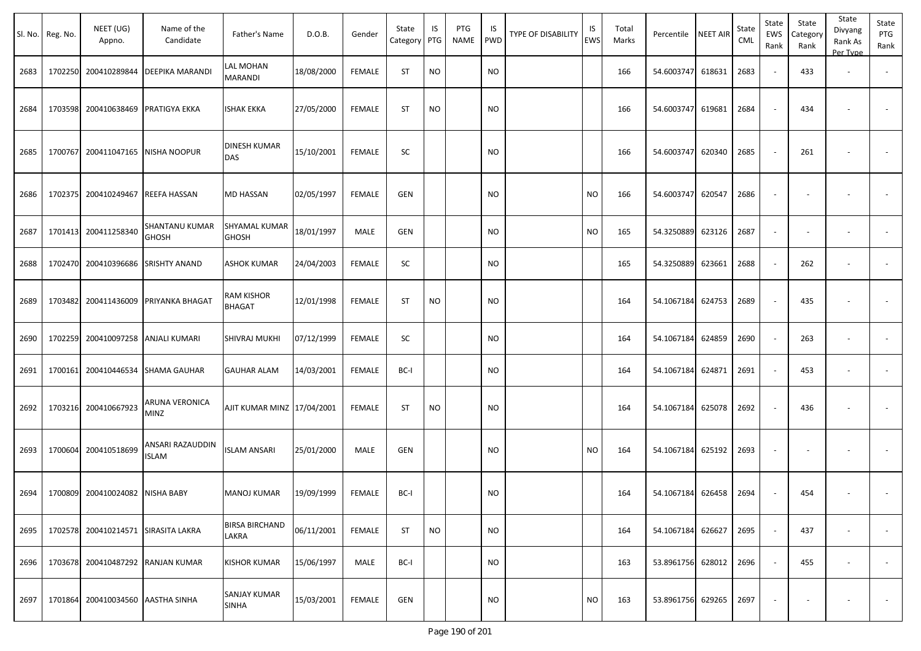|      | Sl. No. Reg. No. | NEET (UG)<br>Appno.                 | Name of the<br>Candidate          | Father's Name                       | D.O.B.     | Gender        | State<br>Category | IS<br>PTG | PTG<br>NAME | IS.<br>PWD | TYPE OF DISABILITY | IS<br>EWS | Total<br>Marks | Percentile        | <b>NEET AIR</b> | State<br><b>CML</b> | State<br>EWS<br>Rank     | State<br>Category<br>Rank | State<br>Divyang<br>Rank As<br>Per Type | State<br>PTG<br>Rank     |
|------|------------------|-------------------------------------|-----------------------------------|-------------------------------------|------------|---------------|-------------------|-----------|-------------|------------|--------------------|-----------|----------------|-------------------|-----------------|---------------------|--------------------------|---------------------------|-----------------------------------------|--------------------------|
| 2683 |                  | 1702250 200410289844                | <b>DEEPIKA MARANDI</b>            | LAL MOHAN<br>MARANDI                | 18/08/2000 | FEMALE        | <b>ST</b>         | <b>NO</b> |             | <b>NO</b>  |                    |           | 166            | 54.6003747        | 618631          | 2683                | $\sim$                   | 433                       | $\overline{\phantom{a}}$                |                          |
| 2684 |                  | 1703598 200410638469                | <b>PRATIGYA EKKA</b>              | ISHAK EKKA                          | 27/05/2000 | <b>FEMALE</b> | <b>ST</b>         | <b>NO</b> |             | NO         |                    |           | 166            | 54.6003747        | 619681          | 2684                | $\sim$                   | 434                       |                                         |                          |
| 2685 |                  | 1700767 200411047165                | NISHA NOOPUR                      | <b>DINESH KUMAR</b><br><b>DAS</b>   | 15/10/2001 | <b>FEMALE</b> | SC                |           |             | <b>NO</b>  |                    |           | 166            | 54.6003747        | 620340          | 2685                | $\overline{\phantom{a}}$ | 261                       |                                         |                          |
| 2686 |                  | 1702375 200410249467                | REEFA HASSAN                      | <b>MD HASSAN</b>                    | 02/05/1997 | <b>FEMALE</b> | <b>GEN</b>        |           |             | NO.        |                    | NO.       | 166            | 54.6003747        | 620547          | 2686                | $\overline{\phantom{a}}$ |                           |                                         |                          |
| 2687 |                  | 1701413 200411258340                | SHANTANU KUMAR<br><b>GHOSH</b>    | SHYAMAL KUMAR<br><b>GHOSH</b>       | 18/01/1997 | <b>MALE</b>   | <b>GEN</b>        |           |             | NO         |                    | <b>NO</b> | 165            | 54.3250889        | 623126          | 2687                | $\overline{\phantom{a}}$ | $\overline{\phantom{a}}$  |                                         | $\overline{\phantom{a}}$ |
| 2688 |                  | 1702470 200410396686                | <b>SRISHTY ANAND</b>              | <b>ASHOK KUMAR</b>                  | 24/04/2003 | FEMALE        | SC                |           |             | <b>NO</b>  |                    |           | 165            | 54.3250889        | 623661          | 2688                | $\sim$                   | 262                       |                                         |                          |
| 2689 |                  | 1703482 200411436009                | <b>PRIYANKA BHAGAT</b>            | RAM KISHOR<br>BHAGAT                | 12/01/1998 | <b>FEMALE</b> | <b>ST</b>         | <b>NO</b> |             | <b>NO</b>  |                    |           | 164            | 54.1067184        | 624753          | 2689                | $\overline{\phantom{a}}$ | 435                       |                                         |                          |
| 2690 |                  | 1702259 200410097258                | ANJALI KUMARI                     | <b>SHIVRAJ MUKHI</b>                | 07/12/1999 | <b>FEMALE</b> | SC                |           |             | NO         |                    |           | 164            | 54.1067184        | 624859          | 2690                | $\blacksquare$           | 263                       | $\overline{\phantom{a}}$                | $\blacksquare$           |
| 2691 |                  | 1700161 200410446534                | <b>SHAMA GAUHAR</b>               | <b>GAUHAR ALAM</b>                  | 14/03/2001 | FEMALE        | BC-I              |           |             | <b>NO</b>  |                    |           | 164            | 54.1067184        | 624871          | 2691                | $\sim$                   | 453                       | $\overline{\phantom{a}}$                |                          |
| 2692 |                  | 1703216 200410667923                | ARUNA VERONICA<br><b>MINZ</b>     | AJIT KUMAR MINZ 17/04/2001          |            | <b>FEMALE</b> | <b>ST</b>         | <b>NO</b> |             | <b>NO</b>  |                    |           | 164            | 54.1067184        | 625078          | 2692                | $\overline{\phantom{a}}$ | 436                       |                                         |                          |
| 2693 |                  | 1700604 200410518699                | ANSARI RAZAUDDIN<br><b>ISLAM</b>  | <b>ISLAM ANSARI</b>                 | 25/01/2000 | MALE          | <b>GEN</b>        |           |             | NO         |                    | NO.       | 164            | 54.1067184        | 625192          | 2693                | $\overline{\phantom{a}}$ |                           |                                         |                          |
| 2694 |                  | 1700809 200410024082 NISHA BABY     |                                   | <b>MANOJ KUMAR</b>                  | 19/09/1999 | FEMALE        | BC-I              |           |             | <b>NO</b>  |                    |           | 164            | 54.1067184 626458 |                 | 2694                | $\sim$                   | 454                       |                                         |                          |
| 2695 |                  | 1702578 200410214571 SIRASITA LAKRA |                                   | <b>BIRSA BIRCHAND</b><br>LAKRA      | 06/11/2001 | FEMALE        | <b>ST</b>         | <b>NO</b> |             | <b>NO</b>  |                    |           | 164            | 54.1067184        | 626627          | 2695                | $\sim$                   | 437                       | $\overline{\phantom{a}}$                | $\sim$                   |
| 2696 |                  |                                     | 1703678 200410487292 RANJAN KUMAR | <b>KISHOR KUMAR</b>                 | 15/06/1997 | MALE          | BC-I              |           |             | <b>NO</b>  |                    |           | 163            | 53.8961756        | 628012          | 2696                | $\sim$                   | 455                       | $\sim$                                  | $\sim$                   |
| 2697 |                  | 1701864 200410034560 AASTHA SINHA   |                                   | <b>SANJAY KUMAR</b><br><b>SINHA</b> | 15/03/2001 | FEMALE        | <b>GEN</b>        |           |             | <b>NO</b>  |                    | <b>NO</b> | 163            | 53.8961756        | 629265          | 2697                | $\overline{\phantom{a}}$ | $\overline{\phantom{a}}$  |                                         | $\sim$                   |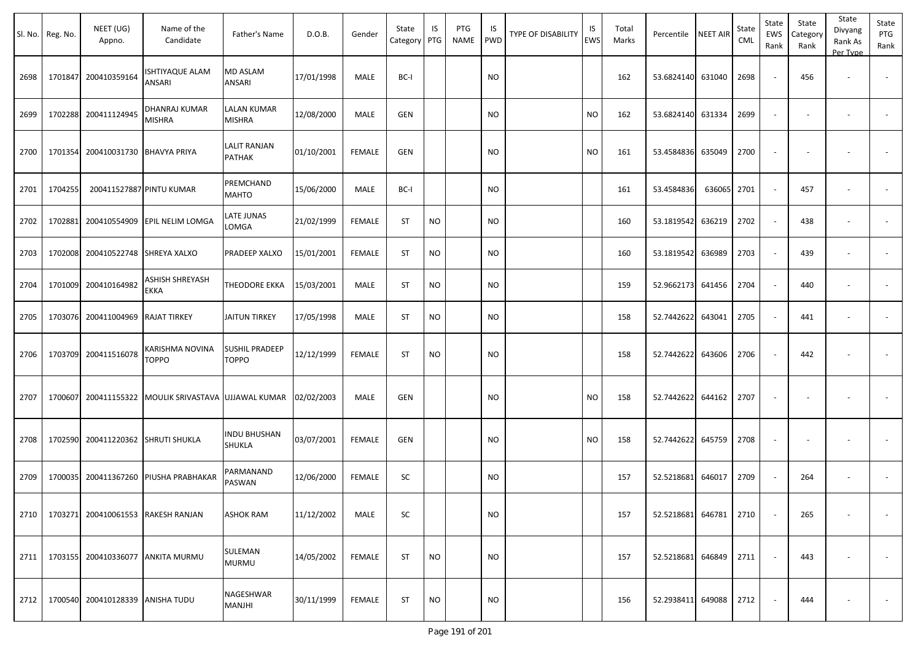|      | Sl. No. Reg. No. | NEET (UG)<br>Appno.                | Name of the<br>Candidate                     | Father's Name                  | D.O.B.     | Gender        | State<br>Category PTG | IS        | PTG<br><b>NAME</b> | IS<br><b>PWD</b> | <b>TYPE OF DISABILITY</b> | IS<br>EWS | Total<br>Marks | Percentile NEET AIR |        | State<br>CML | State<br>EWS<br>Rank | State<br>Category<br>Rank | State<br>Divyang<br>Rank As<br>Per Type | State<br>PTG<br>Rank |
|------|------------------|------------------------------------|----------------------------------------------|--------------------------------|------------|---------------|-----------------------|-----------|--------------------|------------------|---------------------------|-----------|----------------|---------------------|--------|--------------|----------------------|---------------------------|-----------------------------------------|----------------------|
| 2698 | 1701847          | 200410359164                       | <b>ISHTIYAQUE ALAM</b><br>ANSARI             | <b>MD ASLAM</b><br>ANSARI      | 17/01/1998 | MALE          | BC-I                  |           |                    | <b>NO</b>        |                           |           | 162            | 53.6824140          | 631040 | 2698         |                      | 456                       | $\overline{\phantom{a}}$                |                      |
| 2699 |                  | 1702288 200411124945               | <b>DHANRAJ KUMAR</b><br><b>MISHRA</b>        | <b>LALAN KUMAR</b><br>MISHRA   | 12/08/2000 | MALE          | GEN                   |           |                    | <b>NO</b>        |                           | <b>NO</b> | 162            | 53.6824140          | 631334 | 2699         | $\sim$               |                           | $\overline{\phantom{a}}$                |                      |
| 2700 | 1701354          | 200410031730 BHAVYA PRIYA          |                                              | <b>LALIT RANJAN</b><br>PATHAK  | 01/10/2001 | <b>FEMALE</b> | GEN                   |           |                    | <b>NO</b>        |                           | <b>NO</b> | 161            | 53.4584836          | 635049 | 2700         |                      |                           |                                         |                      |
| 2701 | 1704255          |                                    | 200411527887 PINTU KUMAR                     | PREMCHAND<br><b>MAHTO</b>      | 15/06/2000 | MALE          | BC-I                  |           |                    | <b>NO</b>        |                           |           | 161            | 53.4584836          | 636065 | 2701         |                      | 457                       | $\overline{\phantom{a}}$                |                      |
| 2702 | 1702881          |                                    | 200410554909 EPIL NELIM LOMGA                | LATE JUNAS<br>LOMGA            | 21/02/1999 | <b>FEMALE</b> | <b>ST</b>             | <b>NO</b> |                    | <b>NO</b>        |                           |           | 160            | 53.1819542          | 636219 | 2702         |                      | 438                       | $\overline{\phantom{a}}$                |                      |
| 2703 | 1702008          | 200410522748 SHREYA XALXO          |                                              | PRADEEP XALXO                  | 15/01/2001 | <b>FEMALE</b> | <b>ST</b>             | <b>NO</b> |                    | <b>NO</b>        |                           |           | 160            | 53.1819542          | 636989 | 2703         |                      | 439                       | $\overline{\phantom{a}}$                |                      |
| 2704 | 1701009          | 200410164982                       | ASHISH SHREYASH<br><b>EKKA</b>               | THEODORE EKKA                  | 15/03/2001 | MALE          | <b>ST</b>             | <b>NO</b> |                    | <b>NO</b>        |                           |           | 159            | 52.9662173          | 641456 | 2704         |                      | 440                       | $\overline{\phantom{a}}$                |                      |
| 2705 | 1703076          | 200411004969 RAJAT TIRKEY          |                                              | <b>JAITUN TIRKEY</b>           | 17/05/1998 | MALE          | <b>ST</b>             | <b>NO</b> |                    | <b>NO</b>        |                           |           | 158            | 52.7442622          | 643041 | 2705         |                      | 441                       |                                         |                      |
| 2706 | 1703709          | 200411516078                       | KARISHMA NOVINA<br><b>TOPPO</b>              | SUSHIL PRADEEP<br><b>TOPPO</b> | 12/12/1999 | <b>FEMALE</b> | ST                    | <b>NO</b> |                    | <b>NO</b>        |                           |           | 158            | 52.7442622          | 643606 | 2706         |                      | 442                       |                                         |                      |
| 2707 | 1700607          |                                    | 200411155322 MOULIK SRIVASTAVA UJJAWAL KUMAR |                                | 02/02/2003 | MALE          | GEN                   |           |                    | <b>NO</b>        |                           | <b>NO</b> | 158            | 52.7442622          | 644162 | 2707         |                      |                           |                                         |                      |
| 2708 |                  | 1702590 200411220362 SHRUTI SHUKLA |                                              | <b>INDU BHUSHAN</b><br>SHUKLA  | 03/07/2001 | <b>FEMALE</b> | GEN                   |           |                    | <b>NO</b>        |                           | <b>NO</b> | 158            | 52.7442622          | 645759 | 2708         |                      |                           |                                         |                      |
| 2709 | 1700035          |                                    | 200411367260 PIUSHA PRABHAKAR                | PARMANAND<br>PASWAN            | 12/06/2000 | <b>FEMALE</b> | <b>SC</b>             |           |                    | <b>NO</b>        |                           |           | 157            | 52.5218681          | 646017 | 2709         |                      | 264                       | $\overline{\phantom{a}}$                |                      |
| 2710 |                  |                                    | 1703271 200410061553 RAKESH RANJAN           | <b>ASHOK RAM</b>               | 11/12/2002 | MALE          | SC                    |           |                    | <b>NO</b>        |                           |           | 157            | 52.5218681 646781   |        | 2710         |                      | 265                       |                                         |                      |
| 2711 |                  |                                    | 1703155 200410336077 ANKITA MURMU            | SULEMAN<br><b>MURMU</b>        | 14/05/2002 | FEMALE        | <b>ST</b>             | <b>NO</b> |                    | <b>NO</b>        |                           |           | 157            | 52.5218681 646849   |        | 2711         |                      | 443                       | $\overline{\phantom{a}}$                | $\sim$               |
| 2712 |                  | 1700540 200410128339 ANISHA TUDU   |                                              | NAGESHWAR<br>MANJHI            | 30/11/1999 | FEMALE        | <b>ST</b>             | <b>NO</b> |                    | <b>NO</b>        |                           |           | 156            | 52.2938411 649088   |        | 2712         |                      | 444                       | $\overline{\phantom{a}}$                | $\sim$               |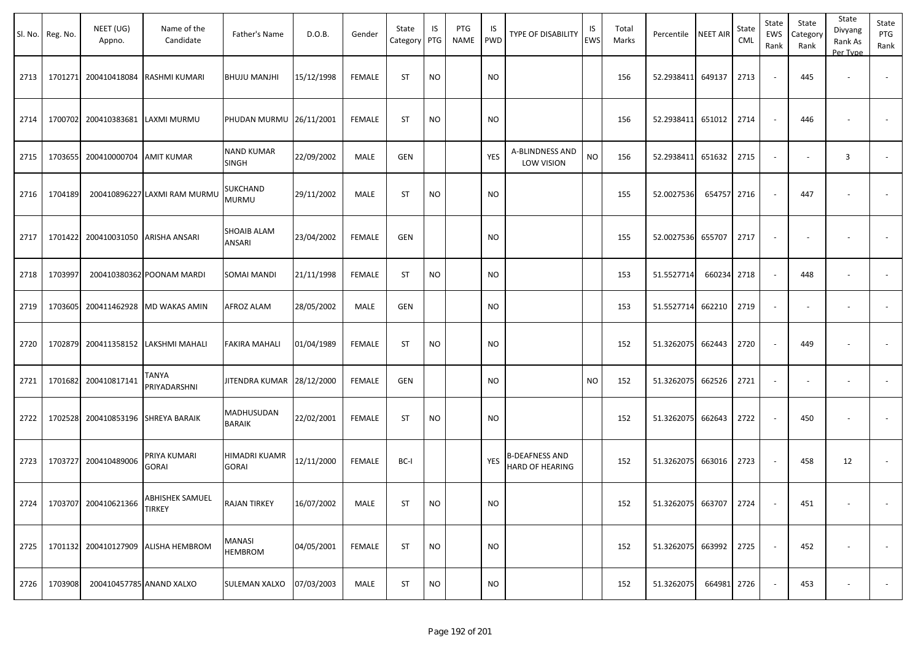|      | Sl. No. Reg. No. | NEET (UG)<br>Appno.             | Name of the<br>Candidate            | Father's Name                     | D.O.B.     | Gender        | State<br>Category | IS<br>PTG | PTG<br>NAME | IS<br>PWD | <b>TYPE OF DISABILITY</b>                       | IS<br>EWS | Total<br>Marks | Percentile        | <b>NEET AIR</b> | State<br><b>CML</b> | State<br>EWS<br>Rank     | State<br>Category<br>Rank | State<br>Divyang<br>Rank As<br>Per Type | State<br>PTG<br>Rank     |
|------|------------------|---------------------------------|-------------------------------------|-----------------------------------|------------|---------------|-------------------|-----------|-------------|-----------|-------------------------------------------------|-----------|----------------|-------------------|-----------------|---------------------|--------------------------|---------------------------|-----------------------------------------|--------------------------|
| 2713 | 1701271          | 200410418084                    | RASHMI KUMARI                       | <b>BHUJU MANJHI</b>               | 15/12/1998 | <b>FEMALE</b> | <b>ST</b>         | <b>NO</b> |             | <b>NO</b> |                                                 |           | 156            | 52.2938411        | 649137          | 2713                | $\sim$                   | 445                       |                                         |                          |
| 2714 |                  | 1700702 200410383681            | LAXMI MURMU                         | PHUDAN MURMU 26/11/2001           |            | <b>FEMALE</b> | <b>ST</b>         | <b>NO</b> |             | <b>NO</b> |                                                 |           | 156            | 52.2938411        | 651012          | 2714                | $\sim$                   | 446                       |                                         |                          |
| 2715 |                  | 1703655 200410000704 AMIT KUMAR |                                     | <b>NAND KUMAR</b><br><b>SINGH</b> | 22/09/2002 | MALE          | <b>GEN</b>        |           |             | YES       | A-BLINDNESS AND<br><b>LOW VISION</b>            | <b>NO</b> | 156            | 52.2938411        | 651632          | 2715                | $\sim$                   | $\overline{\phantom{a}}$  | $\overline{3}$                          |                          |
| 2716 | 1704189          |                                 | 200410896227 LAXMI RAM MURMU        | SUKCHAND<br><b>MURMU</b>          | 29/11/2002 | MALE          | <b>ST</b>         | <b>NO</b> |             | <b>NO</b> |                                                 |           | 155            | 52.0027536        | 654757          | 2716                | $\overline{\phantom{a}}$ | 447                       |                                         |                          |
| 2717 |                  | 1701422 200410031050            | ARISHA ANSARI                       | SHOAIB ALAM<br>ANSARI             | 23/04/2002 | <b>FEMALE</b> | <b>GEN</b>        |           |             | <b>NO</b> |                                                 |           | 155            | 52.0027536        | 655707          | 2717                | $\sim$                   |                           |                                         |                          |
| 2718 | 1703997          |                                 | 200410380362 POONAM MARDI           | <b>SOMAI MANDI</b>                | 21/11/1998 | FEMALE        | <b>ST</b>         | <b>NO</b> |             | <b>NO</b> |                                                 |           | 153            | 51.5527714        | 660234 2718     |                     | $\sim$                   | 448                       | $\overline{\phantom{a}}$                |                          |
| 2719 |                  |                                 | 1703605 200411462928 MD WAKAS AMIN  | AFROZ ALAM                        | 28/05/2002 | MALE          | <b>GEN</b>        |           |             | <b>NO</b> |                                                 |           | 153            | 51.5527714        | 662210          | 2719                | $\sim$                   | $\overline{\phantom{a}}$  | $\overline{\phantom{a}}$                |                          |
| 2720 |                  |                                 | 1702879 200411358152 LAKSHMI MAHALI | <b>FAKIRA MAHALI</b>              | 01/04/1989 | <b>FEMALE</b> | <b>ST</b>         | <b>NO</b> |             | <b>NO</b> |                                                 |           | 152            | 51.3262075        | 662443          | 2720                | $\sim$                   | 449                       |                                         | $\sim$                   |
| 2721 |                  | 1701682 200410817141            | TANYA<br>PRIYADARSHNI               | JITENDRA KUMAR 28/12/2000         |            | <b>FEMALE</b> | GEN               |           |             | NO        |                                                 | <b>NO</b> | 152            | 51.3262075        | 662526          | 2721                | $\sim$                   |                           |                                         |                          |
| 2722 |                  | 1702528 200410853196            | <b>SHREYA BARAIK</b>                | MADHUSUDAN<br><b>BARAIK</b>       | 22/02/2001 | FEMALE        | <b>ST</b>         | <b>NO</b> |             | NO        |                                                 |           | 152            | 51.3262075        | 662643          | 2722                | $\sim$                   | 450                       | $\overline{\phantom{a}}$                |                          |
| 2723 |                  | 1703727 200410489006            | PRIYA KUMARI<br>GORAI               | HIMADRI KUAMR<br><b>GORAI</b>     | 12/11/2000 | FEMALE        | BC-I              |           |             | YES       | <b>B-DEAFNESS AND</b><br><b>HARD OF HEARING</b> |           | 152            | 51.3262075        | 663016          | 2723                | $\sim$                   | 458                       | 12                                      | $\overline{\phantom{a}}$ |
| 2724 |                  | 1703707 200410621366            | ABHISHEK SAMUEL<br><b>TIRKEY</b>    | <b>RAJAN TIRKEY</b>               | 16/07/2002 | MALE          | <b>ST</b>         | <b>NO</b> |             | <b>NO</b> |                                                 |           | 152            | 51.3262075 663707 |                 | 2724                | $\overline{\phantom{a}}$ | 451                       | $\sim$                                  |                          |
| 2725 |                  |                                 | 1701132 200410127909 ALISHA HEMBROM | MANASI<br><b>HEMBROM</b>          | 04/05/2001 | FEMALE        | <b>ST</b>         | <b>NO</b> |             | <b>NO</b> |                                                 |           | 152            | 51.3262075 663992 |                 | 2725                | $\sim$                   | 452                       |                                         | $\sim$                   |
| 2726 | 1703908          | 200410457785 ANAND XALXO        |                                     | SULEMAN XALXO                     | 07/03/2003 | MALE          | <b>ST</b>         | <b>NO</b> |             | <b>NO</b> |                                                 |           | 152            | 51.3262075        | 664981 2726     |                     | $\sim$                   | 453                       | $\overline{\phantom{a}}$                | $\sim$                   |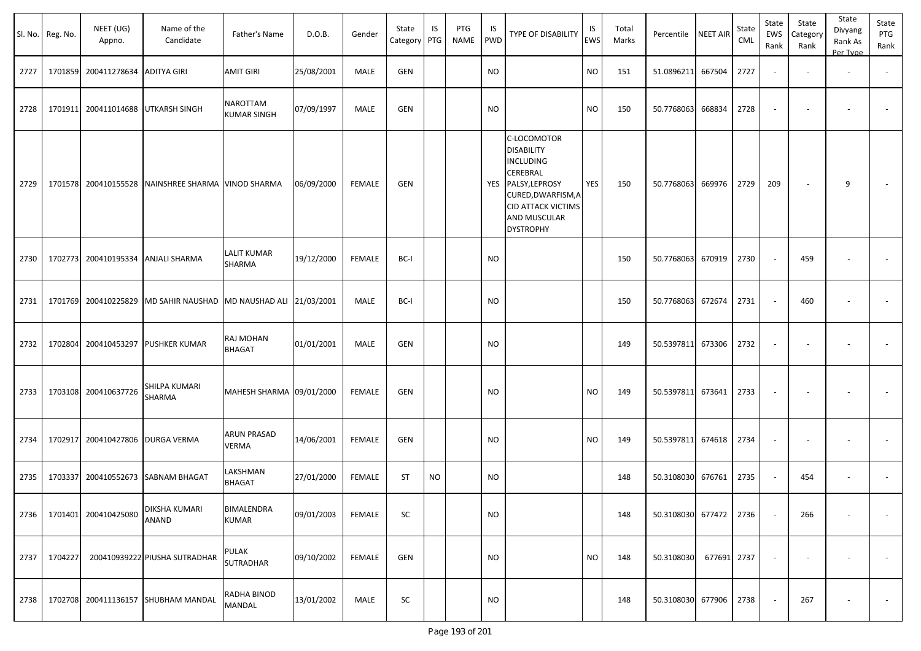|      | Sl. No. Reg. No. | NEET (UG)<br>Appno.      | Name of the<br>Candidate                   | Father's Name                  | D.O.B.     | Gender        | State<br>Category | IS<br>PTG | PTG<br><b>NAME</b> | IS<br><b>PWD</b> | <b>TYPE OF DISABILITY</b>                                                                                                                                                     | IS<br><b>EWS</b> | Total<br>Marks | Percentile NEET AIR    |             | State<br>CML | State<br>EWS<br>Rank | State<br>Category<br>Rank | State<br>Divyang<br>Rank As<br>Per Type | State<br>PTG<br>Rank     |
|------|------------------|--------------------------|--------------------------------------------|--------------------------------|------------|---------------|-------------------|-----------|--------------------|------------------|-------------------------------------------------------------------------------------------------------------------------------------------------------------------------------|------------------|----------------|------------------------|-------------|--------------|----------------------|---------------------------|-----------------------------------------|--------------------------|
| 2727 | 1701859          | 200411278634             | <b>ADITYA GIRI</b>                         | <b>AMIT GIRI</b>               | 25/08/2001 | <b>MALE</b>   | GEN               |           |                    | <b>NO</b>        |                                                                                                                                                                               | <b>NO</b>        | 151            | 51.0896211             | 667504      | 2727         |                      |                           | $\sim$                                  |                          |
| 2728 | 1701911          | 200411014688             | <b>UTKARSH SINGH</b>                       | NAROTTAM<br><b>KUMAR SINGH</b> | 07/09/1997 | MALE          | GEN               |           |                    | NO.              |                                                                                                                                                                               | <b>NO</b>        | 150            | 50.7768063             | 668834      | 2728         |                      |                           |                                         |                          |
| 2729 |                  | 1701578 200410155528     | NAINSHREE SHARMA VINOD SHARMA              |                                | 06/09/2000 | FEMALE        | GEN               |           |                    |                  | C-LOCOMOTOR<br><b>DISABILITY</b><br><b>INCLUDING</b><br>CEREBRAL<br>YES PALSY, LEPROSY<br>CURED, DWARFISM, A<br><b>CID ATTACK VICTIMS</b><br>AND MUSCULAR<br><b>DYSTROPHY</b> | YES              | 150            | 50.7768063             | 669976      | 2729         | 209                  | $\overline{\phantom{a}}$  | 9                                       |                          |
| 2730 |                  | 1702773 200410195334     | <b>ANJALI SHARMA</b>                       | LALIT KUMAR<br>SHARMA          | 19/12/2000 | <b>FEMALE</b> | BC-I              |           |                    | <b>NO</b>        |                                                                                                                                                                               |                  | 150            | 50.7768063             | 670919      | 2730         |                      | 459                       |                                         | $\overline{\phantom{a}}$ |
| 2731 |                  | 1701769 200410225829     | MD SAHIR NAUSHAD MD NAUSHAD ALI 21/03/2001 |                                |            | <b>MALE</b>   | BC-I              |           |                    | <b>NO</b>        |                                                                                                                                                                               |                  | 150            | 50.7768063             | 672674      | 2731         |                      | 460                       | $\overline{\phantom{a}}$                | $\overline{\phantom{a}}$ |
| 2732 | 1702804          | 200410453297             | <b>PUSHKER KUMAR</b>                       | RAJ MOHAN<br>BHAGAT            | 01/01/2001 | <b>MALE</b>   | GEN               |           |                    | <b>NO</b>        |                                                                                                                                                                               |                  | 149            | 50.5397811 673306      |             | 2732         |                      |                           |                                         | $\overline{\phantom{a}}$ |
| 2733 |                  | 1703108 200410637726     | SHILPA KUMARI<br>SHARMA                    | MAHESH SHARMA 09/01/2000       |            | <b>FEMALE</b> | GEN               |           |                    | NO               |                                                                                                                                                                               | NO.              | 149            | 50.5397811 673641      |             | 2733         |                      |                           |                                         |                          |
| 2734 | 1702917          | 200410427806 DURGA VERMA |                                            | ARUN PRASAD<br>VERMA           | 14/06/2001 | FEMALE        | GEN               |           |                    | NO.              |                                                                                                                                                                               | <b>NO</b>        | 149            | 50.5397811             | 674618      | 2734         |                      |                           |                                         |                          |
| 2735 | 1703337          | 200410552673             | <b>SABNAM BHAGAT</b>                       | LAKSHMAN<br><b>BHAGAT</b>      | 27/01/2000 | FEMALE        | <b>ST</b>         | <b>NO</b> |                    | <b>NO</b>        |                                                                                                                                                                               |                  | 148            | 50.3108030             | 676761      | 2735         | $\sim$               | 454                       | $\overline{\phantom{a}}$                |                          |
| 2736 | 1701401          | 200410425080             | DIKSHA KUMARI<br>ANAND                     | BIMALENDRA<br>KUMAR            | 09/01/2003 | FEMALE        | SC                |           |                    | <b>NO</b>        |                                                                                                                                                                               |                  | 148            | 50.3108030 677472 2736 |             |              |                      | 266                       | $\sim$                                  | $\sim$                   |
| 2737 | 1704227          |                          | 200410939222 PIUSHA SUTRADHAR              | PULAK<br>SUTRADHAR             | 09/10/2002 | FEMALE        | GEN               |           |                    | <b>NO</b>        |                                                                                                                                                                               | <b>NO</b>        | 148            | 50.3108030             | 677691 2737 |              |                      | $\sim$                    | $\overline{\phantom{a}}$                | $\sim$                   |
| 2738 |                  |                          | 1702708 200411136157 SHUBHAM MANDAL        | RADHA BINOD<br>MANDAL          | 13/01/2002 | MALE          | SC                |           |                    | <b>NO</b>        |                                                                                                                                                                               |                  | 148            | 50.3108030 677906      |             | 2738         |                      | 267                       |                                         | $\sim$                   |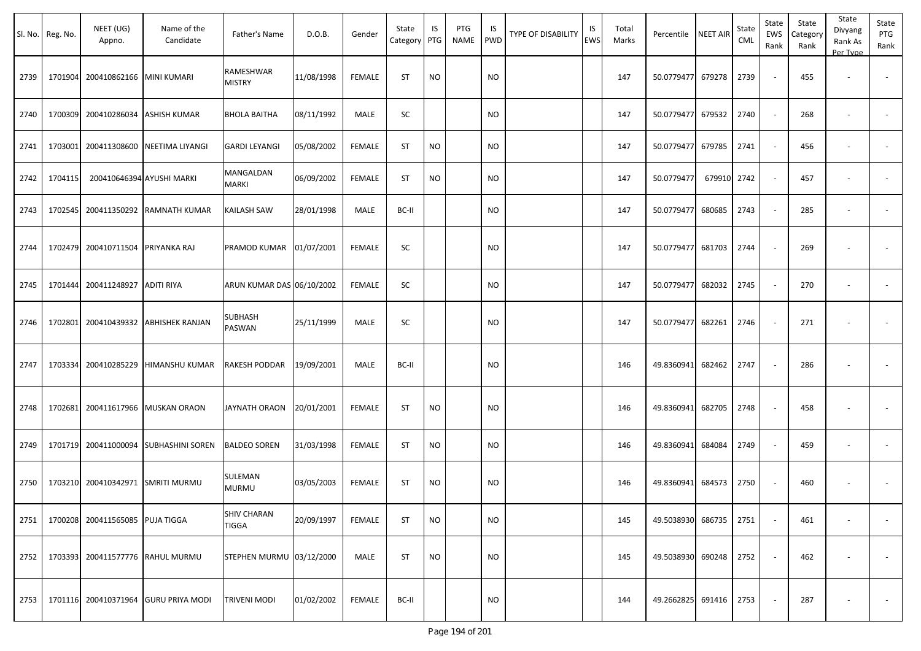|      | Sl. No. Reg. No. | NEET (UG)<br>Appno.               | Name of the<br>Candidate              | Father's Name                      | D.O.B.     | Gender        | State<br>Category | IS<br>PTG | PTG<br><b>NAME</b> | IS<br><b>PWD</b> | <b>TYPE OF DISABILITY</b> | IS<br><b>EWS</b> | Total<br>Marks | Percentile NEET AIR    |        | State<br>CML | State<br>EWS<br>Rank | State<br>Category<br>Rank | State<br>Divyang<br>Rank As<br>Per Type | State<br>PTG<br>Rank     |
|------|------------------|-----------------------------------|---------------------------------------|------------------------------------|------------|---------------|-------------------|-----------|--------------------|------------------|---------------------------|------------------|----------------|------------------------|--------|--------------|----------------------|---------------------------|-----------------------------------------|--------------------------|
| 2739 | 1701904          | 200410862166 MINI KUMARI          |                                       | RAMESHWAR<br><b>MISTRY</b>         | 11/08/1998 | <b>FEMALE</b> | <b>ST</b>         | <b>NO</b> |                    | <b>NO</b>        |                           |                  | 147            | 50.0779477 679278      |        | 2739         | $\sim$               | 455                       | $\overline{\phantom{a}}$                |                          |
| 2740 |                  | 1700309 200410286034              | <b>ASHISH KUMAR</b>                   | <b>BHOLA BAITHA</b>                | 08/11/1992 | MALE          | SC                |           |                    | <b>NO</b>        |                           |                  | 147            | 50.0779477             | 679532 | 2740         | $\sim$               | 268                       | $\overline{\phantom{a}}$                |                          |
| 2741 | 1703001          | 200411308600                      | NEETIMA LIYANGI                       | <b>GARDI LEYANGI</b>               | 05/08/2002 | <b>FEMALE</b> | <b>ST</b>         | <b>NO</b> |                    | <b>NO</b>        |                           |                  | 147            | 50.0779477             | 679785 | 2741         | $\sim$               | 456                       |                                         | $\overline{\phantom{a}}$ |
| 2742 | 1704115          |                                   | 200410646394 AYUSHI MARKI             | MANGALDAN<br><b>MARKI</b>          | 06/09/2002 | <b>FEMALE</b> | <b>ST</b>         | <b>NO</b> |                    | <b>NO</b>        |                           |                  | 147            | 50.0779477             | 679910 | 2742         |                      | 457                       |                                         |                          |
| 2743 | 1702545          |                                   | 200411350292 RAMNATH KUMAR            | KAILASH SAW                        | 28/01/1998 | MALE          | BC-II             |           |                    | <b>NO</b>        |                           |                  | 147            | 50.0779477             | 680685 | 2743         |                      | 285                       |                                         |                          |
| 2744 |                  | 1702479 200410711504 PRIYANKA RAJ |                                       | PRAMOD KUMAR                       | 01/07/2001 | <b>FEMALE</b> | SC                |           |                    | <b>NO</b>        |                           |                  | 147            | 50.0779477 681703      |        | 2744         |                      | 269                       |                                         |                          |
| 2745 | 1701444          | 200411248927                      | <b>ADITI RIYA</b>                     | ARUN KUMAR DAS 06/10/2002          |            | <b>FEMALE</b> | SC                |           |                    | <b>NO</b>        |                           |                  | 147            | 50.0779477             | 682032 | 2745         | $\sim$               | 270                       | $\overline{\phantom{a}}$                |                          |
| 2746 | 1702801          |                                   | 200410439332 ABHISHEK RANJAN          | SUBHASH<br>PASWAN                  | 25/11/1999 | MALE          | SC                |           |                    | <b>NO</b>        |                           |                  | 147            | 50.0779477             | 682261 | 2746         |                      | 271                       |                                         |                          |
| 2747 | 1703334          | 200410285229                      | <b>HIMANSHU KUMAR</b>                 | RAKESH PODDAR                      | 19/09/2001 | MALE          | BC-II             |           |                    | <b>NO</b>        |                           |                  | 146            | 49.8360941             | 682462 | 2747         |                      | 286                       |                                         |                          |
| 2748 | 1702681          |                                   | 200411617966 MUSKAN ORAON             | JAYNATH ORAON                      | 20/01/2001 | <b>FEMALE</b> | <b>ST</b>         | <b>NO</b> |                    | <b>NO</b>        |                           |                  | 146            | 49.8360941             | 682705 | 2748         |                      | 458                       |                                         |                          |
| 2749 |                  |                                   | 1701719 200411000094 SUBHASHINI SOREN | <b>BALDEO SOREN</b>                | 31/03/1998 | <b>FEMALE</b> | <b>ST</b>         | <b>NO</b> |                    | <b>NO</b>        |                           |                  | 146            | 49.8360941             | 684084 | 2749         |                      | 459                       | $\overline{\phantom{a}}$                |                          |
| 2750 |                  | 1703210 200410342971 SMRITI MURMU |                                       | SULEMAN<br><b>MURMU</b>            | 03/05/2003 | <b>FEMALE</b> | <b>ST</b>         | <b>NO</b> |                    | <b>NO</b>        |                           |                  | 146            | 49.8360941             | 684573 | 2750         |                      | 460                       |                                         |                          |
| 2751 |                  | 1700208 200411565085 PUJA TIGGA   |                                       | <b>SHIV CHARAN</b><br><b>TIGGA</b> | 20/09/1997 | FEMALE        | ST                | <b>NO</b> |                    | <b>NO</b>        |                           |                  | 145            | 49.5038930 686735      |        | 2751         |                      | 461                       |                                         | $\sim$                   |
| 2752 |                  | 1703393 200411577776 RAHUL MURMU  |                                       | STEPHEN MURMU 03/12/2000           |            | MALE          | <b>ST</b>         | <b>NO</b> |                    | <b>NO</b>        |                           |                  | 145            | 49.5038930 690248      |        | 2752         |                      | 462                       | $\overline{\phantom{a}}$                | $\sim$                   |
| 2753 |                  |                                   | 1701116 200410371964 GURU PRIYA MODI  | <b>TRIVENI MODI</b>                | 01/02/2002 | <b>FEMALE</b> | BC-II             |           |                    | <b>NO</b>        |                           |                  | 144            | 49.2662825 691416 2753 |        |              |                      | 287                       | $\overline{\phantom{a}}$                | $\sim$                   |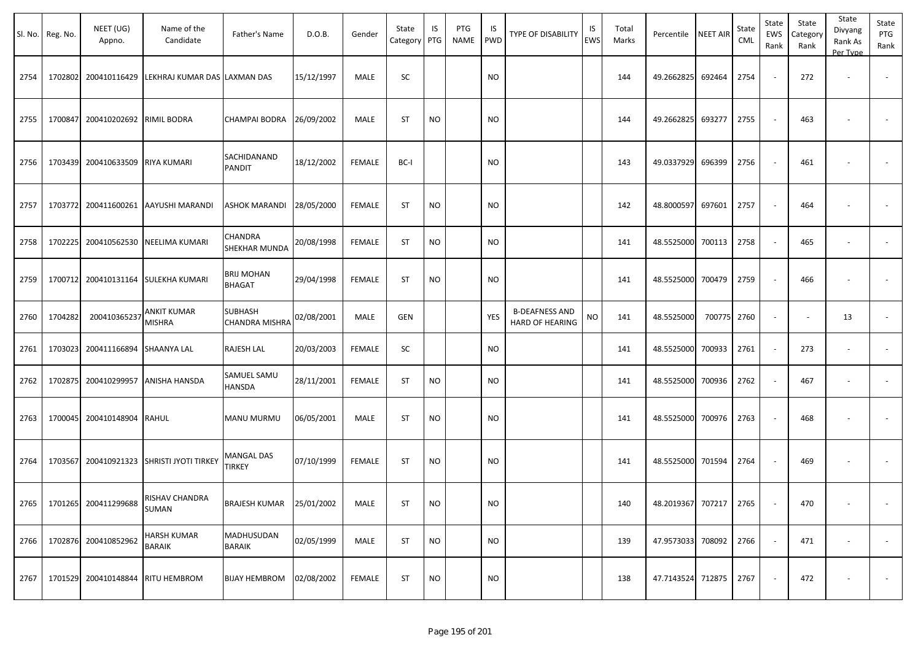|      | Sl. No. Reg. No. | NEET (UG)<br>Appno.               | Name of the<br>Candidate                  | Father's Name               | D.O.B.     | Gender        | State<br>Category | IS<br>PTG | PTG<br>NAME | IS<br><b>PWD</b> | <b>TYPE OF DISABILITY</b>                | IS<br>EWS | Total<br>Marks | Percentile             | <b>NEET AIR</b> | State<br><b>CML</b> | State<br>EWS<br>Rank     | State<br>Category<br>Rank | State<br>Divyang<br>Rank As<br>Per Type | State<br>PTG<br>Rank     |
|------|------------------|-----------------------------------|-------------------------------------------|-----------------------------|------------|---------------|-------------------|-----------|-------------|------------------|------------------------------------------|-----------|----------------|------------------------|-----------------|---------------------|--------------------------|---------------------------|-----------------------------------------|--------------------------|
| 2754 | 1702802          | 200410116429                      | LEKHRAJ KUMAR DAS LAXMAN DAS              |                             | 15/12/1997 | MALE          | SC                |           |             | <b>NO</b>        |                                          |           | 144            | 49.2662825             | 692464          | 2754                | $\overline{\phantom{a}}$ | 272                       | $\overline{\phantom{a}}$                |                          |
| 2755 |                  | 1700847 200410202692 RIMIL BODRA  |                                           | CHAMPAI BODRA               | 26/09/2002 | MALE          | <b>ST</b>         | <b>NO</b> |             | <b>NO</b>        |                                          |           | 144            | 49.2662825             | 693277          | 2755                | $\sim$                   | 463                       |                                         |                          |
| 2756 |                  | 1703439 200410633509              | <b>RIYA KUMARI</b>                        | SACHIDANAND<br>PANDIT       | 18/12/2002 | <b>FEMALE</b> | BC-I              |           |             | <b>NO</b>        |                                          |           | 143            | 49.0337929             | 696399          | 2756                | $\overline{\phantom{a}}$ | 461                       |                                         |                          |
| 2757 |                  | 1703772 200411600261              | AAYUSHI MARANDI                           | ASHOK MARANDI               | 28/05/2000 | <b>FEMALE</b> | <b>ST</b>         | <b>NO</b> |             | <b>NO</b>        |                                          |           | 142            | 48.8000597             | 697601          | 2757                | $\sim$                   | 464                       |                                         |                          |
| 2758 |                  | 1702225 200410562530              | <b>NEELIMA KUMARI</b>                     | CHANDRA<br>SHEKHAR MUNDA    | 20/08/1998 | <b>FEMALE</b> | ST                | <b>NO</b> |             | <b>NO</b>        |                                          |           | 141            | 48.5525000             | 700113          | 2758                | $\sim$                   | 465                       | $\overline{\phantom{a}}$                |                          |
| 2759 |                  |                                   | 1700712 200410131164 SULEKHA KUMARI       | BRIJ MOHAN<br><b>BHAGAT</b> | 29/04/1998 | <b>FEMALE</b> | ST                | <b>NO</b> |             | <b>NO</b>        |                                          |           | 141            | 48.5525000 700479      |                 | 2759                | $\sim$                   | 466                       | $\overline{\phantom{a}}$                |                          |
| 2760 | 1704282          | 200410365237                      | ANKIT KUMAR<br>MISHRA                     | SUBHASH<br>CHANDRA MISHRA   | 02/08/2001 | MALE          | <b>GEN</b>        |           |             | YES              | <b>B-DEAFNESS AND</b><br>HARD OF HEARING | <b>NO</b> | 141            | 48.5525000             | 700775          | 2760                | $\overline{\phantom{a}}$ | $\overline{\phantom{a}}$  | 13                                      | $\sim$                   |
| 2761 |                  | 1703023 200411166894              | <b>SHAANYA LAL</b>                        | RAJESH LAL                  | 20/03/2003 | <b>FEMALE</b> | SC                |           |             | <b>NO</b>        |                                          |           | 141            | 48.5525000             | 700933          | 2761                | $\sim$                   | 273                       |                                         |                          |
| 2762 |                  | 1702875 200410299957              | <b>ANISHA HANSDA</b>                      | SAMUEL SAMU<br>HANSDA       | 28/11/2001 | <b>FEMALE</b> | ST                | <b>NO</b> |             | NO.              |                                          |           | 141            | 48.5525000             | 700936          | 2762                | $\overline{\phantom{a}}$ | 467                       |                                         |                          |
| 2763 |                  | 1700045 200410148904 RAHUL        |                                           | <b>MANU MURMU</b>           | 06/05/2001 | MALE          | ST                | NO.       |             | <b>NO</b>        |                                          |           | 141            | 48.5525000             | 700976          | 2763                | $\sim$                   | 468                       |                                         |                          |
| 2764 |                  |                                   | 1703567 200410921323 SHRISTI JYOTI TIRKEY | MANGAL DAS<br>TIRKEY        | 07/10/1999 | FEMALE        | <b>ST</b>         | <b>NO</b> |             | <b>NO</b>        |                                          |           | 141            | 48.5525000             | 701594          | 2764                | $\sim$                   | 469                       |                                         |                          |
|      |                  | 2765 1701265 200411299688         | RISHAV CHANDRA<br>SUMAN                   | BRAJESH KUMAR 25/01/2002    |            | MALE          | ST                | <b>NO</b> |             | <b>NO</b>        |                                          |           | 140            | 48.2019367 707217 2765 |                 |                     | $\overline{\phantom{a}}$ | 470                       | $\sim$                                  | $\sim$                   |
| 2766 |                  | 1702876 200410852962              | <b>HARSH KUMAR</b><br>BARAIK              | MADHUSUDAN<br><b>BARAIK</b> | 02/05/1999 | MALE          | <b>ST</b>         | <b>NO</b> |             | <b>NO</b>        |                                          |           | 139            | 47.9573033 708092      |                 | 2766                | $\sim$                   | 471                       | $\sim$                                  | $\sim$                   |
| 2767 |                  | 1701529 200410148844 RITU HEMBROM |                                           | <b>BIJAY HEMBROM</b>        | 02/08/2002 | <b>FEMALE</b> | ST                | <b>NO</b> |             | <b>NO</b>        |                                          |           | 138            | 47.7143524 712875      |                 | 2767                |                          | 472                       |                                         | $\overline{\phantom{a}}$ |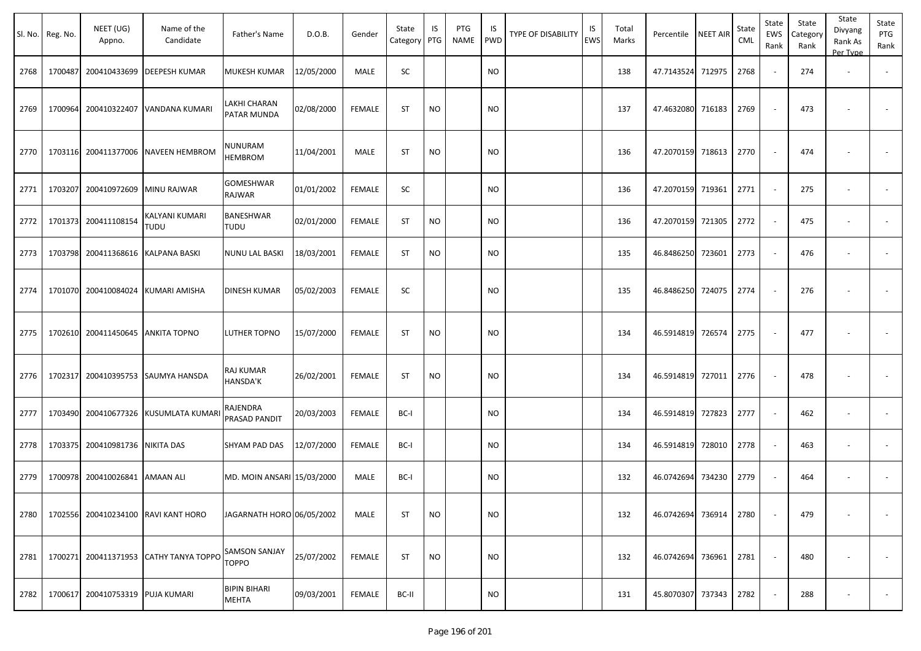|      | Sl. No. Reg. No. | NEET (UG)<br>Appno.               | Name of the<br>Candidate               | Father's Name                        | D.O.B.     | Gender        | State<br>Category | IS<br>PTG | PTG<br>NAME | IS<br><b>PWD</b> | TYPE OF DISABILITY | IS<br><b>EWS</b> | Total<br>Marks | Percentile        | <b>NEET AIR</b> | State<br>CML | State<br>EWS<br>Rank     | State<br>Category<br>Rank | State<br>Divyang<br>Rank As<br>Per Type | State<br>PTG<br>Rank     |
|------|------------------|-----------------------------------|----------------------------------------|--------------------------------------|------------|---------------|-------------------|-----------|-------------|------------------|--------------------|------------------|----------------|-------------------|-----------------|--------------|--------------------------|---------------------------|-----------------------------------------|--------------------------|
| 2768 | 1700487          | 200410433699                      | <b>DEEPESH KUMAR</b>                   | MUKESH KUMAR                         | 12/05/2000 | MALE          | SC                |           |             | <b>NO</b>        |                    |                  | 138            | 47.7143524        | 712975          | 2768         | $\sim$                   | 274                       | $\overline{\phantom{a}}$                |                          |
| 2769 | 1700964          | 200410322407                      | VANDANA KUMARI                         | LAKHI CHARAN<br>PATAR MUNDA          | 02/08/2000 | <b>FEMALE</b> | ST                | <b>NO</b> |             | <b>NO</b>        |                    |                  | 137            | 47.4632080        | 716183          | 2769         | $\overline{\phantom{a}}$ | 473                       |                                         |                          |
| 2770 |                  | 1703116 200411377006              | <b>NAVEEN HEMBROM</b>                  | NUNURAM<br><b>HEMBROM</b>            | 11/04/2001 | MALE          | ST                | <b>NO</b> |             | <b>NO</b>        |                    |                  | 136            | 47.2070159        | 718613          | 2770         | $\blacksquare$           | 474                       |                                         |                          |
| 2771 | 1703207          | 200410972609                      | <b>MINU RAJWAR</b>                     | GOMESHWAR<br>RAJWAR                  | 01/01/2002 | <b>FEMALE</b> | <b>SC</b>         |           |             | <b>NO</b>        |                    |                  | 136            | 47.2070159        | 719361          | 2771         | $\sim$                   | 275                       | $\overline{\phantom{a}}$                |                          |
| 2772 |                  | 1701373 200411108154              | KALYANI KUMARI<br>TUDU                 | BANESHWAR<br><b>TUDU</b>             | 02/01/2000 | <b>FEMALE</b> | <b>ST</b>         | <b>NO</b> |             | <b>NO</b>        |                    |                  | 136            | 47.2070159        | 721305          | 2772         | $\sim$                   | 475                       | $\overline{\phantom{a}}$                |                          |
| 2773 |                  | 1703798 200411368616              | <b>KALPANA BASKI</b>                   | NUNU LAL BASKI                       | 18/03/2001 | <b>FEMALE</b> | ST                | NO.       |             | <b>NO</b>        |                    |                  | 135            | 46.8486250        | 723601          | 2773         | $\sim$                   | 476                       | $\overline{\phantom{a}}$                |                          |
| 2774 |                  | 1701070 200410084024              | KUMARI AMISHA                          | DINESH KUMAR                         | 05/02/2003 | <b>FEMALE</b> | SC                |           |             | <b>NO</b>        |                    |                  | 135            | 46.8486250        | 724075          | 2774         | $\sim$                   | 276                       |                                         |                          |
| 2775 |                  | 1702610 200411450645 ANKITA TOPNO |                                        | LUTHER TOPNO                         | 15/07/2000 | <b>FEMALE</b> | ST                | <b>NO</b> |             | <b>NO</b>        |                    |                  | 134            | 46.5914819        | 726574          | 2775         | $\overline{\phantom{a}}$ | 477                       | $\overline{\phantom{a}}$                | $\overline{\phantom{a}}$ |
| 2776 | 1702317          | 200410395753                      | <b>SAUMYA HANSDA</b>                   | RAJ KUMAR<br>HANSDA'K                | 26/02/2001 | FEMALE        | <b>ST</b>         | <b>NO</b> |             | <b>NO</b>        |                    |                  | 134            | 46.5914819        | 727011          | 2776         | $\sim$                   | 478                       |                                         |                          |
| 2777 |                  | 1703490 200410677326              | KUSUMLATA KUMARI                       | RAJENDRA<br>PRASAD PANDIT            | 20/03/2003 | <b>FEMALE</b> | BC-I              |           |             | <b>NO</b>        |                    |                  | 134            | 46.5914819        | 727823          | 2777         | $\sim$                   | 462                       | $\overline{\phantom{a}}$                |                          |
| 2778 |                  | 1703375 200410981736 NIKITA DAS   |                                        | SHYAM PAD DAS                        | 12/07/2000 | <b>FEMALE</b> | BC-I              |           |             | NO.              |                    |                  | 134            | 46.5914819        | 728010          | 2778         | $\sim$                   | 463                       |                                         |                          |
| 2779 |                  | 1700978 200410026841 AMAAN ALI    |                                        | MD. MOIN ANSARI 15/03/2000           |            | MALE          | BC-I              |           |             | <b>NO</b>        |                    |                  | 132            | 46.0742694        | 734230          | 2779         | $\overline{\phantom{a}}$ | 464                       | $\overline{\phantom{a}}$                |                          |
| 2780 |                  |                                   | 1702556 200410234100 RAVI KANT HORO    | JAGARNATH HORO 06/05/2002            |            | MALE          | <b>ST</b>         | <b>NO</b> |             | <b>NO</b>        |                    |                  | 132            | 46.0742694 736914 |                 | 2780         |                          | 479                       |                                         |                          |
| 2781 |                  |                                   | 1700271 200411371953 CATHY TANYA TOPPO | <b>SAMSON SANJAY</b><br><b>TOPPO</b> | 25/07/2002 | <b>FEMALE</b> | ST                | <b>NO</b> |             | <b>NO</b>        |                    |                  | 132            | 46.0742694 736961 |                 | 2781         | $\sim$                   | 480                       |                                         |                          |
| 2782 | 1700617          | 200410753319 PUJA KUMARI          |                                        | <b>BIPIN BIHARI</b><br><b>MEHTA</b>  | 09/03/2001 | <b>FEMALE</b> | BC-II             |           |             | <b>NO</b>        |                    |                  | 131            | 45.8070307 737343 |                 | 2782         | $\overline{\phantom{a}}$ | 288                       |                                         | $\sim$                   |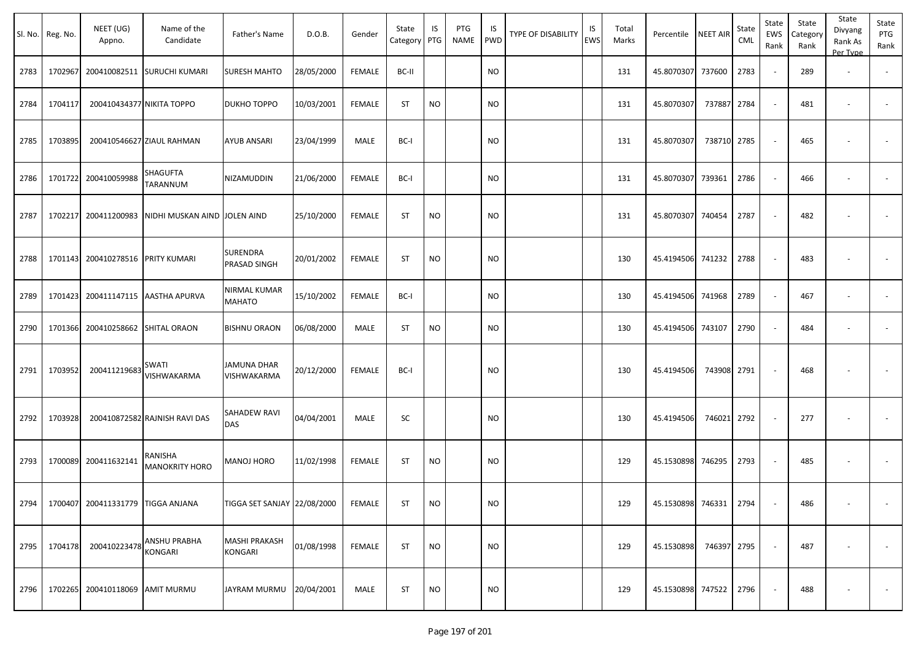|      | Sl. No. Reg. No. | NEET (UG)<br>Appno.               | Name of the<br>Candidate         | Father's Name                          | D.O.B.     | Gender        | State<br>Category PTG | IS        | PTG<br>NAME | IS.<br><b>PWD</b> | TYPE OF DISABILITY | IS<br>EWS | Total<br>Marks | Percentile        | <b>NEET AIR</b> | State<br>CML | State<br>EWS<br>Rank     | State<br>Category<br>Rank | State<br>Divyang<br>Rank As<br>Per Type | State<br>PTG<br>Rank     |
|------|------------------|-----------------------------------|----------------------------------|----------------------------------------|------------|---------------|-----------------------|-----------|-------------|-------------------|--------------------|-----------|----------------|-------------------|-----------------|--------------|--------------------------|---------------------------|-----------------------------------------|--------------------------|
| 2783 | 1702967          |                                   | 200410082511 SURUCHI KUMARI      | <b>SURESH MAHTO</b>                    | 28/05/2000 | <b>FEMALE</b> | BC-II                 |           |             | <b>NO</b>         |                    |           | 131            | 45.8070307        | 737600          | 2783         | $\sim$                   | 289                       | $\overline{\phantom{a}}$                | $\overline{\phantom{a}}$ |
| 2784 | 1704117          | 200410434377 NIKITA TOPPO         |                                  | <b>DUKHO TOPPO</b>                     | 10/03/2001 | <b>FEMALE</b> | <b>ST</b>             | <b>NO</b> |             | <b>NO</b>         |                    |           | 131            | 45.8070307        | 737887          | 2784         | $\sim$                   | 481                       | $\sim$                                  |                          |
| 2785 | 1703895          |                                   | 200410546627 ZIAUL RAHMAN        | <b>AYUB ANSARI</b>                     | 23/04/1999 | MALE          | BC-I                  |           |             | NO.               |                    |           | 131            | 45.8070307        | 738710          | 2785         | $\sim$                   | 465                       | $\overline{\phantom{a}}$                |                          |
| 2786 | 1701722          | 200410059988                      | SHAGUFTA<br>TARANNUM             | NIZAMUDDIN                             | 21/06/2000 | <b>FEMALE</b> | BC-I                  |           |             | <b>NO</b>         |                    |           | 131            | 45.8070307        | 739361          | 2786         |                          | 466                       | $\overline{\phantom{a}}$                |                          |
| 2787 | 1702217          | 200411200983                      | NIDHI MUSKAN AIND JOLEN AIND     |                                        | 25/10/2000 | FEMALE        | <b>ST</b>             | NO        |             | NO.               |                    |           | 131            | 45.8070307 740454 |                 | 2787         | $\sim$                   | 482                       | $\overline{\phantom{a}}$                |                          |
| 2788 |                  | 1701143 200410278516              | <b>PRITY KUMARI</b>              | <b>SURENDRA</b><br><b>PRASAD SINGH</b> | 20/01/2002 | <b>FEMALE</b> | <b>ST</b>             | <b>NO</b> |             | NO.               |                    |           | 130            | 45.4194506        | 741232          | 2788         | $\overline{\phantom{a}}$ | 483                       | $\overline{\phantom{a}}$                |                          |
| 2789 | 1701423          |                                   | 200411147115 AASTHA APURVA       | <b>NIRMAL KUMAR</b><br><b>MAHATO</b>   | 15/10/2002 | <b>FEMALE</b> | BC-I                  |           |             | <b>NO</b>         |                    |           | 130            | 45.4194506        | 741968          | 2789         | $\sim$                   | 467                       | $\sim$                                  |                          |
| 2790 | 1701366          | 200410258662                      | <b>SHITAL ORAON</b>              | <b>BISHNU ORAON</b>                    | 06/08/2000 | MALE          | <b>ST</b>             | <b>NO</b> |             | <b>NO</b>         |                    |           | 130            | 45.4194506        | 743107          | 2790         | $\sim$                   | 484                       | $\overline{\phantom{a}}$                |                          |
| 2791 | 1703952          | 200411219683                      | SWATI<br>VISHWAKARMA             | JAMUNA DHAR<br>VISHWAKARMA             | 20/12/2000 | <b>FEMALE</b> | BC-I                  |           |             | <b>NO</b>         |                    |           | 130            | 45.4194506        | 743908 2791     |              | $\sim$                   | 468                       |                                         |                          |
| 2792 | 1703928          |                                   | 200410872582 RAJNISH RAVI DAS    | <b>SAHADEW RAVI</b><br><b>DAS</b>      | 04/04/2001 | MALE          | SC                    |           |             | <b>NO</b>         |                    |           | 130            | 45.4194506        | 746021          | 2792         | $\overline{\phantom{a}}$ | 277                       | $\sim$                                  |                          |
| 2793 | 1700089          | 200411632141                      | RANISHA<br><b>MANOKRITY HORO</b> | MANOJ HORO                             | 11/02/1998 | FEMALE        | <b>ST</b>             | <b>NO</b> |             | NO.               |                    |           | 129            | 45.1530898        | 746295          | 2793         |                          | 485                       |                                         |                          |
| 2794 |                  | 1700407 200411331779 TIGGA ANJANA |                                  | TIGGA SET SANJAY 22/08/2000            |            | <b>FEMALE</b> | <b>ST</b>             | <b>NO</b> |             | <b>NO</b>         |                    |           | 129            | 45.1530898 746331 |                 | 2794         |                          | 486                       | $\sim$                                  | $\sim$                   |
| 2795 | 1704178          | 200410223478                      | ANSHU PRABHA<br><b>KONGARI</b>   | <b>MASHI PRAKASH</b><br>KONGARI        | 01/08/1998 | <b>FEMALE</b> | ST                    | <b>NO</b> |             | <b>NO</b>         |                    |           | 129            | 45.1530898        | 746397 2795     |              |                          | 487                       |                                         | $\overline{\phantom{a}}$ |
| 2796 | 1702265          | 200410118069 AMIT MURMU           |                                  | JAYRAM MURMU 20/04/2001                |            | MALE          | ST                    | <b>NO</b> |             | <b>NO</b>         |                    |           | 129            | 45.1530898 747522 |                 | 2796         | $\sim$                   | 488                       | $\overline{\phantom{a}}$                | $\sim$                   |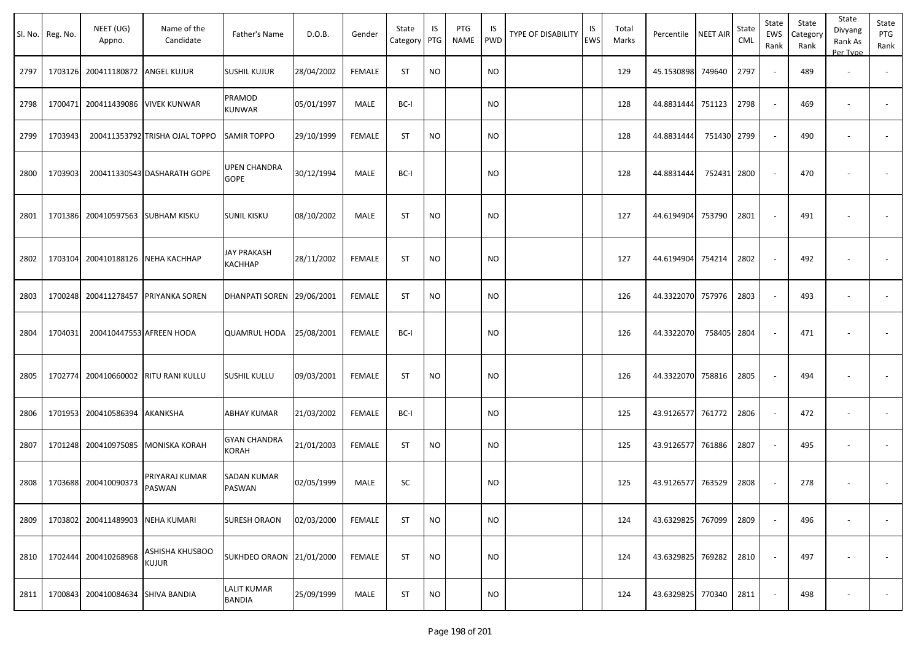| SI. No. | Reg. No. | NEET (UG)<br>Appno.               | Name of the<br>Candidate        | Father's Name                        | D.O.B.     | Gender        | State<br>Category | IS<br>PTG | PTG<br><b>NAME</b> | IS<br><b>PWD</b> | <b>TYPE OF DISABILITY</b> | IS<br><b>EWS</b> | Total<br>Marks | Percentile NEET AIR |             | State<br>CML | State<br>EWS<br>Rank | State<br>Category<br>Rank | State<br>Divyang<br>Rank As<br>Per Type | State<br>PTG<br>Rank |
|---------|----------|-----------------------------------|---------------------------------|--------------------------------------|------------|---------------|-------------------|-----------|--------------------|------------------|---------------------------|------------------|----------------|---------------------|-------------|--------------|----------------------|---------------------------|-----------------------------------------|----------------------|
| 2797    |          | 1703126 200411180872 ANGEL KUJUR  |                                 | <b>SUSHIL KUJUR</b>                  | 28/04/2002 | <b>FEMALE</b> | ST                | <b>NO</b> |                    | <b>NO</b>        |                           |                  | 129            | 45.1530898 749640   |             | 2797         | $\sim$               | 489                       | $\overline{\phantom{a}}$                | $\sim$               |
| 2798    | 1700471  | 200411439086                      | <b>VIVEK KUNWAR</b>             | PRAMOD<br><b>KUNWAR</b>              | 05/01/1997 | MALE          | BC-I              |           |                    | NO.              |                           |                  | 128            | 44.8831444          | 751123      | 2798         | $\sim$               | 469                       | $\overline{\phantom{a}}$                | $\sim$               |
| 2799    | 1703943  |                                   | 200411353792 TRISHA OJAL TOPPO  | <b>SAMIR TOPPO</b>                   | 29/10/1999 | <b>FEMALE</b> | ST                | <b>NO</b> |                    | <b>NO</b>        |                           |                  | 128            | 44.8831444          | 751430      | 2799         | $\sim$               | 490                       | $\overline{\phantom{a}}$                |                      |
| 2800    | 1703903  |                                   | 200411330543 DASHARATH GOPE     | UPEN CHANDRA<br><b>GOPE</b>          | 30/12/1994 | MALE          | BC-I              |           |                    | <b>NO</b>        |                           |                  | 128            | 44.8831444          | 752431      | 2800         |                      | 470                       |                                         |                      |
| 2801    |          | 1701386 200410597563 SUBHAM KISKU |                                 | <b>SUNIL KISKU</b>                   | 08/10/2002 | MALE          | <b>ST</b>         | <b>NO</b> |                    | NO.              |                           |                  | 127            | 44.6194904 753790   |             | 2801         |                      | 491                       |                                         |                      |
| 2802    | 1703104  | 200410188126                      | <b>NEHA KACHHAP</b>             | <b>JAY PRAKASH</b><br><b>KACHHAP</b> | 28/11/2002 | <b>FEMALE</b> | <b>ST</b>         | <b>NO</b> |                    | <b>NO</b>        |                           |                  | 127            | 44.6194904 754214   |             | 2802         |                      | 492                       |                                         |                      |
| 2803    | 1700248  |                                   | 200411278457 PRIYANKA SOREN     | DHANPATI SOREN 29/06/2001            |            | FEMALE        | ST                | <b>NO</b> |                    | NO.              |                           |                  | 126            | 44.3322070 757976   |             | 2803         | $\sim$               | 493                       | $\overline{\phantom{a}}$                |                      |
| 2804    | 1704031  |                                   | 200410447553 AFREEN HODA        | <b>QUAMRUL HODA</b>                  | 25/08/2001 | <b>FEMALE</b> | BC-I              |           |                    | NO.              |                           |                  | 126            | 44.3322070          | 758405 2804 |              |                      | 471                       | $\overline{\phantom{a}}$                |                      |
| 2805    | 1702774  |                                   | 200410660002 RITU RANI KULLU    | <b>SUSHIL KULLU</b>                  | 09/03/2001 | FEMALE        | <b>ST</b>         | <b>NO</b> |                    | <b>NO</b>        |                           |                  | 126            | 44.3322070 758816   |             | 2805         |                      | 494                       | $\overline{\phantom{a}}$                |                      |
| 2806    |          | 1701953 200410586394              | AKANKSHA                        | <b>ABHAY KUMAR</b>                   | 21/03/2002 | <b>FEMALE</b> | BC-I              |           |                    | NO.              |                           |                  | 125            | 43.9126577 761772   |             | 2806         | $\sim$               | 472                       | $\sim$                                  | $\sim$               |
| 2807    |          | 1701248 200410975085              | <b>MONISKA KORAH</b>            | <b>GYAN CHANDRA</b><br><b>KORAH</b>  | 21/01/2003 | <b>FEMALE</b> | ST                | <b>NO</b> |                    | NO.              |                           |                  | 125            | 43.9126577          | 761886      | 2807         | $\sim$               | 495                       | $\overline{\phantom{a}}$                | $\sim$               |
| 2808    | 1703688  | 200410090373                      | PRIYARAJ KUMAR<br>PASWAN        | <b>SADAN KUMAR</b><br><b>PASWAN</b>  | 02/05/1999 | MALE          | SC                |           |                    | <b>NO</b>        |                           |                  | 125            | 43.9126577          | 763529      | 2808         |                      | 278                       |                                         |                      |
| 2809    |          | 1703802 200411489903              | <b>NEHA KUMARI</b>              | <b>SURESH ORAON</b>                  | 02/03/2000 | FEMALE        | ST                | <b>NO</b> |                    | <b>NO</b>        |                           |                  | 124            | 43.6329825 767099   |             | 2809         |                      | 496                       |                                         |                      |
| 2810    | 1702444  | 200410268968                      | ASHISHA KHUSBOO<br><b>KUJUR</b> | SUKHDEO ORAON 21/01/2000             |            | <b>FEMALE</b> | <b>ST</b>         | <b>NO</b> |                    | <b>NO</b>        |                           |                  | 124            | 43.6329825 769282   |             | 2810         |                      | 497                       | $\overline{\phantom{a}}$                | $\sim$               |
| 2811    | 1700843  | 200410084634                      | <b>SHIVA BANDIA</b>             | <b>LALIT KUMAR</b><br><b>BANDIA</b>  | 25/09/1999 | MALE          | ST                | <b>NO</b> |                    | <b>NO</b>        |                           |                  | 124            | 43.6329825 770340   |             | 2811         | $\sim$               | 498                       |                                         | $\sim$               |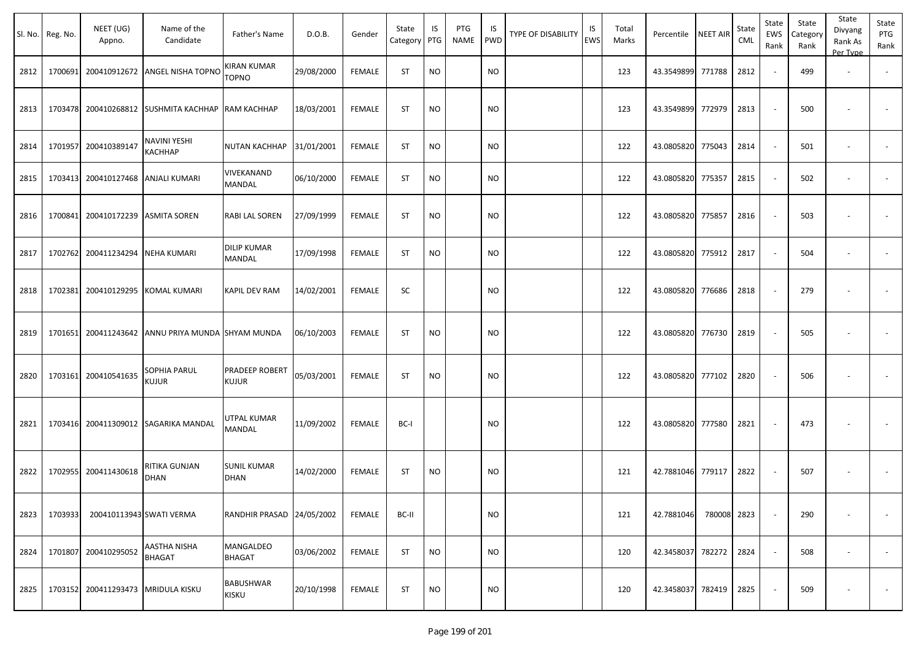|      | Sl. No. Reg. No. | NEET (UG)<br>Appno.      | Name of the<br>Candidate                  | Father's Name                       | D.O.B.     | Gender        | State<br>Category | IS<br>PTG | PTG<br>NAME | IS<br><b>PWD</b> | <b>TYPE OF DISABILITY</b> | IS<br><b>EWS</b> | Total<br>Marks | Percentile        | <b>NEET AIR</b> | State<br>CML | State<br>EWS<br>Rank     | State<br>Category<br>Rank | State<br>Divyang<br>Rank As<br>Per Type | State<br>PTG<br>Rank |
|------|------------------|--------------------------|-------------------------------------------|-------------------------------------|------------|---------------|-------------------|-----------|-------------|------------------|---------------------------|------------------|----------------|-------------------|-----------------|--------------|--------------------------|---------------------------|-----------------------------------------|----------------------|
| 2812 | 1700691          |                          | 200410912672 ANGEL NISHA TOPNO            | KIRAN KUMAR<br><b>TOPNO</b>         | 29/08/2000 | <b>FEMALE</b> | <b>ST</b>         | <b>NO</b> |             | <b>NO</b>        |                           |                  | 123            | 43.3549899        | 771788          | 2812         |                          | 499                       | $\overline{\phantom{a}}$                |                      |
| 2813 | 1703478          |                          | 200410268812 SUSHMITA KACHHAP             | <b>RAM KACHHAP</b>                  | 18/03/2001 | <b>FEMALE</b> | <b>ST</b>         | <b>NO</b> |             | <b>NO</b>        |                           |                  | 123            | 43.3549899        | 772979          | 2813         |                          | 500                       |                                         |                      |
| 2814 | 1701957          | 200410389147             | <b>NAVINI YESHI</b><br>KACHHAP            | NUTAN KACHHAP                       | 31/01/2001 | <b>FEMALE</b> | <b>ST</b>         | <b>NO</b> |             | NO.              |                           |                  | 122            | 43.0805820        | 775043          | 2814         |                          | 501                       | $\blacksquare$                          |                      |
| 2815 | 1703413          |                          | 200410127468 ANJALI KUMARI                | VIVEKANAND<br>MANDAL                | 06/10/2000 | <b>FEMALE</b> | <b>ST</b>         | <b>NO</b> |             | <b>NO</b>        |                           |                  | 122            | 43.0805820        | 775357          | 2815         |                          | 502                       | $\overline{\phantom{a}}$                |                      |
| 2816 | 1700841          |                          | 200410172239 ASMITA SOREN                 | RABI LAL SOREN                      | 27/09/1999 | <b>FEMALE</b> | <b>ST</b>         | <b>NO</b> |             | <b>NO</b>        |                           |                  | 122            | 43.0805820        | 775857          | 2816         |                          | 503                       |                                         |                      |
| 2817 | 1702762          | 200411234294 NEHA KUMARI |                                           | <b>DILIP KUMAR</b><br><b>MANDAL</b> | 17/09/1998 | <b>FEMALE</b> | <b>ST</b>         | <b>NO</b> |             | <b>NO</b>        |                           |                  | 122            | 43.0805820        | 775912          | 2817         |                          | 504                       | $\overline{\phantom{a}}$                |                      |
| 2818 | 1702381          |                          | 200410129295 KOMAL KUMARI                 | <b>KAPIL DEV RAM</b>                | 14/02/2001 | <b>FEMALE</b> | SC                |           |             | <b>NO</b>        |                           |                  | 122            | 43.0805820        | 776686          | 2818         |                          | 279                       | ÷,                                      |                      |
| 2819 | 1701651          |                          | 200411243642 ANNU PRIYA MUNDA SHYAM MUNDA |                                     | 06/10/2003 | <b>FEMALE</b> | <b>ST</b>         | <b>NO</b> |             | <b>NO</b>        |                           |                  | 122            | 43.0805820        | 776730          | 2819         |                          | 505                       |                                         |                      |
| 2820 | 1703161          | 200410541635             | SOPHIA PARUL<br><b>KUJUR</b>              | PRADEEP ROBERT<br>KUJUR             | 05/03/2001 | <b>FEMALE</b> | <b>ST</b>         | <b>NO</b> |             | <b>NO</b>        |                           |                  | 122            | 43.0805820        | 777102          | 2820         |                          | 506                       | $\blacksquare$                          |                      |
| 2821 | 1703416          |                          | 200411309012 SAGARIKA MANDAL              | UTPAL KUMAR<br>MANDAL               | 11/09/2002 | <b>FEMALE</b> | BC-I              |           |             | <b>NO</b>        |                           |                  | 122            | 43.0805820        | 777580          | 2821         | $\overline{\phantom{a}}$ | 473                       |                                         |                      |
| 2822 | 1702955          | 200411430618             | RITIKA GUNJAN<br><b>DHAN</b>              | <b>SUNIL KUMAR</b><br><b>DHAN</b>   | 14/02/2000 | <b>FEMALE</b> | <b>ST</b>         | <b>NO</b> |             | <b>NO</b>        |                           |                  | 121            | 42.7881046        | 779117          | 2822         |                          | 507                       | $\overline{\phantom{a}}$                |                      |
| 2823 | 1703933          |                          | 200410113943 SWATI VERMA                  | RANDHIR PRASAD 24/05/2002           |            | <b>FEMALE</b> | BC-II             |           |             | <b>NO</b>        |                           |                  | 121            | 42.7881046        | 780008 2823     |              |                          | 290                       | $\overline{\phantom{a}}$                | $\sim$               |
| 2824 | 1701807          | 200410295052             | AASTHA NISHA<br><b>BHAGAT</b>             | MANGALDEO<br><b>BHAGAT</b>          | 03/06/2002 | <b>FEMALE</b> | ST                | <b>NO</b> |             | <b>NO</b>        |                           |                  | 120            | 42.3458037 782272 |                 | 2824         |                          | 508                       | $\overline{\phantom{a}}$                | $\sim$               |
| 2825 | 1703152          |                          | 200411293473 MRIDULA KISKU                | <b>BABUSHWAR</b><br>KISKU           | 20/10/1998 | FEMALE        | ST                | <b>NO</b> |             | <b>NO</b>        |                           |                  | 120            | 42.3458037 782419 |                 | 2825         |                          | 509                       |                                         | $\sim$               |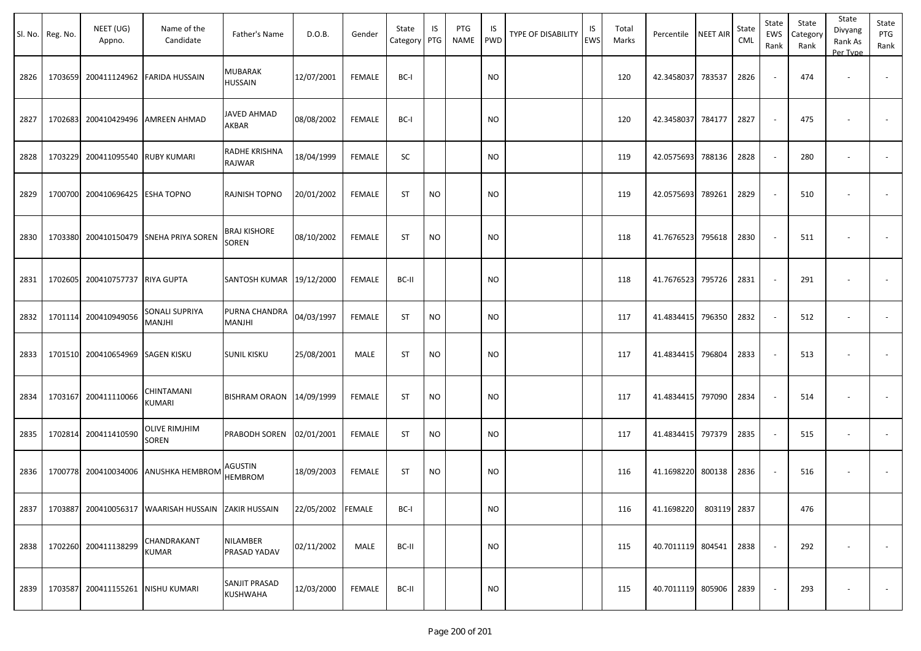|      | Sl. No. Reg. No. | NEET (UG)<br>Appno.               | Name of the<br>Candidate                            | Father's Name                | D.O.B.            | Gender        | State<br>Category PTG | IS        | <b>PTG</b><br><b>NAME</b> | IS<br><b>PWD</b> | <b>TYPE OF DISABILITY</b> | IS<br>EWS | Total<br>Marks | Percentile NEET AIR |             | State<br>CML | State<br>EWS<br>Rank | State<br>Category<br>Rank | State<br>Divyang<br>Rank As<br>Per Type | State<br>PTG<br>Rank     |
|------|------------------|-----------------------------------|-----------------------------------------------------|------------------------------|-------------------|---------------|-----------------------|-----------|---------------------------|------------------|---------------------------|-----------|----------------|---------------------|-------------|--------------|----------------------|---------------------------|-----------------------------------------|--------------------------|
| 2826 | 1703659          |                                   | 200411124962 FARIDA HUSSAIN                         | MUBARAK<br><b>HUSSAIN</b>    | 12/07/2001        | <b>FEMALE</b> | BC-I                  |           |                           | <b>NO</b>        |                           |           | 120            | 42.3458037          | 783537      | 2826         |                      | 474                       | $\overline{\phantom{a}}$                |                          |
| 2827 | 1702683          |                                   | 200410429496   AMREEN AHMAD                         | <b>JAVED AHMAD</b><br>AKBAR  | 08/08/2002        | <b>FEMALE</b> | BC-I                  |           |                           | <b>NO</b>        |                           |           | 120            | 42.3458037          | 784177      | 2827         |                      | 475                       |                                         |                          |
| 2828 |                  | 1703229 200411095540 RUBY KUMARI  |                                                     | RADHE KRISHNA<br>RAJWAR      | 18/04/1999        | <b>FEMALE</b> | SC                    |           |                           | <b>NO</b>        |                           |           | 119            | 42.0575693          | 788136      | 2828         |                      | 280                       | $\overline{\phantom{a}}$                |                          |
| 2829 | 1700700          | 200410696425 ESHA TOPNO           |                                                     | RAJNISH TOPNO                | 20/01/2002        | <b>FEMALE</b> | <b>ST</b>             | <b>NO</b> |                           | <b>NO</b>        |                           |           | 119            | 42.0575693          | 789261      | 2829         |                      | 510                       |                                         | $\overline{\phantom{a}}$ |
| 2830 | 1703380          |                                   | 200410150479 SNEHA PRIYA SOREN                      | BRAJ KISHORE<br><b>SOREN</b> | 08/10/2002        | <b>FEMALE</b> | <b>ST</b>             | <b>NO</b> |                           | <b>NO</b>        |                           |           | 118            | 41.7676523          | 795618      | 2830         |                      | 511                       |                                         |                          |
| 2831 | 1702605          | 200410757737 RIYA GUPTA           |                                                     | SANTOSH KUMAR 19/12/2000     |                   | FEMALE        | BC-II                 |           |                           | <b>NO</b>        |                           |           | 118            | 41.7676523          | 795726      | 2831         |                      | 291                       |                                         | $\sim$                   |
| 2832 | 1701114          | 200410949056                      | SONALI SUPRIYA<br>MANJHI                            | PURNA CHANDRA<br>MANJHI      | 04/03/1997        | <b>FEMALE</b> | <b>ST</b>             | <b>NO</b> |                           | <b>NO</b>        |                           |           | 117            | 41.4834415          | 796350      | 2832         |                      | 512                       |                                         | $\sim$                   |
| 2833 |                  | 1701510 200410654969 SAGEN KISKU  |                                                     | <b>SUNIL KISKU</b>           | 25/08/2001        | MALE          | ST                    | <b>NO</b> |                           | <b>NO</b>        |                           |           | 117            | 41.4834415          | 796804      | 2833         |                      | 513                       |                                         |                          |
| 2834 |                  | 1703167 200411110066              | CHINTAMANI<br><b>KUMARI</b>                         | BISHRAM ORAON 14/09/1999     |                   | <b>FEMALE</b> | <b>ST</b>             | <b>NO</b> |                           | <b>NO</b>        |                           |           | 117            | 41.4834415          | 797090      | 2834         |                      | 514                       |                                         |                          |
| 2835 | 1702814          | 200411410590                      | <b>OLIVE RIMJHIM</b><br><b>SOREN</b>                | PRABODH SOREN                | 02/01/2001        | <b>FEMALE</b> | <b>ST</b>             | <b>NO</b> |                           | <b>NO</b>        |                           |           | 117            | 41.4834415          | 797379      | 2835         |                      | 515                       |                                         |                          |
| 2836 | 1700778          |                                   | 200410034006 ANUSHKA HEMBROM                        | AGUSTIN<br><b>HEMBROM</b>    | 18/09/2003        | <b>FEMALE</b> | <b>ST</b>             | <b>NO</b> |                           | <b>NO</b>        |                           |           | 116            | 41.1698220          | 800138      | 2836         |                      | 516                       | $\overline{\phantom{a}}$                | $\overline{\phantom{a}}$ |
| 2837 |                  |                                   | 1703887 200410056317 WAARISAH HUSSAIN ZAKIR HUSSAIN |                              | 22/05/2002 FEMALE |               | BC-I                  |           |                           | <b>NO</b>        |                           |           | 116            | 41.1698220          | 803119 2837 |              |                      | 476                       |                                         |                          |
| 2838 |                  | 1702260 200411138299              | CHANDRAKANT<br><b>KUMAR</b>                         | NILAMBER<br>PRASAD YADAV     | 02/11/2002        | MALE          | BC-II                 |           |                           | <b>NO</b>        |                           |           | 115            | 40.7011119 804541   |             | 2838         |                      | 292                       | $\overline{\phantom{a}}$                | $\sim$                   |
| 2839 |                  | 1703587 200411155261 NISHU KUMARI |                                                     | SANJIT PRASAD<br>KUSHWAHA    | 12/03/2000        | FEMALE        | BC-II                 |           |                           | <b>NO</b>        |                           |           | 115            | 40.7011119 805906   |             | 2839         |                      | 293                       |                                         | $\sim$                   |